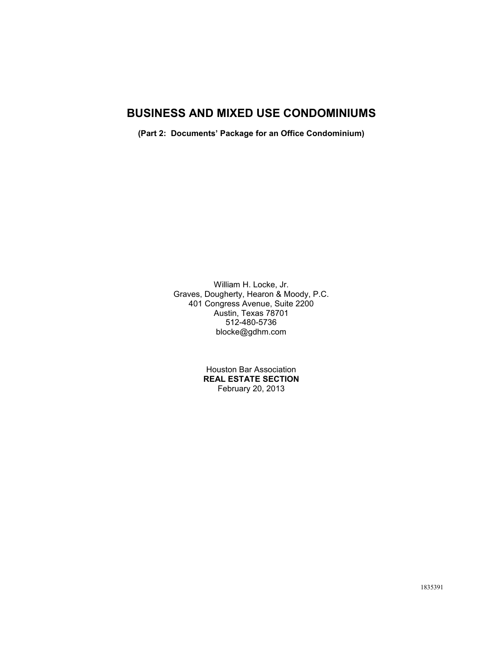# **BUSINESS AND MIXED USE CONDOMINIUMS**

**(Part 2: Documents' Package for an Office Condominium)**

William H. Locke, Jr. Graves, Dougherty, Hearon & Moody, P.C. 401 Congress Avenue, Suite 2200 Austin, Texas 78701 512-480-5736 blocke@gdhm.com

> Houston Bar Association **REAL ESTATE SECTION** February 20, 2013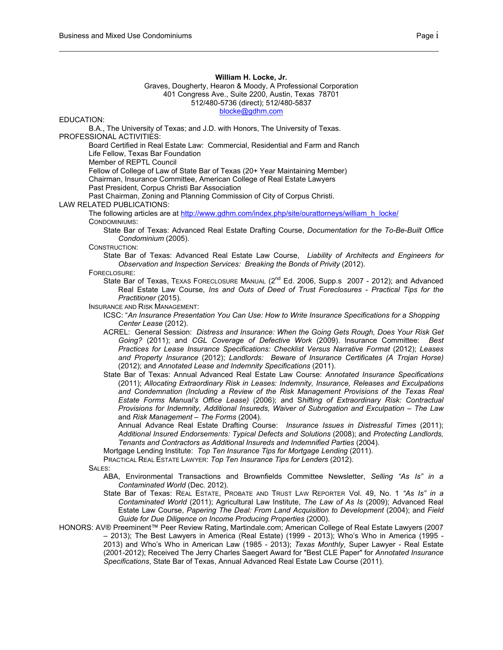#### **William H. Locke, Jr.**

 $\mathcal{L}_\mathcal{L} = \{ \mathcal{L}_\mathcal{L} = \{ \mathcal{L}_\mathcal{L} = \{ \mathcal{L}_\mathcal{L} = \{ \mathcal{L}_\mathcal{L} = \{ \mathcal{L}_\mathcal{L} = \{ \mathcal{L}_\mathcal{L} = \{ \mathcal{L}_\mathcal{L} = \{ \mathcal{L}_\mathcal{L} = \{ \mathcal{L}_\mathcal{L} = \{ \mathcal{L}_\mathcal{L} = \{ \mathcal{L}_\mathcal{L} = \{ \mathcal{L}_\mathcal{L} = \{ \mathcal{L}_\mathcal{L} = \{ \mathcal{L}_\mathcal{$ 

#### Graves, Dougherty, Hearon & Moody, A Professional Corporation 401 Congress Ave., Suite 2200, Austin, Texas 78701 512/480-5736 (direct); 512/480-5837 [blocke@gdhm.com](mailto:blocke@gdhm.com)

#### EDUCATION:

B.A., The University of Texas; and J.D. with Honors, The University of Texas. PROFESSIONAL ACTIVITIES: Board Certified in Real Estate Law: Commercial, Residential and Farm and Ranch

Life Fellow, Texas Bar Foundation

Member of REPTL Council

Fellow of College of Law of State Bar of Texas (20+ Year Maintaining Member)

Chairman, Insurance Committee, American College of Real Estate Lawyers

Past President, Corpus Christi Bar Association Past Chairman, Zoning and Planning Commission of City of Corpus Christi.

LAW RELATED PUBLICATIONS:

The following articles are at [http://www.gdhm.com/index.php/site/ourattorneys/william\\_h\\_locke/](http://www.gdhm.com/index.php/site/ourattorneys/william_h_locke/) CONDOMINIUMS:

State Bar of Texas: Advanced Real Estate Drafting Course, *Documentation for the To-Be-Built Office Condominium* (2005).

CONSTRUCTION:

State Bar of Texas: Advanced Real Estate Law Course, *Liability of Architects and Engineers for Observation and Inspection Services: Breaking the Bonds of Privity* (2012).

FORECLOSURE:

State Bar of Texas, TExas FORECLOSURE MANUAL (2<sup>nd</sup> Ed. 2006, Supp.s 2007 - 2012); and Advanced Real Estate Law Course, *Ins and Outs of Deed of Trust Foreclosures - Practical Tips for the Practitioner* (2015).

INSURANCE AND RISK MANAGEMENT:

ICSC: "*An Insurance Presentation You Can Use: How to Write Insurance Specifications for a Shopping Center Lease* (2012).

- ACREL: General Session: *Distress and Insurance: When the Going Gets Rough, Does Your Risk Get Going?* (2011); and *CGL Coverage of Defective Work* (2009). Insurance Committee: *Best Practices for Lease Insurance Specifications: Checklist Versus Narrative Format* (2012); *Leases and Property Insurance* (2012); *Landlords: Beware of Insurance Certificates (A Trojan Horse)* (2012); and *Annotated Lease and Indemnity Specifications* (2011).
- State Bar of Texas: Annual Advanced Real Estate Law Course: *Annotated Insurance Specifications*  (2011); *Allocating Extraordinary Risk in Leases: Indemnity, Insurance, Releases and Exculpations*  and Condemnation (Including a Review of the Risk Management Provisions of the Texas Real *Estate Forms Manual's Office Lease)* (2006); and S*hifting of Extraordinary Risk: Contractual Provisions for Indemnity, Additional Insureds, Waiver of Subrogation and Exculpation – The Law* and *Risk Management – The Forms* (2004).

Annual Advance Real Estate Drafting Course: *Insurance Issues in Distressful Times* (2011); *Additional Insured Endorsements: Typical Defects and Solutions* (2008); and *Protecting Landlords, Tenants and Contractors as Additional Insureds and Indemnified Parties* (2004).

Mortgage Lending Institute: *Top Ten Insurance Tips for Mortgage Lending* (2011).

PRACTICAL REAL ESTATE LAWYER: *Top Ten Insurance Tips for Lenders* (2012).

SALES:

- ABA, Environmental Transactions and Brownfields Committee Newsletter, *Selling "As Is" in a Contaminated World* (Dec. 2012).
- State Bar of Texas: REAL ESTATE, PROBATE AND TRUST LAW REPORTER Vol. 49, No. 1 *"As Is" in a Contaminated World* (2011); Agricultural Law Institute, *The Law of As Is* (2009); Advanced Real Estate Law Course, *Papering The Deal: From Land Acquisition to Development* (2004); and *Field Guide for Due Diligence on Income Producing Properties* (2000).
- HONORS: AV® Preeminent™ Peer Review Rating, Martindale.com; American College of Real Estate Lawyers (2007 – 2013); The Best Lawyers in America (Real Estate) (1999 - 2013); Who's Who in America (1995 - 2013) and Who's Who in American Law (1985 - 2013); *Texas Monthly*, Super Lawyer - Real Estate (2001-2012); Received The Jerry Charles Saegert Award for "Best CLE Paper" for *Annotated Insurance Specifications*, State Bar of Texas, Annual Advanced Real Estate Law Course (2011).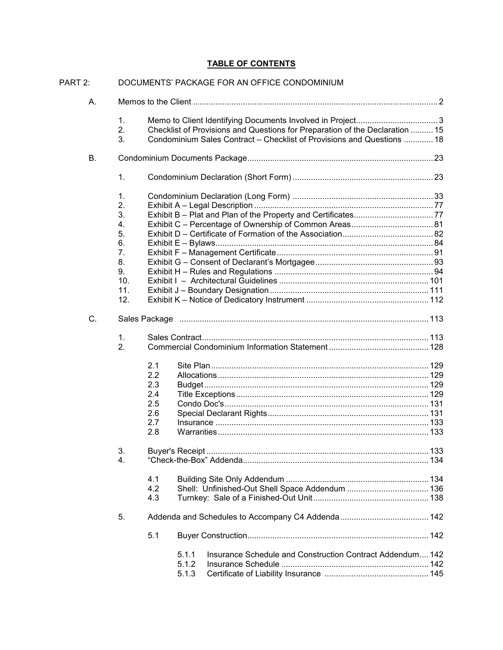## **TABLE OF CONTENTS**

| PART <sub>2:</sub> |     |       | DOCUMENTS' PACKAGE FOR AN OFFICE CONDOMINIUM                                 |  |
|--------------------|-----|-------|------------------------------------------------------------------------------|--|
| А.                 |     |       |                                                                              |  |
|                    | 1.  |       |                                                                              |  |
|                    | 2.  |       | Checklist of Provisions and Questions for Preparation of the Declaration  15 |  |
|                    | 3.  |       | Condominium Sales Contract - Checklist of Provisions and Questions  18       |  |
| В.                 |     |       |                                                                              |  |
|                    | 1.  |       |                                                                              |  |
|                    | 1.  |       |                                                                              |  |
|                    | 2.  |       |                                                                              |  |
|                    | 3.  |       |                                                                              |  |
|                    | 4.  |       |                                                                              |  |
|                    | 5.  |       |                                                                              |  |
|                    | 6.  |       |                                                                              |  |
|                    | 7.  |       |                                                                              |  |
|                    | 8.  |       |                                                                              |  |
|                    | 9.  |       |                                                                              |  |
|                    | 10. |       |                                                                              |  |
|                    | 11. |       |                                                                              |  |
|                    | 12. |       |                                                                              |  |
| C.                 |     |       |                                                                              |  |
|                    | 1.  |       |                                                                              |  |
|                    | 2.  |       |                                                                              |  |
|                    |     | 2.1   |                                                                              |  |
|                    |     | 2.2   |                                                                              |  |
|                    |     | 2.3   |                                                                              |  |
|                    |     | 2.4   |                                                                              |  |
|                    |     | 2.5   |                                                                              |  |
|                    |     | 2.6   |                                                                              |  |
|                    |     | 2.7   |                                                                              |  |
|                    |     | 2.8   |                                                                              |  |
|                    | 3.  |       |                                                                              |  |
|                    | 4.  |       |                                                                              |  |
|                    |     | 4.1   |                                                                              |  |
|                    |     | 4.2   |                                                                              |  |
|                    |     | 4.3   |                                                                              |  |
|                    | 5.  |       |                                                                              |  |
|                    |     | 5.1   |                                                                              |  |
|                    |     | 5.1.1 | Insurance Schedule and Construction Contract Addendum 142                    |  |
|                    |     | 5.1.2 |                                                                              |  |
|                    |     | 5.1.3 |                                                                              |  |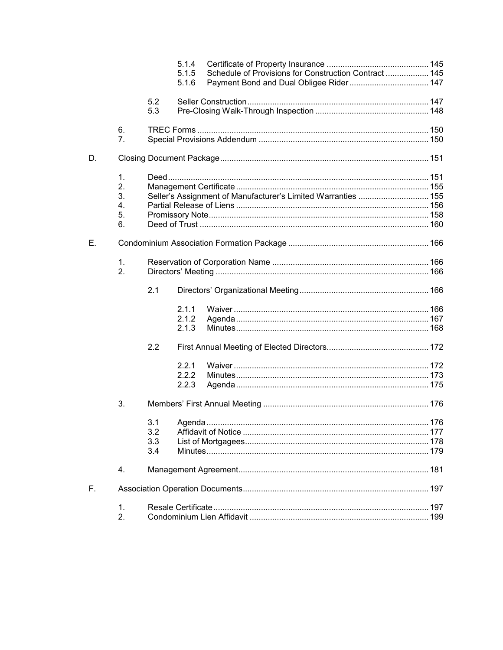|    |    |     | 5.1.4 |                                                               |  |
|----|----|-----|-------|---------------------------------------------------------------|--|
|    |    |     | 5.1.5 | Schedule of Provisions for Construction Contract  145         |  |
|    |    |     | 5.1.6 |                                                               |  |
|    |    | 5.2 |       |                                                               |  |
|    |    | 5.3 |       |                                                               |  |
|    | 6. |     |       |                                                               |  |
|    | 7. |     |       |                                                               |  |
| D. |    |     |       |                                                               |  |
|    | 1. |     |       |                                                               |  |
|    | 2. |     |       |                                                               |  |
|    | 3. |     |       | Seller's Assignment of Manufacturer's Limited Warranties  155 |  |
|    | 4. |     |       |                                                               |  |
|    | 5. |     |       |                                                               |  |
|    | 6. |     |       |                                                               |  |
| Е. |    |     |       |                                                               |  |
|    | 1. |     |       |                                                               |  |
|    | 2. |     |       |                                                               |  |
|    |    | 2.1 |       |                                                               |  |
|    |    |     | 2.1.1 |                                                               |  |
|    |    |     | 2.1.2 |                                                               |  |
|    |    |     | 2.1.3 |                                                               |  |
|    |    | 2.2 |       |                                                               |  |
|    |    |     | 2.2.1 |                                                               |  |
|    |    |     | 2.2.2 |                                                               |  |
|    |    |     | 2.2.3 |                                                               |  |
|    | 3. |     |       |                                                               |  |
|    |    | 3.1 |       |                                                               |  |
|    |    | 3.2 |       |                                                               |  |
|    |    | 3.3 |       |                                                               |  |
|    |    | 3.4 |       |                                                               |  |
|    | 4. |     |       |                                                               |  |
| F. |    |     |       |                                                               |  |
|    | 1. |     |       |                                                               |  |
|    | 2. |     |       |                                                               |  |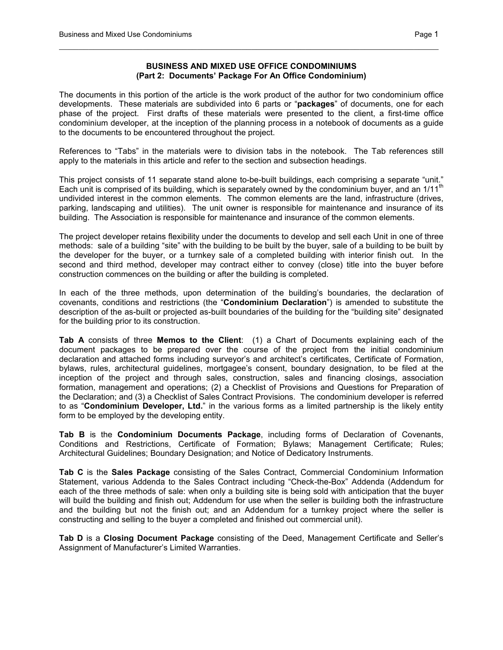#### **BUSINESS AND MIXED USE OFFICE CONDOMINIUMS (Part 2: Documents' Package For An Office Condominium)**

 $\mathcal{L}_\mathcal{L} = \{ \mathcal{L}_\mathcal{L} = \{ \mathcal{L}_\mathcal{L} = \{ \mathcal{L}_\mathcal{L} = \{ \mathcal{L}_\mathcal{L} = \{ \mathcal{L}_\mathcal{L} = \{ \mathcal{L}_\mathcal{L} = \{ \mathcal{L}_\mathcal{L} = \{ \mathcal{L}_\mathcal{L} = \{ \mathcal{L}_\mathcal{L} = \{ \mathcal{L}_\mathcal{L} = \{ \mathcal{L}_\mathcal{L} = \{ \mathcal{L}_\mathcal{L} = \{ \mathcal{L}_\mathcal{L} = \{ \mathcal{L}_\mathcal{$ 

The documents in this portion of the article is the work product of the author for two condominium office developments. These materials are subdivided into 6 parts or "**packages**" of documents, one for each phase of the project. First drafts of these materials were presented to the client, a first-time office condominium developer, at the inception of the planning process in a notebook of documents as a guide to the documents to be encountered throughout the project.

References to "Tabs" in the materials were to division tabs in the notebook. The Tab references still apply to the materials in this article and refer to the section and subsection headings.

This project consists of 11 separate stand alone to-be-built buildings, each comprising a separate "unit." Each unit is comprised of its building, which is separately owned by the condominium buyer, and an 1/11<sup>th</sup> undivided interest in the common elements. The common elements are the land, infrastructure (drives, parking, landscaping and utilities). The unit owner is responsible for maintenance and insurance of its building. The Association is responsible for maintenance and insurance of the common elements.

The project developer retains flexibility under the documents to develop and sell each Unit in one of three methods: sale of a building "site" with the building to be built by the buyer, sale of a building to be built by the developer for the buyer, or a turnkey sale of a completed building with interior finish out. In the second and third method, developer may contract either to convey (close) title into the buyer before construction commences on the building or after the building is completed.

In each of the three methods, upon determination of the building's boundaries, the declaration of covenants, conditions and restrictions (the "**Condominium Declaration**") is amended to substitute the description of the as-built or projected as-built boundaries of the building for the "building site" designated for the building prior to its construction.

**Tab A** consists of three **Memos to the Client**: (1) a Chart of Documents explaining each of the document packages to be prepared over the course of the project from the initial condominium declaration and attached forms including surveyor's and architect's certificates, Certificate of Formation, bylaws, rules, architectural guidelines, mortgagee's consent, boundary designation, to be filed at the inception of the project and through sales, construction, sales and financing closings, association formation, management and operations; (2) a Checklist of Provisions and Questions for Preparation of the Declaration; and (3) a Checklist of Sales Contract Provisions. The condominium developer is referred to as "**Condominium Developer, Ltd.**" in the various forms as a limited partnership is the likely entity form to be employed by the developing entity.

**Tab B** is the **Condominium Documents Package**, including forms of Declaration of Covenants, Conditions and Restrictions, Certificate of Formation; Bylaws; Management Certificate; Rules; Architectural Guidelines; Boundary Designation; and Notice of Dedicatory Instruments.

**Tab C** is the **Sales Package** consisting of the Sales Contract, Commercial Condominium Information Statement, various Addenda to the Sales Contract including "Check-the-Box" Addenda (Addendum for each of the three methods of sale: when only a building site is being sold with anticipation that the buyer will build the building and finish out; Addendum for use when the seller is building both the infrastructure and the building but not the finish out; and an Addendum for a turnkey project where the seller is constructing and selling to the buyer a completed and finished out commercial unit).

**Tab D** is a **Closing Document Package** consisting of the Deed, Management Certificate and Seller's Assignment of Manufacturer's Limited Warranties.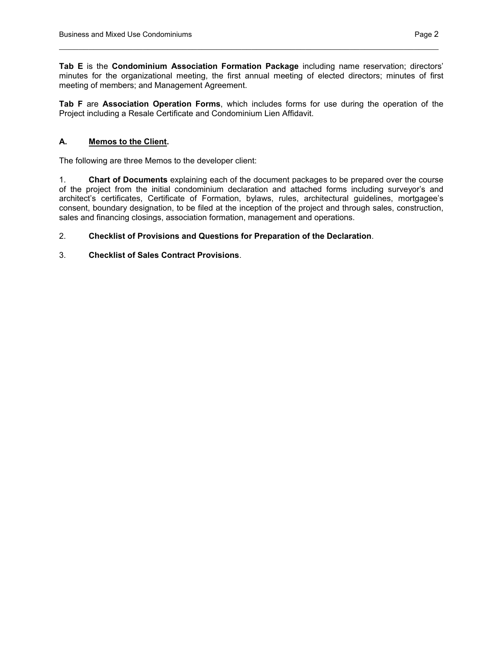**Tab E** is the **Condominium Association Formation Package** including name reservation; directors' minutes for the organizational meeting, the first annual meeting of elected directors; minutes of first meeting of members; and Management Agreement.

 $\mathcal{L}_\mathcal{L} = \{ \mathcal{L}_\mathcal{L} = \{ \mathcal{L}_\mathcal{L} = \{ \mathcal{L}_\mathcal{L} = \{ \mathcal{L}_\mathcal{L} = \{ \mathcal{L}_\mathcal{L} = \{ \mathcal{L}_\mathcal{L} = \{ \mathcal{L}_\mathcal{L} = \{ \mathcal{L}_\mathcal{L} = \{ \mathcal{L}_\mathcal{L} = \{ \mathcal{L}_\mathcal{L} = \{ \mathcal{L}_\mathcal{L} = \{ \mathcal{L}_\mathcal{L} = \{ \mathcal{L}_\mathcal{L} = \{ \mathcal{L}_\mathcal{$ 

**Tab F** are **Association Operation Forms**, which includes forms for use during the operation of the Project including a Resale Certificate and Condominium Lien Affidavit.

### **A. Memos to the Client.**

The following are three Memos to the developer client:

1. **Chart of Documents** explaining each of the document packages to be prepared over the course of the project from the initial condominium declaration and attached forms including surveyor's and architect's certificates, Certificate of Formation, bylaws, rules, architectural guidelines, mortgagee's consent, boundary designation, to be filed at the inception of the project and through sales, construction, sales and financing closings, association formation, management and operations.

### 2. **Checklist of Provisions and Questions for Preparation of the Declaration**.

### 3. **Checklist of Sales Contract Provisions**.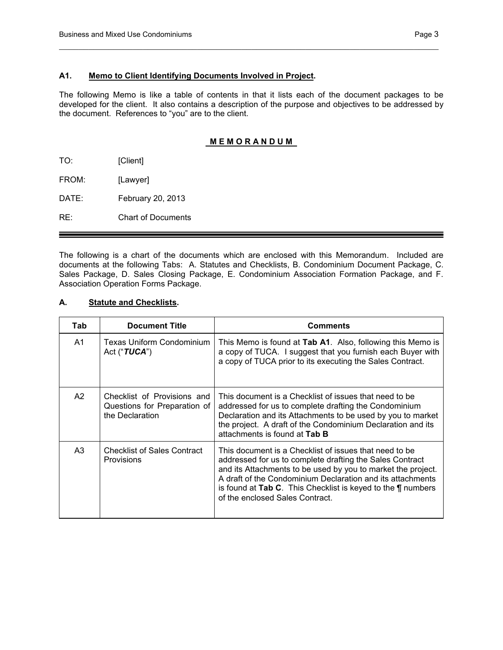#### **A1. Memo to Client Identifying Documents Involved in Project.**

The following Memo is like a table of contents in that it lists each of the document packages to be developed for the client. It also contains a description of the purpose and objectives to be addressed by the document. References to "you" are to the client.

 $\mathcal{L}_\mathcal{L} = \{ \mathcal{L}_\mathcal{L} = \{ \mathcal{L}_\mathcal{L} = \{ \mathcal{L}_\mathcal{L} = \{ \mathcal{L}_\mathcal{L} = \{ \mathcal{L}_\mathcal{L} = \{ \mathcal{L}_\mathcal{L} = \{ \mathcal{L}_\mathcal{L} = \{ \mathcal{L}_\mathcal{L} = \{ \mathcal{L}_\mathcal{L} = \{ \mathcal{L}_\mathcal{L} = \{ \mathcal{L}_\mathcal{L} = \{ \mathcal{L}_\mathcal{L} = \{ \mathcal{L}_\mathcal{L} = \{ \mathcal{L}_\mathcal{$ 

### **M E M O R A N D U M**

TO: [Client]

FROM: [Lawyer]

DATE: February 20, 2013

RE: Chart of Documents

The following is a chart of the documents which are enclosed with this Memorandum. Included are documents at the following Tabs: A. Statutes and Checklists, B. Condominium Document Package, C. Sales Package, D. Sales Closing Package, E. Condominium Association Formation Package, and F. Association Operation Forms Package.

## **A. Statute and Checklists.**

| Tab            | <b>Document Title</b>                                                          | <b>Comments</b>                                                                                                                                                                                                                                                                                                                                    |
|----------------|--------------------------------------------------------------------------------|----------------------------------------------------------------------------------------------------------------------------------------------------------------------------------------------------------------------------------------------------------------------------------------------------------------------------------------------------|
| A <sub>1</sub> | Texas Uniform Condominium<br>Act ("TUCA")                                      | This Memo is found at Tab A1. Also, following this Memo is<br>a copy of TUCA. I suggest that you furnish each Buyer with<br>a copy of TUCA prior to its executing the Sales Contract.                                                                                                                                                              |
| A2             | Checklist of Provisions and<br>Questions for Preparation of<br>the Declaration | This document is a Checklist of issues that need to be<br>addressed for us to complete drafting the Condominium<br>Declaration and its Attachments to be used by you to market<br>the project. A draft of the Condominium Declaration and its<br>attachments is found at Tab B                                                                     |
| A3             | <b>Checklist of Sales Contract</b><br>Provisions                               | This document is a Checklist of issues that need to be<br>addressed for us to complete drafting the Sales Contract<br>and its Attachments to be used by you to market the project.<br>A draft of the Condominium Declaration and its attachments<br>is found at Tab C. This Checklist is keyed to the ¶ numbers<br>of the enclosed Sales Contract. |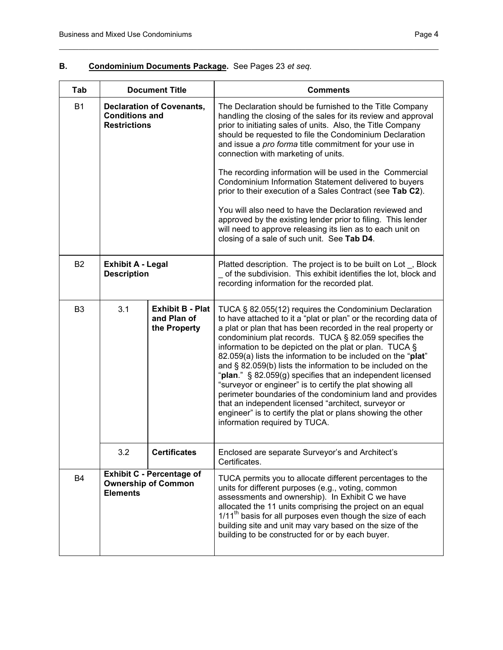| Tab            | <b>Document Title</b>                                                             |                                                        | <b>Comments</b>                                                                                                                                                                                                                                                                                                                                                                                                                                                                                                                                                                                                                                                                                                                                                                               |
|----------------|-----------------------------------------------------------------------------------|--------------------------------------------------------|-----------------------------------------------------------------------------------------------------------------------------------------------------------------------------------------------------------------------------------------------------------------------------------------------------------------------------------------------------------------------------------------------------------------------------------------------------------------------------------------------------------------------------------------------------------------------------------------------------------------------------------------------------------------------------------------------------------------------------------------------------------------------------------------------|
| <b>B1</b>      | <b>Declaration of Covenants,</b><br><b>Conditions and</b><br><b>Restrictions</b>  |                                                        | The Declaration should be furnished to the Title Company<br>handling the closing of the sales for its review and approval<br>prior to initiating sales of units. Also, the Title Company<br>should be requested to file the Condominium Declaration<br>and issue a pro forma title commitment for your use in<br>connection with marketing of units.<br>The recording information will be used in the Commercial<br>Condominium Information Statement delivered to buyers<br>prior to their execution of a Sales Contract (see Tab C2).<br>You will also need to have the Declaration reviewed and<br>approved by the existing lender prior to filing. This lender                                                                                                                            |
|                |                                                                                   |                                                        | will need to approve releasing its lien as to each unit on<br>closing of a sale of such unit. See Tab D4.                                                                                                                                                                                                                                                                                                                                                                                                                                                                                                                                                                                                                                                                                     |
| <b>B2</b>      | <b>Exhibit A - Legal</b><br><b>Description</b>                                    |                                                        | Platted description. The project is to be built on Lot _, Block<br>_ of the subdivision. This exhibit identifies the lot, block and<br>recording information for the recorded plat.                                                                                                                                                                                                                                                                                                                                                                                                                                                                                                                                                                                                           |
| B <sub>3</sub> | 3.1                                                                               | <b>Exhibit B - Plat</b><br>and Plan of<br>the Property | TUCA § 82.055(12) requires the Condominium Declaration<br>to have attached to it a "plat or plan" or the recording data of<br>a plat or plan that has been recorded in the real property or<br>condominium plat records. TUCA § 82.059 specifies the<br>information to be depicted on the plat or plan. TUCA §<br>82.059(a) lists the information to be included on the "plat"<br>and § 82.059(b) lists the information to be included on the<br>"plan." § 82.059(g) specifies that an independent licensed<br>"surveyor or engineer" is to certify the plat showing all<br>perimeter boundaries of the condominium land and provides<br>that an independent licensed "architect, surveyor or<br>engineer" is to certify the plat or plans showing the other<br>information required by TUCA. |
|                | 3.2                                                                               | <b>Certificates</b>                                    | Enclosed are separate Surveyor's and Architect's<br>Certificates.                                                                                                                                                                                                                                                                                                                                                                                                                                                                                                                                                                                                                                                                                                                             |
| B4             | <b>Exhibit C - Percentage of</b><br><b>Ownership of Common</b><br><b>Elements</b> |                                                        | TUCA permits you to allocate different percentages to the<br>units for different purposes (e.g., voting, common<br>assessments and ownership). In Exhibit C we have<br>allocated the 11 units comprising the project on an equal<br>$1/11th$ basis for all purposes even though the size of each<br>building site and unit may vary based on the size of the<br>building to be constructed for or by each buyer.                                                                                                                                                                                                                                                                                                                                                                              |

# **B. Condominium Documents Package.** See Pages 23 *et seq.*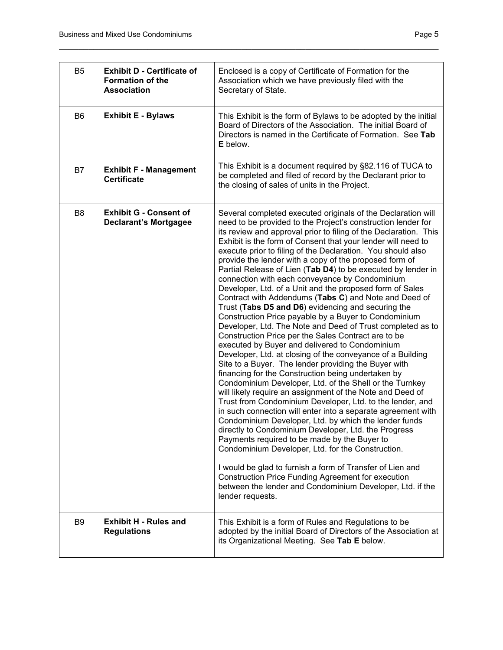| B <sub>5</sub> | <b>Exhibit D - Certificate of</b><br><b>Formation of the</b><br><b>Association</b> | Enclosed is a copy of Certificate of Formation for the<br>Association which we have previously filed with the<br>Secretary of State.                                                                                                                                                                                                                                                                                                                                                                                                                                                                                                                                                                                                                                                                                                                                                                                                                                                                                                                                                                                                                                                                                                                                                                                                                                                                                                                                                                                                                                                                                                                                                                                                                                                    |
|----------------|------------------------------------------------------------------------------------|-----------------------------------------------------------------------------------------------------------------------------------------------------------------------------------------------------------------------------------------------------------------------------------------------------------------------------------------------------------------------------------------------------------------------------------------------------------------------------------------------------------------------------------------------------------------------------------------------------------------------------------------------------------------------------------------------------------------------------------------------------------------------------------------------------------------------------------------------------------------------------------------------------------------------------------------------------------------------------------------------------------------------------------------------------------------------------------------------------------------------------------------------------------------------------------------------------------------------------------------------------------------------------------------------------------------------------------------------------------------------------------------------------------------------------------------------------------------------------------------------------------------------------------------------------------------------------------------------------------------------------------------------------------------------------------------------------------------------------------------------------------------------------------------|
| B <sub>6</sub> | <b>Exhibit E - Bylaws</b>                                                          | This Exhibit is the form of Bylaws to be adopted by the initial<br>Board of Directors of the Association. The initial Board of<br>Directors is named in the Certificate of Formation. See Tab<br>E below.                                                                                                                                                                                                                                                                                                                                                                                                                                                                                                                                                                                                                                                                                                                                                                                                                                                                                                                                                                                                                                                                                                                                                                                                                                                                                                                                                                                                                                                                                                                                                                               |
| B7             | <b>Exhibit F - Management</b><br><b>Certificate</b>                                | This Exhibit is a document required by §82.116 of TUCA to<br>be completed and filed of record by the Declarant prior to<br>the closing of sales of units in the Project.                                                                                                                                                                                                                                                                                                                                                                                                                                                                                                                                                                                                                                                                                                                                                                                                                                                                                                                                                                                                                                                                                                                                                                                                                                                                                                                                                                                                                                                                                                                                                                                                                |
| B <sub>8</sub> | <b>Exhibit G - Consent of</b><br><b>Declarant's Mortgagee</b>                      | Several completed executed originals of the Declaration will<br>need to be provided to the Project's construction lender for<br>its review and approval prior to filing of the Declaration. This<br>Exhibit is the form of Consent that your lender will need to<br>execute prior to filing of the Declaration. You should also<br>provide the lender with a copy of the proposed form of<br>Partial Release of Lien (Tab D4) to be executed by lender in<br>connection with each conveyance by Condominium<br>Developer, Ltd. of a Unit and the proposed form of Sales<br>Contract with Addendums (Tabs C) and Note and Deed of<br>Trust (Tabs D5 and D6) evidencing and securing the<br>Construction Price payable by a Buyer to Condominium<br>Developer, Ltd. The Note and Deed of Trust completed as to<br>Construction Price per the Sales Contract are to be<br>executed by Buyer and delivered to Condominium<br>Developer, Ltd. at closing of the conveyance of a Building<br>Site to a Buyer. The lender providing the Buyer with<br>financing for the Construction being undertaken by<br>Condominium Developer, Ltd. of the Shell or the Turnkey<br>will likely require an assignment of the Note and Deed of<br>Trust from Condominium Developer, Ltd. to the lender, and<br>in such connection will enter into a separate agreement with<br>Condominium Developer, Ltd. by which the lender funds<br>directly to Condominium Developer, Ltd. the Progress<br>Payments required to be made by the Buyer to<br>Condominium Developer, Ltd. for the Construction.<br>I would be glad to furnish a form of Transfer of Lien and<br><b>Construction Price Funding Agreement for execution</b><br>between the lender and Condominium Developer, Ltd. if the<br>lender requests. |
| B9             | <b>Exhibit H - Rules and</b><br><b>Regulations</b>                                 | This Exhibit is a form of Rules and Regulations to be<br>adopted by the initial Board of Directors of the Association at<br>its Organizational Meeting. See Tab E below.                                                                                                                                                                                                                                                                                                                                                                                                                                                                                                                                                                                                                                                                                                                                                                                                                                                                                                                                                                                                                                                                                                                                                                                                                                                                                                                                                                                                                                                                                                                                                                                                                |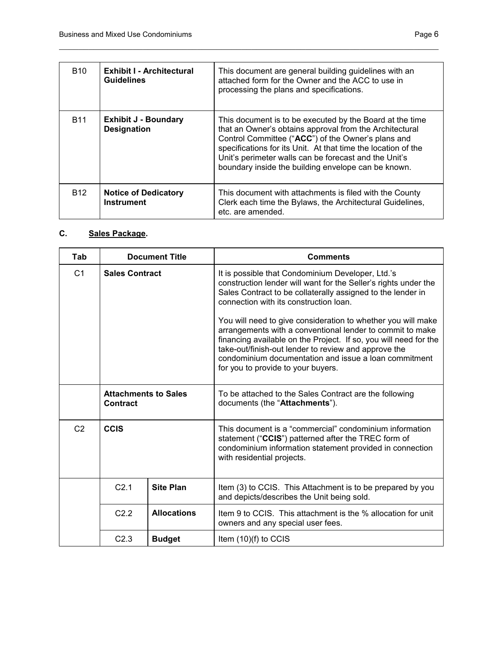| B <sub>10</sub> | <b>Exhibit I - Architectural</b><br><b>Guidelines</b> | This document are general building guidelines with an<br>attached form for the Owner and the ACC to use in<br>processing the plans and specifications.                                                                                                                                                                                                     |
|-----------------|-------------------------------------------------------|------------------------------------------------------------------------------------------------------------------------------------------------------------------------------------------------------------------------------------------------------------------------------------------------------------------------------------------------------------|
| <b>B11</b>      | <b>Exhibit J - Boundary</b><br><b>Designation</b>     | This document is to be executed by the Board at the time<br>that an Owner's obtains approval from the Architectural<br>Control Committee ("ACC") of the Owner's plans and<br>specifications for its Unit. At that time the location of the<br>Unit's perimeter walls can be forecast and the Unit's<br>boundary inside the building envelope can be known. |
| B <sub>12</sub> | <b>Notice of Dedicatory</b><br>Instrument             | This document with attachments is filed with the County<br>Clerk each time the Bylaws, the Architectural Guidelines,<br>etc. are amended.                                                                                                                                                                                                                  |

# **C. Sales Package.**

| Tab            | <b>Document Title</b>                          |                    | <b>Comments</b>                                                                                                                                                                                                                                                                                                                                                                                                                                                                                                                                                                       |
|----------------|------------------------------------------------|--------------------|---------------------------------------------------------------------------------------------------------------------------------------------------------------------------------------------------------------------------------------------------------------------------------------------------------------------------------------------------------------------------------------------------------------------------------------------------------------------------------------------------------------------------------------------------------------------------------------|
| C <sub>1</sub> | <b>Sales Contract</b>                          |                    | It is possible that Condominium Developer, Ltd.'s<br>construction lender will want for the Seller's rights under the<br>Sales Contract to be collaterally assigned to the lender in<br>connection with its construction loan.<br>You will need to give consideration to whether you will make<br>arrangements with a conventional lender to commit to make<br>financing available on the Project. If so, you will need for the<br>take-out/finish-out lender to review and approve the<br>condominium documentation and issue a loan commitment<br>for you to provide to your buyers. |
|                | <b>Attachments to Sales</b><br><b>Contract</b> |                    | To be attached to the Sales Contract are the following<br>documents (the "Attachments").                                                                                                                                                                                                                                                                                                                                                                                                                                                                                              |
| C <sub>2</sub> | CCIS                                           |                    | This document is a "commercial" condominium information<br>statement ("CCIS") patterned after the TREC form of<br>condominium information statement provided in connection<br>with residential projects.                                                                                                                                                                                                                                                                                                                                                                              |
|                | C <sub>2.1</sub>                               | <b>Site Plan</b>   | Item (3) to CCIS. This Attachment is to be prepared by you<br>and depicts/describes the Unit being sold.                                                                                                                                                                                                                                                                                                                                                                                                                                                                              |
|                | C2.2                                           | <b>Allocations</b> | Item 9 to CCIS. This attachment is the % allocation for unit<br>owners and any special user fees.                                                                                                                                                                                                                                                                                                                                                                                                                                                                                     |
|                | C2.3                                           | <b>Budget</b>      | Item (10)(f) to CCIS                                                                                                                                                                                                                                                                                                                                                                                                                                                                                                                                                                  |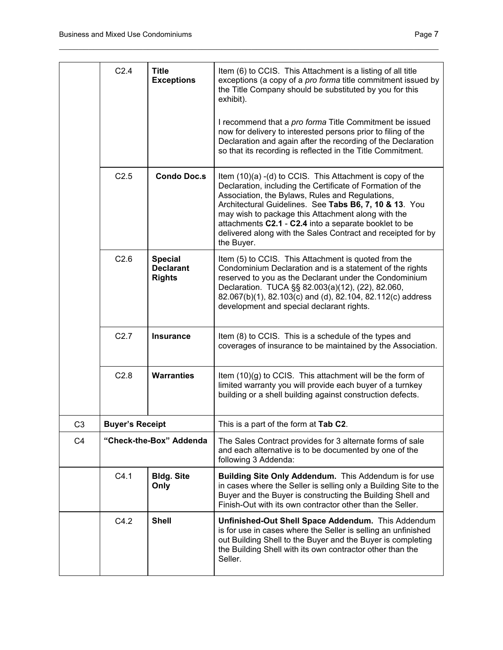|                | C <sub>2.4</sub>        | <b>Title</b><br><b>Exceptions</b>                   | Item (6) to CCIS. This Attachment is a listing of all title<br>exceptions (a copy of a pro forma title commitment issued by<br>the Title Company should be substituted by you for this<br>exhibit).                                                                                                                                                                                                                               |
|----------------|-------------------------|-----------------------------------------------------|-----------------------------------------------------------------------------------------------------------------------------------------------------------------------------------------------------------------------------------------------------------------------------------------------------------------------------------------------------------------------------------------------------------------------------------|
|                |                         |                                                     | I recommend that a pro forma Title Commitment be issued<br>now for delivery to interested persons prior to filing of the<br>Declaration and again after the recording of the Declaration<br>so that its recording is reflected in the Title Commitment.                                                                                                                                                                           |
|                | C2.5                    | <b>Condo Doc.s</b>                                  | Item (10)(a) -(d) to CCIS. This Attachment is copy of the<br>Declaration, including the Certificate of Formation of the<br>Association, the Bylaws, Rules and Regulations,<br>Architectural Guidelines. See Tabs B6, 7, 10 & 13. You<br>may wish to package this Attachment along with the<br>attachments C2.1 - C2.4 into a separate booklet to be<br>delivered along with the Sales Contract and receipted for by<br>the Buyer. |
|                | C2.6                    | <b>Special</b><br><b>Declarant</b><br><b>Rights</b> | Item (5) to CCIS. This Attachment is quoted from the<br>Condominium Declaration and is a statement of the rights<br>reserved to you as the Declarant under the Condominium<br>Declaration. TUCA §§ 82.003(a)(12), (22), 82.060,<br>82.067(b)(1), 82.103(c) and (d), 82.104, 82.112(c) address<br>development and special declarant rights.                                                                                        |
|                | C2.7                    | <b>Insurance</b>                                    | Item (8) to CCIS. This is a schedule of the types and<br>coverages of insurance to be maintained by the Association.                                                                                                                                                                                                                                                                                                              |
|                | C2.8                    | <b>Warranties</b>                                   | Item (10)(g) to CCIS. This attachment will be the form of<br>limited warranty you will provide each buyer of a turnkey<br>building or a shell building against construction defects.                                                                                                                                                                                                                                              |
| C <sub>3</sub> | <b>Buyer's Receipt</b>  |                                                     | This is a part of the form at Tab C2.                                                                                                                                                                                                                                                                                                                                                                                             |
| C <sub>4</sub> | "Check-the-Box" Addenda |                                                     | The Sales Contract provides for 3 alternate forms of sale<br>and each alternative is to be documented by one of the<br>following 3 Addenda:                                                                                                                                                                                                                                                                                       |
|                | C4.1                    | <b>Bldg. Site</b><br>Only                           | Building Site Only Addendum. This Addendum is for use<br>in cases where the Seller is selling only a Building Site to the<br>Buyer and the Buyer is constructing the Building Shell and<br>Finish-Out with its own contractor other than the Seller.                                                                                                                                                                              |
|                | C4.2                    | <b>Shell</b>                                        | Unfinished-Out Shell Space Addendum. This Addendum<br>is for use in cases where the Seller is selling an unfinished<br>out Building Shell to the Buyer and the Buyer is completing<br>the Building Shell with its own contractor other than the<br>Seller.                                                                                                                                                                        |
|                |                         |                                                     |                                                                                                                                                                                                                                                                                                                                                                                                                                   |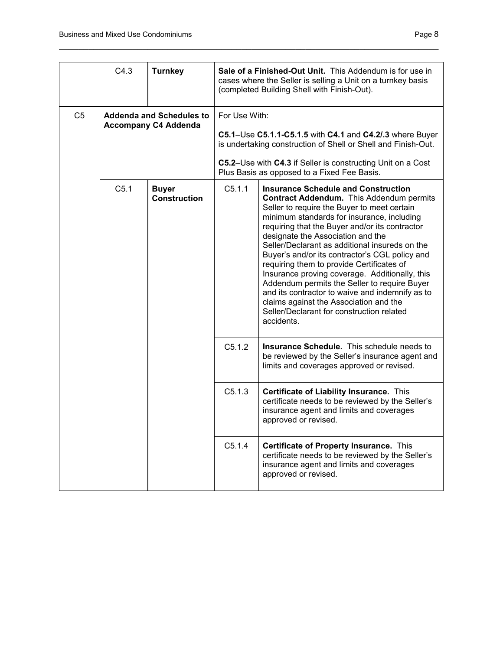|                | C4.3                                                           | <b>Turnkey</b>                      |               | <b>Sale of a Finished-Out Unit.</b> This Addendum is for use in<br>cases where the Seller is selling a Unit on a turnkey basis<br>(completed Building Shell with Finish-Out).                                                                                                                                                                                                                                                                                                                                                                                                                                                                                                         |
|----------------|----------------------------------------------------------------|-------------------------------------|---------------|---------------------------------------------------------------------------------------------------------------------------------------------------------------------------------------------------------------------------------------------------------------------------------------------------------------------------------------------------------------------------------------------------------------------------------------------------------------------------------------------------------------------------------------------------------------------------------------------------------------------------------------------------------------------------------------|
| C <sub>5</sub> | <b>Addenda and Schedules to</b><br><b>Accompany C4 Addenda</b> |                                     | For Use With: | C5.1-Use C5.1.1-C5.1.5 with C4.1 and C4.2/.3 where Buyer<br>is undertaking construction of Shell or Shell and Finish-Out.<br>C5.2-Use with C4.3 if Seller is constructing Unit on a Cost<br>Plus Basis as opposed to a Fixed Fee Basis.                                                                                                                                                                                                                                                                                                                                                                                                                                               |
|                | C <sub>5.1</sub>                                               | <b>Buyer</b><br><b>Construction</b> | C5.1.1        | <b>Insurance Schedule and Construction</b><br>Contract Addendum. This Addendum permits<br>Seller to require the Buyer to meet certain<br>minimum standards for insurance, including<br>requiring that the Buyer and/or its contractor<br>designate the Association and the<br>Seller/Declarant as additional insureds on the<br>Buyer's and/or its contractor's CGL policy and<br>requiring them to provide Certificates of<br>Insurance proving coverage. Additionally, this<br>Addendum permits the Seller to require Buyer<br>and its contractor to waive and indemnify as to<br>claims against the Association and the<br>Seller/Declarant for construction related<br>accidents. |
|                |                                                                |                                     | C5.1.2        | <b>Insurance Schedule.</b> This schedule needs to<br>be reviewed by the Seller's insurance agent and<br>limits and coverages approved or revised.                                                                                                                                                                                                                                                                                                                                                                                                                                                                                                                                     |
|                |                                                                |                                     | C5.1.3        | Certificate of Liability Insurance. This<br>certificate needs to be reviewed by the Seller's<br>insurance agent and limits and coverages<br>approved or revised.                                                                                                                                                                                                                                                                                                                                                                                                                                                                                                                      |
|                |                                                                |                                     | C5.1.4        | Certificate of Property Insurance. This<br>certificate needs to be reviewed by the Seller's<br>insurance agent and limits and coverages<br>approved or revised.                                                                                                                                                                                                                                                                                                                                                                                                                                                                                                                       |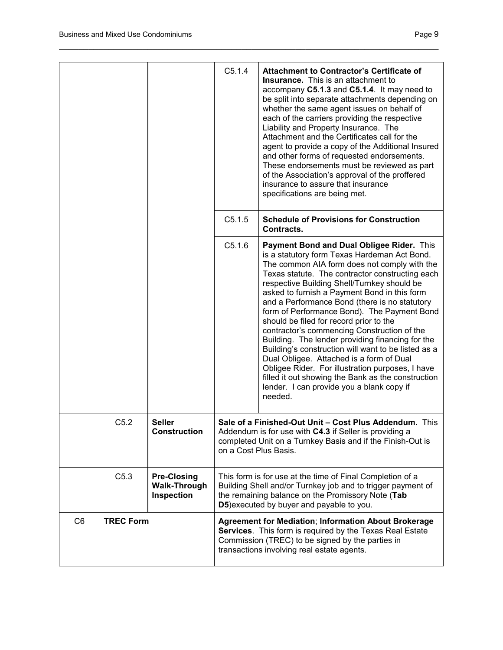|                |                  |                                                         |                       | <b>Insurance.</b> This is an attachment to<br>accompany C5.1.3 and C5.1.4. It may need to<br>be split into separate attachments depending on<br>whether the same agent issues on behalf of<br>each of the carriers providing the respective<br>Liability and Property Insurance. The<br>Attachment and the Certificates call for the<br>agent to provide a copy of the Additional Insured<br>and other forms of requested endorsements.<br>These endorsements must be reviewed as part<br>of the Association's approval of the proffered<br>insurance to assure that insurance<br>specifications are being met.                                                                                                                                                                                                |
|----------------|------------------|---------------------------------------------------------|-----------------------|----------------------------------------------------------------------------------------------------------------------------------------------------------------------------------------------------------------------------------------------------------------------------------------------------------------------------------------------------------------------------------------------------------------------------------------------------------------------------------------------------------------------------------------------------------------------------------------------------------------------------------------------------------------------------------------------------------------------------------------------------------------------------------------------------------------|
|                |                  |                                                         | C5.1.5                | <b>Schedule of Provisions for Construction</b><br>Contracts.                                                                                                                                                                                                                                                                                                                                                                                                                                                                                                                                                                                                                                                                                                                                                   |
|                |                  |                                                         | C5.1.6                | Payment Bond and Dual Obligee Rider. This<br>is a statutory form Texas Hardeman Act Bond.<br>The common AIA form does not comply with the<br>Texas statute. The contractor constructing each<br>respective Building Shell/Turnkey should be<br>asked to furnish a Payment Bond in this form<br>and a Performance Bond (there is no statutory<br>form of Performance Bond). The Payment Bond<br>should be filed for record prior to the<br>contractor's commencing Construction of the<br>Building. The lender providing financing for the<br>Building's construction will want to be listed as a<br>Dual Obligee. Attached is a form of Dual<br>Obligee Rider. For illustration purposes, I have<br>filled it out showing the Bank as the construction<br>lender. I can provide you a blank copy if<br>needed. |
|                | C5.2             | <b>Seller</b><br><b>Construction</b>                    | on a Cost Plus Basis. | Sale of a Finished-Out Unit - Cost Plus Addendum. This<br>Addendum is for use with C4.3 if Seller is providing a<br>completed Unit on a Turnkey Basis and if the Finish-Out is                                                                                                                                                                                                                                                                                                                                                                                                                                                                                                                                                                                                                                 |
|                | C5.3             | <b>Pre-Closing</b><br><b>Walk-Through</b><br>Inspection |                       | This form is for use at the time of Final Completion of a<br>Building Shell and/or Turnkey job and to trigger payment of<br>the remaining balance on the Promissory Note (Tab<br>D5) executed by buyer and payable to you.                                                                                                                                                                                                                                                                                                                                                                                                                                                                                                                                                                                     |
| C <sub>6</sub> | <b>TREC Form</b> |                                                         |                       | <b>Agreement for Mediation; Information About Brokerage</b><br>Services. This form is required by the Texas Real Estate<br>Commission (TREC) to be signed by the parties in<br>transactions involving real estate agents.                                                                                                                                                                                                                                                                                                                                                                                                                                                                                                                                                                                      |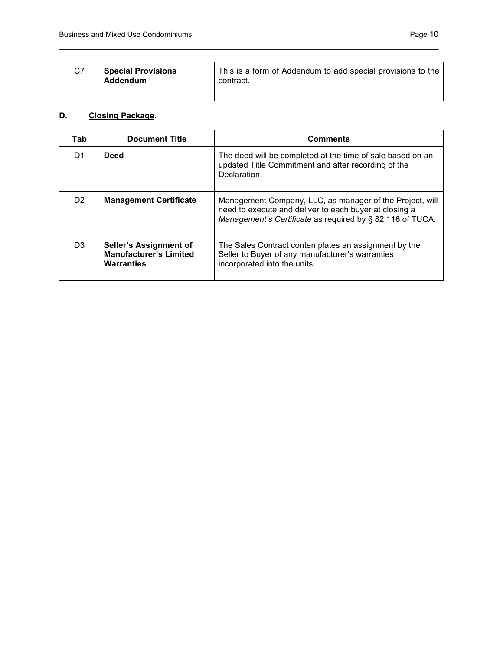| <b>Special Provisions</b><br>Addendum | This is a form of Addendum to add special provisions to the<br>contract. |
|---------------------------------------|--------------------------------------------------------------------------|
|                                       |                                                                          |

# **D. Closing Package.**

| Tab            | <b>Document Title</b>                                                               | <b>Comments</b>                                                                                                                                                                 |
|----------------|-------------------------------------------------------------------------------------|---------------------------------------------------------------------------------------------------------------------------------------------------------------------------------|
| D1             | <b>Deed</b>                                                                         | The deed will be completed at the time of sale based on an<br>updated Title Commitment and after recording of the<br>Declaration.                                               |
| D <sub>2</sub> | <b>Management Certificate</b>                                                       | Management Company, LLC, as manager of the Project, will<br>need to execute and deliver to each buyer at closing a<br>Management's Certificate as required by § 82.116 of TUCA. |
| D <sub>3</sub> | <b>Seller's Assignment of</b><br><b>Manufacturer's Limited</b><br><b>Warranties</b> | The Sales Contract contemplates an assignment by the<br>Seller to Buyer of any manufacturer's warranties<br>incorporated into the units.                                        |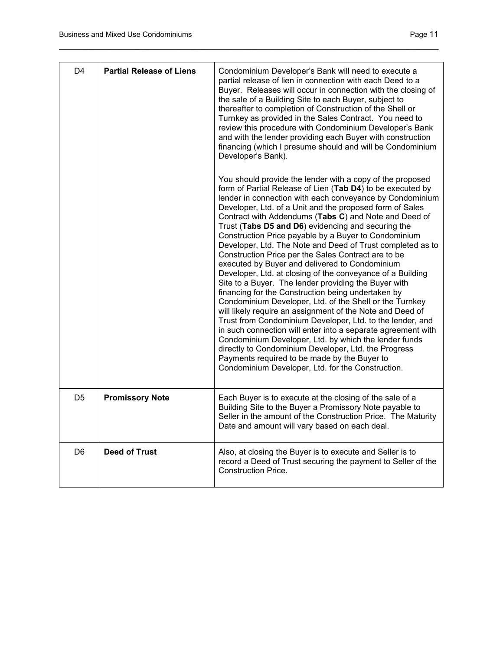| D4 | <b>Partial Release of Liens</b> | Condominium Developer's Bank will need to execute a<br>partial release of lien in connection with each Deed to a<br>Buyer. Releases will occur in connection with the closing of<br>the sale of a Building Site to each Buyer, subject to<br>thereafter to completion of Construction of the Shell or<br>Turnkey as provided in the Sales Contract. You need to<br>review this procedure with Condominium Developer's Bank<br>and with the lender providing each Buyer with construction<br>financing (which I presume should and will be Condominium<br>Developer's Bank).                                                                                                                                                                                                                                                                                                                                                                                                                                                                                                                                                                                                                                                                          |
|----|---------------------------------|------------------------------------------------------------------------------------------------------------------------------------------------------------------------------------------------------------------------------------------------------------------------------------------------------------------------------------------------------------------------------------------------------------------------------------------------------------------------------------------------------------------------------------------------------------------------------------------------------------------------------------------------------------------------------------------------------------------------------------------------------------------------------------------------------------------------------------------------------------------------------------------------------------------------------------------------------------------------------------------------------------------------------------------------------------------------------------------------------------------------------------------------------------------------------------------------------------------------------------------------------|
|    |                                 | You should provide the lender with a copy of the proposed<br>form of Partial Release of Lien (Tab D4) to be executed by<br>lender in connection with each conveyance by Condominium<br>Developer, Ltd. of a Unit and the proposed form of Sales<br>Contract with Addendums (Tabs C) and Note and Deed of<br>Trust (Tabs D5 and D6) evidencing and securing the<br>Construction Price payable by a Buyer to Condominium<br>Developer, Ltd. The Note and Deed of Trust completed as to<br>Construction Price per the Sales Contract are to be<br>executed by Buyer and delivered to Condominium<br>Developer, Ltd. at closing of the conveyance of a Building<br>Site to a Buyer. The lender providing the Buyer with<br>financing for the Construction being undertaken by<br>Condominium Developer, Ltd. of the Shell or the Turnkey<br>will likely require an assignment of the Note and Deed of<br>Trust from Condominium Developer, Ltd. to the lender, and<br>in such connection will enter into a separate agreement with<br>Condominium Developer, Ltd. by which the lender funds<br>directly to Condominium Developer, Ltd. the Progress<br>Payments required to be made by the Buyer to<br>Condominium Developer, Ltd. for the Construction. |
| D5 | <b>Promissory Note</b>          | Each Buyer is to execute at the closing of the sale of a<br>Building Site to the Buyer a Promissory Note payable to<br>Seller in the amount of the Construction Price. The Maturity<br>Date and amount will vary based on each deal.                                                                                                                                                                                                                                                                                                                                                                                                                                                                                                                                                                                                                                                                                                                                                                                                                                                                                                                                                                                                                 |

D6 **Deed of Trust Also, at closing the Buyer is to execute and Seller is to Definition** 

Construction Price.

record a Deed of Trust securing the payment to Seller of the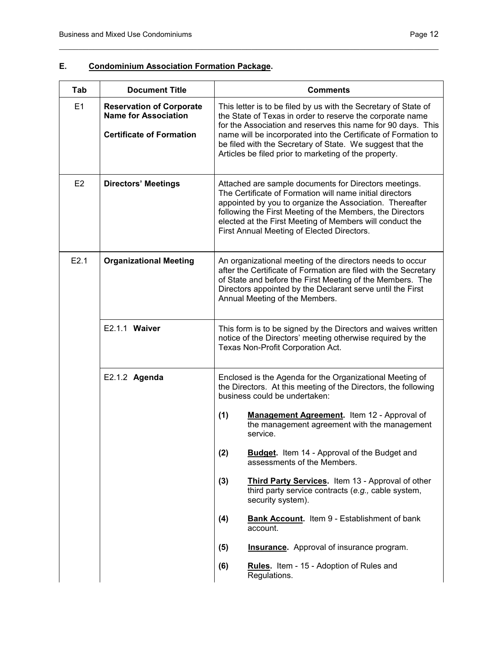# **E. Condominium Association Formation Package.**

| Tab            | <b>Document Title</b>                                                                             | <b>Comments</b>                                                                                                                                                                                                                                                                                                                                                                                                                                                                                                                                                                                                                                                                                                    |
|----------------|---------------------------------------------------------------------------------------------------|--------------------------------------------------------------------------------------------------------------------------------------------------------------------------------------------------------------------------------------------------------------------------------------------------------------------------------------------------------------------------------------------------------------------------------------------------------------------------------------------------------------------------------------------------------------------------------------------------------------------------------------------------------------------------------------------------------------------|
| E1             | <b>Reservation of Corporate</b><br><b>Name for Association</b><br><b>Certificate of Formation</b> | This letter is to be filed by us with the Secretary of State of<br>the State of Texas in order to reserve the corporate name<br>for the Association and reserves this name for 90 days. This<br>name will be incorporated into the Certificate of Formation to<br>be filed with the Secretary of State. We suggest that the<br>Articles be filed prior to marketing of the property.                                                                                                                                                                                                                                                                                                                               |
| E <sub>2</sub> | <b>Directors' Meetings</b>                                                                        | Attached are sample documents for Directors meetings.<br>The Certificate of Formation will name initial directors<br>appointed by you to organize the Association. Thereafter<br>following the First Meeting of the Members, the Directors<br>elected at the First Meeting of Members will conduct the<br>First Annual Meeting of Elected Directors.                                                                                                                                                                                                                                                                                                                                                               |
| E2.1           | <b>Organizational Meeting</b>                                                                     | An organizational meeting of the directors needs to occur<br>after the Certificate of Formation are filed with the Secretary<br>of State and before the First Meeting of the Members. The<br>Directors appointed by the Declarant serve until the First<br>Annual Meeting of the Members.                                                                                                                                                                                                                                                                                                                                                                                                                          |
|                | E2.1.1 Waiver                                                                                     | This form is to be signed by the Directors and waives written<br>notice of the Directors' meeting otherwise required by the<br>Texas Non-Profit Corporation Act.                                                                                                                                                                                                                                                                                                                                                                                                                                                                                                                                                   |
|                | E2.1.2 Agenda                                                                                     | Enclosed is the Agenda for the Organizational Meeting of<br>the Directors. At this meeting of the Directors, the following<br>business could be undertaken:<br>(1)<br>Management Agreement. Item 12 - Approval of<br>the management agreement with the management<br>service.<br><b>Budget.</b> Item 14 - Approval of the Budget and<br>(2)<br>assessments of the Members.<br>Third Party Services. Item 13 - Approval of other<br>(3)<br>third party service contracts (e.g., cable system,<br>security system).<br>Bank Account. Item 9 - Establishment of bank<br>(4)<br>account.<br>(5)<br><b>Insurance.</b> Approval of insurance program.<br>(6)<br>Rules. Item - 15 - Adoption of Rules and<br>Regulations. |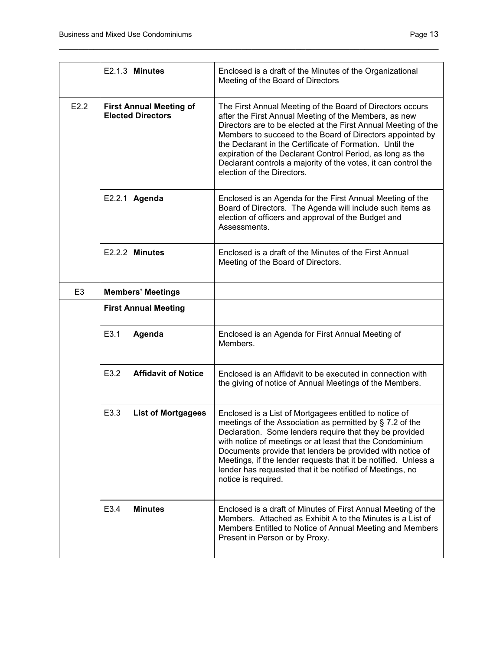|                | E2.1.3 Minutes                                             | Enclosed is a draft of the Minutes of the Organizational<br>Meeting of the Board of Directors                                                                                                                                                                                                                                                                                                                                                                               |
|----------------|------------------------------------------------------------|-----------------------------------------------------------------------------------------------------------------------------------------------------------------------------------------------------------------------------------------------------------------------------------------------------------------------------------------------------------------------------------------------------------------------------------------------------------------------------|
| E2.2           | <b>First Annual Meeting of</b><br><b>Elected Directors</b> | The First Annual Meeting of the Board of Directors occurs<br>after the First Annual Meeting of the Members, as new<br>Directors are to be elected at the First Annual Meeting of the<br>Members to succeed to the Board of Directors appointed by<br>the Declarant in the Certificate of Formation. Until the<br>expiration of the Declarant Control Period, as long as the<br>Declarant controls a majority of the votes, it can control the<br>election of the Directors. |
|                | E2.2.1 Agenda                                              | Enclosed is an Agenda for the First Annual Meeting of the<br>Board of Directors. The Agenda will include such items as<br>election of officers and approval of the Budget and<br>Assessments.                                                                                                                                                                                                                                                                               |
|                | E2.2.2 Minutes                                             | Enclosed is a draft of the Minutes of the First Annual<br>Meeting of the Board of Directors.                                                                                                                                                                                                                                                                                                                                                                                |
| E <sub>3</sub> | <b>Members' Meetings</b>                                   |                                                                                                                                                                                                                                                                                                                                                                                                                                                                             |
|                | <b>First Annual Meeting</b>                                |                                                                                                                                                                                                                                                                                                                                                                                                                                                                             |
|                | E3.1<br>Agenda                                             | Enclosed is an Agenda for First Annual Meeting of<br>Members.                                                                                                                                                                                                                                                                                                                                                                                                               |
|                | E3.2<br><b>Affidavit of Notice</b>                         | Enclosed is an Affidavit to be executed in connection with<br>the giving of notice of Annual Meetings of the Members.                                                                                                                                                                                                                                                                                                                                                       |
|                | E3.3<br><b>List of Mortgagees</b>                          | Enclosed is a List of Mortgagees entitled to notice of<br>meetings of the Association as permitted by § 7.2 of the<br>Declaration. Some lenders require that they be provided<br>with notice of meetings or at least that the Condominium<br>Documents provide that lenders be provided with notice of<br>Meetings, if the lender requests that it be notified. Unless a<br>lender has requested that it be notified of Meetings, no<br>notice is required.                 |
|                | E3.4<br><b>Minutes</b>                                     | Enclosed is a draft of Minutes of First Annual Meeting of the<br>Members. Attached as Exhibit A to the Minutes is a List of<br>Members Entitled to Notice of Annual Meeting and Members<br>Present in Person or by Proxy.                                                                                                                                                                                                                                                   |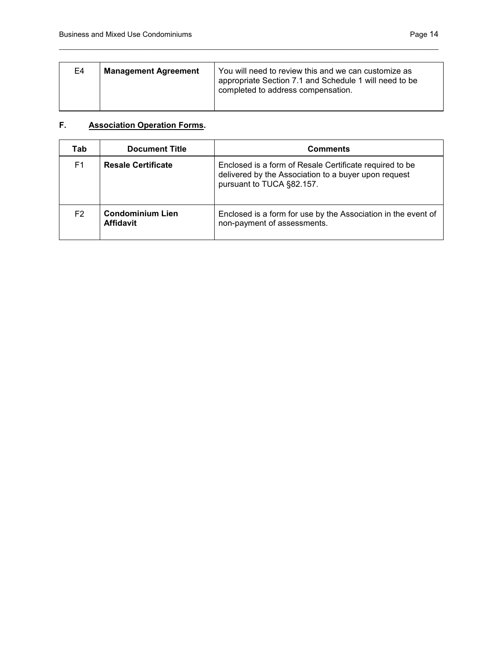| completed to address compensation. | F4 | <b>Management Agreement</b> | You will need to review this and we can customize as<br>appropriate Section 7.1 and Schedule 1 will need to be |
|------------------------------------|----|-----------------------------|----------------------------------------------------------------------------------------------------------------|
|------------------------------------|----|-----------------------------|----------------------------------------------------------------------------------------------------------------|

# **F. Association Operation Forms.**

| Tab | <b>Document Title</b>                       | <b>Comments</b>                                                                                                                              |
|-----|---------------------------------------------|----------------------------------------------------------------------------------------------------------------------------------------------|
| F1  | <b>Resale Certificate</b>                   | Enclosed is a form of Resale Certificate required to be<br>delivered by the Association to a buyer upon request<br>pursuant to TUCA §82.157. |
| F2  | <b>Condominium Lien</b><br><b>Affidavit</b> | Enclosed is a form for use by the Association in the event of<br>non-payment of assessments.                                                 |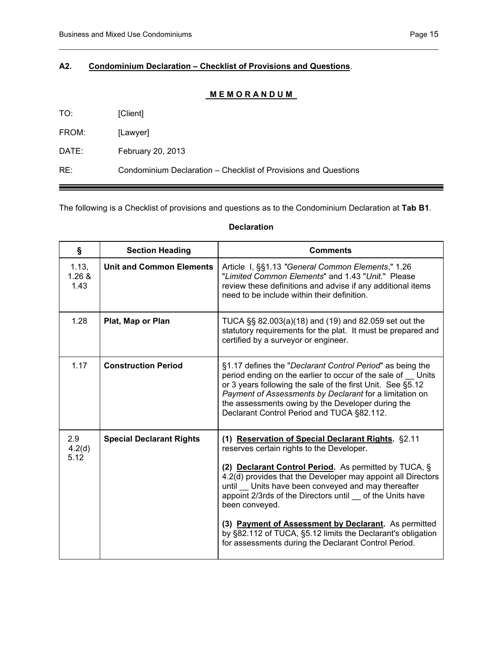## **A2. Condominium Declaration – Checklist of Provisions and Questions**.

### **M E M O R A N D U M**

 $\mathcal{L}_\mathcal{L} = \{ \mathcal{L}_\mathcal{L} = \{ \mathcal{L}_\mathcal{L} = \{ \mathcal{L}_\mathcal{L} = \{ \mathcal{L}_\mathcal{L} = \{ \mathcal{L}_\mathcal{L} = \{ \mathcal{L}_\mathcal{L} = \{ \mathcal{L}_\mathcal{L} = \{ \mathcal{L}_\mathcal{L} = \{ \mathcal{L}_\mathcal{L} = \{ \mathcal{L}_\mathcal{L} = \{ \mathcal{L}_\mathcal{L} = \{ \mathcal{L}_\mathcal{L} = \{ \mathcal{L}_\mathcal{L} = \{ \mathcal{L}_\mathcal{$ 

TO: [Client]

═

FROM: [Lawyer]

DATE: February 20, 2013

RE: Condominium Declaration – Checklist of Provisions and Questions

The following is a Checklist of provisions and questions as to the Condominium Declaration at **Tab B1**.

## **Declaration**

| Ş                       | <b>Section Heading</b>          | <b>Comments</b>                                                                                                                                                                                                                                                                                                                                                                                                                                                                                                                             |
|-------------------------|---------------------------------|---------------------------------------------------------------------------------------------------------------------------------------------------------------------------------------------------------------------------------------------------------------------------------------------------------------------------------------------------------------------------------------------------------------------------------------------------------------------------------------------------------------------------------------------|
| 1.13,<br>1.26 &<br>1.43 | <b>Unit and Common Elements</b> | Article I, §§1.13 "General Common Elements," 1.26<br>"Limited Common Elements" and 1.43 "Unit." Please<br>review these definitions and advise if any additional items<br>need to be include within their definition.                                                                                                                                                                                                                                                                                                                        |
| 1.28                    | Plat, Map or Plan               | TUCA §§ 82.003(a)(18) and (19) and 82.059 set out the<br>statutory requirements for the plat. It must be prepared and<br>certified by a surveyor or engineer.                                                                                                                                                                                                                                                                                                                                                                               |
| 1.17                    | <b>Construction Period</b>      | §1.17 defines the "Declarant Control Period" as being the<br>period ending on the earlier to occur of the sale of __ Units<br>or 3 years following the sale of the first Unit. See §5.12<br>Payment of Assessments by Declarant for a limitation on<br>the assessments owing by the Developer during the<br>Declarant Control Period and TUCA §82.112.                                                                                                                                                                                      |
| 2.9<br>4.2(d)<br>5.12   | <b>Special Declarant Rights</b> | (1) Reservation of Special Declarant Rights. §2.11<br>reserves certain rights to the Developer.<br>(2) Declarant Control Period. As permitted by TUCA, §<br>4.2(d) provides that the Developer may appoint all Directors<br>until _ Units have been conveyed and may thereafter<br>appoint 2/3rds of the Directors until of the Units have<br>been conveyed.<br>(3) Payment of Assessment by Declarant. As permitted<br>by §82.112 of TUCA, §5.12 limits the Declarant's obligation<br>for assessments during the Declarant Control Period. |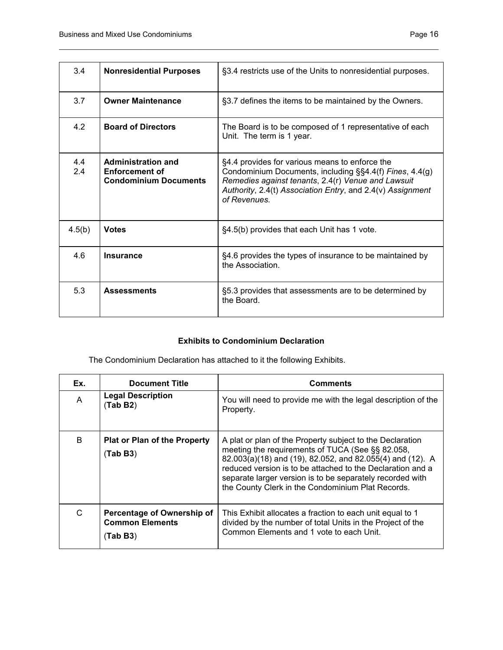| 3.4        | <b>Nonresidential Purposes</b>                                                     | §3.4 restricts use of the Units to nonresidential purposes.                                                                                                                                                                                  |
|------------|------------------------------------------------------------------------------------|----------------------------------------------------------------------------------------------------------------------------------------------------------------------------------------------------------------------------------------------|
| 3.7        | <b>Owner Maintenance</b>                                                           | §3.7 defines the items to be maintained by the Owners.                                                                                                                                                                                       |
| 4.2        | <b>Board of Directors</b>                                                          | The Board is to be composed of 1 representative of each<br>Unit. The term is 1 year.                                                                                                                                                         |
| 4.4<br>2.4 | <b>Administration and</b><br><b>Enforcement of</b><br><b>Condominium Documents</b> | §4.4 provides for various means to enforce the<br>Condominium Documents, including §§4.4(f) Fines, 4.4(g)<br>Remedies against tenants, 2.4(r) Venue and Lawsuit<br>Authority, 2.4(t) Association Entry, and 2.4(v) Assignment<br>of Revenues |
| 4.5(b)     | <b>Votes</b>                                                                       | §4.5(b) provides that each Unit has 1 vote.                                                                                                                                                                                                  |
| 4.6        | Insurance                                                                          | §4.6 provides the types of insurance to be maintained by<br>the Association.                                                                                                                                                                 |
| 5.3        | <b>Assessments</b>                                                                 | §5.3 provides that assessments are to be determined by<br>the Board.                                                                                                                                                                         |

## **Exhibits to Condominium Declaration**

The Condominium Declaration has attached to it the following Exhibits.

| Ex. | <b>Document Title</b>                                            | Comments                                                                                                                                                                                                                                                                                                                                                   |
|-----|------------------------------------------------------------------|------------------------------------------------------------------------------------------------------------------------------------------------------------------------------------------------------------------------------------------------------------------------------------------------------------------------------------------------------------|
| A   | <b>Legal Description</b><br>(Tab B2)                             | You will need to provide me with the legal description of the<br>Property.                                                                                                                                                                                                                                                                                 |
| B   | <b>Plat or Plan of the Property</b><br>(Tab B3)                  | A plat or plan of the Property subject to the Declaration<br>meeting the requirements of TUCA (See §§ 82.058,<br>82.003(a)(18) and (19), 82.052, and 82.055(4) and (12). A<br>reduced version is to be attached to the Declaration and a<br>separate larger version is to be separately recorded with<br>the County Clerk in the Condominium Plat Records. |
| C   | Percentage of Ownership of<br><b>Common Elements</b><br>(Tab B3) | This Exhibit allocates a fraction to each unit equal to 1<br>divided by the number of total Units in the Project of the<br>Common Elements and 1 vote to each Unit.                                                                                                                                                                                        |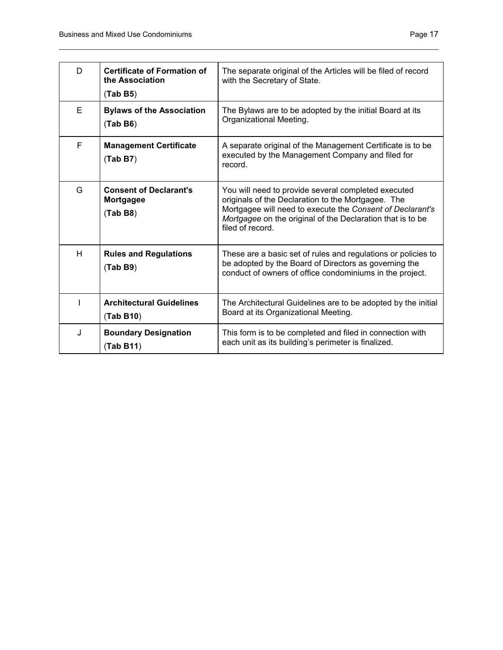| D | <b>Certificate of Formation of</b><br>the Association<br>(Tab B5) | The separate original of the Articles will be filed of record<br>with the Secretary of State.                                                                                                                                                            |
|---|-------------------------------------------------------------------|----------------------------------------------------------------------------------------------------------------------------------------------------------------------------------------------------------------------------------------------------------|
| E | <b>Bylaws of the Association</b><br>(Tab B6)                      | The Bylaws are to be adopted by the initial Board at its<br>Organizational Meeting.                                                                                                                                                                      |
| F | <b>Management Certificate</b><br>(Tab B7)                         | A separate original of the Management Certificate is to be<br>executed by the Management Company and filed for<br>record.                                                                                                                                |
| G | <b>Consent of Declarant's</b><br><b>Mortgagee</b><br>(Tab B8)     | You will need to provide several completed executed<br>originals of the Declaration to the Mortgagee. The<br>Mortgagee will need to execute the Consent of Declarant's<br>Mortgagee on the original of the Declaration that is to be<br>filed of record. |
| H | <b>Rules and Regulations</b><br>(Tab B9)                          | These are a basic set of rules and regulations or policies to<br>be adopted by the Board of Directors as governing the<br>conduct of owners of office condominiums in the project.                                                                       |
|   | <b>Architectural Guidelines</b><br>(Tab B10)                      | The Architectural Guidelines are to be adopted by the initial<br>Board at its Organizational Meeting.                                                                                                                                                    |
| J | <b>Boundary Designation</b><br>(Tab B11)                          | This form is to be completed and filed in connection with<br>each unit as its building's perimeter is finalized.                                                                                                                                         |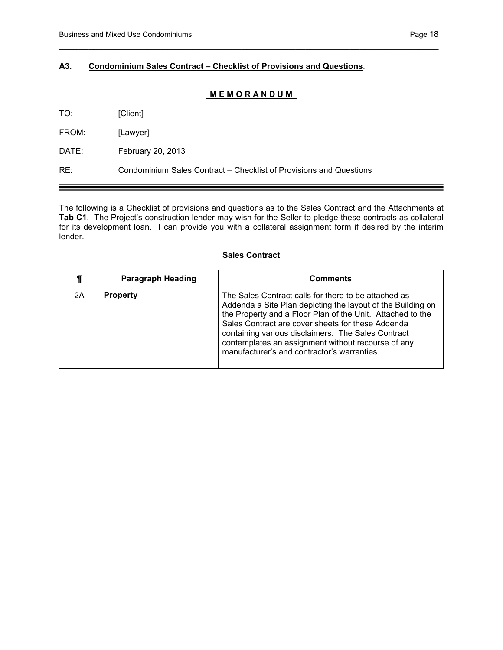## **A3. Condominium Sales Contract – Checklist of Provisions and Questions**.

### **M E M O R A N D U M**

 $\mathcal{L}_\mathcal{L} = \{ \mathcal{L}_\mathcal{L} = \{ \mathcal{L}_\mathcal{L} = \{ \mathcal{L}_\mathcal{L} = \{ \mathcal{L}_\mathcal{L} = \{ \mathcal{L}_\mathcal{L} = \{ \mathcal{L}_\mathcal{L} = \{ \mathcal{L}_\mathcal{L} = \{ \mathcal{L}_\mathcal{L} = \{ \mathcal{L}_\mathcal{L} = \{ \mathcal{L}_\mathcal{L} = \{ \mathcal{L}_\mathcal{L} = \{ \mathcal{L}_\mathcal{L} = \{ \mathcal{L}_\mathcal{L} = \{ \mathcal{L}_\mathcal{$ 

TO: [Client]

FROM: [Lawyer]

DATE: February 20, 2013

RE: Condominium Sales Contract – Checklist of Provisions and Questions

The following is a Checklist of provisions and questions as to the Sales Contract and the Attachments at **Tab C1**. The Project's construction lender may wish for the Seller to pledge these contracts as collateral for its development loan. I can provide you with a collateral assignment form if desired by the interim lender.

#### **Sales Contract**

|    | <b>Paragraph Heading</b> | <b>Comments</b>                                                                                                                                                                                                                                                                                                                                                                                   |
|----|--------------------------|---------------------------------------------------------------------------------------------------------------------------------------------------------------------------------------------------------------------------------------------------------------------------------------------------------------------------------------------------------------------------------------------------|
| 2A | <b>Property</b>          | The Sales Contract calls for there to be attached as<br>Addenda a Site Plan depicting the layout of the Building on<br>the Property and a Floor Plan of the Unit. Attached to the<br>Sales Contract are cover sheets for these Addenda<br>containing various disclaimers. The Sales Contract<br>contemplates an assignment without recourse of any<br>manufacturer's and contractor's warranties. |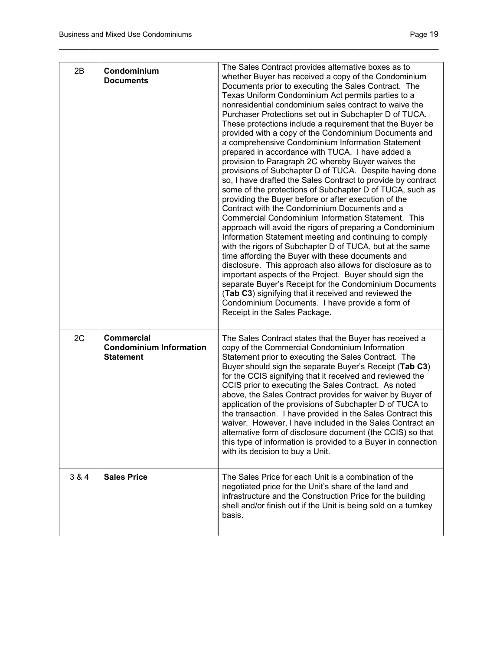| 2B    | Condominium<br><b>Documents</b>                                         | The Sales Contract provides alternative boxes as to<br>whether Buyer has received a copy of the Condominium<br>Documents prior to executing the Sales Contract. The<br>Texas Uniform Condominium Act permits parties to a<br>nonresidential condominium sales contract to waive the<br>Purchaser Protections set out in Subchapter D of TUCA.<br>These protections include a requirement that the Buyer be<br>provided with a copy of the Condominium Documents and<br>a comprehensive Condominium Information Statement<br>prepared in accordance with TUCA. I have added a<br>provision to Paragraph 2C whereby Buyer waives the<br>provisions of Subchapter D of TUCA. Despite having done<br>so, I have drafted the Sales Contract to provide by contract<br>some of the protections of Subchapter D of TUCA, such as<br>providing the Buyer before or after execution of the<br>Contract with the Condominium Documents and a<br>Commercial Condominium Information Statement. This<br>approach will avoid the rigors of preparing a Condominium<br>Information Statement meeting and continuing to comply<br>with the rigors of Subchapter D of TUCA, but at the same<br>time affording the Buyer with these documents and<br>disclosure. This approach also allows for disclosure as to<br>important aspects of the Project. Buyer should sign the<br>separate Buyer's Receipt for the Condominium Documents<br>(Tab C3) signifying that it received and reviewed the<br>Condominium Documents. I have provide a form of<br>Receipt in the Sales Package. |
|-------|-------------------------------------------------------------------------|------------------------------------------------------------------------------------------------------------------------------------------------------------------------------------------------------------------------------------------------------------------------------------------------------------------------------------------------------------------------------------------------------------------------------------------------------------------------------------------------------------------------------------------------------------------------------------------------------------------------------------------------------------------------------------------------------------------------------------------------------------------------------------------------------------------------------------------------------------------------------------------------------------------------------------------------------------------------------------------------------------------------------------------------------------------------------------------------------------------------------------------------------------------------------------------------------------------------------------------------------------------------------------------------------------------------------------------------------------------------------------------------------------------------------------------------------------------------------------------------------------------------------------------------------------------|
| 2C    | <b>Commercial</b><br><b>Condominium Information</b><br><b>Statement</b> | The Sales Contract states that the Buyer has received a<br>copy of the Commercial Condominium Information<br>Statement prior to executing the Sales Contract. The<br>Buyer should sign the separate Buyer's Receipt (Tab C3)<br>for the CCIS signifying that it received and reviewed the<br>CCIS prior to executing the Sales Contract. As noted<br>above, the Sales Contract provides for waiver by Buyer of<br>application of the provisions of Subchapter D of TUCA to<br>the transaction. I have provided in the Sales Contract this<br>waiver. However, I have included in the Sales Contract an<br>alternative form of disclosure document (the CCIS) so that<br>this type of information is provided to a Buyer in connection<br>with its decision to buy a Unit.                                                                                                                                                                                                                                                                                                                                                                                                                                                                                                                                                                                                                                                                                                                                                                                        |
| 3 & 4 | <b>Sales Price</b>                                                      | The Sales Price for each Unit is a combination of the<br>negotiated price for the Unit's share of the land and<br>infrastructure and the Construction Price for the building<br>shell and/or finish out if the Unit is being sold on a turnkey<br>basis.                                                                                                                                                                                                                                                                                                                                                                                                                                                                                                                                                                                                                                                                                                                                                                                                                                                                                                                                                                                                                                                                                                                                                                                                                                                                                                         |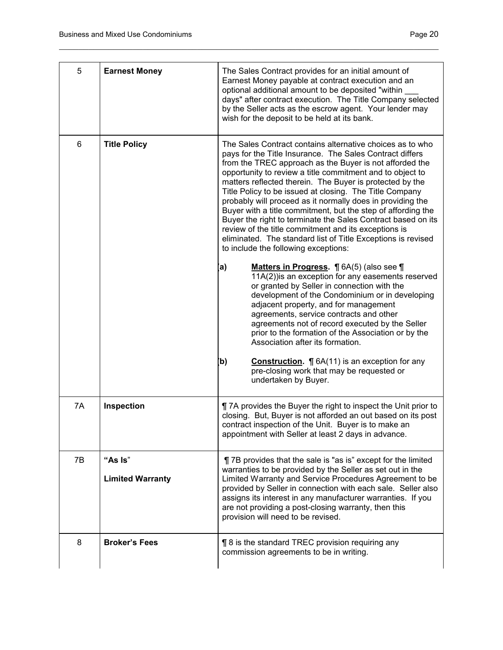| 5  | <b>Earnest Money</b>               | The Sales Contract provides for an initial amount of<br>Earnest Money payable at contract execution and an<br>optional additional amount to be deposited "within<br>days" after contract execution. The Title Company selected<br>by the Seller acts as the escrow agent. Your lender may<br>wish for the deposit to be held at its bank.                                                                                                                                                                                                                                                                                                                                                                                                                                                                                                                                                                                                                                                                                                                                                                                                                                       |
|----|------------------------------------|---------------------------------------------------------------------------------------------------------------------------------------------------------------------------------------------------------------------------------------------------------------------------------------------------------------------------------------------------------------------------------------------------------------------------------------------------------------------------------------------------------------------------------------------------------------------------------------------------------------------------------------------------------------------------------------------------------------------------------------------------------------------------------------------------------------------------------------------------------------------------------------------------------------------------------------------------------------------------------------------------------------------------------------------------------------------------------------------------------------------------------------------------------------------------------|
| 6  | <b>Title Policy</b>                | The Sales Contract contains alternative choices as to who<br>pays for the Title Insurance. The Sales Contract differs<br>from the TREC approach as the Buyer is not afforded the<br>opportunity to review a title commitment and to object to<br>matters reflected therein. The Buyer is protected by the<br>Title Policy to be issued at closing. The Title Company<br>probably will proceed as it normally does in providing the<br>Buyer with a title commitment, but the step of affording the<br>Buyer the right to terminate the Sales Contract based on its<br>review of the title commitment and its exceptions is<br>eliminated. The standard list of Title Exceptions is revised<br>to include the following exceptions:<br>Matters in Progress. ¶ 6A(5) (also see ¶<br>(a)<br>11A(2)) is an exception for any easements reserved<br>or granted by Seller in connection with the<br>development of the Condominium or in developing<br>adjacent property, and for management<br>agreements, service contracts and other<br>agreements not of record executed by the Seller<br>prior to the formation of the Association or by the<br>Association after its formation. |
|    |                                    | (b)<br><b>Construction.</b> $\P$ 6A(11) is an exception for any<br>pre-closing work that may be requested or<br>undertaken by Buyer.                                                                                                                                                                                                                                                                                                                                                                                                                                                                                                                                                                                                                                                                                                                                                                                                                                                                                                                                                                                                                                            |
| 7A | Inspection                         | ¶ 7A provides the Buyer the right to inspect the Unit prior to<br>closing. But, Buyer is not afforded an out based on its post<br>contract inspection of the Unit. Buyer is to make an<br>appointment with Seller at least 2 days in advance.                                                                                                                                                                                                                                                                                                                                                                                                                                                                                                                                                                                                                                                                                                                                                                                                                                                                                                                                   |
| 7B | "As Is"<br><b>Limited Warranty</b> | ¶ 7B provides that the sale is "as is" except for the limited<br>warranties to be provided by the Seller as set out in the<br>Limited Warranty and Service Procedures Agreement to be<br>provided by Seller in connection with each sale. Seller also<br>assigns its interest in any manufacturer warranties. If you<br>are not providing a post-closing warranty, then this<br>provision will need to be revised.                                                                                                                                                                                                                                                                                                                                                                                                                                                                                                                                                                                                                                                                                                                                                              |
| 8  | <b>Broker's Fees</b>               | <b>18</b> is the standard TREC provision requiring any<br>commission agreements to be in writing.                                                                                                                                                                                                                                                                                                                                                                                                                                                                                                                                                                                                                                                                                                                                                                                                                                                                                                                                                                                                                                                                               |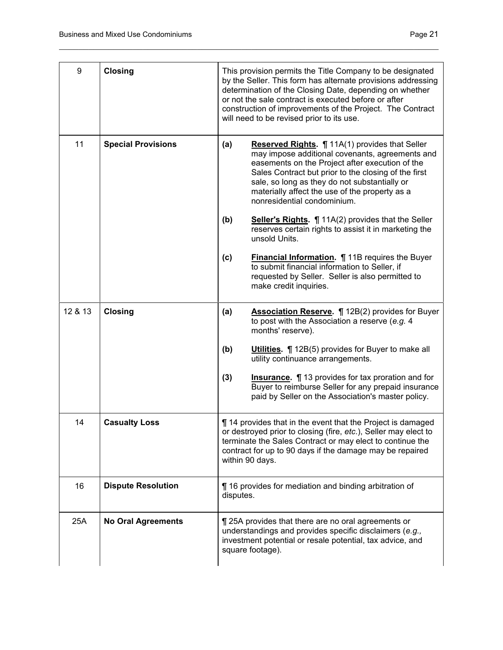| 9       | <b>Closing</b>            | This provision permits the Title Company to be designated<br>by the Seller. This form has alternate provisions addressing<br>determination of the Closing Date, depending on whether<br>or not the sale contract is executed before or after<br>construction of improvements of the Project. The Contract<br>will need to be revised prior to its use. |                                                                                                                                                                                                                                                                                                                                                          |
|---------|---------------------------|--------------------------------------------------------------------------------------------------------------------------------------------------------------------------------------------------------------------------------------------------------------------------------------------------------------------------------------------------------|----------------------------------------------------------------------------------------------------------------------------------------------------------------------------------------------------------------------------------------------------------------------------------------------------------------------------------------------------------|
| 11      | <b>Special Provisions</b> | (a)                                                                                                                                                                                                                                                                                                                                                    | <b>Reserved Rights.</b> $\P$ 11A(1) provides that Seller<br>may impose additional covenants, agreements and<br>easements on the Project after execution of the<br>Sales Contract but prior to the closing of the first<br>sale, so long as they do not substantially or<br>materially affect the use of the property as a<br>nonresidential condominium. |
|         |                           | (b)                                                                                                                                                                                                                                                                                                                                                    | <b>Seller's Rights.</b> $\P$ 11A(2) provides that the Seller<br>reserves certain rights to assist it in marketing the<br>unsold Units.                                                                                                                                                                                                                   |
|         |                           | (c)                                                                                                                                                                                                                                                                                                                                                    | <b>Financial Information.</b> 11B requires the Buyer<br>to submit financial information to Seller, if<br>requested by Seller. Seller is also permitted to<br>make credit inquiries.                                                                                                                                                                      |
| 12 & 13 | <b>Closing</b>            | (a)                                                                                                                                                                                                                                                                                                                                                    | <b>Association Reserve.</b> 12B(2) provides for Buyer<br>to post with the Association a reserve (e.g. 4<br>months' reserve).                                                                                                                                                                                                                             |
|         |                           | (b)                                                                                                                                                                                                                                                                                                                                                    | Utilities. ¶ 12B(5) provides for Buyer to make all<br>utility continuance arrangements.                                                                                                                                                                                                                                                                  |
|         |                           | (3)                                                                                                                                                                                                                                                                                                                                                    | <b>Insurance.</b> 13 provides for tax proration and for<br>Buyer to reimburse Seller for any prepaid insurance<br>paid by Seller on the Association's master policy.                                                                                                                                                                                     |
| 14      | <b>Casualty Loss</b>      | ¶ 14 provides that in the event that the Project is damaged<br>or destroyed prior to closing (fire, etc.), Seller may elect to<br>terminate the Sales Contract or may elect to continue the<br>contract for up to 90 days if the damage may be repaired<br>within 90 days.                                                                             |                                                                                                                                                                                                                                                                                                                                                          |
| 16      | <b>Dispute Resolution</b> | ¶ 16 provides for mediation and binding arbitration of<br>disputes.                                                                                                                                                                                                                                                                                    |                                                                                                                                                                                                                                                                                                                                                          |
| 25A     | <b>No Oral Agreements</b> | ¶ 25A provides that there are no oral agreements or<br>understandings and provides specific disclaimers (e.g.,<br>investment potential or resale potential, tax advice, and<br>square footage).                                                                                                                                                        |                                                                                                                                                                                                                                                                                                                                                          |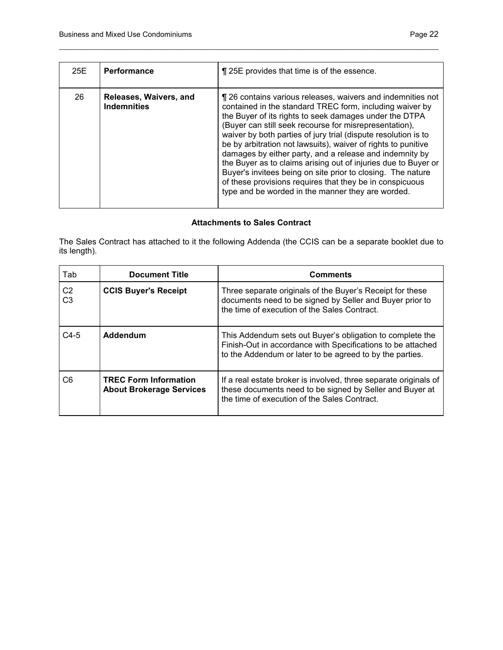| 25E | Performance                                  | <b>T</b> 25E provides that time is of the essence.                                                                                                                                                                                                                                                                                                                                                                                                                                                                                                                                                                                                                                                 |
|-----|----------------------------------------------|----------------------------------------------------------------------------------------------------------------------------------------------------------------------------------------------------------------------------------------------------------------------------------------------------------------------------------------------------------------------------------------------------------------------------------------------------------------------------------------------------------------------------------------------------------------------------------------------------------------------------------------------------------------------------------------------------|
| 26  | Releases, Waivers, and<br><b>Indemnities</b> | <b>1</b> 26 contains various releases, waivers and indemnities not<br>contained in the standard TREC form, including waiver by<br>the Buyer of its rights to seek damages under the DTPA<br>(Buyer can still seek recourse for misrepresentation),<br>waiver by both parties of jury trial (dispute resolution is to<br>be by arbitration not lawsuits), waiver of rights to punitive<br>damages by either party, and a release and indemnity by<br>the Buyer as to claims arising out of injuries due to Buyer or<br>Buyer's invitees being on site prior to closing. The nature<br>of these provisions requires that they be in conspicuous<br>type and be worded in the manner they are worded. |

## **Attachments to Sales Contract**

The Sales Contract has attached to it the following Addenda (the CCIS can be a separate booklet due to its length).

| Tab                              | <b>Document Title</b>                                           | <b>Comments</b>                                                                                                                                                                      |
|----------------------------------|-----------------------------------------------------------------|--------------------------------------------------------------------------------------------------------------------------------------------------------------------------------------|
| C <sub>2</sub><br>C <sub>3</sub> | <b>CCIS Buyer's Receipt</b>                                     | Three separate originals of the Buyer's Receipt for these<br>documents need to be signed by Seller and Buyer prior to<br>the time of execution of the Sales Contract.                |
| $C4-5$                           | Addendum                                                        | This Addendum sets out Buyer's obligation to complete the<br>Finish-Out in accordance with Specifications to be attached<br>to the Addendum or later to be agreed to by the parties. |
| C6                               | <b>TREC Form Information</b><br><b>About Brokerage Services</b> | If a real estate broker is involved, three separate originals of<br>these documents need to be signed by Seller and Buyer at<br>the time of execution of the Sales Contract.         |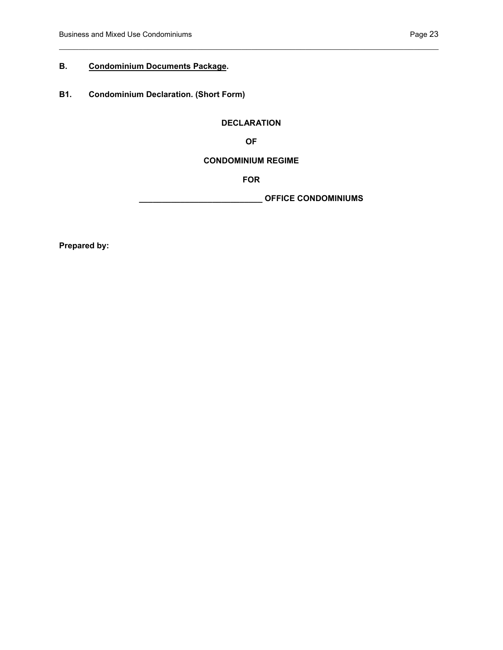### **B. Condominium Documents Package.**

## **B1. Condominium Declaration. (Short Form)**

## **DECLARATION**

 $\mathcal{L}_\mathcal{L} = \{ \mathcal{L}_\mathcal{L} = \{ \mathcal{L}_\mathcal{L} = \{ \mathcal{L}_\mathcal{L} = \{ \mathcal{L}_\mathcal{L} = \{ \mathcal{L}_\mathcal{L} = \{ \mathcal{L}_\mathcal{L} = \{ \mathcal{L}_\mathcal{L} = \{ \mathcal{L}_\mathcal{L} = \{ \mathcal{L}_\mathcal{L} = \{ \mathcal{L}_\mathcal{L} = \{ \mathcal{L}_\mathcal{L} = \{ \mathcal{L}_\mathcal{L} = \{ \mathcal{L}_\mathcal{L} = \{ \mathcal{L}_\mathcal{$ 

**OF**

## **CONDOMINIUM REGIME**

**FOR**

**\_\_\_\_\_\_\_\_\_\_\_\_\_\_\_\_\_\_\_\_\_\_\_\_\_\_\_ OFFICE CONDOMINIUMS**

**Prepared by:**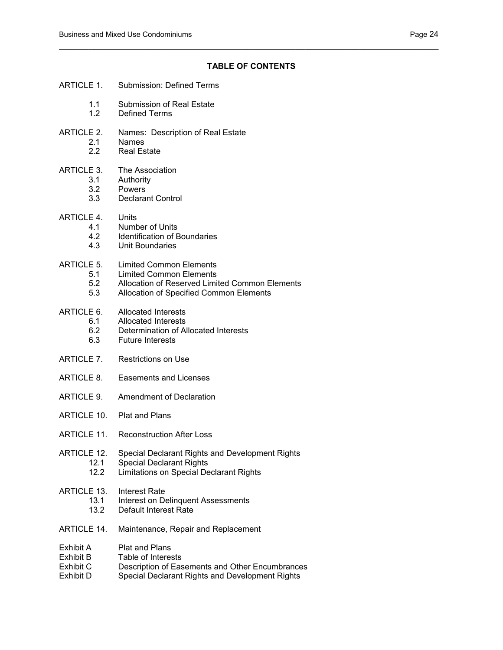## **TABLE OF CONTENTS**

- ARTICLE 1. Submission: Defined Terms
	- 1.1 Submission of Real Estate
		- 1.2 Defined Terms
- ARTICLE 2. Names: Description of Real Estate
	- 2.1 Names
	- 2.2 Real Estate
- ARTICLE 3. The Association
	- 3.1 Authority
	- 3.2 Powers<br>3.3 Declara
	- Declarant Control
- ARTICLE 4. Units
	- 4.1 Number of Units
	- 4.2 Identification of Boundaries
	- 4.3 Unit Boundaries
- ARTICLE 5. Limited Common Elements
	- 5.1 Limited Common Elements
	- 5.2 Allocation of Reserved Limited Common Elements
	- 5.3 Allocation of Specified Common Elements
- ARTICLE 6. Allocated Interests
	- 6.1 Allocated Interests
		- 6.2 Determination of Allocated Interests
	- 6.3 Future Interests
- ARTICLE 7. Restrictions on Use
- ARTICLE 8. Easements and Licenses
- ARTICLE 9. Amendment of Declaration
- ARTICLE 10. Plat and Plans
- ARTICLE 11. Reconstruction After Loss
- ARTICLE 12. Special Declarant Rights and Development Rights
	- 12.1 Special Declarant Rights
		- 12.2 Limitations on Special Declarant Rights
- ARTICLE 13. Interest Rate
	- 13.1 Interest on Delinquent Assessments<br>13.2 Default Interest Rate
	- Default Interest Rate
- ARTICLE 14. Maintenance, Repair and Replacement
- Exhibit A Plat and Plans
- Exhibit B Table of Interests
- Exhibit C Description of Easements and Other Encumbrances
- Exhibit D Special Declarant Rights and Development Rights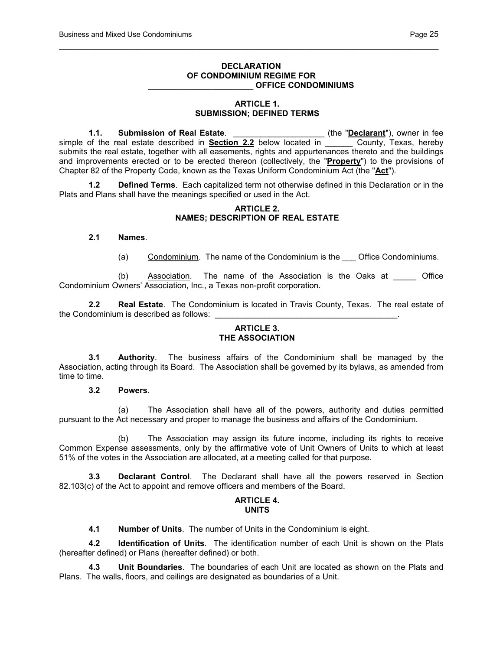#### **DECLARATION OF CONDOMINIUM REGIME FOR \_\_\_\_\_\_\_\_\_\_\_\_\_\_\_\_\_\_\_\_\_\_\_ OFFICE CONDOMINIUMS**

### **ARTICLE 1. SUBMISSION; DEFINED TERMS**

 $\mathcal{L}_\mathcal{L} = \{ \mathcal{L}_\mathcal{L} = \{ \mathcal{L}_\mathcal{L} = \{ \mathcal{L}_\mathcal{L} = \{ \mathcal{L}_\mathcal{L} = \{ \mathcal{L}_\mathcal{L} = \{ \mathcal{L}_\mathcal{L} = \{ \mathcal{L}_\mathcal{L} = \{ \mathcal{L}_\mathcal{L} = \{ \mathcal{L}_\mathcal{L} = \{ \mathcal{L}_\mathcal{L} = \{ \mathcal{L}_\mathcal{L} = \{ \mathcal{L}_\mathcal{L} = \{ \mathcal{L}_\mathcal{L} = \{ \mathcal{L}_\mathcal{$ 

**1.1. Submission of Real Estate**. \_\_\_\_\_\_\_\_\_\_\_\_\_\_\_\_\_\_\_\_ (the "**Declarant**"), owner in fee simple of the real estate described in **Section 2.2** below located in \_\_\_\_\_\_\_ County, Texas, hereby submits the real estate, together with all easements, rights and appurtenances thereto and the buildings and improvements erected or to be erected thereon (collectively, the "**Property**") to the provisions of Chapter 82 of the Property Code, known as the Texas Uniform Condominium Act (the "**Act**").

**1.2 Defined Terms**. Each capitalized term not otherwise defined in this Declaration or in the Plats and Plans shall have the meanings specified or used in the Act.

#### **ARTICLE 2. NAMES; DESCRIPTION OF REAL ESTATE**

### **2.1 Names**.

(a) Condominium. The name of the Condominium is the \_\_\_ Office Condominiums.

(b) Association. The name of the Association is the Oaks at Coffice Condominium Owners' Association, Inc., a Texas non-profit corporation.

**2.2 Real Estate**. The Condominium is located in Travis County, Texas. The real estate of the Condominium is described as follows:

### **ARTICLE 3. THE ASSOCIATION**

**3.1 Authority**. The business affairs of the Condominium shall be managed by the Association, acting through its Board. The Association shall be governed by its bylaws, as amended from time to time.

#### **3.2 Powers**.

(a) The Association shall have all of the powers, authority and duties permitted pursuant to the Act necessary and proper to manage the business and affairs of the Condominium.

(b) The Association may assign its future income, including its rights to receive Common Expense assessments, only by the affirmative vote of Unit Owners of Units to which at least 51% of the votes in the Association are allocated, at a meeting called for that purpose.

**3.3 Declarant Control**. The Declarant shall have all the powers reserved in Section 82.103(c) of the Act to appoint and remove officers and members of the Board.

#### **ARTICLE 4. UNITS**

**4.1 Number of Units**. The number of Units in the Condominium is eight.

**4.2 Identification of Units**. The identification number of each Unit is shown on the Plats (hereafter defined) or Plans (hereafter defined) or both.

**4.3 Unit Boundaries**. The boundaries of each Unit are located as shown on the Plats and Plans. The walls, floors, and ceilings are designated as boundaries of a Unit.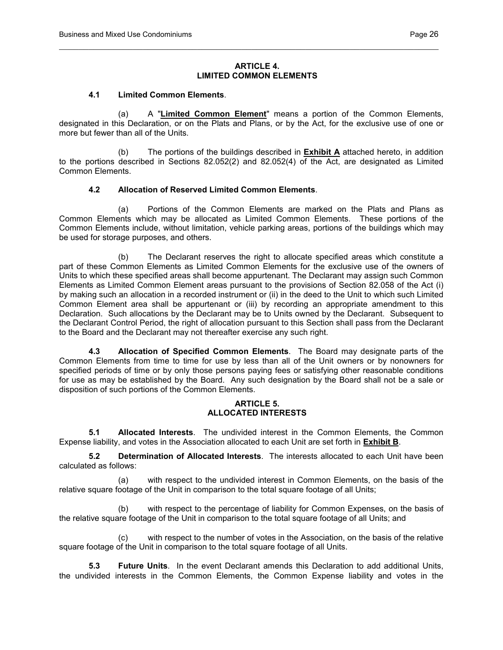### **ARTICLE 4. LIMITED COMMON ELEMENTS**

 $\mathcal{L}_\mathcal{L} = \{ \mathcal{L}_\mathcal{L} = \{ \mathcal{L}_\mathcal{L} = \{ \mathcal{L}_\mathcal{L} = \{ \mathcal{L}_\mathcal{L} = \{ \mathcal{L}_\mathcal{L} = \{ \mathcal{L}_\mathcal{L} = \{ \mathcal{L}_\mathcal{L} = \{ \mathcal{L}_\mathcal{L} = \{ \mathcal{L}_\mathcal{L} = \{ \mathcal{L}_\mathcal{L} = \{ \mathcal{L}_\mathcal{L} = \{ \mathcal{L}_\mathcal{L} = \{ \mathcal{L}_\mathcal{L} = \{ \mathcal{L}_\mathcal{$ 

#### **4.1 Limited Common Elements**.

(a) A "**Limited Common Element**" means a portion of the Common Elements, designated in this Declaration, or on the Plats and Plans, or by the Act, for the exclusive use of one or more but fewer than all of the Units.

(b) The portions of the buildings described in **Exhibit A** attached hereto, in addition to the portions described in Sections 82.052(2) and 82.052(4) of the Act, are designated as Limited Common Elements.

### **4.2 Allocation of Reserved Limited Common Elements**.

(a) Portions of the Common Elements are marked on the Plats and Plans as Common Elements which may be allocated as Limited Common Elements. These portions of the Common Elements include, without limitation, vehicle parking areas, portions of the buildings which may be used for storage purposes, and others.

(b) The Declarant reserves the right to allocate specified areas which constitute a part of these Common Elements as Limited Common Elements for the exclusive use of the owners of Units to which these specified areas shall become appurtenant. The Declarant may assign such Common Elements as Limited Common Element areas pursuant to the provisions of Section 82.058 of the Act (i) by making such an allocation in a recorded instrument or (ii) in the deed to the Unit to which such Limited Common Element area shall be appurtenant or (iii) by recording an appropriate amendment to this Declaration. Such allocations by the Declarant may be to Units owned by the Declarant. Subsequent to the Declarant Control Period, the right of allocation pursuant to this Section shall pass from the Declarant to the Board and the Declarant may not thereafter exercise any such right.

**4.3 Allocation of Specified Common Elements**. The Board may designate parts of the Common Elements from time to time for use by less than all of the Unit owners or by nonowners for specified periods of time or by only those persons paying fees or satisfying other reasonable conditions for use as may be established by the Board. Any such designation by the Board shall not be a sale or disposition of such portions of the Common Elements.

#### **ARTICLE 5. ALLOCATED INTERESTS**

**5.1 Allocated Interests**. The undivided interest in the Common Elements, the Common Expense liability, and votes in the Association allocated to each Unit are set forth in **Exhibit B**.

**5.2 Determination of Allocated Interests**. The interests allocated to each Unit have been calculated as follows:

(a) with respect to the undivided interest in Common Elements, on the basis of the relative square footage of the Unit in comparison to the total square footage of all Units;

(b) with respect to the percentage of liability for Common Expenses, on the basis of the relative square footage of the Unit in comparison to the total square footage of all Units; and

(c) with respect to the number of votes in the Association, on the basis of the relative square footage of the Unit in comparison to the total square footage of all Units.

**5.3 Future Units**. In the event Declarant amends this Declaration to add additional Units, the undivided interests in the Common Elements, the Common Expense liability and votes in the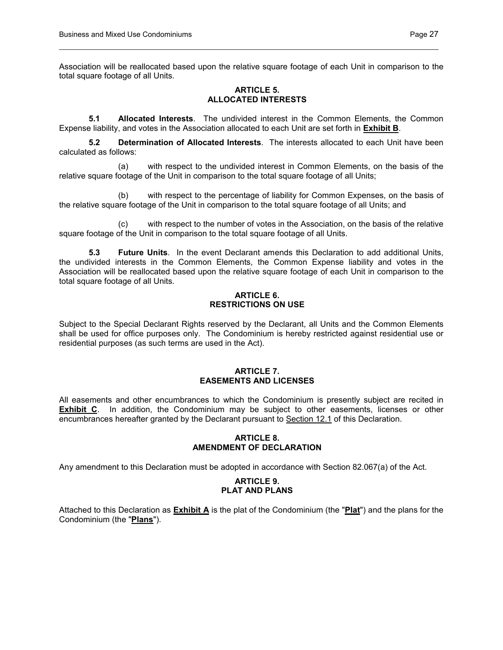Association will be reallocated based upon the relative square footage of each Unit in comparison to the total square footage of all Units.

 $\mathcal{L}_\mathcal{L} = \{ \mathcal{L}_\mathcal{L} = \{ \mathcal{L}_\mathcal{L} = \{ \mathcal{L}_\mathcal{L} = \{ \mathcal{L}_\mathcal{L} = \{ \mathcal{L}_\mathcal{L} = \{ \mathcal{L}_\mathcal{L} = \{ \mathcal{L}_\mathcal{L} = \{ \mathcal{L}_\mathcal{L} = \{ \mathcal{L}_\mathcal{L} = \{ \mathcal{L}_\mathcal{L} = \{ \mathcal{L}_\mathcal{L} = \{ \mathcal{L}_\mathcal{L} = \{ \mathcal{L}_\mathcal{L} = \{ \mathcal{L}_\mathcal{$ 

#### **ARTICLE 5. ALLOCATED INTERESTS**

**5.1 Allocated Interests**. The undivided interest in the Common Elements, the Common Expense liability, and votes in the Association allocated to each Unit are set forth in **Exhibit B**.

**5.2 Determination of Allocated Interests**. The interests allocated to each Unit have been calculated as follows:

(a) with respect to the undivided interest in Common Elements, on the basis of the relative square footage of the Unit in comparison to the total square footage of all Units;

(b) with respect to the percentage of liability for Common Expenses, on the basis of the relative square footage of the Unit in comparison to the total square footage of all Units; and

(c) with respect to the number of votes in the Association, on the basis of the relative square footage of the Unit in comparison to the total square footage of all Units.

**5.3 Future Units**. In the event Declarant amends this Declaration to add additional Units, the undivided interests in the Common Elements, the Common Expense liability and votes in the Association will be reallocated based upon the relative square footage of each Unit in comparison to the total square footage of all Units.

#### **ARTICLE 6. RESTRICTIONS ON USE**

Subject to the Special Declarant Rights reserved by the Declarant, all Units and the Common Elements shall be used for office purposes only. The Condominium is hereby restricted against residential use or residential purposes (as such terms are used in the Act).

#### **ARTICLE 7. EASEMENTS AND LICENSES**

All easements and other encumbrances to which the Condominium is presently subject are recited in **Exhibit C**. In addition, the Condominium may be subject to other easements, licenses or other encumbrances hereafter granted by the Declarant pursuant to Section 12.1 of this Declaration.

### **ARTICLE 8. AMENDMENT OF DECLARATION**

Any amendment to this Declaration must be adopted in accordance with Section 82.067(a) of the Act.

#### **ARTICLE 9. PLAT AND PLANS**

Attached to this Declaration as **Exhibit A** is the plat of the Condominium (the "**Plat**") and the plans for the Condominium (the "**Plans**").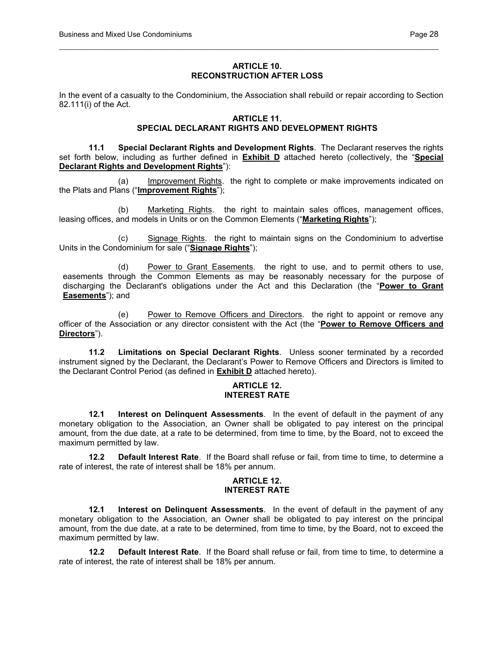## **ARTICLE 10. RECONSTRUCTION AFTER LOSS**

 $\mathcal{L}_\mathcal{L} = \{ \mathcal{L}_\mathcal{L} = \{ \mathcal{L}_\mathcal{L} = \{ \mathcal{L}_\mathcal{L} = \{ \mathcal{L}_\mathcal{L} = \{ \mathcal{L}_\mathcal{L} = \{ \mathcal{L}_\mathcal{L} = \{ \mathcal{L}_\mathcal{L} = \{ \mathcal{L}_\mathcal{L} = \{ \mathcal{L}_\mathcal{L} = \{ \mathcal{L}_\mathcal{L} = \{ \mathcal{L}_\mathcal{L} = \{ \mathcal{L}_\mathcal{L} = \{ \mathcal{L}_\mathcal{L} = \{ \mathcal{L}_\mathcal{$ 

In the event of a casualty to the Condominium, the Association shall rebuild or repair according to Section 82.111(i) of the Act.

## **ARTICLE 11.**

## **SPECIAL DECLARANT RIGHTS AND DEVELOPMENT RIGHTS**

**11.1 Special Declarant Rights and Development Rights**. The Declarant reserves the rights set forth below, including as further defined in **Exhibit D** attached hereto (collectively, the "**Special Declarant Rights and Development Rights**"):

(a) Improvement Rights. the right to complete or make improvements indicated on the Plats and Plans ("**Improvement Rights**");

(b) Marketing Rights. the right to maintain sales offices, management offices, leasing offices, and models in Units or on the Common Elements ("**Marketing Rights**");

(c) Signage Rights. the right to maintain signs on the Condominium to advertise Units in the Condominium for sale ("**Signage Rights**");

(d) Power to Grant Easements. the right to use, and to permit others to use, easements through the Common Elements as may be reasonably necessary for the purpose of discharging the Declarant's obligations under the Act and this Declaration (the "**Power to Grant Easements**"); and

(e) Power to Remove Officers and Directors. the right to appoint or remove any officer of the Association or any director consistent with the Act (the "**Power to Remove Officers and Directors**").

**11.2 Limitations on Special Declarant Rights**. Unless sooner terminated by a recorded instrument signed by the Declarant, the Declarant's Power to Remove Officers and Directors is limited to the Declarant Control Period (as defined in **Exhibit D** attached hereto).

#### **ARTICLE 12. INTEREST RATE**

**12.1 Interest on Delinquent Assessments**. In the event of default in the payment of any monetary obligation to the Association, an Owner shall be obligated to pay interest on the principal amount, from the due date, at a rate to be determined, from time to time, by the Board, not to exceed the maximum permitted by law.

**12.2 Default Interest Rate**. If the Board shall refuse or fail, from time to time, to determine a rate of interest, the rate of interest shall be 18% per annum.

#### **ARTICLE 12. INTEREST RATE**

**12.1 Interest on Delinquent Assessments**. In the event of default in the payment of any monetary obligation to the Association, an Owner shall be obligated to pay interest on the principal amount, from the due date, at a rate to be determined, from time to time, by the Board, not to exceed the maximum permitted by law.

**12.2 Default Interest Rate**. If the Board shall refuse or fail, from time to time, to determine a rate of interest, the rate of interest shall be 18% per annum.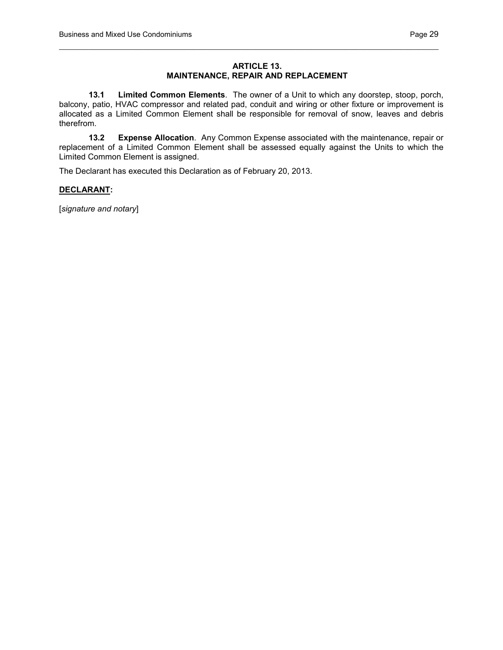### **ARTICLE 13. MAINTENANCE, REPAIR AND REPLACEMENT**

 $\mathcal{L}_\mathcal{L} = \{ \mathcal{L}_\mathcal{L} = \{ \mathcal{L}_\mathcal{L} = \{ \mathcal{L}_\mathcal{L} = \{ \mathcal{L}_\mathcal{L} = \{ \mathcal{L}_\mathcal{L} = \{ \mathcal{L}_\mathcal{L} = \{ \mathcal{L}_\mathcal{L} = \{ \mathcal{L}_\mathcal{L} = \{ \mathcal{L}_\mathcal{L} = \{ \mathcal{L}_\mathcal{L} = \{ \mathcal{L}_\mathcal{L} = \{ \mathcal{L}_\mathcal{L} = \{ \mathcal{L}_\mathcal{L} = \{ \mathcal{L}_\mathcal{$ 

**13.1 Limited Common Elements**. The owner of a Unit to which any doorstep, stoop, porch, balcony, patio, HVAC compressor and related pad, conduit and wiring or other fixture or improvement is allocated as a Limited Common Element shall be responsible for removal of snow, leaves and debris therefrom.

**13.2 Expense Allocation**. Any Common Expense associated with the maintenance, repair or replacement of a Limited Common Element shall be assessed equally against the Units to which the Limited Common Element is assigned.

The Declarant has executed this Declaration as of February 20, 2013.

### **DECLARANT:**

[*signature and notary*]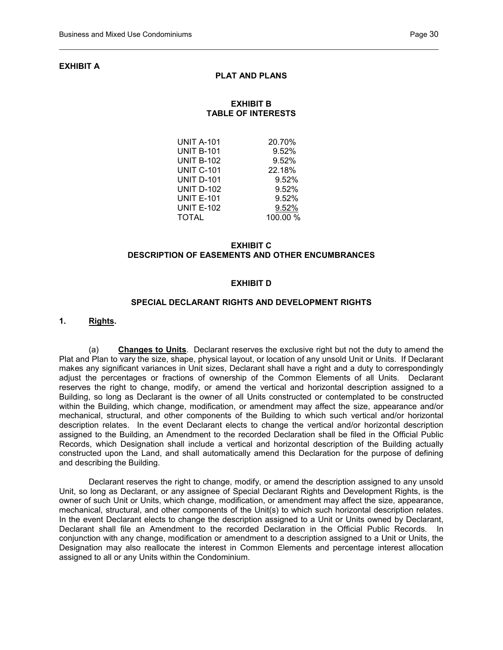#### **EXHIBIT A**

#### **PLAT AND PLANS**

 $\mathcal{L}_\mathcal{L} = \{ \mathcal{L}_\mathcal{L} = \{ \mathcal{L}_\mathcal{L} = \{ \mathcal{L}_\mathcal{L} = \{ \mathcal{L}_\mathcal{L} = \{ \mathcal{L}_\mathcal{L} = \{ \mathcal{L}_\mathcal{L} = \{ \mathcal{L}_\mathcal{L} = \{ \mathcal{L}_\mathcal{L} = \{ \mathcal{L}_\mathcal{L} = \{ \mathcal{L}_\mathcal{L} = \{ \mathcal{L}_\mathcal{L} = \{ \mathcal{L}_\mathcal{L} = \{ \mathcal{L}_\mathcal{L} = \{ \mathcal{L}_\mathcal{$ 

#### **EXHIBIT B TABLE OF INTERESTS**

| <b>UNIT A-101</b> | 20.70%   |
|-------------------|----------|
| <b>UNIT B-101</b> | 9.52%    |
| <b>UNIT B-102</b> | 9.52%    |
| <b>UNIT C-101</b> | 22.18%   |
| <b>UNIT D-101</b> | 9.52%    |
| <b>UNIT D-102</b> | 9.52%    |
| <b>UNIT E-101</b> | 9.52%    |
| <b>UNIT E-102</b> | 9.52%    |
| <b>TOTAL</b>      | 100.00 % |

#### **EXHIBIT C DESCRIPTION OF EASEMENTS AND OTHER ENCUMBRANCES**

#### **EXHIBIT D**

#### **SPECIAL DECLARANT RIGHTS AND DEVELOPMENT RIGHTS**

#### **1. Rights.**

(a) **Changes to Units**. Declarant reserves the exclusive right but not the duty to amend the Plat and Plan to vary the size, shape, physical layout, or location of any unsold Unit or Units. If Declarant makes any significant variances in Unit sizes, Declarant shall have a right and a duty to correspondingly adjust the percentages or fractions of ownership of the Common Elements of all Units. Declarant reserves the right to change, modify, or amend the vertical and horizontal description assigned to a Building, so long as Declarant is the owner of all Units constructed or contemplated to be constructed within the Building, which change, modification, or amendment may affect the size, appearance and/or mechanical, structural, and other components of the Building to which such vertical and/or horizontal description relates. In the event Declarant elects to change the vertical and/or horizontal description assigned to the Building, an Amendment to the recorded Declaration shall be filed in the Official Public Records, which Designation shall include a vertical and horizontal description of the Building actually constructed upon the Land, and shall automatically amend this Declaration for the purpose of defining and describing the Building.

Declarant reserves the right to change, modify, or amend the description assigned to any unsold Unit, so long as Declarant, or any assignee of Special Declarant Rights and Development Rights, is the owner of such Unit or Units, which change, modification, or amendment may affect the size, appearance, mechanical, structural, and other components of the Unit(s) to which such horizontal description relates. In the event Declarant elects to change the description assigned to a Unit or Units owned by Declarant, Declarant shall file an Amendment to the recorded Declaration in the Official Public Records. In conjunction with any change, modification or amendment to a description assigned to a Unit or Units, the Designation may also reallocate the interest in Common Elements and percentage interest allocation assigned to all or any Units within the Condominium.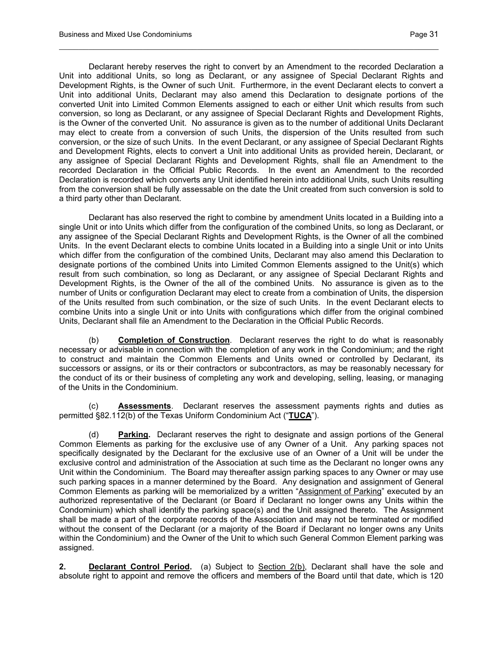Declarant hereby reserves the right to convert by an Amendment to the recorded Declaration a Unit into additional Units, so long as Declarant, or any assignee of Special Declarant Rights and Development Rights, is the Owner of such Unit. Furthermore, in the event Declarant elects to convert a Unit into additional Units, Declarant may also amend this Declaration to designate portions of the converted Unit into Limited Common Elements assigned to each or either Unit which results from such conversion, so long as Declarant, or any assignee of Special Declarant Rights and Development Rights, is the Owner of the converted Unit. No assurance is given as to the number of additional Units Declarant may elect to create from a conversion of such Units, the dispersion of the Units resulted from such conversion, or the size of such Units. In the event Declarant, or any assignee of Special Declarant Rights and Development Rights, elects to convert a Unit into additional Units as provided herein, Declarant, or any assignee of Special Declarant Rights and Development Rights, shall file an Amendment to the recorded Declaration in the Official Public Records. In the event an Amendment to the recorded Declaration is recorded which converts any Unit identified herein into additional Units, such Units resulting from the conversion shall be fully assessable on the date the Unit created from such conversion is sold to a third party other than Declarant.

 $\mathcal{L}_\mathcal{L} = \{ \mathcal{L}_\mathcal{L} = \{ \mathcal{L}_\mathcal{L} = \{ \mathcal{L}_\mathcal{L} = \{ \mathcal{L}_\mathcal{L} = \{ \mathcal{L}_\mathcal{L} = \{ \mathcal{L}_\mathcal{L} = \{ \mathcal{L}_\mathcal{L} = \{ \mathcal{L}_\mathcal{L} = \{ \mathcal{L}_\mathcal{L} = \{ \mathcal{L}_\mathcal{L} = \{ \mathcal{L}_\mathcal{L} = \{ \mathcal{L}_\mathcal{L} = \{ \mathcal{L}_\mathcal{L} = \{ \mathcal{L}_\mathcal{$ 

Declarant has also reserved the right to combine by amendment Units located in a Building into a single Unit or into Units which differ from the configuration of the combined Units, so long as Declarant, or any assignee of the Special Declarant Rights and Development Rights, is the Owner of all the combined Units. In the event Declarant elects to combine Units located in a Building into a single Unit or into Units which differ from the configuration of the combined Units, Declarant may also amend this Declaration to designate portions of the combined Units into Limited Common Elements assigned to the Unit(s) which result from such combination, so long as Declarant, or any assignee of Special Declarant Rights and Development Rights, is the Owner of the all of the combined Units. No assurance is given as to the number of Units or configuration Declarant may elect to create from a combination of Units, the dispersion of the Units resulted from such combination, or the size of such Units. In the event Declarant elects to combine Units into a single Unit or into Units with configurations which differ from the original combined Units, Declarant shall file an Amendment to the Declaration in the Official Public Records.

(b) **Completion of Construction**. Declarant reserves the right to do what is reasonably necessary or advisable in connection with the completion of any work in the Condominium; and the right to construct and maintain the Common Elements and Units owned or controlled by Declarant, its successors or assigns, or its or their contractors or subcontractors, as may be reasonably necessary for the conduct of its or their business of completing any work and developing, selling, leasing, or managing of the Units in the Condominium.

(c) **Assessments**. Declarant reserves the assessment payments rights and duties as permitted §82.112(b) of the Texas Uniform Condominium Act ("**TUCA**").

(d) **Parking.** Declarant reserves the right to designate and assign portions of the General Common Elements as parking for the exclusive use of any Owner of a Unit. Any parking spaces not specifically designated by the Declarant for the exclusive use of an Owner of a Unit will be under the exclusive control and administration of the Association at such time as the Declarant no longer owns any Unit within the Condominium. The Board may thereafter assign parking spaces to any Owner or may use such parking spaces in a manner determined by the Board. Any designation and assignment of General Common Elements as parking will be memorialized by a written "Assignment of Parking" executed by an authorized representative of the Declarant (or Board if Declarant no longer owns any Units within the Condominium) which shall identify the parking space(s) and the Unit assigned thereto. The Assignment shall be made a part of the corporate records of the Association and may not be terminated or modified without the consent of the Declarant (or a majority of the Board if Declarant no longer owns any Units within the Condominium) and the Owner of the Unit to which such General Common Element parking was assigned.

**2. Declarant Control Period.** (a) Subject to Section 2(b), Declarant shall have the sole and absolute right to appoint and remove the officers and members of the Board until that date, which is 120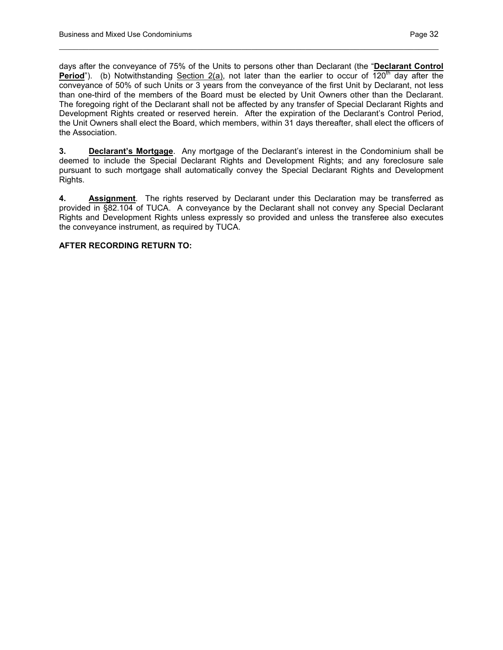days after the conveyance of 75% of the Units to persons other than Declarant (the "**Declarant Control Period**"). (b) Notwithstanding Section 2(a), not later than the earlier to occur of  $120<sup>th</sup>$  day after the conveyance of 50% of such Units or 3 years from the conveyance of the first Unit by Declarant, not less than one-third of the members of the Board must be elected by Unit Owners other than the Declarant. The foregoing right of the Declarant shall not be affected by any transfer of Special Declarant Rights and Development Rights created or reserved herein. After the expiration of the Declarant's Control Period, the Unit Owners shall elect the Board, which members, within 31 days thereafter, shall elect the officers of the Association.

 $\mathcal{L}_\mathcal{L} = \{ \mathcal{L}_\mathcal{L} = \{ \mathcal{L}_\mathcal{L} = \{ \mathcal{L}_\mathcal{L} = \{ \mathcal{L}_\mathcal{L} = \{ \mathcal{L}_\mathcal{L} = \{ \mathcal{L}_\mathcal{L} = \{ \mathcal{L}_\mathcal{L} = \{ \mathcal{L}_\mathcal{L} = \{ \mathcal{L}_\mathcal{L} = \{ \mathcal{L}_\mathcal{L} = \{ \mathcal{L}_\mathcal{L} = \{ \mathcal{L}_\mathcal{L} = \{ \mathcal{L}_\mathcal{L} = \{ \mathcal{L}_\mathcal{$ 

**3. Declarant's Mortgage**. Any mortgage of the Declarant's interest in the Condominium shall be deemed to include the Special Declarant Rights and Development Rights; and any foreclosure sale pursuant to such mortgage shall automatically convey the Special Declarant Rights and Development Rights.

**4. Assignment**. The rights reserved by Declarant under this Declaration may be transferred as provided in §82.104 of TUCA. A conveyance by the Declarant shall not convey any Special Declarant Rights and Development Rights unless expressly so provided and unless the transferee also executes the conveyance instrument, as required by TUCA.

## **AFTER RECORDING RETURN TO:**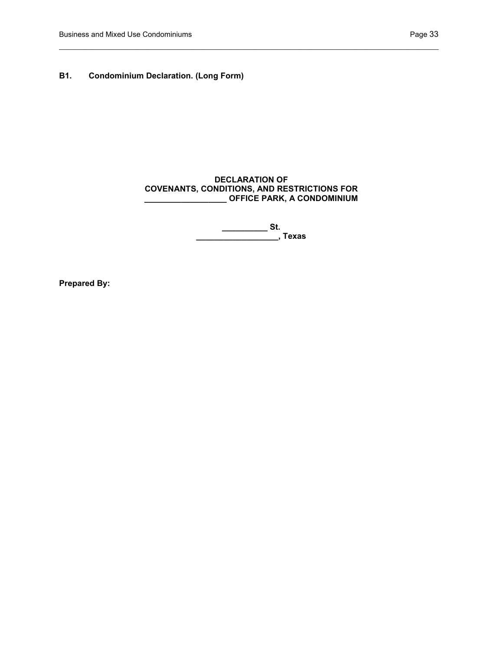# **B1. Condominium Declaration. (Long Form)**

#### **DECLARATION OF COVENANTS, CONDITIONS, AND RESTRICTIONS FOR \_\_\_\_\_\_\_\_\_\_\_\_\_\_\_\_\_\_ OFFICE PARK, A CONDOMINIUM**

 $\mathcal{L}_\mathcal{L} = \{ \mathcal{L}_\mathcal{L} = \{ \mathcal{L}_\mathcal{L} = \{ \mathcal{L}_\mathcal{L} = \{ \mathcal{L}_\mathcal{L} = \{ \mathcal{L}_\mathcal{L} = \{ \mathcal{L}_\mathcal{L} = \{ \mathcal{L}_\mathcal{L} = \{ \mathcal{L}_\mathcal{L} = \{ \mathcal{L}_\mathcal{L} = \{ \mathcal{L}_\mathcal{L} = \{ \mathcal{L}_\mathcal{L} = \{ \mathcal{L}_\mathcal{L} = \{ \mathcal{L}_\mathcal{L} = \{ \mathcal{L}_\mathcal{$ 

**\_\_\_\_\_\_\_\_\_\_ St. \_\_\_\_\_\_\_\_\_\_\_\_\_\_\_\_\_\_, Texas**

**Prepared By:**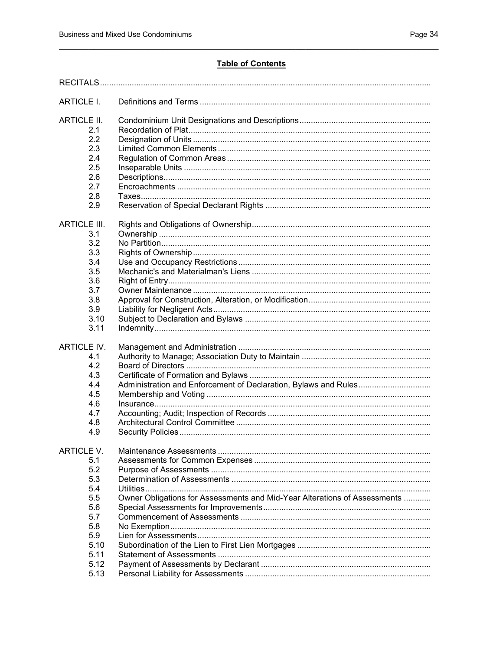# **Table of Contents**

| <b>ARTICLE I.</b>   |                                                                           |
|---------------------|---------------------------------------------------------------------------|
| <b>ARTICLE II.</b>  |                                                                           |
| 2.1                 |                                                                           |
| 2.2                 |                                                                           |
| 2.3                 |                                                                           |
| 2.4                 |                                                                           |
| 2.5                 |                                                                           |
| 2.6                 |                                                                           |
| 2.7                 |                                                                           |
| 2.8                 |                                                                           |
| 2.9                 |                                                                           |
| <b>ARTICLE III.</b> |                                                                           |
| 3.1                 |                                                                           |
| 3.2                 |                                                                           |
| 3.3                 |                                                                           |
|                     |                                                                           |
| 3.4                 |                                                                           |
| 3.5                 |                                                                           |
| 3.6<br>3.7          |                                                                           |
|                     |                                                                           |
| 3.8<br>3.9          |                                                                           |
| 3.10                |                                                                           |
| 3.11                |                                                                           |
|                     |                                                                           |
| <b>ARTICLE IV.</b>  |                                                                           |
| 4.1                 |                                                                           |
| 4.2                 |                                                                           |
| 4.3                 |                                                                           |
| 4.4                 |                                                                           |
| 4.5                 |                                                                           |
| 4.6                 |                                                                           |
| 4.7                 |                                                                           |
| 4.8                 |                                                                           |
| 4.9                 |                                                                           |
|                     |                                                                           |
| <b>ARTICLE V.</b>   |                                                                           |
| 5.1                 |                                                                           |
| 5.2                 |                                                                           |
| 5.3                 |                                                                           |
| 5.4                 |                                                                           |
| 5.5                 | Owner Obligations for Assessments and Mid-Year Alterations of Assessments |
| 5.6                 |                                                                           |
| 5.7                 |                                                                           |
| 5.8                 |                                                                           |
| 5.9                 |                                                                           |
| 5.10                |                                                                           |
| 5.11                |                                                                           |
| 5.12                |                                                                           |
| 5.13                |                                                                           |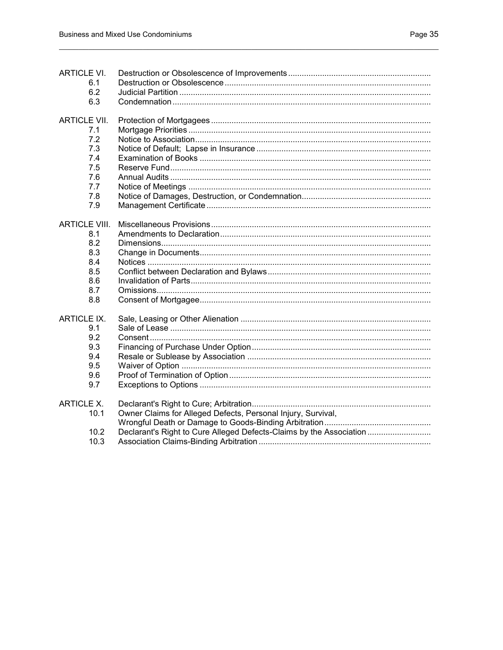| <b>ARTICLE VI.</b>                        |                                                                                                                                     |
|-------------------------------------------|-------------------------------------------------------------------------------------------------------------------------------------|
| 6.1                                       |                                                                                                                                     |
| 6.2                                       |                                                                                                                                     |
| 6.3                                       |                                                                                                                                     |
| <b>ARTICLE VII.</b>                       |                                                                                                                                     |
| 7.1                                       |                                                                                                                                     |
| 7.2                                       |                                                                                                                                     |
| 7.3                                       |                                                                                                                                     |
| 7.4                                       |                                                                                                                                     |
| 7.5                                       |                                                                                                                                     |
| 7.6                                       |                                                                                                                                     |
| 7.7                                       |                                                                                                                                     |
| 7.8                                       |                                                                                                                                     |
| 7.9                                       |                                                                                                                                     |
| <b>ARTICLE VIII.</b>                      |                                                                                                                                     |
| 8.1                                       |                                                                                                                                     |
| 8.2                                       |                                                                                                                                     |
| 8.3                                       |                                                                                                                                     |
| 8.4                                       |                                                                                                                                     |
| 8.5                                       |                                                                                                                                     |
| 8.6                                       |                                                                                                                                     |
| 8.7                                       |                                                                                                                                     |
| 8.8                                       |                                                                                                                                     |
| <b>ARTICLE IX.</b>                        |                                                                                                                                     |
| 9.1                                       |                                                                                                                                     |
| 9.2                                       |                                                                                                                                     |
| 9.3                                       |                                                                                                                                     |
| 9.4                                       |                                                                                                                                     |
| 9.5                                       |                                                                                                                                     |
| 9.6                                       |                                                                                                                                     |
| 9.7                                       |                                                                                                                                     |
| <b>ARTICLE X.</b><br>10.1<br>10.2<br>10.3 | Owner Claims for Alleged Defects, Personal Injury, Survival,<br>Declarant's Right to Cure Alleged Defects-Claims by the Association |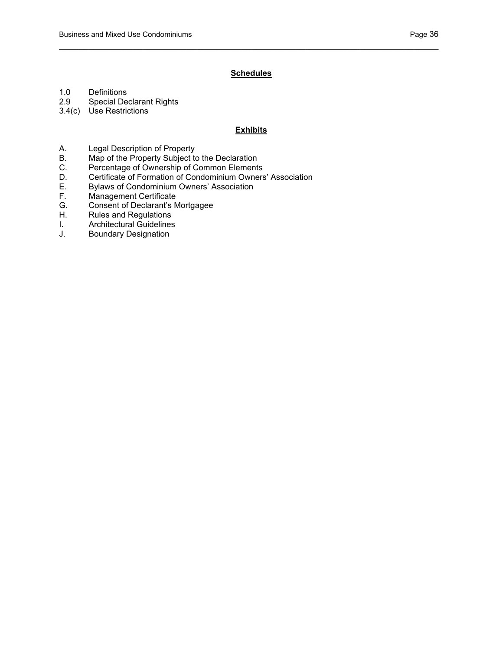## **Schedules**

 $\mathcal{L}_\mathcal{L} = \{ \mathcal{L}_\mathcal{L} = \{ \mathcal{L}_\mathcal{L} = \{ \mathcal{L}_\mathcal{L} = \{ \mathcal{L}_\mathcal{L} = \{ \mathcal{L}_\mathcal{L} = \{ \mathcal{L}_\mathcal{L} = \{ \mathcal{L}_\mathcal{L} = \{ \mathcal{L}_\mathcal{L} = \{ \mathcal{L}_\mathcal{L} = \{ \mathcal{L}_\mathcal{L} = \{ \mathcal{L}_\mathcal{L} = \{ \mathcal{L}_\mathcal{L} = \{ \mathcal{L}_\mathcal{L} = \{ \mathcal{L}_\mathcal{$ 

- 1.0 Definitions<br>2.9 Special Der
- Special Declarant Rights
- 3.4(c) Use Restrictions

## **Exhibits**

- A. Legal Description of Property<br>B. Map of the Property Subject to
- B. Map of the Property Subject to the Declaration
- C. Percentage of Ownership of Common Elements
- D. Certificate of Formation of Condominium Owners' Association<br>E. Bylaws of Condominium Owners' Association
- E. Bylaws of Condominium Owners' Association<br>F. Management Certificate
- F. Management Certificate<br>G. Consent of Declarant's M
- Consent of Declarant's Mortgagee
- H. Rules and Regulations
- I. Architectural Guidelines<br>J. Boundary Designation
- **Boundary Designation**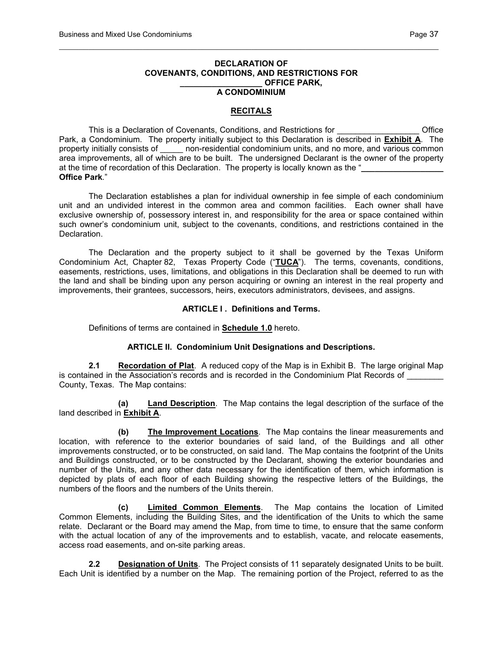#### **DECLARATION OF COVENANTS, CONDITIONS, AND RESTRICTIONS FOR \_\_\_\_\_\_\_\_\_\_\_\_\_\_\_\_\_\_ OFFICE PARK, A CONDOMINIUM**

 $\mathcal{L}_\mathcal{L} = \{ \mathcal{L}_\mathcal{L} = \{ \mathcal{L}_\mathcal{L} = \{ \mathcal{L}_\mathcal{L} = \{ \mathcal{L}_\mathcal{L} = \{ \mathcal{L}_\mathcal{L} = \{ \mathcal{L}_\mathcal{L} = \{ \mathcal{L}_\mathcal{L} = \{ \mathcal{L}_\mathcal{L} = \{ \mathcal{L}_\mathcal{L} = \{ \mathcal{L}_\mathcal{L} = \{ \mathcal{L}_\mathcal{L} = \{ \mathcal{L}_\mathcal{L} = \{ \mathcal{L}_\mathcal{L} = \{ \mathcal{L}_\mathcal{$ 

#### **RECITALS**

This is a Declaration of Covenants, Conditions, and Restrictions for \_\_\_\_\_\_\_\_\_\_\_\_\_\_\_\_\_\_ Office Park, a Condominium. The property initially subject to this Declaration is described in **Exhibit A**. The property initially consists of **container non-residential condominium units**, and no more, and various common area improvements, all of which are to be built. The undersigned Declarant is the owner of the property at the time of recordation of this Declaration. The property is locally known as the " **Office Park***.*"

The Declaration establishes a plan for individual ownership in fee simple of each condominium unit and an undivided interest in the common area and common facilities. Each owner shall have exclusive ownership of, possessory interest in, and responsibility for the area or space contained within such owner's condominium unit, subject to the covenants, conditions, and restrictions contained in the Declaration.

The Declaration and the property subject to it shall be governed by the Texas Uniform Condominium Act, Chapter 82, Texas Property Code ("**TUCA**"). The terms, covenants, conditions, easements, restrictions, uses, limitations, and obligations in this Declaration shall be deemed to run with the land and shall be binding upon any person acquiring or owning an interest in the real property and improvements, their grantees, successors, heirs, executors administrators, devisees, and assigns.

#### **ARTICLE I . Definitions and Terms.**

Definitions of terms are contained in **Schedule 1.0** hereto.

#### **ARTICLE II. Condominium Unit Designations and Descriptions.**

**2.1 Recordation of Plat**. A reduced copy of the Map is in Exhibit B. The large original Map is contained in the Association's records and is recorded in the Condominium Plat Records of County, Texas. The Map contains:

**(a) Land Description**. The Map contains the legal description of the surface of the land described in **Exhibit A**.

**(b) The Improvement Locations**. The Map contains the linear measurements and location, with reference to the exterior boundaries of said land, of the Buildings and all other improvements constructed, or to be constructed, on said land. The Map contains the footprint of the Units and Buildings constructed, or to be constructed by the Declarant, showing the exterior boundaries and number of the Units, and any other data necessary for the identification of them, which information is depicted by plats of each floor of each Building showing the respective letters of the Buildings, the numbers of the floors and the numbers of the Units therein.

**(c) Limited Common Elements**. The Map contains the location of Limited Common Elements, including the Building Sites, and the identification of the Units to which the same relate. Declarant or the Board may amend the Map, from time to time, to ensure that the same conform with the actual location of any of the improvements and to establish, vacate, and relocate easements, access road easements, and on-site parking areas.

**2.2 Designation of Units**. The Project consists of 11 separately designated Units to be built. Each Unit is identified by a number on the Map. The remaining portion of the Project, referred to as the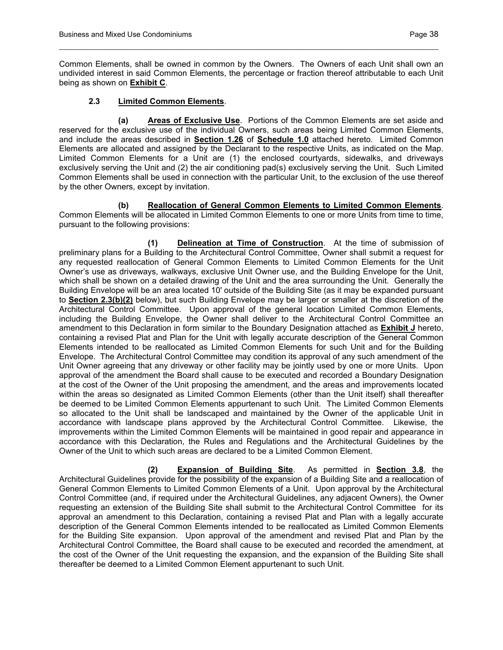Common Elements, shall be owned in common by the Owners. The Owners of each Unit shall own an undivided interest in said Common Elements, the percentage or fraction thereof attributable to each Unit being as shown on **Exhibit C**.

 $\mathcal{L}_\mathcal{L} = \{ \mathcal{L}_\mathcal{L} = \{ \mathcal{L}_\mathcal{L} = \{ \mathcal{L}_\mathcal{L} = \{ \mathcal{L}_\mathcal{L} = \{ \mathcal{L}_\mathcal{L} = \{ \mathcal{L}_\mathcal{L} = \{ \mathcal{L}_\mathcal{L} = \{ \mathcal{L}_\mathcal{L} = \{ \mathcal{L}_\mathcal{L} = \{ \mathcal{L}_\mathcal{L} = \{ \mathcal{L}_\mathcal{L} = \{ \mathcal{L}_\mathcal{L} = \{ \mathcal{L}_\mathcal{L} = \{ \mathcal{L}_\mathcal{$ 

## **2.3 Limited Common Elements**.

**(a) Areas of Exclusive Use**. Portions of the Common Elements are set aside and reserved for the exclusive use of the individual Owners, such areas being Limited Common Elements, and include the areas described in **Section 1.26** of **Schedule 1.0** attached hereto. Limited Common Elements are allocated and assigned by the Declarant to the respective Units, as indicated on the Map. Limited Common Elements for a Unit are (1) the enclosed courtyards, sidewalks, and driveways exclusively serving the Unit and (2) the air conditioning pad(s) exclusively serving the Unit. Such Limited Common Elements shall be used in connection with the particular Unit, to the exclusion of the use thereof by the other Owners, except by invitation.

**(b) Reallocation of General Common Elements to Limited Common Elements**. Common Elements will be allocated in Limited Common Elements to one or more Units from time to time, pursuant to the following provisions:

**(1) Delineation at Time of Construction**. At the time of submission of preliminary plans for a Building to the Architectural Control Committee, Owner shall submit a request for any requested reallocation of General Common Elements to Limited Common Elements for the Unit Owner's use as driveways, walkways, exclusive Unit Owner use, and the Building Envelope for the Unit, which shall be shown on a detailed drawing of the Unit and the area surrounding the Unit. Generally the Building Envelope will be an area located 10' outside of the Building Site (as it may be expanded pursuant to **Section 2.3(b)(2)** below), but such Building Envelope may be larger or smaller at the discretion of the Architectural Control Committee. Upon approval of the general location Limited Common Elements, including the Building Envelope, the Owner shall deliver to the Architectural Control Committee an amendment to this Declaration in form similar to the Boundary Designation attached as **Exhibit J** hereto, containing a revised Plat and Plan for the Unit with legally accurate description of the General Common Elements intended to be reallocated as Limited Common Elements for such Unit and for the Building Envelope. The Architectural Control Committee may condition its approval of any such amendment of the Unit Owner agreeing that any driveway or other facility may be jointly used by one or more Units. Upon approval of the amendment the Board shall cause to be executed and recorded a Boundary Designation at the cost of the Owner of the Unit proposing the amendment, and the areas and improvements located within the areas so designated as Limited Common Elements (other than the Unit itself) shall thereafter be deemed to be Limited Common Elements appurtenant to such Unit. The Limited Common Elements so allocated to the Unit shall be landscaped and maintained by the Owner of the applicable Unit in accordance with landscape plans approved by the Architectural Control Committee. Likewise, the improvements within the Limited Common Elements will be maintained in good repair and appearance in accordance with this Declaration, the Rules and Regulations and the Architectural Guidelines by the Owner of the Unit to which such areas are declared to be a Limited Common Element.

**(2) Expansion of Building Site**. As permitted in **Section 3.8**, the Architectural Guidelines provide for the possibility of the expansion of a Building Site and a reallocation of General Common Elements to Limited Common Elements of a Unit. Upon approval by the Architectural Control Committee (and, if required under the Architectural Guidelines, any adjacent Owners), the Owner requesting an extension of the Building Site shall submit to the Architectural Control Committee for its approval an amendment to this Declaration, containing a revised Plat and Plan with a legally accurate description of the General Common Elements intended to be reallocated as Limited Common Elements for the Building Site expansion. Upon approval of the amendment and revised Plat and Plan by the Architectural Control Committee, the Board shall cause to be executed and recorded the amendment, at the cost of the Owner of the Unit requesting the expansion, and the expansion of the Building Site shall thereafter be deemed to a Limited Common Element appurtenant to such Unit.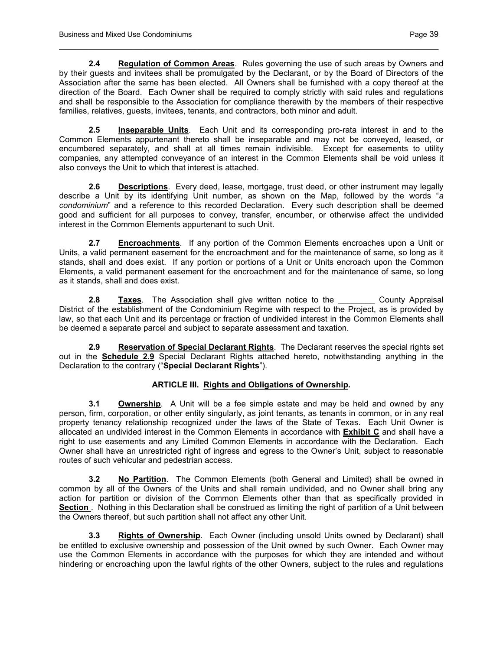**2.4 Regulation of Common Areas**. Rules governing the use of such areas by Owners and by their guests and invitees shall be promulgated by the Declarant, or by the Board of Directors of the Association after the same has been elected. All Owners shall be furnished with a copy thereof at the direction of the Board. Each Owner shall be required to comply strictly with said rules and regulations and shall be responsible to the Association for compliance therewith by the members of their respective families, relatives, guests, invitees, tenants, and contractors, both minor and adult.

 $\mathcal{L}_\mathcal{L} = \{ \mathcal{L}_\mathcal{L} = \{ \mathcal{L}_\mathcal{L} = \{ \mathcal{L}_\mathcal{L} = \{ \mathcal{L}_\mathcal{L} = \{ \mathcal{L}_\mathcal{L} = \{ \mathcal{L}_\mathcal{L} = \{ \mathcal{L}_\mathcal{L} = \{ \mathcal{L}_\mathcal{L} = \{ \mathcal{L}_\mathcal{L} = \{ \mathcal{L}_\mathcal{L} = \{ \mathcal{L}_\mathcal{L} = \{ \mathcal{L}_\mathcal{L} = \{ \mathcal{L}_\mathcal{L} = \{ \mathcal{L}_\mathcal{$ 

**2.5 Inseparable Units**. Each Unit and its corresponding pro-rata interest in and to the Common Elements appurtenant thereto shall be inseparable and may not be conveyed, leased, or encumbered separately, and shall at all times remain indivisible. Except for easements to utility companies, any attempted conveyance of an interest in the Common Elements shall be void unless it also conveys the Unit to which that interest is attached.

**2.6 Descriptions**. Every deed, lease, mortgage, trust deed, or other instrument may legally describe a Unit by its identifying Unit number, as shown on the Map, followed by the words "*a condominium*" and a reference to this recorded Declaration. Every such description shall be deemed good and sufficient for all purposes to convey, transfer, encumber, or otherwise affect the undivided interest in the Common Elements appurtenant to such Unit.

**2.7 Encroachments**. If any portion of the Common Elements encroaches upon a Unit or Units, a valid permanent easement for the encroachment and for the maintenance of same, so long as it stands, shall and does exist. If any portion or portions of a Unit or Units encroach upon the Common Elements, a valid permanent easement for the encroachment and for the maintenance of same, so long as it stands, shall and does exist.

**2.8 Taxes**. The Association shall give written notice to the **County Appraisal** District of the establishment of the Condominium Regime with respect to the Project, as is provided by law, so that each Unit and its percentage or fraction of undivided interest in the Common Elements shall be deemed a separate parcel and subject to separate assessment and taxation.

**2.9 Reservation of Special Declarant Rights**. The Declarant reserves the special rights set out in the **Schedule 2.9** Special Declarant Rights attached hereto, notwithstanding anything in the Declaration to the contrary ("**Special Declarant Rights**").

## **ARTICLE III. Rights and Obligations of Ownership.**

**3.1 Ownership**. A Unit will be a fee simple estate and may be held and owned by any person, firm, corporation, or other entity singularly, as joint tenants, as tenants in common, or in any real property tenancy relationship recognized under the laws of the State of Texas. Each Unit Owner is allocated an undivided interest in the Common Elements in accordance with **Exhibit C** and shall have a right to use easements and any Limited Common Elements in accordance with the Declaration. Each Owner shall have an unrestricted right of ingress and egress to the Owner's Unit, subject to reasonable routes of such vehicular and pedestrian access.

**3.2 No Partition**. The Common Elements (both General and Limited) shall be owned in common by all of the Owners of the Units and shall remain undivided, and no Owner shall bring any action for partition or division of the Common Elements other than that as specifically provided in **Section** . Nothing in this Declaration shall be construed as limiting the right of partition of a Unit between the Owners thereof, but such partition shall not affect any other Unit.

**3.3 Rights of Ownership**. Each Owner (including unsold Units owned by Declarant) shall be entitled to exclusive ownership and possession of the Unit owned by such Owner. Each Owner may use the Common Elements in accordance with the purposes for which they are intended and without hindering or encroaching upon the lawful rights of the other Owners, subject to the rules and regulations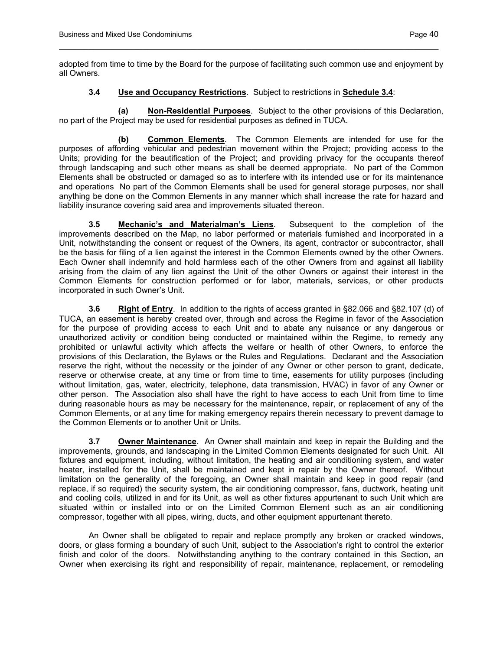adopted from time to time by the Board for the purpose of facilitating such common use and enjoyment by all Owners.

 $\mathcal{L}_\mathcal{L} = \{ \mathcal{L}_\mathcal{L} = \{ \mathcal{L}_\mathcal{L} = \{ \mathcal{L}_\mathcal{L} = \{ \mathcal{L}_\mathcal{L} = \{ \mathcal{L}_\mathcal{L} = \{ \mathcal{L}_\mathcal{L} = \{ \mathcal{L}_\mathcal{L} = \{ \mathcal{L}_\mathcal{L} = \{ \mathcal{L}_\mathcal{L} = \{ \mathcal{L}_\mathcal{L} = \{ \mathcal{L}_\mathcal{L} = \{ \mathcal{L}_\mathcal{L} = \{ \mathcal{L}_\mathcal{L} = \{ \mathcal{L}_\mathcal{$ 

## **3.4 Use and Occupancy Restrictions**. Subject to restrictions in **Schedule 3.4**:

**(a) Non-Residential Purposes**. Subject to the other provisions of this Declaration, no part of the Project may be used for residential purposes as defined in TUCA.

**(b) Common Elements**. The Common Elements are intended for use for the purposes of affording vehicular and pedestrian movement within the Project; providing access to the Units; providing for the beautification of the Project; and providing privacy for the occupants thereof through landscaping and such other means as shall be deemed appropriate. No part of the Common Elements shall be obstructed or damaged so as to interfere with its intended use or for its maintenance and operations No part of the Common Elements shall be used for general storage purposes, nor shall anything be done on the Common Elements in any manner which shall increase the rate for hazard and liability insurance covering said area and improvements situated thereon.

**3.5 Mechanic's and Materialman's Liens**. Subsequent to the completion of the improvements described on the Map, no labor performed or materials furnished and incorporated in a Unit, notwithstanding the consent or request of the Owners, its agent, contractor or subcontractor, shall be the basis for filing of a lien against the interest in the Common Elements owned by the other Owners. Each Owner shall indemnify and hold harmless each of the other Owners from and against all liability arising from the claim of any lien against the Unit of the other Owners or against their interest in the Common Elements for construction performed or for labor, materials, services, or other products incorporated in such Owner's Unit.

**3.6 Right of Entry**. In addition to the rights of access granted in §82.066 and §82.107 (d) of TUCA, an easement is hereby created over, through and across the Regime in favor of the Association for the purpose of providing access to each Unit and to abate any nuisance or any dangerous or unauthorized activity or condition being conducted or maintained within the Regime, to remedy any prohibited or unlawful activity which affects the welfare or health of other Owners, to enforce the provisions of this Declaration, the Bylaws or the Rules and Regulations. Declarant and the Association reserve the right, without the necessity or the joinder of any Owner or other person to grant, dedicate, reserve or otherwise create, at any time or from time to time, easements for utility purposes (including without limitation, gas, water, electricity, telephone, data transmission, HVAC) in favor of any Owner or other person. The Association also shall have the right to have access to each Unit from time to time during reasonable hours as may be necessary for the maintenance, repair, or replacement of any of the Common Elements, or at any time for making emergency repairs therein necessary to prevent damage to the Common Elements or to another Unit or Units.

**3.7 Owner Maintenance**. An Owner shall maintain and keep in repair the Building and the improvements, grounds, and landscaping in the Limited Common Elements designated for such Unit. All fixtures and equipment, including, without limitation, the heating and air conditioning system, and water heater, installed for the Unit, shall be maintained and kept in repair by the Owner thereof. Without limitation on the generality of the foregoing, an Owner shall maintain and keep in good repair (and replace, if so required) the security system, the air conditioning compressor, fans, ductwork, heating unit and cooling coils, utilized in and for its Unit, as well as other fixtures appurtenant to such Unit which are situated within or installed into or on the Limited Common Element such as an air conditioning compressor, together with all pipes, wiring, ducts, and other equipment appurtenant thereto.

An Owner shall be obligated to repair and replace promptly any broken or cracked windows, doors, or glass forming a boundary of such Unit, subject to the Association's right to control the exterior finish and color of the doors. Notwithstanding anything to the contrary contained in this Section, an Owner when exercising its right and responsibility of repair, maintenance, replacement, or remodeling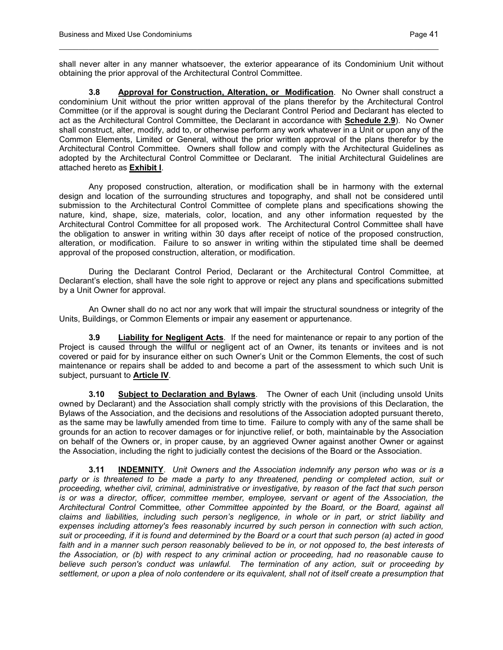shall never alter in any manner whatsoever, the exterior appearance of its Condominium Unit without obtaining the prior approval of the Architectural Control Committee.

 $\mathcal{L}_\mathcal{L} = \{ \mathcal{L}_\mathcal{L} = \{ \mathcal{L}_\mathcal{L} = \{ \mathcal{L}_\mathcal{L} = \{ \mathcal{L}_\mathcal{L} = \{ \mathcal{L}_\mathcal{L} = \{ \mathcal{L}_\mathcal{L} = \{ \mathcal{L}_\mathcal{L} = \{ \mathcal{L}_\mathcal{L} = \{ \mathcal{L}_\mathcal{L} = \{ \mathcal{L}_\mathcal{L} = \{ \mathcal{L}_\mathcal{L} = \{ \mathcal{L}_\mathcal{L} = \{ \mathcal{L}_\mathcal{L} = \{ \mathcal{L}_\mathcal{$ 

**3.8 Approval for Construction, Alteration, or Modification**. No Owner shall construct a condominium Unit without the prior written approval of the plans therefor by the Architectural Control Committee (or if the approval is sought during the Declarant Control Period and Declarant has elected to act as the Architectural Control Committee, the Declarant in accordance with **Schedule 2.9**). No Owner shall construct, alter, modify, add to, or otherwise perform any work whatever in a Unit or upon any of the Common Elements, Limited or General, without the prior written approval of the plans therefor by the Architectural Control Committee. Owners shall follow and comply with the Architectural Guidelines as adopted by the Architectural Control Committee or Declarant. The initial Architectural Guidelines are attached hereto as **Exhibit I**.

Any proposed construction, alteration, or modification shall be in harmony with the external design and location of the surrounding structures and topography, and shall not be considered until submission to the Architectural Control Committee of complete plans and specifications showing the nature, kind, shape, size, materials, color, location, and any other information requested by the Architectural Control Committee for all proposed work. The Architectural Control Committee shall have the obligation to answer in writing within 30 days after receipt of notice of the proposed construction, alteration, or modification. Failure to so answer in writing within the stipulated time shall be deemed approval of the proposed construction, alteration, or modification.

During the Declarant Control Period, Declarant or the Architectural Control Committee, at Declarant's election, shall have the sole right to approve or reject any plans and specifications submitted by a Unit Owner for approval.

An Owner shall do no act nor any work that will impair the structural soundness or integrity of the Units, Buildings, or Common Elements or impair any easement or appurtenance.

**3.9 Liability for Negligent Acts**. If the need for maintenance or repair to any portion of the Project is caused through the willful or negligent act of an Owner, its tenants or invitees and is not covered or paid for by insurance either on such Owner's Unit or the Common Elements, the cost of such maintenance or repairs shall be added to and become a part of the assessment to which such Unit is subject, pursuant to **Article IV**.

**3.10 Subject to Declaration and Bylaws**. The Owner of each Unit (including unsold Units owned by Declarant) and the Association shall comply strictly with the provisions of this Declaration, the Bylaws of the Association, and the decisions and resolutions of the Association adopted pursuant thereto, as the same may be lawfully amended from time to time. Failure to comply with any of the same shall be grounds for an action to recover damages or for injunctive relief, or both, maintainable by the Association on behalf of the Owners or, in proper cause, by an aggrieved Owner against another Owner or against the Association, including the right to judicially contest the decisions of the Board or the Association.

**3.11 INDEMNITY**. *Unit Owners and the Association indemnify any person who was or is a party or is threatened to be made a party to any threatened, pending or completed action, suit or proceeding, whether civil, criminal, administrative or investigative, by reason of the fact that such person is or was a director, officer, committee member, employee, servant or agent of the Association, the Architectural Control* Committee*, other Committee appointed by the Board, or the Board, against all claims and liabilities, including such person's negligence, in whole or in part, or strict liability and expenses including attorney's fees reasonably incurred by such person in connection with such action, suit or proceeding, if it is found and determined by the Board or a court that such person (a) acted in good*  faith and in a manner such person reasonably believed to be in, or not opposed to, the best interests of *the Association, or (b) with respect to any criminal action or proceeding, had no reasonable cause to believe such person's conduct was unlawful. The termination of any action, suit or proceeding by settlement, or upon a plea of nolo contendere or its equivalent, shall not of itself create a presumption that*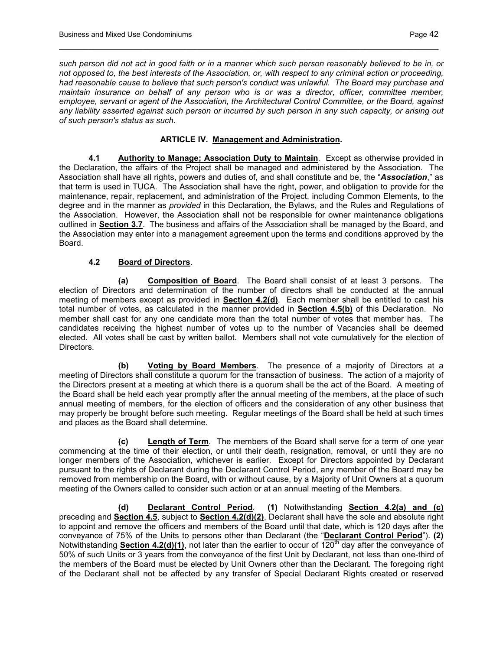*such person did not act in good faith or in a manner which such person reasonably believed to be in, or not opposed to, the best interests of the Association, or, with respect to any criminal action or proceeding, had reasonable cause to believe that such person's conduct was unlawful. The Board may purchase and maintain insurance on behalf of any person who is or was a director, officer, committee member, employee, servant or agent of the Association, the Architectural Control Committee, or the Board, against any liability asserted against such person or incurred by such person in any such capacity, or arising out of such person's status as such.*

 $\mathcal{L}_\mathcal{L} = \{ \mathcal{L}_\mathcal{L} = \{ \mathcal{L}_\mathcal{L} = \{ \mathcal{L}_\mathcal{L} = \{ \mathcal{L}_\mathcal{L} = \{ \mathcal{L}_\mathcal{L} = \{ \mathcal{L}_\mathcal{L} = \{ \mathcal{L}_\mathcal{L} = \{ \mathcal{L}_\mathcal{L} = \{ \mathcal{L}_\mathcal{L} = \{ \mathcal{L}_\mathcal{L} = \{ \mathcal{L}_\mathcal{L} = \{ \mathcal{L}_\mathcal{L} = \{ \mathcal{L}_\mathcal{L} = \{ \mathcal{L}_\mathcal{$ 

## **ARTICLE IV. Management and Administration.**

**4.1 Authority to Manage; Association Duty to Maintain**. Except as otherwise provided in the Declaration, the affairs of the Project shall be managed and administered by the Association. The Association shall have all rights, powers and duties of, and shall constitute and be, the "*Association*," as that term is used in TUCA. The Association shall have the right, power, and obligation to provide for the maintenance, repair, replacement, and administration of the Project, including Common Elements, to the degree and in the manner as *provided* in this Declaration, the Bylaws, and the Rules and Regulations of the Association. However, the Association shall not be responsible for owner maintenance obligations outlined in **Section 3.7**. The business and affairs of the Association shall be managed by the Board, and the Association may enter into a management agreement upon the terms and conditions approved by the Board.

## **4.2 Board of Directors**.

**(a) Composition of Board**. The Board shall consist of at least 3 persons. The election of Directors and determination of the number of directors shall be conducted at the annual meeting of members except as provided in **Section 4.2(d)**. Each member shall be entitled to cast his total number of votes, as calculated in the manner provided in **Section 4.5(b)** of this Declaration. No member shall cast for any one candidate more than the total number of votes that member has. The candidates receiving the highest number of votes up to the number of Vacancies shall be deemed elected. All votes shall be cast by written ballot. Members shall not vote cumulatively for the election of Directors.

**(b) Voting by Board Members**. The presence of a majority of Directors at a meeting of Directors shall constitute a quorum for the transaction of business. The action of a majority of the Directors present at a meeting at which there is a quorum shall be the act of the Board. A meeting of the Board shall be held each year promptly after the annual meeting of the members, at the place of such annual meeting of members, for the election of officers and the consideration of any other business that may properly be brought before such meeting. Regular meetings of the Board shall be held at such times and places as the Board shall determine.

**(c) Length of Term**. The members of the Board shall serve for a term of one year commencing at the time of their election, or until their death, resignation, removal, or until they are no longer members of the Association, whichever is earlier. Except for Directors appointed by Declarant pursuant to the rights of Declarant during the Declarant Control Period, any member of the Board may be removed from membership on the Board, with or without cause, by a Majority of Unit Owners at a quorum meeting of the Owners called to consider such action or at an annual meeting of the Members.

**(d) Declarant Control Period**. **(1)** Notwithstanding **Section 4.2(a) and (c)** preceding and **Section 4.5**, subject to **Section 4.2(d)(2)**, Declarant shall have the sole and absolute right to appoint and remove the officers and members of the Board until that date, which is 120 days after the conveyance of 75% of the Units to persons other than Declarant (the "**Declarant Control Period**"). **(2)** Notwithstanding **Section 4.2(d)(1)**, not later than the earlier to occur of 120<sup>th</sup> day after the conveyance of 50% of such Units or 3 years from the conveyance of the first Unit by Declarant, not less than one-third of the members of the Board must be elected by Unit Owners other than the Declarant. The foregoing right of the Declarant shall not be affected by any transfer of Special Declarant Rights created or reserved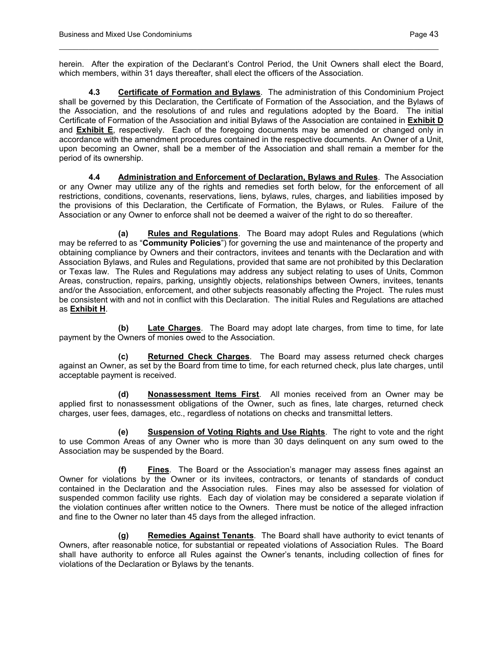herein. After the expiration of the Declarant's Control Period, the Unit Owners shall elect the Board, which members, within 31 days thereafter, shall elect the officers of the Association.

 $\mathcal{L}_\mathcal{L} = \{ \mathcal{L}_\mathcal{L} = \{ \mathcal{L}_\mathcal{L} = \{ \mathcal{L}_\mathcal{L} = \{ \mathcal{L}_\mathcal{L} = \{ \mathcal{L}_\mathcal{L} = \{ \mathcal{L}_\mathcal{L} = \{ \mathcal{L}_\mathcal{L} = \{ \mathcal{L}_\mathcal{L} = \{ \mathcal{L}_\mathcal{L} = \{ \mathcal{L}_\mathcal{L} = \{ \mathcal{L}_\mathcal{L} = \{ \mathcal{L}_\mathcal{L} = \{ \mathcal{L}_\mathcal{L} = \{ \mathcal{L}_\mathcal{$ 

**4.3 Certificate of Formation and Bylaws**. The administration of this Condominium Project shall be governed by this Declaration, the Certificate of Formation of the Association, and the Bylaws of the Association, and the resolutions of and rules and regulations adopted by the Board. The initial Certificate of Formation of the Association and initial Bylaws of the Association are contained in **Exhibit D** and **Exhibit E**, respectively. Each of the foregoing documents may be amended or changed only in accordance with the amendment procedures contained in the respective documents. An Owner of a Unit, upon becoming an Owner, shall be a member of the Association and shall remain a member for the period of its ownership.

**4.4 Administration and Enforcement of Declaration, Bylaws and Rules**. The Association or any Owner may utilize any of the rights and remedies set forth below, for the enforcement of all restrictions, conditions, covenants, reservations, liens, bylaws, rules, charges, and liabilities imposed by the provisions of this Declaration, the Certificate of Formation, the Bylaws, or Rules. Failure of the Association or any Owner to enforce shall not be deemed a waiver of the right to do so thereafter.

**(a) Rules and Regulations**. The Board may adopt Rules and Regulations (which may be referred to as "**Community Policies**") for governing the use and maintenance of the property and obtaining compliance by Owners and their contractors, invitees and tenants with the Declaration and with Association Bylaws, and Rules and Regulations, provided that same are not prohibited by this Declaration or Texas law. The Rules and Regulations may address any subject relating to uses of Units, Common Areas, construction, repairs, parking, unsightly objects, relationships between Owners, invitees, tenants and/or the Association, enforcement, and other subjects reasonably affecting the Project. The rules must be consistent with and not in conflict with this Declaration. The initial Rules and Regulations are attached as **Exhibit H**.

**(b) Late Charges**. The Board may adopt late charges, from time to time, for late payment by the Owners of monies owed to the Association.

**(c) Returned Check Charges**. The Board may assess returned check charges against an Owner, as set by the Board from time to time, for each returned check, plus late charges, until acceptable payment is received.

**(d) Nonassessment Items First**. All monies received from an Owner may be applied first to nonassessment obligations of the Owner, such as fines, late charges, returned check charges, user fees, damages, etc., regardless of notations on checks and transmittal letters.

**(e) Suspension of Voting Rights and Use Rights**. The right to vote and the right to use Common Areas of any Owner who is more than 30 days delinquent on any sum owed to the Association may be suspended by the Board.

**(f) Fines**. The Board or the Association's manager may assess fines against an Owner for violations by the Owner or its invitees, contractors, or tenants of standards of conduct contained in the Declaration and the Association rules. Fines may also be assessed for violation of suspended common facility use rights. Each day of violation may be considered a separate violation if the violation continues after written notice to the Owners. There must be notice of the alleged infraction and fine to the Owner no later than 45 days from the alleged infraction.

**(g) Remedies Against Tenants**. The Board shall have authority to evict tenants of Owners, after reasonable notice, for substantial or repeated violations of Association Rules. The Board shall have authority to enforce all Rules against the Owner's tenants, including collection of fines for violations of the Declaration or Bylaws by the tenants.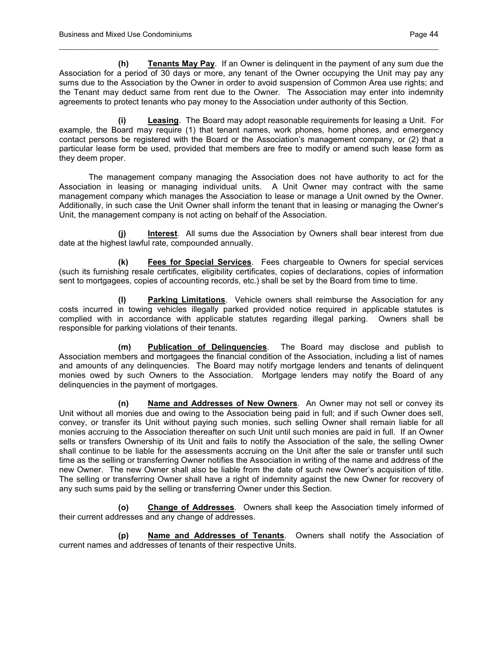**(h) Tenants May Pay**. If an Owner is delinquent in the payment of any sum due the Association for a period of 30 days or more, any tenant of the Owner occupying the Unit may pay any sums due to the Association by the Owner in order to avoid suspension of Common Area use rights; and the Tenant may deduct same from rent due to the Owner. The Association may enter into indemnity agreements to protect tenants who pay money to the Association under authority of this Section.

 $\mathcal{L}_\mathcal{L} = \{ \mathcal{L}_\mathcal{L} = \{ \mathcal{L}_\mathcal{L} = \{ \mathcal{L}_\mathcal{L} = \{ \mathcal{L}_\mathcal{L} = \{ \mathcal{L}_\mathcal{L} = \{ \mathcal{L}_\mathcal{L} = \{ \mathcal{L}_\mathcal{L} = \{ \mathcal{L}_\mathcal{L} = \{ \mathcal{L}_\mathcal{L} = \{ \mathcal{L}_\mathcal{L} = \{ \mathcal{L}_\mathcal{L} = \{ \mathcal{L}_\mathcal{L} = \{ \mathcal{L}_\mathcal{L} = \{ \mathcal{L}_\mathcal{$ 

**(i) Leasing**. The Board may adopt reasonable requirements for leasing a Unit. For example, the Board may require (1) that tenant names, work phones, home phones, and emergency contact persons be registered with the Board or the Association's management company, or (2) that a particular lease form be used, provided that members are free to modify or amend such lease form as they deem proper.

The management company managing the Association does not have authority to act for the Association in leasing or managing individual units. A Unit Owner may contract with the same management company which manages the Association to lease or manage a Unit owned by the Owner. Additionally, in such case the Unit Owner shall inform the tenant that in leasing or managing the Owner's Unit, the management company is not acting on behalf of the Association.

**(j) Interest**. All sums due the Association by Owners shall bear interest from due date at the highest lawful rate, compounded annually.

**(k) Fees for Special Services**. Fees chargeable to Owners for special services (such its furnishing resale certificates, eligibility certificates, copies of declarations, copies of information sent to mortgagees, copies of accounting records, etc.) shall be set by the Board from time to time.

**(l) Parking Limitations**. Vehicle owners shall reimburse the Association for any costs incurred in towing vehicles illegally parked provided notice required in applicable statutes is complied with in accordance with applicable statutes regarding illegal parking. Owners shall be responsible for parking violations of their tenants.

**(m) Publication of Delinquencies**. The Board may disclose and publish to Association members and mortgagees the financial condition of the Association, including a list of names and amounts of any delinquencies. The Board may notify mortgage lenders and tenants of delinquent monies owed by such Owners to the Association. Mortgage lenders may notify the Board of any delinquencies in the payment of mortgages.

**(n) Name and Addresses of New Owners**. An Owner may not sell or convey its Unit without all monies due and owing to the Association being paid in full; and if such Owner does sell, convey, or transfer its Unit without paying such monies, such selling Owner shall remain liable for all monies accruing to the Association thereafter on such Unit until such monies are paid in full. If an Owner sells or transfers Ownership of its Unit and fails to notify the Association of the sale, the selling Owner shall continue to be liable for the assessments accruing on the Unit after the sale or transfer until such time as the selling or transferring Owner notifies the Association in writing of the name and address of the new Owner. The new Owner shall also be liable from the date of such new Owner's acquisition of title. The selling or transferring Owner shall have a right of indemnity against the new Owner for recovery of any such sums paid by the selling or transferring Owner under this Section.

**(o) Change of Addresses**. Owners shall keep the Association timely informed of their current addresses and any change of addresses.

**(p) Name and Addresses of Tenants**. Owners shall notify the Association of current names and addresses of tenants of their respective Units.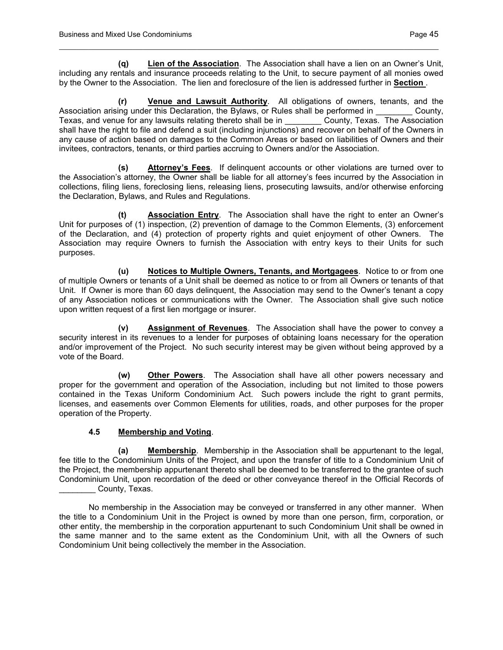**(q) Lien of the Association**. The Association shall have a lien on an Owner's Unit, including any rentals and insurance proceeds relating to the Unit, to secure payment of all monies owed by the Owner to the Association. The lien and foreclosure of the lien is addressed further in **Section** .

 $\mathcal{L}_\mathcal{L} = \{ \mathcal{L}_\mathcal{L} = \{ \mathcal{L}_\mathcal{L} = \{ \mathcal{L}_\mathcal{L} = \{ \mathcal{L}_\mathcal{L} = \{ \mathcal{L}_\mathcal{L} = \{ \mathcal{L}_\mathcal{L} = \{ \mathcal{L}_\mathcal{L} = \{ \mathcal{L}_\mathcal{L} = \{ \mathcal{L}_\mathcal{L} = \{ \mathcal{L}_\mathcal{L} = \{ \mathcal{L}_\mathcal{L} = \{ \mathcal{L}_\mathcal{L} = \{ \mathcal{L}_\mathcal{L} = \{ \mathcal{L}_\mathcal{$ 

**(r) Venue and Lawsuit Authority**. All obligations of owners, tenants, and the Association arising under this Declaration, the Bylaws, or Rules shall be performed in County, Texas, and venue for any lawsuits relating thereto shall be in The County, Texas. The Association shall have the right to file and defend a suit (including injunctions) and recover on behalf of the Owners in any cause of action based on damages to the Common Areas or based on liabilities of Owners and their invitees, contractors, tenants, or third parties accruing to Owners and/or the Association.

**(s) Attorney's Fees**. If delinquent accounts or other violations are turned over to the Association's attorney, the Owner shall be liable for all attorney's fees incurred by the Association in collections, filing liens, foreclosing liens, releasing liens, prosecuting lawsuits, and/or otherwise enforcing the Declaration, Bylaws, and Rules and Regulations.

**(t) Association Entry**. The Association shall have the right to enter an Owner's Unit for purposes of (1) inspection, (2) prevention of damage to the Common Elements, (3) enforcement of the Declaration, and (4) protection of property rights and quiet enjoyment of other Owners. The Association may require Owners to furnish the Association with entry keys to their Units for such purposes.

**(u) Notices to Multiple Owners, Tenants, and Mortgagees**. Notice to or from one of multiple Owners or tenants of a Unit shall be deemed as notice to or from all Owners or tenants of that Unit. If Owner is more than 60 days delinquent, the Association may send to the Owner's tenant a copy of any Association notices or communications with the Owner. The Association shall give such notice upon written request of a first lien mortgage or insurer.

**(v) Assignment of Revenues**. The Association shall have the power to convey a security interest in its revenues to a lender for purposes of obtaining loans necessary for the operation and/or improvement of the Project. No such security interest may be given without being approved by a vote of the Board.

**(w) Other Powers**. The Association shall have all other powers necessary and proper for the government and operation of the Association, including but not limited to those powers contained in the Texas Uniform Condominium Act. Such powers include the right to grant permits, licenses, and easements over Common Elements for utilities, roads, and other purposes for the proper operation of the Property.

## **4.5 Membership and Voting**.

**(a) Membership**. Membership in the Association shall be appurtenant to the legal, fee title to the Condominium Units of the Project, and upon the transfer of title to a Condominium Unit of the Project, the membership appurtenant thereto shall be deemed to be transferred to the grantee of such Condominium Unit, upon recordation of the deed or other conveyance thereof in the Official Records of \_\_\_\_\_\_\_\_ County, Texas.

No membership in the Association may be conveyed or transferred in any other manner. When the title to a Condominium Unit in the Project is owned by more than one person, firm, corporation, or other entity, the membership in the corporation appurtenant to such Condominium Unit shall be owned in the same manner and to the same extent as the Condominium Unit, with all the Owners of such Condominium Unit being collectively the member in the Association.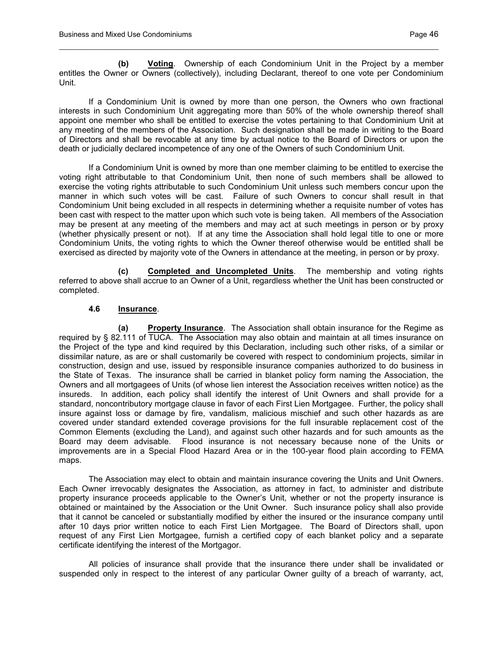**(b) Voting**. Ownership of each Condominium Unit in the Project by a member entitles the Owner or Owners (collectively), including Declarant, thereof to one vote per Condominium Unit.

 $\mathcal{L}_\mathcal{L} = \{ \mathcal{L}_\mathcal{L} = \{ \mathcal{L}_\mathcal{L} = \{ \mathcal{L}_\mathcal{L} = \{ \mathcal{L}_\mathcal{L} = \{ \mathcal{L}_\mathcal{L} = \{ \mathcal{L}_\mathcal{L} = \{ \mathcal{L}_\mathcal{L} = \{ \mathcal{L}_\mathcal{L} = \{ \mathcal{L}_\mathcal{L} = \{ \mathcal{L}_\mathcal{L} = \{ \mathcal{L}_\mathcal{L} = \{ \mathcal{L}_\mathcal{L} = \{ \mathcal{L}_\mathcal{L} = \{ \mathcal{L}_\mathcal{$ 

If a Condominium Unit is owned by more than one person, the Owners who own fractional interests in such Condominium Unit aggregating more than 50% of the whole ownership thereof shall appoint one member who shall be entitled to exercise the votes pertaining to that Condominium Unit at any meeting of the members of the Association. Such designation shall be made in writing to the Board of Directors and shall be revocable at any time by actual notice to the Board of Directors or upon the death or judicially declared incompetence of any one of the Owners of such Condominium Unit.

If a Condominium Unit is owned by more than one member claiming to be entitled to exercise the voting right attributable to that Condominium Unit, then none of such members shall be allowed to exercise the voting rights attributable to such Condominium Unit unless such members concur upon the manner in which such votes will be cast. Failure of such Owners to concur shall result in that Condominium Unit being excluded in all respects in determining whether a requisite number of votes has been cast with respect to the matter upon which such vote is being taken. All members of the Association may be present at any meeting of the members and may act at such meetings in person or by proxy (whether physically present or not). If at any time the Association shall hold legal title to one or more Condominium Units, the voting rights to which the Owner thereof otherwise would be entitled shall be exercised as directed by majority vote of the Owners in attendance at the meeting, in person or by proxy.

**(c) Completed and Uncompleted Units**. The membership and voting rights referred to above shall accrue to an Owner of a Unit, regardless whether the Unit has been constructed or completed.

### **4.6 Insurance**.

**(a) Property Insurance**. The Association shall obtain insurance for the Regime as required by § 82.111 of TUCA. The Association may also obtain and maintain at all times insurance on the Project of the type and kind required by this Declaration, including such other risks, of a similar or dissimilar nature, as are or shall customarily be covered with respect to condominium projects, similar in construction, design and use, issued by responsible insurance companies authorized to do business in the State of Texas. The insurance shall be carried in blanket policy form naming the Association, the Owners and all mortgagees of Units (of whose lien interest the Association receives written notice) as the insureds. In addition, each policy shall identify the interest of Unit Owners and shall provide for a standard, noncontributory mortgage clause in favor of each First Lien Mortgagee. Further, the policy shall insure against loss or damage by fire, vandalism, malicious mischief and such other hazards as are covered under standard extended coverage provisions for the full insurable replacement cost of the Common Elements (excluding the Land), and against such other hazards and for such amounts as the Board may deem advisable. Flood insurance is not necessary because none of the Units or improvements are in a Special Flood Hazard Area or in the 100-year flood plain according to FEMA maps.

The Association may elect to obtain and maintain insurance covering the Units and Unit Owners. Each Owner irrevocably designates the Association, as attorney in fact, to administer and distribute property insurance proceeds applicable to the Owner's Unit, whether or not the property insurance is obtained or maintained by the Association or the Unit Owner. Such insurance policy shall also provide that it cannot be canceled or substantially modified by either the insured or the insurance company until after 10 days prior written notice to each First Lien Mortgagee. The Board of Directors shall, upon request of any First Lien Mortgagee, furnish a certified copy of each blanket policy and a separate certificate identifying the interest of the Mortgagor.

All policies of insurance shall provide that the insurance there under shall be invalidated or suspended only in respect to the interest of any particular Owner guilty of a breach of warranty, act,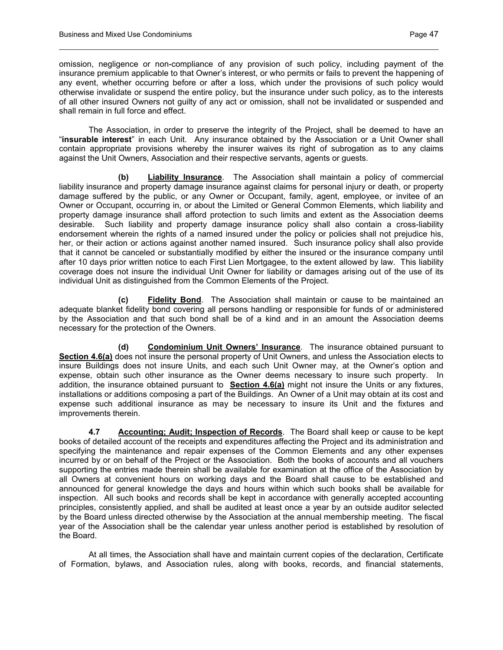omission, negligence or non-compliance of any provision of such policy, including payment of the insurance premium applicable to that Owner's interest, or who permits or fails to prevent the happening of any event, whether occurring before or after a loss, which under the provisions of such policy would otherwise invalidate or suspend the entire policy, but the insurance under such policy, as to the interests of all other insured Owners not guilty of any act or omission, shall not be invalidated or suspended and shall remain in full force and effect.

 $\mathcal{L}_\mathcal{L} = \{ \mathcal{L}_\mathcal{L} = \{ \mathcal{L}_\mathcal{L} = \{ \mathcal{L}_\mathcal{L} = \{ \mathcal{L}_\mathcal{L} = \{ \mathcal{L}_\mathcal{L} = \{ \mathcal{L}_\mathcal{L} = \{ \mathcal{L}_\mathcal{L} = \{ \mathcal{L}_\mathcal{L} = \{ \mathcal{L}_\mathcal{L} = \{ \mathcal{L}_\mathcal{L} = \{ \mathcal{L}_\mathcal{L} = \{ \mathcal{L}_\mathcal{L} = \{ \mathcal{L}_\mathcal{L} = \{ \mathcal{L}_\mathcal{$ 

The Association, in order to preserve the integrity of the Project, shall be deemed to have an "**insurable interest**" in each Unit. Any insurance obtained by the Association or a Unit Owner shall contain appropriate provisions whereby the insurer waives its right of subrogation as to any claims against the Unit Owners, Association and their respective servants, agents or guests.

**(b) Liability Insurance**. The Association shall maintain a policy of commercial liability insurance and property damage insurance against claims for personal injury or death, or property damage suffered by the public, or any Owner or Occupant, family, agent, employee, or invitee of an Owner or Occupant, occurring in, or about the Limited or General Common Elements, which liability and property damage insurance shall afford protection to such limits and extent as the Association deems desirable. Such liability and property damage insurance policy shall also contain a cross-liability endorsement wherein the rights of a named insured under the policy or policies shall not prejudice his, her, or their action or actions against another named insured. Such insurance policy shall also provide that it cannot be canceled or substantially modified by either the insured or the insurance company until after 10 days prior written notice to each First Lien Mortgagee, to the extent allowed by law. This liability coverage does not insure the individual Unit Owner for liability or damages arising out of the use of its individual Unit as distinguished from the Common Elements of the Project.

**(c) Fidelity Bond**. The Association shall maintain or cause to be maintained an adequate blanket fidelity bond covering all persons handling or responsible for funds of or administered by the Association and that such bond shall be of a kind and in an amount the Association deems necessary for the protection of the Owners.

**(d) Condominium Unit Owners' Insurance**. The insurance obtained pursuant to **Section 4.6(a)** does not insure the personal property of Unit Owners, and unless the Association elects to insure Buildings does not insure Units, and each such Unit Owner may, at the Owner's option and expense, obtain such other insurance as the Owner deems necessary to insure such property. In addition, the insurance obtained pursuant to **Section 4.6(a)** might not insure the Units or any fixtures, installations or additions composing a part of the Buildings. An Owner of a Unit may obtain at its cost and expense such additional insurance as may be necessary to insure its Unit and the fixtures and improvements therein.

**4.7 Accounting; Audit; Inspection of Records**. The Board shall keep or cause to be kept books of detailed account of the receipts and expenditures affecting the Project and its administration and specifying the maintenance and repair expenses of the Common Elements and any other expenses incurred by or on behalf of the Project or the Association. Both the books of accounts and all vouchers supporting the entries made therein shall be available for examination at the office of the Association by all Owners at convenient hours on working days and the Board shall cause to be established and announced for general knowledge the days and hours within which such books shall be available for inspection. All such books and records shall be kept in accordance with generally accepted accounting principles, consistently applied, and shall be audited at least once a year by an outside auditor selected by the Board unless directed otherwise by the Association at the annual membership meeting. The fiscal year of the Association shall be the calendar year unless another period is established by resolution of the Board.

At all times, the Association shall have and maintain current copies of the declaration, Certificate of Formation, bylaws, and Association rules, along with books, records, and financial statements,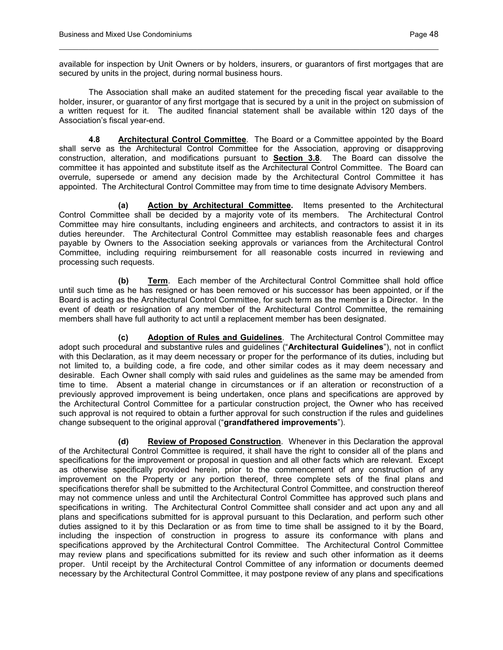available for inspection by Unit Owners or by holders, insurers, or guarantors of first mortgages that are secured by units in the project, during normal business hours.

 $\mathcal{L}_\mathcal{L} = \{ \mathcal{L}_\mathcal{L} = \{ \mathcal{L}_\mathcal{L} = \{ \mathcal{L}_\mathcal{L} = \{ \mathcal{L}_\mathcal{L} = \{ \mathcal{L}_\mathcal{L} = \{ \mathcal{L}_\mathcal{L} = \{ \mathcal{L}_\mathcal{L} = \{ \mathcal{L}_\mathcal{L} = \{ \mathcal{L}_\mathcal{L} = \{ \mathcal{L}_\mathcal{L} = \{ \mathcal{L}_\mathcal{L} = \{ \mathcal{L}_\mathcal{L} = \{ \mathcal{L}_\mathcal{L} = \{ \mathcal{L}_\mathcal{$ 

The Association shall make an audited statement for the preceding fiscal year available to the holder, insurer, or guarantor of any first mortgage that is secured by a unit in the project on submission of a written request for it. The audited financial statement shall be available within 120 days of the Association's fiscal year-end.

**4.8 Architectural Control Committee**. The Board or a Committee appointed by the Board shall serve as the Architectural Control Committee for the Association, approving or disapproving construction, alteration, and modifications pursuant to **Section 3.8**. The Board can dissolve the committee it has appointed and substitute itself as the Architectural Control Committee. The Board can overrule, supersede or amend any decision made by the Architectural Control Committee it has appointed. The Architectural Control Committee may from time to time designate Advisory Members.

**(a) Action by Architectural Committee.** Items presented to the Architectural Control Committee shall be decided by a majority vote of its members. The Architectural Control Committee may hire consultants, including engineers and architects, and contractors to assist it in its duties hereunder. The Architectural Control Committee may establish reasonable fees and charges payable by Owners to the Association seeking approvals or variances from the Architectural Control Committee, including requiring reimbursement for all reasonable costs incurred in reviewing and processing such requests.

**(b) Term**. Each member of the Architectural Control Committee shall hold office until such time as he has resigned or has been removed or his successor has been appointed, or if the Board is acting as the Architectural Control Committee, for such term as the member is a Director. In the event of death or resignation of any member of the Architectural Control Committee, the remaining members shall have full authority to act until a replacement member has been designated.

**(c) Adoption of Rules and Guidelines**. The Architectural Control Committee may adopt such procedural and substantive rules and guidelines ("**Architectural Guidelines**"), not in conflict with this Declaration, as it may deem necessary or proper for the performance of its duties, including but not limited to, a building code, a fire code, and other similar codes as it may deem necessary and desirable. Each Owner shall comply with said rules and guidelines as the same may be amended from time to time. Absent a material change in circumstances or if an alteration or reconstruction of a previously approved improvement is being undertaken, once plans and specifications are approved by the Architectural Control Committee for a particular construction project, the Owner who has received such approval is not required to obtain a further approval for such construction if the rules and guidelines change subsequent to the original approval ("**grandfathered improvements**").

**(d) Review of Proposed Construction**. Whenever in this Declaration the approval of the Architectural Control Committee is required, it shall have the right to consider all of the plans and specifications for the improvement or proposal in question and all other facts which are relevant. Except as otherwise specifically provided herein, prior to the commencement of any construction of any improvement on the Property or any portion thereof, three complete sets of the final plans and specifications therefor shall be submitted to the Architectural Control Committee, and construction thereof may not commence unless and until the Architectural Control Committee has approved such plans and specifications in writing. The Architectural Control Committee shall consider and act upon any and all plans and specifications submitted for is approval pursuant to this Declaration, and perform such other duties assigned to it by this Declaration or as from time to time shall be assigned to it by the Board, including the inspection of construction in progress to assure its conformance with plans and specifications approved by the Architectural Control Committee. The Architectural Control Committee may review plans and specifications submitted for its review and such other information as it deems proper. Until receipt by the Architectural Control Committee of any information or documents deemed necessary by the Architectural Control Committee, it may postpone review of any plans and specifications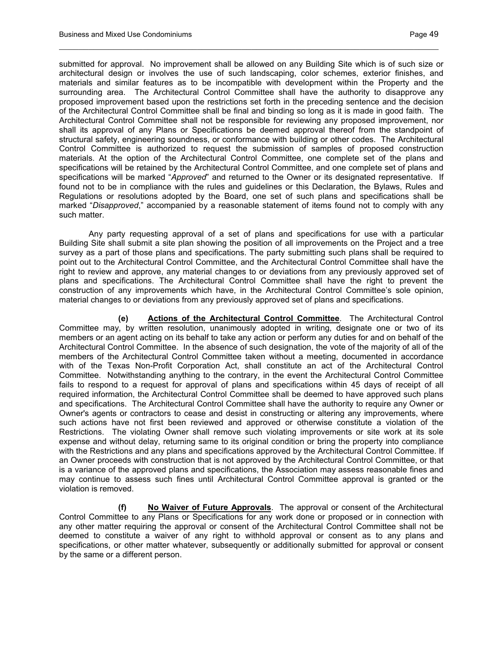submitted for approval. No improvement shall be allowed on any Building Site which is of such size or architectural design or involves the use of such landscaping, color schemes, exterior finishes, and materials and similar features as to be incompatible with development within the Property and the surrounding area. The Architectural Control Committee shall have the authority to disapprove any proposed improvement based upon the restrictions set forth in the preceding sentence and the decision of the Architectural Control Committee shall be final and binding so long as it is made in good faith. The Architectural Control Committee shall not be responsible for reviewing any proposed improvement, nor shall its approval of any Plans or Specifications be deemed approval thereof from the standpoint of structural safety, engineering soundness, or conformance with building or other codes. The Architectural Control Committee is authorized to request the submission of samples of proposed construction materials. At the option of the Architectural Control Committee, one complete set of the plans and specifications will be retained by the Architectural Control Committee, and one complete set of plans and specifications will be marked "*Approved*" and returned to the Owner or its designated representative. If found not to be in compliance with the rules and guidelines or this Declaration, the Bylaws, Rules and Regulations or resolutions adopted by the Board, one set of such plans and specifications shall be marked "*Disapproved*," accompanied by a reasonable statement of items found not to comply with any such matter.

 $\mathcal{L}_\mathcal{L} = \{ \mathcal{L}_\mathcal{L} = \{ \mathcal{L}_\mathcal{L} = \{ \mathcal{L}_\mathcal{L} = \{ \mathcal{L}_\mathcal{L} = \{ \mathcal{L}_\mathcal{L} = \{ \mathcal{L}_\mathcal{L} = \{ \mathcal{L}_\mathcal{L} = \{ \mathcal{L}_\mathcal{L} = \{ \mathcal{L}_\mathcal{L} = \{ \mathcal{L}_\mathcal{L} = \{ \mathcal{L}_\mathcal{L} = \{ \mathcal{L}_\mathcal{L} = \{ \mathcal{L}_\mathcal{L} = \{ \mathcal{L}_\mathcal{$ 

Any party requesting approval of a set of plans and specifications for use with a particular Building Site shall submit a site plan showing the position of all improvements on the Project and a tree survey as a part of those plans and specifications. The party submitting such plans shall be required to point out to the Architectural Control Committee, and the Architectural Control Committee shall have the right to review and approve, any material changes to or deviations from any previously approved set of plans and specifications. The Architectural Control Committee shall have the right to prevent the construction of any improvements which have, in the Architectural Control Committee's sole opinion, material changes to or deviations from any previously approved set of plans and specifications.

**(e) Actions of the Architectural Control Committee**. The Architectural Control Committee may, by written resolution, unanimously adopted in writing, designate one or two of its members or an agent acting on its behalf to take any action or perform any duties for and on behalf of the Architectural Control Committee. In the absence of such designation, the vote of the majority of all of the members of the Architectural Control Committee taken without a meeting, documented in accordance with of the Texas Non-Profit Corporation Act, shall constitute an act of the Architectural Control Committee. Notwithstanding anything to the contrary, in the event the Architectural Control Committee fails to respond to a request for approval of plans and specifications within 45 days of receipt of all required information, the Architectural Control Committee shall be deemed to have approved such plans and specifications. The Architectural Control Committee shall have the authority to require any Owner or Owner's agents or contractors to cease and desist in constructing or altering any improvements, where such actions have not first been reviewed and approved or otherwise constitute a violation of the Restrictions. The violating Owner shall remove such violating improvements or site work at its sole expense and without delay, returning same to its original condition or bring the property into compliance with the Restrictions and any plans and specifications approved by the Architectural Control Committee. If an Owner proceeds with construction that is not approved by the Architectural Control Committee, or that is a variance of the approved plans and specifications, the Association may assess reasonable fines and may continue to assess such fines until Architectural Control Committee approval is granted or the violation is removed.

**(f) No Waiver of Future Approvals**. The approval or consent of the Architectural Control Committee to any Plans or Specifications for any work done or proposed or in connection with any other matter requiring the approval or consent of the Architectural Control Committee shall not be deemed to constitute a waiver of any right to withhold approval or consent as to any plans and specifications, or other matter whatever, subsequently or additionally submitted for approval or consent by the same or a different person.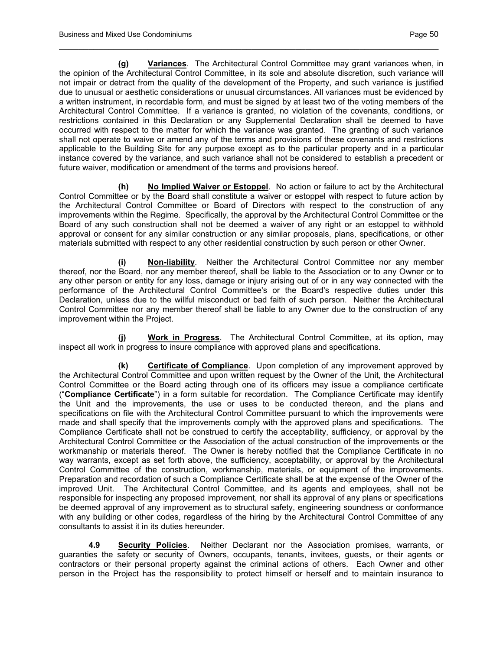**(g) Variances**. The Architectural Control Committee may grant variances when, in the opinion of the Architectural Control Committee, in its sole and absolute discretion, such variance will not impair or detract from the quality of the development of the Property, and such variance is justified due to unusual or aesthetic considerations or unusual circumstances. All variances must be evidenced by a written instrument, in recordable form, and must be signed by at least two of the voting members of the Architectural Control Committee. If a variance is granted, no violation of the covenants, conditions, or restrictions contained in this Declaration or any Supplemental Declaration shall be deemed to have occurred with respect to the matter for which the variance was granted. The granting of such variance shall not operate to waive or amend any of the terms and provisions of these covenants and restrictions applicable to the Building Site for any purpose except as to the particular property and in a particular instance covered by the variance, and such variance shall not be considered to establish a precedent or future waiver, modification or amendment of the terms and provisions hereof.

 $\mathcal{L}_\mathcal{L} = \{ \mathcal{L}_\mathcal{L} = \{ \mathcal{L}_\mathcal{L} = \{ \mathcal{L}_\mathcal{L} = \{ \mathcal{L}_\mathcal{L} = \{ \mathcal{L}_\mathcal{L} = \{ \mathcal{L}_\mathcal{L} = \{ \mathcal{L}_\mathcal{L} = \{ \mathcal{L}_\mathcal{L} = \{ \mathcal{L}_\mathcal{L} = \{ \mathcal{L}_\mathcal{L} = \{ \mathcal{L}_\mathcal{L} = \{ \mathcal{L}_\mathcal{L} = \{ \mathcal{L}_\mathcal{L} = \{ \mathcal{L}_\mathcal{$ 

**(h) No Implied Waiver or Estoppel**. No action or failure to act by the Architectural Control Committee or by the Board shall constitute a waiver or estoppel with respect to future action by the Architectural Control Committee or Board of Directors with respect to the construction of any improvements within the Regime. Specifically, the approval by the Architectural Control Committee or the Board of any such construction shall not be deemed a waiver of any right or an estoppel to withhold approval or consent for any similar construction or any similar proposals, plans, specifications, or other materials submitted with respect to any other residential construction by such person or other Owner.

**(i) Non-liability**. Neither the Architectural Control Committee nor any member thereof, nor the Board, nor any member thereof, shall be liable to the Association or to any Owner or to any other person or entity for any loss, damage or injury arising out of or in any way connected with the performance of the Architectural Control Committee's or the Board's respective duties under this Declaration, unless due to the willful misconduct or bad faith of such person. Neither the Architectural Control Committee nor any member thereof shall be liable to any Owner due to the construction of any improvement within the Project.

**(j) Work in Progress**. The Architectural Control Committee, at its option, may inspect all work in progress to insure compliance with approved plans and specifications.

**(k) Certificate of Compliance**. Upon completion of any improvement approved by the Architectural Control Committee and upon written request by the Owner of the Unit, the Architectural Control Committee or the Board acting through one of its officers may issue a compliance certificate ("**Compliance Certificate**") in a form suitable for recordation. The Compliance Certificate may identify the Unit and the improvements, the use or uses to be conducted thereon, and the plans and specifications on file with the Architectural Control Committee pursuant to which the improvements were made and shall specify that the improvements comply with the approved plans and specifications. The Compliance Certificate shall not be construed to certify the acceptability, sufficiency, or approval by the Architectural Control Committee or the Association of the actual construction of the improvements or the workmanship or materials thereof. The Owner is hereby notified that the Compliance Certificate in no way warrants, except as set forth above, the sufficiency, acceptability, or approval by the Architectural Control Committee of the construction, workmanship, materials, or equipment of the improvements. Preparation and recordation of such a Compliance Certificate shall be at the expense of the Owner of the improved Unit. The Architectural Control Committee, and its agents and employees, shall not be responsible for inspecting any proposed improvement, nor shall its approval of any plans or specifications be deemed approval of any improvement as to structural safety, engineering soundness or conformance with any building or other codes, regardless of the hiring by the Architectural Control Committee of any consultants to assist it in its duties hereunder.

**4.9 Security Policies**. Neither Declarant nor the Association promises, warrants, or guaranties the safety or security of Owners, occupants, tenants, invitees, guests, or their agents or contractors or their personal property against the criminal actions of others. Each Owner and other person in the Project has the responsibility to protect himself or herself and to maintain insurance to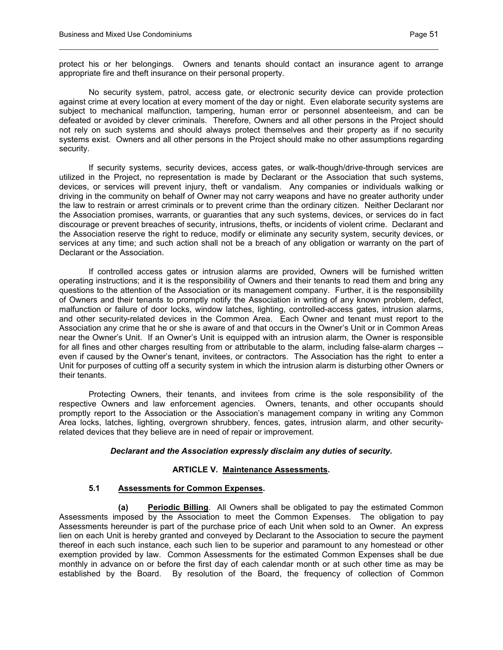protect his or her belongings. Owners and tenants should contact an insurance agent to arrange appropriate fire and theft insurance on their personal property.

 $\mathcal{L}_\mathcal{L} = \{ \mathcal{L}_\mathcal{L} = \{ \mathcal{L}_\mathcal{L} = \{ \mathcal{L}_\mathcal{L} = \{ \mathcal{L}_\mathcal{L} = \{ \mathcal{L}_\mathcal{L} = \{ \mathcal{L}_\mathcal{L} = \{ \mathcal{L}_\mathcal{L} = \{ \mathcal{L}_\mathcal{L} = \{ \mathcal{L}_\mathcal{L} = \{ \mathcal{L}_\mathcal{L} = \{ \mathcal{L}_\mathcal{L} = \{ \mathcal{L}_\mathcal{L} = \{ \mathcal{L}_\mathcal{L} = \{ \mathcal{L}_\mathcal{$ 

No security system, patrol, access gate, or electronic security device can provide protection against crime at every location at every moment of the day or night. Even elaborate security systems are subject to mechanical malfunction, tampering, human error or personnel absenteeism, and can be defeated or avoided by clever criminals. Therefore, Owners and all other persons in the Project should not rely on such systems and should always protect themselves and their property as if no security systems exist. Owners and all other persons in the Project should make no other assumptions regarding security.

If security systems, security devices, access gates, or walk-though/drive-through services are utilized in the Project, no representation is made by Declarant or the Association that such systems, devices, or services will prevent injury, theft or vandalism. Any companies or individuals walking or driving in the community on behalf of Owner may not carry weapons and have no greater authority under the law to restrain or arrest criminals or to prevent crime than the ordinary citizen. Neither Declarant nor the Association promises, warrants, or guaranties that any such systems, devices, or services do in fact discourage or prevent breaches of security, intrusions, thefts, or incidents of violent crime. Declarant and the Association reserve the right to reduce, modify or eliminate any security system, security devices, or services at any time; and such action shall not be a breach of any obligation or warranty on the part of Declarant or the Association.

If controlled access gates or intrusion alarms are provided, Owners will be furnished written operating instructions; and it is the responsibility of Owners and their tenants to read them and bring any questions to the attention of the Association or its management company. Further, it is the responsibility of Owners and their tenants to promptly notify the Association in writing of any known problem, defect, malfunction or failure of door locks, window latches, lighting, controlled-access gates, intrusion alarms, and other security-related devices in the Common Area. Each Owner and tenant must report to the Association any crime that he or she is aware of and that occurs in the Owner's Unit or in Common Areas near the Owner's Unit. If an Owner's Unit is equipped with an intrusion alarm, the Owner is responsible for all fines and other charges resulting from or attributable to the alarm, including false-alarm charges - even if caused by the Owner's tenant, invitees, or contractors. The Association has the right to enter a Unit for purposes of cutting off a security system in which the intrusion alarm is disturbing other Owners or their tenants.

Protecting Owners, their tenants, and invitees from crime is the sole responsibility of the respective Owners and law enforcement agencies. Owners, tenants, and other occupants should promptly report to the Association or the Association's management company in writing any Common Area locks, latches, lighting, overgrown shrubbery, fences, gates, intrusion alarm, and other securityrelated devices that they believe are in need of repair or improvement.

#### *Declarant and the Association expressly disclaim any duties of security.*

## **ARTICLE V. Maintenance Assessments.**

#### **5.1 Assessments for Common Expenses.**

**(a) Periodic Billing**. All Owners shall be obligated to pay the estimated Common Assessments imposed by the Association to meet the Common Expenses. The obligation to pay Assessments hereunder is part of the purchase price of each Unit when sold to an Owner. An express lien on each Unit is hereby granted and conveyed by Declarant to the Association to secure the payment thereof in each such instance, each such lien to be superior and paramount to any homestead or other exemption provided by law. Common Assessments for the estimated Common Expenses shall be due monthly in advance on or before the first day of each calendar month or at such other time as may be established by the Board. By resolution of the Board, the frequency of collection of Common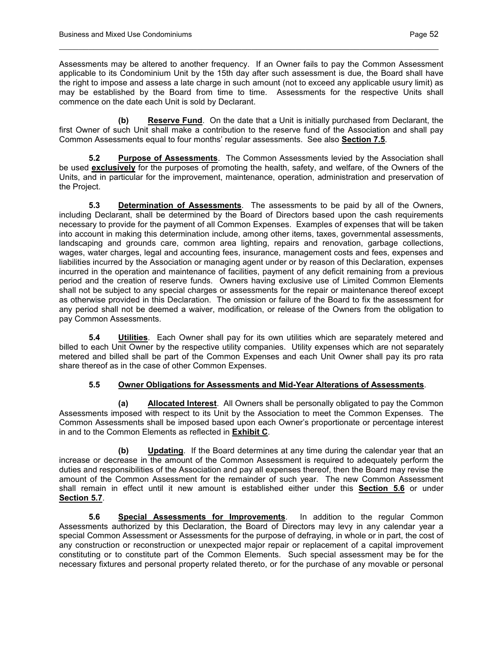Assessments may be altered to another frequency. If an Owner fails to pay the Common Assessment applicable to its Condominium Unit by the 15th day after such assessment is due, the Board shall have the right to impose and assess a late charge in such amount (not to exceed any applicable usury limit) as may be established by the Board from time to time. Assessments for the respective Units shall commence on the date each Unit is sold by Declarant.

 $\mathcal{L}_\mathcal{L} = \{ \mathcal{L}_\mathcal{L} = \{ \mathcal{L}_\mathcal{L} = \{ \mathcal{L}_\mathcal{L} = \{ \mathcal{L}_\mathcal{L} = \{ \mathcal{L}_\mathcal{L} = \{ \mathcal{L}_\mathcal{L} = \{ \mathcal{L}_\mathcal{L} = \{ \mathcal{L}_\mathcal{L} = \{ \mathcal{L}_\mathcal{L} = \{ \mathcal{L}_\mathcal{L} = \{ \mathcal{L}_\mathcal{L} = \{ \mathcal{L}_\mathcal{L} = \{ \mathcal{L}_\mathcal{L} = \{ \mathcal{L}_\mathcal{$ 

**(b) Reserve Fund**. On the date that a Unit is initially purchased from Declarant, the first Owner of such Unit shall make a contribution to the reserve fund of the Association and shall pay Common Assessments equal to four months' regular assessments. See also **Section 7.5**.

**5.2 Purpose of Assessments**. The Common Assessments levied by the Association shall be used **exclusively** for the purposes of promoting the health, safety, and welfare, of the Owners of the Units, and in particular for the improvement, maintenance, operation, administration and preservation of the Project.

**5.3 Determination of Assessments**. The assessments to be paid by all of the Owners, including Declarant, shall be determined by the Board of Directors based upon the cash requirements necessary to provide for the payment of all Common Expenses. Examples of expenses that will be taken into account in making this determination include, among other items, taxes, governmental assessments, landscaping and grounds care, common area lighting, repairs and renovation, garbage collections, wages, water charges, legal and accounting fees, insurance, management costs and fees, expenses and liabilities incurred by the Association or managing agent under or by reason of this Declaration, expenses incurred in the operation and maintenance of facilities, payment of any deficit remaining from a previous period and the creation of reserve funds. Owners having exclusive use of Limited Common Elements shall not be subject to any special charges or assessments for the repair or maintenance thereof except as otherwise provided in this Declaration. The omission or failure of the Board to fix the assessment for any period shall not be deemed a waiver, modification, or release of the Owners from the obligation to pay Common Assessments.

**5.4 Utilities**. Each Owner shall pay for its own utilities which are separately metered and billed to each Unit Owner by the respective utility companies. Utility expenses which are not separately metered and billed shall be part of the Common Expenses and each Unit Owner shall pay its pro rata share thereof as in the case of other Common Expenses.

## **5.5 Owner Obligations for Assessments and Mid-Year Alterations of Assessments**.

**(a) Allocated Interest**. All Owners shall be personally obligated to pay the Common Assessments imposed with respect to its Unit by the Association to meet the Common Expenses. The Common Assessments shall be imposed based upon each Owner's proportionate or percentage interest in and to the Common Elements as reflected in **Exhibit C**.

**(b) Updating**. If the Board determines at any time during the calendar year that an increase or decrease in the amount of the Common Assessment is required to adequately perform the duties and responsibilities of the Association and pay all expenses thereof, then the Board may revise the amount of the Common Assessment for the remainder of such year. The new Common Assessment shall remain in effect until it new amount is established either under this **Section 5.6** or under **Section 5.7**.

**5.6 Special Assessments for Improvements**. In addition to the regular Common Assessments authorized by this Declaration, the Board of Directors may levy in any calendar year a special Common Assessment or Assessments for the purpose of defraying, in whole or in part, the cost of any construction or reconstruction or unexpected major repair or replacement of a capital improvement constituting or to constitute part of the Common Elements. Such special assessment may be for the necessary fixtures and personal property related thereto, or for the purchase of any movable or personal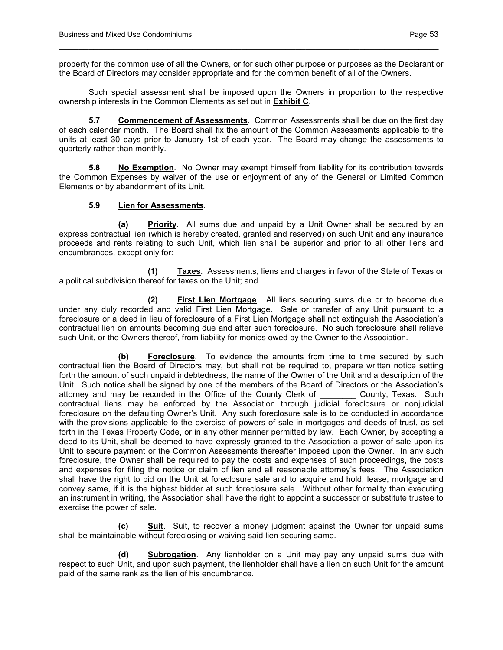property for the common use of all the Owners, or for such other purpose or purposes as the Declarant or the Board of Directors may consider appropriate and for the common benefit of all of the Owners.

 $\mathcal{L}_\mathcal{L} = \{ \mathcal{L}_\mathcal{L} = \{ \mathcal{L}_\mathcal{L} = \{ \mathcal{L}_\mathcal{L} = \{ \mathcal{L}_\mathcal{L} = \{ \mathcal{L}_\mathcal{L} = \{ \mathcal{L}_\mathcal{L} = \{ \mathcal{L}_\mathcal{L} = \{ \mathcal{L}_\mathcal{L} = \{ \mathcal{L}_\mathcal{L} = \{ \mathcal{L}_\mathcal{L} = \{ \mathcal{L}_\mathcal{L} = \{ \mathcal{L}_\mathcal{L} = \{ \mathcal{L}_\mathcal{L} = \{ \mathcal{L}_\mathcal{$ 

Such special assessment shall be imposed upon the Owners in proportion to the respective ownership interests in the Common Elements as set out in **Exhibit C**.

**5.7 Commencement of Assessments**. Common Assessments shall be due on the first day of each calendar month. The Board shall fix the amount of the Common Assessments applicable to the units at least 30 days prior to January 1st of each year. The Board may change the assessments to quarterly rather than monthly.

**5.8 No Exemption**. No Owner may exempt himself from liability for its contribution towards the Common Expenses by waiver of the use or enjoyment of any of the General or Limited Common Elements or by abandonment of its Unit.

### **5.9 Lien for Assessments**.

**(a) Priority**. All sums due and unpaid by a Unit Owner shall be secured by an express contractual lien (which is hereby created, granted and reserved) on such Unit and any insurance proceeds and rents relating to such Unit, which lien shall be superior and prior to all other liens and encumbrances, except only for:

**(1) Taxes**. Assessments, liens and charges in favor of the State of Texas or a political subdivision thereof for taxes on the Unit; and

**(2) First Lien Mortgage**. All liens securing sums due or to become due under any duly recorded and valid First Lien Mortgage. Sale or transfer of any Unit pursuant to a foreclosure or a deed in lieu of foreclosure of a First Lien Mortgage shall not extinguish the Association's contractual lien on amounts becoming due and after such foreclosure. No such foreclosure shall relieve such Unit, or the Owners thereof, from liability for monies owed by the Owner to the Association.

**(b) Foreclosure**. To evidence the amounts from time to time secured by such contractual lien the Board of Directors may, but shall not be required to, prepare written notice setting forth the amount of such unpaid indebtedness, the name of the Owner of the Unit and a description of the Unit. Such notice shall be signed by one of the members of the Board of Directors or the Association's attorney and may be recorded in the Office of the County Clerk of County, Texas. Such attorney and may be recorded in the Office of the County Clerk of contractual liens may be enforced by the Association through judicial foreclosure or nonjudicial foreclosure on the defaulting Owner's Unit. Any such foreclosure sale is to be conducted in accordance with the provisions applicable to the exercise of powers of sale in mortgages and deeds of trust, as set forth in the Texas Property Code, or in any other manner permitted by law. Each Owner, by accepting a deed to its Unit, shall be deemed to have expressly granted to the Association a power of sale upon its Unit to secure payment or the Common Assessments thereafter imposed upon the Owner. In any such foreclosure, the Owner shall be required to pay the costs and expenses of such proceedings, the costs and expenses for filing the notice or claim of lien and all reasonable attorney's fees. The Association shall have the right to bid on the Unit at foreclosure sale and to acquire and hold, lease, mortgage and convey same, if it is the highest bidder at such foreclosure sale. Without other formality than executing an instrument in writing, the Association shall have the right to appoint a successor or substitute trustee to exercise the power of sale.

**(c) Suit**. Suit, to recover a money judgment against the Owner for unpaid sums shall be maintainable without foreclosing or waiving said lien securing same.

**(d) Subrogation**. Any lienholder on a Unit may pay any unpaid sums due with respect to such Unit, and upon such payment, the lienholder shall have a lien on such Unit for the amount paid of the same rank as the lien of his encumbrance.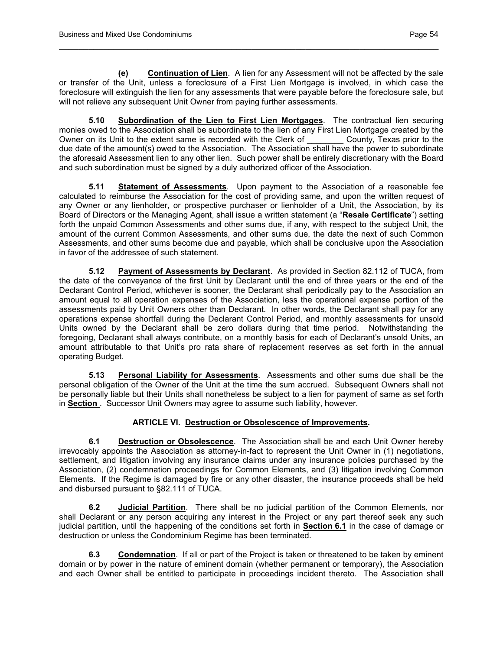**(e) Continuation of Lien**. A lien for any Assessment will not be affected by the sale or transfer of the Unit, unless a foreclosure of a First Lien Mortgage is involved, in which case the foreclosure will extinguish the lien for any assessments that were payable before the foreclosure sale, but will not relieve any subsequent Unit Owner from paying further assessments.

 $\mathcal{L}_\mathcal{L} = \{ \mathcal{L}_\mathcal{L} = \{ \mathcal{L}_\mathcal{L} = \{ \mathcal{L}_\mathcal{L} = \{ \mathcal{L}_\mathcal{L} = \{ \mathcal{L}_\mathcal{L} = \{ \mathcal{L}_\mathcal{L} = \{ \mathcal{L}_\mathcal{L} = \{ \mathcal{L}_\mathcal{L} = \{ \mathcal{L}_\mathcal{L} = \{ \mathcal{L}_\mathcal{L} = \{ \mathcal{L}_\mathcal{L} = \{ \mathcal{L}_\mathcal{L} = \{ \mathcal{L}_\mathcal{L} = \{ \mathcal{L}_\mathcal{$ 

**5.10 Subordination of the Lien to First Lien Mortgages**. The contractual lien securing monies owed to the Association shall be subordinate to the lien of any First Lien Mortgage created by the Owner on its Unit to the extent same is recorded with the Clerk of **County**, Texas prior to the due date of the amount(s) owed to the Association. The Association shall have the power to subordinate the aforesaid Assessment lien to any other lien. Such power shall be entirely discretionary with the Board and such subordination must be signed by a duly authorized officer of the Association.

**5.11 Statement of Assessments**. Upon payment to the Association of a reasonable fee calculated to reimburse the Association for the cost of providing same, and upon the written request of any Owner or any lienholder, or prospective purchaser or lienholder of a Unit, the Association, by its Board of Directors or the Managing Agent, shall issue a written statement (a "**Resale Certificate**") setting forth the unpaid Common Assessments and other sums due, if any, with respect to the subject Unit, the amount of the current Common Assessments, and other sums due, the date the next of such Common Assessments, and other sums become due and payable, which shall be conclusive upon the Association in favor of the addressee of such statement.

**5.12 Payment of Assessments by Declarant**. As provided in Section 82.112 of TUCA, from the date of the conveyance of the first Unit by Declarant until the end of three years or the end of the Declarant Control Period, whichever is sooner, the Declarant shall periodically pay to the Association an amount equal to all operation expenses of the Association, less the operational expense portion of the assessments paid by Unit Owners other than Declarant. In other words, the Declarant shall pay for any operations expense shortfall during the Declarant Control Period, and monthly assessments for unsold Units owned by the Declarant shall be zero dollars during that time period. Notwithstanding the foregoing, Declarant shall always contribute, on a monthly basis for each of Declarant's unsold Units, an amount attributable to that Unit's pro rata share of replacement reserves as set forth in the annual operating Budget.

**5.13 Personal Liability for Assessments**. Assessments and other sums due shall be the personal obligation of the Owner of the Unit at the time the sum accrued. Subsequent Owners shall not be personally liable but their Units shall nonetheless be subject to a lien for payment of same as set forth in **Section** . Successor Unit Owners may agree to assume such liability, however.

## **ARTICLE VI. Destruction or Obsolescence of Improvements.**

**6.1 Destruction or Obsolescence**. The Association shall be and each Unit Owner hereby irrevocably appoints the Association as attorney-in-fact to represent the Unit Owner in (1) negotiations, settlement, and litigation involving any insurance claims under any insurance policies purchased by the Association, (2) condemnation proceedings for Common Elements, and (3) litigation involving Common Elements. If the Regime is damaged by fire or any other disaster, the insurance proceeds shall be held and disbursed pursuant to §82.111 of TUCA.

**6.2 Judicial Partition**. There shall be no judicial partition of the Common Elements, nor shall Declarant or any person acquiring any interest in the Project or any part thereof seek any such judicial partition, until the happening of the conditions set forth in **Section 6.1** in the case of damage or destruction or unless the Condominium Regime has been terminated.

**6.3 Condemnation**. If all or part of the Project is taken or threatened to be taken by eminent domain or by power in the nature of eminent domain (whether permanent or temporary), the Association and each Owner shall be entitled to participate in proceedings incident thereto. The Association shall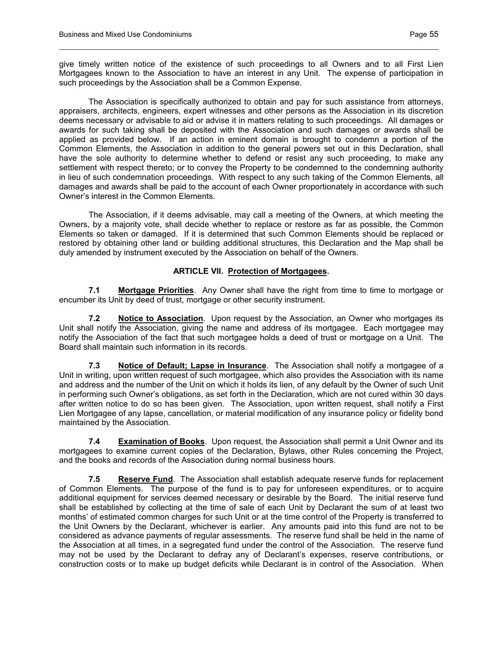give timely written notice of the existence of such proceedings to all Owners and to all First Lien Mortgagees known to the Association to have an interest in any Unit. The expense of participation in such proceedings by the Association shall be a Common Expense.

 $\mathcal{L}_\mathcal{L} = \{ \mathcal{L}_\mathcal{L} = \{ \mathcal{L}_\mathcal{L} = \{ \mathcal{L}_\mathcal{L} = \{ \mathcal{L}_\mathcal{L} = \{ \mathcal{L}_\mathcal{L} = \{ \mathcal{L}_\mathcal{L} = \{ \mathcal{L}_\mathcal{L} = \{ \mathcal{L}_\mathcal{L} = \{ \mathcal{L}_\mathcal{L} = \{ \mathcal{L}_\mathcal{L} = \{ \mathcal{L}_\mathcal{L} = \{ \mathcal{L}_\mathcal{L} = \{ \mathcal{L}_\mathcal{L} = \{ \mathcal{L}_\mathcal{$ 

The Association is specifically authorized to obtain and pay for such assistance from attorneys, appraisers, architects, engineers, expert witnesses and other persons as the Association in its discretion deems necessary or advisable to aid or advise it in matters relating to such proceedings. All damages or awards for such taking shall be deposited with the Association and such damages or awards shall be applied as provided below. If an action in eminent domain is brought to condemn a portion of the Common Elements, the Association in addition to the general powers set out in this Declaration, shall have the sole authority to determine whether to defend or resist any such proceeding, to make any settlement with respect thereto; or to convey the Property to be condemned to the condemning authority in lieu of such condemnation proceedings. With respect to any such taking of the Common Elements, all damages and awards shall be paid to the account of each Owner proportionately in accordance with such Owner's interest in the Common Elements.

The Association, if it deems advisable, may call a meeting of the Owners, at which meeting the Owners, by a majority vote, shall decide whether to replace or restore as far as possible, the Common Elements so taken or damaged. If it is determined that such Common Elements should be replaced or restored by obtaining other land or building additional structures, this Declaration and the Map shall be duly amended by instrument executed by the Association on behalf of the Owners.

## **ARTICLE VII. Protection of Mortgagees.**

**7.1 Mortgage Priorities**. Any Owner shall have the right from time to time to mortgage or encumber its Unit by deed of trust, mortgage or other security instrument.

**7.2 Notice to Association**. Upon request by the Association, an Owner who mortgages its Unit shall notify the Association, giving the name and address of its mortgagee. Each mortgagee may notify the Association of the fact that such mortgagee holds a deed of trust or mortgage on a Unit. The Board shall maintain such information in its records.

**7.3 Notice of Default; Lapse in Insurance**. The Association shall notify a mortgagee of a Unit in writing, upon written request of such mortgagee, which also provides the Association with its name and address and the number of the Unit on which it holds its lien, of any default by the Owner of such Unit in performing such Owner's obligations, as set forth in the Declaration, which are not cured within 30 days after written notice to do so has been given. The Association, upon written request, shall notify a First Lien Mortgagee of any lapse, cancellation, or material modification of any insurance policy or fidelity bond maintained by the Association.

**7.4 Examination of Books**. Upon request, the Association shall permit a Unit Owner and its mortgagees to examine current copies of the Declaration, Bylaws, other Rules concerning the Project, and the books and records of the Association during normal business hours.

**7.5 Reserve Fund**. The Association shall establish adequate reserve funds for replacement of Common Elements. The purpose of the fund is to pay for unforeseen expenditures, or to acquire additional equipment for services deemed necessary or desirable by the Board. The initial reserve fund shall be established by collecting at the time of sale of each Unit by Declarant the sum of at least two months' of estimated common charges for such Unit or at the time control of the Property is transferred to the Unit Owners by the Declarant, whichever is earlier. Any amounts paid into this fund are not to be considered as advance payments of regular assessments. The reserve fund shall be held in the name of the Association at all times, in a segregated fund under the control of the Association. The reserve fund may not be used by the Declarant to defray any of Declarant's expenses, reserve contributions, or construction costs or to make up budget deficits while Declarant is in control of the Association. When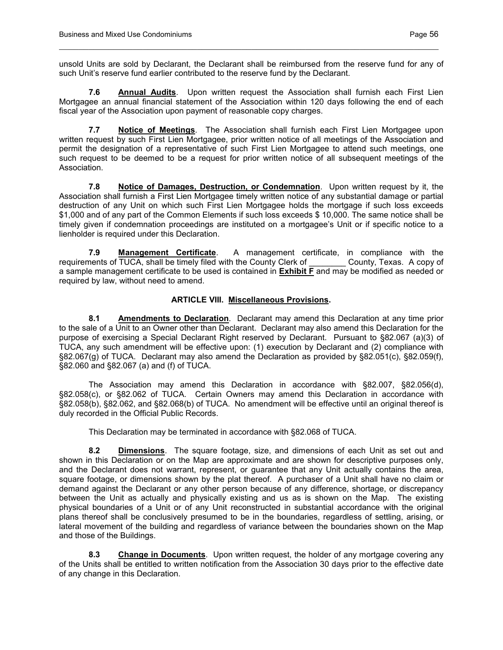unsold Units are sold by Declarant, the Declarant shall be reimbursed from the reserve fund for any of such Unit's reserve fund earlier contributed to the reserve fund by the Declarant.

 $\mathcal{L}_\mathcal{L} = \{ \mathcal{L}_\mathcal{L} = \{ \mathcal{L}_\mathcal{L} = \{ \mathcal{L}_\mathcal{L} = \{ \mathcal{L}_\mathcal{L} = \{ \mathcal{L}_\mathcal{L} = \{ \mathcal{L}_\mathcal{L} = \{ \mathcal{L}_\mathcal{L} = \{ \mathcal{L}_\mathcal{L} = \{ \mathcal{L}_\mathcal{L} = \{ \mathcal{L}_\mathcal{L} = \{ \mathcal{L}_\mathcal{L} = \{ \mathcal{L}_\mathcal{L} = \{ \mathcal{L}_\mathcal{L} = \{ \mathcal{L}_\mathcal{$ 

**7.6 Annual Audits**. Upon written request the Association shall furnish each First Lien Mortgagee an annual financial statement of the Association within 120 days following the end of each fiscal year of the Association upon payment of reasonable copy charges.

**7.7 Notice of Meetings**. The Association shall furnish each First Lien Mortgagee upon written request by such First Lien Mortgagee, prior written notice of all meetings of the Association and permit the designation of a representative of such First Lien Mortgagee to attend such meetings, one such request to be deemed to be a request for prior written notice of all subsequent meetings of the Association.

**7.8 Notice of Damages, Destruction, or Condemnation**. Upon written request by it, the Association shall furnish a First Lien Mortgagee timely written notice of any substantial damage or partial destruction of any Unit on which such First Lien Mortgagee holds the mortgage if such loss exceeds \$1,000 and of any part of the Common Elements if such loss exceeds \$ 10,000. The same notice shall be timely given if condemnation proceedings are instituted on a mortgagee's Unit or if specific notice to a lienholder is required under this Declaration.

**7.9 Management Certificate**. A management certificate, in compliance with the requirements of TUCA, shall be timely filed with the County Clerk of Tuck County, Texas. A copy of a sample management certificate to be used is contained in **Exhibit F** and may be modified as needed or required by law, without need to amend.

## **ARTICLE VIII. Miscellaneous Provisions.**

**8.1 Amendments to Declaration**. Declarant may amend this Declaration at any time prior to the sale of a Unit to an Owner other than Declarant. Declarant may also amend this Declaration for the purpose of exercising a Special Declarant Right reserved by Declarant. Pursuant to §82.067 (a)(3) of TUCA, any such amendment will be effective upon: (1) execution by Declarant and (2) compliance with §82.067(g) of TUCA. Declarant may also amend the Declaration as provided by §82.051(c), §82.059(f), §82.060 and §82.067 (a) and (f) of TUCA.

The Association may amend this Declaration in accordance with §82.007, §82.056(d), §82.058(c), or §82.062 of TUCA. Certain Owners may amend this Declaration in accordance with §82.058(b), §82.062, and §82.068(b) of TUCA. No amendment will be effective until an original thereof is duly recorded in the Official Public Records.

This Declaration may be terminated in accordance with §82.068 of TUCA.

**8.2 Dimensions**. The square footage, size, and dimensions of each Unit as set out and shown in this Declaration or on the Map are approximate and are shown for descriptive purposes only, and the Declarant does not warrant, represent, or guarantee that any Unit actually contains the area, square footage, or dimensions shown by the plat thereof. A purchaser of a Unit shall have no claim or demand against the Declarant or any other person because of any difference, shortage, or discrepancy between the Unit as actually and physically existing and us as is shown on the Map. The existing physical boundaries of a Unit or of any Unit reconstructed in substantial accordance with the original plans thereof shall be conclusively presumed to be in the boundaries, regardless of settling, arising, or lateral movement of the building and regardless of variance between the boundaries shown on the Map and those of the Buildings.

**8.3 Change in Documents**. Upon written request, the holder of any mortgage covering any of the Units shall be entitled to written notification from the Association 30 days prior to the effective date of any change in this Declaration.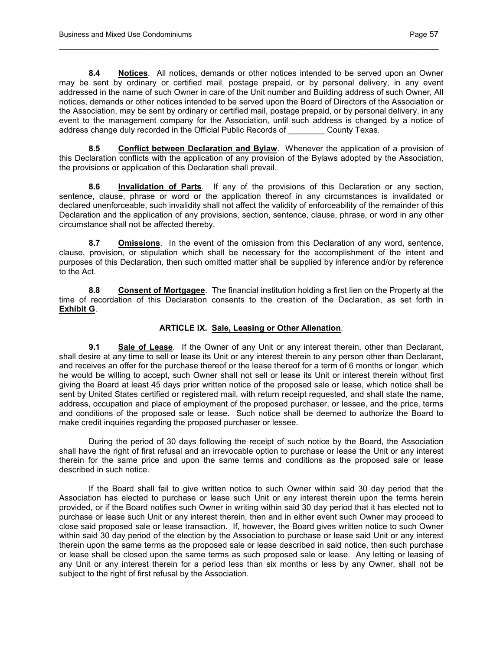**8.4 Notices**. All notices, demands or other notices intended to be served upon an Owner may be sent by ordinary or certified mail, postage prepaid, or by personal delivery, in any event addressed in the name of such Owner in care of the Unit number and Building address of such Owner, All notices, demands or other notices intended to be served upon the Board of Directors of the Association or the Association, may be sent by ordinary or certified mail, postage prepaid, or by personal delivery, in any event to the management company for the Association, until such address is changed by a notice of address change duly recorded in the Official Public Records of \_\_\_\_\_\_\_\_ County Texas.

 $\mathcal{L}_\mathcal{L} = \{ \mathcal{L}_\mathcal{L} = \{ \mathcal{L}_\mathcal{L} = \{ \mathcal{L}_\mathcal{L} = \{ \mathcal{L}_\mathcal{L} = \{ \mathcal{L}_\mathcal{L} = \{ \mathcal{L}_\mathcal{L} = \{ \mathcal{L}_\mathcal{L} = \{ \mathcal{L}_\mathcal{L} = \{ \mathcal{L}_\mathcal{L} = \{ \mathcal{L}_\mathcal{L} = \{ \mathcal{L}_\mathcal{L} = \{ \mathcal{L}_\mathcal{L} = \{ \mathcal{L}_\mathcal{L} = \{ \mathcal{L}_\mathcal{$ 

**8.5 Conflict between Declaration and Bylaw**. Whenever the application of a provision of this Declaration conflicts with the application of any provision of the Bylaws adopted by the Association, the provisions or application of this Declaration shall prevail.

**8.6 Invalidation of Parts**. If any of the provisions of this Declaration or any section, sentence, clause, phrase or word or the application thereof in any circumstances is invalidated or declared unenforceable, such invalidity shall not affect the validity of enforceability of the remainder of this Declaration and the application of any provisions, section, sentence, clause, phrase, or word in any other circumstance shall not be affected thereby.

**8.7 Omissions**. In the event of the omission from this Declaration of any word, sentence, clause, provision, or stipulation which shall be necessary for the accomplishment of the intent and purposes of this Declaration, then such omitted matter shall be supplied by inference and/or by reference to the Act.

**8.8 Consent of Mortgagee**. The financial institution holding a first lien on the Property at the time of recordation of this Declaration consents to the creation of the Declaration, as set forth in **Exhibit G**.

#### **ARTICLE IX. Sale, Leasing or Other Alienation**.

**9.1 Sale of Lease**. If the Owner of any Unit or any interest therein, other than Declarant, shall desire at any time to sell or lease its Unit or any interest therein to any person other than Declarant, and receives an offer for the purchase thereof or the lease thereof for a term of 6 months or longer, which he would be willing to accept, such Owner shall not sell or lease its Unit or interest therein without first giving the Board at least 45 days prior written notice of the proposed sale or lease, which notice shall be sent by United States certified or registered mail, with return receipt requested, and shall state the name, address, occupation and place of employment of the proposed purchaser, or lessee, and the price, terms and conditions of the proposed sale or lease. Such notice shall be deemed to authorize the Board to make credit inquiries regarding the proposed purchaser or lessee.

During the period of 30 days following the receipt of such notice by the Board, the Association shall have the right of first refusal and an irrevocable option to purchase or lease the Unit or any interest therein for the same price and upon the same terms and conditions as the proposed sale or lease described in such notice.

If the Board shall fail to give written notice to such Owner within said 30 day period that the Association has elected to purchase or lease such Unit or any interest therein upon the terms herein provided, or if the Board notifies such Owner in writing within said 30 day period that it has elected not to purchase or lease such Unit or any interest therein, then and in either event such Owner may proceed to close said proposed sale or lease transaction. If, however, the Board gives written notice to such Owner within said 30 day period of the election by the Association to purchase or lease said Unit or any interest therein upon the same terms as the proposed sale or lease described in said notice, then such purchase or lease shall be closed upon the same terms as such proposed sale or lease. Any letting or leasing of any Unit or any interest therein for a period less than six months or less by any Owner, shall not be subject to the right of first refusal by the Association.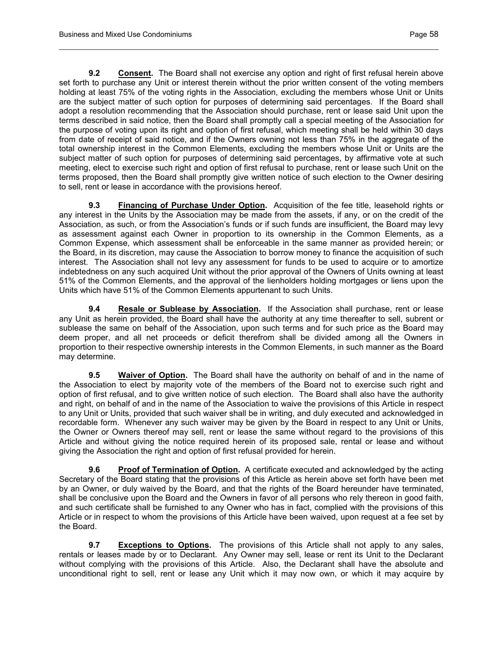**9.2 Consent.** The Board shall not exercise any option and right of first refusal herein above set forth to purchase any Unit or interest therein without the prior written consent of the voting members holding at least 75% of the voting rights in the Association, excluding the members whose Unit or Units are the subject matter of such option for purposes of determining said percentages. If the Board shall adopt a resolution recommending that the Association should purchase, rent or lease said Unit upon the terms described in said notice, then the Board shall promptly call a special meeting of the Association for the purpose of voting upon its right and option of first refusal, which meeting shall be held within 30 days from date of receipt of said notice, and if the Owners owning not less than 75% in the aggregate of the total ownership interest in the Common Elements, excluding the members whose Unit or Units are the subject matter of such option for purposes of determining said percentages, by affirmative vote at such meeting, elect to exercise such right and option of first refusal to purchase, rent or lease such Unit on the terms proposed, then the Board shall promptly give written notice of such election to the Owner desiring to sell, rent or lease in accordance with the provisions hereof.

 $\mathcal{L}_\mathcal{L} = \{ \mathcal{L}_\mathcal{L} = \{ \mathcal{L}_\mathcal{L} = \{ \mathcal{L}_\mathcal{L} = \{ \mathcal{L}_\mathcal{L} = \{ \mathcal{L}_\mathcal{L} = \{ \mathcal{L}_\mathcal{L} = \{ \mathcal{L}_\mathcal{L} = \{ \mathcal{L}_\mathcal{L} = \{ \mathcal{L}_\mathcal{L} = \{ \mathcal{L}_\mathcal{L} = \{ \mathcal{L}_\mathcal{L} = \{ \mathcal{L}_\mathcal{L} = \{ \mathcal{L}_\mathcal{L} = \{ \mathcal{L}_\mathcal{$ 

**9.3 Financing of Purchase Under Option.** Acquisition of the fee title, leasehold rights or any interest in the Units by the Association may be made from the assets, if any, or on the credit of the Association, as such, or from the Association's funds or if such funds are insufficient, the Board may levy as assessment against each Owner in proportion to its ownership in the Common Elements, as a Common Expense, which assessment shall be enforceable in the same manner as provided herein; or the Board, in its discretion, may cause the Association to borrow money to finance the acquisition of such interest. The Association shall not levy any assessment for funds to be used to acquire or to amortize indebtedness on any such acquired Unit without the prior approval of the Owners of Units owning at least 51% of the Common Elements, and the approval of the lienholders holding mortgages or liens upon the Units which have 51% of the Common Elements appurtenant to such Units.

**9.4 Resale or Sublease by Association.** If the Association shall purchase, rent or lease any Unit as herein provided, the Board shall have the authority at any time thereafter to sell, subrent or sublease the same on behalf of the Association, upon such terms and for such price as the Board may deem proper, and all net proceeds or deficit therefrom shall be divided among all the Owners in proportion to their respective ownership interests in the Common Elements, in such manner as the Board may determine.

**9.5 Waiver of Option.** The Board shall have the authority on behalf of and in the name of the Association to elect by majority vote of the members of the Board not to exercise such right and option of first refusal, and to give written notice of such election. The Board shall also have the authority and right, on behalf of and in the name of the Association to waive the provisions of this Article in respect to any Unit or Units, provided that such waiver shall be in writing, and duly executed and acknowledged in recordable form. Whenever any such waiver may be given by the Board in respect to any Unit or Units, the Owner or Owners thereof may sell, rent or lease the same without regard to the provisions of this Article and without giving the notice required herein of its proposed sale, rental or lease and without giving the Association the right and option of first refusal provided for herein.

**9.6 Proof of Termination of Option.** A certificate executed and acknowledged by the acting Secretary of the Board stating that the provisions of this Article as herein above set forth have been met by an Owner, or duly waived by the Board, and that the rights of the Board hereunder have terminated, shall be conclusive upon the Board and the Owners in favor of all persons who rely thereon in good faith, and such certificate shall be furnished to any Owner who has in fact, complied with the provisions of this Article or in respect to whom the provisions of this Article have been waived, upon request at a fee set by the Board.

**9.7 Exceptions to Options.** The provisions of this Article shall not apply to any sales, rentals or leases made by or to Declarant. Any Owner may sell, lease or rent its Unit to the Declarant without complying with the provisions of this Article. Also, the Declarant shall have the absolute and unconditional right to sell, rent or lease any Unit which it may now own, or which it may acquire by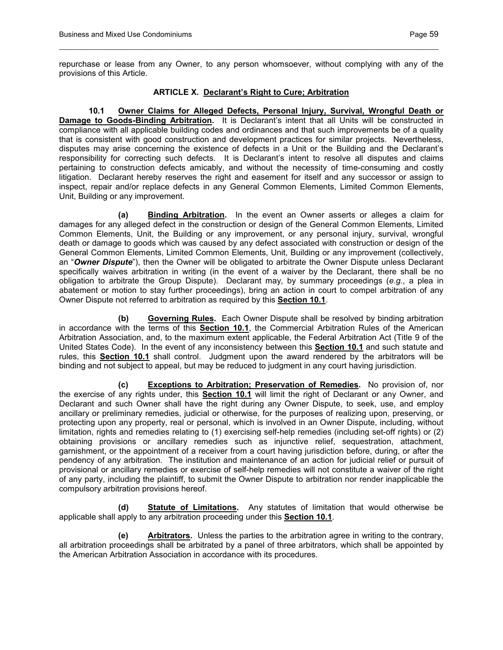repurchase or lease from any Owner, to any person whomsoever, without complying with any of the provisions of this Article.

 $\mathcal{L}_\mathcal{L} = \{ \mathcal{L}_\mathcal{L} = \{ \mathcal{L}_\mathcal{L} = \{ \mathcal{L}_\mathcal{L} = \{ \mathcal{L}_\mathcal{L} = \{ \mathcal{L}_\mathcal{L} = \{ \mathcal{L}_\mathcal{L} = \{ \mathcal{L}_\mathcal{L} = \{ \mathcal{L}_\mathcal{L} = \{ \mathcal{L}_\mathcal{L} = \{ \mathcal{L}_\mathcal{L} = \{ \mathcal{L}_\mathcal{L} = \{ \mathcal{L}_\mathcal{L} = \{ \mathcal{L}_\mathcal{L} = \{ \mathcal{L}_\mathcal{$ 

## **ARTICLE X. Declarant's Right to Cure; Arbitration**

**10.1 Owner Claims for Alleged Defects, Personal Injury, Survival, Wrongful Death or Damage to Goods-Binding Arbitration.** It is Declarant's intent that all Units will be constructed in compliance with all applicable building codes and ordinances and that such improvements be of a quality that is consistent with good construction and development practices for similar projects. Nevertheless, disputes may arise concerning the existence of defects in a Unit or the Building and the Declarant's responsibility for correcting such defects. It is Declarant's intent to resolve all disputes and claims pertaining to construction defects amicably, and without the necessity of time-consuming and costly litigation. Declarant hereby reserves the right and easement for itself and any successor or assign to inspect, repair and/or replace defects in any General Common Elements, Limited Common Elements, Unit, Building or any improvement.

**(a) Binding Arbitration.** In the event an Owner asserts or alleges a claim for damages for any alleged defect in the construction or design of the General Common Elements, Limited Common Elements, Unit, the Building or any improvement, or any personal injury, survival, wrongful death or damage to goods which was caused by any defect associated with construction or design of the General Common Elements, Limited Common Elements, Unit, Building or any improvement (collectively, an "*Owner Dispute*"), then the Owner will be obligated to arbitrate the Owner Dispute unless Declarant specifically waives arbitration in writing (in the event of a waiver by the Declarant, there shall be no obligation to arbitrate the Group Dispute). Declarant may, by summary proceedings (*e.g.*, a plea in abatement or motion to stay further proceedings), bring an action in court to compel arbitration of any Owner Dispute not referred to arbitration as required by this **Section 10.1**.

**(b) Governing Rules.** Each Owner Dispute shall be resolved by binding arbitration in accordance with the terms of this **Section 10.1**, the Commercial Arbitration Rules of the American Arbitration Association, and, to the maximum extent applicable, the Federal Arbitration Act (Title 9 of the United States Code). In the event of any inconsistency between this **Section 10.1** and such statute and rules, this **Section 10.1** shall control. Judgment upon the award rendered by the arbitrators will be binding and not subject to appeal, but may be reduced to judgment in any court having jurisdiction.

**(c) Exceptions to Arbitration; Preservation of Remedies.** No provision of, nor the exercise of any rights under, this **Section 10.1** will limit the right of Declarant or any Owner, and Declarant and such Owner shall have the right during any Owner Dispute, to seek, use, and employ ancillary or preliminary remedies, judicial or otherwise, for the purposes of realizing upon, preserving, or protecting upon any property, real or personal, which is involved in an Owner Dispute, including, without limitation, rights and remedies relating to (1) exercising self-help remedies (including set-off rights) or (2) obtaining provisions or ancillary remedies such as injunctive relief, sequestration, attachment, garnishment, or the appointment of a receiver from a court having jurisdiction before, during, or after the pendency of any arbitration. The institution and maintenance of an action for judicial relief or pursuit of provisional or ancillary remedies or exercise of self-help remedies will not constitute a waiver of the right of any party, including the plaintiff, to submit the Owner Dispute to arbitration nor render inapplicable the compulsory arbitration provisions hereof.

**(d) Statute of Limitations.** Any statutes of limitation that would otherwise be applicable shall apply to any arbitration proceeding under this **Section 10.1**.

**(e) Arbitrators.** Unless the parties to the arbitration agree in writing to the contrary, all arbitration proceedings shall be arbitrated by a panel of three arbitrators, which shall be appointed by the American Arbitration Association in accordance with its procedures.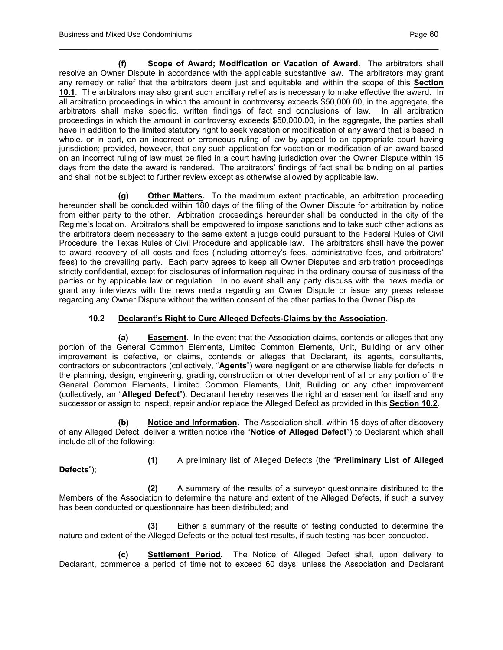**(f) Scope of Award; Modification or Vacation of Award.** The arbitrators shall resolve an Owner Dispute in accordance with the applicable substantive law. The arbitrators may grant any remedy or relief that the arbitrators deem just and equitable and within the scope of this **Section 10.1**. The arbitrators may also grant such ancillary relief as is necessary to make effective the award. In all arbitration proceedings in which the amount in controversy exceeds \$50,000,00, in the aggregate, the arbitrators shall make specific, written findings of fact and conclusions of law. In all arbitration proceedings in which the amount in controversy exceeds \$50,000.00, in the aggregate, the parties shall have in addition to the limited statutory right to seek vacation or modification of any award that is based in whole, or in part, on an incorrect or erroneous ruling of law by appeal to an appropriate court having jurisdiction; provided, however, that any such application for vacation or modification of an award based on an incorrect ruling of law must be filed in a court having jurisdiction over the Owner Dispute within 15 days from the date the award is rendered. The arbitrators' findings of fact shall be binding on all parties and shall not be subject to further review except as otherwise allowed by applicable law.

 $\mathcal{L}_\mathcal{L} = \{ \mathcal{L}_\mathcal{L} = \{ \mathcal{L}_\mathcal{L} = \{ \mathcal{L}_\mathcal{L} = \{ \mathcal{L}_\mathcal{L} = \{ \mathcal{L}_\mathcal{L} = \{ \mathcal{L}_\mathcal{L} = \{ \mathcal{L}_\mathcal{L} = \{ \mathcal{L}_\mathcal{L} = \{ \mathcal{L}_\mathcal{L} = \{ \mathcal{L}_\mathcal{L} = \{ \mathcal{L}_\mathcal{L} = \{ \mathcal{L}_\mathcal{L} = \{ \mathcal{L}_\mathcal{L} = \{ \mathcal{L}_\mathcal{$ 

**(g) Other Matters.** To the maximum extent practicable, an arbitration proceeding hereunder shall be concluded within 180 days of the filing of the Owner Dispute for arbitration by notice from either party to the other. Arbitration proceedings hereunder shall be conducted in the city of the Regime's location. Arbitrators shall be empowered to impose sanctions and to take such other actions as the arbitrators deem necessary to the same extent a judge could pursuant to the Federal Rules of Civil Procedure, the Texas Rules of Civil Procedure and applicable law. The arbitrators shall have the power to award recovery of all costs and fees (including attorney's fees, administrative fees, and arbitrators' fees) to the prevailing party. Each party agrees to keep all Owner Disputes and arbitration proceedings strictly confidential, except for disclosures of information required in the ordinary course of business of the parties or by applicable law or regulation. In no event shall any party discuss with the news media or grant any interviews with the news media regarding an Owner Dispute or issue any press release regarding any Owner Dispute without the written consent of the other parties to the Owner Dispute.

### **10.2 Declarant's Right to Cure Alleged Defects-Claims by the Association**.

**(a) Easement.** In the event that the Association claims, contends or alleges that any portion of the General Common Elements, Limited Common Elements, Unit, Building or any other improvement is defective, or claims, contends or alleges that Declarant, its agents, consultants, contractors or subcontractors (collectively, "**Agents**") were negligent or are otherwise liable for defects in the planning, design, engineering, grading, construction or other development of all or any portion of the General Common Elements, Limited Common Elements, Unit, Building or any other improvement (collectively, an "**Alleged Defect**"), Declarant hereby reserves the right and easement for itself and any successor or assign to inspect, repair and/or replace the Alleged Defect as provided in this **Section 10.2**.

**(b) Notice and Information.** The Association shall, within 15 days of after discovery of any Alleged Defect, deliver a written notice (the "**Notice of Alleged Defect**") to Declarant which shall include all of the following:

**Defects**");

**(1)** A preliminary list of Alleged Defects (the "**Preliminary List of Alleged** 

**(2)** A summary of the results of a surveyor questionnaire distributed to the Members of the Association to determine the nature and extent of the Alleged Defects, if such a survey has been conducted or questionnaire has been distributed; and

**(3)** Either a summary of the results of testing conducted to determine the nature and extent of the Alleged Defects or the actual test results, if such testing has been conducted.

**(c) Settlement Period.** The Notice of Alleged Defect shall, upon delivery to Declarant, commence a period of time not to exceed 60 days, unless the Association and Declarant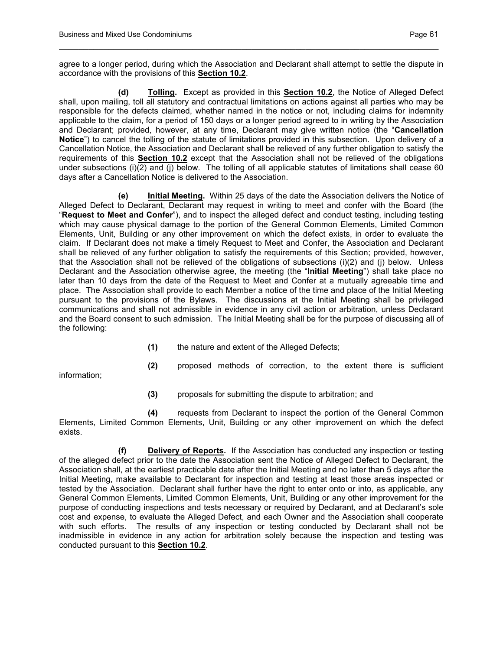agree to a longer period, during which the Association and Declarant shall attempt to settle the dispute in accordance with the provisions of this **Section 10.2**.

**(d) Tolling.** Except as provided in this **Section 10.2**, the Notice of Alleged Defect shall, upon mailing, toll all statutory and contractual limitations on actions against all parties who may be responsible for the defects claimed, whether named in the notice or not, including claims for indemnity applicable to the claim, for a period of 150 days or a longer period agreed to in writing by the Association and Declarant; provided, however, at any time, Declarant may give written notice (the "**Cancellation Notice**") to cancel the tolling of the statute of limitations provided in this subsection. Upon delivery of a Cancellation Notice, the Association and Declarant shall be relieved of any further obligation to satisfy the requirements of this **Section 10.2** except that the Association shall not be relieved of the obligations under subsections (i)(2) and (j) below. The tolling of all applicable statutes of limitations shall cease 60 days after a Cancellation Notice is delivered to the Association.

**(e) Initial Meeting.** Within 25 days of the date the Association delivers the Notice of Alleged Defect to Declarant, Declarant may request in writing to meet and confer with the Board (the "**Request to Meet and Confer**"), and to inspect the alleged defect and conduct testing, including testing which may cause physical damage to the portion of the General Common Elements, Limited Common Elements, Unit, Building or any other improvement on which the defect exists, in order to evaluate the claim. If Declarant does not make a timely Request to Meet and Confer, the Association and Declarant shall be relieved of any further obligation to satisfy the requirements of this Section; provided, however, that the Association shall not be relieved of the obligations of subsections (i)(2) and (j) below. Unless Declarant and the Association otherwise agree, the meeting (the "**Initial Meeting**") shall take place no later than 10 days from the date of the Request to Meet and Confer at a mutually agreeable time and place. The Association shall provide to each Member a notice of the time and place of the Initial Meeting pursuant to the provisions of the Bylaws. The discussions at the Initial Meeting shall be privileged communications and shall not admissible in evidence in any civil action or arbitration, unless Declarant and the Board consent to such admission. The Initial Meeting shall be for the purpose of discussing all of the following:

**(1)** the nature and extent of the Alleged Defects;

information;

**(3)** proposals for submitting the dispute to arbitration; and

**(2)** proposed methods of correction, to the extent there is sufficient

**(4)** requests from Declarant to inspect the portion of the General Common Elements, Limited Common Elements, Unit, Building or any other improvement on which the defect exists.

**(f) Delivery of Reports.** If the Association has conducted any inspection or testing of the alleged defect prior to the date the Association sent the Notice of Alleged Defect to Declarant, the Association shall, at the earliest practicable date after the Initial Meeting and no later than 5 days after the Initial Meeting, make available to Declarant for inspection and testing at least those areas inspected or tested by the Association. Declarant shall further have the right to enter onto or into, as applicable, any General Common Elements, Limited Common Elements, Unit, Building or any other improvement for the purpose of conducting inspections and tests necessary or required by Declarant, and at Declarant's sole cost and expense, to evaluate the Alleged Defect, and each Owner and the Association shall cooperate with such efforts. The results of any inspection or testing conducted by Declarant shall not be inadmissible in evidence in any action for arbitration solely because the inspection and testing was conducted pursuant to this **Section 10.2**.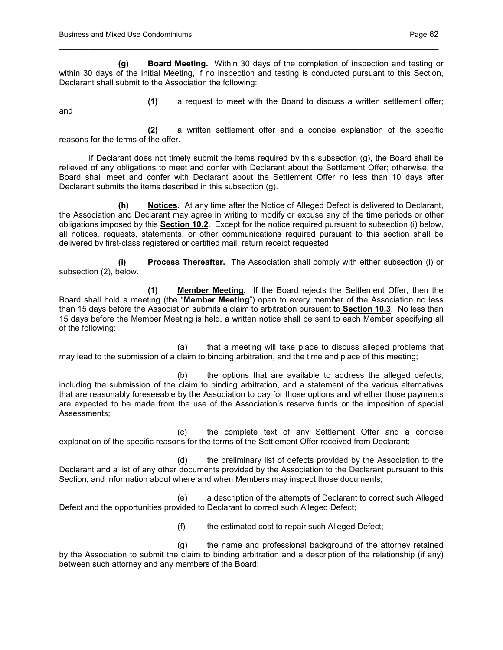**(g) Board Meeting.** Within 30 days of the completion of inspection and testing or within 30 days of the Initial Meeting, if no inspection and testing is conducted pursuant to this Section, Declarant shall submit to the Association the following:

 $\mathcal{L}_\mathcal{L} = \{ \mathcal{L}_\mathcal{L} = \{ \mathcal{L}_\mathcal{L} = \{ \mathcal{L}_\mathcal{L} = \{ \mathcal{L}_\mathcal{L} = \{ \mathcal{L}_\mathcal{L} = \{ \mathcal{L}_\mathcal{L} = \{ \mathcal{L}_\mathcal{L} = \{ \mathcal{L}_\mathcal{L} = \{ \mathcal{L}_\mathcal{L} = \{ \mathcal{L}_\mathcal{L} = \{ \mathcal{L}_\mathcal{L} = \{ \mathcal{L}_\mathcal{L} = \{ \mathcal{L}_\mathcal{L} = \{ \mathcal{L}_\mathcal{$ 

**(1)** a request to meet with the Board to discuss a written settlement offer;

and

**(2)** a written settlement offer and a concise explanation of the specific reasons for the terms of the offer.

If Declarant does not timely submit the items required by this subsection (g), the Board shall be relieved of any obligations to meet and confer with Declarant about the Settlement Offer; otherwise, the Board shall meet and confer with Declarant about the Settlement Offer no less than 10 days after Declarant submits the items described in this subsection (g).

**(h) Notices.** At any time after the Notice of Alleged Defect is delivered to Declarant, the Association and Declarant may agree in writing to modify or excuse any of the time periods or other obligations imposed by this **Section 10.2**. Except for the notice required pursuant to subsection (i) below, all notices, requests, statements, or other communications required pursuant to this section shall be delivered by first-class registered or certified mail, return receipt requested.

**(i) Process Thereafter.** The Association shall comply with either subsection (l) or subsection (2), below.

**(1) Member Meeting.** If the Board rejects the Settlement Offer, then the Board shall hold a meeting (the "**Member Meeting**") open to every member of the Association no less than 15 days before the Association submits a claim to arbitration pursuant to **Section 10.3**. No less than 15 days before the Member Meeting is held, a written notice shall be sent to each Member specifying all of the following:

(a) that a meeting will take place to discuss alleged problems that may lead to the submission of a claim to binding arbitration, and the time and place of this meeting;

(b) the options that are available to address the alleged defects, including the submission of the claim to binding arbitration, and a statement of the various alternatives that are reasonably foreseeable by the Association to pay for those options and whether those payments are expected to be made from the use of the Association's reserve funds or the imposition of special Assessments;

(c) the complete text of any Settlement Offer and a concise explanation of the specific reasons for the terms of the Settlement Offer received from Declarant;

(d) the preliminary list of defects provided by the Association to the Declarant and a list of any other documents provided by the Association to the Declarant pursuant to this Section, and information about where and when Members may inspect those documents;

(e) a description of the attempts of Declarant to correct such Alleged Defect and the opportunities provided to Declarant to correct such Alleged Defect;

(f) the estimated cost to repair such Alleged Defect;

(g) the name and professional background of the attorney retained by the Association to submit the claim to binding arbitration and a description of the relationship (if any) between such attorney and any members of the Board;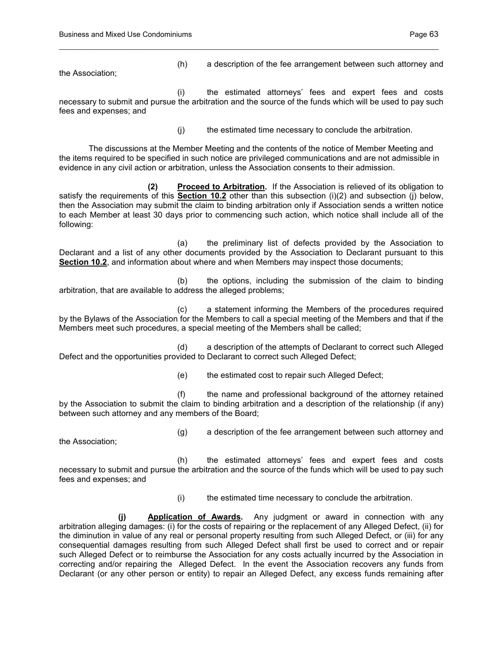(h) a description of the fee arrangement between such attorney and

(i) the estimated attorneys' fees and expert fees and costs necessary to submit and pursue the arbitration and the source of the funds which will be used to pay such fees and expenses; and

 $\mathcal{L}_\mathcal{L} = \{ \mathcal{L}_\mathcal{L} = \{ \mathcal{L}_\mathcal{L} = \{ \mathcal{L}_\mathcal{L} = \{ \mathcal{L}_\mathcal{L} = \{ \mathcal{L}_\mathcal{L} = \{ \mathcal{L}_\mathcal{L} = \{ \mathcal{L}_\mathcal{L} = \{ \mathcal{L}_\mathcal{L} = \{ \mathcal{L}_\mathcal{L} = \{ \mathcal{L}_\mathcal{L} = \{ \mathcal{L}_\mathcal{L} = \{ \mathcal{L}_\mathcal{L} = \{ \mathcal{L}_\mathcal{L} = \{ \mathcal{L}_\mathcal{$ 

(j) the estimated time necessary to conclude the arbitration.

The discussions at the Member Meeting and the contents of the notice of Member Meeting and the items required to be specified in such notice are privileged communications and are not admissible in evidence in any civil action or arbitration, unless the Association consents to their admission.

**(2) Proceed to Arbitration.** If the Association is relieved of its obligation to satisfy the requirements of this **Section 10.2** other than this subsection (i)(2) and subsection (j) below, then the Association may submit the claim to binding arbitration only if Association sends a written notice to each Member at least 30 days prior to commencing such action, which notice shall include all of the following:

(a) the preliminary list of defects provided by the Association to Declarant and a list of any other documents provided by the Association to Declarant pursuant to this **Section 10.2**, and information about where and when Members may inspect those documents;

(b) the options, including the submission of the claim to binding arbitration, that are available to address the alleged problems;

(c) a statement informing the Members of the procedures required by the Bylaws of the Association for the Members to call a special meeting of the Members and that if the Members meet such procedures, a special meeting of the Members shall be called;

(d) a description of the attempts of Declarant to correct such Alleged Defect and the opportunities provided to Declarant to correct such Alleged Defect;

(e) the estimated cost to repair such Alleged Defect;

(f) the name and professional background of the attorney retained by the Association to submit the claim to binding arbitration and a description of the relationship (if any) between such attorney and any members of the Board;

the Association;

(g) a description of the fee arrangement between such attorney and

(h) the estimated attorneys' fees and expert fees and costs necessary to submit and pursue the arbitration and the source of the funds which will be used to pay such fees and expenses; and

(i) the estimated time necessary to conclude the arbitration.

**(j) Application of Awards.** Any judgment or award in connection with any arbitration alleging damages: (i) for the costs of repairing or the replacement of any Alleged Defect, (ii) for the diminution in value of any real or personal property resulting from such Alleged Defect, or (iii) for any consequential damages resulting from such Alleged Defect shall first be used to correct and or repair such Alleged Defect or to reimburse the Association for any costs actually incurred by the Association in correcting and/or repairing the Alleged Defect. In the event the Association recovers any funds from Declarant (or any other person or entity) to repair an Alleged Defect, any excess funds remaining after

the Association;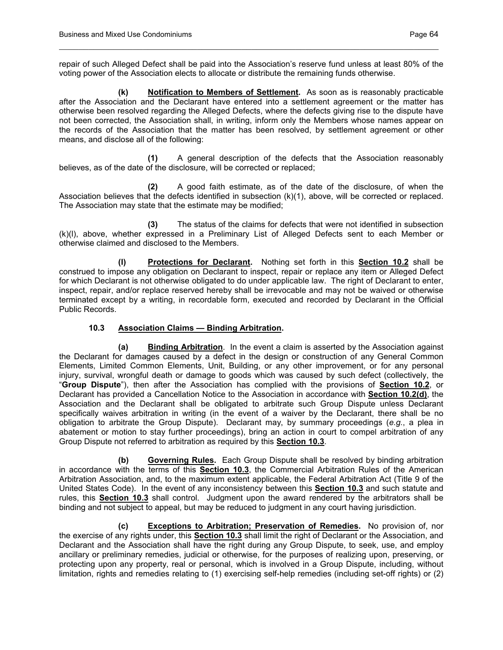repair of such Alleged Defect shall be paid into the Association's reserve fund unless at least 80% of the voting power of the Association elects to allocate or distribute the remaining funds otherwise.

 $\mathcal{L}_\mathcal{L} = \{ \mathcal{L}_\mathcal{L} = \{ \mathcal{L}_\mathcal{L} = \{ \mathcal{L}_\mathcal{L} = \{ \mathcal{L}_\mathcal{L} = \{ \mathcal{L}_\mathcal{L} = \{ \mathcal{L}_\mathcal{L} = \{ \mathcal{L}_\mathcal{L} = \{ \mathcal{L}_\mathcal{L} = \{ \mathcal{L}_\mathcal{L} = \{ \mathcal{L}_\mathcal{L} = \{ \mathcal{L}_\mathcal{L} = \{ \mathcal{L}_\mathcal{L} = \{ \mathcal{L}_\mathcal{L} = \{ \mathcal{L}_\mathcal{$ 

**(k) Notification to Members of Settlement.** As soon as is reasonably practicable after the Association and the Declarant have entered into a settlement agreement or the matter has otherwise been resolved regarding the Alleged Defects, where the defects giving rise to the dispute have not been corrected, the Association shall, in writing, inform only the Members whose names appear on the records of the Association that the matter has been resolved, by settlement agreement or other means, and disclose all of the following:

**(1)** A general description of the defects that the Association reasonably believes, as of the date of the disclosure, will be corrected or replaced;

**(2)** A good faith estimate, as of the date of the disclosure, of when the Association believes that the defects identified in subsection (k)(1), above, will be corrected or replaced. The Association may state that the estimate may be modified;

**(3)** The status of the claims for defects that were not identified in subsection (k)(l), above, whether expressed in a Preliminary List of Alleged Defects sent to each Member or otherwise claimed and disclosed to the Members.

**(l) Protections for Declarant.** Nothing set forth in this **Section 10.2** shall be construed to impose any obligation on Declarant to inspect, repair or replace any item or Alleged Defect for which Declarant is not otherwise obligated to do under applicable law. The right of Declarant to enter, inspect, repair, and/or replace reserved hereby shall be irrevocable and may not be waived or otherwise terminated except by a writing, in recordable form, executed and recorded by Declarant in the Official Public Records.

## **10.3 Association Claims — Binding Arbitration.**

**(a) Binding Arbitration**. In the event a claim is asserted by the Association against the Declarant for damages caused by a defect in the design or construction of any General Common Elements, Limited Common Elements, Unit, Building, or any other improvement, or for any personal injury, survival, wrongful death or damage to goods which was caused by such defect (collectively, the "**Group Dispute**"), then after the Association has complied with the provisions of **Section 10.2**, or Declarant has provided a Cancellation Notice to the Association in accordance with **Section 10.2(d)**, the Association and the Declarant shall be obligated to arbitrate such Group Dispute unless Declarant specifically waives arbitration in writing (in the event of a waiver by the Declarant, there shall be no obligation to arbitrate the Group Dispute). Declarant may, by summary proceedings (*e.g.*, a plea in abatement or motion to stay further proceedings), bring an action in court to compel arbitration of any Group Dispute not referred to arbitration as required by this **Section 10.3**.

**(b) Governing Rules.** Each Group Dispute shall be resolved by binding arbitration in accordance with the terms of this **Section 10.3**, the Commercial Arbitration Rules of the American Arbitration Association, and, to the maximum extent applicable, the Federal Arbitration Act (Title 9 of the United States Code). In the event of any inconsistency between this **Section 10.3** and such statute and rules, this **Section 10.3** shall control. Judgment upon the award rendered by the arbitrators shall be binding and not subject to appeal, but may be reduced to judgment in any court having jurisdiction.

**(c) Exceptions to Arbitration; Preservation of Remedies.** No provision of, nor the exercise of any rights under, this **Section 10.3** shall limit the right of Declarant or the Association, and Declarant and the Association shall have the right during any Group Dispute, to seek, use, and employ ancillary or preliminary remedies, judicial or otherwise, for the purposes of realizing upon, preserving, or protecting upon any property, real or personal, which is involved in a Group Dispute, including, without limitation, rights and remedies relating to (1) exercising self-help remedies (including set-off rights) or (2)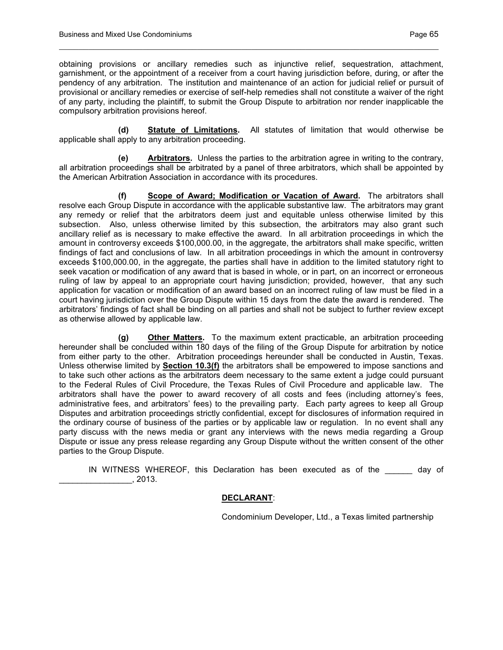obtaining provisions or ancillary remedies such as injunctive relief, sequestration, attachment, garnishment, or the appointment of a receiver from a court having jurisdiction before, during, or after the pendency of any arbitration. The institution and maintenance of an action for judicial relief or pursuit of provisional or ancillary remedies or exercise of self-help remedies shall not constitute a waiver of the right of any party, including the plaintiff, to submit the Group Dispute to arbitration nor render inapplicable the compulsory arbitration provisions hereof.

 $\mathcal{L}_\mathcal{L} = \{ \mathcal{L}_\mathcal{L} = \{ \mathcal{L}_\mathcal{L} = \{ \mathcal{L}_\mathcal{L} = \{ \mathcal{L}_\mathcal{L} = \{ \mathcal{L}_\mathcal{L} = \{ \mathcal{L}_\mathcal{L} = \{ \mathcal{L}_\mathcal{L} = \{ \mathcal{L}_\mathcal{L} = \{ \mathcal{L}_\mathcal{L} = \{ \mathcal{L}_\mathcal{L} = \{ \mathcal{L}_\mathcal{L} = \{ \mathcal{L}_\mathcal{L} = \{ \mathcal{L}_\mathcal{L} = \{ \mathcal{L}_\mathcal{$ 

**(d) Statute of Limitations.** All statutes of limitation that would otherwise be applicable shall apply to any arbitration proceeding.

**(e) Arbitrators.** Unless the parties to the arbitration agree in writing to the contrary, all arbitration proceedings shall be arbitrated by a panel of three arbitrators, which shall be appointed by the American Arbitration Association in accordance with its procedures.

**(f) Scope of Award; Modification or Vacation of Award.** The arbitrators shall resolve each Group Dispute in accordance with the applicable substantive law. The arbitrators may grant any remedy or relief that the arbitrators deem just and equitable unless otherwise limited by this subsection. Also, unless otherwise limited by this subsection, the arbitrators may also grant such ancillary relief as is necessary to make effective the award. In all arbitration proceedings in which the amount in controversy exceeds \$100,000.00, in the aggregate, the arbitrators shall make specific, written findings of fact and conclusions of law. In all arbitration proceedings in which the amount in controversy exceeds \$100,000.00, in the aggregate, the parties shall have in addition to the limited statutory right to seek vacation or modification of any award that is based in whole, or in part, on an incorrect or erroneous ruling of law by appeal to an appropriate court having jurisdiction; provided, however, that any such application for vacation or modification of an award based on an incorrect ruling of law must be filed in a court having jurisdiction over the Group Dispute within 15 days from the date the award is rendered. The arbitrators' findings of fact shall be binding on all parties and shall not be subject to further review except as otherwise allowed by applicable law.

**(g) Other Matters.** To the maximum extent practicable, an arbitration proceeding hereunder shall be concluded within 180 days of the filing of the Group Dispute for arbitration by notice from either party to the other. Arbitration proceedings hereunder shall be conducted in Austin, Texas. Unless otherwise limited by **Section 10.3(f)** the arbitrators shall be empowered to impose sanctions and to take such other actions as the arbitrators deem necessary to the same extent a judge could pursuant to the Federal Rules of Civil Procedure, the Texas Rules of Civil Procedure and applicable law. The arbitrators shall have the power to award recovery of all costs and fees (including attorney's fees, administrative fees, and arbitrators' fees) to the prevailing party. Each party agrees to keep all Group Disputes and arbitration proceedings strictly confidential, except for disclosures of information required in the ordinary course of business of the parties or by applicable law or regulation. In no event shall any party discuss with the news media or grant any interviews with the news media regarding a Group Dispute or issue any press release regarding any Group Dispute without the written consent of the other parties to the Group Dispute.

IN WITNESS WHEREOF, this Declaration has been executed as of the \_\_\_\_\_\_ day of  $\frac{1}{2013}$ , 2013.

## **DECLARANT**:

Condominium Developer, Ltd., a Texas limited partnership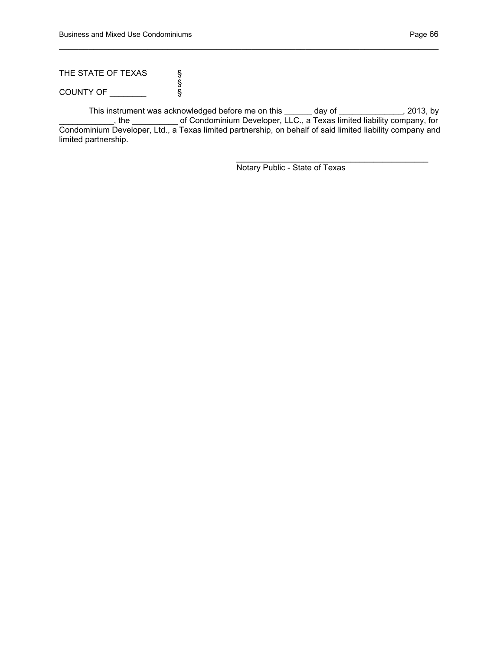## THE STATE OF TEXAS § COUNTY OF \_\_\_\_\_\_\_

This instrument was acknowledged before me on this \_\_\_\_\_\_\_ day of \_\_\_\_\_\_\_\_\_\_\_\_\_\_, 2013, by \_\_\_\_\_\_\_\_\_\_\_\_, the \_\_\_\_\_\_\_\_\_\_ of Condominium Developer, LLC., a Texas limited liability company, for Condominium Developer, Ltd., a Texas limited partnership, on behalf of said limited liability company and limited partnership.

 $\mathcal{L}_\mathcal{L} = \{ \mathcal{L}_\mathcal{L} = \{ \mathcal{L}_\mathcal{L} = \{ \mathcal{L}_\mathcal{L} = \{ \mathcal{L}_\mathcal{L} = \{ \mathcal{L}_\mathcal{L} = \{ \mathcal{L}_\mathcal{L} = \{ \mathcal{L}_\mathcal{L} = \{ \mathcal{L}_\mathcal{L} = \{ \mathcal{L}_\mathcal{L} = \{ \mathcal{L}_\mathcal{L} = \{ \mathcal{L}_\mathcal{L} = \{ \mathcal{L}_\mathcal{L} = \{ \mathcal{L}_\mathcal{L} = \{ \mathcal{L}_\mathcal{$ 

Notary Public - State of Texas

 $\mathcal{L}_\text{max}$  , and the set of the set of the set of the set of the set of the set of the set of the set of the set of the set of the set of the set of the set of the set of the set of the set of the set of the set of the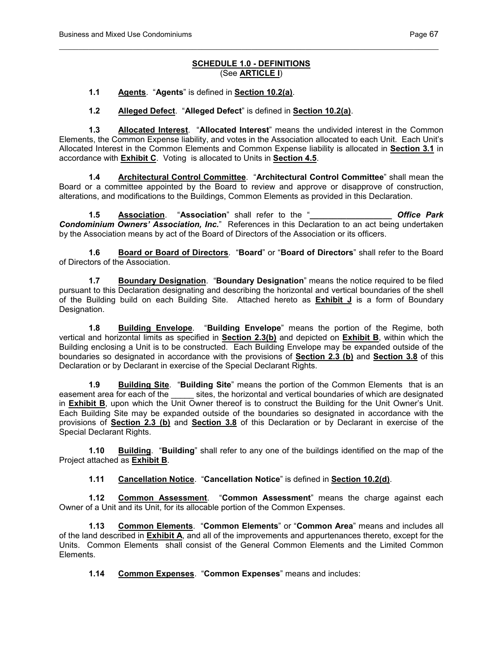## **SCHEDULE 1.0 - DEFINITIONS** (See **ARTICLE I**)

 $\mathcal{L}_\mathcal{L} = \{ \mathcal{L}_\mathcal{L} = \{ \mathcal{L}_\mathcal{L} = \{ \mathcal{L}_\mathcal{L} = \{ \mathcal{L}_\mathcal{L} = \{ \mathcal{L}_\mathcal{L} = \{ \mathcal{L}_\mathcal{L} = \{ \mathcal{L}_\mathcal{L} = \{ \mathcal{L}_\mathcal{L} = \{ \mathcal{L}_\mathcal{L} = \{ \mathcal{L}_\mathcal{L} = \{ \mathcal{L}_\mathcal{L} = \{ \mathcal{L}_\mathcal{L} = \{ \mathcal{L}_\mathcal{L} = \{ \mathcal{L}_\mathcal{$ 

**1.1 Agents**. "**Agents**" is defined in **Section 10.2(a)**.

**1.2 Alleged Defect**. "**Alleged Defect**" is defined in **Section 10.2(a)**.

**1.3 Allocated Interest**. "**Allocated Interest**" means the undivided interest in the Common Elements, the Common Expense liability, and votes in the Association allocated to each Unit. Each Unit's Allocated Interest in the Common Elements and Common Expense liability is allocated in **Section 3.1** in accordance with **Exhibit C**. Voting is allocated to Units in **Section 4.5**.

**1.4 Architectural Control Committee**. "**Architectural Control Committee**" shall mean the Board or a committee appointed by the Board to review and approve or disapprove of construction, alterations, and modifications to the Buildings, Common Elements as provided in this Declaration.

**1.5 Association**. "**Association**" shall refer to the "*\_\_\_\_\_\_\_\_\_\_\_\_\_\_\_\_\_\_ Office Park*  **Condominium Owners' Association, Inc.**" References in this Declaration to an act being undertaken by the Association means by act of the Board of Directors of the Association or its officers.

**1.6 Board or Board of Directors**."**Board**" or "**Board of Directors**" shall refer to the Board of Directors of the Association.

**1.7 Boundary Designation**. "**Boundary Designation**" means the notice required to be filed pursuant to this Declaration designating and describing the horizontal and vertical boundaries of the shell of the Building build on each Building Site. Attached hereto as **Exhibit J** is a form of Boundary Designation.

**1.8 Building Envelope**. "**Building Envelope**" means the portion of the Regime, both vertical and horizontal limits as specified in **Section 2.3(b)** and depicted on **Exhibit B**, within which the Building enclosing a Unit is to be constructed. Each Building Envelope may be expanded outside of the boundaries so designated in accordance with the provisions of **Section 2.3 (b)** and **Section 3.8** of this Declaration or by Declarant in exercise of the Special Declarant Rights.

**1.9 Building Site**. "**Building Site**" means the portion of the Common Elements that is an easement area for each of the \_\_\_\_\_\_ sites, the horizontal and vertical boundaries of which are designated in **Exhibit B**, upon which the Unit Owner thereof is to construct the Building for the Unit Owner's Unit. Each Building Site may be expanded outside of the boundaries so designated in accordance with the provisions of **Section 2.3 (b)** and **Section 3.8** of this Declaration or by Declarant in exercise of the Special Declarant Rights.

**1.10 Building**."**Building**" shall refer to any one of the buildings identified on the map of the Project attached as **Exhibit B**.

**1.11 Cancellation Notice**. "**Cancellation Notice**" is defined in **Section 10.2(d)**.

**1.12 Common Assessment**."**Common Assessment**" means the charge against each Owner of a Unit and its Unit, for its allocable portion of the Common Expenses.

**1.13 Common Elements**."**Common Elements**" or "**Common Area**" means and includes all of the land described in **Exhibit A**, and all of the improvements and appurtenances thereto, except for the Units. Common Elements shall consist of the General Common Elements and the Limited Common Elements.

**1.14 Common Expenses**."**Common Expenses**" means and includes: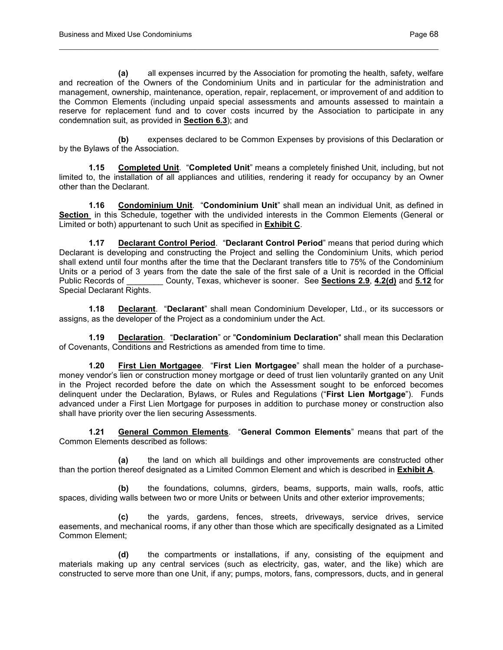**(a)** all expenses incurred by the Association for promoting the health, safety, welfare and recreation of the Owners of the Condominium Units and in particular for the administration and management, ownership, maintenance, operation, repair, replacement, or improvement of and addition to the Common Elements (including unpaid special assessments and amounts assessed to maintain a reserve for replacement fund and to cover costs incurred by the Association to participate in any condemnation suit, as provided in **Section 6.3**); and

 $\mathcal{L}_\mathcal{L} = \{ \mathcal{L}_\mathcal{L} = \{ \mathcal{L}_\mathcal{L} = \{ \mathcal{L}_\mathcal{L} = \{ \mathcal{L}_\mathcal{L} = \{ \mathcal{L}_\mathcal{L} = \{ \mathcal{L}_\mathcal{L} = \{ \mathcal{L}_\mathcal{L} = \{ \mathcal{L}_\mathcal{L} = \{ \mathcal{L}_\mathcal{L} = \{ \mathcal{L}_\mathcal{L} = \{ \mathcal{L}_\mathcal{L} = \{ \mathcal{L}_\mathcal{L} = \{ \mathcal{L}_\mathcal{L} = \{ \mathcal{L}_\mathcal{$ 

**(b)** expenses declared to be Common Expenses by provisions of this Declaration or by the Bylaws of the Association.

**1.15 Completed Unit**."**Completed Unit**" means a completely finished Unit, including, but not limited to, the installation of all appliances and utilities, rendering it ready for occupancy by an Owner other than the Declarant.

**1.16 Condominium Unit**."**Condominium Unit**" shall mean an individual Unit, as defined in **Section** in this Schedule, together with the undivided interests in the Common Elements (General or Limited or both) appurtenant to such Unit as specified in **Exhibit C**.

**1.17 Declarant Control Period**."**Declarant Control Period**" means that period during which Declarant is developing and constructing the Project and selling the Condominium Units, which period shall extend until four months after the time that the Declarant transfers title to 75% of the Condominium Units or a period of 3 years from the date the sale of the first sale of a Unit is recorded in the Official Public Records of \_\_\_\_\_\_\_\_ County, Texas, whichever is sooner. See **Sections 2.9**, **4.2(d)** and **5.12** for Special Declarant Rights.

**1.18 Declarant**."**Declarant**" shall mean Condominium Developer, Ltd., or its successors or assigns, as the developer of the Project as a condominium under the Act.

**1.19 Declaration**."**Declaration**" or "**Condominium Declaration**" shall mean this Declaration of Covenants, Conditions and Restrictions as amended from time to time.

**1.20 First Lien Mortgagee**."**First Lien Mortgagee**" shall mean the holder of a purchasemoney vendor's lien or construction money mortgage or deed of trust lien voluntarily granted on any Unit in the Project recorded before the date on which the Assessment sought to be enforced becomes delinquent under the Declaration, Bylaws, or Rules and Regulations ("**First Lien Mortgage**"). Funds advanced under a First Lien Mortgage for purposes in addition to purchase money or construction also shall have priority over the lien securing Assessments.

**1.21 General Common Elements**."**General Common Elements**" means that part of the Common Elements described as follows:

**(a)** the land on which all buildings and other improvements are constructed other than the portion thereof designated as a Limited Common Element and which is described in **Exhibit A**.

**(b)** the foundations, columns, girders, beams, supports, main walls, roofs, attic spaces, dividing walls between two or more Units or between Units and other exterior improvements;

**(c)** the yards, gardens, fences, streets, driveways, service drives, service easements, and mechanical rooms, if any other than those which are specifically designated as a Limited Common Element;

**(d)** the compartments or installations, if any, consisting of the equipment and materials making up any central services (such as electricity, gas, water, and the like) which are constructed to serve more than one Unit, if any; pumps, motors, fans, compressors, ducts, and in general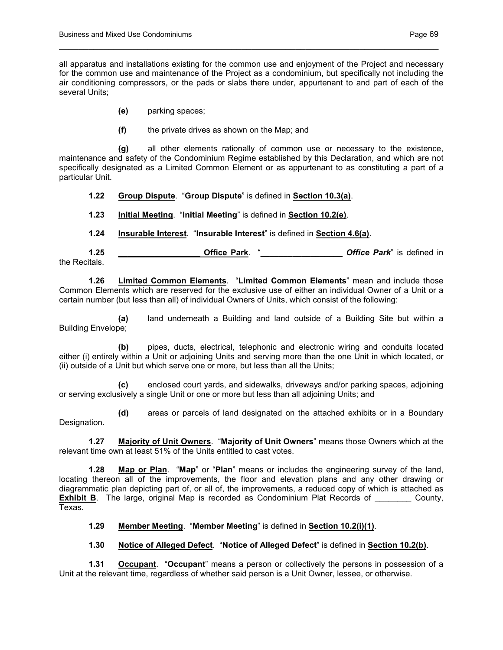all apparatus and installations existing for the common use and enjoyment of the Project and necessary for the common use and maintenance of the Project as a condominium, but specifically not including the air conditioning compressors, or the pads or slabs there under, appurtenant to and part of each of the several Units;

 $\mathcal{L}_\mathcal{L} = \{ \mathcal{L}_\mathcal{L} = \{ \mathcal{L}_\mathcal{L} = \{ \mathcal{L}_\mathcal{L} = \{ \mathcal{L}_\mathcal{L} = \{ \mathcal{L}_\mathcal{L} = \{ \mathcal{L}_\mathcal{L} = \{ \mathcal{L}_\mathcal{L} = \{ \mathcal{L}_\mathcal{L} = \{ \mathcal{L}_\mathcal{L} = \{ \mathcal{L}_\mathcal{L} = \{ \mathcal{L}_\mathcal{L} = \{ \mathcal{L}_\mathcal{L} = \{ \mathcal{L}_\mathcal{L} = \{ \mathcal{L}_\mathcal{$ 

- **(e)** parking spaces;
- **(f)** the private drives as shown on the Map; and

**(g)** all other elements rationally of common use or necessary to the existence, maintenance and safety of the Condominium Regime established by this Declaration, and which are not specifically designated as a Limited Common Element or as appurtenant to as constituting a part of a particular Unit.

**1.22 Group Dispute**. "**Group Dispute**" is defined in **Section 10.3(a)**.

**1.23 Initial Meeting**. "**Initial Meeting**" is defined in **Section 10.2(e)**.

**1.24 Insurable Interest**. "**Insurable Interest**" is defined in **Section 4.6(a)**.

**1.25 \_\_\_\_\_\_\_\_\_\_\_\_\_\_\_\_\_\_ Office Park**. "*\_\_\_\_\_\_\_\_\_\_\_\_\_\_\_\_\_\_ Office Park*" is defined in the Recitals.

**1.26 Limited Common Elements**."**Limited Common Elements**" mean and include those Common Elements which are reserved for the exclusive use of either an individual Owner of a Unit or a certain number (but less than all) of individual Owners of Units, which consist of the following:

**(a)** land underneath a Building and land outside of a Building Site but within a Building Envelope;

**(b)** pipes, ducts, electrical, telephonic and electronic wiring and conduits located either (i) entirely within a Unit or adjoining Units and serving more than the one Unit in which located, or (ii) outside of a Unit but which serve one or more, but less than all the Units;

**(c)** enclosed court yards, and sidewalks, driveways and/or parking spaces, adjoining or serving exclusively a single Unit or one or more but less than all adjoining Units; and

**(d)** areas or parcels of land designated on the attached exhibits or in a Boundary Designation.

**1.27 Majority of Unit Owners**."**Majority of Unit Owners**" means those Owners which at the relevant time own at least 51% of the Units entitled to cast votes.

**1.28 Map or Plan**."**Map**" or "**Plan**" means or includes the engineering survey of the land, locating thereon all of the improvements, the floor and elevation plans and any other drawing or diagrammatic plan depicting part of, or all of, the improvements, a reduced copy of which is attached as **Exhibit B**. The large, original Map is recorded as Condominium Plat Records of County, Texas.

**1.29 Member Meeting**. "**Member Meeting**" is defined in **Section 10.2(i)(1)**.

#### **1.30 Notice of Alleged Defect**. "**Notice of Alleged Defect**" is defined in **Section 10.2(b)**.

**1.31 Occupant**."**Occupant**" means a person or collectively the persons in possession of a Unit at the relevant time, regardless of whether said person is a Unit Owner, lessee, or otherwise.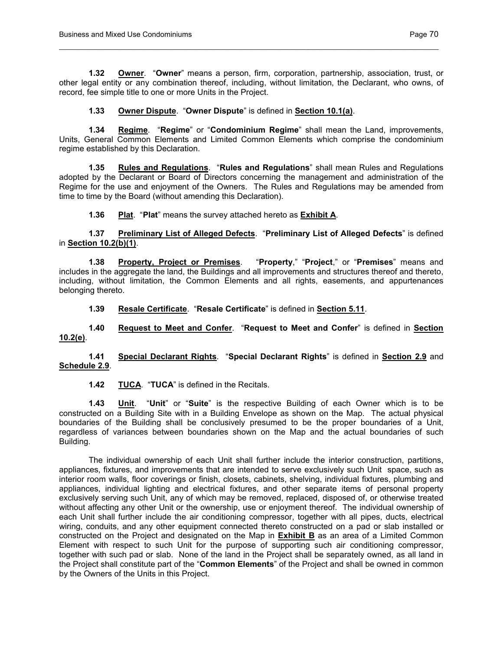**1.32 Owner**."**Owner**" means a person, firm, corporation, partnership, association, trust, or other legal entity or any combination thereof, including, without limitation, the Declarant, who owns, of record, fee simple title to one or more Units in the Project.

 $\mathcal{L}_\mathcal{L} = \{ \mathcal{L}_\mathcal{L} = \{ \mathcal{L}_\mathcal{L} = \{ \mathcal{L}_\mathcal{L} = \{ \mathcal{L}_\mathcal{L} = \{ \mathcal{L}_\mathcal{L} = \{ \mathcal{L}_\mathcal{L} = \{ \mathcal{L}_\mathcal{L} = \{ \mathcal{L}_\mathcal{L} = \{ \mathcal{L}_\mathcal{L} = \{ \mathcal{L}_\mathcal{L} = \{ \mathcal{L}_\mathcal{L} = \{ \mathcal{L}_\mathcal{L} = \{ \mathcal{L}_\mathcal{L} = \{ \mathcal{L}_\mathcal{$ 

#### **1.33 Owner Dispute**. "**Owner Dispute**" is defined in **Section 10.1(a)**.

**1.34 Regime**. "**Regime**" or "**Condominium Regime**" shall mean the Land, improvements, Units, General Common Elements and Limited Common Elements which comprise the condominium regime established by this Declaration.

**1.35 Rules and Regulations**. "**Rules and Regulations**" shall mean Rules and Regulations adopted by the Declarant or Board of Directors concerning the management and administration of the Regime for the use and enjoyment of the Owners. The Rules and Regulations may be amended from time to time by the Board (without amending this Declaration).

**1.36 Plat**. "**Plat**" means the survey attached hereto as **Exhibit A**.

**1.37 Preliminary List of Alleged Defects**. "**Preliminary List of Alleged Defects**" is defined in **Section 10.2(b)(1)**.

**1.38 Property, Project or Premises**."**Property**," "**Project**," or "**Premises**" means and includes in the aggregate the land, the Buildings and all improvements and structures thereof and thereto, including, without limitation, the Common Elements and all rights, easements, and appurtenances belonging thereto.

**1.39 Resale Certificate**. "**Resale Certificate**" is defined in **Section 5.11**.

**1.40 Request to Meet and Confer**. "**Request to Meet and Confer**" is defined in **Section 10.2(e)**.

**1.41 Special Declarant Rights**. "**Special Declarant Rights**" is defined in **Section 2.9** and **Schedule 2.9**.

**1.42 TUCA**. "**TUCA**" is defined in the Recitals.

**1.43 Unit**."**Unit**" or "**Suite**" is the respective Building of each Owner which is to be constructed on a Building Site with in a Building Envelope as shown on the Map. The actual physical boundaries of the Building shall be conclusively presumed to be the proper boundaries of a Unit, regardless of variances between boundaries shown on the Map and the actual boundaries of such Building.

The individual ownership of each Unit shall further include the interior construction, partitions, appliances, fixtures, and improvements that are intended to serve exclusively such Unit space, such as interior room walls, floor coverings or finish, closets, cabinets, shelving, individual fixtures, plumbing and appliances, individual lighting and electrical fixtures, and other separate items of personal property exclusively serving such Unit, any of which may be removed, replaced, disposed of, or otherwise treated without affecting any other Unit or the ownership, use or enjoyment thereof. The individual ownership of each Unit shall further include the air conditioning compressor, together with all pipes, ducts, electrical wiring, conduits, and any other equipment connected thereto constructed on a pad or slab installed or constructed on the Project and designated on the Map in **Exhibit B** as an area of a Limited Common Element with respect to such Unit for the purpose of supporting such air conditioning compressor, together with such pad or slab. None of the land in the Project shall be separately owned, as all land in the Project shall constitute part of the "**Common Elements**" of the Project and shall be owned in common by the Owners of the Units in this Project.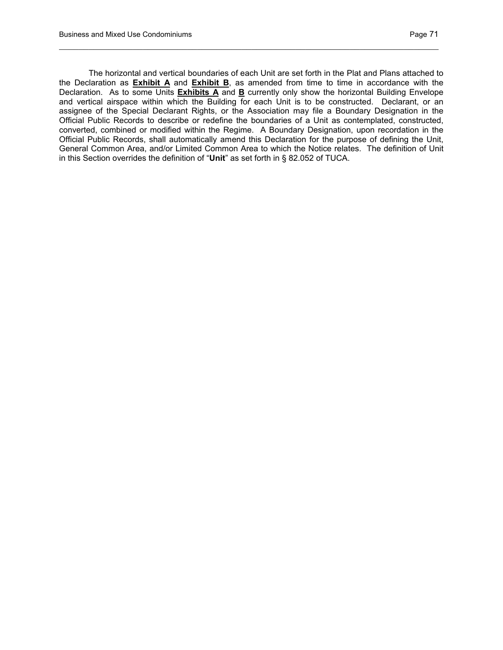The horizontal and vertical boundaries of each Unit are set forth in the Plat and Plans attached to the Declaration as **Exhibit A** and **Exhibit B**, as amended from time to time in accordance with the Declaration. As to some Units **Exhibits A** and **B** currently only show the horizontal Building Envelope and vertical airspace within which the Building for each Unit is to be constructed. Declarant, or an assignee of the Special Declarant Rights, or the Association may file a Boundary Designation in the Official Public Records to describe or redefine the boundaries of a Unit as contemplated, constructed, converted, combined or modified within the Regime. A Boundary Designation, upon recordation in the Official Public Records, shall automatically amend this Declaration for the purpose of defining the Unit, General Common Area, and/or Limited Common Area to which the Notice relates. The definition of Unit in this Section overrides the definition of "**Unit**" as set forth in § 82.052 of TUCA.

 $\mathcal{L}_\mathcal{L} = \{ \mathcal{L}_\mathcal{L} = \{ \mathcal{L}_\mathcal{L} = \{ \mathcal{L}_\mathcal{L} = \{ \mathcal{L}_\mathcal{L} = \{ \mathcal{L}_\mathcal{L} = \{ \mathcal{L}_\mathcal{L} = \{ \mathcal{L}_\mathcal{L} = \{ \mathcal{L}_\mathcal{L} = \{ \mathcal{L}_\mathcal{L} = \{ \mathcal{L}_\mathcal{L} = \{ \mathcal{L}_\mathcal{L} = \{ \mathcal{L}_\mathcal{L} = \{ \mathcal{L}_\mathcal{L} = \{ \mathcal{L}_\mathcal{$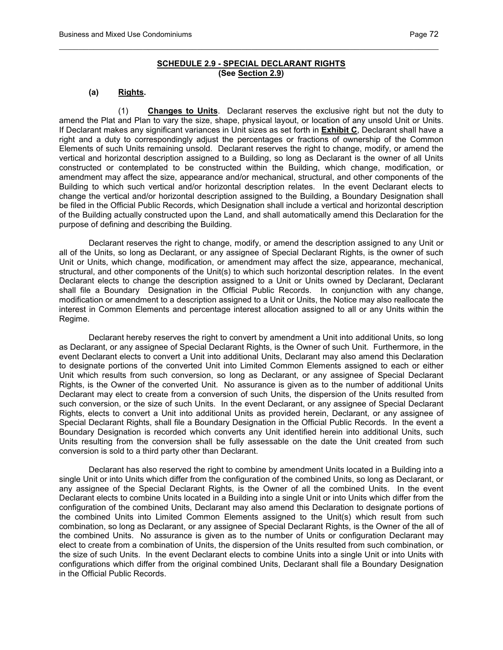## **SCHEDULE 2.9 - SPECIAL DECLARANT RIGHTS (See Section 2.9)**

 $\mathcal{L}_\mathcal{L} = \{ \mathcal{L}_\mathcal{L} = \{ \mathcal{L}_\mathcal{L} = \{ \mathcal{L}_\mathcal{L} = \{ \mathcal{L}_\mathcal{L} = \{ \mathcal{L}_\mathcal{L} = \{ \mathcal{L}_\mathcal{L} = \{ \mathcal{L}_\mathcal{L} = \{ \mathcal{L}_\mathcal{L} = \{ \mathcal{L}_\mathcal{L} = \{ \mathcal{L}_\mathcal{L} = \{ \mathcal{L}_\mathcal{L} = \{ \mathcal{L}_\mathcal{L} = \{ \mathcal{L}_\mathcal{L} = \{ \mathcal{L}_\mathcal{$ 

#### **(a) Rights.**

(1) **Changes to Units**. Declarant reserves the exclusive right but not the duty to amend the Plat and Plan to vary the size, shape, physical layout, or location of any unsold Unit or Units. If Declarant makes any significant variances in Unit sizes as set forth in **Exhibit C**, Declarant shall have a right and a duty to correspondingly adjust the percentages or fractions of ownership of the Common Elements of such Units remaining unsold. Declarant reserves the right to change, modify, or amend the vertical and horizontal description assigned to a Building, so long as Declarant is the owner of all Units constructed or contemplated to be constructed within the Building, which change, modification, or amendment may affect the size, appearance and/or mechanical, structural, and other components of the Building to which such vertical and/or horizontal description relates. In the event Declarant elects to change the vertical and/or horizontal description assigned to the Building, a Boundary Designation shall be filed in the Official Public Records, which Designation shall include a vertical and horizontal description of the Building actually constructed upon the Land, and shall automatically amend this Declaration for the purpose of defining and describing the Building.

Declarant reserves the right to change, modify, or amend the description assigned to any Unit or all of the Units, so long as Declarant, or any assignee of Special Declarant Rights, is the owner of such Unit or Units, which change, modification, or amendment may affect the size, appearance, mechanical, structural, and other components of the Unit(s) to which such horizontal description relates. In the event Declarant elects to change the description assigned to a Unit or Units owned by Declarant, Declarant shall file a Boundary Designation in the Official Public Records. In conjunction with any change, modification or amendment to a description assigned to a Unit or Units, the Notice may also reallocate the interest in Common Elements and percentage interest allocation assigned to all or any Units within the Regime.

Declarant hereby reserves the right to convert by amendment a Unit into additional Units, so long as Declarant, or any assignee of Special Declarant Rights, is the Owner of such Unit. Furthermore, in the event Declarant elects to convert a Unit into additional Units, Declarant may also amend this Declaration to designate portions of the converted Unit into Limited Common Elements assigned to each or either Unit which results from such conversion, so long as Declarant, or any assignee of Special Declarant Rights, is the Owner of the converted Unit. No assurance is given as to the number of additional Units Declarant may elect to create from a conversion of such Units, the dispersion of the Units resulted from such conversion, or the size of such Units. In the event Declarant, or any assignee of Special Declarant Rights, elects to convert a Unit into additional Units as provided herein, Declarant, or any assignee of Special Declarant Rights, shall file a Boundary Designation in the Official Public Records. In the event a Boundary Designation is recorded which converts any Unit identified herein into additional Units, such Units resulting from the conversion shall be fully assessable on the date the Unit created from such conversion is sold to a third party other than Declarant.

Declarant has also reserved the right to combine by amendment Units located in a Building into a single Unit or into Units which differ from the configuration of the combined Units, so long as Declarant, or any assignee of the Special Declarant Rights, is the Owner of all the combined Units. In the event Declarant elects to combine Units located in a Building into a single Unit or into Units which differ from the configuration of the combined Units, Declarant may also amend this Declaration to designate portions of the combined Units into Limited Common Elements assigned to the Unit(s) which result from such combination, so long as Declarant, or any assignee of Special Declarant Rights, is the Owner of the all of the combined Units. No assurance is given as to the number of Units or configuration Declarant may elect to create from a combination of Units, the dispersion of the Units resulted from such combination, or the size of such Units. In the event Declarant elects to combine Units into a single Unit or into Units with configurations which differ from the original combined Units, Declarant shall file a Boundary Designation in the Official Public Records.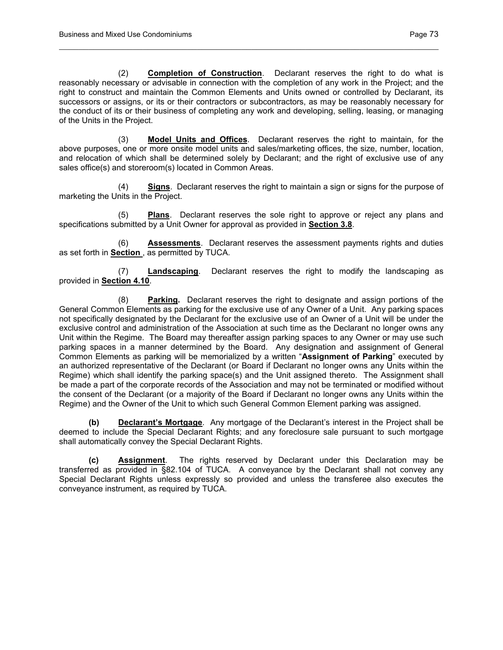(2) **Completion of Construction**. Declarant reserves the right to do what is reasonably necessary or advisable in connection with the completion of any work in the Project; and the right to construct and maintain the Common Elements and Units owned or controlled by Declarant, its successors or assigns, or its or their contractors or subcontractors, as may be reasonably necessary for the conduct of its or their business of completing any work and developing, selling, leasing, or managing of the Units in the Project.

 $\mathcal{L}_\mathcal{L} = \{ \mathcal{L}_\mathcal{L} = \{ \mathcal{L}_\mathcal{L} = \{ \mathcal{L}_\mathcal{L} = \{ \mathcal{L}_\mathcal{L} = \{ \mathcal{L}_\mathcal{L} = \{ \mathcal{L}_\mathcal{L} = \{ \mathcal{L}_\mathcal{L} = \{ \mathcal{L}_\mathcal{L} = \{ \mathcal{L}_\mathcal{L} = \{ \mathcal{L}_\mathcal{L} = \{ \mathcal{L}_\mathcal{L} = \{ \mathcal{L}_\mathcal{L} = \{ \mathcal{L}_\mathcal{L} = \{ \mathcal{L}_\mathcal{$ 

(3) **Model Units and Offices**. Declarant reserves the right to maintain, for the above purposes, one or more onsite model units and sales/marketing offices, the size, number, location, and relocation of which shall be determined solely by Declarant; and the right of exclusive use of any sales office(s) and storeroom(s) located in Common Areas.

(4) **Signs**. Declarant reserves the right to maintain a sign or signs for the purpose of marketing the Units in the Project.

(5) **Plans**. Declarant reserves the sole right to approve or reject any plans and specifications submitted by a Unit Owner for approval as provided in **Section 3.8**.

(6) **Assessments**. Declarant reserves the assessment payments rights and duties as set forth in **Section** , as permitted by TUCA.

(7) **Landscaping**. Declarant reserves the right to modify the landscaping as provided in **Section 4.10**.

(8) **Parking.** Declarant reserves the right to designate and assign portions of the General Common Elements as parking for the exclusive use of any Owner of a Unit. Any parking spaces not specifically designated by the Declarant for the exclusive use of an Owner of a Unit will be under the exclusive control and administration of the Association at such time as the Declarant no longer owns any Unit within the Regime. The Board may thereafter assign parking spaces to any Owner or may use such parking spaces in a manner determined by the Board. Any designation and assignment of General Common Elements as parking will be memorialized by a written "**Assignment of Parking**" executed by an authorized representative of the Declarant (or Board if Declarant no longer owns any Units within the Regime) which shall identify the parking space(s) and the Unit assigned thereto. The Assignment shall be made a part of the corporate records of the Association and may not be terminated or modified without the consent of the Declarant (or a majority of the Board if Declarant no longer owns any Units within the Regime) and the Owner of the Unit to which such General Common Element parking was assigned.

**(b) Declarant's Mortgage**. Any mortgage of the Declarant's interest in the Project shall be deemed to include the Special Declarant Rights; and any foreclosure sale pursuant to such mortgage shall automatically convey the Special Declarant Rights.

**(c) Assignment**. The rights reserved by Declarant under this Declaration may be transferred as provided in §82.104 of TUCA. A conveyance by the Declarant shall not convey any Special Declarant Rights unless expressly so provided and unless the transferee also executes the conveyance instrument, as required by TUCA.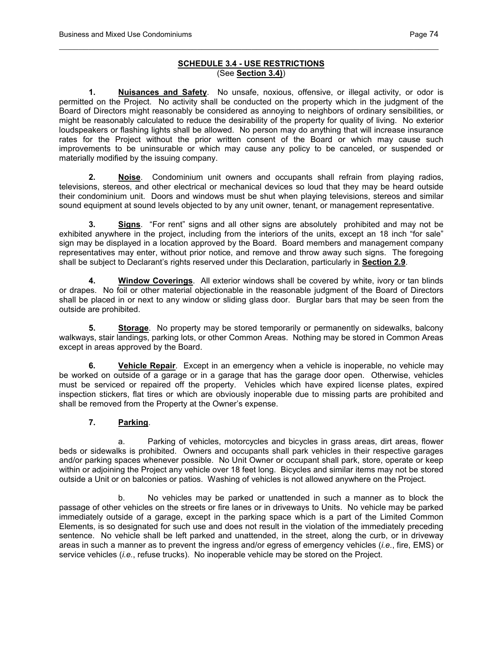# **SCHEDULE 3.4 - USE RESTRICTIONS** (See **Section 3.4)**)

 $\mathcal{L}_\mathcal{L} = \{ \mathcal{L}_\mathcal{L} = \{ \mathcal{L}_\mathcal{L} = \{ \mathcal{L}_\mathcal{L} = \{ \mathcal{L}_\mathcal{L} = \{ \mathcal{L}_\mathcal{L} = \{ \mathcal{L}_\mathcal{L} = \{ \mathcal{L}_\mathcal{L} = \{ \mathcal{L}_\mathcal{L} = \{ \mathcal{L}_\mathcal{L} = \{ \mathcal{L}_\mathcal{L} = \{ \mathcal{L}_\mathcal{L} = \{ \mathcal{L}_\mathcal{L} = \{ \mathcal{L}_\mathcal{L} = \{ \mathcal{L}_\mathcal{$ 

**1. Nuisances and Safety**. No unsafe, noxious, offensive, or illegal activity, or odor is permitted on the Project. No activity shall be conducted on the property which in the judgment of the Board of Directors might reasonably be considered as annoying to neighbors of ordinary sensibilities, or might be reasonably calculated to reduce the desirability of the property for quality of living. No exterior loudspeakers or flashing lights shall be allowed. No person may do anything that will increase insurance rates for the Project without the prior written consent of the Board or which may cause such improvements to be uninsurable or which may cause any policy to be canceled, or suspended or materially modified by the issuing company.

**2. Noise**. Condominium unit owners and occupants shall refrain from playing radios, televisions, stereos, and other electrical or mechanical devices so loud that they may be heard outside their condominium unit. Doors and windows must be shut when playing televisions, stereos and similar sound equipment at sound levels objected to by any unit owner, tenant, or management representative.

**3. Signs**. "For rent" signs and all other signs are absolutely prohibited and may not be exhibited anywhere in the project, including from the interiors of the units, except an 18 inch "for sale" sign may be displayed in a location approved by the Board. Board members and management company representatives may enter, without prior notice, and remove and throw away such signs. The foregoing shall be subject to Declarant's rights reserved under this Declaration, particularly in **Section 2.9**.

**4. Window Coverings**. All exterior windows shall be covered by white, ivory or tan blinds or drapes. No foil or other material objectionable in the reasonable judgment of the Board of Directors shall be placed in or next to any window or sliding glass door. Burglar bars that may be seen from the outside are prohibited.

**5. Storage**. No property may be stored temporarily or permanently on sidewalks, balcony walkways, stair landings, parking lots, or other Common Areas. Nothing may be stored in Common Areas except in areas approved by the Board.

**6. Vehicle Repair**. Except in an emergency when a vehicle is inoperable, no vehicle may be worked on outside of a garage or in a garage that has the garage door open. Otherwise, vehicles must be serviced or repaired off the property. Vehicles which have expired license plates, expired inspection stickers, flat tires or which are obviously inoperable due to missing parts are prohibited and shall be removed from the Property at the Owner's expense.

# **7. Parking**.

a. Parking of vehicles, motorcycles and bicycles in grass areas, dirt areas, flower beds or sidewalks is prohibited. Owners and occupants shall park vehicles in their respective garages and/or parking spaces whenever possible. No Unit Owner or occupant shall park, store, operate or keep within or adjoining the Project any vehicle over 18 feet long. Bicycles and similar items may not be stored outside a Unit or on balconies or patios. Washing of vehicles is not allowed anywhere on the Project.

b. No vehicles may be parked or unattended in such a manner as to block the passage of other vehicles on the streets or fire lanes or in driveways to Units. No vehicle may be parked immediately outside of a garage, except in the parking space which is a part of the Limited Common Elements, is so designated for such use and does not result in the violation of the immediately preceding sentence. No vehicle shall be left parked and unattended, in the street, along the curb, or in driveway areas in such a manner as to prevent the ingress and/or egress of emergency vehicles (*i.e.*, fire, EMS) or service vehicles (*i.e.*, refuse trucks). No inoperable vehicle may be stored on the Project.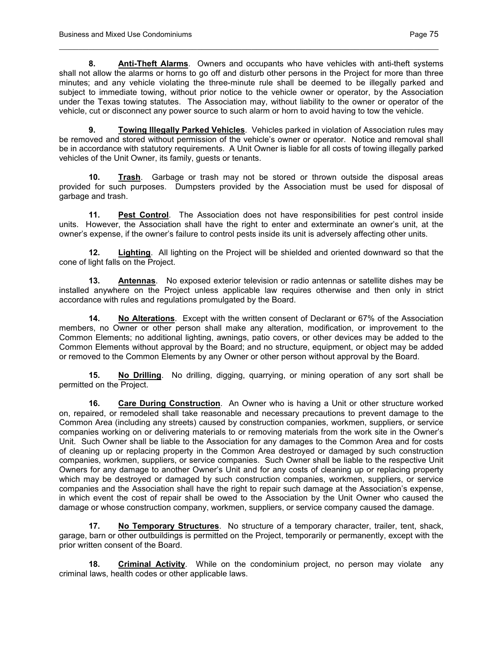**8. Anti-Theft Alarms**. Owners and occupants who have vehicles with anti-theft systems shall not allow the alarms or horns to go off and disturb other persons in the Project for more than three minutes; and any vehicle violating the three-minute rule shall be deemed to be illegally parked and subject to immediate towing, without prior notice to the vehicle owner or operator, by the Association under the Texas towing statutes. The Association may, without liability to the owner or operator of the vehicle, cut or disconnect any power source to such alarm or horn to avoid having to tow the vehicle.

 $\mathcal{L}_\mathcal{L} = \{ \mathcal{L}_\mathcal{L} = \{ \mathcal{L}_\mathcal{L} = \{ \mathcal{L}_\mathcal{L} = \{ \mathcal{L}_\mathcal{L} = \{ \mathcal{L}_\mathcal{L} = \{ \mathcal{L}_\mathcal{L} = \{ \mathcal{L}_\mathcal{L} = \{ \mathcal{L}_\mathcal{L} = \{ \mathcal{L}_\mathcal{L} = \{ \mathcal{L}_\mathcal{L} = \{ \mathcal{L}_\mathcal{L} = \{ \mathcal{L}_\mathcal{L} = \{ \mathcal{L}_\mathcal{L} = \{ \mathcal{L}_\mathcal{$ 

**9. Towing Illegally Parked Vehicles**. Vehicles parked in violation of Association rules may be removed and stored without permission of the vehicle's owner or operator. Notice and removal shall be in accordance with statutory requirements. A Unit Owner is liable for all costs of towing illegally parked vehicles of the Unit Owner, its family, guests or tenants.

**10. Trash**. Garbage or trash may not be stored or thrown outside the disposal areas provided for such purposes. Dumpsters provided by the Association must be used for disposal of garbage and trash.

**11. Pest Control**. The Association does not have responsibilities for pest control inside units. However, the Association shall have the right to enter and exterminate an owner's unit, at the owner's expense, if the owner's failure to control pests inside its unit is adversely affecting other units.

**12. Lighting**. All lighting on the Project will be shielded and oriented downward so that the cone of light falls on the Project.

**13. Antennas**. No exposed exterior television or radio antennas or satellite dishes may be installed anywhere on the Project unless applicable law requires otherwise and then only in strict accordance with rules and regulations promulgated by the Board.

**14. No Alterations**. Except with the written consent of Declarant or 67% of the Association members, no Owner or other person shall make any alteration, modification, or improvement to the Common Elements; no additional lighting, awnings, patio covers, or other devices may be added to the Common Elements without approval by the Board; and no structure, equipment, or object may be added or removed to the Common Elements by any Owner or other person without approval by the Board.

**15. No Drilling**. No drilling, digging, quarrying, or mining operation of any sort shall be permitted on the Project.

**16. Care During Construction**. An Owner who is having a Unit or other structure worked on, repaired, or remodeled shall take reasonable and necessary precautions to prevent damage to the Common Area (including any streets) caused by construction companies, workmen, suppliers, or service companies working on or delivering materials to or removing materials from the work site in the Owner's Unit. Such Owner shall be liable to the Association for any damages to the Common Area and for costs of cleaning up or replacing property in the Common Area destroyed or damaged by such construction companies, workmen, suppliers, or service companies. Such Owner shall be liable to the respective Unit Owners for any damage to another Owner's Unit and for any costs of cleaning up or replacing property which may be destroyed or damaged by such construction companies, workmen, suppliers, or service companies and the Association shall have the right to repair such damage at the Association's expense, in which event the cost of repair shall be owed to the Association by the Unit Owner who caused the damage or whose construction company, workmen, suppliers, or service company caused the damage.

**17. No Temporary Structures**. No structure of a temporary character, trailer, tent, shack, garage, barn or other outbuildings is permitted on the Project, temporarily or permanently, except with the prior written consent of the Board.

**18. Criminal Activity**. While on the condominium project, no person may violate any criminal laws, health codes or other applicable laws.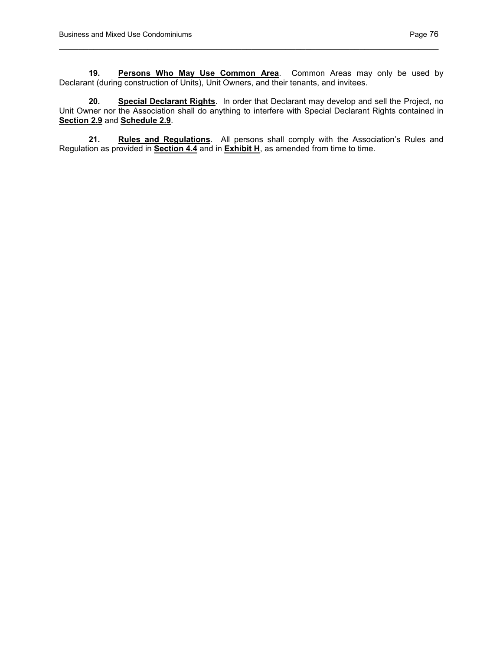**19. Persons Who May Use Common Area**. Common Areas may only be used by Declarant (during construction of Units), Unit Owners, and their tenants, and invitees.

 $\mathcal{L}_\mathcal{L} = \{ \mathcal{L}_\mathcal{L} = \{ \mathcal{L}_\mathcal{L} = \{ \mathcal{L}_\mathcal{L} = \{ \mathcal{L}_\mathcal{L} = \{ \mathcal{L}_\mathcal{L} = \{ \mathcal{L}_\mathcal{L} = \{ \mathcal{L}_\mathcal{L} = \{ \mathcal{L}_\mathcal{L} = \{ \mathcal{L}_\mathcal{L} = \{ \mathcal{L}_\mathcal{L} = \{ \mathcal{L}_\mathcal{L} = \{ \mathcal{L}_\mathcal{L} = \{ \mathcal{L}_\mathcal{L} = \{ \mathcal{L}_\mathcal{$ 

**20. Special Declarant Rights**. In order that Declarant may develop and sell the Project, no Unit Owner nor the Association shall do anything to interfere with Special Declarant Rights contained in **Section 2.9** and **Schedule 2.9**.

**21. Rules and Regulations**. All persons shall comply with the Association's Rules and Regulation as provided in **Section 4.4** and in **Exhibit H**, as amended from time to time.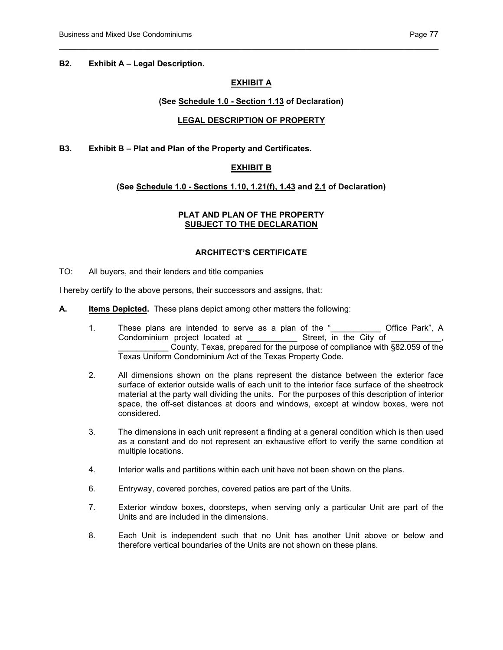### **B2. Exhibit A – Legal Description.**

## **EXHIBIT A**

 $\mathcal{L}_\mathcal{L} = \{ \mathcal{L}_\mathcal{L} = \{ \mathcal{L}_\mathcal{L} = \{ \mathcal{L}_\mathcal{L} = \{ \mathcal{L}_\mathcal{L} = \{ \mathcal{L}_\mathcal{L} = \{ \mathcal{L}_\mathcal{L} = \{ \mathcal{L}_\mathcal{L} = \{ \mathcal{L}_\mathcal{L} = \{ \mathcal{L}_\mathcal{L} = \{ \mathcal{L}_\mathcal{L} = \{ \mathcal{L}_\mathcal{L} = \{ \mathcal{L}_\mathcal{L} = \{ \mathcal{L}_\mathcal{L} = \{ \mathcal{L}_\mathcal{$ 

### **(See Schedule 1.0 - Section 1.13 of Declaration)**

## **LEGAL DESCRIPTION OF PROPERTY**

**B3. Exhibit B – Plat and Plan of the Property and Certificates.**

## **EXHIBIT B**

## **(See Schedule 1.0 - Sections 1.10, 1.21(f), 1.43 and 2.1 of Declaration)**

#### **PLAT AND PLAN OF THE PROPERTY SUBJECT TO THE DECLARATION**

## **ARCHITECT'S CERTIFICATE**

TO: All buyers, and their lenders and title companies

I hereby certify to the above persons, their successors and assigns, that:

- **A. Items Depicted.** These plans depict among other matters the following:
	- 1. These plans are intended to serve as a plan of the " These Park", A Condominium project located at Street, in the City of County, Texas, prepared for the purpose of compliance with §82.059 of the Texas Uniform Condominium Act of the Texas Property Code.
	- 2. All dimensions shown on the plans represent the distance between the exterior face surface of exterior outside walls of each unit to the interior face surface of the sheetrock material at the party wall dividing the units. For the purposes of this description of interior space, the off-set distances at doors and windows, except at window boxes, were not considered.
	- 3. The dimensions in each unit represent a finding at a general condition which is then used as a constant and do not represent an exhaustive effort to verify the same condition at multiple locations.
	- 4. Interior walls and partitions within each unit have not been shown on the plans.
	- 6. Entryway, covered porches, covered patios are part of the Units.
	- 7. Exterior window boxes, doorsteps, when serving only a particular Unit are part of the Units and are included in the dimensions.
	- 8. Each Unit is independent such that no Unit has another Unit above or below and therefore vertical boundaries of the Units are not shown on these plans.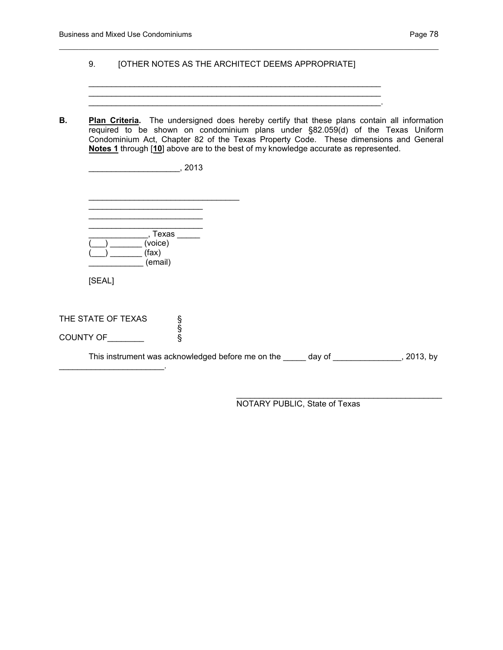$\mathcal{L}_\text{max}$  , which is a set of the set of the set of the set of the set of the set of the set of the set of the set of the set of the set of the set of the set of the set of the set of the set of the set of the set of

| 9. | [OTHER NOTES AS THE ARCHITECT DEEMS APPROPRIATE] |
|----|--------------------------------------------------|
|    |                                                  |

\_\_\_\_\_\_\_\_\_\_\_\_\_\_\_\_\_\_\_\_\_\_\_\_\_\_\_\_\_\_\_\_\_\_\_\_\_\_\_\_\_\_\_\_\_\_\_\_\_\_\_\_\_\_\_\_\_\_\_\_\_\_\_\_  $\mathcal{L}_\mathcal{L}$  , and the set of the set of the set of the set of the set of the set of the set of the set of the set of the set of the set of the set of the set of the set of the set of the set of the set of the set of th  $\mathcal{L}_\text{max}$  , and the set of the set of the set of the set of the set of the set of the set of the set of the set of the set of the set of the set of the set of the set of the set of the set of the set of the set of the

**B.** Plan Criteria. The undersigned does hereby certify that these plans contain all information required to be shown on condominium plans under §82.059(d) of the Texas Uniform Condominium Act, Chapter 82 of the Texas Property Code. These dimensions and General **Notes 1** through [**10**] above are to the best of my knowledge accurate as represented.

 $\mathcal{L}_\mathcal{L} = \{ \mathcal{L}_\mathcal{L} = \{ \mathcal{L}_\mathcal{L} = \{ \mathcal{L}_\mathcal{L} = \{ \mathcal{L}_\mathcal{L} = \{ \mathcal{L}_\mathcal{L} = \{ \mathcal{L}_\mathcal{L} = \{ \mathcal{L}_\mathcal{L} = \{ \mathcal{L}_\mathcal{L} = \{ \mathcal{L}_\mathcal{L} = \{ \mathcal{L}_\mathcal{L} = \{ \mathcal{L}_\mathcal{L} = \{ \mathcal{L}_\mathcal{L} = \{ \mathcal{L}_\mathcal{L} = \{ \mathcal{L}_\mathcal{$ 

| 2013                                                           |            |
|----------------------------------------------------------------|------------|
| Texas_<br>(voice)<br>(fax)<br>(email)<br>[SEAL]                |            |
| THE STATE OF TEXAS<br>တတွ<br>COUNTY OF                         |            |
| This instrument was acknowledged before me on the _____ day of | , 2013, by |

\_\_\_\_\_\_\_\_\_\_\_\_\_\_\_\_\_\_\_\_\_\_\_\_\_\_\_\_\_\_\_\_\_\_\_\_\_\_\_\_\_\_\_\_\_ NOTARY PUBLIC, State of Texas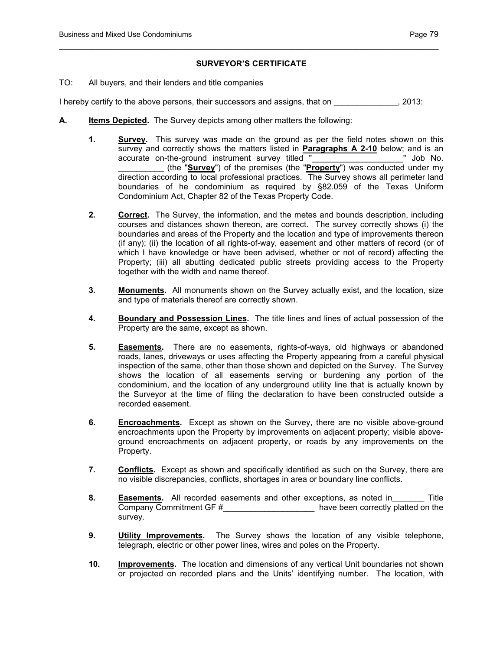## **SURVEYOR'S CERTIFICATE**

 $\mathcal{L}_\mathcal{L} = \{ \mathcal{L}_\mathcal{L} = \{ \mathcal{L}_\mathcal{L} = \{ \mathcal{L}_\mathcal{L} = \{ \mathcal{L}_\mathcal{L} = \{ \mathcal{L}_\mathcal{L} = \{ \mathcal{L}_\mathcal{L} = \{ \mathcal{L}_\mathcal{L} = \{ \mathcal{L}_\mathcal{L} = \{ \mathcal{L}_\mathcal{L} = \{ \mathcal{L}_\mathcal{L} = \{ \mathcal{L}_\mathcal{L} = \{ \mathcal{L}_\mathcal{L} = \{ \mathcal{L}_\mathcal{L} = \{ \mathcal{L}_\mathcal{$ 

TO: All buyers, and their lenders and title companies

I hereby certify to the above persons, their successors and assigns, that on  $\sim$  2013:

- **A. Items Depicted.** The Survey depicts among other matters the following:
	- **1. Survey.** This survey was made on the ground as per the field notes shown on this survey and correctly shows the matters listed in **Paragraphs A 2-10** below; and is an accurate on-the-ground instrument survey titled "\_\_\_\_\_\_\_\_\_\_\_\_\_\_\_\_\_\_\_\_\_\_" Job No. (the "**Survey**") of the premises (the "**Property**") was conducted under my direction according to local professional practices. The Survey shows all perimeter land boundaries of he condominium as required by §82.059 of the Texas Uniform Condominium Act, Chapter 82 of the Texas Property Code.
	- **2. Correct.** The Survey, the information, and the metes and bounds description, including courses and distances shown thereon, are correct. The survey correctly shows (i) the boundaries and areas of the Property and the location and type of improvements thereon (if any); (ii) the location of all rights-of-way, easement and other matters of record (or of which I have knowledge or have been advised, whether or not of record) affecting the Property; (iii) all abutting dedicated public streets providing access to the Property together with the width and name thereof.
	- **3. Monuments.** All monuments shown on the Survey actually exist, and the location, size and type of materials thereof are correctly shown.
	- **4. Boundary and Possession Lines.** The title lines and lines of actual possession of the Property are the same, except as shown.
	- **5. Easements.** There are no easements, rights-of-ways, old highways or abandoned roads, lanes, driveways or uses affecting the Property appearing from a careful physical inspection of the same, other than those shown and depicted on the Survey. The Survey shows the location of all easements serving or burdening any portion of the condominium, and the location of any underground utility line that is actually known by the Surveyor at the time of filing the declaration to have been constructed outside a recorded easement.
	- **6. Encroachments.** Except as shown on the Survey, there are no visible above-ground encroachments upon the Property by improvements on adjacent property; visible aboveground encroachments on adjacent property, or roads by any improvements on the Property.
	- **7. Conflicts.** Except as shown and specifically identified as such on the Survey, there are no visible discrepancies, conflicts, shortages in area or boundary line conflicts.
	- **8. Easements.** All recorded easements and other exceptions, as noted in Title Company Commitment GF # \_\_\_\_\_\_\_\_\_\_\_\_\_\_\_\_\_\_\_\_\_\_\_\_ have been correctly platted on the survey.
	- **9. Utility Improvements.** The Survey shows the location of any visible telephone, telegraph, electric or other power lines, wires and poles on the Property.
	- **10. Improvements.** The location and dimensions of any vertical Unit boundaries not shown or projected on recorded plans and the Units' identifying number. The location, with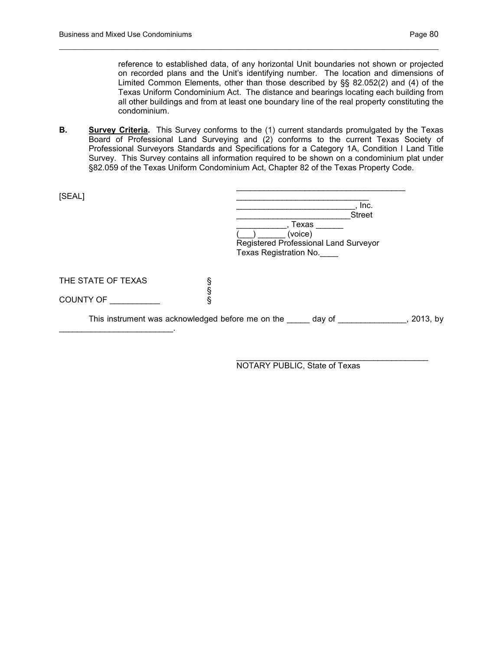reference to established data, of any horizontal Unit boundaries not shown or projected on recorded plans and the Unit's identifying number. The location and dimensions of Limited Common Elements, other than those described by §§ 82.052(2) and (4) of the Texas Uniform Condominium Act. The distance and bearings locating each building from all other buildings and from at least one boundary line of the real property constituting the condominium.

**B. Survey Criteria.** This Survey conforms to the (1) current standards promulgated by the Texas Board of Professional Land Surveying and (2) conforms to the current Texas Society of Professional Surveyors Standards and Specifications for a Category 1A, Condition I Land Title Survey. This Survey contains all information required to be shown on a condominium plat under §82.059 of the Texas Uniform Condominium Act, Chapter 82 of the Texas Property Code.

 $\mathcal{L}_\mathcal{L} = \{ \mathcal{L}_\mathcal{L} = \{ \mathcal{L}_\mathcal{L} = \{ \mathcal{L}_\mathcal{L} = \{ \mathcal{L}_\mathcal{L} = \{ \mathcal{L}_\mathcal{L} = \{ \mathcal{L}_\mathcal{L} = \{ \mathcal{L}_\mathcal{L} = \{ \mathcal{L}_\mathcal{L} = \{ \mathcal{L}_\mathcal{L} = \{ \mathcal{L}_\mathcal{L} = \{ \mathcal{L}_\mathcal{L} = \{ \mathcal{L}_\mathcal{L} = \{ \mathcal{L}_\mathcal{L} = \{ \mathcal{L}_\mathcal{$ 

| [SEAL]             | Inc.<br><b>Street</b><br>Texas<br>(voice)<br>Registered Professional Land Surveyor |
|--------------------|------------------------------------------------------------------------------------|
| THE STATE OF TEXAS | Texas Registration No.                                                             |
| <b>COUNTY OF</b>   |                                                                                    |

COUNTY OF

 $\mathcal{L}_\text{max}$  and  $\mathcal{L}_\text{max}$  and  $\mathcal{L}_\text{max}$  and  $\mathcal{L}_\text{max}$ 

This instrument was acknowledged before me on the \_\_\_\_\_ day of \_\_\_\_\_\_\_\_\_\_\_\_\_\_, 2013, by

 $\mathcal{L}_\text{max}$  , and the set of the set of the set of the set of the set of the set of the set of the set of the set of the set of the set of the set of the set of the set of the set of the set of the set of the set of the NOTARY PUBLIC, State of Texas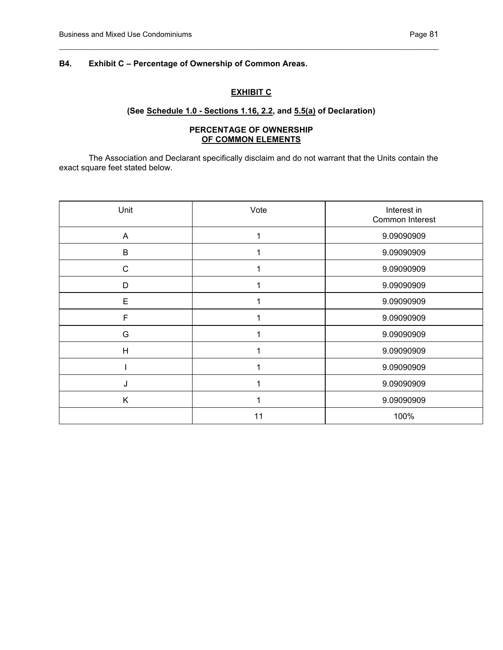## **B4. Exhibit C – Percentage of Ownership of Common Areas.**

# **EXHIBIT C**

 $\mathcal{L}_\mathcal{L} = \{ \mathcal{L}_\mathcal{L} = \{ \mathcal{L}_\mathcal{L} = \{ \mathcal{L}_\mathcal{L} = \{ \mathcal{L}_\mathcal{L} = \{ \mathcal{L}_\mathcal{L} = \{ \mathcal{L}_\mathcal{L} = \{ \mathcal{L}_\mathcal{L} = \{ \mathcal{L}_\mathcal{L} = \{ \mathcal{L}_\mathcal{L} = \{ \mathcal{L}_\mathcal{L} = \{ \mathcal{L}_\mathcal{L} = \{ \mathcal{L}_\mathcal{L} = \{ \mathcal{L}_\mathcal{L} = \{ \mathcal{L}_\mathcal{$ 

# **(See Schedule 1.0 - Sections 1.16, 2.2, and 5.5(a) of Declaration)**

#### **PERCENTAGE OF OWNERSHIP OF COMMON ELEMENTS**

The Association and Declarant specifically disclaim and do not warrant that the Units contain the exact square feet stated below.

| Unit | Vote | Interest in<br>Common Interest |
|------|------|--------------------------------|
| A    |      | 9.09090909                     |
| B    |      | 9.09090909                     |
| C    |      | 9.09090909                     |
| D    |      | 9.09090909                     |
| E    |      | 9.09090909                     |
| F    |      | 9.09090909                     |
| G    |      | 9.09090909                     |
| Н    |      | 9.09090909                     |
|      |      | 9.09090909                     |
| J    |      | 9.09090909                     |
| Κ    |      | 9.09090909                     |
|      | 11   | 100%                           |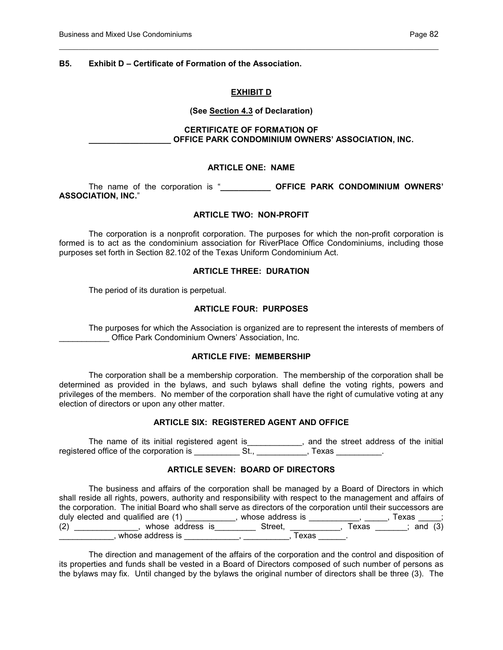#### **B5. Exhibit D – Certificate of Formation of the Association.**

#### **EXHIBIT D**

 $\mathcal{L}_\mathcal{L} = \{ \mathcal{L}_\mathcal{L} = \{ \mathcal{L}_\mathcal{L} = \{ \mathcal{L}_\mathcal{L} = \{ \mathcal{L}_\mathcal{L} = \{ \mathcal{L}_\mathcal{L} = \{ \mathcal{L}_\mathcal{L} = \{ \mathcal{L}_\mathcal{L} = \{ \mathcal{L}_\mathcal{L} = \{ \mathcal{L}_\mathcal{L} = \{ \mathcal{L}_\mathcal{L} = \{ \mathcal{L}_\mathcal{L} = \{ \mathcal{L}_\mathcal{L} = \{ \mathcal{L}_\mathcal{L} = \{ \mathcal{L}_\mathcal{$ 

### **(See Section 4.3 of Declaration)**

# **CERTIFICATE OF FORMATION OF** OFFICE PARK CONDOMINIUM OWNERS' ASSOCIATION, INC.

#### **ARTICLE ONE: NAME**

The name of the corporation is "**\_\_\_\_\_\_\_\_\_\_\_ OFFICE PARK CONDOMINIUM OWNERS' ASSOCIATION, INC.**"

#### **ARTICLE TWO: NON-PROFIT**

The corporation is a nonprofit corporation. The purposes for which the non-profit corporation is formed is to act as the condominium association for RiverPlace Office Condominiums, including those purposes set forth in Section 82.102 of the Texas Uniform Condominium Act.

#### **ARTICLE THREE: DURATION**

The period of its duration is perpetual.

#### **ARTICLE FOUR: PURPOSES**

The purposes for which the Association is organized are to represent the interests of members of \_\_\_\_\_\_\_\_\_\_\_ Office Park Condominium Owners' Association, Inc.

#### **ARTICLE FIVE: MEMBERSHIP**

The corporation shall be a membership corporation. The membership of the corporation shall be determined as provided in the bylaws, and such bylaws shall define the voting rights, powers and privileges of the members. No member of the corporation shall have the right of cumulative voting at any election of directors or upon any other matter.

#### **ARTICLE SIX: REGISTERED AGENT AND OFFICE**

The name of its initial registered agent is\_\_\_\_\_\_\_\_\_\_\_\_, and the street address of the initial registered office of the corporation is \_\_\_\_\_\_\_\_\_\_\_\_St., \_\_\_\_\_\_\_\_\_\_, Texas \_\_\_\_\_\_\_\_\_\_.

### **ARTICLE SEVEN: BOARD OF DIRECTORS**

The business and affairs of the corporation shall be managed by a Board of Directors in which shall reside all rights, powers, authority and responsibility with respect to the management and affairs of the corporation. The initial Board who shall serve as directors of the corporation until their successors are duly elected and qualified are (1) \_\_\_\_\_\_\_\_\_\_, whose address is \_\_\_\_\_\_\_\_\_, \_\_\_\_, Texas \_\_\_\_\_; (2) \_\_\_\_\_\_\_\_\_\_\_\_\_\_, whose address is\_\_\_\_\_\_\_\_\_ Street, \_\_\_\_\_\_\_\_\_\_\_, Texas \_\_\_\_\_\_\_; and (3) \_\_\_\_\_\_\_\_\_\_\_\_, whose address is \_\_\_\_\_\_\_\_\_\_\_, \_\_\_\_\_\_\_\_\_, Texas \_\_\_\_\_\_.

The direction and management of the affairs of the corporation and the control and disposition of its properties and funds shall be vested in a Board of Directors composed of such number of persons as the bylaws may fix. Until changed by the bylaws the original number of directors shall be three (3). The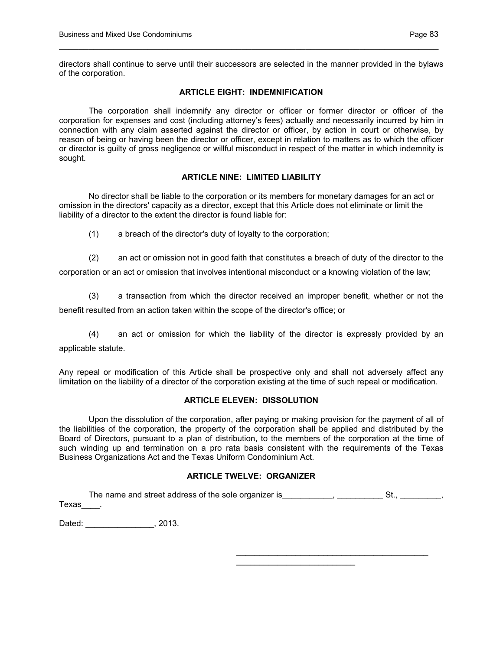directors shall continue to serve until their successors are selected in the manner provided in the bylaws of the corporation.

 $\mathcal{L}_\mathcal{L} = \{ \mathcal{L}_\mathcal{L} = \{ \mathcal{L}_\mathcal{L} = \{ \mathcal{L}_\mathcal{L} = \{ \mathcal{L}_\mathcal{L} = \{ \mathcal{L}_\mathcal{L} = \{ \mathcal{L}_\mathcal{L} = \{ \mathcal{L}_\mathcal{L} = \{ \mathcal{L}_\mathcal{L} = \{ \mathcal{L}_\mathcal{L} = \{ \mathcal{L}_\mathcal{L} = \{ \mathcal{L}_\mathcal{L} = \{ \mathcal{L}_\mathcal{L} = \{ \mathcal{L}_\mathcal{L} = \{ \mathcal{L}_\mathcal{$ 

# **ARTICLE EIGHT: INDEMNIFICATION**

The corporation shall indemnify any director or officer or former director or officer of the corporation for expenses and cost (including attorney's fees) actually and necessarily incurred by him in connection with any claim asserted against the director or officer, by action in court or otherwise, by reason of being or having been the director or officer, except in relation to matters as to which the officer or director is guilty of gross negligence or willful misconduct in respect of the matter in which indemnity is sought.

### **ARTICLE NINE: LIMITED LIABILITY**

No director shall be liable to the corporation or its members for monetary damages for an act or omission in the directors' capacity as a director, except that this Article does not eliminate or limit the liability of a director to the extent the director is found liable for:

(1) a breach of the director's duty of loyalty to the corporation;

(2) an act or omission not in good faith that constitutes a breach of duty of the director to the corporation or an act or omission that involves intentional misconduct or a knowing violation of the law;

(3) a transaction from which the director received an improper benefit, whether or not the benefit resulted from an action taken within the scope of the director's office; or

(4) an act or omission for which the liability of the director is expressly provided by an applicable statute.

Any repeal or modification of this Article shall be prospective only and shall not adversely affect any limitation on the liability of a director of the corporation existing at the time of such repeal or modification.

### **ARTICLE ELEVEN: DISSOLUTION**

Upon the dissolution of the corporation, after paying or making provision for the payment of all of the liabilities of the corporation, the property of the corporation shall be applied and distributed by the Board of Directors, pursuant to a plan of distribution, to the members of the corporation at the time of such winding up and termination on a pro rata basis consistent with the requirements of the Texas Business Organizations Act and the Texas Uniform Condominium Act.

# **ARTICLE TWELVE: ORGANIZER**

The name and street address of the sole organizer is\_\_\_\_\_\_\_\_\_\_, \_\_\_\_\_\_\_\_\_\_\_\_\_\_\_\_\_St., \_\_\_\_\_\_\_\_\_\_, Texas\_\_\_\_.

 $\mathcal{L}_\text{max}$  , and the set of the set of the set of the set of the set of the set of the set of the set of the set of the set of the set of the set of the set of the set of the set of the set of the set of the set of the

\_\_\_\_\_\_\_\_\_\_\_\_\_\_\_\_\_\_\_\_\_\_\_\_\_\_

Dated: \_\_\_\_\_\_\_\_\_\_\_\_\_\_\_, 2013.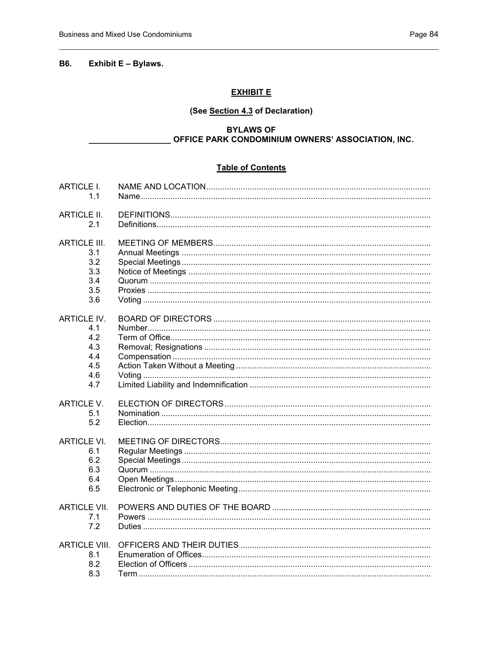#### Exhibit E - Bylaws. **B6.**

# **EXHIBIT E**

# (See Section 4.3 of Declaration)

# **BYLAWS OF** OFFICE PARK CONDOMINIUM OWNERS' ASSOCIATION, INC.

# **Table of Contents**

| <b>ARTICLE I.</b><br>1.1 |  |
|--------------------------|--|
| <b>ARTICLE II.</b>       |  |
| 2.1                      |  |
| <b>ARTICLE III.</b>      |  |
| 3.1<br>3.2               |  |
| 3.3                      |  |
| 3.4                      |  |
| 3.5                      |  |
| 3.6                      |  |
|                          |  |
| <b>ARTICLE IV.</b>       |  |
| 4.1                      |  |
| 4.2                      |  |
| 4.3                      |  |
| 4.4                      |  |
| 4.5                      |  |
| 4.6                      |  |
| 4.7                      |  |
| <b>ARTICLE V.</b>        |  |
| 5.1                      |  |
| 5.2                      |  |
| <b>ARTICLE VI.</b>       |  |
| 6.1                      |  |
| 6.2                      |  |
| 6.3                      |  |
| 6.4                      |  |
| 6.5                      |  |
|                          |  |
| <b>ARTICLE VII.</b>      |  |
| 7.1                      |  |
| 7.2                      |  |
| <b>ARTICLE VIII.</b>     |  |
| 8.1                      |  |
| 8.2                      |  |
| 8.3                      |  |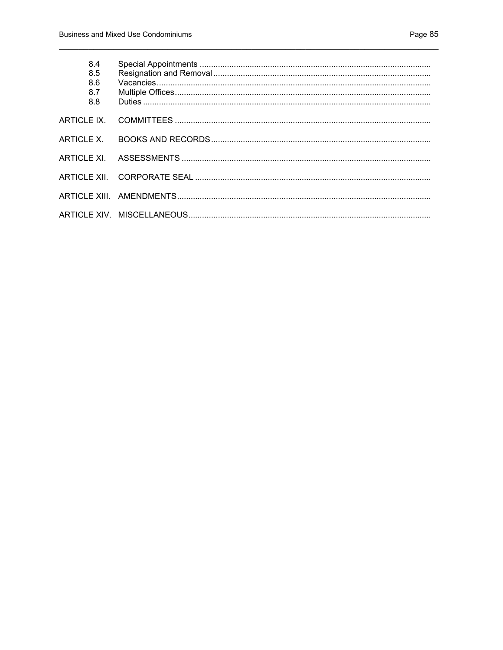| 8.4<br>8.5<br>8.6<br>8.7<br>8.8 |  |
|---------------------------------|--|
|                                 |  |
| ARTICLE X.                      |  |
|                                 |  |
|                                 |  |
|                                 |  |
|                                 |  |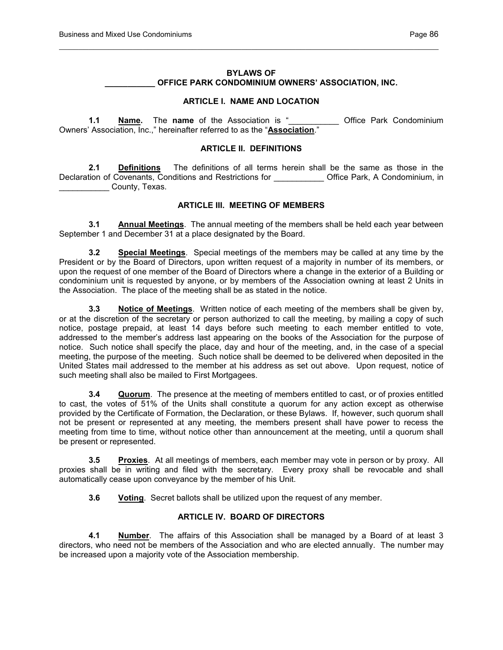#### **BYLAWS OF OFFICE PARK CONDOMINIUM OWNERS' ASSOCIATION, INC.**

 $\mathcal{L}_\mathcal{L} = \{ \mathcal{L}_\mathcal{L} = \{ \mathcal{L}_\mathcal{L} = \{ \mathcal{L}_\mathcal{L} = \{ \mathcal{L}_\mathcal{L} = \{ \mathcal{L}_\mathcal{L} = \{ \mathcal{L}_\mathcal{L} = \{ \mathcal{L}_\mathcal{L} = \{ \mathcal{L}_\mathcal{L} = \{ \mathcal{L}_\mathcal{L} = \{ \mathcal{L}_\mathcal{L} = \{ \mathcal{L}_\mathcal{L} = \{ \mathcal{L}_\mathcal{L} = \{ \mathcal{L}_\mathcal{L} = \{ \mathcal{L}_\mathcal{$ 

## **ARTICLE I. NAME AND LOCATION**

**1.1 Name.** The **name** of the Association is "\_\_\_\_\_\_\_\_\_\_\_ Office Park Condominium Owners' Association, Inc.," hereinafter referred to as the "**Association**."

### **ARTICLE II. DEFINITIONS**

**2.1 Definitions** The definitions of all terms herein shall be the same as those in the Declaration of Covenants, Conditions and Restrictions for **The Container Condominium**, in Lackenbury, Texas.

## **ARTICLE III. MEETING OF MEMBERS**

**3.1 Annual Meetings**. The annual meeting of the members shall be held each year between September 1 and December 31 at a place designated by the Board.

**3.2 Special Meetings**. Special meetings of the members may be called at any time by the President or by the Board of Directors, upon written request of a majority in number of its members, or upon the request of one member of the Board of Directors where a change in the exterior of a Building or condominium unit is requested by anyone, or by members of the Association owning at least 2 Units in the Association. The place of the meeting shall be as stated in the notice.

**3.3 Notice of Meetings**. Written notice of each meeting of the members shall be given by, or at the discretion of the secretary or person authorized to call the meeting, by mailing a copy of such notice, postage prepaid, at least 14 days before such meeting to each member entitled to vote, addressed to the member's address last appearing on the books of the Association for the purpose of notice. Such notice shall specify the place, day and hour of the meeting, and, in the case of a special meeting, the purpose of the meeting. Such notice shall be deemed to be delivered when deposited in the United States mail addressed to the member at his address as set out above. Upon request, notice of such meeting shall also be mailed to First Mortgagees.

**3.4 Quorum**. The presence at the meeting of members entitled to cast, or of proxies entitled to cast, the votes of 51% of the Units shall constitute a quorum for any action except as otherwise provided by the Certificate of Formation, the Declaration, or these Bylaws. If, however, such quorum shall not be present or represented at any meeting, the members present shall have power to recess the meeting from time to time, without notice other than announcement at the meeting, until a quorum shall be present or represented.

**3.5 Proxies**. At all meetings of members, each member may vote in person or by proxy. All proxies shall be in writing and filed with the secretary. Every proxy shall be revocable and shall automatically cease upon conveyance by the member of his Unit.

**3.6 Voting**. Secret ballots shall be utilized upon the request of any member.

## **ARTICLE IV. BOARD OF DIRECTORS**

**4.1 Number**. The affairs of this Association shall be managed by a Board of at least 3 directors, who need not be members of the Association and who are elected annually. The number may be increased upon a majority vote of the Association membership.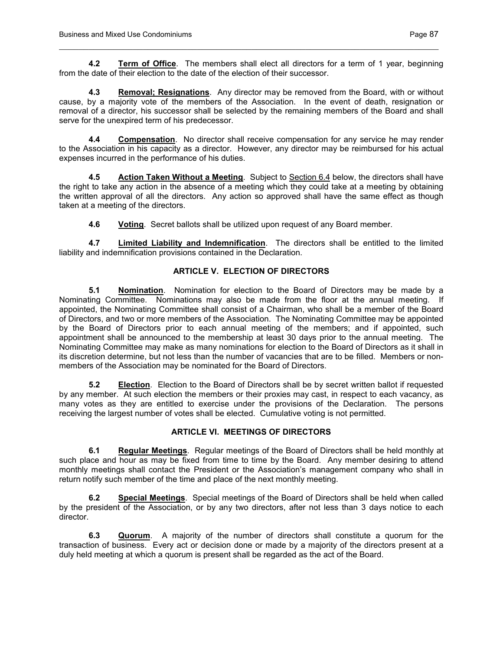**4.2 Term of Office**. The members shall elect all directors for a term of 1 year, beginning from the date of their election to the date of the election of their successor.

 $\mathcal{L}_\mathcal{L} = \{ \mathcal{L}_\mathcal{L} = \{ \mathcal{L}_\mathcal{L} = \{ \mathcal{L}_\mathcal{L} = \{ \mathcal{L}_\mathcal{L} = \{ \mathcal{L}_\mathcal{L} = \{ \mathcal{L}_\mathcal{L} = \{ \mathcal{L}_\mathcal{L} = \{ \mathcal{L}_\mathcal{L} = \{ \mathcal{L}_\mathcal{L} = \{ \mathcal{L}_\mathcal{L} = \{ \mathcal{L}_\mathcal{L} = \{ \mathcal{L}_\mathcal{L} = \{ \mathcal{L}_\mathcal{L} = \{ \mathcal{L}_\mathcal{$ 

**4.3 Removal; Resignations**. Any director may be removed from the Board, with or without cause, by a majority vote of the members of the Association. In the event of death, resignation or removal of a director, his successor shall be selected by the remaining members of the Board and shall serve for the unexpired term of his predecessor.

**4.4 Compensation**. No director shall receive compensation for any service he may render to the Association in his capacity as a director. However, any director may be reimbursed for his actual expenses incurred in the performance of his duties.

**4.5 Action Taken Without a Meeting**. Subject to Section 6.4 below, the directors shall have the right to take any action in the absence of a meeting which they could take at a meeting by obtaining the written approval of all the directors. Any action so approved shall have the same effect as though taken at a meeting of the directors.

**4.6 Voting**. Secret ballots shall be utilized upon request of any Board member.

**4.7 Limited Liability and Indemnification**. The directors shall be entitled to the limited liability and indemnification provisions contained in the Declaration.

# **ARTICLE V. ELECTION OF DIRECTORS**

**5.1 Nomination**. Nomination for election to the Board of Directors may be made by a Nominating Committee. Nominations may also be made from the floor at the annual meeting. If appointed, the Nominating Committee shall consist of a Chairman, who shall be a member of the Board of Directors, and two or more members of the Association. The Nominating Committee may be appointed by the Board of Directors prior to each annual meeting of the members; and if appointed, such appointment shall be announced to the membership at least 30 days prior to the annual meeting. The Nominating Committee may make as many nominations for election to the Board of Directors as it shall in its discretion determine, but not less than the number of vacancies that are to be filled. Members or nonmembers of the Association may be nominated for the Board of Directors.

**5.2 Election**. Election to the Board of Directors shall be by secret written ballot if requested by any member. At such election the members or their proxies may cast, in respect to each vacancy, as many votes as they are entitled to exercise under the provisions of the Declaration. The persons receiving the largest number of votes shall be elected. Cumulative voting is not permitted.

# **ARTICLE VI. MEETINGS OF DIRECTORS**

**6.1 Regular Meetings**. Regular meetings of the Board of Directors shall be held monthly at such place and hour as may be fixed from time to time by the Board. Any member desiring to attend monthly meetings shall contact the President or the Association's management company who shall in return notify such member of the time and place of the next monthly meeting.

**6.2 Special Meetings**. Special meetings of the Board of Directors shall be held when called by the president of the Association, or by any two directors, after not less than 3 days notice to each director.

**6.3 Quorum**. A majority of the number of directors shall constitute a quorum for the transaction of business. Every act or decision done or made by a majority of the directors present at a duly held meeting at which a quorum is present shall be regarded as the act of the Board.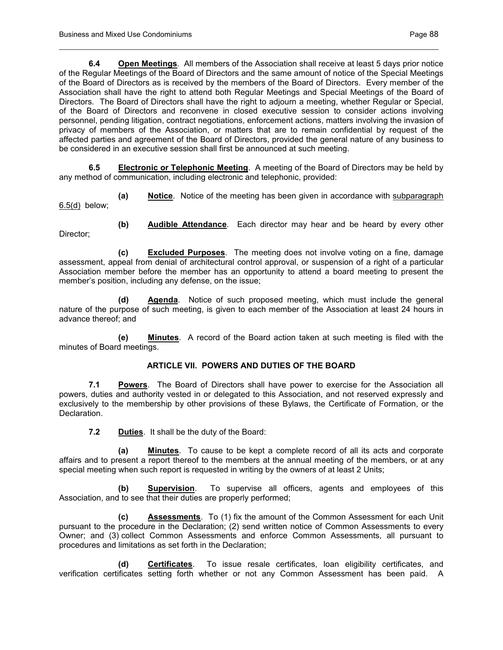**6.4 Open Meetings**. All members of the Association shall receive at least 5 days prior notice of the Regular Meetings of the Board of Directors and the same amount of notice of the Special Meetings of the Board of Directors as is received by the members of the Board of Directors. Every member of the Association shall have the right to attend both Regular Meetings and Special Meetings of the Board of Directors. The Board of Directors shall have the right to adjourn a meeting, whether Regular or Special, of the Board of Directors and reconvene in closed executive session to consider actions involving personnel, pending litigation, contract negotiations, enforcement actions, matters involving the invasion of privacy of members of the Association, or matters that are to remain confidential by request of the affected parties and agreement of the Board of Directors, provided the general nature of any business to be considered in an executive session shall first be announced at such meeting.

 $\mathcal{L}_\mathcal{L} = \{ \mathcal{L}_\mathcal{L} = \{ \mathcal{L}_\mathcal{L} = \{ \mathcal{L}_\mathcal{L} = \{ \mathcal{L}_\mathcal{L} = \{ \mathcal{L}_\mathcal{L} = \{ \mathcal{L}_\mathcal{L} = \{ \mathcal{L}_\mathcal{L} = \{ \mathcal{L}_\mathcal{L} = \{ \mathcal{L}_\mathcal{L} = \{ \mathcal{L}_\mathcal{L} = \{ \mathcal{L}_\mathcal{L} = \{ \mathcal{L}_\mathcal{L} = \{ \mathcal{L}_\mathcal{L} = \{ \mathcal{L}_\mathcal{$ 

**6.5 Electronic or Telephonic Meeting**. A meeting of the Board of Directors may be held by any method of communication, including electronic and telephonic, provided:

**(a) Notice**. Notice of the meeting has been given in accordance with subparagraph 6.5(d) below;

**(b) Audible Attendance**. Each director may hear and be heard by every other Director;

**(c) Excluded Purposes**. The meeting does not involve voting on a fine, damage assessment, appeal from denial of architectural control approval, or suspension of a right of a particular Association member before the member has an opportunity to attend a board meeting to present the member's position, including any defense, on the issue;

**(d) Agenda**. Notice of such proposed meeting, which must include the general nature of the purpose of such meeting, is given to each member of the Association at least 24 hours in advance thereof; and

**(e) Minutes**. A record of the Board action taken at such meeting is filed with the minutes of Board meetings.

## **ARTICLE VII. POWERS AND DUTIES OF THE BOARD**

**7.1 Powers**. The Board of Directors shall have power to exercise for the Association all powers, duties and authority vested in or delegated to this Association, and not reserved expressly and exclusively to the membership by other provisions of these Bylaws, the Certificate of Formation, or the Declaration.

**7.2 Duties**. It shall be the duty of the Board:

**(a) Minutes**. To cause to be kept a complete record of all its acts and corporate affairs and to present a report thereof to the members at the annual meeting of the members, or at any special meeting when such report is requested in writing by the owners of at least 2 Units;

**(b) Supervision**. To supervise all officers, agents and employees of this Association, and to see that their duties are properly performed;

**(c) Assessments**. To (1) fix the amount of the Common Assessment for each Unit pursuant to the procedure in the Declaration; (2) send written notice of Common Assessments to every Owner; and (3) collect Common Assessments and enforce Common Assessments, all pursuant to procedures and limitations as set forth in the Declaration;

**(d) Certificates**. To issue resale certificates, loan eligibility certificates, and verification certificates setting forth whether or not any Common Assessment has been paid. A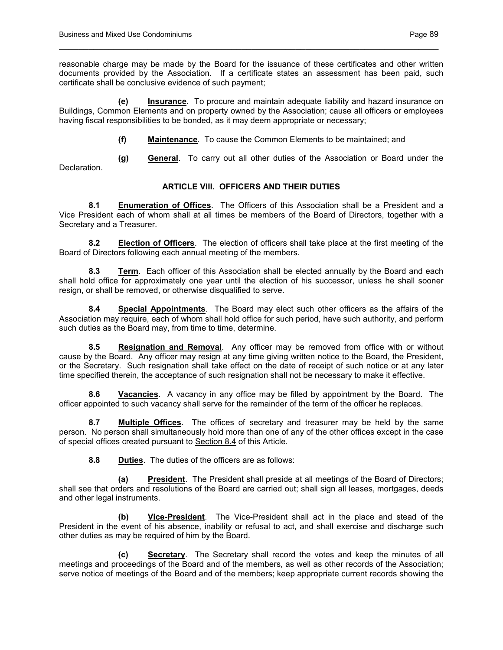reasonable charge may be made by the Board for the issuance of these certificates and other written documents provided by the Association. If a certificate states an assessment has been paid, such certificate shall be conclusive evidence of such payment;

 $\mathcal{L}_\mathcal{L} = \{ \mathcal{L}_\mathcal{L} = \{ \mathcal{L}_\mathcal{L} = \{ \mathcal{L}_\mathcal{L} = \{ \mathcal{L}_\mathcal{L} = \{ \mathcal{L}_\mathcal{L} = \{ \mathcal{L}_\mathcal{L} = \{ \mathcal{L}_\mathcal{L} = \{ \mathcal{L}_\mathcal{L} = \{ \mathcal{L}_\mathcal{L} = \{ \mathcal{L}_\mathcal{L} = \{ \mathcal{L}_\mathcal{L} = \{ \mathcal{L}_\mathcal{L} = \{ \mathcal{L}_\mathcal{L} = \{ \mathcal{L}_\mathcal{$ 

**(e) Insurance**. To procure and maintain adequate liability and hazard insurance on Buildings, Common Elements and on property owned by the Association; cause all officers or employees having fiscal responsibilities to be bonded, as it may deem appropriate or necessary;

**(f) Maintenance**. To cause the Common Elements to be maintained; and

**(g) General**. To carry out all other duties of the Association or Board under the Declaration.

# **ARTICLE VIII. OFFICERS AND THEIR DUTIES**

**8.1 Enumeration of Offices**. The Officers of this Association shall be a President and a Vice President each of whom shall at all times be members of the Board of Directors, together with a Secretary and a Treasurer.

**8.2 Election of Officers**. The election of officers shall take place at the first meeting of the Board of Directors following each annual meeting of the members.

**8.3 Term**. Each officer of this Association shall be elected annually by the Board and each shall hold office for approximately one year until the election of his successor, unless he shall sooner resign, or shall be removed, or otherwise disqualified to serve.

**8.4 Special Appointments**. The Board may elect such other officers as the affairs of the Association may require, each of whom shall hold office for such period, have such authority, and perform such duties as the Board may, from time to time, determine.

**8.5 Resignation and Removal**. Any officer may be removed from office with or without cause by the Board. Any officer may resign at any time giving written notice to the Board, the President, or the Secretary. Such resignation shall take effect on the date of receipt of such notice or at any later time specified therein, the acceptance of such resignation shall not be necessary to make it effective.

**8.6 Vacancies**. A vacancy in any office may be filled by appointment by the Board. The officer appointed to such vacancy shall serve for the remainder of the term of the officer he replaces.

**8.7 Multiple Offices**. The offices of secretary and treasurer may be held by the same person. No person shall simultaneously hold more than one of any of the other offices except in the case of special offices created pursuant to Section 8.4 of this Article.

**8.8 Duties**. The duties of the officers are as follows:

**(a) President**. The President shall preside at all meetings of the Board of Directors; shall see that orders and resolutions of the Board are carried out; shall sign all leases, mortgages, deeds and other legal instruments.

**(b) Vice-President**. The Vice-President shall act in the place and stead of the President in the event of his absence, inability or refusal to act, and shall exercise and discharge such other duties as may be required of him by the Board.

**(c) Secretary**. The Secretary shall record the votes and keep the minutes of all meetings and proceedings of the Board and of the members, as well as other records of the Association; serve notice of meetings of the Board and of the members; keep appropriate current records showing the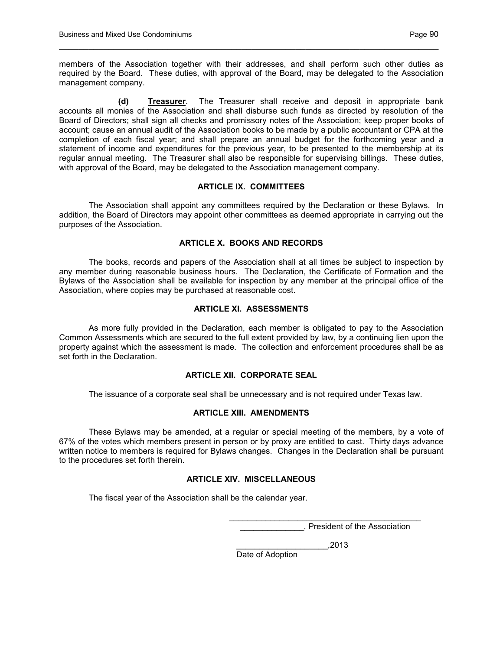members of the Association together with their addresses, and shall perform such other duties as required by the Board. These duties, with approval of the Board, may be delegated to the Association management company.

 $\mathcal{L}_\mathcal{L} = \{ \mathcal{L}_\mathcal{L} = \{ \mathcal{L}_\mathcal{L} = \{ \mathcal{L}_\mathcal{L} = \{ \mathcal{L}_\mathcal{L} = \{ \mathcal{L}_\mathcal{L} = \{ \mathcal{L}_\mathcal{L} = \{ \mathcal{L}_\mathcal{L} = \{ \mathcal{L}_\mathcal{L} = \{ \mathcal{L}_\mathcal{L} = \{ \mathcal{L}_\mathcal{L} = \{ \mathcal{L}_\mathcal{L} = \{ \mathcal{L}_\mathcal{L} = \{ \mathcal{L}_\mathcal{L} = \{ \mathcal{L}_\mathcal{$ 

**(d) Treasurer**. The Treasurer shall receive and deposit in appropriate bank accounts all monies of the Association and shall disburse such funds as directed by resolution of the Board of Directors; shall sign all checks and promissory notes of the Association; keep proper books of account; cause an annual audit of the Association books to be made by a public accountant or CPA at the completion of each fiscal year; and shall prepare an annual budget for the forthcoming year and a statement of income and expenditures for the previous year, to be presented to the membership at its regular annual meeting. The Treasurer shall also be responsible for supervising billings. These duties, with approval of the Board, may be delegated to the Association management company.

### **ARTICLE IX. COMMITTEES**

The Association shall appoint any committees required by the Declaration or these Bylaws. In addition, the Board of Directors may appoint other committees as deemed appropriate in carrying out the purposes of the Association.

## **ARTICLE X. BOOKS AND RECORDS**

The books, records and papers of the Association shall at all times be subject to inspection by any member during reasonable business hours. The Declaration, the Certificate of Formation and the Bylaws of the Association shall be available for inspection by any member at the principal office of the Association, where copies may be purchased at reasonable cost.

### **ARTICLE XI. ASSESSMENTS**

As more fully provided in the Declaration, each member is obligated to pay to the Association Common Assessments which are secured to the full extent provided by law, by a continuing lien upon the property against which the assessment is made. The collection and enforcement procedures shall be as set forth in the Declaration.

## **ARTICLE XII. CORPORATE SEAL**

The issuance of a corporate seal shall be unnecessary and is not required under Texas law.

#### **ARTICLE XIII. AMENDMENTS**

These Bylaws may be amended, at a regular or special meeting of the members, by a vote of 67% of the votes which members present in person or by proxy are entitled to cast. Thirty days advance written notice to members is required for Bylaws changes. Changes in the Declaration shall be pursuant to the procedures set forth therein.

#### **ARTICLE XIV. MISCELLANEOUS**

The fiscal year of the Association shall be the calendar year.

\_\_\_\_\_\_\_\_\_\_\_\_\_\_, President of the Association

\_\_\_\_\_\_\_\_\_\_\_\_\_\_\_\_\_\_\_\_,2013

\_\_\_\_\_\_\_\_\_\_\_\_\_\_\_\_\_\_\_\_\_\_\_\_\_\_\_\_\_\_\_\_\_\_\_\_\_\_\_\_\_\_

Date of Adoption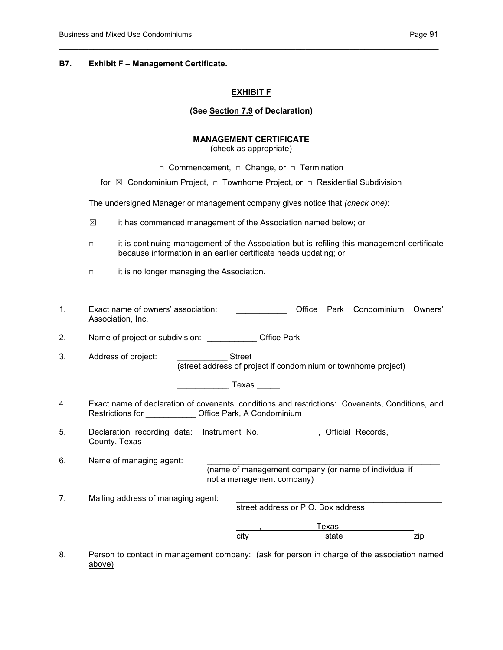#### **B7. Exhibit F – Management Certificate.**

### **EXHIBIT F**

 $\mathcal{L}_\mathcal{L} = \{ \mathcal{L}_\mathcal{L} = \{ \mathcal{L}_\mathcal{L} = \{ \mathcal{L}_\mathcal{L} = \{ \mathcal{L}_\mathcal{L} = \{ \mathcal{L}_\mathcal{L} = \{ \mathcal{L}_\mathcal{L} = \{ \mathcal{L}_\mathcal{L} = \{ \mathcal{L}_\mathcal{L} = \{ \mathcal{L}_\mathcal{L} = \{ \mathcal{L}_\mathcal{L} = \{ \mathcal{L}_\mathcal{L} = \{ \mathcal{L}_\mathcal{L} = \{ \mathcal{L}_\mathcal{L} = \{ \mathcal{L}_\mathcal{$ 

### **(See Section 7.9 of Declaration)**

#### **MANAGEMENT CERTIFICATE**

(check as appropriate)

□ Commencement, □ Change, or □ Termination

for  $\boxtimes$  Condominium Project,  $\Box$  Townhome Project, or  $\Box$  Residential Subdivision

The undersigned Manager or management company gives notice that *(check one)*:

- $\boxtimes$  it has commenced management of the Association named below; or
- □ it is continuing management of the Association but is refiling this management certificate because information in an earlier certificate needs updating; or
- □ it is no longer managing the Association.
- 1. Exact name of owners' association: \_\_\_\_\_\_\_\_\_\_\_ Office Park Condominium Owners' Association, Inc.

2. Name of project or subdivision: \_\_\_\_\_\_\_\_\_\_\_ Office Park

3. Address of project: \_\_\_\_\_\_\_\_\_\_\_ Street (street address of project if condominium or townhome project)

\_\_\_\_\_\_\_\_\_\_\_, Texas \_\_\_\_\_

- 4. Exact name of declaration of covenants, conditions and restrictions: Covenants, Conditions, and Restrictions for \_\_\_\_\_\_\_\_\_\_\_\_\_ Office Park, A Condominium
- 5. Declaration recording data: Instrument No. 1997, Declaration Contains and Declaration records, County, Texas

6. Name of managing agent:

(name of management company (or name of individual if not a management company)

7. Mailing address of managing agent:

street address or P.O. Box address , Texas

| city | state | zip |
|------|-------|-----|
|      |       |     |

8. Person to contact in management company: (ask for person in charge of the association named above)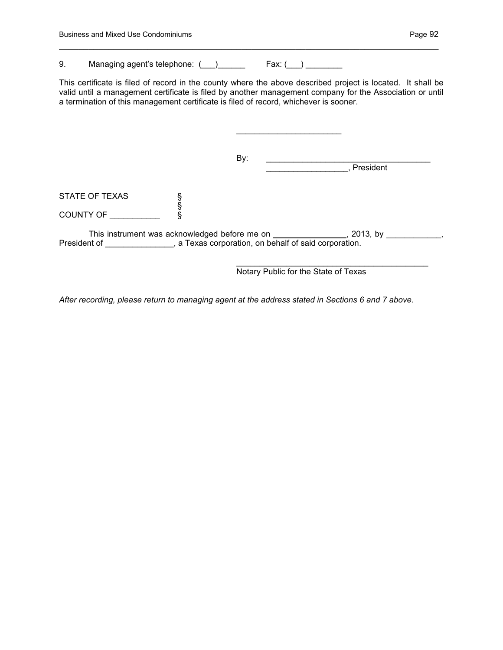9. Managing agent's telephone: () Fax: ()

This certificate is filed of record in the county where the above described project is located. It shall be valid until a management certificate is filed by another management company for the Association or until a termination of this management certificate is filed of record, whichever is sooner.

 $\overline{\phantom{a}}$  , where  $\overline{\phantom{a}}$  , where  $\overline{\phantom{a}}$  , where  $\overline{\phantom{a}}$ 

 $\mathcal{L}_\mathcal{L} = \{ \mathcal{L}_\mathcal{L} = \{ \mathcal{L}_\mathcal{L} = \{ \mathcal{L}_\mathcal{L} = \{ \mathcal{L}_\mathcal{L} = \{ \mathcal{L}_\mathcal{L} = \{ \mathcal{L}_\mathcal{L} = \{ \mathcal{L}_\mathcal{L} = \{ \mathcal{L}_\mathcal{L} = \{ \mathcal{L}_\mathcal{L} = \{ \mathcal{L}_\mathcal{L} = \{ \mathcal{L}_\mathcal{L} = \{ \mathcal{L}_\mathcal{L} = \{ \mathcal{L}_\mathcal{L} = \{ \mathcal{L}_\mathcal{$ 

|                       | By:                                                            | President                                                                                       |
|-----------------------|----------------------------------------------------------------|-------------------------------------------------------------------------------------------------|
| <b>STATE OF TEXAS</b> |                                                                |                                                                                                 |
| <b>COUNTY OF</b>      |                                                                |                                                                                                 |
|                       | President of Texas corporation, on behalf of said corporation. | This instrument was acknowledged before me on _______________________, 2013, by ______________, |
|                       |                                                                | Notary Public for the State of Texas                                                            |

*After recording, please return to managing agent at the address stated in Sections 6 and 7 above.*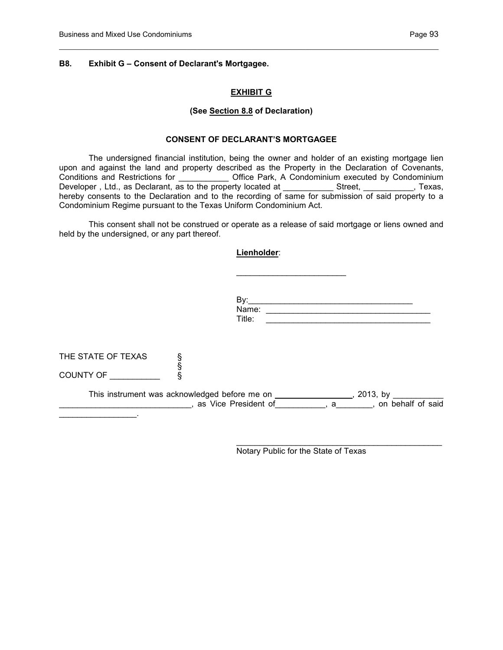### **B8. Exhibit G – Consent of Declarant's Mortgagee.**

#### **EXHIBIT G**

 $\mathcal{L}_\mathcal{L} = \{ \mathcal{L}_\mathcal{L} = \{ \mathcal{L}_\mathcal{L} = \{ \mathcal{L}_\mathcal{L} = \{ \mathcal{L}_\mathcal{L} = \{ \mathcal{L}_\mathcal{L} = \{ \mathcal{L}_\mathcal{L} = \{ \mathcal{L}_\mathcal{L} = \{ \mathcal{L}_\mathcal{L} = \{ \mathcal{L}_\mathcal{L} = \{ \mathcal{L}_\mathcal{L} = \{ \mathcal{L}_\mathcal{L} = \{ \mathcal{L}_\mathcal{L} = \{ \mathcal{L}_\mathcal{L} = \{ \mathcal{L}_\mathcal{$ 

#### **(See Section 8.8 of Declaration)**

#### **CONSENT OF DECLARANT'S MORTGAGEE**

The undersigned financial institution, being the owner and holder of an existing mortgage lien upon and against the land and property described as the Property in the Declaration of Covenants, Conditions and Restrictions for \_\_\_\_\_\_\_\_\_\_\_ Office Park, A Condominium executed by Condominium Developer, Ltd., as Declarant, as to the property located at \_\_\_\_\_\_\_\_\_\_\_\_\_ Street, \_\_\_\_\_\_\_\_\_\_, Texas, hereby consents to the Declaration and to the recording of same for submission of said property to a Condominium Regime pursuant to the Texas Uniform Condominium Act.

This consent shall not be construed or operate as a release of said mortgage or liens owned and held by the undersigned, or any part thereof.

**Lienholder**:

 $\mathcal{L}_\text{max}$  , where  $\mathcal{L}_\text{max}$  , we have the set of the set of the set of the set of the set of the set of the set of the set of the set of the set of the set of the set of the set of the set of the set of the set of

|                    |                                                                         | By:<br>Name:<br>Title: |   |                                 |  |
|--------------------|-------------------------------------------------------------------------|------------------------|---|---------------------------------|--|
| THE STATE OF TEXAS |                                                                         |                        |   |                                 |  |
| COUNTY OF          |                                                                         |                        |   |                                 |  |
|                    | This instrument was acknowledged before me on<br>, as Vice President of |                        | a | 2013, by<br>, on behalf of said |  |

Notary Public for the State of Texas

 $\mathcal{L}_\text{max}$  , and the set of the set of the set of the set of the set of the set of the set of the set of the set of the set of the set of the set of the set of the set of the set of the set of the set of the set of the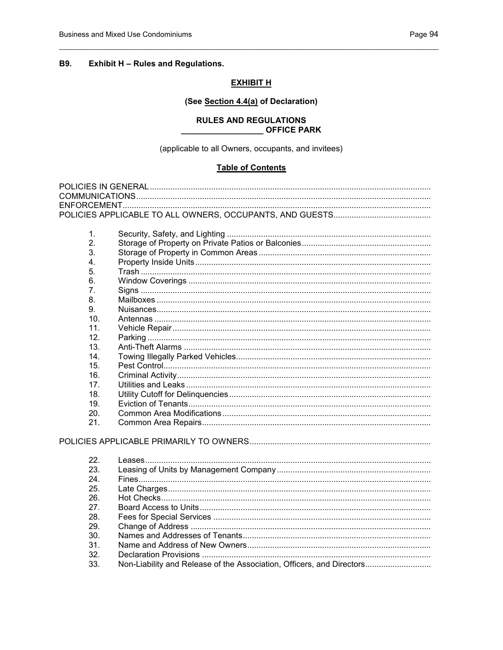#### Exhibit H - Rules and Regulations. **B9.**

### **EXHIBIT H**

# (See Section 4.4(a) of Declaration)

# **RULES AND REGULATIONS OFFICE PARK**

(applicable to all Owners, occupants, and invitees)

# **Table of Contents**

| 1.  |                                                                       |
|-----|-----------------------------------------------------------------------|
| 2.  |                                                                       |
| 3.  |                                                                       |
| 4.  |                                                                       |
| 5.  |                                                                       |
| 6.  |                                                                       |
| 7.  |                                                                       |
| 8.  |                                                                       |
| 9.  |                                                                       |
| 10. |                                                                       |
| 11. |                                                                       |
| 12. |                                                                       |
| 13. |                                                                       |
| 14. |                                                                       |
| 15. |                                                                       |
| 16. |                                                                       |
| 17. |                                                                       |
| 18. |                                                                       |
| 19. |                                                                       |
| 20. |                                                                       |
| 21. |                                                                       |
|     |                                                                       |
|     |                                                                       |
|     |                                                                       |
| 22. |                                                                       |
| 23. |                                                                       |
| 24. |                                                                       |
| 25. |                                                                       |
| 26. |                                                                       |
| 27. |                                                                       |
| 28. |                                                                       |
| 29. |                                                                       |
| 30. |                                                                       |
| 31. |                                                                       |
| 32. |                                                                       |
| 33. | Non-Liability and Release of the Association, Officers, and Directors |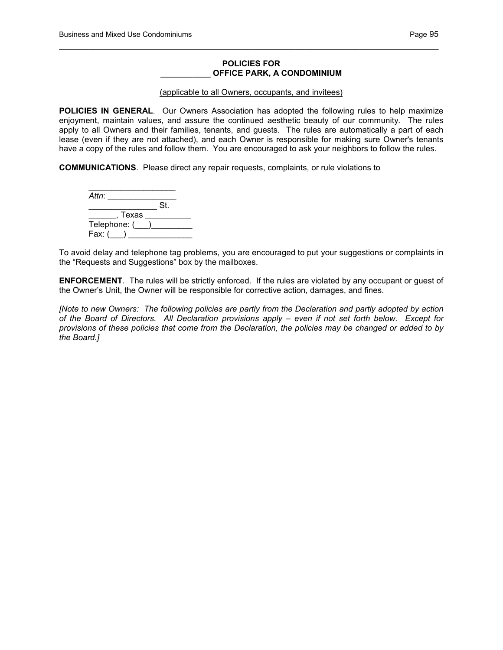## **POLICIES FOR \_\_\_\_\_\_\_\_\_\_\_ OFFICE PARK, A CONDOMINIUM**

#### (applicable to all Owners, occupants, and invitees)

 $\mathcal{L}_\mathcal{L} = \{ \mathcal{L}_\mathcal{L} = \{ \mathcal{L}_\mathcal{L} = \{ \mathcal{L}_\mathcal{L} = \{ \mathcal{L}_\mathcal{L} = \{ \mathcal{L}_\mathcal{L} = \{ \mathcal{L}_\mathcal{L} = \{ \mathcal{L}_\mathcal{L} = \{ \mathcal{L}_\mathcal{L} = \{ \mathcal{L}_\mathcal{L} = \{ \mathcal{L}_\mathcal{L} = \{ \mathcal{L}_\mathcal{L} = \{ \mathcal{L}_\mathcal{L} = \{ \mathcal{L}_\mathcal{L} = \{ \mathcal{L}_\mathcal{$ 

**POLICIES IN GENERAL**. Our Owners Association has adopted the following rules to help maximize enjoyment, maintain values, and assure the continued aesthetic beauty of our community. The rules apply to all Owners and their families, tenants, and guests. The rules are automatically a part of each lease (even if they are not attached), and each Owner is responsible for making sure Owner's tenants have a copy of the rules and follow them. You are encouraged to ask your neighbors to follow the rules.

**COMMUNICATIONS**. Please direct any repair requests, complaints, or rule violations to

| Attn:        |     |  |
|--------------|-----|--|
|              | St. |  |
| Texas        |     |  |
| Telephone: ( |     |  |
| Fax: (       |     |  |

To avoid delay and telephone tag problems, you are encouraged to put your suggestions or complaints in the "Requests and Suggestions" box by the mailboxes.

**ENFORCEMENT**. The rules will be strictly enforced. If the rules are violated by any occupant or guest of the Owner's Unit, the Owner will be responsible for corrective action, damages, and fines.

*[Note to new Owners: The following policies are partly from the Declaration and partly adopted by action of the Board of Directors. All Declaration provisions apply – even if not set forth below. Except for provisions of these policies that come from the Declaration, the policies may be changed or added to by the Board.]*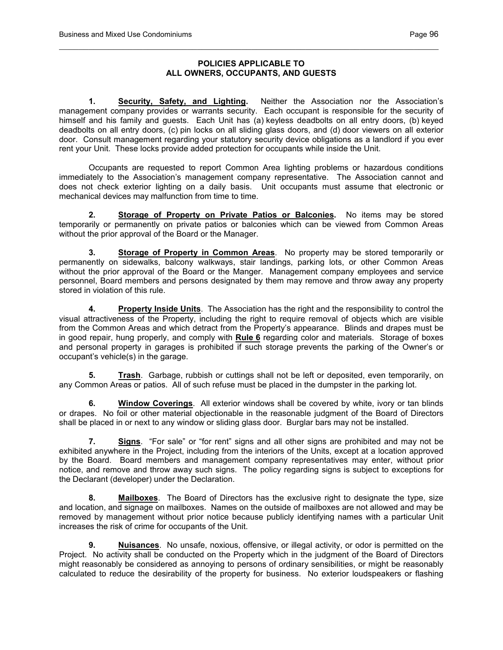## **POLICIES APPLICABLE TO ALL OWNERS, OCCUPANTS, AND GUESTS**

 $\mathcal{L}_\mathcal{L} = \{ \mathcal{L}_\mathcal{L} = \{ \mathcal{L}_\mathcal{L} = \{ \mathcal{L}_\mathcal{L} = \{ \mathcal{L}_\mathcal{L} = \{ \mathcal{L}_\mathcal{L} = \{ \mathcal{L}_\mathcal{L} = \{ \mathcal{L}_\mathcal{L} = \{ \mathcal{L}_\mathcal{L} = \{ \mathcal{L}_\mathcal{L} = \{ \mathcal{L}_\mathcal{L} = \{ \mathcal{L}_\mathcal{L} = \{ \mathcal{L}_\mathcal{L} = \{ \mathcal{L}_\mathcal{L} = \{ \mathcal{L}_\mathcal{$ 

**1. Security, Safety, and Lighting.** Neither the Association nor the Association's management company provides or warrants security. Each occupant is responsible for the security of himself and his family and guests. Each Unit has (a) keyless deadbolts on all entry doors, (b) keyed deadbolts on all entry doors, (c) pin locks on all sliding glass doors, and (d) door viewers on all exterior door. Consult management regarding your statutory security device obligations as a landlord if you ever rent your Unit. These locks provide added protection for occupants while inside the Unit.

Occupants are requested to report Common Area lighting problems or hazardous conditions immediately to the Association's management company representative. The Association cannot and does not check exterior lighting on a daily basis. Unit occupants must assume that electronic or mechanical devices may malfunction from time to time.

**2. Storage of Property on Private Patios or Balconies.** No items may be stored temporarily or permanently on private patios or balconies which can be viewed from Common Areas without the prior approval of the Board or the Manager.

**3. Storage of Property in Common Areas**. No property may be stored temporarily or permanently on sidewalks, balcony walkways, stair landings, parking lots, or other Common Areas without the prior approval of the Board or the Manger. Management company employees and service personnel, Board members and persons designated by them may remove and throw away any property stored in violation of this rule.

**4. Property Inside Units**. The Association has the right and the responsibility to control the visual attractiveness of the Property, including the right to require removal of objects which are visible from the Common Areas and which detract from the Property's appearance. Blinds and drapes must be in good repair, hung properly, and comply with **Rule 6** regarding color and materials. Storage of boxes and personal property in garages is prohibited if such storage prevents the parking of the Owner's or occupant's vehicle(s) in the garage.

**5. Trash**. Garbage, rubbish or cuttings shall not be left or deposited, even temporarily, on any Common Areas or patios. All of such refuse must be placed in the dumpster in the parking lot.

**6. Window Coverings**. All exterior windows shall be covered by white, ivory or tan blinds or drapes. No foil or other material objectionable in the reasonable judgment of the Board of Directors shall be placed in or next to any window or sliding glass door. Burglar bars may not be installed.

**7. Signs**. "For sale" or "for rent" signs and all other signs are prohibited and may not be exhibited anywhere in the Project, including from the interiors of the Units, except at a location approved by the Board. Board members and management company representatives may enter, without prior notice, and remove and throw away such signs. The policy regarding signs is subject to exceptions for the Declarant (developer) under the Declaration.

**8. Mailboxes**. The Board of Directors has the exclusive right to designate the type, size and location, and signage on mailboxes. Names on the outside of mailboxes are not allowed and may be removed by management without prior notice because publicly identifying names with a particular Unit increases the risk of crime for occupants of the Unit.

**9. Nuisances**. No unsafe, noxious, offensive, or illegal activity, or odor is permitted on the Project. No activity shall be conducted on the Property which in the judgment of the Board of Directors might reasonably be considered as annoying to persons of ordinary sensibilities, or might be reasonably calculated to reduce the desirability of the property for business. No exterior loudspeakers or flashing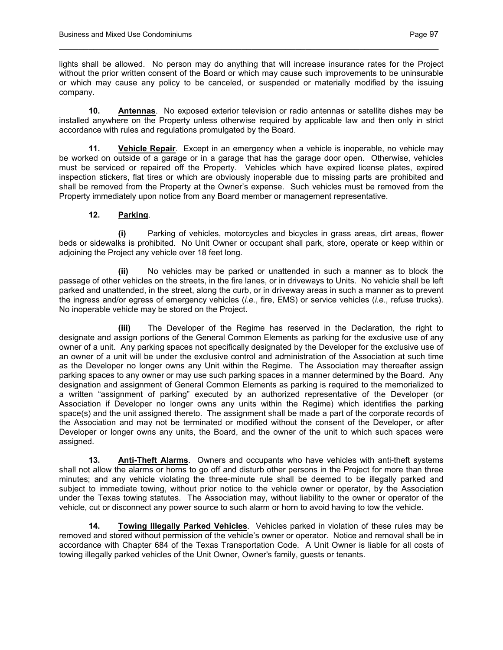lights shall be allowed. No person may do anything that will increase insurance rates for the Project without the prior written consent of the Board or which may cause such improvements to be uninsurable or which may cause any policy to be canceled, or suspended or materially modified by the issuing company.

 $\mathcal{L}_\mathcal{L} = \{ \mathcal{L}_\mathcal{L} = \{ \mathcal{L}_\mathcal{L} = \{ \mathcal{L}_\mathcal{L} = \{ \mathcal{L}_\mathcal{L} = \{ \mathcal{L}_\mathcal{L} = \{ \mathcal{L}_\mathcal{L} = \{ \mathcal{L}_\mathcal{L} = \{ \mathcal{L}_\mathcal{L} = \{ \mathcal{L}_\mathcal{L} = \{ \mathcal{L}_\mathcal{L} = \{ \mathcal{L}_\mathcal{L} = \{ \mathcal{L}_\mathcal{L} = \{ \mathcal{L}_\mathcal{L} = \{ \mathcal{L}_\mathcal{$ 

**10. Antennas**. No exposed exterior television or radio antennas or satellite dishes may be installed anywhere on the Property unless otherwise required by applicable law and then only in strict accordance with rules and regulations promulgated by the Board.

**11. Vehicle Repair**. Except in an emergency when a vehicle is inoperable, no vehicle may be worked on outside of a garage or in a garage that has the garage door open. Otherwise, vehicles must be serviced or repaired off the Property. Vehicles which have expired license plates, expired inspection stickers, flat tires or which are obviously inoperable due to missing parts are prohibited and shall be removed from the Property at the Owner's expense. Such vehicles must be removed from the Property immediately upon notice from any Board member or management representative.

### **12. Parking**.

**(i)** Parking of vehicles, motorcycles and bicycles in grass areas, dirt areas, flower beds or sidewalks is prohibited. No Unit Owner or occupant shall park, store, operate or keep within or adjoining the Project any vehicle over 18 feet long.

**(ii)** No vehicles may be parked or unattended in such a manner as to block the passage of other vehicles on the streets, in the fire lanes, or in driveways to Units. No vehicle shall be left parked and unattended, in the street, along the curb, or in driveway areas in such a manner as to prevent the ingress and/or egress of emergency vehicles (*i.e.*, fire, EMS) or service vehicles (*i.e.*, refuse trucks). No inoperable vehicle may be stored on the Project.

**(iii)** The Developer of the Regime has reserved in the Declaration, the right to designate and assign portions of the General Common Elements as parking for the exclusive use of any owner of a unit. Any parking spaces not specifically designated by the Developer for the exclusive use of an owner of a unit will be under the exclusive control and administration of the Association at such time as the Developer no longer owns any Unit within the Regime. The Association may thereafter assign parking spaces to any owner or may use such parking spaces in a manner determined by the Board. Any designation and assignment of General Common Elements as parking is required to the memorialized to a written "assignment of parking" executed by an authorized representative of the Developer (or Association if Developer no longer owns any units within the Regime) which identifies the parking space(s) and the unit assigned thereto. The assignment shall be made a part of the corporate records of the Association and may not be terminated or modified without the consent of the Developer, or after Developer or longer owns any units, the Board, and the owner of the unit to which such spaces were assigned.

**13. Anti-Theft Alarms**. Owners and occupants who have vehicles with anti-theft systems shall not allow the alarms or horns to go off and disturb other persons in the Project for more than three minutes; and any vehicle violating the three-minute rule shall be deemed to be illegally parked and subject to immediate towing, without prior notice to the vehicle owner or operator, by the Association under the Texas towing statutes. The Association may, without liability to the owner or operator of the vehicle, cut or disconnect any power source to such alarm or horn to avoid having to tow the vehicle.

**14. Towing Illegally Parked Vehicles**. Vehicles parked in violation of these rules may be removed and stored without permission of the vehicle's owner or operator. Notice and removal shall be in accordance with Chapter 684 of the Texas Transportation Code. A Unit Owner is liable for all costs of towing illegally parked vehicles of the Unit Owner, Owner's family, guests or tenants.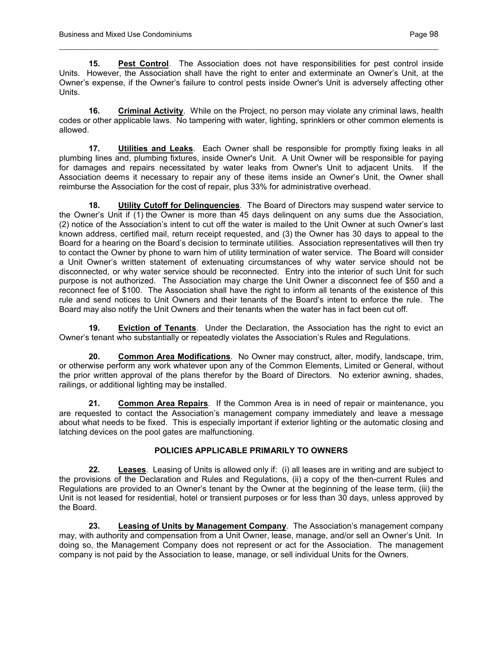**15. Pest Control**. The Association does not have responsibilities for pest control inside Units. However, the Association shall have the right to enter and exterminate an Owner's Unit, at the Owner's expense, if the Owner's failure to control pests inside Owner's Unit is adversely affecting other Units.

 $\mathcal{L}_\mathcal{L} = \{ \mathcal{L}_\mathcal{L} = \{ \mathcal{L}_\mathcal{L} = \{ \mathcal{L}_\mathcal{L} = \{ \mathcal{L}_\mathcal{L} = \{ \mathcal{L}_\mathcal{L} = \{ \mathcal{L}_\mathcal{L} = \{ \mathcal{L}_\mathcal{L} = \{ \mathcal{L}_\mathcal{L} = \{ \mathcal{L}_\mathcal{L} = \{ \mathcal{L}_\mathcal{L} = \{ \mathcal{L}_\mathcal{L} = \{ \mathcal{L}_\mathcal{L} = \{ \mathcal{L}_\mathcal{L} = \{ \mathcal{L}_\mathcal{$ 

**16. Criminal Activity**. While on the Project, no person may violate any criminal laws, health codes or other applicable laws. No tampering with water, lighting, sprinklers or other common elements is allowed.

**17. Utilities and Leaks**. Each Owner shall be responsible for promptly fixing leaks in all plumbing lines and, plumbing fixtures, inside Owner's Unit. A Unit Owner will be responsible for paying for damages and repairs necessitated by water leaks from Owner's Unit to adjacent Units. If the Association deems it necessary to repair any of these items inside an Owner's Unit, the Owner shall reimburse the Association for the cost of repair, plus 33% for administrative overhead.

**18. Utility Cutoff for Delinquencies**. The Board of Directors may suspend water service to the Owner's Unit if (1) the Owner is more than 45 days delinquent on any sums due the Association, (2) notice of the Association's intent to cut off the water is mailed to the Unit Owner at such Owner's last known address, certified mail, return receipt requested, and (3) the Owner has 30 days to appeal to the Board for a hearing on the Board's decision to terminate utilities. Association representatives will then try to contact the Owner by phone to warn him of utility termination of water service. The Board will consider a Unit Owner's written statement of extenuating circumstances of why water service should not be disconnected, or why water service should be reconnected. Entry into the interior of such Unit for such purpose is not authorized. The Association may charge the Unit Owner a disconnect fee of \$50 and a reconnect fee of \$100. The Association shall have the right to inform all tenants of the existence of this rule and send notices to Unit Owners and their tenants of the Board's intent to enforce the rule. The Board may also notify the Unit Owners and their tenants when the water has in fact been cut off.

**19. Eviction of Tenants**. Under the Declaration, the Association has the right to evict an Owner's tenant who substantially or repeatedly violates the Association's Rules and Regulations.

**20. Common Area Modifications**. No Owner may construct, alter, modify, landscape, trim, or otherwise perform any work whatever upon any of the Common Elements, Limited or General, without the prior written approval of the plans therefor by the Board of Directors. No exterior awning, shades, railings, or additional lighting may be installed.

**21. Common Area Repairs**. If the Common Area is in need of repair or maintenance, you are requested to contact the Association's management company immediately and leave a message about what needs to be fixed. This is especially important if exterior lighting or the automatic closing and latching devices on the pool gates are malfunctioning.

## **POLICIES APPLICABLE PRIMARILY TO OWNERS**

**22. Leases**. Leasing of Units is allowed only if: (i) all leases are in writing and are subject to the provisions of the Declaration and Rules and Regulations, (ii) a copy of the then-current Rules and Regulations are provided to an Owner's tenant by the Owner at the beginning of the lease term, (iii) the Unit is not leased for residential, hotel or transient purposes or for less than 30 days, unless approved by the Board.

**23. Leasing of Units by Management Company**. The Association's management company may, with authority and compensation from a Unit Owner, lease, manage, and/or sell an Owner's Unit. In doing so, the Management Company does not represent or act for the Association. The management company is not paid by the Association to lease, manage, or sell individual Units for the Owners.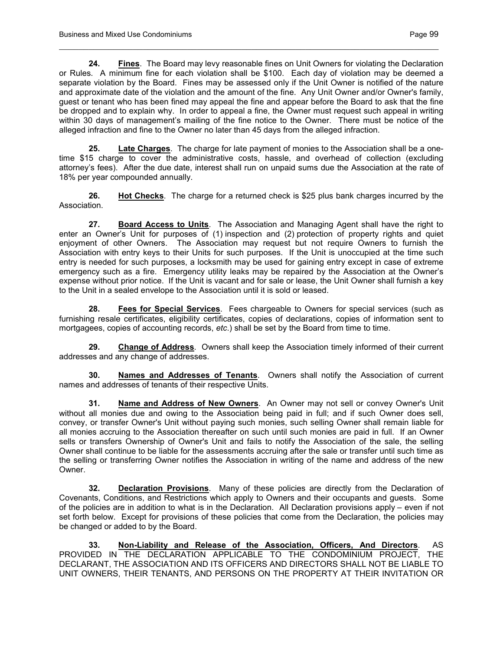**24. Fines**. The Board may levy reasonable fines on Unit Owners for violating the Declaration or Rules. A minimum fine for each violation shall be \$100. Each day of violation may be deemed a separate violation by the Board. Fines may be assessed only if the Unit Owner is notified of the nature and approximate date of the violation and the amount of the fine. Any Unit Owner and/or Owner's family, guest or tenant who has been fined may appeal the fine and appear before the Board to ask that the fine be dropped and to explain why. In order to appeal a fine, the Owner must request such appeal in writing within 30 days of management's mailing of the fine notice to the Owner. There must be notice of the alleged infraction and fine to the Owner no later than 45 days from the alleged infraction.

 $\mathcal{L}_\mathcal{L} = \{ \mathcal{L}_\mathcal{L} = \{ \mathcal{L}_\mathcal{L} = \{ \mathcal{L}_\mathcal{L} = \{ \mathcal{L}_\mathcal{L} = \{ \mathcal{L}_\mathcal{L} = \{ \mathcal{L}_\mathcal{L} = \{ \mathcal{L}_\mathcal{L} = \{ \mathcal{L}_\mathcal{L} = \{ \mathcal{L}_\mathcal{L} = \{ \mathcal{L}_\mathcal{L} = \{ \mathcal{L}_\mathcal{L} = \{ \mathcal{L}_\mathcal{L} = \{ \mathcal{L}_\mathcal{L} = \{ \mathcal{L}_\mathcal{$ 

**25. Late Charges**. The charge for late payment of monies to the Association shall be a onetime \$15 charge to cover the administrative costs, hassle, and overhead of collection (excluding attorney's fees). After the due date, interest shall run on unpaid sums due the Association at the rate of 18% per year compounded annually.

**26. Hot Checks**. The charge for a returned check is \$25 plus bank charges incurred by the Association.

**27. Board Access to Units**. The Association and Managing Agent shall have the right to enter an Owner's Unit for purposes of (1) inspection and (2) protection of property rights and quiet enjoyment of other Owners. The Association may request but not require Owners to furnish the Association with entry keys to their Units for such purposes. If the Unit is unoccupied at the time such entry is needed for such purposes, a locksmith may be used for gaining entry except in case of extreme emergency such as a fire. Emergency utility leaks may be repaired by the Association at the Owner's expense without prior notice. If the Unit is vacant and for sale or lease, the Unit Owner shall furnish a key to the Unit in a sealed envelope to the Association until it is sold or leased.

**28. Fees for Special Services**. Fees chargeable to Owners for special services (such as furnishing resale certificates, eligibility certificates, copies of declarations, copies of information sent to mortgagees, copies of accounting records, *etc*.) shall be set by the Board from time to time.

**29. Change of Address**. Owners shall keep the Association timely informed of their current addresses and any change of addresses.

**30. Names and Addresses of Tenants**. Owners shall notify the Association of current names and addresses of tenants of their respective Units.

**31. Name and Address of New Owners**. An Owner may not sell or convey Owner's Unit without all monies due and owing to the Association being paid in full; and if such Owner does sell, convey, or transfer Owner's Unit without paying such monies, such selling Owner shall remain liable for all monies accruing to the Association thereafter on such until such monies are paid in full. If an Owner sells or transfers Ownership of Owner's Unit and fails to notify the Association of the sale, the selling Owner shall continue to be liable for the assessments accruing after the sale or transfer until such time as the selling or transferring Owner notifies the Association in writing of the name and address of the new Owner.

**32. Declaration Provisions**. Many of these policies are directly from the Declaration of Covenants, Conditions, and Restrictions which apply to Owners and their occupants and guests. Some of the policies are in addition to what is in the Declaration. All Declaration provisions apply – even if not set forth below. Except for provisions of these policies that come from the Declaration, the policies may be changed or added to by the Board.

**33. Non-Liability and Release of the Association, Officers, And Directors**. AS PROVIDED IN THE DECLARATION APPLICABLE TO THE CONDOMINIUM PROJECT, THE DECLARANT, THE ASSOCIATION AND ITS OFFICERS AND DIRECTORS SHALL NOT BE LIABLE TO UNIT OWNERS, THEIR TENANTS, AND PERSONS ON THE PROPERTY AT THEIR INVITATION OR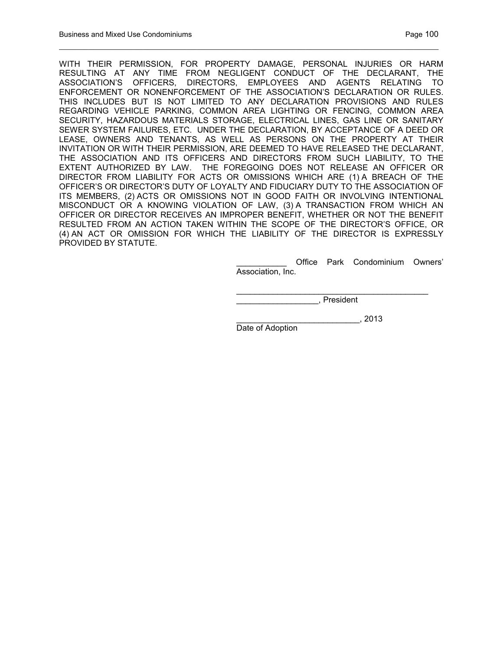WITH THEIR PERMISSION, FOR PROPERTY DAMAGE, PERSONAL INJURIES OR HARM RESULTING AT ANY TIME FROM NEGLIGENT CONDUCT OF THE DECLARANT, THE ASSOCIATION'S OFFICERS, DIRECTORS, EMPLOYEES AND AGENTS RELATING TO ENFORCEMENT OR NONENFORCEMENT OF THE ASSOCIATION'S DECLARATION OR RULES. THIS INCLUDES BUT IS NOT LIMITED TO ANY DECLARATION PROVISIONS AND RULES REGARDING VEHICLE PARKING, COMMON AREA LIGHTING OR FENCING, COMMON AREA SECURITY, HAZARDOUS MATERIALS STORAGE, ELECTRICAL LINES, GAS LINE OR SANITARY SEWER SYSTEM FAILURES, ETC. UNDER THE DECLARATION, BY ACCEPTANCE OF A DEED OR LEASE, OWNERS AND TENANTS, AS WELL AS PERSONS ON THE PROPERTY AT THEIR INVITATION OR WITH THEIR PERMISSION, ARE DEEMED TO HAVE RELEASED THE DECLARANT, THE ASSOCIATION AND ITS OFFICERS AND DIRECTORS FROM SUCH LIABILITY, TO THE EXTENT AUTHORIZED BY LAW. THE FOREGOING DOES NOT RELEASE AN OFFICER OR DIRECTOR FROM LIABILITY FOR ACTS OR OMISSIONS WHICH ARE (1) A BREACH OF THE OFFICER'S OR DIRECTOR'S DUTY OF LOYALTY AND FIDUCIARY DUTY TO THE ASSOCIATION OF ITS MEMBERS, (2) ACTS OR OMISSIONS NOT IN GOOD FAITH OR INVOLVING INTENTIONAL MISCONDUCT OR A KNOWING VIOLATION OF LAW, (3) A TRANSACTION FROM WHICH AN OFFICER OR DIRECTOR RECEIVES AN IMPROPER BENEFIT, WHETHER OR NOT THE BENEFIT RESULTED FROM AN ACTION TAKEN WITHIN THE SCOPE OF THE DIRECTOR'S OFFICE, OR (4) AN ACT OR OMISSION FOR WHICH THE LIABILITY OF THE DIRECTOR IS EXPRESSLY PROVIDED BY STATUTE.

 $\mathcal{L}_\mathcal{L} = \{ \mathcal{L}_\mathcal{L} = \{ \mathcal{L}_\mathcal{L} = \{ \mathcal{L}_\mathcal{L} = \{ \mathcal{L}_\mathcal{L} = \{ \mathcal{L}_\mathcal{L} = \{ \mathcal{L}_\mathcal{L} = \{ \mathcal{L}_\mathcal{L} = \{ \mathcal{L}_\mathcal{L} = \{ \mathcal{L}_\mathcal{L} = \{ \mathcal{L}_\mathcal{L} = \{ \mathcal{L}_\mathcal{L} = \{ \mathcal{L}_\mathcal{L} = \{ \mathcal{L}_\mathcal{L} = \{ \mathcal{L}_\mathcal{$ 

Office Park Condominium Owners' Association, Inc.

 $\_$ \_\_\_\_\_\_\_\_\_\_\_\_\_\_\_\_\_\_, President

\_\_\_\_\_\_\_\_\_\_\_\_\_\_\_\_\_\_\_\_\_\_\_\_\_\_\_, 2013

Date of Adoption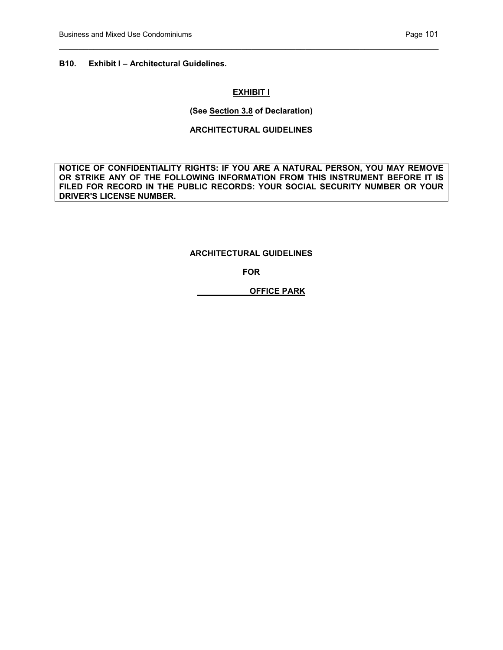### **B10. Exhibit I – Architectural Guidelines.**

### **EXHIBIT I**

 $\mathcal{L}_\mathcal{L} = \{ \mathcal{L}_\mathcal{L} = \{ \mathcal{L}_\mathcal{L} = \{ \mathcal{L}_\mathcal{L} = \{ \mathcal{L}_\mathcal{L} = \{ \mathcal{L}_\mathcal{L} = \{ \mathcal{L}_\mathcal{L} = \{ \mathcal{L}_\mathcal{L} = \{ \mathcal{L}_\mathcal{L} = \{ \mathcal{L}_\mathcal{L} = \{ \mathcal{L}_\mathcal{L} = \{ \mathcal{L}_\mathcal{L} = \{ \mathcal{L}_\mathcal{L} = \{ \mathcal{L}_\mathcal{L} = \{ \mathcal{L}_\mathcal{$ 

# **(See Section 3.8 of Declaration)**

### **ARCHITECTURAL GUIDELINES**

**NOTICE OF CONFIDENTIALITY RIGHTS: IF YOU ARE A NATURAL PERSON, YOU MAY REMOVE OR STRIKE ANY OF THE FOLLOWING INFORMATION FROM THIS INSTRUMENT BEFORE IT IS FILED FOR RECORD IN THE PUBLIC RECORDS: YOUR SOCIAL SECURITY NUMBER OR YOUR DRIVER'S LICENSE NUMBER.**

# **ARCHITECTURAL GUIDELINES**

**FOR**

**\_\_\_\_\_\_\_\_\_\_\_ OFFICE PARK**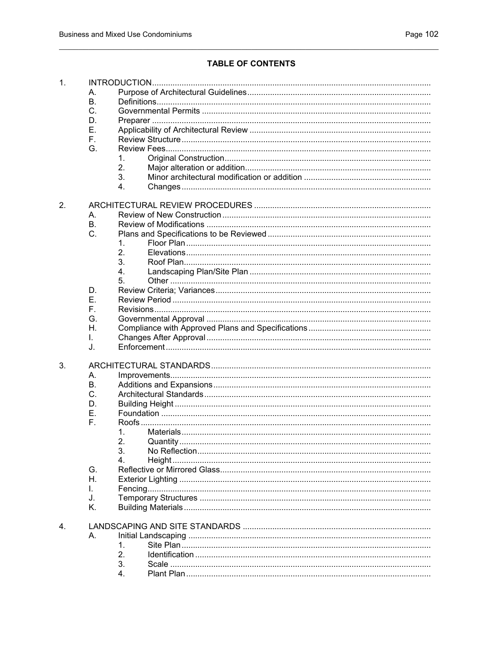# **TABLE OF CONTENTS**

| 1. |          |                |
|----|----------|----------------|
|    | А.       |                |
|    | В.       |                |
|    | C.       |                |
|    | D.       |                |
|    | Е.       |                |
|    | F.       |                |
|    | G.       |                |
|    |          | 1.             |
|    |          | 2.             |
|    |          | 3.             |
|    |          | 4.             |
|    |          |                |
| 2. |          |                |
|    | А.       |                |
|    | В.       |                |
|    | C.       |                |
|    |          | 1 <sub>1</sub> |
|    |          | 2.             |
|    |          | 3.             |
|    |          | 4.             |
|    |          | 5.             |
|    | D.<br>Е. |                |
|    | F.       |                |
|    | G.       |                |
|    | Η.       |                |
|    | L.       |                |
|    | J.       |                |
|    |          |                |
| 3. |          |                |
|    | А.       |                |
|    | Β.       |                |
|    | C.       |                |
|    | D.       |                |
|    | Е.       |                |
|    | F.       |                |
|    |          | 1.             |
|    |          | 2.             |
|    |          | 3.             |
|    |          | 4.             |
|    | G.       |                |
|    | Η.       |                |
|    | I.       |                |
|    | J.       |                |
|    | Κ.       |                |
| 4. |          |                |
|    | А.       |                |
|    |          | 1.             |
|    |          | 2.             |
|    |          | 3.             |
|    |          | 4.             |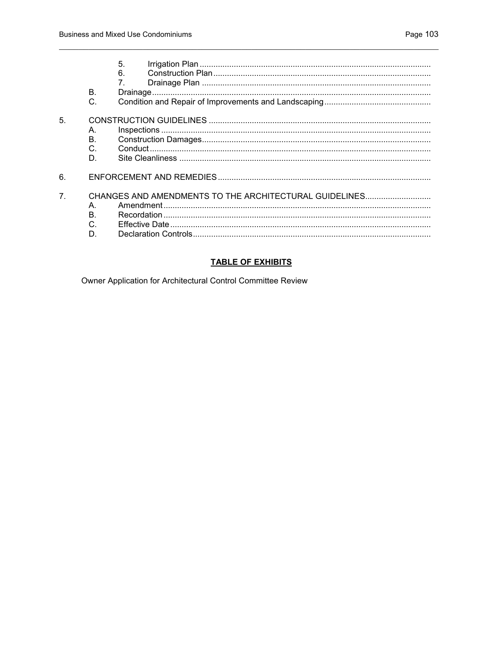|                | В.<br>C.                         | 5.<br>6.<br>7 <sub>1</sub>                             |
|----------------|----------------------------------|--------------------------------------------------------|
| 5.             | А.<br>Β.<br>C.<br>D.             |                                                        |
| 6              |                                  |                                                        |
| 7 <sub>1</sub> | A.<br>$\mathbf{B}$ .<br>C.<br>D. | CHANGES AND AMENDMENTS TO THE ARCHITECTURAL GUIDELINES |

# **TABLE OF EXHIBITS**

Owner Application for Architectural Control Committee Review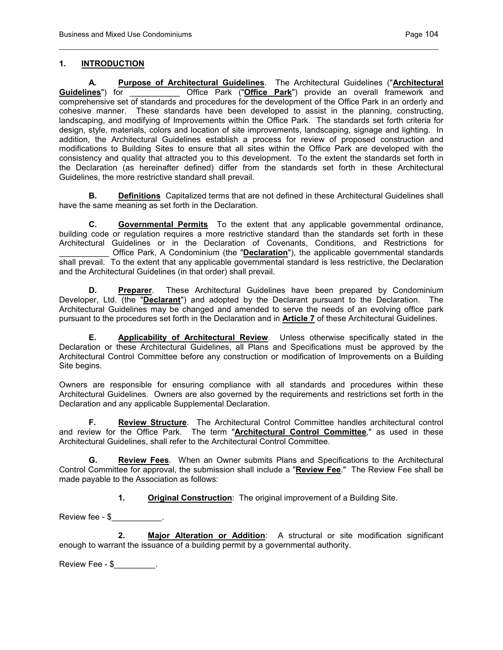# **1. INTRODUCTION**

**A. Purpose of Architectural Guidelines**. The Architectural Guidelines ("**Architectural Guidelines**") for \_\_\_\_\_\_\_\_\_\_\_ Office Park ("**Office Park**") provide an overall framework and comprehensive set of standards and procedures for the development of the Office Park in an orderly and cohesive manner. These standards have been developed to assist in the planning, constructing, landscaping, and modifying of Improvements within the Office Park. The standards set forth criteria for design, style, materials, colors and location of site improvements, landscaping, signage and lighting. In addition, the Architectural Guidelines establish a process for review of proposed construction and modifications to Building Sites to ensure that all sites within the Office Park are developed with the consistency and quality that attracted you to this development. To the extent the standards set forth in the Declaration (as hereinafter defined) differ from the standards set forth in these Architectural Guidelines, the more restrictive standard shall prevail.

 $\mathcal{L}_\mathcal{L} = \{ \mathcal{L}_\mathcal{L} = \{ \mathcal{L}_\mathcal{L} = \{ \mathcal{L}_\mathcal{L} = \{ \mathcal{L}_\mathcal{L} = \{ \mathcal{L}_\mathcal{L} = \{ \mathcal{L}_\mathcal{L} = \{ \mathcal{L}_\mathcal{L} = \{ \mathcal{L}_\mathcal{L} = \{ \mathcal{L}_\mathcal{L} = \{ \mathcal{L}_\mathcal{L} = \{ \mathcal{L}_\mathcal{L} = \{ \mathcal{L}_\mathcal{L} = \{ \mathcal{L}_\mathcal{L} = \{ \mathcal{L}_\mathcal{$ 

**B. Definitions** Capitalized terms that are not defined in these Architectural Guidelines shall have the same meaning as set forth in the Declaration.

**C. Governmental Permits** To the extent that any applicable governmental ordinance, building code or regulation requires a more restrictive standard than the standards set forth in these Architectural Guidelines or in the Declaration of Covenants, Conditions, and Restrictions for Office Park, A Condominium (the "**Declaration**"), the applicable governmental standards shall prevail. To the extent that any applicable governmental standard is less restrictive, the Declaration and the Architectural Guidelines (in that order) shall prevail.

**D. Preparer**. These Architectural Guidelines have been prepared by Condominium Developer, Ltd. (the "**Declarant**") and adopted by the Declarant pursuant to the Declaration. The Architectural Guidelines may be changed and amended to serve the needs of an evolving office park pursuant to the procedures set forth in the Declaration and in **Article 7** of these Architectural Guidelines.

**E. Applicability of Architectural Review**. Unless otherwise specifically stated in the Declaration or these Architectural Guidelines, all Plans and Specifications must be approved by the Architectural Control Committee before any construction or modification of Improvements on a Building Site begins.

Owners are responsible for ensuring compliance with all standards and procedures within these Architectural Guidelines. Owners are also governed by the requirements and restrictions set forth in the Declaration and any applicable Supplemental Declaration.

**F. Review Structure**. The Architectural Control Committee handles architectural control and review for the Office Park. The term "**Architectural Control Committee**," as used in these Architectural Guidelines, shall refer to the Architectural Control Committee.

**G. Review Fees**. When an Owner submits Plans and Specifications to the Architectural Control Committee for approval, the submission shall include a "**Review Fee**." The Review Fee shall be made payable to the Association as follows:

**1. Original Construction**: The original improvement of a Building Site.

Review fee - \$

**2. Major Alteration or Addition**: A structural or site modification significant enough to warrant the issuance of a building permit by a governmental authority.

Review Fee - \$\_\_\_\_\_\_\_\_\_\_.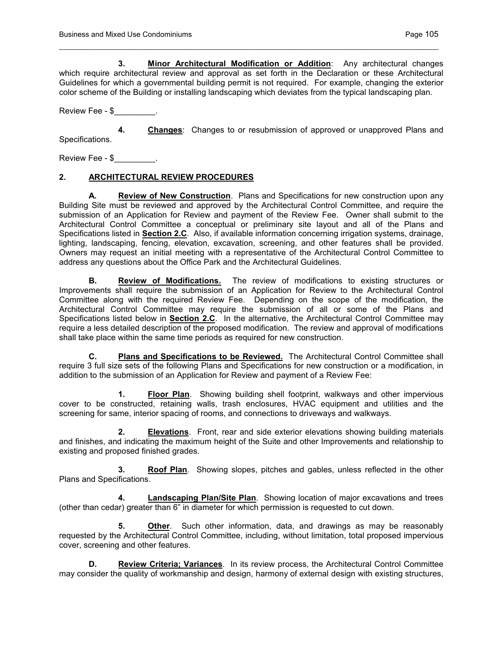**3. Minor Architectural Modification or Addition**: Any architectural changes which require architectural review and approval as set forth in the Declaration or these Architectural Guidelines for which a governmental building permit is not required. For example, changing the exterior color scheme of the Building or installing landscaping which deviates from the typical landscaping plan.

 $\mathcal{L}_\mathcal{L} = \{ \mathcal{L}_\mathcal{L} = \{ \mathcal{L}_\mathcal{L} = \{ \mathcal{L}_\mathcal{L} = \{ \mathcal{L}_\mathcal{L} = \{ \mathcal{L}_\mathcal{L} = \{ \mathcal{L}_\mathcal{L} = \{ \mathcal{L}_\mathcal{L} = \{ \mathcal{L}_\mathcal{L} = \{ \mathcal{L}_\mathcal{L} = \{ \mathcal{L}_\mathcal{L} = \{ \mathcal{L}_\mathcal{L} = \{ \mathcal{L}_\mathcal{L} = \{ \mathcal{L}_\mathcal{L} = \{ \mathcal{L}_\mathcal{$ 

Review Fee - \$\_\_\_\_\_\_\_\_\_.

**4. Changes**: Changes to or resubmission of approved or unapproved Plans and Specifications.

Review Fee - \$

# **2. ARCHITECTURAL REVIEW PROCEDURES**

**A. Review of New Construction**. Plans and Specifications for new construction upon any Building Site must be reviewed and approved by the Architectural Control Committee, and require the submission of an Application for Review and payment of the Review Fee. Owner shall submit to the Architectural Control Committee a conceptual or preliminary site layout and all of the Plans and Specifications listed in **Section 2.C**. Also, if available information concerning irrigation systems, drainage, lighting, landscaping, fencing, elevation, excavation, screening, and other features shall be provided. Owners may request an initial meeting with a representative of the Architectural Control Committee to address any questions about the Office Park and the Architectural Guidelines.

**B. Review of Modifications.** The review of modifications to existing structures or Improvements shall require the submission of an Application for Review to the Architectural Control Committee along with the required Review Fee. Depending on the scope of the modification, the Architectural Control Committee may require the submission of all or some of the Plans and Specifications listed below in **Section 2.C**. In the alternative, the Architectural Control Committee may require a less detailed description of the proposed modification. The review and approval of modifications shall take place within the same time periods as required for new construction.

**C. Plans and Specifications to be Reviewed.** The Architectural Control Committee shall require 3 full size sets of the following Plans and Specifications for new construction or a modification, in addition to the submission of an Application for Review and payment of a Review Fee:

**1. Floor Plan**. Showing building shell footprint, walkways and other impervious cover to be constructed, retaining walls, trash enclosures, HVAC equipment and utilities and the screening for same, interior spacing of rooms, and connections to driveways and walkways.

**2. Elevations**. Front, rear and side exterior elevations showing building materials and finishes, and indicating the maximum height of the Suite and other Improvements and relationship to existing and proposed finished grades.

**3. Roof Plan**. Showing slopes, pitches and gables, unless reflected in the other Plans and Specifications.

**4. Landscaping Plan/Site Plan**. Showing location of major excavations and trees (other than cedar) greater than 6" in diameter for which permission is requested to cut down.

**5. Other**. Such other information, data, and drawings as may be reasonably requested by the Architectural Control Committee, including, without limitation, total proposed impervious cover, screening and other features.

**D. Review Criteria; Variances**. In its review process, the Architectural Control Committee may consider the quality of workmanship and design, harmony of external design with existing structures,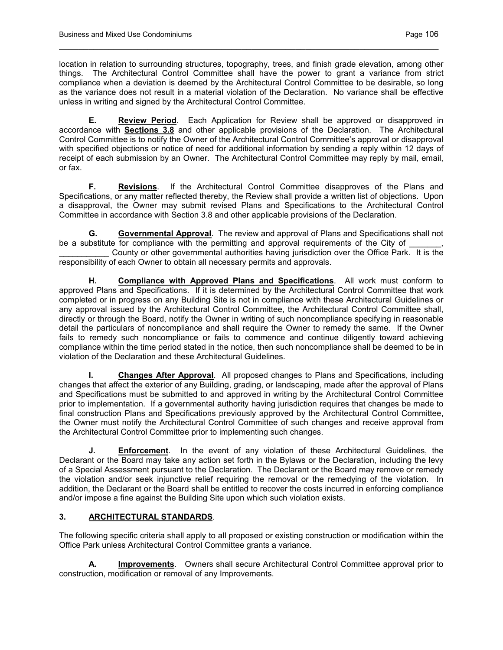location in relation to surrounding structures, topography, trees, and finish grade elevation, among other things. The Architectural Control Committee shall have the power to grant a variance from strict compliance when a deviation is deemed by the Architectural Control Committee to be desirable, so long as the variance does not result in a material violation of the Declaration. No variance shall be effective unless in writing and signed by the Architectural Control Committee.

 $\mathcal{L}_\mathcal{L} = \{ \mathcal{L}_\mathcal{L} = \{ \mathcal{L}_\mathcal{L} = \{ \mathcal{L}_\mathcal{L} = \{ \mathcal{L}_\mathcal{L} = \{ \mathcal{L}_\mathcal{L} = \{ \mathcal{L}_\mathcal{L} = \{ \mathcal{L}_\mathcal{L} = \{ \mathcal{L}_\mathcal{L} = \{ \mathcal{L}_\mathcal{L} = \{ \mathcal{L}_\mathcal{L} = \{ \mathcal{L}_\mathcal{L} = \{ \mathcal{L}_\mathcal{L} = \{ \mathcal{L}_\mathcal{L} = \{ \mathcal{L}_\mathcal{$ 

**E. Review Period**. Each Application for Review shall be approved or disapproved in accordance with **Sections 3.8** and other applicable provisions of the Declaration. The Architectural Control Committee is to notify the Owner of the Architectural Control Committee's approval or disapproval with specified objections or notice of need for additional information by sending a reply within 12 days of receipt of each submission by an Owner. The Architectural Control Committee may reply by mail, email, or fax.

**F. Revisions**. If the Architectural Control Committee disapproves of the Plans and Specifications, or any matter reflected thereby, the Review shall provide a written list of objections. Upon a disapproval, the Owner may submit revised Plans and Specifications to the Architectural Control Committee in accordance with Section 3.8 and other applicable provisions of the Declaration.

**G. Governmental Approval**. The review and approval of Plans and Specifications shall not be a substitute for compliance with the permitting and approval requirements of the City of County or other governmental authorities having jurisdiction over the Office Park. It is the responsibility of each Owner to obtain all necessary permits and approvals.

**H. Compliance with Approved Plans and Specifications**. All work must conform to approved Plans and Specifications. If it is determined by the Architectural Control Committee that work completed or in progress on any Building Site is not in compliance with these Architectural Guidelines or any approval issued by the Architectural Control Committee, the Architectural Control Committee shall, directly or through the Board, notify the Owner in writing of such noncompliance specifying in reasonable detail the particulars of noncompliance and shall require the Owner to remedy the same. If the Owner fails to remedy such noncompliance or fails to commence and continue diligently toward achieving compliance within the time period stated in the notice, then such noncompliance shall be deemed to be in violation of the Declaration and these Architectural Guidelines.

**I. Changes After Approval**. All proposed changes to Plans and Specifications, including changes that affect the exterior of any Building, grading, or landscaping, made after the approval of Plans and Specifications must be submitted to and approved in writing by the Architectural Control Committee prior to implementation. If a governmental authority having jurisdiction requires that changes be made to final construction Plans and Specifications previously approved by the Architectural Control Committee, the Owner must notify the Architectural Control Committee of such changes and receive approval from the Architectural Control Committee prior to implementing such changes.

**J. Enforcement**. In the event of any violation of these Architectural Guidelines, the Declarant or the Board may take any action set forth in the Bylaws or the Declaration, including the levy of a Special Assessment pursuant to the Declaration. The Declarant or the Board may remove or remedy the violation and/or seek injunctive relief requiring the removal or the remedying of the violation. In addition, the Declarant or the Board shall be entitled to recover the costs incurred in enforcing compliance and/or impose a fine against the Building Site upon which such violation exists.

# **3. ARCHITECTURAL STANDARDS**.

The following specific criteria shall apply to all proposed or existing construction or modification within the Office Park unless Architectural Control Committee grants a variance.

**A. Improvements**. Owners shall secure Architectural Control Committee approval prior to construction, modification or removal of any Improvements.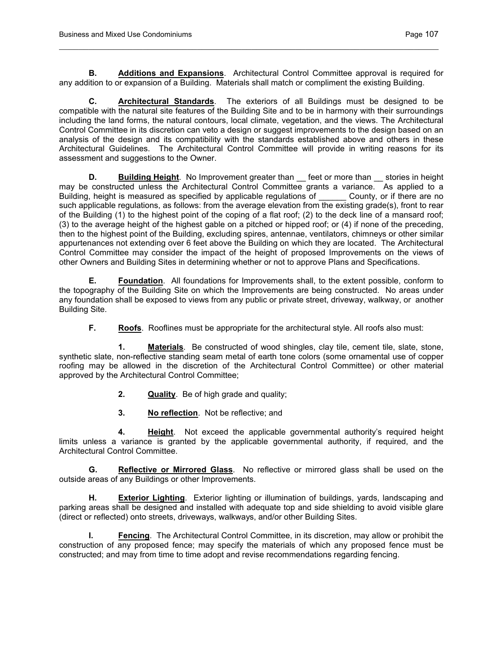**B. Additions and Expansions**. Architectural Control Committee approval is required for any addition to or expansion of a Building. Materials shall match or compliment the existing Building.

 $\mathcal{L}_\mathcal{L} = \{ \mathcal{L}_\mathcal{L} = \{ \mathcal{L}_\mathcal{L} = \{ \mathcal{L}_\mathcal{L} = \{ \mathcal{L}_\mathcal{L} = \{ \mathcal{L}_\mathcal{L} = \{ \mathcal{L}_\mathcal{L} = \{ \mathcal{L}_\mathcal{L} = \{ \mathcal{L}_\mathcal{L} = \{ \mathcal{L}_\mathcal{L} = \{ \mathcal{L}_\mathcal{L} = \{ \mathcal{L}_\mathcal{L} = \{ \mathcal{L}_\mathcal{L} = \{ \mathcal{L}_\mathcal{L} = \{ \mathcal{L}_\mathcal{$ 

**C. Architectural Standards**. The exteriors of all Buildings must be designed to be compatible with the natural site features of the Building Site and to be in harmony with their surroundings including the land forms, the natural contours, local climate, vegetation, and the views. The Architectural Control Committee in its discretion can veto a design or suggest improvements to the design based on an analysis of the design and its compatibility with the standards established above and others in these Architectural Guidelines. The Architectural Control Committee will provide in writing reasons for its assessment and suggestions to the Owner.

**D. Building Height**. No Improvement greater than \_\_ feet or more than \_\_ stories in height may be constructed unless the Architectural Control Committee grants a variance. As applied to a Building, height is measured as specified by applicable regulations of County, or if there are no such applicable regulations, as follows: from the average elevation from the existing grade(s), front to rear of the Building (1) to the highest point of the coping of a flat roof; (2) to the deck line of a mansard roof; (3) to the average height of the highest gable on a pitched or hipped roof; or (4) if none of the preceding, then to the highest point of the Building, excluding spires, antennae, ventilators, chimneys or other similar appurtenances not extending over 6 feet above the Building on which they are located. The Architectural Control Committee may consider the impact of the height of proposed Improvements on the views of other Owners and Building Sites in determining whether or not to approve Plans and Specifications.

**E. Foundation**. All foundations for Improvements shall, to the extent possible, conform to the topography of the Building Site on which the Improvements are being constructed. No areas under any foundation shall be exposed to views from any public or private street, driveway, walkway, or another Building Site.

**F. Roofs**. Rooflines must be appropriate for the architectural style. All roofs also must:

**1. Materials**. Be constructed of wood shingles, clay tile, cement tile, slate, stone, synthetic slate, non-reflective standing seam metal of earth tone colors (some ornamental use of copper roofing may be allowed in the discretion of the Architectural Control Committee) or other material approved by the Architectural Control Committee;

- **2. Quality**. Be of high grade and quality;
- **3. No reflection**. Not be reflective; and

**4. Height**. Not exceed the applicable governmental authority's required height limits unless a variance is granted by the applicable governmental authority, if required, and the Architectural Control Committee.

**G. Reflective or Mirrored Glass**. No reflective or mirrored glass shall be used on the outside areas of any Buildings or other Improvements.

**H. Exterior Lighting**. Exterior lighting or illumination of buildings, yards, landscaping and parking areas shall be designed and installed with adequate top and side shielding to avoid visible glare (direct or reflected) onto streets, driveways, walkways, and/or other Building Sites.

**I. Fencing**. The Architectural Control Committee, in its discretion, may allow or prohibit the construction of any proposed fence; may specify the materials of which any proposed fence must be constructed; and may from time to time adopt and revise recommendations regarding fencing.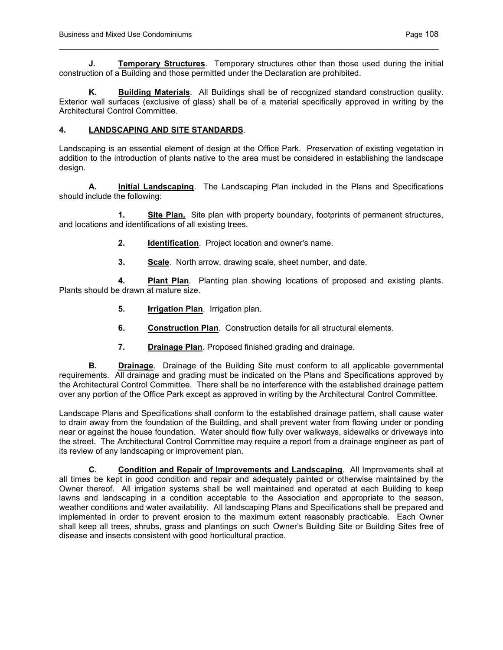**J. Temporary Structures**. Temporary structures other than those used during the initial construction of a Building and those permitted under the Declaration are prohibited.

 $\mathcal{L}_\mathcal{L} = \{ \mathcal{L}_\mathcal{L} = \{ \mathcal{L}_\mathcal{L} = \{ \mathcal{L}_\mathcal{L} = \{ \mathcal{L}_\mathcal{L} = \{ \mathcal{L}_\mathcal{L} = \{ \mathcal{L}_\mathcal{L} = \{ \mathcal{L}_\mathcal{L} = \{ \mathcal{L}_\mathcal{L} = \{ \mathcal{L}_\mathcal{L} = \{ \mathcal{L}_\mathcal{L} = \{ \mathcal{L}_\mathcal{L} = \{ \mathcal{L}_\mathcal{L} = \{ \mathcal{L}_\mathcal{L} = \{ \mathcal{L}_\mathcal{$ 

**K. Building Materials**. All Buildings shall be of recognized standard construction quality. Exterior wall surfaces (exclusive of glass) shall be of a material specifically approved in writing by the Architectural Control Committee.

# **4. LANDSCAPING AND SITE STANDARDS**.

Landscaping is an essential element of design at the Office Park. Preservation of existing vegetation in addition to the introduction of plants native to the area must be considered in establishing the landscape design.

**A. Initial Landscaping**. The Landscaping Plan included in the Plans and Specifications should include the following:

**1. Site Plan.** Site plan with property boundary, footprints of permanent structures, and locations and identifications of all existing trees.

- **2. Identification**. Project location and owner's name.
- **3. Scale**. North arrow, drawing scale, sheet number, and date.

**4. Plant Plan**. Planting plan showing locations of proposed and existing plants. Plants should be drawn at mature size.

- **5. Irrigation Plan**. Irrigation plan.
- **6. Construction Plan**. Construction details for all structural elements.
- **7. Drainage Plan**. Proposed finished grading and drainage.

**B. Drainage**. Drainage of the Building Site must conform to all applicable governmental requirements. All drainage and grading must be indicated on the Plans and Specifications approved by the Architectural Control Committee. There shall be no interference with the established drainage pattern over any portion of the Office Park except as approved in writing by the Architectural Control Committee.

Landscape Plans and Specifications shall conform to the established drainage pattern, shall cause water to drain away from the foundation of the Building, and shall prevent water from flowing under or ponding near or against the house foundation. Water should flow fully over walkways, sidewalks or driveways into the street. The Architectural Control Committee may require a report from a drainage engineer as part of its review of any landscaping or improvement plan.

**C. Condition and Repair of Improvements and Landscaping**. All Improvements shall at all times be kept in good condition and repair and adequately painted or otherwise maintained by the Owner thereof. All irrigation systems shall be well maintained and operated at each Building to keep lawns and landscaping in a condition acceptable to the Association and appropriate to the season, weather conditions and water availability. All landscaping Plans and Specifications shall be prepared and implemented in order to prevent erosion to the maximum extent reasonably practicable. Each Owner shall keep all trees, shrubs, grass and plantings on such Owner's Building Site or Building Sites free of disease and insects consistent with good horticultural practice.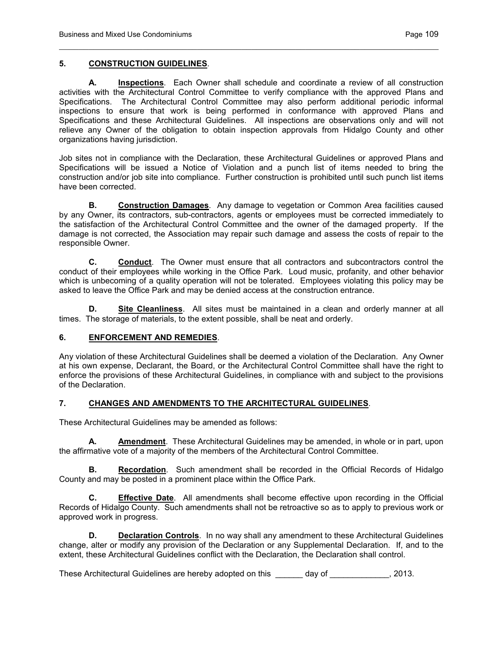# **5. CONSTRUCTION GUIDELINES**.

**A. Inspections**. Each Owner shall schedule and coordinate a review of all construction activities with the Architectural Control Committee to verify compliance with the approved Plans and Specifications. The Architectural Control Committee may also perform additional periodic informal inspections to ensure that work is being performed in conformance with approved Plans and Specifications and these Architectural Guidelines. All inspections are observations only and will not relieve any Owner of the obligation to obtain inspection approvals from Hidalgo County and other organizations having jurisdiction.

 $\mathcal{L}_\mathcal{L} = \{ \mathcal{L}_\mathcal{L} = \{ \mathcal{L}_\mathcal{L} = \{ \mathcal{L}_\mathcal{L} = \{ \mathcal{L}_\mathcal{L} = \{ \mathcal{L}_\mathcal{L} = \{ \mathcal{L}_\mathcal{L} = \{ \mathcal{L}_\mathcal{L} = \{ \mathcal{L}_\mathcal{L} = \{ \mathcal{L}_\mathcal{L} = \{ \mathcal{L}_\mathcal{L} = \{ \mathcal{L}_\mathcal{L} = \{ \mathcal{L}_\mathcal{L} = \{ \mathcal{L}_\mathcal{L} = \{ \mathcal{L}_\mathcal{$ 

Job sites not in compliance with the Declaration, these Architectural Guidelines or approved Plans and Specifications will be issued a Notice of Violation and a punch list of items needed to bring the construction and/or job site into compliance. Further construction is prohibited until such punch list items have been corrected.

**B. Construction Damages**. Any damage to vegetation or Common Area facilities caused by any Owner, its contractors, sub-contractors, agents or employees must be corrected immediately to the satisfaction of the Architectural Control Committee and the owner of the damaged property. If the damage is not corrected, the Association may repair such damage and assess the costs of repair to the responsible Owner.

**C. Conduct**. The Owner must ensure that all contractors and subcontractors control the conduct of their employees while working in the Office Park. Loud music, profanity, and other behavior which is unbecoming of a quality operation will not be tolerated. Employees violating this policy may be asked to leave the Office Park and may be denied access at the construction entrance.

**D. Site Cleanliness**. All sites must be maintained in a clean and orderly manner at all times. The storage of materials, to the extent possible, shall be neat and orderly.

# **6. ENFORCEMENT AND REMEDIES**.

Any violation of these Architectural Guidelines shall be deemed a violation of the Declaration. Any Owner at his own expense, Declarant, the Board, or the Architectural Control Committee shall have the right to enforce the provisions of these Architectural Guidelines, in compliance with and subject to the provisions of the Declaration.

# **7. CHANGES AND AMENDMENTS TO THE ARCHITECTURAL GUIDELINES**.

These Architectural Guidelines may be amended as follows:

**A. Amendment**. These Architectural Guidelines may be amended, in whole or in part, upon the affirmative vote of a majority of the members of the Architectural Control Committee.

**B. Recordation**. Such amendment shall be recorded in the Official Records of Hidalgo County and may be posted in a prominent place within the Office Park.

**C. Effective Date**. All amendments shall become effective upon recording in the Official Records of Hidalgo County. Such amendments shall not be retroactive so as to apply to previous work or approved work in progress.

**D. Declaration Controls**. In no way shall any amendment to these Architectural Guidelines change, alter or modify any provision of the Declaration or any Supplemental Declaration. If, and to the extent, these Architectural Guidelines conflict with the Declaration, the Declaration shall control.

These Architectural Guidelines are hereby adopted on this day of  $\qquad \qquad$ , 2013.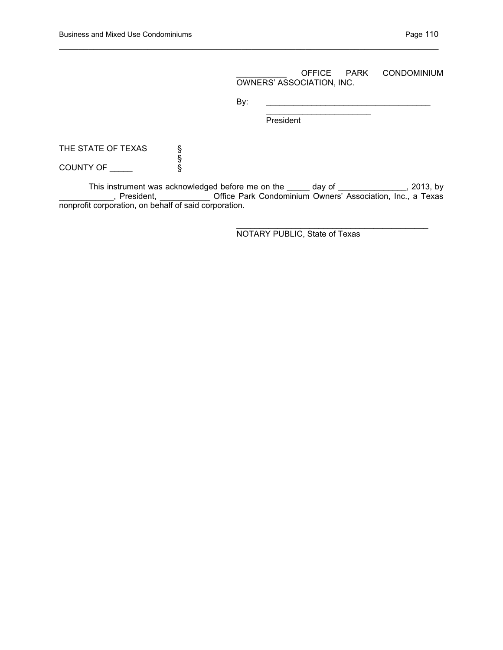|                           | <b>OFFICE</b> | PARK | <b>CONDOMINIUM</b> |
|---------------------------|---------------|------|--------------------|
| OWNERS' ASSOCIATION, INC. |               |      |                    |

By: \_\_\_\_\_\_\_\_\_\_\_\_\_\_\_\_\_\_\_\_\_\_\_\_\_\_\_\_\_\_\_\_\_\_\_\_

\_\_\_\_\_\_\_\_\_\_\_\_\_\_\_\_\_\_\_\_\_\_\_ **President** 

THE STATE OF TEXAS

§

COUNTY OF \_\_\_\_

This instrument was acknowledged before me on the \_\_\_\_\_\_ day of \_\_\_\_\_\_\_\_\_\_\_\_\_\_\_, 2013, by \_\_\_\_\_\_\_\_\_\_\_\_, President, \_\_\_\_\_\_\_\_\_\_\_ Office Park Condominium Owners' Association, Inc., a Texas nonprofit corporation, on behalf of said corporation.

 $\mathcal{L}_\mathcal{L} = \{ \mathcal{L}_\mathcal{L} = \{ \mathcal{L}_\mathcal{L} = \{ \mathcal{L}_\mathcal{L} = \{ \mathcal{L}_\mathcal{L} = \{ \mathcal{L}_\mathcal{L} = \{ \mathcal{L}_\mathcal{L} = \{ \mathcal{L}_\mathcal{L} = \{ \mathcal{L}_\mathcal{L} = \{ \mathcal{L}_\mathcal{L} = \{ \mathcal{L}_\mathcal{L} = \{ \mathcal{L}_\mathcal{L} = \{ \mathcal{L}_\mathcal{L} = \{ \mathcal{L}_\mathcal{L} = \{ \mathcal{L}_\mathcal{$ 

 $\_$ NOTARY PUBLIC, State of Texas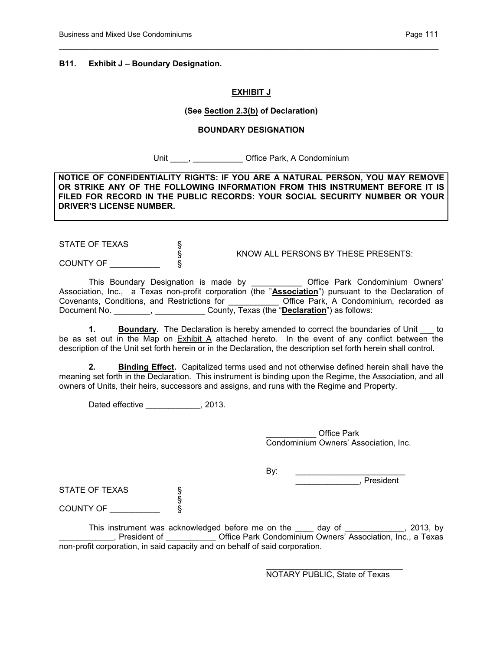### **B11. Exhibit J – Boundary Designation.**

### **EXHIBIT J**

 $\mathcal{L}_\mathcal{L} = \{ \mathcal{L}_\mathcal{L} = \{ \mathcal{L}_\mathcal{L} = \{ \mathcal{L}_\mathcal{L} = \{ \mathcal{L}_\mathcal{L} = \{ \mathcal{L}_\mathcal{L} = \{ \mathcal{L}_\mathcal{L} = \{ \mathcal{L}_\mathcal{L} = \{ \mathcal{L}_\mathcal{L} = \{ \mathcal{L}_\mathcal{L} = \{ \mathcal{L}_\mathcal{L} = \{ \mathcal{L}_\mathcal{L} = \{ \mathcal{L}_\mathcal{L} = \{ \mathcal{L}_\mathcal{L} = \{ \mathcal{L}_\mathcal{$ 

### **(See Section 2.3(b) of Declaration)**

### **BOUNDARY DESIGNATION**

Unit \_\_\_\_, \_\_\_\_\_\_\_\_\_\_\_\_\_ Office Park, A Condominium

**NOTICE OF CONFIDENTIALITY RIGHTS: IF YOU ARE A NATURAL PERSON, YOU MAY REMOVE OR STRIKE ANY OF THE FOLLOWING INFORMATION FROM THIS INSTRUMENT BEFORE IT IS FILED FOR RECORD IN THE PUBLIC RECORDS: YOUR SOCIAL SECURITY NUMBER OR YOUR DRIVER'S LICENSE NUMBER.**

STATE OF TEXAS<br>§<br>COUNTY OF §

COUNTY OF

§ KNOW ALL PERSONS BY THESE PRESENTS:

This Boundary Designation is made by \_\_\_\_\_\_\_\_\_\_\_ Office Park Condominium Owners' Association, Inc., a Texas non-profit corporation (the "**Association**") pursuant to the Declaration of Covenants, Conditions, and Restrictions for \_\_\_\_\_\_\_\_\_\_\_ Office Park, A Condominium, recorded as Document No. \_\_\_\_\_\_\_\_, \_\_\_\_\_\_\_\_\_\_\_\_\_\_\_\_\_\_\_\_\_\_\_County, Texas (the "**Declaration**") as follows:

**1. Boundary.** The Declaration is hereby amended to correct the boundaries of Unit \_\_\_ to be as set out in the Map on Exhibit A attached hereto. In the event of any conflict between the description of the Unit set forth herein or in the Declaration, the description set forth herein shall control.

**2. Binding Effect.** Capitalized terms used and not otherwise defined herein shall have the meaning set forth in the Declaration. This instrument is binding upon the Regime, the Association, and all owners of Units, their heirs, successors and assigns, and runs with the Regime and Property.

Dated effective extending the part of the part of the Date of the Date of the Date of the Date of the Date of the D

\_\_\_\_\_\_\_\_\_\_\_ Office Park Condominium Owners' Association, Inc.

By: \_\_\_\_\_\_\_\_\_\_\_\_\_\_\_\_\_\_\_\_\_\_\_\_ \_\_\_\_\_\_\_\_\_\_\_\_\_\_, President

STATE OF TEXAS

§ COUNTY OF \_\_\_\_\_\_

This instrument was acknowledged before me on the \_\_\_\_ day of \_\_\_\_\_\_\_\_\_\_\_\_, 2013, by Letter School of Condominium Owners' Association, Inc., a Texas non-profit corporation, in said capacity and on behalf of said corporation.

> \_\_\_\_\_\_\_\_\_\_\_\_\_\_\_\_\_\_\_\_\_\_\_\_\_\_\_\_\_\_ NOTARY PUBLIC, State of Texas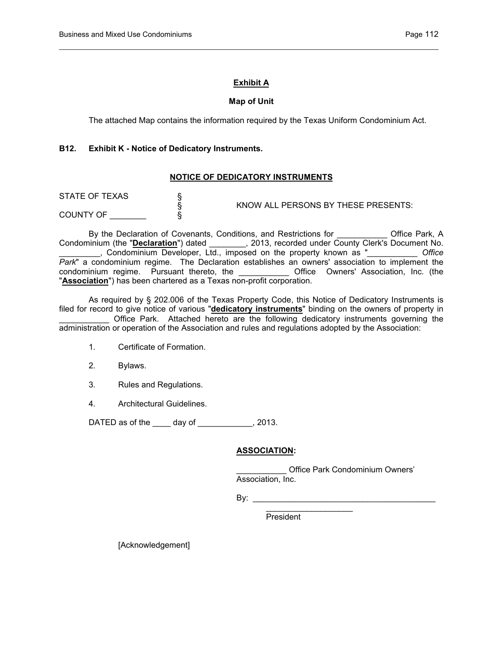# **Exhibit A**

 $\mathcal{L}_\mathcal{L} = \{ \mathcal{L}_\mathcal{L} = \{ \mathcal{L}_\mathcal{L} = \{ \mathcal{L}_\mathcal{L} = \{ \mathcal{L}_\mathcal{L} = \{ \mathcal{L}_\mathcal{L} = \{ \mathcal{L}_\mathcal{L} = \{ \mathcal{L}_\mathcal{L} = \{ \mathcal{L}_\mathcal{L} = \{ \mathcal{L}_\mathcal{L} = \{ \mathcal{L}_\mathcal{L} = \{ \mathcal{L}_\mathcal{L} = \{ \mathcal{L}_\mathcal{L} = \{ \mathcal{L}_\mathcal{L} = \{ \mathcal{L}_\mathcal{$ 

## **Map of Unit**

The attached Map contains the information required by the Texas Uniform Condominium Act.

### **B12. Exhibit K - Notice of Dedicatory Instruments.**

### **NOTICE OF DEDICATORY INSTRUMENTS**

| STATE OF TEXAS   |                                     |
|------------------|-------------------------------------|
|                  | KNOW ALL PERSONS BY THESE PRESENTS: |
| <b>COUNTY OF</b> |                                     |

By the Declaration of Covenants, Conditions, and Restrictions for \_\_\_\_\_\_\_\_\_\_\_ Office Park, A Condominium (the "**Declaration**") dated \_\_\_\_\_\_\_\_, 2013, recorded under County Clerk's Document No. \_\_\_\_\_\_\_\_\_, Condominium Developer, Ltd., imposed on the property known as "*\_\_\_\_\_\_\_\_\_\_\_ Office Park*" a condominium regime. The Declaration establishes an owners' association to implement the condominium regime. Pursuant thereto, the \_\_\_\_\_\_\_\_\_\_\_ Office Owners' Association, Inc. (the "**Association**") has been chartered as a Texas non-profit corporation.

As required by § 202.006 of the Texas Property Code, this Notice of Dedicatory Instruments is filed for record to give notice of various "**dedicatory instruments**" binding on the owners of property in \_\_\_\_\_\_\_\_\_\_\_ Office Park. Attached hereto are the following dedicatory instruments governing the administration or operation of the Association and rules and regulations adopted by the Association:

- 1. Certificate of Formation.
- 2. Bylaws.
- 3. Rules and Regulations.
- 4. Architectural Guidelines.

DATED as of the \_\_\_\_ day of \_\_\_\_\_\_\_\_\_\_\_\_, 2013.

# **ASSOCIATION:**

Office Park Condominium Owners' Association, Inc.

By: \_\_\_\_\_\_\_\_\_\_\_\_\_\_\_\_\_\_\_\_\_\_\_\_\_\_\_\_\_\_\_\_\_\_\_\_\_\_\_\_

 $\mathcal{L}_\mathcal{L}$  , where  $\mathcal{L}_\mathcal{L}$  , we have the set of the set of the set of the set of the set of the set of the set of the set of the set of the set of the set of the set of the set of the set of the set of the set **President** 

[Acknowledgement]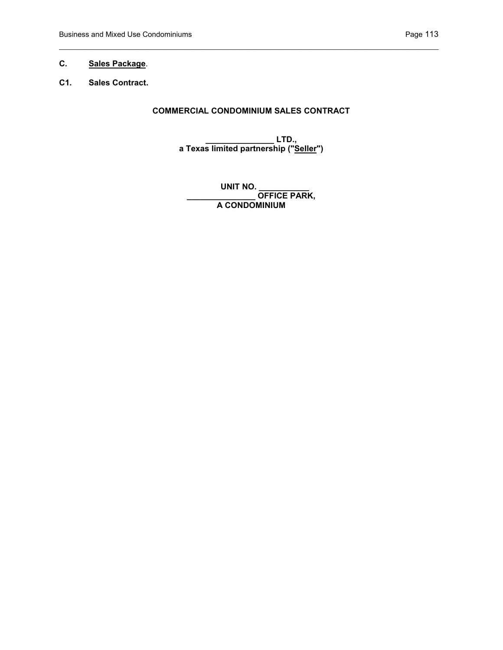# **C. Sales Package**.

**C1. Sales Contract.**

# **COMMERCIAL CONDOMINIUM SALES CONTRACT**

 $\mathcal{L}_\mathcal{L} = \{ \mathcal{L}_\mathcal{L} = \{ \mathcal{L}_\mathcal{L} = \{ \mathcal{L}_\mathcal{L} = \{ \mathcal{L}_\mathcal{L} = \{ \mathcal{L}_\mathcal{L} = \{ \mathcal{L}_\mathcal{L} = \{ \mathcal{L}_\mathcal{L} = \{ \mathcal{L}_\mathcal{L} = \{ \mathcal{L}_\mathcal{L} = \{ \mathcal{L}_\mathcal{L} = \{ \mathcal{L}_\mathcal{L} = \{ \mathcal{L}_\mathcal{L} = \{ \mathcal{L}_\mathcal{L} = \{ \mathcal{L}_\mathcal{$ 

**\_\_\_\_\_\_\_\_\_\_\_\_\_\_\_ LTD., a Texas limited partnership ("Seller")**

 **UNIT NO. \_\_\_\_\_\_\_\_\_\_\_ \_\_\_\_\_\_\_\_\_\_\_\_\_\_\_ OFFICE PARK, A CONDOMINIUM**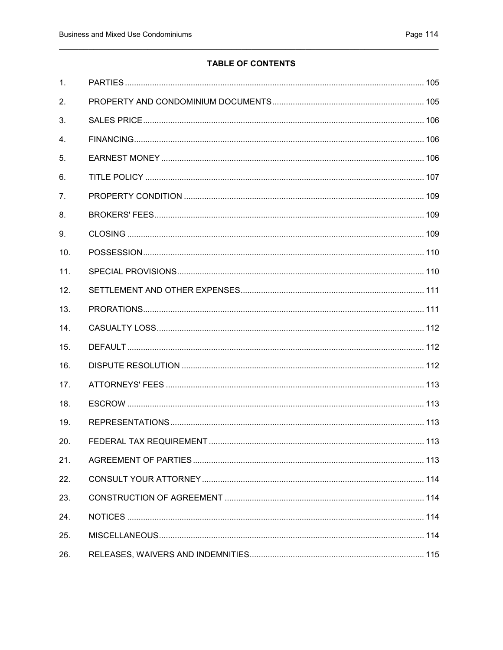# **TABLE OF CONTENTS**

| 1.              |  |
|-----------------|--|
| 2.              |  |
| 3.              |  |
| 4.              |  |
| 5.              |  |
| 6.              |  |
| 7 <sub>1</sub>  |  |
| 8.              |  |
| 9.              |  |
| 10 <sub>1</sub> |  |
| 11.             |  |
| 12.             |  |
| 13.             |  |
| 14.             |  |
| 15.             |  |
| 16.             |  |
| 17.             |  |
| 18.             |  |
| 19.             |  |
| 20.             |  |
| 21.             |  |
| 22.             |  |
| 23.             |  |
| 24.             |  |
| 25.             |  |
| 26.             |  |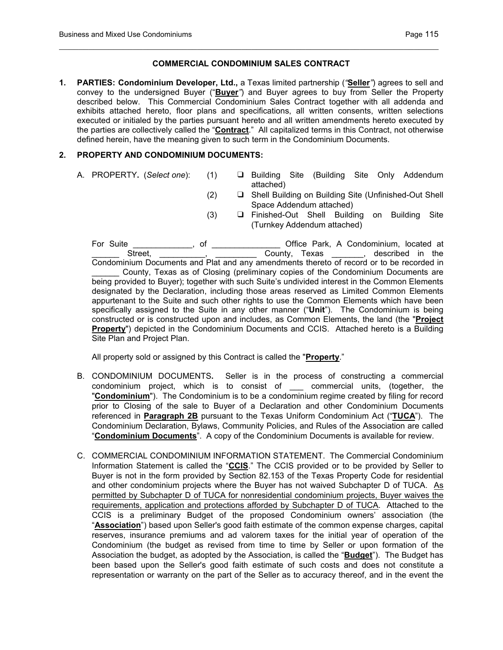## **COMMERCIAL CONDOMINIUM SALES CONTRACT**

 $\mathcal{L}_\mathcal{L} = \{ \mathcal{L}_\mathcal{L} = \{ \mathcal{L}_\mathcal{L} = \{ \mathcal{L}_\mathcal{L} = \{ \mathcal{L}_\mathcal{L} = \{ \mathcal{L}_\mathcal{L} = \{ \mathcal{L}_\mathcal{L} = \{ \mathcal{L}_\mathcal{L} = \{ \mathcal{L}_\mathcal{L} = \{ \mathcal{L}_\mathcal{L} = \{ \mathcal{L}_\mathcal{L} = \{ \mathcal{L}_\mathcal{L} = \{ \mathcal{L}_\mathcal{L} = \{ \mathcal{L}_\mathcal{L} = \{ \mathcal{L}_\mathcal{$ 

**1. PARTIES: Condominium Developer, Ltd.,** a Texas limited partnership (*"***Seller***"*) agrees to sell and convey to the undersigned Buyer ("**Buyer***"*) and Buyer agrees to buy from Seller the Property described below. This Commercial Condominium Sales Contract together with all addenda and exhibits attached hereto, floor plans and specifications, all written consents, written selections executed or initialed by the parties pursuant hereto and all written amendments hereto executed by the parties are collectively called the "**Contract**." All capitalized terms in this Contract, not otherwise defined herein, have the meaning given to such term in the Condominium Documents.

# **2. PROPERTY AND CONDOMINIUM DOCUMENTS:**

- A. PROPERTY**.** (*Select one*): (1) ❑ Building Site (Building Site Only Addendum attached)
	- (2) ❑ Shell Building on Building Site (Unfinished-Out Shell Space Addendum attached)
	- (3) ❑ Finished-Out Shell Building on Building Site (Turnkey Addendum attached)

For Suite \_\_\_\_\_\_\_\_\_\_\_, of \_\_\_\_\_\_\_\_\_\_\_\_\_\_\_\_\_ Office Park, A Condominium, located at Street, \_\_\_\_\_\_\_\_, \_\_\_\_\_\_\_\_\_\_\_ County, Texas \_\_\_\_\_\_\_, described in the Condominium Documents and Plat and any amendments thereto of record or to be recorded in County, Texas as of Closing (preliminary copies of the Condominium Documents are being provided to Buyer); together with such Suite's undivided interest in the Common Elements designated by the Declaration, including those areas reserved as Limited Common Elements appurtenant to the Suite and such other rights to use the Common Elements which have been specifically assigned to the Suite in any other manner ("**Unit**"). The Condominium is being constructed or is constructed upon and includes, as Common Elements, the land (the "**Project Property**") depicted in the Condominium Documents and CCIS. Attached hereto is a Building Site Plan and Project Plan.

All property sold or assigned by this Contract is called the "**Property**."

- B. CONDOMINIUM DOCUMENTS**.** Seller is in the process of constructing a commercial condominium project, which is to consist of \_\_\_ commercial units, (together, the "**Condominium**"). The Condominium is to be a condominium regime created by filing for record prior to Closing of the sale to Buyer of a Declaration and other Condominium Documents referenced in **Paragraph 2B** pursuant to the Texas Uniform Condominium Act ("**TUCA**"). The Condominium Declaration, Bylaws, Community Policies, and Rules of the Association are called "**Condominium Documents**". A copy of the Condominium Documents is available for review.
- C. COMMERCIAL CONDOMINIUM INFORMATION STATEMENT. The Commercial Condominium Information Statement is called the "**CCIS**." The CCIS provided or to be provided by Seller to Buyer is not in the form provided by Section 82.153 of the Texas Property Code for residential and other condominium projects where the Buyer has not waived Subchapter D of TUCA. As permitted by Subchapter D of TUCA for nonresidential condominium projects, Buyer waives the requirements, application and protections afforded by Subchapter D of TUCA. Attached to the CCIS is a preliminary Budget of the proposed Condominium owners' association (the "**Association**") based upon Seller's good faith estimate of the common expense charges, capital reserves, insurance premiums and ad valorem taxes for the initial year of operation of the Condominium (the budget as revised from time to time by Seller or upon formation of the Association the budget, as adopted by the Association, is called the "**Budget**"). The Budget has been based upon the Seller's good faith estimate of such costs and does not constitute a representation or warranty on the part of the Seller as to accuracy thereof, and in the event the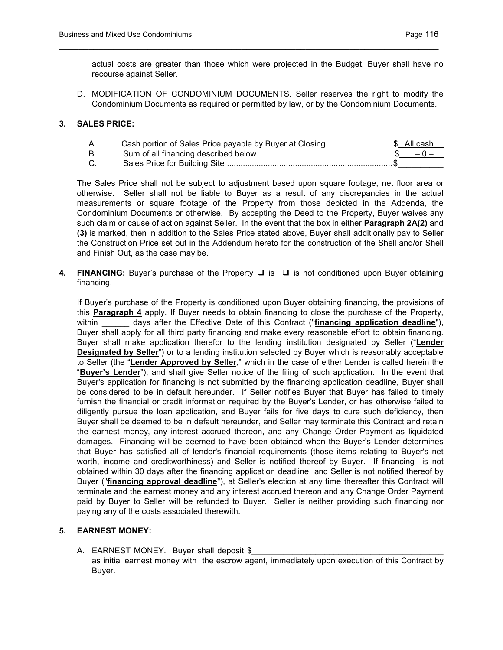actual costs are greater than those which were projected in the Budget, Buyer shall have no recourse against Seller.

 $\mathcal{L}_\mathcal{L} = \{ \mathcal{L}_\mathcal{L} = \{ \mathcal{L}_\mathcal{L} = \{ \mathcal{L}_\mathcal{L} = \{ \mathcal{L}_\mathcal{L} = \{ \mathcal{L}_\mathcal{L} = \{ \mathcal{L}_\mathcal{L} = \{ \mathcal{L}_\mathcal{L} = \{ \mathcal{L}_\mathcal{L} = \{ \mathcal{L}_\mathcal{L} = \{ \mathcal{L}_\mathcal{L} = \{ \mathcal{L}_\mathcal{L} = \{ \mathcal{L}_\mathcal{L} = \{ \mathcal{L}_\mathcal{L} = \{ \mathcal{L}_\mathcal{$ 

D. MODIFICATION OF CONDOMINIUM DOCUMENTS. Seller reserves the right to modify the Condominium Documents as required or permitted by law, or by the Condominium Documents.

### **3. SALES PRICE:**

| A.   | Cash portion of Sales Price payable by Buyer at Closing\$ All cash |  |
|------|--------------------------------------------------------------------|--|
| - B. |                                                                    |  |
| C.   |                                                                    |  |

The Sales Price shall not be subject to adjustment based upon square footage, net floor area or otherwise. Seller shall not be liable to Buyer as a result of any discrepancies in the actual measurements or square footage of the Property from those depicted in the Addenda, the Condominium Documents or otherwise. By accepting the Deed to the Property, Buyer waives any such claim or cause of action against Seller. In the event that the box in either **Paragraph 2A(2)** and **(3)** is marked, then in addition to the Sales Price stated above, Buyer shall additionally pay to Seller the Construction Price set out in the Addendum hereto for the construction of the Shell and/or Shell and Finish Out, as the case may be.

**4. FINANCING:** Buyer's purchase of the Property ❑ is ❑ is not conditioned upon Buyer obtaining financing.

If Buyer's purchase of the Property is conditioned upon Buyer obtaining financing, the provisions of this **Paragraph 4** apply. If Buyer needs to obtain financing to close the purchase of the Property, within days after the Effective Date of this Contract ("**financing application deadline**"), Buyer shall apply for all third party financing and make every reasonable effort to obtain financing. Buyer shall make application therefor to the lending institution designated by Seller ("**Lender Designated by Seller**") or to a lending institution selected by Buyer which is reasonably acceptable to Seller (the "**Lender Approved by Seller***,*" which in the case of either Lender is called herein the "**Buyer's Lender**"), and shall give Seller notice of the filing of such application. In the event that Buyer's application for financing is not submitted by the financing application deadline, Buyer shall be considered to be in default hereunder. If Seller notifies Buyer that Buyer has failed to timely furnish the financial or credit information required by the Buyer's Lender, or has otherwise failed to diligently pursue the loan application, and Buyer fails for five days to cure such deficiency, then Buyer shall be deemed to be in default hereunder, and Seller may terminate this Contract and retain the earnest money, any interest accrued thereon, and any Change Order Payment as liquidated damages. Financing will be deemed to have been obtained when the Buyer's Lender determines that Buyer has satisfied all of lender's financial requirements (those items relating to Buyer's net worth, income and creditworthiness) and Seller is notified thereof by Buyer. If financing is not obtained within 30 days after the financing application deadline and Seller is not notified thereof by Buyer ("**financing approval deadline**"), at Seller's election at any time thereafter this Contract will terminate and the earnest money and any interest accrued thereon and any Change Order Payment paid by Buyer to Seller will be refunded to Buyer. Seller is neither providing such financing nor paying any of the costs associated therewith.

### **5. EARNEST MONEY:**

A. EARNEST MONEY. Buyer shall deposit \$ as initial earnest money with the escrow agent, immediately upon execution of this Contract by Buyer.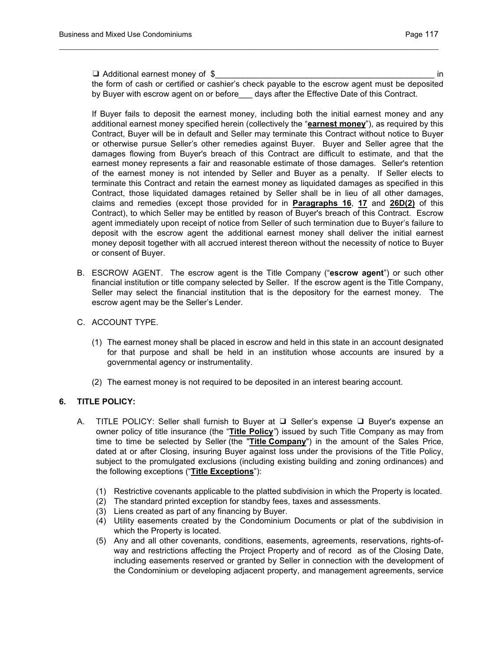❑ Additional earnest money of \$\_\_\_\_\_\_\_\_\_\_\_\_\_\_\_\_\_\_\_\_\_\_\_\_\_\_\_\_\_\_\_\_\_\_\_\_\_\_\_\_\_\_\_\_\_\_\_\_ in the form of cash or certified or cashier's check payable to the escrow agent must be deposited by Buyer with escrow agent on or before days after the Effective Date of this Contract.

 $\mathcal{L}_\mathcal{L} = \{ \mathcal{L}_\mathcal{L} = \{ \mathcal{L}_\mathcal{L} = \{ \mathcal{L}_\mathcal{L} = \{ \mathcal{L}_\mathcal{L} = \{ \mathcal{L}_\mathcal{L} = \{ \mathcal{L}_\mathcal{L} = \{ \mathcal{L}_\mathcal{L} = \{ \mathcal{L}_\mathcal{L} = \{ \mathcal{L}_\mathcal{L} = \{ \mathcal{L}_\mathcal{L} = \{ \mathcal{L}_\mathcal{L} = \{ \mathcal{L}_\mathcal{L} = \{ \mathcal{L}_\mathcal{L} = \{ \mathcal{L}_\mathcal{$ 

If Buyer fails to deposit the earnest money, including both the initial earnest money and any additional earnest money specified herein (collectively the "**earnest money**"), as required by this Contract, Buyer will be in default and Seller may terminate this Contract without notice to Buyer or otherwise pursue Seller's other remedies against Buyer. Buyer and Seller agree that the damages flowing from Buyer's breach of this Contract are difficult to estimate, and that the earnest money represents a fair and reasonable estimate of those damages. Seller's retention of the earnest money is not intended by Seller and Buyer as a penalty. If Seller elects to terminate this Contract and retain the earnest money as liquidated damages as specified in this Contract, those liquidated damages retained by Seller shall be in lieu of all other damages, claims and remedies (except those provided for in **Paragraphs 16**, **17** and **26D(2)** of this Contract), to which Seller may be entitled by reason of Buyer's breach of this Contract. Escrow agent immediately upon receipt of notice from Seller of such termination due to Buyer's failure to deposit with the escrow agent the additional earnest money shall deliver the initial earnest money deposit together with all accrued interest thereon without the necessity of notice to Buyer or consent of Buyer.

- B. ESCROW AGENT. The escrow agent is the Title Company ("**escrow agent**") or such other financial institution or title company selected by Seller. If the escrow agent is the Title Company, Seller may select the financial institution that is the depository for the earnest money. The escrow agent may be the Seller's Lender.
- C. ACCOUNT TYPE.
	- (1) The earnest money shall be placed in escrow and held in this state in an account designated for that purpose and shall be held in an institution whose accounts are insured by a governmental agency or instrumentality.
	- (2) The earnest money is not required to be deposited in an interest bearing account.

# **6. TITLE POLICY:**

- A. TITLE POLICY: Seller shall furnish to Buyer at ❑ Seller's expense ❑ Buyer's expense an owner policy of title insurance (the "**Title Policy***"*) issued by such Title Company as may from time to time be selected by Seller (the "**Title Company**") in the amount of the Sales Price, dated at or after Closing, insuring Buyer against loss under the provisions of the Title Policy, subject to the promulgated exclusions (including existing building and zoning ordinances) and the following exceptions ("**Title Exceptions**"):
	- (1) Restrictive covenants applicable to the platted subdivision in which the Property is located.
	- (2) The standard printed exception for standby fees, taxes and assessments.
	- (3) Liens created as part of any financing by Buyer.
	- (4) Utility easements created by the Condominium Documents or plat of the subdivision in which the Property is located.
	- (5) Any and all other covenants, conditions, easements, agreements, reservations, rights-ofway and restrictions affecting the Project Property and of record as of the Closing Date, including easements reserved or granted by Seller in connection with the development of the Condominium or developing adjacent property, and management agreements, service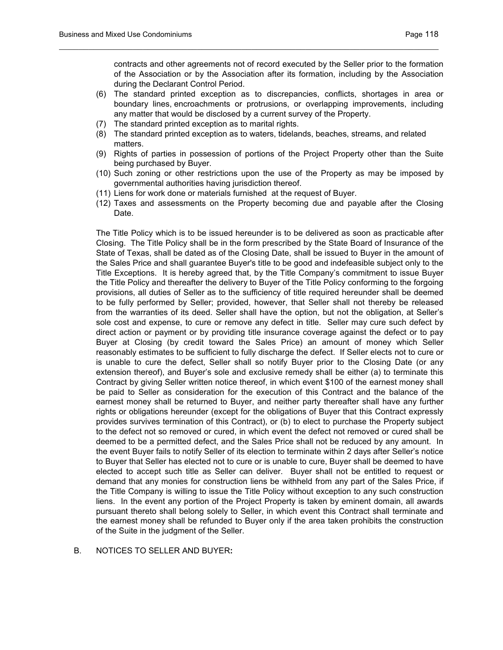contracts and other agreements not of record executed by the Seller prior to the formation of the Association or by the Association after its formation, including by the Association during the Declarant Control Period.

- (6) The standard printed exception as to discrepancies, conflicts, shortages in area or boundary lines, encroachments or protrusions, or overlapping improvements, including any matter that would be disclosed by a current survey of the Property.
- (7) The standard printed exception as to marital rights.
- (8) The standard printed exception as to waters, tidelands, beaches, streams, and related matters.

 $\mathcal{L}_\mathcal{L} = \{ \mathcal{L}_\mathcal{L} = \{ \mathcal{L}_\mathcal{L} = \{ \mathcal{L}_\mathcal{L} = \{ \mathcal{L}_\mathcal{L} = \{ \mathcal{L}_\mathcal{L} = \{ \mathcal{L}_\mathcal{L} = \{ \mathcal{L}_\mathcal{L} = \{ \mathcal{L}_\mathcal{L} = \{ \mathcal{L}_\mathcal{L} = \{ \mathcal{L}_\mathcal{L} = \{ \mathcal{L}_\mathcal{L} = \{ \mathcal{L}_\mathcal{L} = \{ \mathcal{L}_\mathcal{L} = \{ \mathcal{L}_\mathcal{$ 

- (9) Rights of parties in possession of portions of the Project Property other than the Suite being purchased by Buyer.
- (10) Such zoning or other restrictions upon the use of the Property as may be imposed by governmental authorities having jurisdiction thereof.
- (11) Liens for work done or materials furnished at the request of Buyer.
- (12) Taxes and assessments on the Property becoming due and payable after the Closing Date.

The Title Policy which is to be issued hereunder is to be delivered as soon as practicable after Closing. The Title Policy shall be in the form prescribed by the State Board of Insurance of the State of Texas, shall be dated as of the Closing Date, shall be issued to Buyer in the amount of the Sales Price and shall guarantee Buyer's title to be good and indefeasible subject only to the Title Exceptions. It is hereby agreed that, by the Title Company's commitment to issue Buyer the Title Policy and thereafter the delivery to Buyer of the Title Policy conforming to the forgoing provisions, all duties of Seller as to the sufficiency of title required hereunder shall be deemed to be fully performed by Seller; provided, however, that Seller shall not thereby be released from the warranties of its deed. Seller shall have the option, but not the obligation, at Seller's sole cost and expense, to cure or remove any defect in title. Seller may cure such defect by direct action or payment or by providing title insurance coverage against the defect or to pay Buyer at Closing (by credit toward the Sales Price) an amount of money which Seller reasonably estimates to be sufficient to fully discharge the defect. If Seller elects not to cure or is unable to cure the defect, Seller shall so notify Buyer prior to the Closing Date (or any extension thereof), and Buyer's sole and exclusive remedy shall be either (a) to terminate this Contract by giving Seller written notice thereof, in which event \$100 of the earnest money shall be paid to Seller as consideration for the execution of this Contract and the balance of the earnest money shall be returned to Buyer, and neither party thereafter shall have any further rights or obligations hereunder (except for the obligations of Buyer that this Contract expressly provides survives termination of this Contract), or (b) to elect to purchase the Property subject to the defect not so removed or cured, in which event the defect not removed or cured shall be deemed to be a permitted defect, and the Sales Price shall not be reduced by any amount. In the event Buyer fails to notify Seller of its election to terminate within 2 days after Seller's notice to Buyer that Seller has elected not to cure or is unable to cure, Buyer shall be deemed to have elected to accept such title as Seller can deliver. Buyer shall not be entitled to request or demand that any monies for construction liens be withheld from any part of the Sales Price, if the Title Company is willing to issue the Title Policy without exception to any such construction liens. In the event any portion of the Project Property is taken by eminent domain, all awards pursuant thereto shall belong solely to Seller, in which event this Contract shall terminate and the earnest money shall be refunded to Buyer only if the area taken prohibits the construction of the Suite in the judgment of the Seller.

# B. NOTICES TO SELLER AND BUYER**:**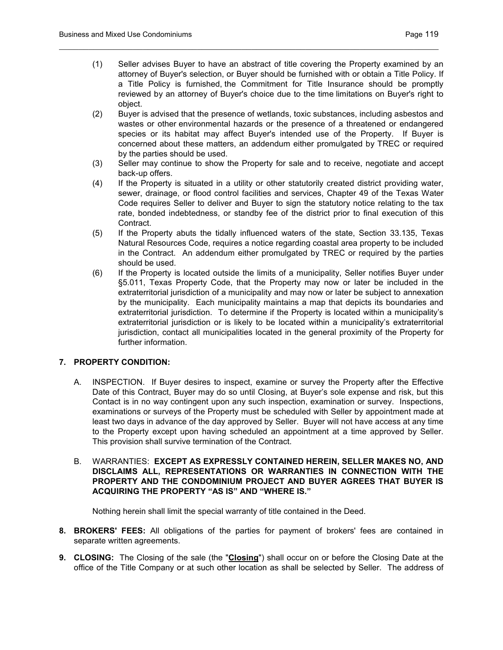(1) Seller advises Buyer to have an abstract of title covering the Property examined by an attorney of Buyer's selection, or Buyer should be furnished with or obtain a Title Policy. If a Title Policy is furnished, the Commitment for Title Insurance should be promptly reviewed by an attorney of Buyer's choice due to the time limitations on Buyer's right to object.

 $\mathcal{L}_\mathcal{L} = \{ \mathcal{L}_\mathcal{L} = \{ \mathcal{L}_\mathcal{L} = \{ \mathcal{L}_\mathcal{L} = \{ \mathcal{L}_\mathcal{L} = \{ \mathcal{L}_\mathcal{L} = \{ \mathcal{L}_\mathcal{L} = \{ \mathcal{L}_\mathcal{L} = \{ \mathcal{L}_\mathcal{L} = \{ \mathcal{L}_\mathcal{L} = \{ \mathcal{L}_\mathcal{L} = \{ \mathcal{L}_\mathcal{L} = \{ \mathcal{L}_\mathcal{L} = \{ \mathcal{L}_\mathcal{L} = \{ \mathcal{L}_\mathcal{$ 

- (2) Buyer is advised that the presence of wetlands, toxic substances, including asbestos and wastes or other environmental hazards or the presence of a threatened or endangered species or its habitat may affect Buyer's intended use of the Property. If Buyer is concerned about these matters, an addendum either promulgated by TREC or required by the parties should be used.
- (3) Seller may continue to show the Property for sale and to receive, negotiate and accept back-up offers.
- (4) If the Property is situated in a utility or other statutorily created district providing water, sewer, drainage, or flood control facilities and services, Chapter 49 of the Texas Water Code requires Seller to deliver and Buyer to sign the statutory notice relating to the tax rate, bonded indebtedness, or standby fee of the district prior to final execution of this Contract.
- (5) If the Property abuts the tidally influenced waters of the state, Section 33.135, Texas Natural Resources Code, requires a notice regarding coastal area property to be included in the Contract. An addendum either promulgated by TREC or required by the parties should be used.
- (6) If the Property is located outside the limits of a municipality, Seller notifies Buyer under §5.011, Texas Property Code, that the Property may now or later be included in the extraterritorial jurisdiction of a municipality and may now or later be subject to annexation by the municipality. Each municipality maintains a map that depicts its boundaries and extraterritorial jurisdiction. To determine if the Property is located within a municipality's extraterritorial jurisdiction or is likely to be located within a municipality's extraterritorial jurisdiction, contact all municipalities located in the general proximity of the Property for further information.

# **7. PROPERTY CONDITION:**

- A. INSPECTION. If Buyer desires to inspect, examine or survey the Property after the Effective Date of this Contract, Buyer may do so until Closing, at Buyer's sole expense and risk, but this Contact is in no way contingent upon any such inspection, examination or survey. Inspections, examinations or surveys of the Property must be scheduled with Seller by appointment made at least two days in advance of the day approved by Seller. Buyer will not have access at any time to the Property except upon having scheduled an appointment at a time approved by Seller. This provision shall survive termination of the Contract.
- B. WARRANTIES: **EXCEPT AS EXPRESSLY CONTAINED HEREIN, SELLER MAKES NO, AND DISCLAIMS ALL, REPRESENTATIONS OR WARRANTIES IN CONNECTION WITH THE PROPERTY AND THE CONDOMINIUM PROJECT AND BUYER AGREES THAT BUYER IS ACQUIRING THE PROPERTY "AS IS" AND "WHERE IS."**

Nothing herein shall limit the special warranty of title contained in the Deed.

- **8. BROKERS' FEES:** All obligations of the parties for payment of brokers' fees are contained in separate written agreements.
- **9. CLOSING:** The Closing of the sale (the "**Closing**") shall occur on or before the Closing Date at the office of the Title Company or at such other location as shall be selected by Seller. The address of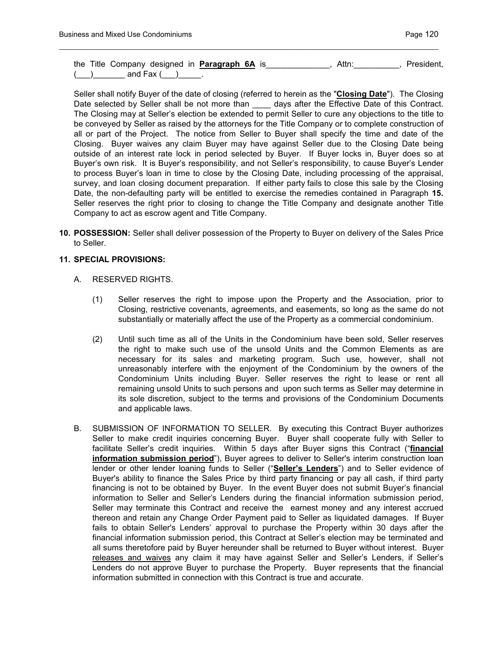the Title Company designed in **Paragraph 6A** is the Mathematic method of the President,  $(\_)$  and Fax  $(\_)$ .

 $\mathcal{L}_\mathcal{L} = \{ \mathcal{L}_\mathcal{L} = \{ \mathcal{L}_\mathcal{L} = \{ \mathcal{L}_\mathcal{L} = \{ \mathcal{L}_\mathcal{L} = \{ \mathcal{L}_\mathcal{L} = \{ \mathcal{L}_\mathcal{L} = \{ \mathcal{L}_\mathcal{L} = \{ \mathcal{L}_\mathcal{L} = \{ \mathcal{L}_\mathcal{L} = \{ \mathcal{L}_\mathcal{L} = \{ \mathcal{L}_\mathcal{L} = \{ \mathcal{L}_\mathcal{L} = \{ \mathcal{L}_\mathcal{L} = \{ \mathcal{L}_\mathcal{$ 

Seller shall notify Buyer of the date of closing (referred to herein as the "**Closing Date**"). The Closing Date selected by Seller shall be not more than days after the Effective Date of this Contract. The Closing may at Seller's election be extended to permit Seller to cure any objections to the title to be conveyed by Seller as raised by the attorneys for the Title Company or to complete construction of all or part of the Project. The notice from Seller to Buyer shall specify the time and date of the Closing. Buyer waives any claim Buyer may have against Seller due to the Closing Date being outside of an interest rate lock in period selected by Buyer. If Buyer locks in, Buyer does so at Buyer's own risk. It is Buyer's responsibility, and not Seller's responsibility, to cause Buyer's Lender to process Buyer's loan in time to close by the Closing Date, including processing of the appraisal, survey, and loan closing document preparation. If either party fails to close this sale by the Closing Date, the non-defaulting party will be entitled to exercise the remedies contained in Paragraph **15.** Seller reserves the right prior to closing to change the Title Company and designate another Title Company to act as escrow agent and Title Company.

**10. POSSESSION:** Seller shall deliver possession of the Property to Buyer on delivery of the Sales Price to Seller.

### **11. SPECIAL PROVISIONS:**

- A. RESERVED RIGHTS.
	- (1) Seller reserves the right to impose upon the Property and the Association, prior to Closing, restrictive covenants, agreements, and easements, so long as the same do not substantially or materially affect the use of the Property as a commercial condominium.
	- (2) Until such time as all of the Units in the Condominium have been sold, Seller reserves the right to make such use of the unsold Units and the Common Elements as are necessary for its sales and marketing program. Such use, however, shall not unreasonably interfere with the enjoyment of the Condominium by the owners of the Condominium Units including Buyer. Seller reserves the right to lease or rent all remaining unsold Units to such persons and upon such terms as Seller may determine in its sole discretion, subject to the terms and provisions of the Condominium Documents and applicable laws.
- B. SUBMISSION OF INFORMATION TO SELLER. By executing this Contract Buyer authorizes Seller to make credit inquiries concerning Buyer. Buyer shall cooperate fully with Seller to facilitate Seller's credit inquiries. Within 5 days after Buyer signs this Contract ("**financial information submission period**"), Buyer agrees to deliver to Seller's interim construction loan lender or other lender loaning funds to Seller ("**Seller's Lenders**") and to Seller evidence of Buyer's ability to finance the Sales Price by third party financing or pay all cash, if third party financing is not to be obtained by Buyer. In the event Buyer does not submit Buyer's financial information to Seller and Seller's Lenders during the financial information submission period, Seller may terminate this Contract and receive the earnest money and any interest accrued thereon and retain any Change Order Payment paid to Seller as liquidated damages. If Buyer fails to obtain Seller's Lenders' approval to purchase the Property within 30 days after the financial information submission period, this Contract at Seller's election may be terminated and all sums theretofore paid by Buyer hereunder shall be returned to Buyer without interest. Buyer releases and waives any claim it may have against Seller and Seller's Lenders, if Seller's Lenders do not approve Buyer to purchase the Property. Buyer represents that the financial information submitted in connection with this Contract is true and accurate.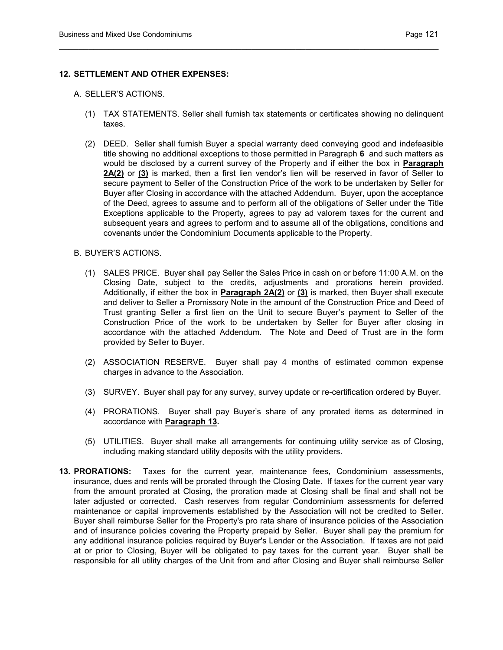### **12. SETTLEMENT AND OTHER EXPENSES:**

#### A. SELLER'S ACTIONS.

(1) TAX STATEMENTS. Seller shall furnish tax statements or certificates showing no delinquent taxes.

 $\mathcal{L}_\mathcal{L} = \{ \mathcal{L}_\mathcal{L} = \{ \mathcal{L}_\mathcal{L} = \{ \mathcal{L}_\mathcal{L} = \{ \mathcal{L}_\mathcal{L} = \{ \mathcal{L}_\mathcal{L} = \{ \mathcal{L}_\mathcal{L} = \{ \mathcal{L}_\mathcal{L} = \{ \mathcal{L}_\mathcal{L} = \{ \mathcal{L}_\mathcal{L} = \{ \mathcal{L}_\mathcal{L} = \{ \mathcal{L}_\mathcal{L} = \{ \mathcal{L}_\mathcal{L} = \{ \mathcal{L}_\mathcal{L} = \{ \mathcal{L}_\mathcal{$ 

(2) DEED. Seller shall furnish Buyer a special warranty deed conveying good and indefeasible title showing no additional exceptions to those permitted in Paragraph **6** and such matters as would be disclosed by a current survey of the Property and if either the box in **Paragraph 2A(2)** or **(3)** is marked, then a first lien vendor's lien will be reserved in favor of Seller to secure payment to Seller of the Construction Price of the work to be undertaken by Seller for Buyer after Closing in accordance with the attached Addendum. Buyer, upon the acceptance of the Deed, agrees to assume and to perform all of the obligations of Seller under the Title Exceptions applicable to the Property, agrees to pay ad valorem taxes for the current and subsequent years and agrees to perform and to assume all of the obligations, conditions and covenants under the Condominium Documents applicable to the Property.

#### B. BUYER'S ACTIONS.

- (1) SALES PRICE. Buyer shall pay Seller the Sales Price in cash on or before 11:00 A.M. on the Closing Date, subject to the credits, adjustments and prorations herein provided. Additionally, if either the box in **Paragraph 2A(2)** or **(3)** is marked, then Buyer shall execute and deliver to Seller a Promissory Note in the amount of the Construction Price and Deed of Trust granting Seller a first lien on the Unit to secure Buyer's payment to Seller of the Construction Price of the work to be undertaken by Seller for Buyer after closing in accordance with the attached Addendum. The Note and Deed of Trust are in the form provided by Seller to Buyer.
- (2) ASSOCIATION RESERVE. Buyer shall pay 4 months of estimated common expense charges in advance to the Association.
- (3) SURVEY. Buyer shall pay for any survey, survey update or re-certification ordered by Buyer.
- (4) PRORATIONS. Buyer shall pay Buyer's share of any prorated items as determined in accordance with **Paragraph 13.**
- (5) UTILITIES. Buyer shall make all arrangements for continuing utility service as of Closing, including making standard utility deposits with the utility providers.
- **13. PRORATIONS:** Taxes for the current year, maintenance fees, Condominium assessments, insurance, dues and rents will be prorated through the Closing Date. If taxes for the current year vary from the amount prorated at Closing, the proration made at Closing shall be final and shall not be later adjusted or corrected. Cash reserves from regular Condominium assessments for deferred maintenance or capital improvements established by the Association will not be credited to Seller. Buyer shall reimburse Seller for the Property's pro rata share of insurance policies of the Association and of insurance policies covering the Property prepaid by Seller. Buyer shall pay the premium for any additional insurance policies required by Buyer's Lender or the Association. If taxes are not paid at or prior to Closing, Buyer will be obligated to pay taxes for the current year. Buyer shall be responsible for all utility charges of the Unit from and after Closing and Buyer shall reimburse Seller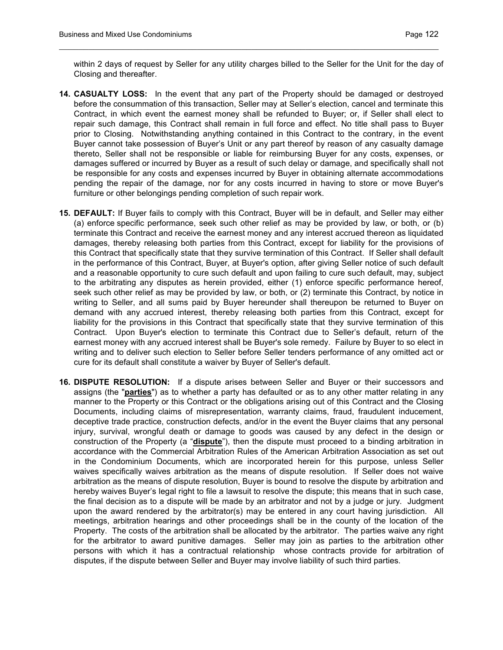within 2 days of request by Seller for any utility charges billed to the Seller for the Unit for the day of Closing and thereafter.

 $\mathcal{L}_\mathcal{L} = \{ \mathcal{L}_\mathcal{L} = \{ \mathcal{L}_\mathcal{L} = \{ \mathcal{L}_\mathcal{L} = \{ \mathcal{L}_\mathcal{L} = \{ \mathcal{L}_\mathcal{L} = \{ \mathcal{L}_\mathcal{L} = \{ \mathcal{L}_\mathcal{L} = \{ \mathcal{L}_\mathcal{L} = \{ \mathcal{L}_\mathcal{L} = \{ \mathcal{L}_\mathcal{L} = \{ \mathcal{L}_\mathcal{L} = \{ \mathcal{L}_\mathcal{L} = \{ \mathcal{L}_\mathcal{L} = \{ \mathcal{L}_\mathcal{$ 

- **14. CASUALTY LOSS:** In the event that any part of the Property should be damaged or destroyed before the consummation of this transaction, Seller may at Seller's election, cancel and terminate this Contract, in which event the earnest money shall be refunded to Buyer; or, if Seller shall elect to repair such damage, this Contract shall remain in full force and effect. No title shall pass to Buyer prior to Closing. Notwithstanding anything contained in this Contract to the contrary, in the event Buyer cannot take possession of Buyer's Unit or any part thereof by reason of any casualty damage thereto, Seller shall not be responsible or liable for reimbursing Buyer for any costs, expenses, or damages suffered or incurred by Buyer as a result of such delay or damage, and specifically shall not be responsible for any costs and expenses incurred by Buyer in obtaining alternate accommodations pending the repair of the damage, nor for any costs incurred in having to store or move Buyer's furniture or other belongings pending completion of such repair work.
- **15. DEFAULT:** If Buyer fails to comply with this Contract, Buyer will be in default, and Seller may either (a) enforce specific performance, seek such other relief as may be provided by law, or both, or (b) terminate this Contract and receive the earnest money and any interest accrued thereon as liquidated damages, thereby releasing both parties from this Contract, except for liability for the provisions of this Contract that specifically state that they survive termination of this Contract. If Seller shall default in the performance of this Contract, Buyer, at Buyer's option, after giving Seller notice of such default and a reasonable opportunity to cure such default and upon failing to cure such default, may, subject to the arbitrating any disputes as herein provided, either (1) enforce specific performance hereof, seek such other relief as may be provided by law, or both, or (2) terminate this Contract, by notice in writing to Seller, and all sums paid by Buyer hereunder shall thereupon be returned to Buyer on demand with any accrued interest, thereby releasing both parties from this Contract, except for liability for the provisions in this Contract that specifically state that they survive termination of this Contract. Upon Buyer's election to terminate this Contract due to Seller's default, return of the earnest money with any accrued interest shall be Buyer's sole remedy. Failure by Buyer to so elect in writing and to deliver such election to Seller before Seller tenders performance of any omitted act or cure for its default shall constitute a waiver by Buyer of Seller's default.
- **16. DISPUTE RESOLUTION:** If a dispute arises between Seller and Buyer or their successors and assigns (the "**parties**") as to whether a party has defaulted or as to any other matter relating in any manner to the Property or this Contract or the obligations arising out of this Contract and the Closing Documents, including claims of misrepresentation, warranty claims, fraud, fraudulent inducement, deceptive trade practice, construction defects, and/or in the event the Buyer claims that any personal injury, survival, wrongful death or damage to goods was caused by any defect in the design or construction of the Property (a "**dispute**"), then the dispute must proceed to a binding arbitration in accordance with the Commercial Arbitration Rules of the American Arbitration Association as set out in the Condominium Documents, which are incorporated herein for this purpose, unless Seller waives specifically waives arbitration as the means of dispute resolution. If Seller does not waive arbitration as the means of dispute resolution, Buyer is bound to resolve the dispute by arbitration and hereby waives Buyer's legal right to file a lawsuit to resolve the dispute; this means that in such case, the final decision as to a dispute will be made by an arbitrator and not by a judge or jury. Judgment upon the award rendered by the arbitrator(s) may be entered in any court having jurisdiction. All meetings, arbitration hearings and other proceedings shall be in the county of the location of the Property. The costs of the arbitration shall be allocated by the arbitrator. The parties waive any right for the arbitrator to award punitive damages. Seller may join as parties to the arbitration other persons with which it has a contractual relationship whose contracts provide for arbitration of disputes, if the dispute between Seller and Buyer may involve liability of such third parties.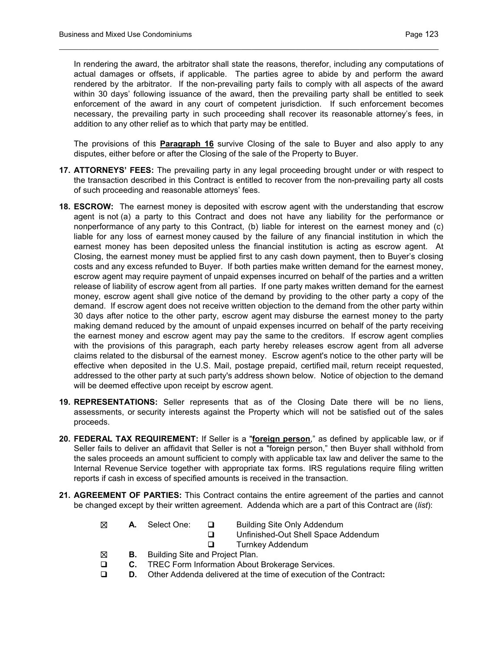In rendering the award, the arbitrator shall state the reasons, therefor, including any computations of actual damages or offsets, if applicable. The parties agree to abide by and perform the award rendered by the arbitrator. If the non-prevailing party fails to comply with all aspects of the award within 30 days' following issuance of the award, then the prevailing party shall be entitled to seek enforcement of the award in any court of competent jurisdiction. If such enforcement becomes necessary, the prevailing party in such proceeding shall recover its reasonable attorney's fees, in addition to any other relief as to which that party may be entitled.

 $\mathcal{L}_\mathcal{L} = \{ \mathcal{L}_\mathcal{L} = \{ \mathcal{L}_\mathcal{L} = \{ \mathcal{L}_\mathcal{L} = \{ \mathcal{L}_\mathcal{L} = \{ \mathcal{L}_\mathcal{L} = \{ \mathcal{L}_\mathcal{L} = \{ \mathcal{L}_\mathcal{L} = \{ \mathcal{L}_\mathcal{L} = \{ \mathcal{L}_\mathcal{L} = \{ \mathcal{L}_\mathcal{L} = \{ \mathcal{L}_\mathcal{L} = \{ \mathcal{L}_\mathcal{L} = \{ \mathcal{L}_\mathcal{L} = \{ \mathcal{L}_\mathcal{$ 

The provisions of this **Paragraph 16** survive Closing of the sale to Buyer and also apply to any disputes, either before or after the Closing of the sale of the Property to Buyer.

- **17. ATTORNEYS' FEES:** The prevailing party in any legal proceeding brought under or with respect to the transaction described in this Contract is entitled to recover from the non-prevailing party all costs of such proceeding and reasonable attorneys' fees.
- **18. ESCROW:** The earnest money is deposited with escrow agent with the understanding that escrow agent is not (a) a party to this Contract and does not have any liability for the performance or nonperformance of any party to this Contract, (b) liable for interest on the earnest money and (c) liable for any loss of earnest money caused by the failure of any financial institution in which the earnest money has been deposited unless the financial institution is acting as escrow agent. At Closing, the earnest money must be applied first to any cash down payment, then to Buyer's closing costs and any excess refunded to Buyer. If both parties make written demand for the earnest money, escrow agent may require payment of unpaid expenses incurred on behalf of the parties and a written release of liability of escrow agent from all parties. If one party makes written demand for the earnest money, escrow agent shall give notice of the demand by providing to the other party a copy of the demand. If escrow agent does not receive written objection to the demand from the other party within 30 days after notice to the other party, escrow agent may disburse the earnest money to the party making demand reduced by the amount of unpaid expenses incurred on behalf of the party receiving the earnest money and escrow agent may pay the same to the creditors. If escrow agent complies with the provisions of this paragraph, each party hereby releases escrow agent from all adverse claims related to the disbursal of the earnest money. Escrow agent's notice to the other party will be effective when deposited in the U.S. Mail, postage prepaid, certified mail, return receipt requested, addressed to the other party at such party's address shown below. Notice of objection to the demand will be deemed effective upon receipt by escrow agent.
- **19. REPRESENTATIONS:** Seller represents that as of the Closing Date there will be no liens, assessments, or security interests against the Property which will not be satisfied out of the sales proceeds.
- **20. FEDERAL TAX REQUIREMENT:** If Seller is a "**foreign person**," as defined by applicable law, or if Seller fails to deliver an affidavit that Seller is not a "foreign person," then Buyer shall withhold from the sales proceeds an amount sufficient to comply with applicable tax law and deliver the same to the Internal Revenue Service together with appropriate tax forms. IRS regulations require filing written reports if cash in excess of specified amounts is received in the transaction.
- **21. AGREEMENT OF PARTIES:** This Contract contains the entire agreement of the parties and cannot be changed except by their written agreement. Addenda which are a part of this Contract are (*list*):

| ⊠ | A. Select One: | <b>Building Site Only Addendum</b> |
|---|----------------|------------------------------------|
|   |                |                                    |

❑ Unfinished-Out Shell Space Addendum

- ❑ Turnkey Addendum
- ☒ **B.** Building Site and Project Plan.
- ❑ **C.** TREC Form Information About Brokerage Services.
- ❑ **D.** Other Addenda delivered at the time of execution of the Contract**:**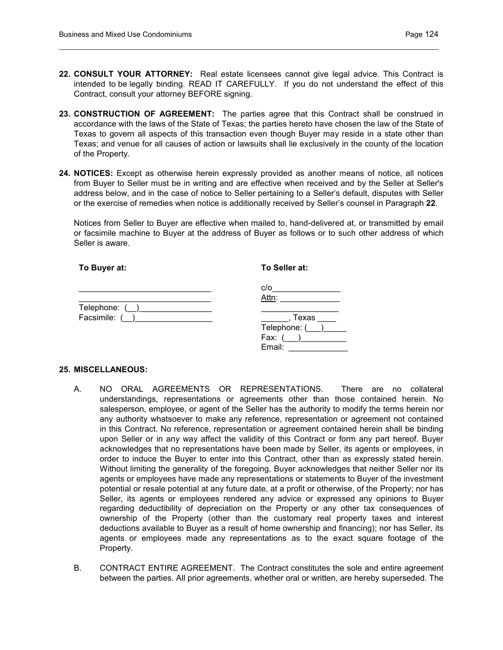**22. CONSULT YOUR ATTORNEY:** Real estate licensees cannot give legal advice. This Contract is intended to be legally binding. READ IT CAREFULLY. If you do not understand the effect of this Contract, consult your attorney BEFORE signing.

 $\mathcal{L}_\mathcal{L} = \{ \mathcal{L}_\mathcal{L} = \{ \mathcal{L}_\mathcal{L} = \{ \mathcal{L}_\mathcal{L} = \{ \mathcal{L}_\mathcal{L} = \{ \mathcal{L}_\mathcal{L} = \{ \mathcal{L}_\mathcal{L} = \{ \mathcal{L}_\mathcal{L} = \{ \mathcal{L}_\mathcal{L} = \{ \mathcal{L}_\mathcal{L} = \{ \mathcal{L}_\mathcal{L} = \{ \mathcal{L}_\mathcal{L} = \{ \mathcal{L}_\mathcal{L} = \{ \mathcal{L}_\mathcal{L} = \{ \mathcal{L}_\mathcal{$ 

- **23. CONSTRUCTION OF AGREEMENT:** The parties agree that this Contract shall be construed in accordance with the laws of the State of Texas; the parties hereto have chosen the law of the State of Texas to govern all aspects of this transaction even though Buyer may reside in a state other than Texas; and venue for all causes of action or lawsuits shall lie exclusively in the county of the location of the Property.
- **24. NOTICES:** Except as otherwise herein expressly provided as another means of notice, all notices from Buyer to Seller must be in writing and are effective when received and by the Seller at Seller's address below, and in the case of notice to Seller pertaining to a Seller's default, disputes with Seller or the exercise of remedies when notice is additionally received by Seller's counsel in Paragraph **22**.

Notices from Seller to Buyer are effective when mailed to, hand-delivered at, or transmitted by email or facsimile machine to Buyer at the address of Buyer as follows or to such other address of which Seller is aware.

#### **To Buyer at:**

| Telephone: ( |
|--------------|
| Facsimile: ( |

 $\mathcal{L}_\text{max}$  , where  $\mathcal{L}_\text{max}$  , we are the set of the set of the set of the set of the set of the set of the set of the set of the set of the set of the set of the set of the set of the set of the set of the set of

| To Seller at: |  |  |
|---------------|--|--|
|               |  |  |
| Attn:         |  |  |
| Texas         |  |  |
| Telephone: () |  |  |
| Fax: $($ $)$  |  |  |
| Email:        |  |  |

### **25. MISCELLANEOUS:**

- A. NO ORAL AGREEMENTS OR REPRESENTATIONS. There are no collateral understandings, representations or agreements other than those contained herein. No salesperson, employee, or agent of the Seller has the authority to modify the terms herein nor any authority whatsoever to make any reference, representation or agreement not contained in this Contract. No reference, representation or agreement contained herein shall be binding upon Seller or in any way affect the validity of this Contract or form any part hereof. Buyer acknowledges that no representations have been made by Seller, its agents or employees, in order to induce the Buyer to enter into this Contract, other than as expressly stated herein. Without limiting the generality of the foregoing, Buyer acknowledges that neither Seller nor its agents or employees have made any representations or statements to Buyer of the investment potential or resale potential at any future date, at a profit or otherwise, of the Property; nor has Seller, its agents or employees rendered any advice or expressed any opinions to Buyer regarding deductibility of depreciation on the Property or any other tax consequences of ownership of the Property (other than the customary real property taxes and interest deductions available to Buyer as a result of home ownership and financing); nor has Seller, its agents or employees made any representations as to the exact square footage of the Property.
- B. CONTRACT ENTIRE AGREEMENT. The Contract constitutes the sole and entire agreement between the parties. All prior agreements, whether oral or written, are hereby superseded. The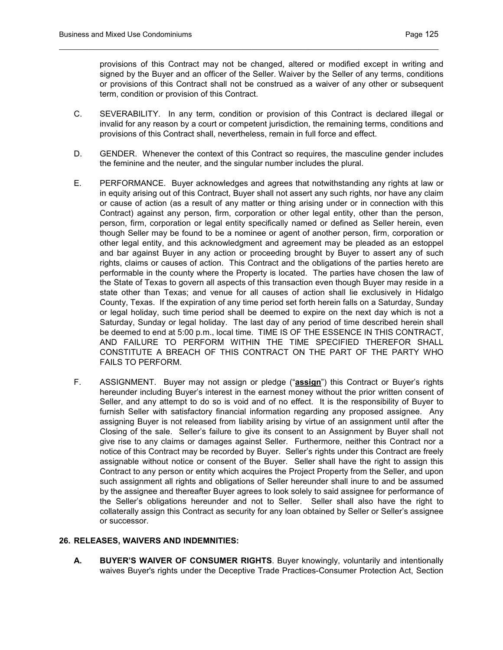provisions of this Contract may not be changed, altered or modified except in writing and signed by the Buyer and an officer of the Seller. Waiver by the Seller of any terms, conditions or provisions of this Contract shall not be construed as a waiver of any other or subsequent term, condition or provision of this Contract.

C. SEVERABILITY. In any term, condition or provision of this Contract is declared illegal or invalid for any reason by a court or competent jurisdiction, the remaining terms, conditions and provisions of this Contract shall, nevertheless, remain in full force and effect.

 $\mathcal{L}_\mathcal{L} = \{ \mathcal{L}_\mathcal{L} = \{ \mathcal{L}_\mathcal{L} = \{ \mathcal{L}_\mathcal{L} = \{ \mathcal{L}_\mathcal{L} = \{ \mathcal{L}_\mathcal{L} = \{ \mathcal{L}_\mathcal{L} = \{ \mathcal{L}_\mathcal{L} = \{ \mathcal{L}_\mathcal{L} = \{ \mathcal{L}_\mathcal{L} = \{ \mathcal{L}_\mathcal{L} = \{ \mathcal{L}_\mathcal{L} = \{ \mathcal{L}_\mathcal{L} = \{ \mathcal{L}_\mathcal{L} = \{ \mathcal{L}_\mathcal{$ 

- D. GENDER. Whenever the context of this Contract so requires, the masculine gender includes the feminine and the neuter, and the singular number includes the plural.
- E. PERFORMANCE. Buyer acknowledges and agrees that notwithstanding any rights at law or in equity arising out of this Contract, Buyer shall not assert any such rights, nor have any claim or cause of action (as a result of any matter or thing arising under or in connection with this Contract) against any person, firm, corporation or other legal entity, other than the person, person, firm, corporation or legal entity specifically named or defined as Seller herein, even though Seller may be found to be a nominee or agent of another person, firm, corporation or other legal entity, and this acknowledgment and agreement may be pleaded as an estoppel and bar against Buyer in any action or proceeding brought by Buyer to assert any of such rights, claims or causes of action. This Contract and the obligations of the parties hereto are performable in the county where the Property is located. The parties have chosen the law of the State of Texas to govern all aspects of this transaction even though Buyer may reside in a state other than Texas; and venue for all causes of action shall lie exclusively in Hidalgo County, Texas. If the expiration of any time period set forth herein falls on a Saturday, Sunday or legal holiday, such time period shall be deemed to expire on the next day which is not a Saturday, Sunday or legal holiday. The last day of any period of time described herein shall be deemed to end at 5:00 p.m., local time. TIME IS OF THE ESSENCE IN THIS CONTRACT, AND FAILURE TO PERFORM WITHIN THE TIME SPECIFIED THEREFOR SHALL CONSTITUTE A BREACH OF THIS CONTRACT ON THE PART OF THE PARTY WHO FAILS TO PERFORM.
- F. ASSIGNMENT. Buyer may not assign or pledge ("**assign**") this Contract or Buyer's rights hereunder including Buyer's interest in the earnest money without the prior written consent of Seller, and any attempt to do so is void and of no effect. It is the responsibility of Buyer to furnish Seller with satisfactory financial information regarding any proposed assignee. Any assigning Buyer is not released from liability arising by virtue of an assignment until after the Closing of the sale. Seller's failure to give its consent to an Assignment by Buyer shall not give rise to any claims or damages against Seller. Furthermore, neither this Contract nor a notice of this Contract may be recorded by Buyer. Seller's rights under this Contract are freely assignable without notice or consent of the Buyer. Seller shall have the right to assign this Contract to any person or entity which acquires the Project Property from the Seller, and upon such assignment all rights and obligations of Seller hereunder shall inure to and be assumed by the assignee and thereafter Buyer agrees to look solely to said assignee for performance of the Seller's obligations hereunder and not to Seller. Seller shall also have the right to collaterally assign this Contract as security for any loan obtained by Seller or Seller's assignee or successor.

### **26. RELEASES, WAIVERS AND INDEMNITIES:**

**A. BUYER'S WAIVER OF CONSUMER RIGHTS**. Buyer knowingly, voluntarily and intentionally waives Buyer's rights under the Deceptive Trade Practices-Consumer Protection Act, Section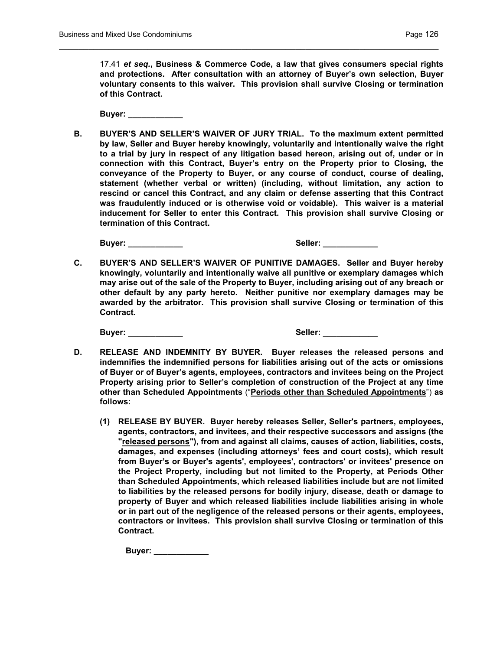17.41 *et seq.***, Business & Commerce Code, a law that gives consumers special rights and protections. After consultation with an attorney of Buyer's own selection, Buyer voluntary consents to this waiver. This provision shall survive Closing or termination of this Contract.**

 $\mathcal{L}_\mathcal{L} = \{ \mathcal{L}_\mathcal{L} = \{ \mathcal{L}_\mathcal{L} = \{ \mathcal{L}_\mathcal{L} = \{ \mathcal{L}_\mathcal{L} = \{ \mathcal{L}_\mathcal{L} = \{ \mathcal{L}_\mathcal{L} = \{ \mathcal{L}_\mathcal{L} = \{ \mathcal{L}_\mathcal{L} = \{ \mathcal{L}_\mathcal{L} = \{ \mathcal{L}_\mathcal{L} = \{ \mathcal{L}_\mathcal{L} = \{ \mathcal{L}_\mathcal{L} = \{ \mathcal{L}_\mathcal{L} = \{ \mathcal{L}_\mathcal{$ 

**Buyer: \_\_\_\_\_\_\_\_\_\_\_\_**

**B. BUYER'S AND SELLER'S WAIVER OF JURY TRIAL. To the maximum extent permitted by law, Seller and Buyer hereby knowingly, voluntarily and intentionally waive the right to a trial by jury in respect of any litigation based hereon, arising out of, under or in connection with this Contract, Buyer's entry on the Property prior to Closing, the conveyance of the Property to Buyer, or any course of conduct, course of dealing, statement (whether verbal or written) (including, without limitation, any action to rescind or cancel this Contract, and any claim or defense asserting that this Contract was fraudulently induced or is otherwise void or voidable). This waiver is a material inducement for Seller to enter this Contract. This provision shall survive Closing or termination of this Contract.**

**Buyer: \_\_\_\_\_\_\_\_\_\_\_\_ Seller: \_\_\_\_\_\_\_\_\_\_\_\_**

**C. BUYER'S AND SELLER'S WAIVER OF PUNITIVE DAMAGES. Seller and Buyer hereby knowingly, voluntarily and intentionally waive all punitive or exemplary damages which may arise out of the sale of the Property to Buyer, including arising out of any breach or other default by any party hereto. Neither punitive nor exemplary damages may be awarded by the arbitrator. This provision shall survive Closing or termination of this Contract.**

**Buyer: \_\_\_\_\_\_\_\_\_\_\_\_ Seller: \_\_\_\_\_\_\_\_\_\_\_\_**

- **D. RELEASE AND INDEMNITY BY BUYER. Buyer releases the released persons and indemnifies the indemnified persons for liabilities arising out of the acts or omissions of Buyer or of Buyer's agents, employees, contractors and invitees being on the Project Property arising prior to Seller's completion of construction of the Project at any time other than Scheduled Appointments** ("**Periods other than Scheduled Appointments**") **as follows:**
	- **(1) RELEASE BY BUYER. Buyer hereby releases Seller, Seller's partners, employees, agents, contractors, and invitees, and their respective successors and assigns (the "released persons"), from and against all claims, causes of action, liabilities, costs, damages, and expenses (including attorneys' fees and court costs), which result from Buyer's or Buyer's agents', employees', contractors' or invitees' presence on the Project Property, including but not limited to the Property, at Periods Other than Scheduled Appointments, which released liabilities include but are not limited to liabilities by the released persons for bodily injury, disease, death or damage to property of Buyer and which released liabilities include liabilities arising in whole or in part out of the negligence of the released persons or their agents, employees, contractors or invitees. This provision shall survive Closing or termination of this Contract.**

**Buyer: \_\_\_\_\_\_\_\_\_\_\_\_**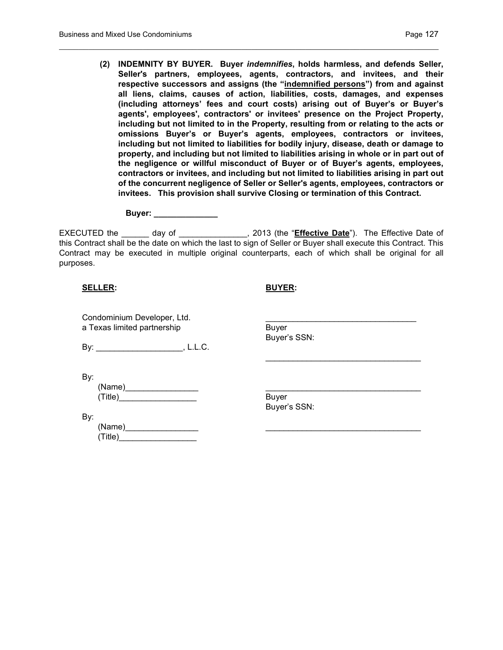**(2) INDEMNITY BY BUYER. Buyer** *indemnifies***, holds harmless, and defends Seller, Seller's partners, employees, agents, contractors, and invitees, and their respective successors and assigns (the "indemnified persons") from and against all liens, claims, causes of action, liabilities, costs, damages, and expenses (including attorneys' fees and court costs) arising out of Buyer's or Buyer's agents', employees', contractors' or invitees' presence on the Project Property, including but not limited to in the Property, resulting from or relating to the acts or omissions Buyer's or Buyer's agents, employees, contractors or invitees, including but not limited to liabilities for bodily injury, disease, death or damage to property, and including but not limited to liabilities arising in whole or in part out of the negligence or willful misconduct of Buyer or of Buyer's agents, employees, contractors or invitees, and including but not limited to liabilities arising in part out of the concurrent negligence of Seller or Seller's agents, employees, contractors or invitees. This provision shall survive Closing or termination of this Contract.**

 $\mathcal{L}_\mathcal{L} = \{ \mathcal{L}_\mathcal{L} = \{ \mathcal{L}_\mathcal{L} = \{ \mathcal{L}_\mathcal{L} = \{ \mathcal{L}_\mathcal{L} = \{ \mathcal{L}_\mathcal{L} = \{ \mathcal{L}_\mathcal{L} = \{ \mathcal{L}_\mathcal{L} = \{ \mathcal{L}_\mathcal{L} = \{ \mathcal{L}_\mathcal{L} = \{ \mathcal{L}_\mathcal{L} = \{ \mathcal{L}_\mathcal{L} = \{ \mathcal{L}_\mathcal{L} = \{ \mathcal{L}_\mathcal{L} = \{ \mathcal{L}_\mathcal{$ 

**Buyer:**  $\blacksquare$ 

EXECUTED the \_\_\_\_\_\_ day of \_\_\_\_\_\_\_\_\_\_\_\_\_\_\_, 2013 (the "**Effective Date**"). The Effective Date of this Contract shall be the date on which the last to sign of Seller or Buyer shall execute this Contract. This Contract may be executed in multiple original counterparts, each of which shall be original for all purposes.

### **SELLER:**

**BUYER:**

Buyer Buyer's SSN:

\_\_\_\_\_\_\_\_\_\_\_\_\_\_\_\_\_\_\_\_\_\_\_\_\_\_\_\_\_\_\_\_\_

\_\_\_\_\_\_\_\_\_\_\_\_\_\_\_\_\_\_\_\_\_\_\_\_\_\_\_\_\_\_\_\_\_\_

\_\_\_\_\_\_\_\_\_\_\_\_\_\_\_\_\_\_\_\_\_\_\_\_\_\_\_\_\_\_\_\_\_\_

\_\_\_\_\_\_\_\_\_\_\_\_\_\_\_\_\_\_\_\_\_\_\_\_\_\_\_\_\_\_\_\_\_\_

Condominium Developer, Ltd. a Texas limited partnership

By: \_\_\_\_\_\_\_\_\_\_\_\_\_\_\_\_\_\_\_\_\_\_\_\_\_, L.L.C.

By:

 (Name)\_\_\_\_\_\_\_\_\_\_\_\_\_\_\_\_  $(Title)$ 

Buyer Buyer's SSN:

By:

 (Name)\_\_\_\_\_\_\_\_\_\_\_\_\_\_\_\_  $(Title)$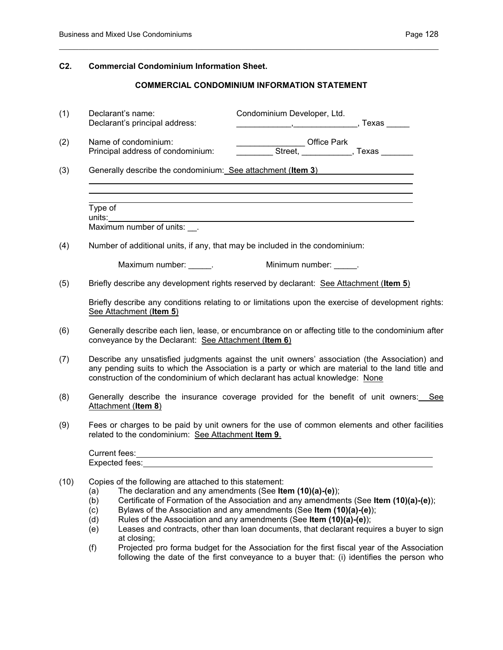#### **C2. Commercial Condominium Information Sheet.**

### **COMMERCIAL CONDOMINIUM INFORMATION STATEMENT**

 $\mathcal{L}_\mathcal{L} = \{ \mathcal{L}_\mathcal{L} = \{ \mathcal{L}_\mathcal{L} = \{ \mathcal{L}_\mathcal{L} = \{ \mathcal{L}_\mathcal{L} = \{ \mathcal{L}_\mathcal{L} = \{ \mathcal{L}_\mathcal{L} = \{ \mathcal{L}_\mathcal{L} = \{ \mathcal{L}_\mathcal{L} = \{ \mathcal{L}_\mathcal{L} = \{ \mathcal{L}_\mathcal{L} = \{ \mathcal{L}_\mathcal{L} = \{ \mathcal{L}_\mathcal{L} = \{ \mathcal{L}_\mathcal{L} = \{ \mathcal{L}_\mathcal{$ 

| (1)  | Condominium Developer, Ltd.<br>Declarant's name:<br>Declarant's principal address:                                                                                                                                                                                                  |  |  |
|------|-------------------------------------------------------------------------------------------------------------------------------------------------------------------------------------------------------------------------------------------------------------------------------------|--|--|
| (2)  | Name of condominium:<br>_________________Office Park<br>__________Street, ___________, Texas ________<br>Principal address of condominium:                                                                                                                                          |  |  |
| (3)  | Generally describe the condominium: See attachment (Item 3)                                                                                                                                                                                                                         |  |  |
|      | Type of<br>Maximum number of units:                                                                                                                                                                                                                                                 |  |  |
| (4)  | Number of additional units, if any, that may be included in the condominium:                                                                                                                                                                                                        |  |  |
|      | Minimum number: ______.<br>Maximum number: ______.                                                                                                                                                                                                                                  |  |  |
| (5)  | Briefly describe any development rights reserved by declarant: See Attachment (Item 5)                                                                                                                                                                                              |  |  |
|      | Briefly describe any conditions relating to or limitations upon the exercise of development rights:<br>See Attachment (Item 5)                                                                                                                                                      |  |  |
| (6)  | Generally describe each lien, lease, or encumbrance on or affecting title to the condominium after<br>conveyance by the Declarant: See Attachment (Item 6)                                                                                                                          |  |  |
| (7)  | Describe any unsatisfied judgments against the unit owners' association (the Association) and<br>any pending suits to which the Association is a party or which are material to the land title and<br>construction of the condominium of which declarant has actual knowledge: None |  |  |
| (8)  | Generally describe the insurance coverage provided for the benefit of unit owners: See<br>Attachment (Item 8)                                                                                                                                                                       |  |  |
| (9)  | Fees or charges to be paid by unit owners for the use of common elements and other facilities<br>related to the condominium: See Attachment Item 9.                                                                                                                                 |  |  |
|      | Expected fees: <u>experience</u> and the second service of the service of the service of the service of the service of the service of the service of the service of the service of the service of the service of the service of the                                                 |  |  |
|      |                                                                                                                                                                                                                                                                                     |  |  |
| (10) | Copies of the following are attached to this statement:                                                                                                                                                                                                                             |  |  |

- (a) The declaration and any amendments (See **Item (10)(a)-(e)**);
- (b) Certificate of Formation of the Association and any amendments (See **Item (10)(a)-(e)**);
- (c) Bylaws of the Association and any amendments (See **Item (10)(a)-(e)**);
- (d) Rules of the Association and any amendments (See **Item (10)(a)-(e)**);
- (e) Leases and contracts, other than loan documents, that declarant requires a buyer to sign at closing;
- (f) Projected pro forma budget for the Association for the first fiscal year of the Association following the date of the first conveyance to a buyer that: (i) identifies the person who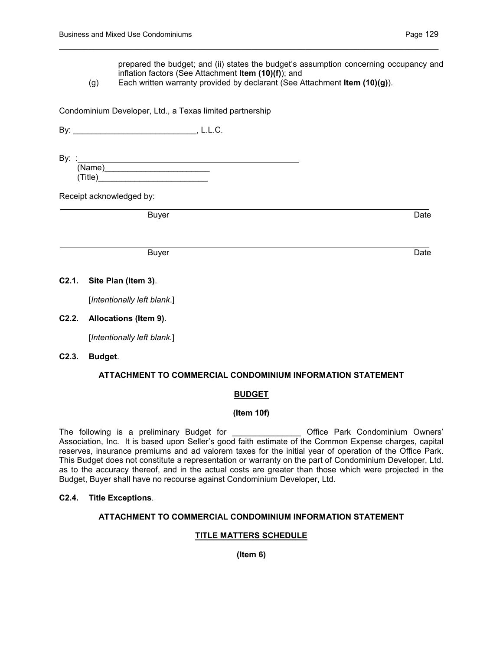prepared the budget; and (ii) states the budget's assumption concerning occupancy and inflation factors (See Attachment **Item (10)(f)**); and

(g) Each written warranty provided by declarant (See Attachment **Item (10)(g)**).

 $\mathcal{L}_\mathcal{L} = \{ \mathcal{L}_\mathcal{L} = \{ \mathcal{L}_\mathcal{L} = \{ \mathcal{L}_\mathcal{L} = \{ \mathcal{L}_\mathcal{L} = \{ \mathcal{L}_\mathcal{L} = \{ \mathcal{L}_\mathcal{L} = \{ \mathcal{L}_\mathcal{L} = \{ \mathcal{L}_\mathcal{L} = \{ \mathcal{L}_\mathcal{L} = \{ \mathcal{L}_\mathcal{L} = \{ \mathcal{L}_\mathcal{L} = \{ \mathcal{L}_\mathcal{L} = \{ \mathcal{L}_\mathcal{L} = \{ \mathcal{L}_\mathcal{$ 

Condominium Developer, Ltd., a Texas limited partnership

By: \_\_\_\_\_\_\_\_\_\_\_\_\_\_\_\_\_\_\_\_\_\_\_\_\_\_\_, L.L.C.

 $By: :$  $(Name)$  $(Title)$ 

Receipt acknowledged by:

 $\overline{a}$ 

 $\overline{a}$ 

Buyer **Date** 

Buyer **Date** 

## **C2.1. Site Plan (Item 3)**.

[*Intentionally left blank*.]

### **C2.2. Allocations (Item 9)**.

[*Intentionally left blank.*]

# **C2.3. Budget**.

# **ATTACHMENT TO COMMERCIAL CONDOMINIUM INFORMATION STATEMENT**

# **BUDGET**

### **(Item 10f)**

The following is a preliminary Budget for \_\_\_\_\_\_\_\_\_\_\_\_\_\_\_ Office Park Condominium Owners' Association, Inc. It is based upon Seller's good faith estimate of the Common Expense charges, capital reserves, insurance premiums and ad valorem taxes for the initial year of operation of the Office Park. This Budget does not constitute a representation or warranty on the part of Condominium Developer, Ltd. as to the accuracy thereof, and in the actual costs are greater than those which were projected in the Budget, Buyer shall have no recourse against Condominium Developer, Ltd.

### **C2.4. Title Exceptions**.

# **ATTACHMENT TO COMMERCIAL CONDOMINIUM INFORMATION STATEMENT**

# **TITLE MATTERS SCHEDULE**

**(Item 6)**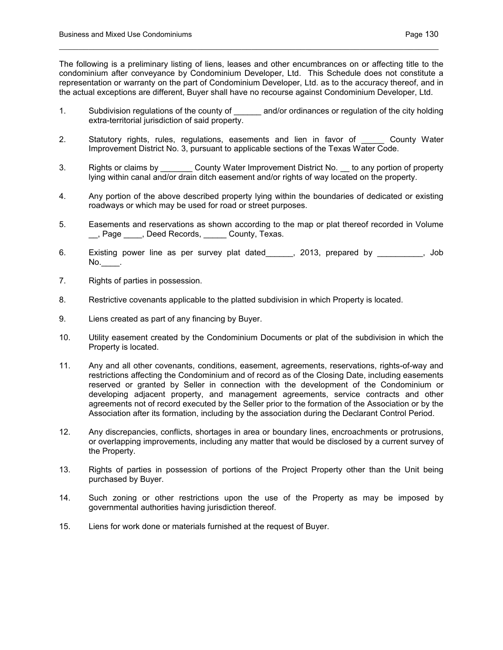The following is a preliminary listing of liens, leases and other encumbrances on or affecting title to the condominium after conveyance by Condominium Developer, Ltd. This Schedule does not constitute a representation or warranty on the part of Condominium Developer, Ltd. as to the accuracy thereof, and in the actual exceptions are different, Buyer shall have no recourse against Condominium Developer, Ltd.

 $\mathcal{L}_\mathcal{L} = \{ \mathcal{L}_\mathcal{L} = \{ \mathcal{L}_\mathcal{L} = \{ \mathcal{L}_\mathcal{L} = \{ \mathcal{L}_\mathcal{L} = \{ \mathcal{L}_\mathcal{L} = \{ \mathcal{L}_\mathcal{L} = \{ \mathcal{L}_\mathcal{L} = \{ \mathcal{L}_\mathcal{L} = \{ \mathcal{L}_\mathcal{L} = \{ \mathcal{L}_\mathcal{L} = \{ \mathcal{L}_\mathcal{L} = \{ \mathcal{L}_\mathcal{L} = \{ \mathcal{L}_\mathcal{L} = \{ \mathcal{L}_\mathcal{$ 

- 1. Subdivision regulations of the county of \_\_\_\_\_\_\_ and/or ordinances or regulation of the city holding extra-territorial jurisdiction of said property.
- 2. Statutory rights, rules, regulations, easements and lien in favor of \_\_\_\_\_ County Water Improvement District No. 3, pursuant to applicable sections of the Texas Water Code.
- 3. Rights or claims by **County Water Improvement District No.** Lo any portion of property lying within canal and/or drain ditch easement and/or rights of way located on the property.
- 4. Any portion of the above described property lying within the boundaries of dedicated or existing roadways or which may be used for road or street purposes.
- 5. Easements and reservations as shown according to the map or plat thereof recorded in Volume \_\_, Page \_\_\_\_, Deed Records, \_\_\_\_\_ County, Texas.
- 6. Existing power line as per survey plat dated \_\_\_\_\_, 2013, prepared by \_\_\_\_\_\_\_\_, Job No.\_\_\_\_.
- 7. Rights of parties in possession.
- 8. Restrictive covenants applicable to the platted subdivision in which Property is located.
- 9. Liens created as part of any financing by Buyer.
- 10. Utility easement created by the Condominium Documents or plat of the subdivision in which the Property is located.
- 11. Any and all other covenants, conditions, easement, agreements, reservations, rights-of-way and restrictions affecting the Condominium and of record as of the Closing Date, including easements reserved or granted by Seller in connection with the development of the Condominium or developing adjacent property, and management agreements, service contracts and other agreements not of record executed by the Seller prior to the formation of the Association or by the Association after its formation, including by the association during the Declarant Control Period.
- 12. Any discrepancies, conflicts, shortages in area or boundary lines, encroachments or protrusions, or overlapping improvements, including any matter that would be disclosed by a current survey of the Property.
- 13. Rights of parties in possession of portions of the Project Property other than the Unit being purchased by Buyer.
- 14. Such zoning or other restrictions upon the use of the Property as may be imposed by governmental authorities having jurisdiction thereof.
- 15. Liens for work done or materials furnished at the request of Buyer.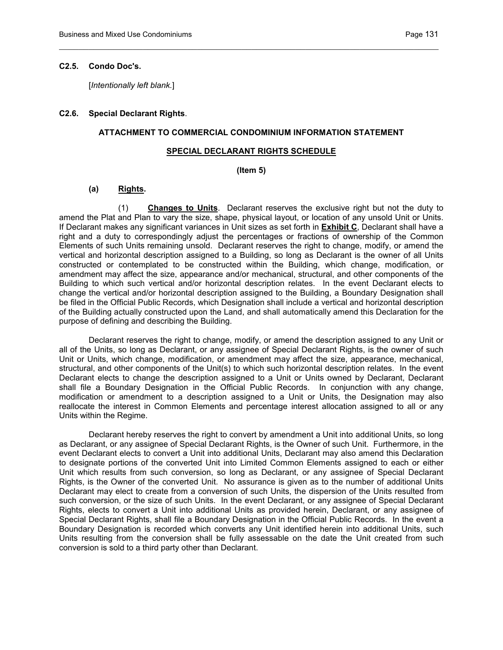#### **C2.5. Condo Doc's.**

[*Intentionally left blank.*]

## **C2.6. Special Declarant Rights**.

### **ATTACHMENT TO COMMERCIAL CONDOMINIUM INFORMATION STATEMENT**

 $\mathcal{L}_\mathcal{L} = \{ \mathcal{L}_\mathcal{L} = \{ \mathcal{L}_\mathcal{L} = \{ \mathcal{L}_\mathcal{L} = \{ \mathcal{L}_\mathcal{L} = \{ \mathcal{L}_\mathcal{L} = \{ \mathcal{L}_\mathcal{L} = \{ \mathcal{L}_\mathcal{L} = \{ \mathcal{L}_\mathcal{L} = \{ \mathcal{L}_\mathcal{L} = \{ \mathcal{L}_\mathcal{L} = \{ \mathcal{L}_\mathcal{L} = \{ \mathcal{L}_\mathcal{L} = \{ \mathcal{L}_\mathcal{L} = \{ \mathcal{L}_\mathcal{$ 

#### **SPECIAL DECLARANT RIGHTS SCHEDULE**

#### **(Item 5)**

### **(a) Rights.**

(1) **Changes to Units**. Declarant reserves the exclusive right but not the duty to amend the Plat and Plan to vary the size, shape, physical layout, or location of any unsold Unit or Units. If Declarant makes any significant variances in Unit sizes as set forth in **Exhibit C**, Declarant shall have a right and a duty to correspondingly adjust the percentages or fractions of ownership of the Common Elements of such Units remaining unsold. Declarant reserves the right to change, modify, or amend the vertical and horizontal description assigned to a Building, so long as Declarant is the owner of all Units constructed or contemplated to be constructed within the Building, which change, modification, or amendment may affect the size, appearance and/or mechanical, structural, and other components of the Building to which such vertical and/or horizontal description relates. In the event Declarant elects to change the vertical and/or horizontal description assigned to the Building, a Boundary Designation shall be filed in the Official Public Records, which Designation shall include a vertical and horizontal description of the Building actually constructed upon the Land, and shall automatically amend this Declaration for the purpose of defining and describing the Building.

Declarant reserves the right to change, modify, or amend the description assigned to any Unit or all of the Units, so long as Declarant, or any assignee of Special Declarant Rights, is the owner of such Unit or Units, which change, modification, or amendment may affect the size, appearance, mechanical, structural, and other components of the Unit(s) to which such horizontal description relates. In the event Declarant elects to change the description assigned to a Unit or Units owned by Declarant, Declarant shall file a Boundary Designation in the Official Public Records. In conjunction with any change, modification or amendment to a description assigned to a Unit or Units, the Designation may also reallocate the interest in Common Elements and percentage interest allocation assigned to all or any Units within the Regime.

Declarant hereby reserves the right to convert by amendment a Unit into additional Units, so long as Declarant, or any assignee of Special Declarant Rights, is the Owner of such Unit. Furthermore, in the event Declarant elects to convert a Unit into additional Units, Declarant may also amend this Declaration to designate portions of the converted Unit into Limited Common Elements assigned to each or either Unit which results from such conversion, so long as Declarant, or any assignee of Special Declarant Rights, is the Owner of the converted Unit. No assurance is given as to the number of additional Units Declarant may elect to create from a conversion of such Units, the dispersion of the Units resulted from such conversion, or the size of such Units. In the event Declarant, or any assignee of Special Declarant Rights, elects to convert a Unit into additional Units as provided herein, Declarant, or any assignee of Special Declarant Rights, shall file a Boundary Designation in the Official Public Records. In the event a Boundary Designation is recorded which converts any Unit identified herein into additional Units, such Units resulting from the conversion shall be fully assessable on the date the Unit created from such conversion is sold to a third party other than Declarant.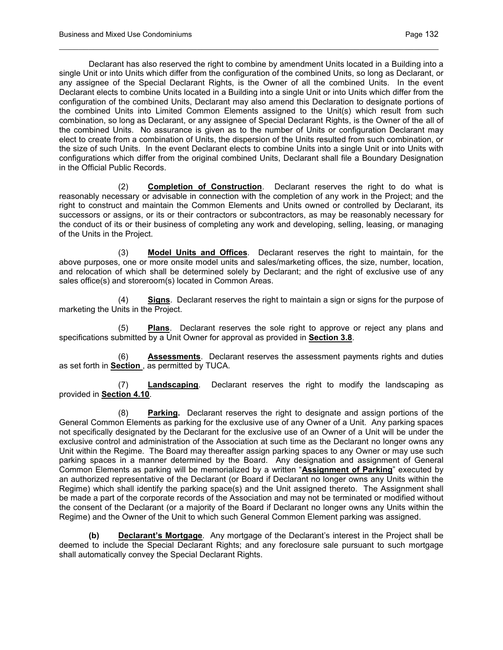Declarant has also reserved the right to combine by amendment Units located in a Building into a single Unit or into Units which differ from the configuration of the combined Units, so long as Declarant, or any assignee of the Special Declarant Rights, is the Owner of all the combined Units. In the event Declarant elects to combine Units located in a Building into a single Unit or into Units which differ from the configuration of the combined Units, Declarant may also amend this Declaration to designate portions of the combined Units into Limited Common Elements assigned to the Unit(s) which result from such combination, so long as Declarant, or any assignee of Special Declarant Rights, is the Owner of the all of the combined Units. No assurance is given as to the number of Units or configuration Declarant may elect to create from a combination of Units, the dispersion of the Units resulted from such combination, or the size of such Units. In the event Declarant elects to combine Units into a single Unit or into Units with configurations which differ from the original combined Units, Declarant shall file a Boundary Designation in the Official Public Records.

 $\mathcal{L}_\mathcal{L} = \{ \mathcal{L}_\mathcal{L} = \{ \mathcal{L}_\mathcal{L} = \{ \mathcal{L}_\mathcal{L} = \{ \mathcal{L}_\mathcal{L} = \{ \mathcal{L}_\mathcal{L} = \{ \mathcal{L}_\mathcal{L} = \{ \mathcal{L}_\mathcal{L} = \{ \mathcal{L}_\mathcal{L} = \{ \mathcal{L}_\mathcal{L} = \{ \mathcal{L}_\mathcal{L} = \{ \mathcal{L}_\mathcal{L} = \{ \mathcal{L}_\mathcal{L} = \{ \mathcal{L}_\mathcal{L} = \{ \mathcal{L}_\mathcal{$ 

(2) **Completion of Construction**. Declarant reserves the right to do what is reasonably necessary or advisable in connection with the completion of any work in the Project; and the right to construct and maintain the Common Elements and Units owned or controlled by Declarant, its successors or assigns, or its or their contractors or subcontractors, as may be reasonably necessary for the conduct of its or their business of completing any work and developing, selling, leasing, or managing of the Units in the Project.

(3) **Model Units and Offices**. Declarant reserves the right to maintain, for the above purposes, one or more onsite model units and sales/marketing offices, the size, number, location, and relocation of which shall be determined solely by Declarant; and the right of exclusive use of any sales office(s) and storeroom(s) located in Common Areas.

(4) **Signs**. Declarant reserves the right to maintain a sign or signs for the purpose of marketing the Units in the Project.

(5) **Plans**. Declarant reserves the sole right to approve or reject any plans and specifications submitted by a Unit Owner for approval as provided in **Section 3.8**.

(6) **Assessments**. Declarant reserves the assessment payments rights and duties as set forth in **Section** , as permitted by TUCA.

(7) **Landscaping**. Declarant reserves the right to modify the landscaping as provided in **Section 4.10**.

**Parking.** Declarant reserves the right to designate and assign portions of the General Common Elements as parking for the exclusive use of any Owner of a Unit. Any parking spaces not specifically designated by the Declarant for the exclusive use of an Owner of a Unit will be under the exclusive control and administration of the Association at such time as the Declarant no longer owns any Unit within the Regime. The Board may thereafter assign parking spaces to any Owner or may use such parking spaces in a manner determined by the Board. Any designation and assignment of General Common Elements as parking will be memorialized by a written "**Assignment of Parking**" executed by an authorized representative of the Declarant (or Board if Declarant no longer owns any Units within the Regime) which shall identify the parking space(s) and the Unit assigned thereto. The Assignment shall be made a part of the corporate records of the Association and may not be terminated or modified without the consent of the Declarant (or a majority of the Board if Declarant no longer owns any Units within the Regime) and the Owner of the Unit to which such General Common Element parking was assigned.

**(b) Declarant's Mortgage**. Any mortgage of the Declarant's interest in the Project shall be deemed to include the Special Declarant Rights; and any foreclosure sale pursuant to such mortgage shall automatically convey the Special Declarant Rights.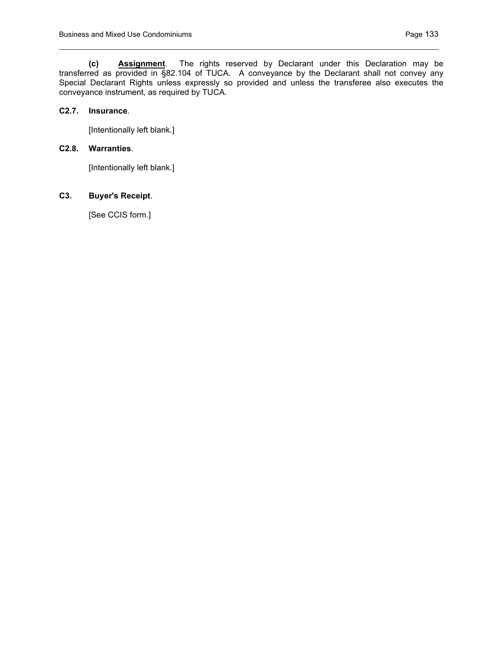**(c) Assignment**. The rights reserved by Declarant under this Declaration may be transferred as provided in §82.104 of TUCA. A conveyance by the Declarant shall not convey any Special Declarant Rights unless expressly so provided and unless the transferee also executes the conveyance instrument, as required by TUCA.

 $\mathcal{L}_\mathcal{L} = \{ \mathcal{L}_\mathcal{L} = \{ \mathcal{L}_\mathcal{L} = \{ \mathcal{L}_\mathcal{L} = \{ \mathcal{L}_\mathcal{L} = \{ \mathcal{L}_\mathcal{L} = \{ \mathcal{L}_\mathcal{L} = \{ \mathcal{L}_\mathcal{L} = \{ \mathcal{L}_\mathcal{L} = \{ \mathcal{L}_\mathcal{L} = \{ \mathcal{L}_\mathcal{L} = \{ \mathcal{L}_\mathcal{L} = \{ \mathcal{L}_\mathcal{L} = \{ \mathcal{L}_\mathcal{L} = \{ \mathcal{L}_\mathcal{$ 

# **C2.7. Insurance**.

[Intentionally left blank.]

## **C2.8. Warranties**.

[Intentionally left blank.]

# **C3. Buyer's Receipt**.

[See CCIS form.]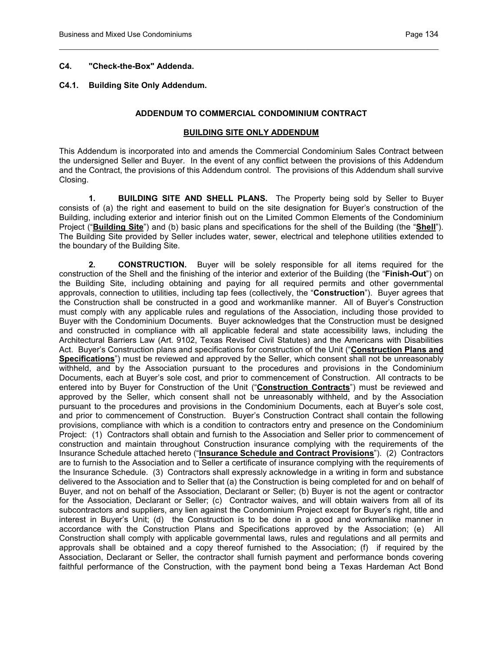### **C4. "Check-the-Box" Addenda.**

#### **C4.1. Building Site Only Addendum.**

### **ADDENDUM TO COMMERCIAL CONDOMINIUM CONTRACT**

 $\mathcal{L}_\mathcal{L} = \{ \mathcal{L}_\mathcal{L} = \{ \mathcal{L}_\mathcal{L} = \{ \mathcal{L}_\mathcal{L} = \{ \mathcal{L}_\mathcal{L} = \{ \mathcal{L}_\mathcal{L} = \{ \mathcal{L}_\mathcal{L} = \{ \mathcal{L}_\mathcal{L} = \{ \mathcal{L}_\mathcal{L} = \{ \mathcal{L}_\mathcal{L} = \{ \mathcal{L}_\mathcal{L} = \{ \mathcal{L}_\mathcal{L} = \{ \mathcal{L}_\mathcal{L} = \{ \mathcal{L}_\mathcal{L} = \{ \mathcal{L}_\mathcal{$ 

#### **BUILDING SITE ONLY ADDENDUM**

This Addendum is incorporated into and amends the Commercial Condominium Sales Contract between the undersigned Seller and Buyer. In the event of any conflict between the provisions of this Addendum and the Contract, the provisions of this Addendum control. The provisions of this Addendum shall survive Closing.

**1. BUILDING SITE AND SHELL PLANS.** The Property being sold by Seller to Buyer consists of (a) the right and easement to build on the site designation for Buyer's construction of the Building, including exterior and interior finish out on the Limited Common Elements of the Condominium Project ("**Building Site**") and (b) basic plans and specifications for the shell of the Building (the "**Shell**"). The Building Site provided by Seller includes water, sewer, electrical and telephone utilities extended to the boundary of the Building Site.

**2. CONSTRUCTION.** Buyer will be solely responsible for all items required for the construction of the Shell and the finishing of the interior and exterior of the Building (the "**Finish-Out**") on the Building Site, including obtaining and paying for all required permits and other governmental approvals, connection to utilities, including tap fees (collectively, the "**Construction**"). Buyer agrees that the Construction shall be constructed in a good and workmanlike manner. All of Buyer's Construction must comply with any applicable rules and regulations of the Association, including those provided to Buyer with the Condominium Documents. Buyer acknowledges that the Construction must be designed and constructed in compliance with all applicable federal and state accessibility laws, including the Architectural Barriers Law (Art. 9102, Texas Revised Civil Statutes) and the Americans with Disabilities Act. Buyer's Construction plans and specifications for construction of the Unit ("**Construction Plans and Specifications**") must be reviewed and approved by the Seller, which consent shall not be unreasonably withheld, and by the Association pursuant to the procedures and provisions in the Condominium Documents, each at Buyer's sole cost, and prior to commencement of Construction. All contracts to be entered into by Buyer for Construction of the Unit ("**Construction Contracts**") must be reviewed and approved by the Seller, which consent shall not be unreasonably withheld, and by the Association pursuant to the procedures and provisions in the Condominium Documents, each at Buyer's sole cost, and prior to commencement of Construction. Buyer's Construction Contract shall contain the following provisions, compliance with which is a condition to contractors entry and presence on the Condominium Project: (1) Contractors shall obtain and furnish to the Association and Seller prior to commencement of construction and maintain throughout Construction insurance complying with the requirements of the Insurance Schedule attached hereto ("**Insurance Schedule and Contract Provisions**"). (2) Contractors are to furnish to the Association and to Seller a certificate of insurance complying with the requirements of the Insurance Schedule. (3) Contractors shall expressly acknowledge in a writing in form and substance delivered to the Association and to Seller that (a) the Construction is being completed for and on behalf of Buyer, and not on behalf of the Association, Declarant or Seller; (b) Buyer is not the agent or contractor for the Association, Declarant or Seller; (c) Contractor waives, and will obtain waivers from all of its subcontractors and suppliers, any lien against the Condominium Project except for Buyer's right, title and interest in Buyer's Unit; (d) the Construction is to be done in a good and workmanlike manner in accordance with the Construction Plans and Specifications approved by the Association; (e) All Construction shall comply with applicable governmental laws, rules and regulations and all permits and approvals shall be obtained and a copy thereof furnished to the Association; (f) if required by the Association, Declarant or Seller, the contractor shall furnish payment and performance bonds covering faithful performance of the Construction, with the payment bond being a Texas Hardeman Act Bond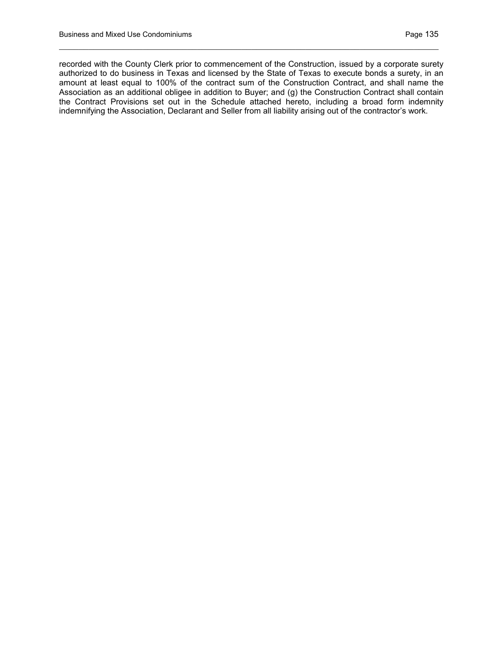recorded with the County Clerk prior to commencement of the Construction, issued by a corporate surety authorized to do business in Texas and licensed by the State of Texas to execute bonds a surety, in an amount at least equal to 100% of the contract sum of the Construction Contract, and shall name the Association as an additional obligee in addition to Buyer; and (g) the Construction Contract shall contain the Contract Provisions set out in the Schedule attached hereto, including a broad form indemnity indemnifying the Association, Declarant and Seller from all liability arising out of the contractor's work.

 $\mathcal{L}_\mathcal{L} = \{ \mathcal{L}_\mathcal{L} = \{ \mathcal{L}_\mathcal{L} = \{ \mathcal{L}_\mathcal{L} = \{ \mathcal{L}_\mathcal{L} = \{ \mathcal{L}_\mathcal{L} = \{ \mathcal{L}_\mathcal{L} = \{ \mathcal{L}_\mathcal{L} = \{ \mathcal{L}_\mathcal{L} = \{ \mathcal{L}_\mathcal{L} = \{ \mathcal{L}_\mathcal{L} = \{ \mathcal{L}_\mathcal{L} = \{ \mathcal{L}_\mathcal{L} = \{ \mathcal{L}_\mathcal{L} = \{ \mathcal{L}_\mathcal{$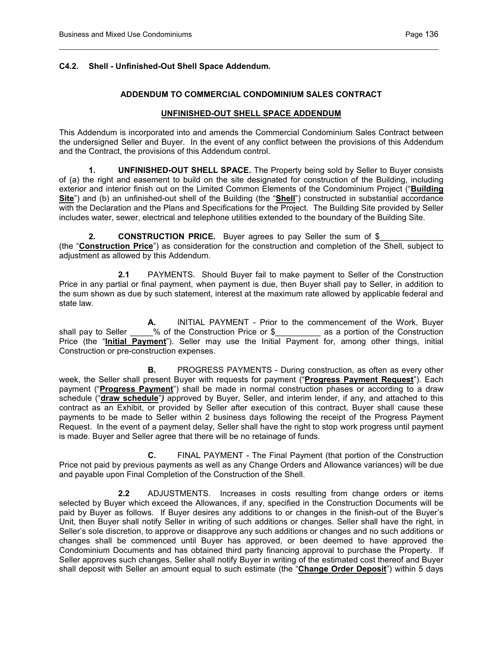# **C4.2. Shell - Unfinished-Out Shell Space Addendum.**

## **ADDENDUM TO COMMERCIAL CONDOMINIUM SALES CONTRACT**

 $\mathcal{L}_\mathcal{L} = \{ \mathcal{L}_\mathcal{L} = \{ \mathcal{L}_\mathcal{L} = \{ \mathcal{L}_\mathcal{L} = \{ \mathcal{L}_\mathcal{L} = \{ \mathcal{L}_\mathcal{L} = \{ \mathcal{L}_\mathcal{L} = \{ \mathcal{L}_\mathcal{L} = \{ \mathcal{L}_\mathcal{L} = \{ \mathcal{L}_\mathcal{L} = \{ \mathcal{L}_\mathcal{L} = \{ \mathcal{L}_\mathcal{L} = \{ \mathcal{L}_\mathcal{L} = \{ \mathcal{L}_\mathcal{L} = \{ \mathcal{L}_\mathcal{$ 

### **UNFINISHED-OUT SHELL SPACE ADDENDUM**

This Addendum is incorporated into and amends the Commercial Condominium Sales Contract between the undersigned Seller and Buyer. In the event of any conflict between the provisions of this Addendum and the Contract, the provisions of this Addendum control.

**1. UNFINISHED-OUT SHELL SPACE.** The Property being sold by Seller to Buyer consists of (a) the right and easement to build on the site designated for construction of the Building, including exterior and interior finish out on the Limited Common Elements of the Condominium Project ("**Building Site**") and (b) an unfinished-out shell of the Building (the "**Shell**") constructed in substantial accordance with the Declaration and the Plans and Specifications for the Project. The Building Site provided by Seller includes water, sewer, electrical and telephone utilities extended to the boundary of the Building Site.

**2. CONSTRUCTION PRICE.** Buyer agrees to pay Seller the sum of \$ (the "**Construction Price**") as consideration for the construction and completion of the Shell, subject to adjustment as allowed by this Addendum.

**2.1** PAYMENTS. Should Buyer fail to make payment to Seller of the Construction Price in any partial or final payment, when payment is due, then Buyer shall pay to Seller, in addition to the sum shown as due by such statement, interest at the maximum rate allowed by applicable federal and state law.

**A.** INITIAL PAYMENT - Prior to the commencement of the Work, Buyer shall pay to Seller \_\_\_\_\_% of the Construction Price or \$\_\_\_\_\_\_\_\_\_\_\_\_ as a portion of the Construction Price (the "Initial Payment"). Seller may use the Initial Payment for, among other things, initial Construction or pre-construction expenses.

**B.** PROGRESS PAYMENTS - During construction, as often as every other week, the Seller shall present Buyer with requests for payment ("**Progress Payment Request**"). Each payment ("**Progress Payment**") shall be made in normal construction phases or according to a draw schedule ("**draw schedule**"*)* approved by Buyer, Seller, and interim lender, if any, and attached to this contract as an Exhibit, or provided by Seller after execution of this contract, Buyer shall cause these payments to be made to Seller within 2 business days following the receipt of the Progress Payment Request. In the event of a payment delay, Seller shall have the right to stop work progress until payment is made. Buyer and Seller agree that there will be no retainage of funds.

**C.** FINAL PAYMENT - The Final Payment (that portion of the Construction Price not paid by previous payments as well as any Change Orders and Allowance variances) will be due and payable upon Final Completion of the Construction of the Shell.

**2.2** ADJUSTMENTS. Increases in costs resulting from change orders or items selected by Buyer which exceed the Allowances, if any, specified in the Construction Documents will be paid by Buyer as follows. If Buyer desires any additions to or changes in the finish-out of the Buyer's Unit, then Buyer shall notify Seller in writing of such additions or changes. Seller shall have the right, in Seller's sole discretion, to approve or disapprove any such additions or changes and no such additions or changes shall be commenced until Buyer has approved, or been deemed to have approved the Condominium Documents and has obtained third party financing approval to purchase the Property. If Seller approves such changes, Seller shall notify Buyer in writing of the estimated cost thereof and Buyer shall deposit with Seller an amount equal to such estimate (the "**Change Order Deposit**") within 5 days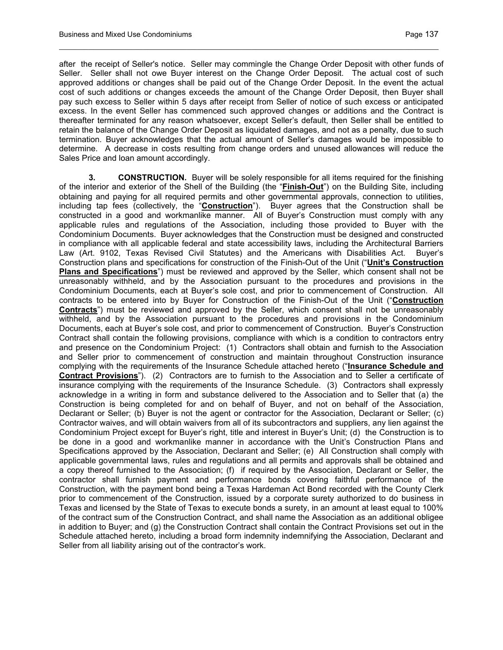after the receipt of Seller's notice. Seller may commingle the Change Order Deposit with other funds of Seller. Seller shall not owe Buyer interest on the Change Order Deposit. The actual cost of such approved additions or changes shall be paid out of the Change Order Deposit. In the event the actual cost of such additions or changes exceeds the amount of the Change Order Deposit, then Buyer shall pay such excess to Seller within 5 days after receipt from Seller of notice of such excess or anticipated excess. In the event Seller has commenced such approved changes or additions and the Contract is thereafter terminated for any reason whatsoever, except Seller's default, then Seller shall be entitled to retain the balance of the Change Order Deposit as liquidated damages, and not as a penalty, due to such termination. Buyer acknowledges that the actual amount of Seller's damages would be impossible to determine. A decrease in costs resulting from change orders and unused allowances will reduce the Sales Price and loan amount accordingly.

 $\mathcal{L}_\mathcal{L} = \{ \mathcal{L}_\mathcal{L} = \{ \mathcal{L}_\mathcal{L} = \{ \mathcal{L}_\mathcal{L} = \{ \mathcal{L}_\mathcal{L} = \{ \mathcal{L}_\mathcal{L} = \{ \mathcal{L}_\mathcal{L} = \{ \mathcal{L}_\mathcal{L} = \{ \mathcal{L}_\mathcal{L} = \{ \mathcal{L}_\mathcal{L} = \{ \mathcal{L}_\mathcal{L} = \{ \mathcal{L}_\mathcal{L} = \{ \mathcal{L}_\mathcal{L} = \{ \mathcal{L}_\mathcal{L} = \{ \mathcal{L}_\mathcal{$ 

**3. CONSTRUCTION.** Buyer will be solely responsible for all items required for the finishing of the interior and exterior of the Shell of the Building (the "**Finish-Out**") on the Building Site, including obtaining and paying for all required permits and other governmental approvals, connection to utilities, including tap fees (collectively, the "**Construction**"). Buyer agrees that the Construction shall be constructed in a good and workmanlike manner. All of Buyer's Construction must comply with any applicable rules and regulations of the Association, including those provided to Buyer with the Condominium Documents. Buyer acknowledges that the Construction must be designed and constructed in compliance with all applicable federal and state accessibility laws, including the Architectural Barriers Law (Art. 9102, Texas Revised Civil Statutes) and the Americans with Disabilities Act. Buyer's Construction plans and specifications for construction of the Finish-Out of the Unit ("**Unit's Construction Plans and Specifications**") must be reviewed and approved by the Seller, which consent shall not be unreasonably withheld, and by the Association pursuant to the procedures and provisions in the Condominium Documents, each at Buyer's sole cost, and prior to commencement of Construction. All contracts to be entered into by Buyer for Construction of the Finish-Out of the Unit ("**Construction Contracts**") must be reviewed and approved by the Seller, which consent shall not be unreasonably withheld, and by the Association pursuant to the procedures and provisions in the Condominium Documents, each at Buyer's sole cost, and prior to commencement of Construction. Buyer's Construction Contract shall contain the following provisions, compliance with which is a condition to contractors entry and presence on the Condominium Project: (1) Contractors shall obtain and furnish to the Association and Seller prior to commencement of construction and maintain throughout Construction insurance complying with the requirements of the Insurance Schedule attached hereto ("**Insurance Schedule and Contract Provisions**"). (2) Contractors are to furnish to the Association and to Seller a certificate of insurance complying with the requirements of the Insurance Schedule. (3) Contractors shall expressly acknowledge in a writing in form and substance delivered to the Association and to Seller that (a) the Construction is being completed for and on behalf of Buyer, and not on behalf of the Association, Declarant or Seller; (b) Buyer is not the agent or contractor for the Association, Declarant or Seller; (c) Contractor waives, and will obtain waivers from all of its subcontractors and suppliers, any lien against the Condominium Project except for Buyer's right, title and interest in Buyer's Unit; (d) the Construction is to be done in a good and workmanlike manner in accordance with the Unit's Construction Plans and Specifications approved by the Association, Declarant and Seller; (e) All Construction shall comply with applicable governmental laws, rules and regulations and all permits and approvals shall be obtained and a copy thereof furnished to the Association; (f) if required by the Association, Declarant or Seller, the contractor shall furnish payment and performance bonds covering faithful performance of the Construction, with the payment bond being a Texas Hardeman Act Bond recorded with the County Clerk prior to commencement of the Construction, issued by a corporate surety authorized to do business in Texas and licensed by the State of Texas to execute bonds a surety, in an amount at least equal to 100% of the contract sum of the Construction Contract, and shall name the Association as an additional obligee in addition to Buyer; and (g) the Construction Contract shall contain the Contract Provisions set out in the Schedule attached hereto, including a broad form indemnity indemnifying the Association, Declarant and Seller from all liability arising out of the contractor's work.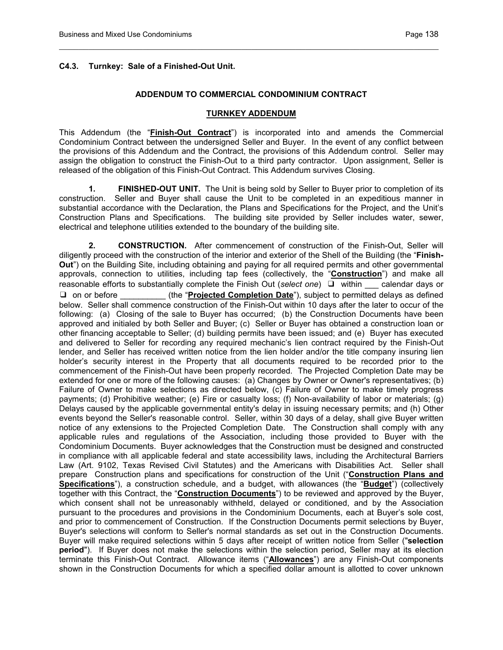### **C4.3. Turnkey: Sale of a Finished-Out Unit.**

## **ADDENDUM TO COMMERCIAL CONDOMINIUM CONTRACT**

 $\mathcal{L}_\mathcal{L} = \{ \mathcal{L}_\mathcal{L} = \{ \mathcal{L}_\mathcal{L} = \{ \mathcal{L}_\mathcal{L} = \{ \mathcal{L}_\mathcal{L} = \{ \mathcal{L}_\mathcal{L} = \{ \mathcal{L}_\mathcal{L} = \{ \mathcal{L}_\mathcal{L} = \{ \mathcal{L}_\mathcal{L} = \{ \mathcal{L}_\mathcal{L} = \{ \mathcal{L}_\mathcal{L} = \{ \mathcal{L}_\mathcal{L} = \{ \mathcal{L}_\mathcal{L} = \{ \mathcal{L}_\mathcal{L} = \{ \mathcal{L}_\mathcal{$ 

#### **TURNKEY ADDENDUM**

This Addendum (the "**Finish-Out Contract**") is incorporated into and amends the Commercial Condominium Contract between the undersigned Seller and Buyer. In the event of any conflict between the provisions of this Addendum and the Contract, the provisions of this Addendum control. Seller may assign the obligation to construct the Finish-Out to a third party contractor. Upon assignment, Seller is released of the obligation of this Finish-Out Contract. This Addendum survives Closing.

**1. FINISHED-OUT UNIT.** The Unit is being sold by Seller to Buyer prior to completion of its construction. Seller and Buyer shall cause the Unit to be completed in an expeditious manner in substantial accordance with the Declaration, the Plans and Specifications for the Project, and the Unit's Construction Plans and Specifications. The building site provided by Seller includes water, sewer, electrical and telephone utilities extended to the boundary of the building site.

**2. CONSTRUCTION.** After commencement of construction of the Finish-Out, Seller will diligently proceed with the construction of the interior and exterior of the Shell of the Building (the "**Finish-Out**") on the Building Site, including obtaining and paying for all required permits and other governmental approvals, connection to utilities, including tap fees (collectively, the "**Construction**") and make all reasonable efforts to substantially complete the Finish Out (*select one*) ❑ within \_\_\_ calendar days or ❑ on or before \_\_\_\_\_\_\_\_\_\_ (the "**Projected Completion Date**"), subject to permitted delays as defined below. Seller shall commence construction of the Finish-Out within 10 days after the later to occur of the following: (a) Closing of the sale to Buyer has occurred; (b) the Construction Documents have been approved and initialed by both Seller and Buyer; (c) Seller or Buyer has obtained a construction loan or other financing acceptable to Seller; (d) building permits have been issued; and (e) Buyer has executed and delivered to Seller for recording any required mechanic's lien contract required by the Finish-Out lender, and Seller has received written notice from the lien holder and/or the title company insuring lien holder's security interest in the Property that all documents required to be recorded prior to the commencement of the Finish-Out have been properly recorded. The Projected Completion Date may be extended for one or more of the following causes: (a) Changes by Owner or Owner's representatives; (b) Failure of Owner to make selections as directed below, (c) Failure of Owner to make timely progress payments; (d) Prohibitive weather; (e) Fire or casualty loss; (f) Non-availability of labor or materials; (g) Delays caused by the applicable governmental entity's delay in issuing necessary permits; and (h) Other events beyond the Seller's reasonable control. Seller, within 30 days of a delay, shall give Buyer written notice of any extensions to the Projected Completion Date. The Construction shall comply with any applicable rules and regulations of the Association, including those provided to Buyer with the Condominium Documents. Buyer acknowledges that the Construction must be designed and constructed in compliance with all applicable federal and state accessibility laws, including the Architectural Barriers Law (Art. 9102, Texas Revised Civil Statutes) and the Americans with Disabilities Act. Seller shall prepare Construction plans and specifications for construction of the Unit ("**Construction Plans and Specifications**"), a construction schedule, and a budget, with allowances (the "**Budget**") (collectively together with this Contract, the "**Construction Documents**") to be reviewed and approved by the Buyer, which consent shall not be unreasonably withheld, delayed or conditioned, and by the Association pursuant to the procedures and provisions in the Condominium Documents, each at Buyer's sole cost, and prior to commencement of Construction. If the Construction Documents permit selections by Buyer, Buyer's selections will conform to Seller's normal standards as set out in the Construction Documents. Buyer will make required selections within 5 days after receipt of written notice from Seller ("**selection period**"). If Buyer does not make the selections within the selection period, Seller may at its election terminate this Finish-Out Contract. Allowance items ("**Allowances**") are any Finish-Out components shown in the Construction Documents for which a specified dollar amount is allotted to cover unknown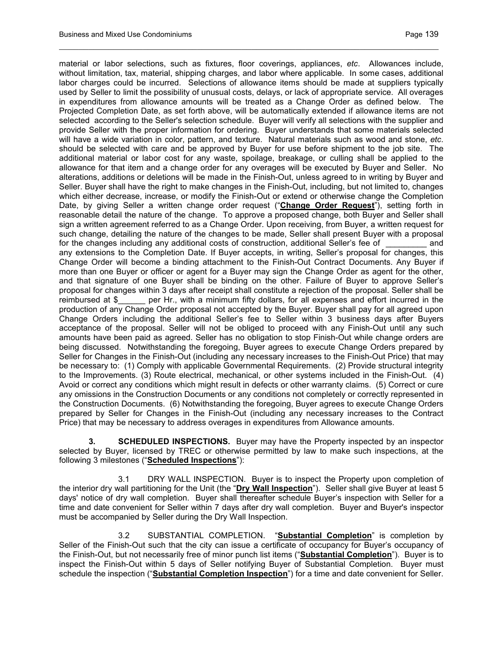material or labor selections, such as fixtures, floor coverings, appliances, *etc*. Allowances include, without limitation, tax, material, shipping charges, and labor where applicable. In some cases, additional labor charges could be incurred. Selections of allowance items should be made at suppliers typically used by Seller to limit the possibility of unusual costs, delays, or lack of appropriate service. All overages in expenditures from allowance amounts will be treated as a Change Order as defined below. The Projected Completion Date, as set forth above, will be automatically extended if allowance items are not selected according to the Seller's selection schedule. Buyer will verify all selections with the supplier and provide Seller with the proper information for ordering. Buyer understands that some materials selected will have a wide variation in color, pattern, and texture. Natural materials such as wood and stone, *etc*. should be selected with care and be approved by Buyer for use before shipment to the job site. The additional material or labor cost for any waste, spoilage, breakage, or culling shall be applied to the allowance for that item and a change order for any overages will be executed by Buyer and Seller. No alterations, additions or deletions will be made in the Finish-Out, unless agreed to in writing by Buyer and Seller. Buyer shall have the right to make changes in the Finish-Out, including, but not limited to, changes which either decrease, increase, or modify the Finish-Out or extend or otherwise change the Completion Date, by giving Seller a written change order request ("**Change Order Request**"), setting forth in reasonable detail the nature of the change. To approve a proposed change, both Buyer and Seller shall sign a written agreement referred to as a Change Order. Upon receiving, from Buyer, a written request for such change, detailing the nature of the changes to be made, Seller shall present Buyer with a proposal for the changes including any additional costs of construction, additional Seller's fee of **and** any extensions to the Completion Date. If Buyer accepts, in writing, Seller's proposal for changes, this Change Order will become a binding attachment to the Finish-Out Contract Documents. Any Buyer if more than one Buyer or officer or agent for a Buyer may sign the Change Order as agent for the other, and that signature of one Buyer shall be binding on the other. Failure of Buyer to approve Seller's proposal for changes within 3 days after receipt shall constitute a rejection of the proposal. Seller shall be reimbursed at \$ \_\_\_\_\_ per Hr., with a minimum fifty dollars, for all expenses and effort incurred in the production of any Change Order proposal not accepted by the Buyer. Buyer shall pay for all agreed upon Change Orders including the additional Seller's fee to Seller within 3 business days after Buyers acceptance of the proposal. Seller will not be obliged to proceed with any Finish-Out until any such amounts have been paid as agreed. Seller has no obligation to stop Finish-Out while change orders are being discussed. Notwithstanding the foregoing, Buyer agrees to execute Change Orders prepared by Seller for Changes in the Finish-Out (including any necessary increases to the Finish-Out Price) that may be necessary to: (1) Comply with applicable Governmental Requirements. (2) Provide structural integrity to the Improvements. (3) Route electrical, mechanical, or other systems included in the Finish-Out. (4) Avoid or correct any conditions which might result in defects or other warranty claims. (5) Correct or cure any omissions in the Construction Documents or any conditions not completely or correctly represented in the Construction Documents. (6) Notwithstanding the foregoing, Buyer agrees to execute Change Orders prepared by Seller for Changes in the Finish-Out (including any necessary increases to the Contract Price) that may be necessary to address overages in expenditures from Allowance amounts.

 $\mathcal{L}_\mathcal{L} = \{ \mathcal{L}_\mathcal{L} = \{ \mathcal{L}_\mathcal{L} = \{ \mathcal{L}_\mathcal{L} = \{ \mathcal{L}_\mathcal{L} = \{ \mathcal{L}_\mathcal{L} = \{ \mathcal{L}_\mathcal{L} = \{ \mathcal{L}_\mathcal{L} = \{ \mathcal{L}_\mathcal{L} = \{ \mathcal{L}_\mathcal{L} = \{ \mathcal{L}_\mathcal{L} = \{ \mathcal{L}_\mathcal{L} = \{ \mathcal{L}_\mathcal{L} = \{ \mathcal{L}_\mathcal{L} = \{ \mathcal{L}_\mathcal{$ 

**3. SCHEDULED INSPECTIONS.** Buyer may have the Property inspected by an inspector selected by Buyer, licensed by TREC or otherwise permitted by law to make such inspections, at the following 3 milestones ("**Scheduled Inspections**"):

3.1 DRY WALL INSPECTION. Buyer is to inspect the Property upon completion of the interior dry wall partitioning for the Unit (the "**Dry Wall Inspection**"). Seller shall give Buyer at least 5 days' notice of dry wall completion. Buyer shall thereafter schedule Buyer's inspection with Seller for a time and date convenient for Seller within 7 days after dry wall completion. Buyer and Buyer's inspector must be accompanied by Seller during the Dry Wall Inspection.

3.2 SUBSTANTIAL COMPLETION. "**Substantial Completion**" is completion by Seller of the Finish-Out such that the city can issue a certificate of occupancy for Buyer's occupancy of the Finish-Out, but not necessarily free of minor punch list items ("**Substantial Completion**"). Buyer is to inspect the Finish-Out within 5 days of Seller notifying Buyer of Substantial Completion. Buyer must schedule the inspection ("**Substantial Completion Inspection**") for a time and date convenient for Seller.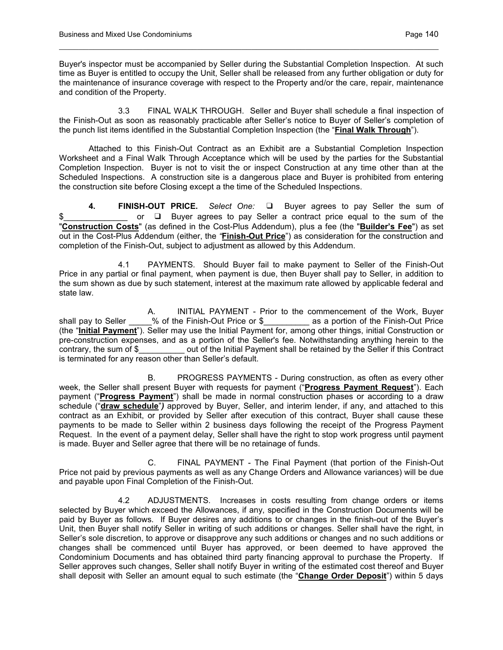Buyer's inspector must be accompanied by Seller during the Substantial Completion Inspection. At such time as Buyer is entitled to occupy the Unit, Seller shall be released from any further obligation or duty for the maintenance of insurance coverage with respect to the Property and/or the care, repair, maintenance and condition of the Property.

 $\mathcal{L}_\mathcal{L} = \{ \mathcal{L}_\mathcal{L} = \{ \mathcal{L}_\mathcal{L} = \{ \mathcal{L}_\mathcal{L} = \{ \mathcal{L}_\mathcal{L} = \{ \mathcal{L}_\mathcal{L} = \{ \mathcal{L}_\mathcal{L} = \{ \mathcal{L}_\mathcal{L} = \{ \mathcal{L}_\mathcal{L} = \{ \mathcal{L}_\mathcal{L} = \{ \mathcal{L}_\mathcal{L} = \{ \mathcal{L}_\mathcal{L} = \{ \mathcal{L}_\mathcal{L} = \{ \mathcal{L}_\mathcal{L} = \{ \mathcal{L}_\mathcal{$ 

3.3 FINAL WALK THROUGH. Seller and Buyer shall schedule a final inspection of the Finish-Out as soon as reasonably practicable after Seller's notice to Buyer of Seller's completion of the punch list items identified in the Substantial Completion Inspection (the "**Final Walk Through**").

Attached to this Finish-Out Contract as an Exhibit are a Substantial Completion Inspection Worksheet and a Final Walk Through Acceptance which will be used by the parties for the Substantial Completion Inspection. Buyer is not to visit the or inspect Construction at any time other than at the Scheduled Inspections. A construction site is a dangerous place and Buyer is prohibited from entering the construction site before Closing except a the time of the Scheduled Inspections.

**4. FINISH-OUT PRICE.** *Select One:* ❑ Buyer agrees to pay Seller the sum of \$\_\_\_\_\_\_\_\_\_\_\_\_\_\_\_\_\_\_ or □ Buyer agrees to pay Seller a contract price equal to the sum of the "**Construction Costs**" (as defined in the Cost-Plus Addendum), plus a fee (the "**Builder's Fee**") as set out in the Cost-Plus Addendum (either, the *"***Finish-Out Price**") as consideration for the construction and completion of the Finish-Out, subject to adjustment as allowed by this Addendum.

4.1 PAYMENTS. Should Buyer fail to make payment to Seller of the Finish-Out Price in any partial or final payment, when payment is due, then Buyer shall pay to Seller, in addition to the sum shown as due by such statement, interest at the maximum rate allowed by applicable federal and state law.

A. INITIAL PAYMENT - Prior to the commencement of the Work, Buyer shall pay to Seller 3% of the Finish-Out Price or \$ as a portion of the Finish-Out Price (the "**Initial Payment**"). Seller may use the Initial Payment for, among other things, initial Construction or pre-construction expenses, and as a portion of the Seller's fee. Notwithstanding anything herein to the contrary, the sum of \$ \_\_\_\_\_\_\_\_\_\_ out of the Initial Payment shall be retained by the Seller if this Contract is terminated for any reason other than Seller's default.

B. PROGRESS PAYMENTS - During construction, as often as every other week, the Seller shall present Buyer with requests for payment ("**Progress Payment Request**"). Each payment ("**Progress Payment**") shall be made in normal construction phases or according to a draw schedule ("**draw schedule**"*)* approved by Buyer, Seller, and interim lender, if any, and attached to this contract as an Exhibit, or provided by Seller after execution of this contract, Buyer shall cause these payments to be made to Seller within 2 business days following the receipt of the Progress Payment Request. In the event of a payment delay, Seller shall have the right to stop work progress until payment is made. Buyer and Seller agree that there will be no retainage of funds.

C. FINAL PAYMENT - The Final Payment (that portion of the Finish-Out Price not paid by previous payments as well as any Change Orders and Allowance variances) will be due and payable upon Final Completion of the Finish-Out.

4.2 ADJUSTMENTS. Increases in costs resulting from change orders or items selected by Buyer which exceed the Allowances, if any, specified in the Construction Documents will be paid by Buyer as follows. If Buyer desires any additions to or changes in the finish-out of the Buyer's Unit, then Buyer shall notify Seller in writing of such additions or changes. Seller shall have the right, in Seller's sole discretion, to approve or disapprove any such additions or changes and no such additions or changes shall be commenced until Buyer has approved, or been deemed to have approved the Condominium Documents and has obtained third party financing approval to purchase the Property. If Seller approves such changes, Seller shall notify Buyer in writing of the estimated cost thereof and Buyer shall deposit with Seller an amount equal to such estimate (the "**Change Order Deposit**") within 5 days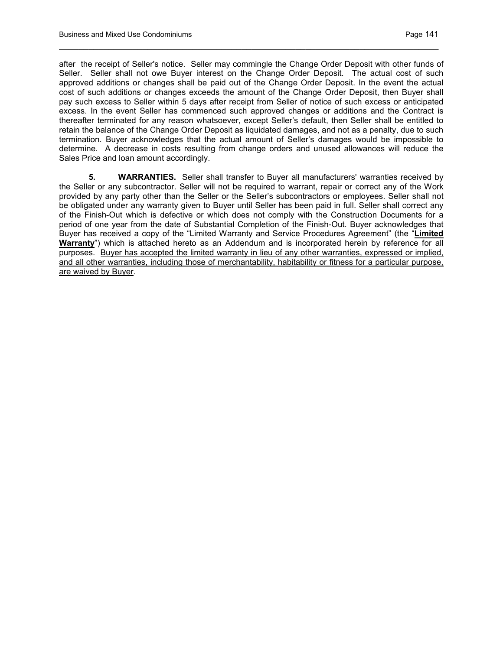after the receipt of Seller's notice. Seller may commingle the Change Order Deposit with other funds of Seller. Seller shall not owe Buyer interest on the Change Order Deposit. The actual cost of such approved additions or changes shall be paid out of the Change Order Deposit. In the event the actual cost of such additions or changes exceeds the amount of the Change Order Deposit, then Buyer shall pay such excess to Seller within 5 days after receipt from Seller of notice of such excess or anticipated excess. In the event Seller has commenced such approved changes or additions and the Contract is thereafter terminated for any reason whatsoever, except Seller's default, then Seller shall be entitled to retain the balance of the Change Order Deposit as liquidated damages, and not as a penalty, due to such termination. Buyer acknowledges that the actual amount of Seller's damages would be impossible to determine. A decrease in costs resulting from change orders and unused allowances will reduce the Sales Price and loan amount accordingly.

 $\mathcal{L}_\mathcal{L} = \{ \mathcal{L}_\mathcal{L} = \{ \mathcal{L}_\mathcal{L} = \{ \mathcal{L}_\mathcal{L} = \{ \mathcal{L}_\mathcal{L} = \{ \mathcal{L}_\mathcal{L} = \{ \mathcal{L}_\mathcal{L} = \{ \mathcal{L}_\mathcal{L} = \{ \mathcal{L}_\mathcal{L} = \{ \mathcal{L}_\mathcal{L} = \{ \mathcal{L}_\mathcal{L} = \{ \mathcal{L}_\mathcal{L} = \{ \mathcal{L}_\mathcal{L} = \{ \mathcal{L}_\mathcal{L} = \{ \mathcal{L}_\mathcal{$ 

**5. WARRANTIES.** Seller shall transfer to Buyer all manufacturers' warranties received by the Seller or any subcontractor. Seller will not be required to warrant, repair or correct any of the Work provided by any party other than the Seller or the Seller's subcontractors or employees. Seller shall not be obligated under any warranty given to Buyer until Seller has been paid in full. Seller shall correct any of the Finish-Out which is defective or which does not comply with the Construction Documents for a period of one year from the date of Substantial Completion of the Finish-Out. Buyer acknowledges that Buyer has received a copy of the "Limited Warranty and Service Procedures Agreement" (the "**Limited Warranty**") which is attached hereto as an Addendum and is incorporated herein by reference for all purposes. Buyer has accepted the limited warranty in lieu of any other warranties, expressed or implied, and all other warranties, including those of merchantability, habitability or fitness for a particular purpose, are waived by Buyer.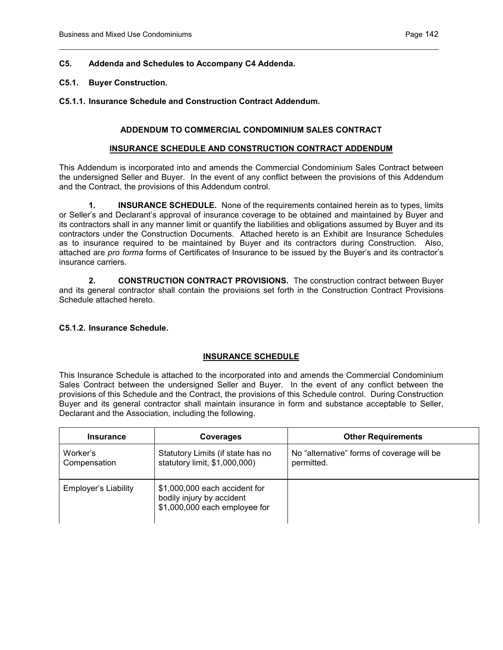# **C5. Addenda and Schedules to Accompany C4 Addenda.**

## **C5.1. Buyer Construction.**

## **C5.1.1. Insurance Schedule and Construction Contract Addendum.**

## **ADDENDUM TO COMMERCIAL CONDOMINIUM SALES CONTRACT**

 $\mathcal{L}_\mathcal{L} = \{ \mathcal{L}_\mathcal{L} = \{ \mathcal{L}_\mathcal{L} = \{ \mathcal{L}_\mathcal{L} = \{ \mathcal{L}_\mathcal{L} = \{ \mathcal{L}_\mathcal{L} = \{ \mathcal{L}_\mathcal{L} = \{ \mathcal{L}_\mathcal{L} = \{ \mathcal{L}_\mathcal{L} = \{ \mathcal{L}_\mathcal{L} = \{ \mathcal{L}_\mathcal{L} = \{ \mathcal{L}_\mathcal{L} = \{ \mathcal{L}_\mathcal{L} = \{ \mathcal{L}_\mathcal{L} = \{ \mathcal{L}_\mathcal{$ 

# **INSURANCE SCHEDULE AND CONSTRUCTION CONTRACT ADDENDUM**

This Addendum is incorporated into and amends the Commercial Condominium Sales Contract between the undersigned Seller and Buyer. In the event of any conflict between the provisions of this Addendum and the Contract, the provisions of this Addendum control.

**1. INSURANCE SCHEDULE.** None of the requirements contained herein as to types, limits or Seller's and Declarant's approval of insurance coverage to be obtained and maintained by Buyer and its contractors shall in any manner limit or quantify the liabilities and obligations assumed by Buyer and its contractors under the Construction Documents. Attached hereto is an Exhibit are Insurance Schedules as to insurance required to be maintained by Buyer and its contractors during Construction. Also, attached are *pro forma* forms of Certificates of Insurance to be issued by the Buyer's and its contractor's insurance carriers.

**2. CONSTRUCTION CONTRACT PROVISIONS.** The construction contract between Buyer and its general contractor shall contain the provisions set forth in the Construction Contract Provisions Schedule attached hereto.

## **C5.1.2. Insurance Schedule.**

# **INSURANCE SCHEDULE**

This Insurance Schedule is attached to the incorporated into and amends the Commercial Condominium Sales Contract between the undersigned Seller and Buyer. In the event of any conflict between the provisions of this Schedule and the Contract, the provisions of this Schedule control. During Construction Buyer and its general contractor shall maintain insurance in form and substance acceptable to Seller, Declarant and the Association, including the following.

| <b>Insurance</b>         | Coverages                                                                                   | <b>Other Requirements</b>                                |
|--------------------------|---------------------------------------------------------------------------------------------|----------------------------------------------------------|
| Worker's<br>Compensation | Statutory Limits (if state has no<br>statutory limit, \$1,000,000)                          | No "alternative" forms of coverage will be<br>permitted. |
| Employer's Liability     | \$1,000,000 each accident for<br>bodily injury by accident<br>\$1,000,000 each employee for |                                                          |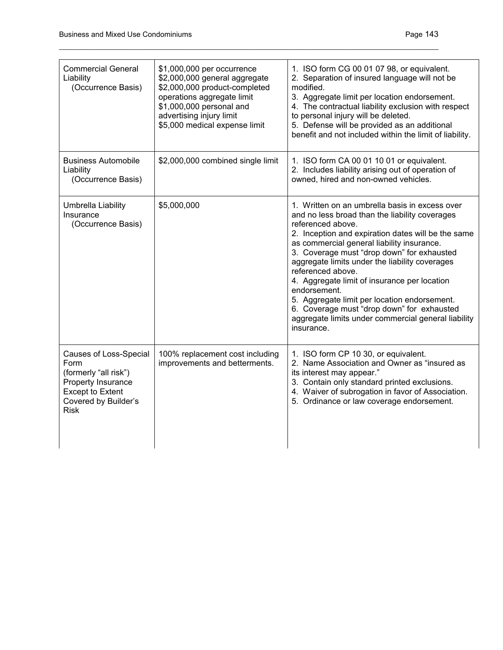| <b>Commercial General</b><br>Liability<br>(Occurrence Basis)                                                                                           | \$1,000,000 per occurrence<br>\$2,000,000 general aggregate<br>\$2,000,000 product-completed<br>operations aggregate limit<br>\$1,000,000 personal and<br>advertising injury limit<br>\$5,000 medical expense limit | 1. ISO form CG 00 01 07 98, or equivalent.<br>2. Separation of insured language will not be<br>modified.<br>3. Aggregate limit per location endorsement.<br>4. The contractual liability exclusion with respect<br>to personal injury will be deleted.<br>5. Defense will be provided as an additional<br>benefit and not included within the limit of liability.                                                                                                                                                                                                                 |
|--------------------------------------------------------------------------------------------------------------------------------------------------------|---------------------------------------------------------------------------------------------------------------------------------------------------------------------------------------------------------------------|-----------------------------------------------------------------------------------------------------------------------------------------------------------------------------------------------------------------------------------------------------------------------------------------------------------------------------------------------------------------------------------------------------------------------------------------------------------------------------------------------------------------------------------------------------------------------------------|
| <b>Business Automobile</b><br>Liability<br>(Occurrence Basis)                                                                                          | \$2,000,000 combined single limit                                                                                                                                                                                   | 1. ISO form CA 00 01 10 01 or equivalent.<br>2. Includes liability arising out of operation of<br>owned, hired and non-owned vehicles.                                                                                                                                                                                                                                                                                                                                                                                                                                            |
| Umbrella Liability<br>Insurance<br>(Occurrence Basis)                                                                                                  | \$5,000,000                                                                                                                                                                                                         | 1. Written on an umbrella basis in excess over<br>and no less broad than the liability coverages<br>referenced above.<br>2. Inception and expiration dates will be the same<br>as commercial general liability insurance.<br>3. Coverage must "drop down" for exhausted<br>aggregate limits under the liability coverages<br>referenced above.<br>4. Aggregate limit of insurance per location<br>endorsement.<br>5. Aggregate limit per location endorsement.<br>6. Coverage must "drop down" for exhausted<br>aggregate limits under commercial general liability<br>insurance. |
| <b>Causes of Loss-Special</b><br>Form<br>(formerly "all risk")<br>Property Insurance<br><b>Except to Extent</b><br>Covered by Builder's<br><b>Risk</b> | 100% replacement cost including<br>improvements and betterments.                                                                                                                                                    | 1. ISO form CP 10 30, or equivalent.<br>2. Name Association and Owner as "insured as<br>its interest may appear."<br>3. Contain only standard printed exclusions.<br>4. Waiver of subrogation in favor of Association.<br>5. Ordinance or law coverage endorsement.                                                                                                                                                                                                                                                                                                               |

 $\mathcal{L}_\mathcal{L} = \{ \mathcal{L}_\mathcal{L} = \{ \mathcal{L}_\mathcal{L} = \{ \mathcal{L}_\mathcal{L} = \{ \mathcal{L}_\mathcal{L} = \{ \mathcal{L}_\mathcal{L} = \{ \mathcal{L}_\mathcal{L} = \{ \mathcal{L}_\mathcal{L} = \{ \mathcal{L}_\mathcal{L} = \{ \mathcal{L}_\mathcal{L} = \{ \mathcal{L}_\mathcal{L} = \{ \mathcal{L}_\mathcal{L} = \{ \mathcal{L}_\mathcal{L} = \{ \mathcal{L}_\mathcal{L} = \{ \mathcal{L}_\mathcal{$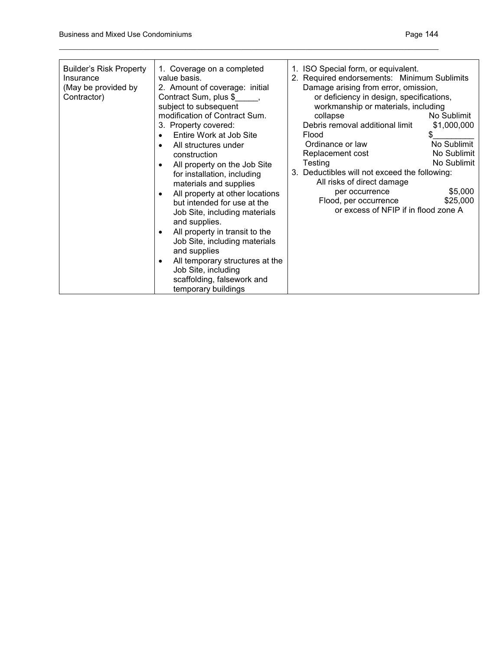$\mathcal{L}_\mathcal{L} = \{ \mathcal{L}_\mathcal{L} = \{ \mathcal{L}_\mathcal{L} = \{ \mathcal{L}_\mathcal{L} = \{ \mathcal{L}_\mathcal{L} = \{ \mathcal{L}_\mathcal{L} = \{ \mathcal{L}_\mathcal{L} = \{ \mathcal{L}_\mathcal{L} = \{ \mathcal{L}_\mathcal{L} = \{ \mathcal{L}_\mathcal{L} = \{ \mathcal{L}_\mathcal{L} = \{ \mathcal{L}_\mathcal{L} = \{ \mathcal{L}_\mathcal{L} = \{ \mathcal{L}_\mathcal{L} = \{ \mathcal{L}_\mathcal{$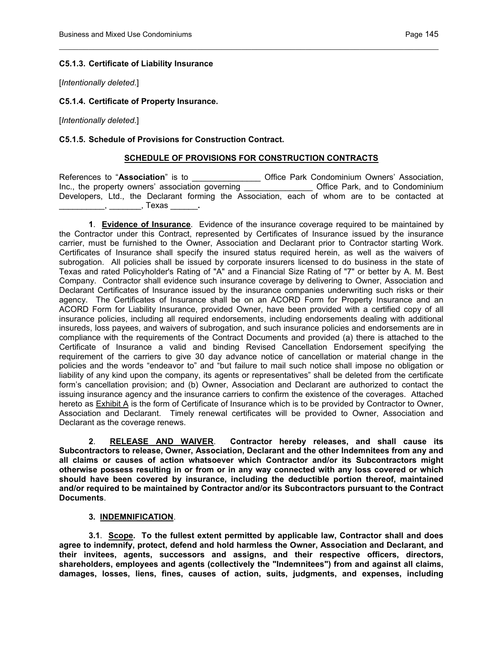#### **C5.1.3. Certificate of Liability Insurance**

[*Intentionally deleted.*]

#### **C5.1.4. Certificate of Property Insurance.**

[*Intentionally deleted.*]

## **C5.1.5. Schedule of Provisions for Construction Contract.**

#### **SCHEDULE OF PROVISIONS FOR CONSTRUCTION CONTRACTS**

 $\mathcal{L}_\mathcal{L} = \{ \mathcal{L}_\mathcal{L} = \{ \mathcal{L}_\mathcal{L} = \{ \mathcal{L}_\mathcal{L} = \{ \mathcal{L}_\mathcal{L} = \{ \mathcal{L}_\mathcal{L} = \{ \mathcal{L}_\mathcal{L} = \{ \mathcal{L}_\mathcal{L} = \{ \mathcal{L}_\mathcal{L} = \{ \mathcal{L}_\mathcal{L} = \{ \mathcal{L}_\mathcal{L} = \{ \mathcal{L}_\mathcal{L} = \{ \mathcal{L}_\mathcal{L} = \{ \mathcal{L}_\mathcal{L} = \{ \mathcal{L}_\mathcal{$ 

References to "**Association**" is to \_\_\_\_\_\_\_\_\_\_\_\_\_\_\_ Office Park Condominium Owners' Association, Inc., the property owners' association governing \_\_\_\_\_\_\_\_\_\_\_\_\_\_\_\_\_\_\_ Office Park, and to Condominium Developers, Ltd., the Declarant forming the Association, each of whom are to be contacted at \_, \_\_\_\_\_\_\_\_, Texas \_\_

**1**. **Evidence of Insurance**. Evidence of the insurance coverage required to be maintained by the Contractor under this Contract, represented by Certificates of Insurance issued by the insurance carrier, must be furnished to the Owner, Association and Declarant prior to Contractor starting Work. Certificates of Insurance shall specify the insured status required herein, as well as the waivers of subrogation. All policies shall be issued by corporate insurers licensed to do business in the state of Texas and rated Policyholder's Rating of "A" and a Financial Size Rating of "7" or better by A. M. Best Company. Contractor shall evidence such insurance coverage by delivering to Owner, Association and Declarant Certificates of Insurance issued by the insurance companies underwriting such risks or their agency. The Certificates of Insurance shall be on an ACORD Form for Property Insurance and an ACORD Form for Liability Insurance, provided Owner, have been provided with a certified copy of all insurance policies, including all required endorsements, including endorsements dealing with additional insureds, loss payees, and waivers of subrogation, and such insurance policies and endorsements are in compliance with the requirements of the Contract Documents and provided (a) there is attached to the Certificate of Insurance a valid and binding Revised Cancellation Endorsement specifying the requirement of the carriers to give 30 day advance notice of cancellation or material change in the policies and the words "endeavor to" and "but failure to mail such notice shall impose no obligation or liability of any kind upon the company, its agents or representatives" shall be deleted from the certificate form's cancellation provision; and (b) Owner, Association and Declarant are authorized to contact the issuing insurance agency and the insurance carriers to confirm the existence of the coverages. Attached hereto as Exhibit A is the form of Certificate of Insurance which is to be provided by Contractor to Owner, Association and Declarant. Timely renewal certificates will be provided to Owner, Association and Declarant as the coverage renews.

**2**. **RELEASE AND WAIVER**. **Contractor hereby releases, and shall cause its Subcontractors to release, Owner, Association, Declarant and the other Indemnitees from any and all claims or causes of action whatsoever which Contractor and/or its Subcontractors might otherwise possess resulting in or from or in any way connected with any loss covered or which should have been covered by insurance, including the deductible portion thereof, maintained and/or required to be maintained by Contractor and/or its Subcontractors pursuant to the Contract Documents**.

### **3. INDEMNIFICATION**.

**3.1**. **Scope. To the fullest extent permitted by applicable law, Contractor shall and does agree to indemnify, protect, defend and hold harmless the Owner, Association and Declarant, and their invitees, agents, successors and assigns, and their respective officers, directors, shareholders, employees and agents (collectively the "Indemnitees") from and against all claims, damages, losses, liens, fines, causes of action, suits, judgments, and expenses, including**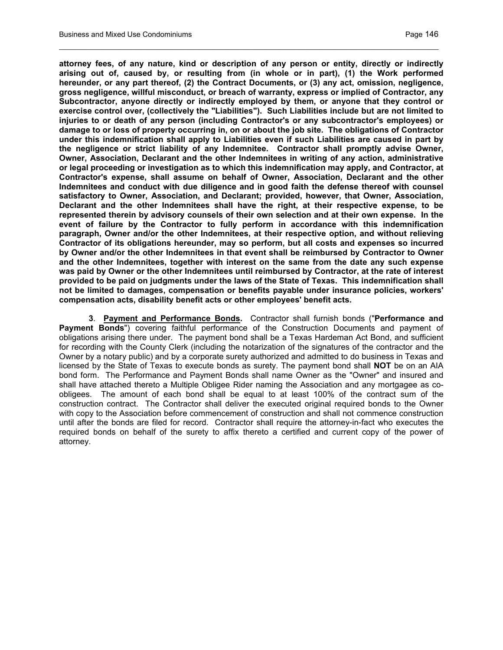**attorney fees, of any nature, kind or description of any person or entity, directly or indirectly arising out of, caused by, or resulting from (in whole or in part), (1) the Work performed hereunder, or any part thereof, (2) the Contract Documents, or (3) any act, omission, negligence, gross negligence, willful misconduct, or breach of warranty, express or implied of Contractor, any Subcontractor, anyone directly or indirectly employed by them, or anyone that they control or exercise control over, (collectively the "Liabilities"). Such Liabilities include but are not limited to injuries to or death of any person (including Contractor's or any subcontractor's employees) or damage to or loss of property occurring in, on or about the job site. The obligations of Contractor under this indemnification shall apply to Liabilities even if such Liabilities are caused in part by the negligence or strict liability of any Indemnitee. Contractor shall promptly advise Owner, Owner, Association, Declarant and the other Indemnitees in writing of any action, administrative or legal proceeding or investigation as to which this indemnification may apply, and Contractor, at Contractor's expense, shall assume on behalf of Owner, Association, Declarant and the other Indemnitees and conduct with due diligence and in good faith the defense thereof with counsel satisfactory to Owner, Association, and Declarant; provided, however, that Owner, Association, Declarant and the other Indemnitees shall have the right, at their respective expense, to be represented therein by advisory counsels of their own selection and at their own expense. In the event of failure by the Contractor to fully perform in accordance with this indemnification paragraph, Owner and/or the other Indemnitees, at their respective option, and without relieving Contractor of its obligations hereunder, may so perform, but all costs and expenses so incurred by Owner and/or the other Indemnitees in that event shall be reimbursed by Contractor to Owner and the other Indemnitees, together with interest on the same from the date any such expense was paid by Owner or the other Indemnitees until reimbursed by Contractor, at the rate of interest provided to be paid on judgments under the laws of the State of Texas. This indemnification shall not be limited to damages, compensation or benefits payable under insurance policies, workers' compensation acts, disability benefit acts or other employees' benefit acts.**

 $\mathcal{L}_\mathcal{L} = \{ \mathcal{L}_\mathcal{L} = \{ \mathcal{L}_\mathcal{L} = \{ \mathcal{L}_\mathcal{L} = \{ \mathcal{L}_\mathcal{L} = \{ \mathcal{L}_\mathcal{L} = \{ \mathcal{L}_\mathcal{L} = \{ \mathcal{L}_\mathcal{L} = \{ \mathcal{L}_\mathcal{L} = \{ \mathcal{L}_\mathcal{L} = \{ \mathcal{L}_\mathcal{L} = \{ \mathcal{L}_\mathcal{L} = \{ \mathcal{L}_\mathcal{L} = \{ \mathcal{L}_\mathcal{L} = \{ \mathcal{L}_\mathcal{$ 

**3**. **Payment and Performance Bonds.** Contractor shall furnish bonds ("**Performance and Payment Bonds**") covering faithful performance of the Construction Documents and payment of obligations arising there under. The payment bond shall be a Texas Hardeman Act Bond, and sufficient for recording with the County Clerk (including the notarization of the signatures of the contractor and the Owner by a notary public) and by a corporate surety authorized and admitted to do business in Texas and licensed by the State of Texas to execute bonds as surety. The payment bond shall **NOT** be on an AIA bond form. The Performance and Payment Bonds shall name Owner as the "Owner" and insured and shall have attached thereto a Multiple Obligee Rider naming the Association and any mortgagee as coobligees. The amount of each bond shall be equal to at least 100% of the contract sum of the construction contract. The Contractor shall deliver the executed original required bonds to the Owner with copy to the Association before commencement of construction and shall not commence construction until after the bonds are filed for record. Contractor shall require the attorney-in-fact who executes the required bonds on behalf of the surety to affix thereto a certified and current copy of the power of attorney.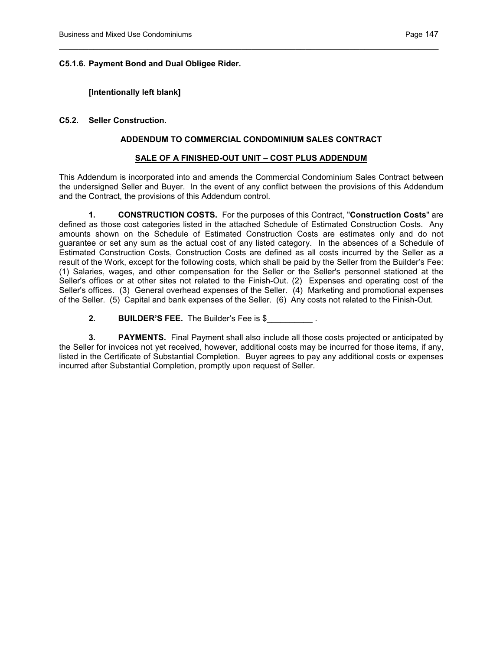### **C5.1.6. Payment Bond and Dual Obligee Rider.**

**[Intentionally left blank]**

#### **C5.2. Seller Construction.**

#### **ADDENDUM TO COMMERCIAL CONDOMINIUM SALES CONTRACT**

 $\mathcal{L}_\mathcal{L} = \{ \mathcal{L}_\mathcal{L} = \{ \mathcal{L}_\mathcal{L} = \{ \mathcal{L}_\mathcal{L} = \{ \mathcal{L}_\mathcal{L} = \{ \mathcal{L}_\mathcal{L} = \{ \mathcal{L}_\mathcal{L} = \{ \mathcal{L}_\mathcal{L} = \{ \mathcal{L}_\mathcal{L} = \{ \mathcal{L}_\mathcal{L} = \{ \mathcal{L}_\mathcal{L} = \{ \mathcal{L}_\mathcal{L} = \{ \mathcal{L}_\mathcal{L} = \{ \mathcal{L}_\mathcal{L} = \{ \mathcal{L}_\mathcal{$ 

#### **SALE OF A FINISHED-OUT UNIT – COST PLUS ADDENDUM**

This Addendum is incorporated into and amends the Commercial Condominium Sales Contract between the undersigned Seller and Buyer. In the event of any conflict between the provisions of this Addendum and the Contract, the provisions of this Addendum control.

**1. CONSTRUCTION COSTS.** For the purposes of this Contract, "**Construction Costs**" are defined as those cost categories listed in the attached Schedule of Estimated Construction Costs. Any amounts shown on the Schedule of Estimated Construction Costs are estimates only and do not guarantee or set any sum as the actual cost of any listed category. In the absences of a Schedule of Estimated Construction Costs, Construction Costs are defined as all costs incurred by the Seller as a result of the Work, except for the following costs, which shall be paid by the Seller from the Builder's Fee: (1) Salaries, wages, and other compensation for the Seller or the Seller's personnel stationed at the Seller's offices or at other sites not related to the Finish-Out. (2) Expenses and operating cost of the Seller's offices. (3) General overhead expenses of the Seller. (4) Marketing and promotional expenses of the Seller. (5) Capital and bank expenses of the Seller. (6) Any costs not related to the Finish-Out.

**2. BUILDER'S FEE.** The Builder's Fee is \$\_\_\_\_\_\_\_\_\_\_ .

**3. PAYMENTS.** Final Payment shall also include all those costs projected or anticipated by the Seller for invoices not yet received, however, additional costs may be incurred for those items, if any, listed in the Certificate of Substantial Completion. Buyer agrees to pay any additional costs or expenses incurred after Substantial Completion, promptly upon request of Seller.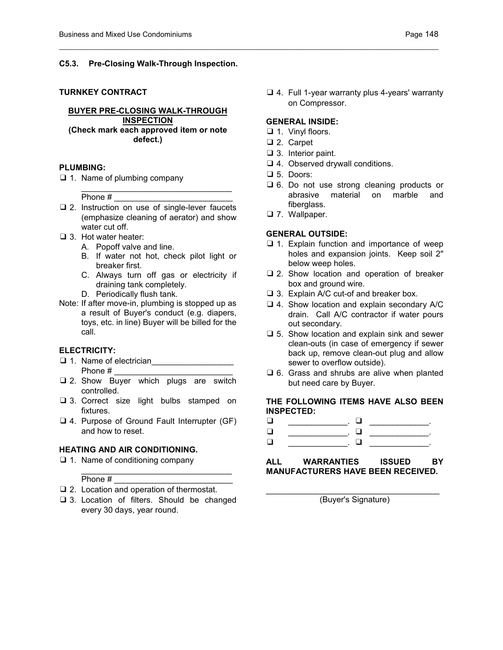## **C5.3. Pre-Closing Walk-Through Inspection.**

# **TURNKEY CONTRACT**

# **BUYER PRE-CLOSING WALK-THROUGH INSPECTION**

**(Check mark each approved item or note defect.)**

# **PLUMBING:**

❑ 1. Name of plumbing company

#### Phone  $\#$

❑ 2. Instruction on use of single-lever faucets (emphasize cleaning of aerator) and show water cut off.

 $\mathcal{L}_\text{max}$  , and the set of the set of the set of the set of the set of the set of the set of the set of the set of the set of the set of the set of the set of the set of the set of the set of the set of the set of the

- ❑ 3. Hot water heater:
	- A. Popoff valve and line.
	- B. If water not hot, check pilot light or breaker first.
	- C. Always turn off gas or electricity if draining tank completely.
	- D. Periodically flush tank.
- Note: If after move-in, plumbing is stopped up as a result of Buyer's conduct (e.g. diapers, toys, etc. in line) Buyer will be billed for the call.

### **ELECTRICITY:**

- □ 1. Name of electrician Phone  $#_z$
- ❑ 2. Show Buyer which plugs are switch controlled.
- ❑ 3. Correct size light bulbs stamped on fixtures.
- ❑ 4. Purpose of Ground Fault Interrupter (GF) and how to reset.

### **HEATING AND AIR CONDITIONING.**

❑ 1. Name of conditioning company

#### Phone #

- ❑ 2. Location and operation of thermostat.
- ❑ 3. Location of filters. Should be changed every 30 days, year round.

\_\_\_\_\_\_\_\_\_\_\_\_\_\_\_\_\_\_\_\_\_\_\_\_\_\_\_\_\_\_\_\_\_

❑ 4. Full 1-year warranty plus 4-years' warranty on Compressor.

# **GENERAL INSIDE:**

- ❑ 1. Vinyl floors.
- ❑ 2. Carpet

 $\mathcal{L}_\mathcal{L} = \{ \mathcal{L}_\mathcal{L} = \{ \mathcal{L}_\mathcal{L} = \{ \mathcal{L}_\mathcal{L} = \{ \mathcal{L}_\mathcal{L} = \{ \mathcal{L}_\mathcal{L} = \{ \mathcal{L}_\mathcal{L} = \{ \mathcal{L}_\mathcal{L} = \{ \mathcal{L}_\mathcal{L} = \{ \mathcal{L}_\mathcal{L} = \{ \mathcal{L}_\mathcal{L} = \{ \mathcal{L}_\mathcal{L} = \{ \mathcal{L}_\mathcal{L} = \{ \mathcal{L}_\mathcal{L} = \{ \mathcal{L}_\mathcal{$ 

- ❑ 3. Interior paint.
- ❑ 4. Observed drywall conditions.
- ❑ 5. Doors:
- ❑ 6. Do not use strong cleaning products or abrasive material on marble and fiberglass.
- ❑ 7. Wallpaper.

#### **GENERAL OUTSIDE:**

- ❑ 1. Explain function and importance of weep holes and expansion joints. Keep soil 2" below weep holes.
- ❑ 2. Show location and operation of breaker box and ground wire.
- ❑ 3. Explain A/C cut-of and breaker box.
- ❑ 4. Show location and explain secondary A/C drain. Call A/C contractor if water pours out secondary.
- ❑ 5. Show location and explain sink and sewer clean-outs (in case of emergency if sewer back up, remove clean-out plug and allow sewer to overflow outside).
- ❑ 6. Grass and shrubs are alive when planted but need care by Buyer.

### **THE FOLLOWING ITEMS HAVE ALSO BEEN INSPECTED:**

- ❑ \_\_\_\_\_\_\_\_\_\_\_\_\_. ❑ \_\_\_\_\_\_\_\_\_\_\_\_\_.
- ❑ \_\_\_\_\_\_\_\_\_\_\_\_\_. ❑ \_\_\_\_\_\_\_\_\_\_\_\_\_.
- ❑ \_\_\_\_\_\_\_\_\_\_\_\_\_. ❑ \_\_\_\_\_\_\_\_\_\_\_\_\_.

**ALL WARRANTIES ISSUED BY MANUFACTURERS HAVE BEEN RECEIVED.**

\_\_\_\_\_\_\_\_\_\_\_\_\_\_\_\_\_\_\_\_\_\_\_\_\_\_\_\_\_\_\_\_\_\_\_\_\_\_ (Buyer's Signature)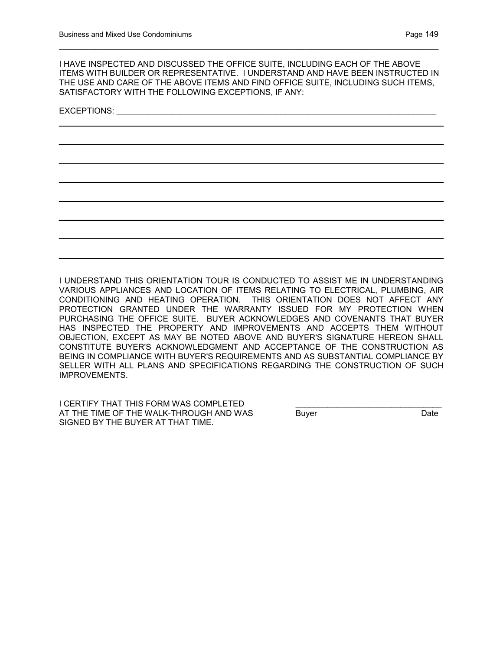I HAVE INSPECTED AND DISCUSSED THE OFFICE SUITE, INCLUDING EACH OF THE ABOVE ITEMS WITH BUILDER OR REPRESENTATIVE. I UNDERSTAND AND HAVE BEEN INSTRUCTED IN THE USE AND CARE OF THE ABOVE ITEMS AND FIND OFFICE SUITE, INCLUDING SUCH ITEMS, SATISFACTORY WITH THE FOLLOWING EXCEPTIONS, IF ANY:

 $\mathcal{L}_\mathcal{L} = \{ \mathcal{L}_\mathcal{L} = \{ \mathcal{L}_\mathcal{L} = \{ \mathcal{L}_\mathcal{L} = \{ \mathcal{L}_\mathcal{L} = \{ \mathcal{L}_\mathcal{L} = \{ \mathcal{L}_\mathcal{L} = \{ \mathcal{L}_\mathcal{L} = \{ \mathcal{L}_\mathcal{L} = \{ \mathcal{L}_\mathcal{L} = \{ \mathcal{L}_\mathcal{L} = \{ \mathcal{L}_\mathcal{L} = \{ \mathcal{L}_\mathcal{L} = \{ \mathcal{L}_\mathcal{L} = \{ \mathcal{L}_\mathcal{$ 

EXCEPTIONS: \_\_\_\_\_\_\_\_\_\_\_\_\_\_\_\_\_\_\_\_\_\_\_\_\_\_\_\_\_\_\_\_\_\_\_\_\_\_\_\_\_\_\_\_\_\_\_\_\_\_\_\_\_\_\_\_\_\_\_\_\_\_\_\_\_\_\_\_\_\_

I UNDERSTAND THIS ORIENTATION TOUR IS CONDUCTED TO ASSIST ME IN UNDERSTANDING VARIOUS APPLIANCES AND LOCATION OF ITEMS RELATING TO ELECTRICAL, PLUMBING, AIR CONDITIONING AND HEATING OPERATION. THIS ORIENTATION DOES NOT AFFECT ANY PROTECTION GRANTED UNDER THE WARRANTY ISSUED FOR MY PROTECTION WHEN PURCHASING THE OFFICE SUITE. BUYER ACKNOWLEDGES AND COVENANTS THAT BUYER HAS INSPECTED THE PROPERTY AND IMPROVEMENTS AND ACCEPTS THEM WITHOUT OBJECTION, EXCEPT AS MAY BE NOTED ABOVE AND BUYER'S SIGNATURE HEREON SHALL CONSTITUTE BUYER'S ACKNOWLEDGMENT AND ACCEPTANCE OF THE CONSTRUCTION AS BEING IN COMPLIANCE WITH BUYER'S REQUIREMENTS AND AS SUBSTANTIAL COMPLIANCE BY SELLER WITH ALL PLANS AND SPECIFICATIONS REGARDING THE CONSTRUCTION OF SUCH IMPROVEMENTS.

I CERTIFY THAT THIS FORM WAS COMPLETED AT THE TIME OF THE WALK-THROUGH AND WAS Buyer Buyer Buyer Date SIGNED BY THE BUYER AT THAT TIME.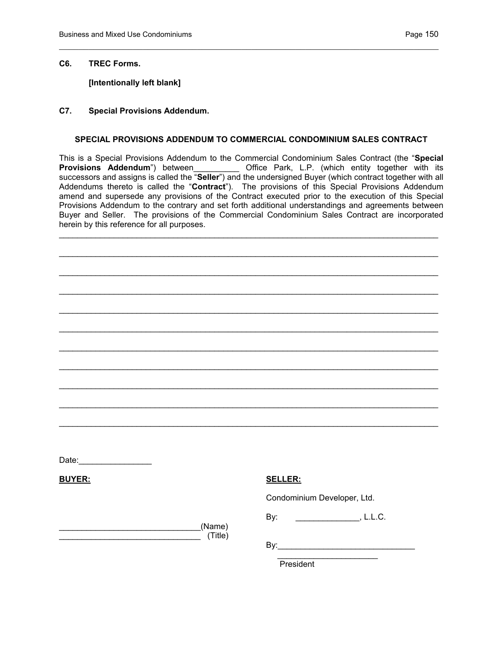## **C6. TREC Forms.**

**[Intentionally left blank]**

## **C7. Special Provisions Addendum.**

## **SPECIAL PROVISIONS ADDENDUM TO COMMERCIAL CONDOMINIUM SALES CONTRACT**

 $\mathcal{L}_\mathcal{L} = \{ \mathcal{L}_\mathcal{L} = \{ \mathcal{L}_\mathcal{L} = \{ \mathcal{L}_\mathcal{L} = \{ \mathcal{L}_\mathcal{L} = \{ \mathcal{L}_\mathcal{L} = \{ \mathcal{L}_\mathcal{L} = \{ \mathcal{L}_\mathcal{L} = \{ \mathcal{L}_\mathcal{L} = \{ \mathcal{L}_\mathcal{L} = \{ \mathcal{L}_\mathcal{L} = \{ \mathcal{L}_\mathcal{L} = \{ \mathcal{L}_\mathcal{L} = \{ \mathcal{L}_\mathcal{L} = \{ \mathcal{L}_\mathcal{$ 

This is a Special Provisions Addendum to the Commercial Condominium Sales Contract (the "**Special Provisions Addendum**") between\_\_\_\_\_\_\_\_\_\_ Office Park, L.P. (which entity together with its successors and assigns is called the "**Seller**") and the undersigned Buyer (which contract together with all Addendums thereto is called the "**Contract**"). The provisions of this Special Provisions Addendum amend and supersede any provisions of the Contract executed prior to the execution of this Special Provisions Addendum to the contrary and set forth additional understandings and agreements between Buyer and Seller. The provisions of the Commercial Condominium Sales Contract are incorporated herein by this reference for all purposes.

 $\mathcal{L}_\mathcal{L} = \{ \mathcal{L}_\mathcal{L} = \{ \mathcal{L}_\mathcal{L} = \{ \mathcal{L}_\mathcal{L} = \{ \mathcal{L}_\mathcal{L} = \{ \mathcal{L}_\mathcal{L} = \{ \mathcal{L}_\mathcal{L} = \{ \mathcal{L}_\mathcal{L} = \{ \mathcal{L}_\mathcal{L} = \{ \mathcal{L}_\mathcal{L} = \{ \mathcal{L}_\mathcal{L} = \{ \mathcal{L}_\mathcal{L} = \{ \mathcal{L}_\mathcal{L} = \{ \mathcal{L}_\mathcal{L} = \{ \mathcal{L}_\mathcal{$ 

 $\mathcal{L}_\mathcal{L} = \{ \mathcal{L}_\mathcal{L} = \{ \mathcal{L}_\mathcal{L} = \{ \mathcal{L}_\mathcal{L} = \{ \mathcal{L}_\mathcal{L} = \{ \mathcal{L}_\mathcal{L} = \{ \mathcal{L}_\mathcal{L} = \{ \mathcal{L}_\mathcal{L} = \{ \mathcal{L}_\mathcal{L} = \{ \mathcal{L}_\mathcal{L} = \{ \mathcal{L}_\mathcal{L} = \{ \mathcal{L}_\mathcal{L} = \{ \mathcal{L}_\mathcal{L} = \{ \mathcal{L}_\mathcal{L} = \{ \mathcal{L}_\mathcal{$ 

 $\mathcal{L}_\text{max}$  , and the contribution of the contribution of the contribution of the contribution of the contribution of the contribution of the contribution of the contribution of the contribution of the contribution of t

 $\mathcal{L}_\mathcal{L} = \{ \mathcal{L}_\mathcal{L} = \{ \mathcal{L}_\mathcal{L} = \{ \mathcal{L}_\mathcal{L} = \{ \mathcal{L}_\mathcal{L} = \{ \mathcal{L}_\mathcal{L} = \{ \mathcal{L}_\mathcal{L} = \{ \mathcal{L}_\mathcal{L} = \{ \mathcal{L}_\mathcal{L} = \{ \mathcal{L}_\mathcal{L} = \{ \mathcal{L}_\mathcal{L} = \{ \mathcal{L}_\mathcal{L} = \{ \mathcal{L}_\mathcal{L} = \{ \mathcal{L}_\mathcal{L} = \{ \mathcal{L}_\mathcal{$ 

 $\mathcal{L}_\mathcal{L} = \{ \mathcal{L}_\mathcal{L} = \{ \mathcal{L}_\mathcal{L} = \{ \mathcal{L}_\mathcal{L} = \{ \mathcal{L}_\mathcal{L} = \{ \mathcal{L}_\mathcal{L} = \{ \mathcal{L}_\mathcal{L} = \{ \mathcal{L}_\mathcal{L} = \{ \mathcal{L}_\mathcal{L} = \{ \mathcal{L}_\mathcal{L} = \{ \mathcal{L}_\mathcal{L} = \{ \mathcal{L}_\mathcal{L} = \{ \mathcal{L}_\mathcal{L} = \{ \mathcal{L}_\mathcal{L} = \{ \mathcal{L}_\mathcal{$ 

 $\mathcal{L}_\text{max}$  , and the contribution of the contribution of the contribution of the contribution of the contribution of the contribution of the contribution of the contribution of the contribution of the contribution of t

 $\mathcal{L}_\text{G} = \{ \mathcal{L}_\text{G} = \{ \mathcal{L}_\text{G} = \{ \mathcal{L}_\text{G} = \{ \mathcal{L}_\text{G} = \{ \mathcal{L}_\text{G} = \{ \mathcal{L}_\text{G} = \{ \mathcal{L}_\text{G} = \{ \mathcal{L}_\text{G} = \{ \mathcal{L}_\text{G} = \{ \mathcal{L}_\text{G} = \{ \mathcal{L}_\text{G} = \{ \mathcal{L}_\text{G} = \{ \mathcal{L}_\text{G} = \{ \mathcal{L}_\text{G} = \{ \mathcal{L}_\text{G$ 

 $\mathcal{L}_\mathcal{L} = \{ \mathcal{L}_\mathcal{L} = \{ \mathcal{L}_\mathcal{L} = \{ \mathcal{L}_\mathcal{L} = \{ \mathcal{L}_\mathcal{L} = \{ \mathcal{L}_\mathcal{L} = \{ \mathcal{L}_\mathcal{L} = \{ \mathcal{L}_\mathcal{L} = \{ \mathcal{L}_\mathcal{L} = \{ \mathcal{L}_\mathcal{L} = \{ \mathcal{L}_\mathcal{L} = \{ \mathcal{L}_\mathcal{L} = \{ \mathcal{L}_\mathcal{L} = \{ \mathcal{L}_\mathcal{L} = \{ \mathcal{L}_\mathcal{$ 

 $\mathcal{L}_\text{max}$  , and the contribution of the contribution of the contribution of the contribution of the contribution of the contribution of the contribution of the contribution of the contribution of the contribution of t

 $\mathcal{L}_\mathcal{L} = \{ \mathcal{L}_\mathcal{L} = \{ \mathcal{L}_\mathcal{L} = \{ \mathcal{L}_\mathcal{L} = \{ \mathcal{L}_\mathcal{L} = \{ \mathcal{L}_\mathcal{L} = \{ \mathcal{L}_\mathcal{L} = \{ \mathcal{L}_\mathcal{L} = \{ \mathcal{L}_\mathcal{L} = \{ \mathcal{L}_\mathcal{L} = \{ \mathcal{L}_\mathcal{L} = \{ \mathcal{L}_\mathcal{L} = \{ \mathcal{L}_\mathcal{L} = \{ \mathcal{L}_\mathcal{L} = \{ \mathcal{L}_\mathcal{$ 

 $\mathcal{L}_\mathcal{L} = \{ \mathcal{L}_\mathcal{L} = \{ \mathcal{L}_\mathcal{L} = \{ \mathcal{L}_\mathcal{L} = \{ \mathcal{L}_\mathcal{L} = \{ \mathcal{L}_\mathcal{L} = \{ \mathcal{L}_\mathcal{L} = \{ \mathcal{L}_\mathcal{L} = \{ \mathcal{L}_\mathcal{L} = \{ \mathcal{L}_\mathcal{L} = \{ \mathcal{L}_\mathcal{L} = \{ \mathcal{L}_\mathcal{L} = \{ \mathcal{L}_\mathcal{L} = \{ \mathcal{L}_\mathcal{L} = \{ \mathcal{L}_\mathcal{$ 

Date:\_\_\_\_\_\_\_\_\_\_\_\_\_\_\_\_

# **BUYER: SELLER:**

Condominium Developer, Ltd.

**By:** \_\_\_\_\_\_\_\_\_\_\_\_\_\_\_\_\_, L.L.C.

\_\_\_\_\_\_\_\_\_\_\_\_\_\_\_\_\_\_\_\_\_\_\_\_\_\_\_\_\_\_\_(Name) \_\_\_\_\_\_\_\_\_\_\_\_\_\_\_\_\_\_\_\_\_\_\_\_\_\_\_\_\_\_\_ (Title)

 $\mathsf{By:}$ 

 $\mathcal{L}=\frac{1}{2}$  , where  $\mathcal{L}=\frac{1}{2}$  , where  $\mathcal{L}=\frac{1}{2}$ **President**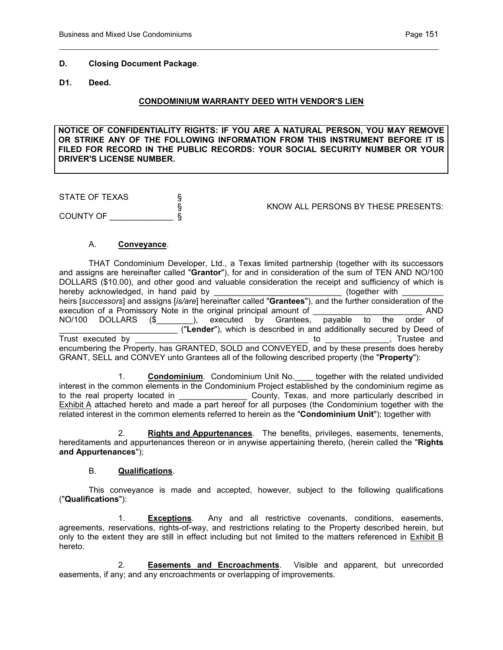### **D. Closing Document Package**.

**D1. Deed.**

## **CONDOMINIUM WARRANTY DEED WITH VENDOR'S LIEN**

 $\mathcal{L}_\mathcal{L} = \{ \mathcal{L}_\mathcal{L} = \{ \mathcal{L}_\mathcal{L} = \{ \mathcal{L}_\mathcal{L} = \{ \mathcal{L}_\mathcal{L} = \{ \mathcal{L}_\mathcal{L} = \{ \mathcal{L}_\mathcal{L} = \{ \mathcal{L}_\mathcal{L} = \{ \mathcal{L}_\mathcal{L} = \{ \mathcal{L}_\mathcal{L} = \{ \mathcal{L}_\mathcal{L} = \{ \mathcal{L}_\mathcal{L} = \{ \mathcal{L}_\mathcal{L} = \{ \mathcal{L}_\mathcal{L} = \{ \mathcal{L}_\mathcal{$ 

**NOTICE OF CONFIDENTIALITY RIGHTS: IF YOU ARE A NATURAL PERSON, YOU MAY REMOVE OR STRIKE ANY OF THE FOLLOWING INFORMATION FROM THIS INSTRUMENT BEFORE IT IS FILED FOR RECORD IN THE PUBLIC RECORDS: YOUR SOCIAL SECURITY NUMBER OR YOUR DRIVER'S LICENSE NUMBER.**

STATE OF TEXAS COUNTY OF S

§ KNOW ALL PERSONS BY THESE PRESENTS:

#### A. **Conveyance**.

THAT Condominium Developer, Ltd., a Texas limited partnership (together with its successors and assigns are hereinafter called "**Grantor**"), for and in consideration of the sum of TEN AND NO/100 DOLLARS (\$10.00), and other good and valuable consideration the receipt and sufficiency of which is hereby acknowledged, in hand paid by hereby acknowledged, in hand paid by heirs [*successors*] and assigns [*is/are*] hereinafter called "**Grantees**"), and the further consideration of the execution of a Promissory Note in the original principal amount of \_\_\_\_\_\_\_\_\_\_\_\_\_\_\_\_\_\_\_\_\_\_\_\_\_\_\_\_\_\_\_\_ AND NO/100 DOLLARS (\$), executed by Grantees, payable to the order of Trust executed by **The Contract Contract Contract Contract Contract Contract Contract Contract Contract Contract Contract Contract Contract Contract Contract Contract Contract Contract Contract Contract Contract Contract C**  $\begin{bmatrix} 1 & 1 & 1 \\ 1 & 1 & 1 \\ 1 & 1 & 1 \end{bmatrix}$ , Trustee and encumbering the Property, has GRANTED, SOLD and CONVEYED, and by these presents does hereby GRANT, SELL and CONVEY unto Grantees all of the following described property (the "**Property**"):

1. **Condominium**. Condominium Unit No.\_\_\_\_ together with the related undivided interest in the common elements in the Condominium Project established by the condominium regime as to the real property located in \_\_\_\_\_\_\_\_\_\_\_\_\_\_\_\_\_\_\_\_\_\_County, Texas, and more particularly described in Exhibit A attached hereto and made a part hereof for all purposes (the Condominium together with the related interest in the common elements referred to herein as the "**Condominium Unit**"); together with

2. **Rights and Appurtenances**. The benefits, privileges, easements, tenements, hereditaments and appurtenances thereon or in anywise appertaining thereto, (herein called the "**Rights and Appurtenances**");

### B. **Qualifications**.

This conveyance is made and accepted, however, subject to the following qualifications ("**Qualifications**"):

1. **Exceptions**. Any and all restrictive covenants, conditions, easements, agreements, reservations, rights-of-way, and restrictions relating to the Property described herein, but only to the extent they are still in effect including but not limited to the matters referenced in Exhibit B hereto.

2. **Easements and Encroachments**. Visible and apparent, but unrecorded easements, if any; and any encroachments or overlapping of improvements.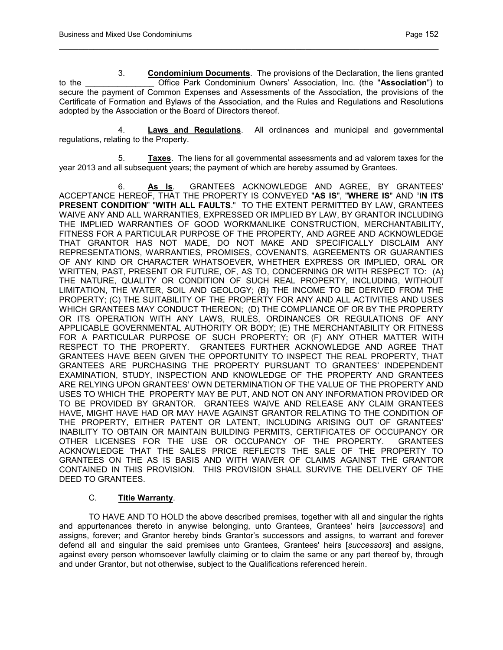3. **Condominium Documents**. The provisions of the Declaration, the liens granted to the \_\_\_\_\_\_\_\_\_\_\_\_\_\_\_ Office Park Condominium Owners' Association, Inc. (the "**Association**") to secure the payment of Common Expenses and Assessments of the Association, the provisions of the Certificate of Formation and Bylaws of the Association, and the Rules and Regulations and Resolutions adopted by the Association or the Board of Directors thereof.

 $\mathcal{L}_\mathcal{L} = \{ \mathcal{L}_\mathcal{L} = \{ \mathcal{L}_\mathcal{L} = \{ \mathcal{L}_\mathcal{L} = \{ \mathcal{L}_\mathcal{L} = \{ \mathcal{L}_\mathcal{L} = \{ \mathcal{L}_\mathcal{L} = \{ \mathcal{L}_\mathcal{L} = \{ \mathcal{L}_\mathcal{L} = \{ \mathcal{L}_\mathcal{L} = \{ \mathcal{L}_\mathcal{L} = \{ \mathcal{L}_\mathcal{L} = \{ \mathcal{L}_\mathcal{L} = \{ \mathcal{L}_\mathcal{L} = \{ \mathcal{L}_\mathcal{$ 

4. **Laws and Regulations**. All ordinances and municipal and governmental regulations, relating to the Property.

5. **Taxes**. The liens for all governmental assessments and ad valorem taxes for the year 2013 and all subsequent years; the payment of which are hereby assumed by Grantees.

6. **As Is**. GRANTEES ACKNOWLEDGE AND AGREE, BY GRANTEES' ACCEPTANCE HEREOF, THAT THE PROPERTY IS CONVEYED "**AS IS**", "**WHERE IS**" AND "**IN ITS PRESENT CONDITION**" "**WITH ALL FAULTS**." TO THE EXTENT PERMITTED BY LAW, GRANTEES WAIVE ANY AND ALL WARRANTIES, EXPRESSED OR IMPLIED BY LAW, BY GRANTOR INCLUDING THE IMPLIED WARRANTIES OF GOOD WORKMANLIKE CONSTRUCTION, MERCHANTABILITY, FITNESS FOR A PARTICULAR PURPOSE OF THE PROPERTY, AND AGREE AND ACKNOWLEDGE THAT GRANTOR HAS NOT MADE, DO NOT MAKE AND SPECIFICALLY DISCLAIM ANY REPRESENTATIONS, WARRANTIES, PROMISES, COVENANTS, AGREEMENTS OR GUARANTIES OF ANY KIND OR CHARACTER WHATSOEVER, WHETHER EXPRESS OR IMPLIED, ORAL OR WRITTEN, PAST, PRESENT OR FUTURE, OF, AS TO, CONCERNING OR WITH RESPECT TO: (A) THE NATURE, QUALITY OR CONDITION OF SUCH REAL PROPERTY, INCLUDING, WITHOUT LIMITATION, THE WATER, SOIL AND GEOLOGY; (B) THE INCOME TO BE DERIVED FROM THE PROPERTY; (C) THE SUITABILITY OF THE PROPERTY FOR ANY AND ALL ACTIVITIES AND USES WHICH GRANTEES MAY CONDUCT THEREON; (D) THE COMPLIANCE OF OR BY THE PROPERTY OR ITS OPERATION WITH ANY LAWS, RULES, ORDINANCES OR REGULATIONS OF ANY APPLICABLE GOVERNMENTAL AUTHORITY OR BODY; (E) THE MERCHANTABILITY OR FITNESS FOR A PARTICULAR PURPOSE OF SUCH PROPERTY; OR (F) ANY OTHER MATTER WITH RESPECT TO THE PROPERTY. GRANTEES FURTHER ACKNOWLEDGE AND AGREE THAT GRANTEES HAVE BEEN GIVEN THE OPPORTUNITY TO INSPECT THE REAL PROPERTY, THAT GRANTEES ARE PURCHASING THE PROPERTY PURSUANT TO GRANTEES' INDEPENDENT EXAMINATION, STUDY, INSPECTION AND KNOWLEDGE OF THE PROPERTY AND GRANTEES ARE RELYING UPON GRANTEES' OWN DETERMINATION OF THE VALUE OF THE PROPERTY AND USES TO WHICH THE PROPERTY MAY BE PUT, AND NOT ON ANY INFORMATION PROVIDED OR TO BE PROVIDED BY GRANTOR. GRANTEES WAIVE AND RELEASE ANY CLAIM GRANTEES HAVE, MIGHT HAVE HAD OR MAY HAVE AGAINST GRANTOR RELATING TO THE CONDITION OF THE PROPERTY, EITHER PATENT OR LATENT, INCLUDING ARISING OUT OF GRANTEES' INABILITY TO OBTAIN OR MAINTAIN BUILDING PERMITS, CERTIFICATES OF OCCUPANCY OR OTHER LICENSES FOR THE USE OR OCCUPANCY OF THE PROPERTY. GRANTEES ACKNOWLEDGE THAT THE SALES PRICE REFLECTS THE SALE OF THE PROPERTY TO GRANTEES ON THE AS IS BASIS AND WITH WAIVER OF CLAIMS AGAINST THE GRANTOR CONTAINED IN THIS PROVISION. THIS PROVISION SHALL SURVIVE THE DELIVERY OF THE DEED TO GRANTEES.

### C. **Title Warranty**.

TO HAVE AND TO HOLD the above described premises, together with all and singular the rights and appurtenances thereto in anywise belonging, unto Grantees, Grantees' heirs [*successors*] and assigns, forever; and Grantor hereby binds Grantor's successors and assigns, to warrant and forever defend all and singular the said premises unto Grantees, Grantees' heirs [*successors*] and assigns, against every person whomsoever lawfully claiming or to claim the same or any part thereof by, through and under Grantor, but not otherwise, subject to the Qualifications referenced herein.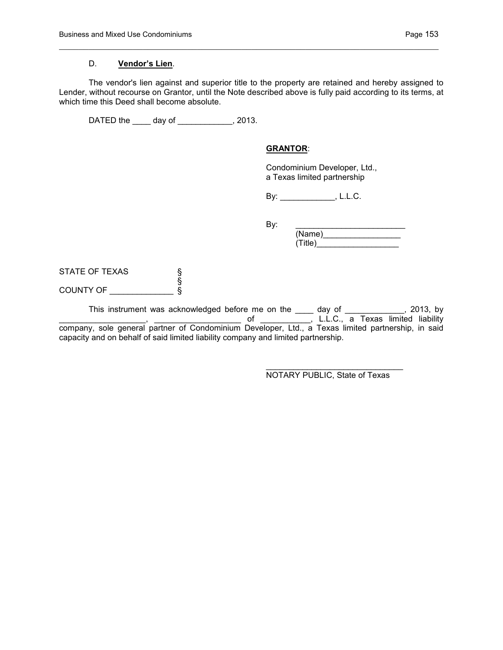## D. **Vendor's Lien**.

The vendor's lien against and superior title to the property are retained and hereby assigned to Lender, without recourse on Grantor, until the Note described above is fully paid according to its terms, at which time this Deed shall become absolute.

 $\mathcal{L}_\mathcal{L} = \{ \mathcal{L}_\mathcal{L} = \{ \mathcal{L}_\mathcal{L} = \{ \mathcal{L}_\mathcal{L} = \{ \mathcal{L}_\mathcal{L} = \{ \mathcal{L}_\mathcal{L} = \{ \mathcal{L}_\mathcal{L} = \{ \mathcal{L}_\mathcal{L} = \{ \mathcal{L}_\mathcal{L} = \{ \mathcal{L}_\mathcal{L} = \{ \mathcal{L}_\mathcal{L} = \{ \mathcal{L}_\mathcal{L} = \{ \mathcal{L}_\mathcal{L} = \{ \mathcal{L}_\mathcal{L} = \{ \mathcal{L}_\mathcal{$ 

DATED the day of the day of the set of the set of  $\sim$  2013.

# **GRANTOR**:

Condominium Developer, Ltd., a Texas limited partnership

By: \_\_\_\_\_\_\_\_\_\_\_\_\_\_, L.L.C.

By: \_\_\_\_\_\_\_\_\_\_\_\_\_\_\_\_\_\_\_\_\_\_\_\_

| (Name)  |  |  |
|---------|--|--|
| (Title) |  |  |

STATE OF TEXAS

§ COUNTY OF \_\_\_\_\_\_

This instrument was acknowledged before me on the \_\_\_\_ day of \_\_\_\_\_\_\_\_\_\_\_\_, 2013, by  $\Box$ ,  $\Box$ ,  $\Box$ ,  $\Box$ ,  $\Box$  of  $\Box$ ,  $\Box$ ,  $\Box$ .  $\Box$ .  $\Box$  a Texas limited liability company, sole general partner of Condominium Developer, Ltd., a Texas limited partnership, in said capacity and on behalf of said limited liability company and limited partnership.

> \_\_\_\_\_\_\_\_\_\_\_\_\_\_\_\_\_\_\_\_\_\_\_\_\_\_\_\_\_\_ NOTARY PUBLIC, State of Texas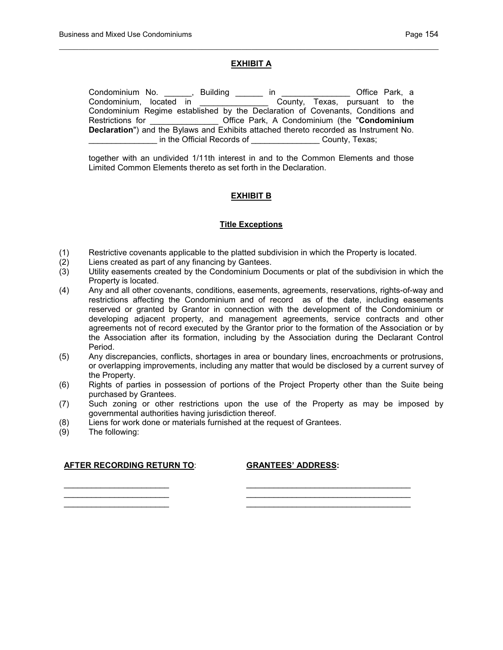# **EXHIBIT A**

 $\mathcal{L}_\mathcal{L} = \{ \mathcal{L}_\mathcal{L} = \{ \mathcal{L}_\mathcal{L} = \{ \mathcal{L}_\mathcal{L} = \{ \mathcal{L}_\mathcal{L} = \{ \mathcal{L}_\mathcal{L} = \{ \mathcal{L}_\mathcal{L} = \{ \mathcal{L}_\mathcal{L} = \{ \mathcal{L}_\mathcal{L} = \{ \mathcal{L}_\mathcal{L} = \{ \mathcal{L}_\mathcal{L} = \{ \mathcal{L}_\mathcal{L} = \{ \mathcal{L}_\mathcal{L} = \{ \mathcal{L}_\mathcal{L} = \{ \mathcal{L}_\mathcal{$ 

Condominium No. \_\_\_\_\_\_, Building \_\_\_\_\_\_ in \_\_\_\_\_\_\_\_\_\_\_\_\_\_\_\_ Office Park, a Condominium, located in \_\_\_\_\_\_\_\_\_\_\_\_\_\_\_\_\_\_\_\_\_\_\_\_\_\_\_\_County, Texas, pursuant to the Condominium Regime established by the Declaration of Covenants, Conditions and Restrictions for \_\_\_\_\_\_\_\_\_\_\_\_\_\_\_ Office Park, A Condominium (the "**Condominium Declaration**") and the Bylaws and Exhibits attached thereto recorded as Instrument No. \_\_\_\_\_\_\_\_\_\_\_\_\_\_\_ in the Official Records of \_\_\_\_\_\_\_\_\_\_\_\_\_\_\_ County, Texas;

together with an undivided 1/11th interest in and to the Common Elements and those Limited Common Elements thereto as set forth in the Declaration.

# **EXHIBIT B**

# **Title Exceptions**

- (1) Restrictive covenants applicable to the platted subdivision in which the Property is located.
- (2) Liens created as part of any financing by Gantees.
- (3) Utility easements created by the Condominium Documents or plat of the subdivision in which the Property is located.
- (4) Any and all other covenants, conditions, easements, agreements, reservations, rights-of-way and restrictions affecting the Condominium and of record as of the date, including easements reserved or granted by Grantor in connection with the development of the Condominium or developing adjacent property, and management agreements, service contracts and other agreements not of record executed by the Grantor prior to the formation of the Association or by the Association after its formation, including by the Association during the Declarant Control Period.
- (5) Any discrepancies, conflicts, shortages in area or boundary lines, encroachments or protrusions, or overlapping improvements, including any matter that would be disclosed by a current survey of the Property.
- (6) Rights of parties in possession of portions of the Project Property other than the Suite being purchased by Grantees.
- (7) Such zoning or other restrictions upon the use of the Property as may be imposed by governmental authorities having jurisdiction thereof.
- (8) Liens for work done or materials furnished at the request of Grantees.
- (9) The following:

# **AFTER RECORDING RETURN TO**:

\_\_\_\_\_\_\_\_\_\_\_\_\_\_\_\_\_\_\_\_\_\_\_  $\mathcal{L}_\text{max}$  , where  $\mathcal{L}_\text{max}$  , we have the set of  $\mathcal{L}_\text{max}$  $\mathcal{L}_\text{max}$  , where  $\mathcal{L}_\text{max}$  , we have the set of  $\mathcal{L}_\text{max}$ 

# **GRANTEES' ADDRESS:**

\_\_\_\_\_\_\_\_\_\_\_\_\_\_\_\_\_\_\_\_\_\_\_\_\_\_\_\_\_\_\_\_\_\_\_\_  $\mathcal{L}_\text{max}$  , where  $\mathcal{L}_\text{max}$  and  $\mathcal{L}_\text{max}$  and  $\mathcal{L}_\text{max}$ 

 $\mathcal{L}_\text{max}$  , where  $\mathcal{L}_\text{max}$  and  $\mathcal{L}_\text{max}$  and  $\mathcal{L}_\text{max}$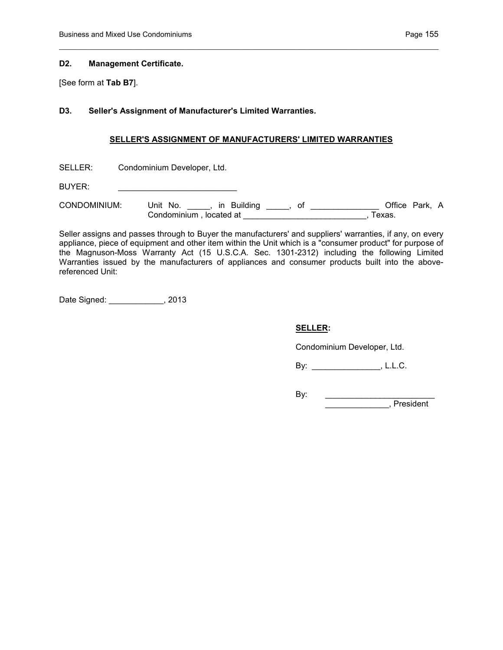## **D2. Management Certificate.**

[See form at **Tab B7**].

## **D3. Seller's Assignment of Manufacturer's Limited Warranties.**

### **SELLER'S ASSIGNMENT OF MANUFACTURERS' LIMITED WARRANTIES**

 $\mathcal{L}_\mathcal{L} = \{ \mathcal{L}_\mathcal{L} = \{ \mathcal{L}_\mathcal{L} = \{ \mathcal{L}_\mathcal{L} = \{ \mathcal{L}_\mathcal{L} = \{ \mathcal{L}_\mathcal{L} = \{ \mathcal{L}_\mathcal{L} = \{ \mathcal{L}_\mathcal{L} = \{ \mathcal{L}_\mathcal{L} = \{ \mathcal{L}_\mathcal{L} = \{ \mathcal{L}_\mathcal{L} = \{ \mathcal{L}_\mathcal{L} = \{ \mathcal{L}_\mathcal{L} = \{ \mathcal{L}_\mathcal{L} = \{ \mathcal{L}_\mathcal{$ 

SELLER: Condominium Developer, Ltd.

BUYER:

CONDOMINIUM: Unit No. \_\_\_\_\_, in Building \_\_\_\_\_, of \_\_\_\_\_\_\_\_\_\_\_\_\_\_\_ Office Park, A Condominium , located at \_\_\_\_\_\_\_\_\_\_\_\_\_\_\_\_\_\_\_\_\_\_\_\_\_\_\_, Texas.

Seller assigns and passes through to Buyer the manufacturers' and suppliers' warranties, if any, on every appliance, piece of equipment and other item within the Unit which is a "consumer product" for purpose of the Magnuson-Moss Warranty Act (15 U.S.C.A. Sec. 1301-2312) including the following Limited Warranties issued by the manufacturers of appliances and consumer products built into the abovereferenced Unit:

Date Signed: \_\_\_\_\_\_\_\_\_\_\_\_, 2013

# **SELLER:**

Condominium Developer, Ltd.

By: \_\_\_\_\_\_\_\_\_\_\_\_\_\_\_\_, L.L.C.

By: \_\_\_\_\_\_\_\_\_\_\_\_\_\_\_\_\_\_\_\_\_\_\_\_ \_\_\_\_\_\_\_\_\_\_\_\_\_\_, President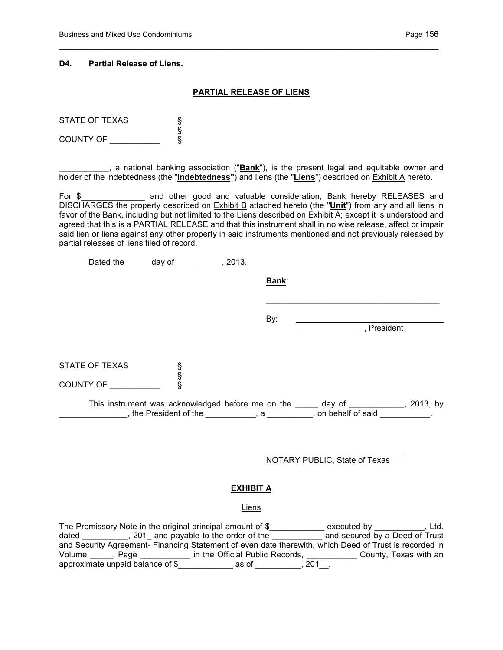#### **D4. Partial Release of Liens.**

### **PARTIAL RELEASE OF LIENS**

 $\mathcal{L}_\mathcal{L} = \{ \mathcal{L}_\mathcal{L} = \{ \mathcal{L}_\mathcal{L} = \{ \mathcal{L}_\mathcal{L} = \{ \mathcal{L}_\mathcal{L} = \{ \mathcal{L}_\mathcal{L} = \{ \mathcal{L}_\mathcal{L} = \{ \mathcal{L}_\mathcal{L} = \{ \mathcal{L}_\mathcal{L} = \{ \mathcal{L}_\mathcal{L} = \{ \mathcal{L}_\mathcal{L} = \{ \mathcal{L}_\mathcal{L} = \{ \mathcal{L}_\mathcal{L} = \{ \mathcal{L}_\mathcal{L} = \{ \mathcal{L}_\mathcal{$ 

STATE OF TEXAS ©<br>©<br>© COUNTY OF \_\_\_\_\_\_\_\_\_\_

\_\_\_\_\_\_\_\_\_\_\_, a national banking association ("**Bank**"), is the present legal and equitable owner and holder of the indebtedness (the "**Indebtedness"**) and liens (the "**Liens**") described on Exhibit A hereto.

For \$\_\_\_\_\_\_\_\_\_\_\_\_\_\_ and other good and valuable consideration, Bank hereby RELEASES and DISCHARGES the property described on Exhibit B attached hereto (the "**Unit**") from any and all liens in favor of the Bank, including but not limited to the Liens described on Exhibit A; except it is understood and agreed that this is a PARTIAL RELEASE and that this instrument shall in no wise release, affect or impair said lien or liens against any other property in said instruments mentioned and not previously released by partial releases of liens filed of record.

Dated the \_\_\_\_\_ day of \_\_\_\_\_\_\_\_\_\_, 2013.

|                       |   | Bank:                                                                                           |                                      |           |
|-----------------------|---|-------------------------------------------------------------------------------------------------|--------------------------------------|-----------|
|                       |   | By:                                                                                             |                                      |           |
|                       |   |                                                                                                 |                                      | President |
| <b>STATE OF TEXAS</b> | § |                                                                                                 |                                      |           |
| COUNTY OF             |   |                                                                                                 |                                      |           |
|                       |   | This instrument was acknowledged before me on the<br>, the President of the $\qquad \qquad$ , a | day of $\_\_$<br>, on behalf of said | 2013, by  |

\_\_\_\_\_\_\_\_\_\_\_\_\_\_\_\_\_\_\_\_\_\_\_\_\_\_\_\_\_\_ NOTARY PUBLIC, State of Texas

### **EXHIBIT A**

#### Liens

The Promissory Note in the original principal amount of \$\_\_\_\_\_\_\_\_\_\_\_ executed by \_\_\_\_\_\_\_\_\_, Ltd. dated \_\_\_\_\_\_\_\_\_, 201\_ and payable to the order of the \_\_\_\_\_\_\_\_\_\_\_\_ and secured by a Deed of Trust and Security Agreement- Financing Statement of even date therewith, which Deed of Trust is recorded in Volume \_\_\_\_\_, Page \_\_\_\_\_\_\_\_\_\_\_ in the Official Public Records, \_\_\_\_\_\_\_\_\_\_\_ County, Texas with an approximate unpaid balance of \$\_\_\_\_\_\_\_\_\_\_\_\_\_ as of \_\_\_\_\_\_\_\_\_\_, 201\_\_.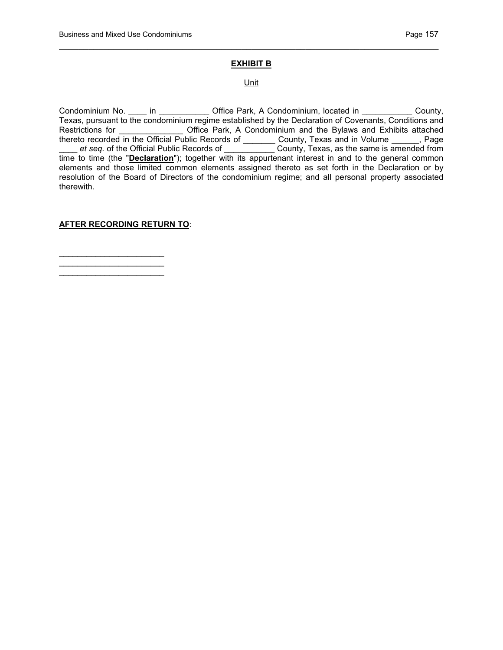# **EXHIBIT B**

 $\mathcal{L}_\mathcal{L} = \{ \mathcal{L}_\mathcal{L} = \{ \mathcal{L}_\mathcal{L} = \{ \mathcal{L}_\mathcal{L} = \{ \mathcal{L}_\mathcal{L} = \{ \mathcal{L}_\mathcal{L} = \{ \mathcal{L}_\mathcal{L} = \{ \mathcal{L}_\mathcal{L} = \{ \mathcal{L}_\mathcal{L} = \{ \mathcal{L}_\mathcal{L} = \{ \mathcal{L}_\mathcal{L} = \{ \mathcal{L}_\mathcal{L} = \{ \mathcal{L}_\mathcal{L} = \{ \mathcal{L}_\mathcal{L} = \{ \mathcal{L}_\mathcal{$ 

## **Unit**

Condominium No. \_\_\_\_\_ in \_\_\_\_\_\_\_\_\_\_\_\_\_ Office Park, A Condominium, located in \_\_\_\_\_\_\_\_\_\_\_ County, Texas, pursuant to the condominium regime established by the Declaration of Covenants, Conditions and Restrictions for \_\_\_\_\_\_\_\_\_\_\_\_\_\_\_\_\_\_\_\_ Office Park, A Condominium and the Bylaws and Exhibits attached thereto recorded in the Official Public Records of \_\_\_\_\_\_\_ County, Texas and in Volume \_\_\_\_\_\_, Page \_\_\_\_ *et seq.* of the Official Public Records of \_\_\_\_\_\_\_\_\_\_\_ County, Texas, as the same is amended from time to time (the "**Declaration**"); together with its appurtenant interest in and to the general common elements and those limited common elements assigned thereto as set forth in the Declaration or by resolution of the Board of Directors of the condominium regime; and all personal property associated therewith.

# **AFTER RECORDING RETURN TO**:

\_\_\_\_\_\_\_\_\_\_\_\_\_\_\_\_\_\_\_\_\_\_\_  $\mathcal{L}_\text{max}$  , where  $\mathcal{L}_\text{max}$  , we have the set of  $\mathcal{L}_\text{max}$  $\mathcal{L}_\text{max}$  , where  $\mathcal{L}_\text{max}$  , we have the set of  $\mathcal{L}_\text{max}$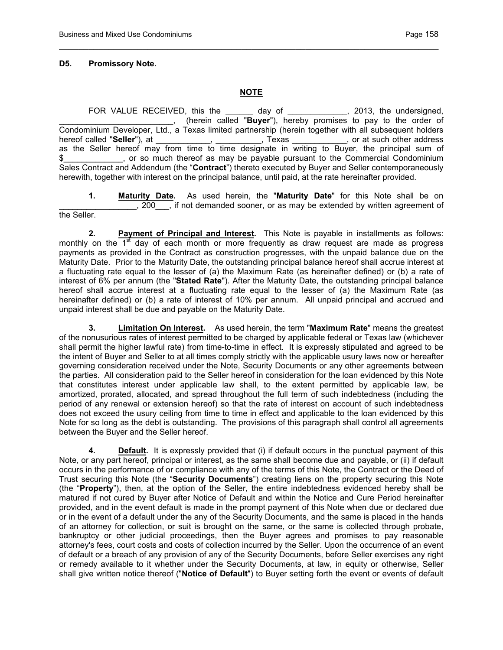## **D5. Promissory Note.**

# **NOTE**

 $\mathcal{L}_\mathcal{L} = \{ \mathcal{L}_\mathcal{L} = \{ \mathcal{L}_\mathcal{L} = \{ \mathcal{L}_\mathcal{L} = \{ \mathcal{L}_\mathcal{L} = \{ \mathcal{L}_\mathcal{L} = \{ \mathcal{L}_\mathcal{L} = \{ \mathcal{L}_\mathcal{L} = \{ \mathcal{L}_\mathcal{L} = \{ \mathcal{L}_\mathcal{L} = \{ \mathcal{L}_\mathcal{L} = \{ \mathcal{L}_\mathcal{L} = \{ \mathcal{L}_\mathcal{L} = \{ \mathcal{L}_\mathcal{L} = \{ \mathcal{L}_\mathcal{$ 

FOR VALUE RECEIVED, this the \_\_\_\_\_\_\_ day of \_\_\_\_\_\_\_\_\_\_\_\_\_, 2013, the undersigned, \_\_\_\_\_\_\_\_\_\_\_\_\_\_\_\_\_\_\_\_\_\_\_\_\_, (herein called "**Buyer**"), hereby promises to pay to the order of Condominium Developer, Ltd., a Texas limited partnership (herein together with all subsequent holders hereof called "Seller"), at \_\_\_\_\_\_\_\_\_\_\_\_, \_\_\_\_\_\_\_\_\_\_, Texas \_\_\_\_\_\_\_\_\_\_\_, or at such other address as the Seller hereof may from time to time designate in writing to Buyer, the principal sum of \$\_\_\_\_\_\_\_\_\_\_\_\_\_, or so much thereof as may be payable pursuant to the Commercial Condominium Sales Contract and Addendum (the "**Contract**") thereto executed by Buyer and Seller contemporaneously herewith, together with interest on the principal balance, until paid, at the rate hereinafter provided.

**1. Maturity Date.** As used herein, the "**Maturity Date**" for this Note shall be on \_\_\_\_\_\_\_\_\_\_\_\_\_\_\_\_\_, 200\_\_\_, if not demanded sooner, or as may be extended by written agreement of

the Seller.

**2. Payment of Principal and Interest.** This Note is payable in installments as follows: monthly on the  $1<sup>st</sup>$  day of each month or more frequently as draw request are made as progress payments as provided in the Contract as construction progresses, with the unpaid balance due on the Maturity Date. Prior to the Maturity Date, the outstanding principal balance hereof shall accrue interest at a fluctuating rate equal to the lesser of (a) the Maximum Rate (as hereinafter defined) or (b) a rate of interest of 6% per annum (the "**Stated Rate**"). After the Maturity Date, the outstanding principal balance hereof shall accrue interest at a fluctuating rate equal to the lesser of (a) the Maximum Rate (as hereinafter defined) or (b) a rate of interest of 10% per annum. All unpaid principal and accrued and unpaid interest shall be due and payable on the Maturity Date.

**3. Limitation On Interest.** As used herein, the term "**Maximum Rate**" means the greatest of the nonusurious rates of interest permitted to be charged by applicable federal or Texas law (whichever shall permit the higher lawful rate) from time-to-time in effect. It is expressly stipulated and agreed to be the intent of Buyer and Seller to at all times comply strictly with the applicable usury laws now or hereafter governing consideration received under the Note, Security Documents or any other agreements between the parties. All consideration paid to the Seller hereof in consideration for the loan evidenced by this Note that constitutes interest under applicable law shall, to the extent permitted by applicable law, be amortized, prorated, allocated, and spread throughout the full term of such indebtedness (including the period of any renewal or extension hereof) so that the rate of interest on account of such indebtedness does not exceed the usury ceiling from time to time in effect and applicable to the loan evidenced by this Note for so long as the debt is outstanding. The provisions of this paragraph shall control all agreements between the Buyer and the Seller hereof.

**4. Default.** It is expressly provided that (i) if default occurs in the punctual payment of this Note, or any part hereof, principal or interest, as the same shall become due and payable, or (ii) if default occurs in the performance of or compliance with any of the terms of this Note, the Contract or the Deed of Trust securing this Note (the "**Security Documents**") creating liens on the property securing this Note (the "**Property**"), then, at the option of the Seller, the entire indebtedness evidenced hereby shall be matured if not cured by Buyer after Notice of Default and within the Notice and Cure Period hereinafter provided, and in the event default is made in the prompt payment of this Note when due or declared due or in the event of a default under the any of the Security Documents, and the same is placed in the hands of an attorney for collection, or suit is brought on the same, or the same is collected through probate, bankruptcy or other judicial proceedings, then the Buyer agrees and promises to pay reasonable attorney's fees, court costs and costs of collection incurred by the Seller. Upon the occurrence of an event of default or a breach of any provision of any of the Security Documents, before Seller exercises any right or remedy available to it whether under the Security Documents, at law, in equity or otherwise, Seller shall give written notice thereof ("**Notice of Default**") to Buyer setting forth the event or events of default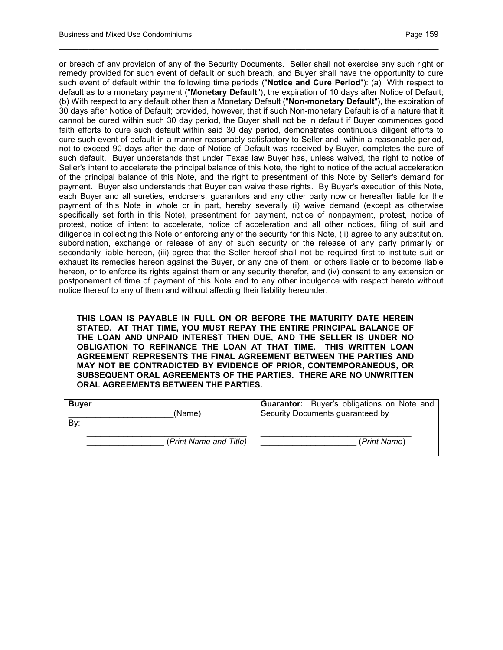or breach of any provision of any of the Security Documents. Seller shall not exercise any such right or remedy provided for such event of default or such breach, and Buyer shall have the opportunity to cure such event of default within the following time periods ("**Notice and Cure Period**"): (a) With respect to default as to a monetary payment ("**Monetary Default**"), the expiration of 10 days after Notice of Default; (b) With respect to any default other than a Monetary Default ("**Non-monetary Default**"), the expiration of 30 days after Notice of Default; provided, however, that if such Non-monetary Default is of a nature that it cannot be cured within such 30 day period, the Buyer shall not be in default if Buyer commences good faith efforts to cure such default within said 30 day period, demonstrates continuous diligent efforts to cure such event of default in a manner reasonably satisfactory to Seller and, within a reasonable period, not to exceed 90 days after the date of Notice of Default was received by Buyer, completes the cure of such default.Buyer understands that under Texas law Buyer has, unless waived, the right to notice of Seller's intent to accelerate the principal balance of this Note, the right to notice of the actual acceleration of the principal balance of this Note, and the right to presentment of this Note by Seller's demand for payment. Buyer also understands that Buyer can waive these rights. By Buyer's execution of this Note, each Buyer and all sureties, endorsers, guarantors and any other party now or hereafter liable for the payment of this Note in whole or in part, hereby severally (i) waive demand (except as otherwise specifically set forth in this Note), presentment for payment, notice of nonpayment, protest, notice of protest, notice of intent to accelerate, notice of acceleration and all other notices, filing of suit and diligence in collecting this Note or enforcing any of the security for this Note, (ii) agree to any substitution, subordination, exchange or release of any of such security or the release of any party primarily or secondarily liable hereon, (iii) agree that the Seller hereof shall not be required first to institute suit or exhaust its remedies hereon against the Buyer, or any one of them, or others liable or to become liable hereon, or to enforce its rights against them or any security therefor, and (iv) consent to any extension or postponement of time of payment of this Note and to any other indulgence with respect hereto without notice thereof to any of them and without affecting their liability hereunder.

 $\mathcal{L}_\mathcal{L} = \{ \mathcal{L}_\mathcal{L} = \{ \mathcal{L}_\mathcal{L} = \{ \mathcal{L}_\mathcal{L} = \{ \mathcal{L}_\mathcal{L} = \{ \mathcal{L}_\mathcal{L} = \{ \mathcal{L}_\mathcal{L} = \{ \mathcal{L}_\mathcal{L} = \{ \mathcal{L}_\mathcal{L} = \{ \mathcal{L}_\mathcal{L} = \{ \mathcal{L}_\mathcal{L} = \{ \mathcal{L}_\mathcal{L} = \{ \mathcal{L}_\mathcal{L} = \{ \mathcal{L}_\mathcal{L} = \{ \mathcal{L}_\mathcal{$ 

**THIS LOAN IS PAYABLE IN FULL ON OR BEFORE THE MATURITY DATE HEREIN STATED. AT THAT TIME, YOU MUST REPAY THE ENTIRE PRINCIPAL BALANCE OF THE LOAN AND UNPAID INTEREST THEN DUE, AND THE SELLER IS UNDER NO OBLIGATION TO REFINANCE THE LOAN AT THAT TIME. THIS WRITTEN LOAN AGREEMENT REPRESENTS THE FINAL AGREEMENT BETWEEN THE PARTIES AND MAY NOT BE CONTRADICTED BY EVIDENCE OF PRIOR, CONTEMPORANEOUS, OR SUBSEQUENT ORAL AGREEMENTS OF THE PARTIES. THERE ARE NO UNWRITTEN ORAL AGREEMENTS BETWEEN THE PARTIES.**

| <b>Buver</b><br>By: | (Name)                 | <b>Guarantor:</b> Buyer's obligations on Note and<br>Security Documents guaranteed by |
|---------------------|------------------------|---------------------------------------------------------------------------------------|
|                     | (Print Name and Title) | (Print Name)                                                                          |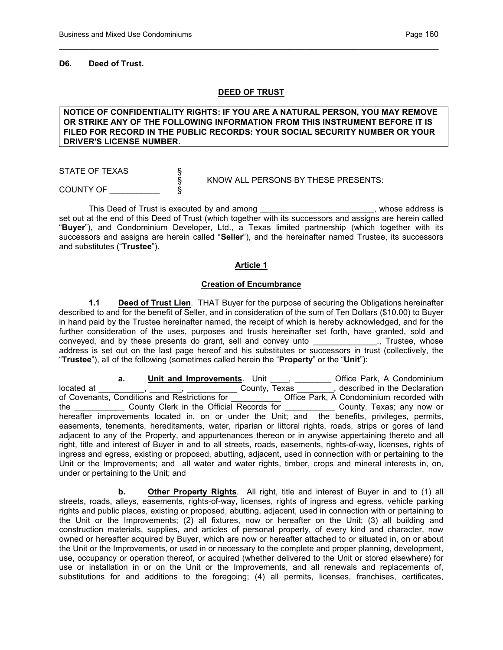## **D6. Deed of Trust.**

# **DEED OF TRUST**

 $\mathcal{L}_\mathcal{L} = \{ \mathcal{L}_\mathcal{L} = \{ \mathcal{L}_\mathcal{L} = \{ \mathcal{L}_\mathcal{L} = \{ \mathcal{L}_\mathcal{L} = \{ \mathcal{L}_\mathcal{L} = \{ \mathcal{L}_\mathcal{L} = \{ \mathcal{L}_\mathcal{L} = \{ \mathcal{L}_\mathcal{L} = \{ \mathcal{L}_\mathcal{L} = \{ \mathcal{L}_\mathcal{L} = \{ \mathcal{L}_\mathcal{L} = \{ \mathcal{L}_\mathcal{L} = \{ \mathcal{L}_\mathcal{L} = \{ \mathcal{L}_\mathcal{$ 

## **NOTICE OF CONFIDENTIALITY RIGHTS: IF YOU ARE A NATURAL PERSON, YOU MAY REMOVE OR STRIKE ANY OF THE FOLLOWING INFORMATION FROM THIS INSTRUMENT BEFORE IT IS FILED FOR RECORD IN THE PUBLIC RECORDS: YOUR SOCIAL SECURITY NUMBER OR YOUR DRIVER'S LICENSE NUMBER.**

| STATE OF TEXAS |                                     |
|----------------|-------------------------------------|
|                | KNOW ALL PERSONS BY THESE PRESENTS: |
| COUNTY OF      |                                     |

This Deed of Trust is executed by and among \_\_\_\_\_\_\_\_\_\_\_\_\_\_\_\_\_\_\_, whose address is set out at the end of this Deed of Trust (which together with its successors and assigns are herein called "**Buyer**"), and Condominium Developer, Ltd., a Texas limited partnership (which together with its successors and assigns are herein called "**Seller**"), and the hereinafter named Trustee, its successors and substitutes ("**Trustee**").

## **Article 1**

## **Creation of Encumbrance**

**1.1 Deed of Trust Lien**. THAT Buyer for the purpose of securing the Obligations hereinafter described to and for the benefit of Seller, and in consideration of the sum of Ten Dollars (\$10.00) to Buyer in hand paid by the Trustee hereinafter named, the receipt of which is hereby acknowledged, and for the further consideration of the uses, purposes and trusts hereinafter set forth, have granted, sold and conveyed, and by these presents do grant, sell and convey unto \_\_\_\_\_\_\_\_\_\_\_\_\_\_\_., Trustee, whose address is set out on the last page hereof and his substitutes or successors in trust (collectively, the "**Trustee**"), all of the following (sometimes called herein the "**Property**" or the "**Unit**"):

**a. Unit and Improvements**. Unit \_\_\_\_, \_\_\_\_\_\_\_\_ Office Park, A Condominium located at \_\_\_\_\_\_\_\_\_, \_\_\_\_\_\_, \_\_\_\_\_\_, County, Texas \_\_\_\_\_, described in the Declaration of Covenants, Conditions and Restrictions for County, Texas \_\_\_\_\_, described in the Declaration of Covenants, Conditions and Restrictions for \_\_\_\_\_\_\_\_\_\_\_ Office Park, A Condominium recorded with the County Clerk in the Official Records for hereafter improvements located in, on or under the Unit; and the benefits, privileges, permits, easements, tenements, hereditaments, water, riparian or littoral rights, roads, strips or gores of land adjacent to any of the Property, and appurtenances thereon or in anywise appertaining thereto and all right, title and interest of Buyer in and to all streets, roads, easements, rights-of-way, licenses, rights of ingress and egress, existing or proposed, abutting, adjacent, used in connection with or pertaining to the Unit or the Improvements; and all water and water rights, timber, crops and mineral interests in, on, under or pertaining to the Unit; and

**b. Other Property Rights**. All right, title and interest of Buyer in and to (1) all streets, roads, alleys, easements, rights-of-way, licenses, rights of ingress and egress, vehicle parking rights and public places, existing or proposed, abutting, adjacent, used in connection with or pertaining to the Unit or the Improvements; (2) all fixtures, now or hereafter on the Unit; (3) all building and construction materials, supplies, and articles of personal property, of every kind and character, now owned or hereafter acquired by Buyer, which are now or hereafter attached to or situated in, on or about the Unit or the Improvements, or used in or necessary to the complete and proper planning, development, use, occupancy or operation thereof, or acquired (whether delivered to the Unit or stored elsewhere) for use or installation in or on the Unit or the Improvements, and all renewals and replacements of, substitutions for and additions to the foregoing; (4) all permits, licenses, franchises, certificates,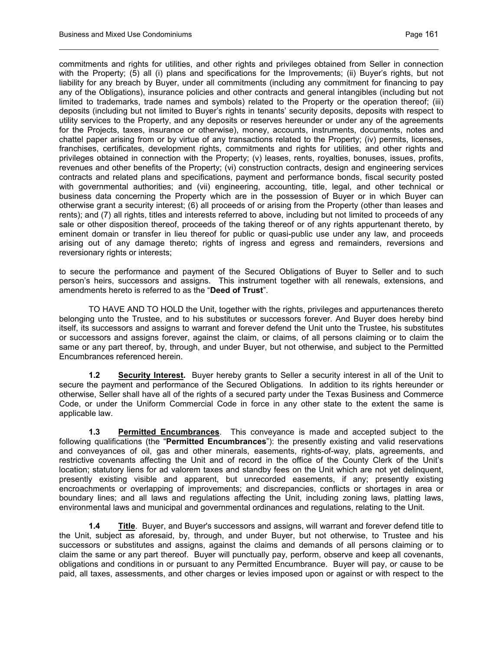commitments and rights for utilities, and other rights and privileges obtained from Seller in connection with the Property; (5) all (i) plans and specifications for the Improvements; (ii) Buyer's rights, but not liability for any breach by Buyer, under all commitments (including any commitment for financing to pay any of the Obligations), insurance policies and other contracts and general intangibles (including but not limited to trademarks, trade names and symbols) related to the Property or the operation thereof; (iii) deposits (including but not limited to Buyer's rights in tenants' security deposits, deposits with respect to utility services to the Property, and any deposits or reserves hereunder or under any of the agreements for the Projects, taxes, insurance or otherwise), money, accounts, instruments, documents, notes and chattel paper arising from or by virtue of any transactions related to the Property; (iv) permits, licenses, franchises, certificates, development rights, commitments and rights for utilities, and other rights and privileges obtained in connection with the Property; (v) leases, rents, royalties, bonuses, issues, profits, revenues and other benefits of the Property; (vi) construction contracts, design and engineering services contracts and related plans and specifications, payment and performance bonds, fiscal security posted with governmental authorities; and (vii) engineering, accounting, title, legal, and other technical or business data concerning the Property which are in the possession of Buyer or in which Buyer can otherwise grant a security interest; (6) all proceeds of or arising from the Property (other than leases and rents); and (7) all rights, titles and interests referred to above, including but not limited to proceeds of any sale or other disposition thereof, proceeds of the taking thereof or of any rights appurtenant thereto, by eminent domain or transfer in lieu thereof for public or quasi-public use under any law, and proceeds arising out of any damage thereto; rights of ingress and egress and remainders, reversions and reversionary rights or interests;

 $\mathcal{L}_\mathcal{L} = \{ \mathcal{L}_\mathcal{L} = \{ \mathcal{L}_\mathcal{L} = \{ \mathcal{L}_\mathcal{L} = \{ \mathcal{L}_\mathcal{L} = \{ \mathcal{L}_\mathcal{L} = \{ \mathcal{L}_\mathcal{L} = \{ \mathcal{L}_\mathcal{L} = \{ \mathcal{L}_\mathcal{L} = \{ \mathcal{L}_\mathcal{L} = \{ \mathcal{L}_\mathcal{L} = \{ \mathcal{L}_\mathcal{L} = \{ \mathcal{L}_\mathcal{L} = \{ \mathcal{L}_\mathcal{L} = \{ \mathcal{L}_\mathcal{$ 

to secure the performance and payment of the Secured Obligations of Buyer to Seller and to such person's heirs, successors and assigns. This instrument together with all renewals, extensions, and amendments hereto is referred to as the "**Deed of Trust**".

TO HAVE AND TO HOLD the Unit, together with the rights, privileges and appurtenances thereto belonging unto the Trustee, and to his substitutes or successors forever. And Buyer does hereby bind itself, its successors and assigns to warrant and forever defend the Unit unto the Trustee, his substitutes or successors and assigns forever, against the claim, or claims, of all persons claiming or to claim the same or any part thereof, by, through, and under Buyer, but not otherwise, and subject to the Permitted Encumbrances referenced herein.

**1.2 Security Interest.** Buyer hereby grants to Seller a security interest in all of the Unit to secure the payment and performance of the Secured Obligations. In addition to its rights hereunder or otherwise, Seller shall have all of the rights of a secured party under the Texas Business and Commerce Code, or under the Uniform Commercial Code in force in any other state to the extent the same is applicable law.

**1.3 Permitted Encumbrances**. This conveyance is made and accepted subject to the following qualifications (the "**Permitted Encumbrances**"): the presently existing and valid reservations and conveyances of oil, gas and other minerals, easements, rights-of-way, plats, agreements, and restrictive covenants affecting the Unit and of record in the office of the County Clerk of the Unit's location; statutory liens for ad valorem taxes and standby fees on the Unit which are not yet delinquent, presently existing visible and apparent, but unrecorded easements, if any; presently existing encroachments or overlapping of improvements; and discrepancies, conflicts or shortages in area or boundary lines; and all laws and regulations affecting the Unit, including zoning laws, platting laws, environmental laws and municipal and governmental ordinances and regulations, relating to the Unit.

**1.4 Title**. Buyer, and Buyer's successors and assigns, will warrant and forever defend title to the Unit, subject as aforesaid, by, through, and under Buyer, but not otherwise, to Trustee and his successors or substitutes and assigns, against the claims and demands of all persons claiming or to claim the same or any part thereof. Buyer will punctually pay, perform, observe and keep all covenants, obligations and conditions in or pursuant to any Permitted Encumbrance. Buyer will pay, or cause to be paid, all taxes, assessments, and other charges or levies imposed upon or against or with respect to the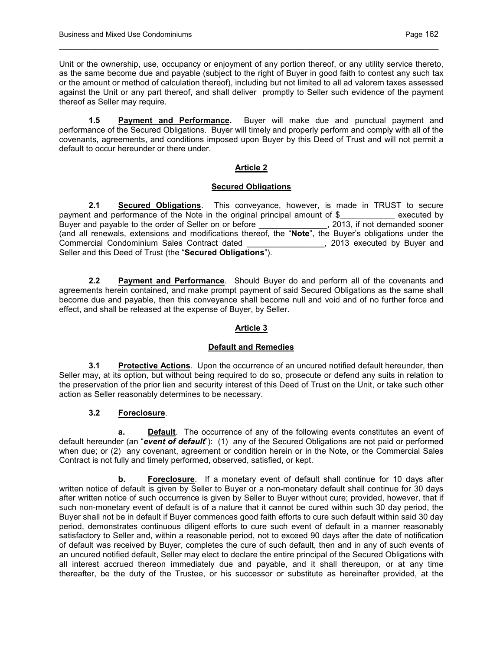Unit or the ownership, use, occupancy or enjoyment of any portion thereof, or any utility service thereto, as the same become due and payable (subject to the right of Buyer in good faith to contest any such tax or the amount or method of calculation thereof), including but not limited to all ad valorem taxes assessed against the Unit or any part thereof, and shall deliver promptly to Seller such evidence of the payment thereof as Seller may require.

 $\mathcal{L}_\mathcal{L} = \{ \mathcal{L}_\mathcal{L} = \{ \mathcal{L}_\mathcal{L} = \{ \mathcal{L}_\mathcal{L} = \{ \mathcal{L}_\mathcal{L} = \{ \mathcal{L}_\mathcal{L} = \{ \mathcal{L}_\mathcal{L} = \{ \mathcal{L}_\mathcal{L} = \{ \mathcal{L}_\mathcal{L} = \{ \mathcal{L}_\mathcal{L} = \{ \mathcal{L}_\mathcal{L} = \{ \mathcal{L}_\mathcal{L} = \{ \mathcal{L}_\mathcal{L} = \{ \mathcal{L}_\mathcal{L} = \{ \mathcal{L}_\mathcal{$ 

**1.5 Payment and Performance.** Buyer will make due and punctual payment and performance of the Secured Obligations. Buyer will timely and properly perform and comply with all of the covenants, agreements, and conditions imposed upon Buyer by this Deed of Trust and will not permit a default to occur hereunder or there under.

# **Article 2**

## **Secured Obligations**

**2.1 Secured Obligations**. This conveyance, however, is made in TRUST to secure payment and performance of the Note in the original principal amount of \$ executed by Buyer and payable to the order of Seller on or before \_\_\_\_\_\_\_\_\_\_\_\_\_\_, 2013, if not demanded sooner (and all renewals, extensions and modifications thereof, the "**Note**", the Buyer's obligations under the Commercial Condominium Sales Contract dated Seller and this Deed of Trust (the "**Secured Obligations**").

**2.2 Payment and Performance**. Should Buyer do and perform all of the covenants and agreements herein contained, and make prompt payment of said Secured Obligations as the same shall become due and payable, then this conveyance shall become null and void and of no further force and effect, and shall be released at the expense of Buyer, by Seller.

# **Article 3**

### **Default and Remedies**

**3.1 Protective Actions**. Upon the occurrence of an uncured notified default hereunder, then Seller may, at its option, but without being required to do so, prosecute or defend any suits in relation to the preservation of the prior lien and security interest of this Deed of Trust on the Unit, or take such other action as Seller reasonably determines to be necessary.

# **3.2 Foreclosure**.

**a. Default**. The occurrence of any of the following events constitutes an event of default hereunder (an "*event of default*"): (1) any of the Secured Obligations are not paid or performed when due; or (2) any covenant, agreement or condition herein or in the Note, or the Commercial Sales Contract is not fully and timely performed, observed, satisfied, or kept.

**b. Foreclosure**. If a monetary event of default shall continue for 10 days after written notice of default is given by Seller to Buyer or a non-monetary default shall continue for 30 days after written notice of such occurrence is given by Seller to Buyer without cure; provided, however, that if such non-monetary event of default is of a nature that it cannot be cured within such 30 day period, the Buyer shall not be in default if Buyer commences good faith efforts to cure such default within said 30 day period, demonstrates continuous diligent efforts to cure such event of default in a manner reasonably satisfactory to Seller and, within a reasonable period, not to exceed 90 days after the date of notification of default was received by Buyer, completes the cure of such default, then and in any of such events of an uncured notified default, Seller may elect to declare the entire principal of the Secured Obligations with all interest accrued thereon immediately due and payable, and it shall thereupon, or at any time thereafter, be the duty of the Trustee, or his successor or substitute as hereinafter provided, at the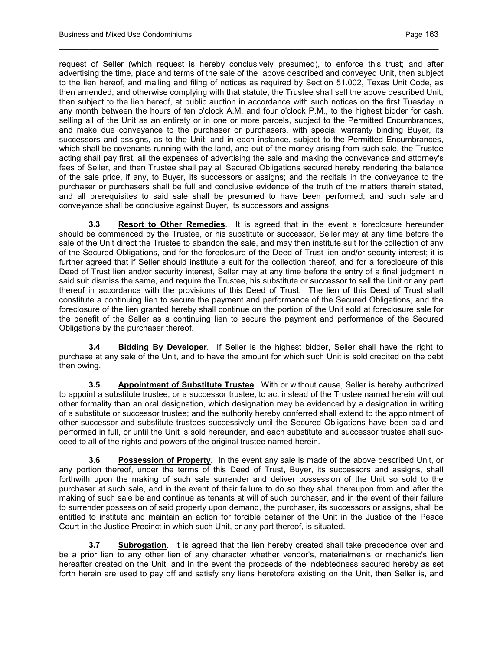request of Seller (which request is hereby conclusively presumed), to enforce this trust; and after advertising the time, place and terms of the sale of the above described and conveyed Unit, then subject to the lien hereof, and mailing and filing of notices as required by Section 51.002, Texas Unit Code, as then amended, and otherwise complying with that statute, the Trustee shall sell the above described Unit, then subject to the lien hereof, at public auction in accordance with such notices on the first Tuesday in any month between the hours of ten o'clock A.M. and four o'clock P.M., to the highest bidder for cash, selling all of the Unit as an entirety or in one or more parcels, subject to the Permitted Encumbrances, and make due conveyance to the purchaser or purchasers, with special warranty binding Buyer, its successors and assigns, as to the Unit; and in each instance, subject to the Permitted Encumbrances, which shall be covenants running with the land, and out of the money arising from such sale, the Trustee acting shall pay first, all the expenses of advertising the sale and making the conveyance and attorney's fees of Seller, and then Trustee shall pay all Secured Obligations secured hereby rendering the balance of the sale price, if any, to Buyer, its successors or assigns; and the recitals in the conveyance to the purchaser or purchasers shall be full and conclusive evidence of the truth of the matters therein stated, and all prerequisites to said sale shall be presumed to have been performed, and such sale and conveyance shall be conclusive against Buyer, its successors and assigns.

 $\mathcal{L}_\mathcal{L} = \{ \mathcal{L}_\mathcal{L} = \{ \mathcal{L}_\mathcal{L} = \{ \mathcal{L}_\mathcal{L} = \{ \mathcal{L}_\mathcal{L} = \{ \mathcal{L}_\mathcal{L} = \{ \mathcal{L}_\mathcal{L} = \{ \mathcal{L}_\mathcal{L} = \{ \mathcal{L}_\mathcal{L} = \{ \mathcal{L}_\mathcal{L} = \{ \mathcal{L}_\mathcal{L} = \{ \mathcal{L}_\mathcal{L} = \{ \mathcal{L}_\mathcal{L} = \{ \mathcal{L}_\mathcal{L} = \{ \mathcal{L}_\mathcal{$ 

**3.3 Resort to Other Remedies**. It is agreed that in the event a foreclosure hereunder should be commenced by the Trustee, or his substitute or successor, Seller may at any time before the sale of the Unit direct the Trustee to abandon the sale, and may then institute suit for the collection of any of the Secured Obligations, and for the foreclosure of the Deed of Trust lien and/or security interest; it is further agreed that if Seller should institute a suit for the collection thereof, and for a foreclosure of this Deed of Trust lien and/or security interest, Seller may at any time before the entry of a final judgment in said suit dismiss the same, and require the Trustee, his substitute or successor to sell the Unit or any part thereof in accordance with the provisions of this Deed of Trust. The lien of this Deed of Trust shall constitute a continuing lien to secure the payment and performance of the Secured Obligations, and the foreclosure of the lien granted hereby shall continue on the portion of the Unit sold at foreclosure sale for the benefit of the Seller as a continuing lien to secure the payment and performance of the Secured Obligations by the purchaser thereof.

**3.4 Bidding By Developer**. If Seller is the highest bidder, Seller shall have the right to purchase at any sale of the Unit, and to have the amount for which such Unit is sold credited on the debt then owing.

**3.5 Appointment of Substitute Trustee**. With or without cause, Seller is hereby authorized to appoint a substitute trustee, or a successor trustee, to act instead of the Trustee named herein without other formality than an oral designation, which designation may be evidenced by a designation in writing of a substitute or successor trustee; and the authority hereby conferred shall extend to the appointment of other successor and substitute trustees successively until the Secured Obligations have been paid and performed in full, or until the Unit is sold hereunder, and each substitute and successor trustee shall succeed to all of the rights and powers of the original trustee named herein.

**3.6 Possession of Property**. In the event any sale is made of the above described Unit, or any portion thereof, under the terms of this Deed of Trust, Buyer, its successors and assigns, shall forthwith upon the making of such sale surrender and deliver possession of the Unit so sold to the purchaser at such sale, and in the event of their failure to do so they shall thereupon from and after the making of such sale be and continue as tenants at will of such purchaser, and in the event of their failure to surrender possession of said property upon demand, the purchaser, its successors or assigns, shall be entitled to institute and maintain an action for forcible detainer of the Unit in the Justice of the Peace Court in the Justice Precinct in which such Unit, or any part thereof, is situated.

**3.7 Subrogation**. It is agreed that the lien hereby created shall take precedence over and be a prior lien to any other lien of any character whether vendor's, materialmen's or mechanic's lien hereafter created on the Unit, and in the event the proceeds of the indebtedness secured hereby as set forth herein are used to pay off and satisfy any liens heretofore existing on the Unit, then Seller is, and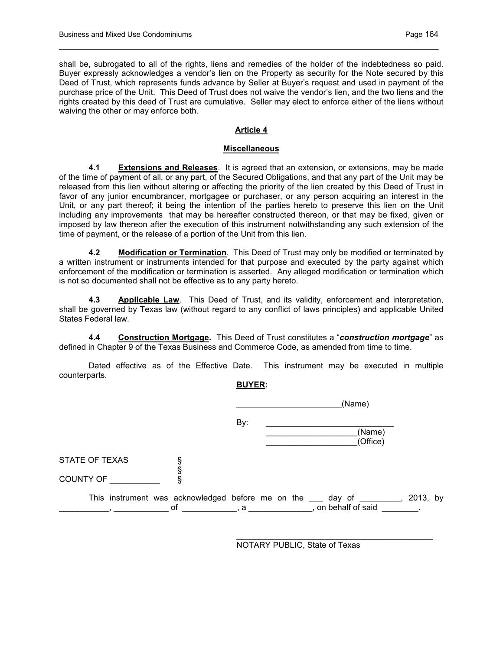shall be, subrogated to all of the rights, liens and remedies of the holder of the indebtedness so paid. Buyer expressly acknowledges a vendor's lien on the Property as security for the Note secured by this Deed of Trust, which represents funds advance by Seller at Buyer's request and used in payment of the purchase price of the Unit. This Deed of Trust does not waive the vendor's lien, and the two liens and the rights created by this deed of Trust are cumulative. Seller may elect to enforce either of the liens without waiving the other or may enforce both.

 $\mathcal{L}_\mathcal{L} = \{ \mathcal{L}_\mathcal{L} = \{ \mathcal{L}_\mathcal{L} = \{ \mathcal{L}_\mathcal{L} = \{ \mathcal{L}_\mathcal{L} = \{ \mathcal{L}_\mathcal{L} = \{ \mathcal{L}_\mathcal{L} = \{ \mathcal{L}_\mathcal{L} = \{ \mathcal{L}_\mathcal{L} = \{ \mathcal{L}_\mathcal{L} = \{ \mathcal{L}_\mathcal{L} = \{ \mathcal{L}_\mathcal{L} = \{ \mathcal{L}_\mathcal{L} = \{ \mathcal{L}_\mathcal{L} = \{ \mathcal{L}_\mathcal{$ 

# **Article 4**

### **Miscellaneous**

**4.1 Extensions and Releases**. It is agreed that an extension, or extensions, may be made of the time of payment of all, or any part, of the Secured Obligations, and that any part of the Unit may be released from this lien without altering or affecting the priority of the lien created by this Deed of Trust in favor of any junior encumbrancer, mortgagee or purchaser, or any person acquiring an interest in the Unit, or any part thereof; it being the intention of the parties hereto to preserve this lien on the Unit including any improvements that may be hereafter constructed thereon, or that may be fixed, given or imposed by law thereon after the execution of this instrument notwithstanding any such extension of the time of payment, or the release of a portion of the Unit from this lien.

**4.2 Modification or Termination**. This Deed of Trust may only be modified or terminated by a written instrument or instruments intended for that purpose and executed by the party against which enforcement of the modification or termination is asserted. Any alleged modification or termination which is not so documented shall not be effective as to any party hereto.

**4.3 Applicable Law**. This Deed of Trust, and its validity, enforcement and interpretation, shall be governed by Texas law (without regard to any conflict of laws principles) and applicable United States Federal law.

**4.4 Construction Mortgage.** This Deed of Trust constitutes a "*construction mortgage*" as defined in Chapter 9 of the Texas Business and Commerce Code, as amended from time to time.

Dated effective as of the Effective Date. This instrument may be executed in multiple counterparts.

|                       |                                                                          |     | (Name)                                                                                                         |          |
|-----------------------|--------------------------------------------------------------------------|-----|----------------------------------------------------------------------------------------------------------------|----------|
|                       |                                                                          | By: |                                                                                                                |          |
|                       |                                                                          |     | (Name)<br>(Office)                                                                                             |          |
| <b>STATE OF TEXAS</b> | §                                                                        |     |                                                                                                                |          |
| <b>COUNTY OF</b>      | Ŝ<br>ş                                                                   |     |                                                                                                                |          |
|                       | This instrument was acknowledged before me on the ___ day of _____<br>of |     | , a controlled by a control of said to the said set of said set of said set of said set of said set of said se | 2013, by |

NOTARY PUBLIC, State of Texas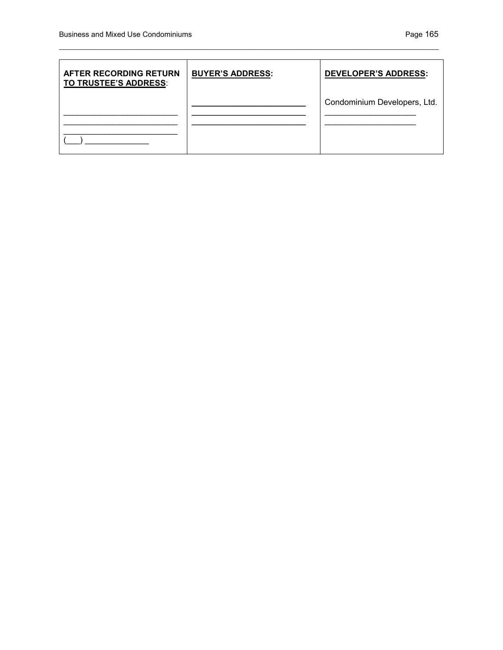| AFTER RECORDING RETURN<br>TO TRUSTEE'S ADDRESS: | <b>BUYER'S ADDRESS:</b> | <b>DEVELOPER'S ADDRESS:</b>  |
|-------------------------------------------------|-------------------------|------------------------------|
|                                                 |                         | Condominium Developers, Ltd. |
|                                                 |                         |                              |

 $\mathcal{L}_\mathcal{L} = \{ \mathcal{L}_\mathcal{L} = \{ \mathcal{L}_\mathcal{L} = \{ \mathcal{L}_\mathcal{L} = \{ \mathcal{L}_\mathcal{L} = \{ \mathcal{L}_\mathcal{L} = \{ \mathcal{L}_\mathcal{L} = \{ \mathcal{L}_\mathcal{L} = \{ \mathcal{L}_\mathcal{L} = \{ \mathcal{L}_\mathcal{L} = \{ \mathcal{L}_\mathcal{L} = \{ \mathcal{L}_\mathcal{L} = \{ \mathcal{L}_\mathcal{L} = \{ \mathcal{L}_\mathcal{L} = \{ \mathcal{L}_\mathcal{$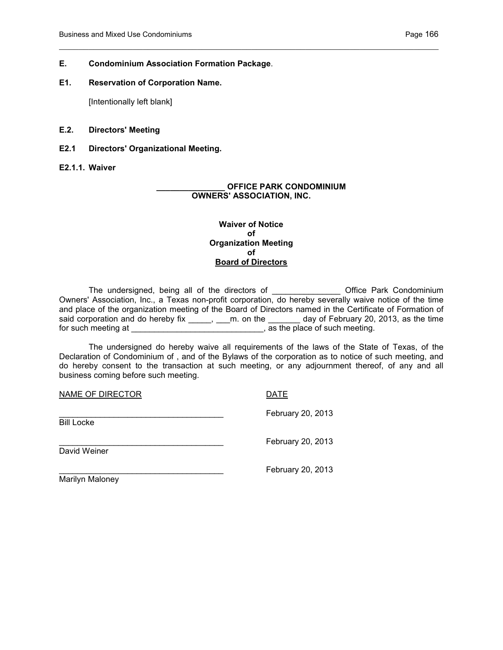## **E. Condominium Association Formation Package**.

### **E1. Reservation of Corporation Name.**

[Intentionally left blank]

- **E.2. Directors' Meeting**
- **E2.1 Directors' Organizational Meeting.**
- **E2.1.1. Waiver**

## **\_\_\_\_\_\_\_\_\_\_\_\_\_\_\_ OFFICE PARK CONDOMINIUM OWNERS' ASSOCIATION, INC.**

### **Waiver of Notice of Organization Meeting of Board of Directors**

 $\mathcal{L}_\mathcal{L} = \{ \mathcal{L}_\mathcal{L} = \{ \mathcal{L}_\mathcal{L} = \{ \mathcal{L}_\mathcal{L} = \{ \mathcal{L}_\mathcal{L} = \{ \mathcal{L}_\mathcal{L} = \{ \mathcal{L}_\mathcal{L} = \{ \mathcal{L}_\mathcal{L} = \{ \mathcal{L}_\mathcal{L} = \{ \mathcal{L}_\mathcal{L} = \{ \mathcal{L}_\mathcal{L} = \{ \mathcal{L}_\mathcal{L} = \{ \mathcal{L}_\mathcal{L} = \{ \mathcal{L}_\mathcal{L} = \{ \mathcal{L}_\mathcal{$ 

The undersigned, being all of the directors of \_\_\_\_\_\_\_\_\_\_\_\_\_\_\_ Office Park Condominium Owners' Association, Inc., a Texas non-profit corporation, do hereby severally waive notice of the time and place of the organization meeting of the Board of Directors named in the Certificate of Formation of said corporation and do hereby fix \_\_\_\_\_, \_\_\_m. on the \_\_\_\_\_\_\_ day of February 20, 2013, as the time for such meeting at \_\_\_\_\_\_\_\_\_\_\_\_\_\_\_\_\_\_\_\_\_\_\_\_\_\_\_\_\_\_\_\_, as the place of such meeting.

The undersigned do hereby waive all requirements of the laws of the State of Texas, of the Declaration of Condominium of , and of the Bylaws of the corporation as to notice of such meeting, and do hereby consent to the transaction at such meeting, or any adjournment thereof, of any and all business coming before such meeting.

NAME OF DIRECTOR DATE

Bill Locke

David Weiner

\_\_\_\_\_\_\_\_\_\_\_\_\_\_\_\_\_\_\_\_\_\_\_\_\_\_\_\_\_\_\_\_\_\_\_\_ February 20, 2013

\_\_\_\_\_\_\_\_\_\_\_\_\_\_\_\_\_\_\_\_\_\_\_\_\_\_\_\_\_\_\_\_\_\_\_\_ February 20, 2013

\_\_\_\_\_\_\_\_\_\_\_\_\_\_\_\_\_\_\_\_\_\_\_\_\_\_\_\_\_\_\_\_\_\_\_\_ February 20, 2013

Marilyn Maloney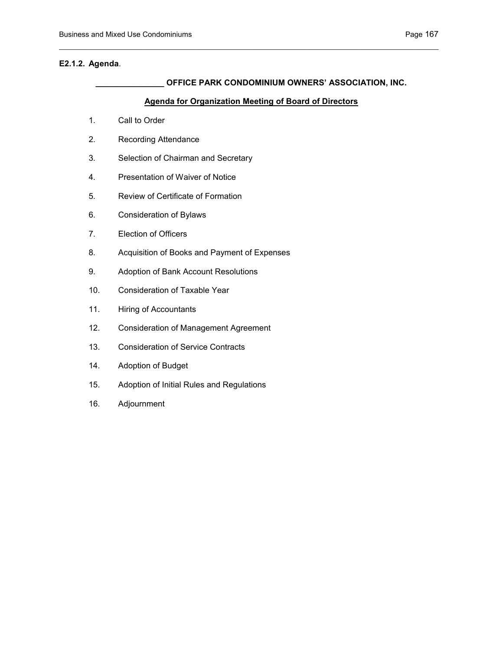# **E2.1.2. Agenda**.

### **\_\_\_\_\_\_\_\_\_\_\_\_\_\_\_ OFFICE PARK CONDOMINIUM OWNERS' ASSOCIATION, INC.**

# **Agenda for Organization Meeting of Board of Directors**

 $\mathcal{L}_\mathcal{L} = \{ \mathcal{L}_\mathcal{L} = \{ \mathcal{L}_\mathcal{L} = \{ \mathcal{L}_\mathcal{L} = \{ \mathcal{L}_\mathcal{L} = \{ \mathcal{L}_\mathcal{L} = \{ \mathcal{L}_\mathcal{L} = \{ \mathcal{L}_\mathcal{L} = \{ \mathcal{L}_\mathcal{L} = \{ \mathcal{L}_\mathcal{L} = \{ \mathcal{L}_\mathcal{L} = \{ \mathcal{L}_\mathcal{L} = \{ \mathcal{L}_\mathcal{L} = \{ \mathcal{L}_\mathcal{L} = \{ \mathcal{L}_\mathcal{$ 

- 1. Call to Order
- 2. Recording Attendance
- 3. Selection of Chairman and Secretary
- 4. Presentation of Waiver of Notice
- 5. Review of Certificate of Formation
- 6. Consideration of Bylaws
- 7. Election of Officers
- 8. Acquisition of Books and Payment of Expenses
- 9. Adoption of Bank Account Resolutions
- 10. Consideration of Taxable Year
- 11. Hiring of Accountants
- 12. Consideration of Management Agreement
- 13. Consideration of Service Contracts
- 14. Adoption of Budget
- 15. Adoption of Initial Rules and Regulations
- 16. Adjournment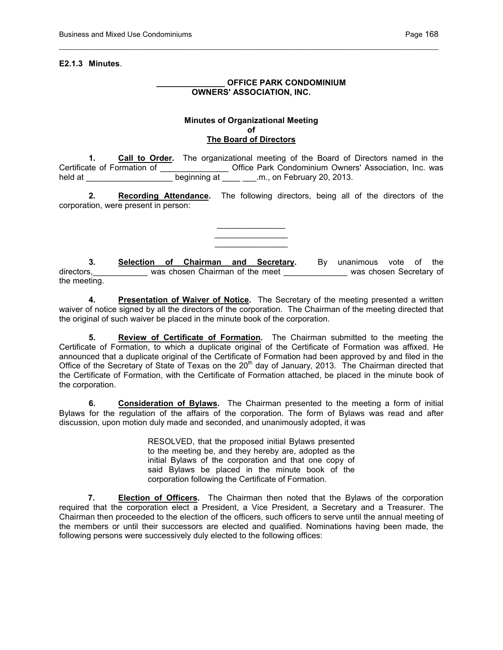#### **E2.1.3 Minutes**.

### **\_\_\_\_\_\_\_\_\_\_\_\_\_\_\_ OFFICE PARK CONDOMINIUM OWNERS' ASSOCIATION, INC.**

## **Minutes of Organizational Meeting of The Board of Directors**

 $\mathcal{L}_\mathcal{L} = \{ \mathcal{L}_\mathcal{L} = \{ \mathcal{L}_\mathcal{L} = \{ \mathcal{L}_\mathcal{L} = \{ \mathcal{L}_\mathcal{L} = \{ \mathcal{L}_\mathcal{L} = \{ \mathcal{L}_\mathcal{L} = \{ \mathcal{L}_\mathcal{L} = \{ \mathcal{L}_\mathcal{L} = \{ \mathcal{L}_\mathcal{L} = \{ \mathcal{L}_\mathcal{L} = \{ \mathcal{L}_\mathcal{L} = \{ \mathcal{L}_\mathcal{L} = \{ \mathcal{L}_\mathcal{L} = \{ \mathcal{L}_\mathcal{$ 

**1. Call to Order.** The organizational meeting of the Board of Directors named in the Certificate of Formation of \_\_\_\_\_\_\_\_\_\_\_\_\_\_\_ Office Park Condominium Owners' Association, Inc. was held at \_\_\_\_\_\_\_\_\_\_\_\_\_\_\_\_\_\_\_\_\_\_\_\_\_beginning at \_\_\_\_\_\_\_\_\_\_\_\_\_\_m., on February 20, 2013.

**2. Recording Attendance.** The following directors, being all of the directors of the corporation, were present in person:

> $\mathcal{L}$  , we have the set of  $\mathcal{L}$  $\mathcal{L}$  , we have the set of  $\mathcal{L}$  $\mathcal{L}_\text{max}$  , where  $\mathcal{L}_\text{max}$  , we have the set of  $\mathcal{L}_\text{max}$

**3. Selection of Chairman and Secretary.** By unanimous vote of the directors, The was chosen Chairman of the meet The Mass chosen Secretary of the meeting.

**4. Presentation of Waiver of Notice.** The Secretary of the meeting presented a written waiver of notice signed by all the directors of the corporation. The Chairman of the meeting directed that the original of such waiver be placed in the minute book of the corporation.

**5. Review of Certificate of Formation.** The Chairman submitted to the meeting the Certificate of Formation, to which a duplicate original of the Certificate of Formation was affixed. He announced that a duplicate original of the Certificate of Formation had been approved by and filed in the Office of the Secretary of State of Texas on the 20<sup>th</sup> day of January, 2013. The Chairman directed that the Certificate of Formation, with the Certificate of Formation attached, be placed in the minute book of the corporation.

**6. Consideration of Bylaws.** The Chairman presented to the meeting a form of initial Bylaws for the regulation of the affairs of the corporation. The form of Bylaws was read and after discussion, upon motion duly made and seconded, and unanimously adopted, it was

> RESOLVED, that the proposed initial Bylaws presented to the meeting be, and they hereby are, adopted as the initial Bylaws of the corporation and that one copy of said Bylaws be placed in the minute book of the corporation following the Certificate of Formation.

**7. Election of Officers.** The Chairman then noted that the Bylaws of the corporation required that the corporation elect a President, a Vice President, a Secretary and a Treasurer. The Chairman then proceeded to the election of the officers, such officers to serve until the annual meeting of the members or until their successors are elected and qualified. Nominations having been made, the following persons were successively duly elected to the following offices: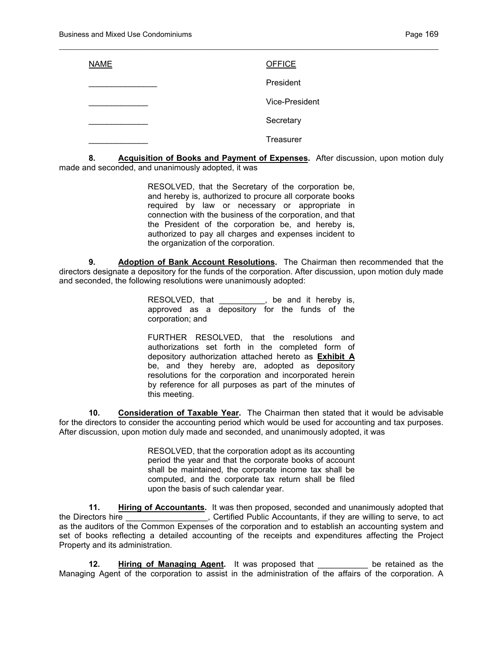| <b>NAME</b> | <b>OFFICE</b>  |
|-------------|----------------|
|             | President      |
|             | Vice-President |
|             | Secretary      |
|             | Treasurer      |

**8. Acquisition of Books and Payment of Expenses.** After discussion, upon motion duly made and seconded, and unanimously adopted, it was

 $\mathcal{L}_\mathcal{L} = \{ \mathcal{L}_\mathcal{L} = \{ \mathcal{L}_\mathcal{L} = \{ \mathcal{L}_\mathcal{L} = \{ \mathcal{L}_\mathcal{L} = \{ \mathcal{L}_\mathcal{L} = \{ \mathcal{L}_\mathcal{L} = \{ \mathcal{L}_\mathcal{L} = \{ \mathcal{L}_\mathcal{L} = \{ \mathcal{L}_\mathcal{L} = \{ \mathcal{L}_\mathcal{L} = \{ \mathcal{L}_\mathcal{L} = \{ \mathcal{L}_\mathcal{L} = \{ \mathcal{L}_\mathcal{L} = \{ \mathcal{L}_\mathcal{$ 

RESOLVED, that the Secretary of the corporation be, and hereby is, authorized to procure all corporate books required by law or necessary or appropriate in connection with the business of the corporation, and that the President of the corporation be, and hereby is, authorized to pay all charges and expenses incident to the organization of the corporation.

**9. Adoption of Bank Account Resolutions.** The Chairman then recommended that the directors designate a depository for the funds of the corporation. After discussion, upon motion duly made and seconded, the following resolutions were unanimously adopted:

> RESOLVED, that \_\_\_\_\_\_\_\_\_\_, be and it hereby is, approved as a depository for the funds of the corporation; and

> FURTHER RESOLVED, that the resolutions and authorizations set forth in the completed form of depository authorization attached hereto as **Exhibit A** be, and they hereby are, adopted as depository resolutions for the corporation and incorporated herein by reference for all purposes as part of the minutes of this meeting.

**10. Consideration of Taxable Year.** The Chairman then stated that it would be advisable for the directors to consider the accounting period which would be used for accounting and tax purposes. After discussion, upon motion duly made and seconded, and unanimously adopted, it was

> RESOLVED, that the corporation adopt as its accounting period the year and that the corporate books of account shall be maintained, the corporate income tax shall be computed, and the corporate tax return shall be filed upon the basis of such calendar year.

**11. Hiring of Accountants**. It was then proposed, seconded and unanimously adopted that the Directors hire **in the United Public Accountants**, if they are willing to serve, to act the Directors and analysis depled that the Directors of the Maximilian and accountants, if they are willing to serve, to act as the auditors of the Common Expenses of the corporation and to establish an accounting system and set of books reflecting a detailed accounting of the receipts and expenditures affecting the Project Property and its administration.

**12. Hiring of Managing Agent.** It was proposed that \_\_\_\_\_\_\_\_\_\_\_ be retained as the Managing Agent of the corporation to assist in the administration of the affairs of the corporation. A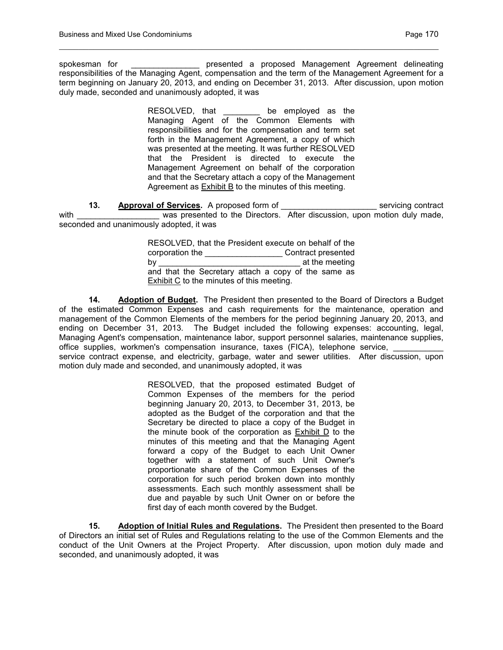spokesman for \_\_\_\_\_\_\_\_\_\_\_\_\_\_\_ presented a proposed Management Agreement delineating responsibilities of the Managing Agent, compensation and the term of the Management Agreement for a term beginning on January 20, 2013, and ending on December 31, 2013. After discussion, upon motion duly made, seconded and unanimously adopted, it was

 $\mathcal{L}_\mathcal{L} = \{ \mathcal{L}_\mathcal{L} = \{ \mathcal{L}_\mathcal{L} = \{ \mathcal{L}_\mathcal{L} = \{ \mathcal{L}_\mathcal{L} = \{ \mathcal{L}_\mathcal{L} = \{ \mathcal{L}_\mathcal{L} = \{ \mathcal{L}_\mathcal{L} = \{ \mathcal{L}_\mathcal{L} = \{ \mathcal{L}_\mathcal{L} = \{ \mathcal{L}_\mathcal{L} = \{ \mathcal{L}_\mathcal{L} = \{ \mathcal{L}_\mathcal{L} = \{ \mathcal{L}_\mathcal{L} = \{ \mathcal{L}_\mathcal{$ 

RESOLVED, that \_\_\_\_\_\_\_\_ be employed as the Managing Agent of the Common Elements with responsibilities and for the compensation and term set forth in the Management Agreement, a copy of which was presented at the meeting. It was further RESOLVED that the President is directed to execute the Management Agreement on behalf of the corporation and that the Secretary attach a copy of the Management Agreement as Exhibit B to the minutes of this meeting.

**13. Approval of Services.** A proposed form of \_\_\_\_\_\_\_\_\_\_\_\_\_\_\_\_\_\_\_\_\_ servicing contract with was presented to the Directors. After discussion, upon motion duly made, seconded and unanimously adopted, it was

> RESOLVED, that the President execute on behalf of the corporation the \_\_\_\_\_\_\_\_\_\_\_\_\_\_\_\_\_ Contract presented by the meeting of the meeting of the meeting of the meeting of the meeting of the meeting of the meeting of the meeting of the meeting of the meeting of the meeting of the meeting of the meeting of the meeting of the meeti and that the Secretary attach a copy of the same as Exhibit C to the minutes of this meeting.

**14. Adoption of Budget.** The President then presented to the Board of Directors a Budget of the estimated Common Expenses and cash requirements for the maintenance, operation and management of the Common Elements of the members for the period beginning January 20, 2013, and ending on December 31, 2013. The Budget included the following expenses: accounting, legal, Managing Agent's compensation, maintenance labor, support personnel salaries, maintenance supplies, office supplies, workmen's compensation insurance, taxes (FICA), telephone service, service contract expense, and electricity, garbage, water and sewer utilities. After discussion, upon motion duly made and seconded, and unanimously adopted, it was

> RESOLVED, that the proposed estimated Budget of Common Expenses of the members for the period beginning January 20, 2013, to December 31, 2013, be adopted as the Budget of the corporation and that the Secretary be directed to place a copy of the Budget in the minute book of the corporation as Exhibit D to the minutes of this meeting and that the Managing Agent forward a copy of the Budget to each Unit Owner together with a statement of such Unit Owner's proportionate share of the Common Expenses of the corporation for such period broken down into monthly assessments. Each such monthly assessment shall be due and payable by such Unit Owner on or before the first day of each month covered by the Budget.

**15. Adoption of Initial Rules and Regulations.** The President then presented to the Board of Directors an initial set of Rules and Regulations relating to the use of the Common Elements and the conduct of the Unit Owners at the Project Property. After discussion, upon motion duly made and seconded, and unanimously adopted, it was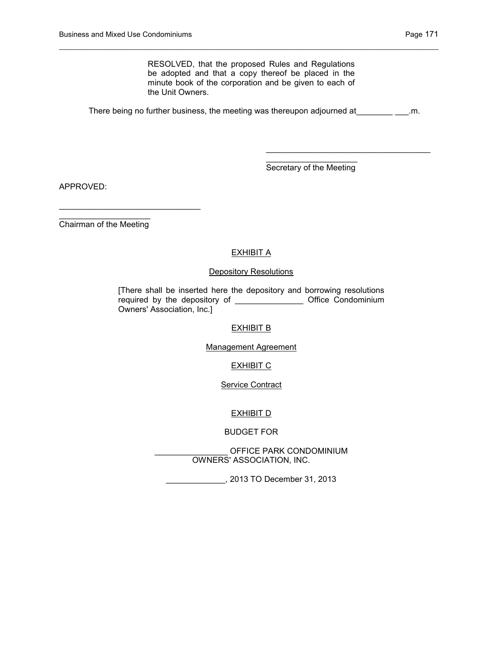RESOLVED, that the proposed Rules and Regulations be adopted and that a copy thereof be placed in the minute book of the corporation and be given to each of the Unit Owners.

 $\mathcal{L}_\mathcal{L} = \{ \mathcal{L}_\mathcal{L} = \{ \mathcal{L}_\mathcal{L} = \{ \mathcal{L}_\mathcal{L} = \{ \mathcal{L}_\mathcal{L} = \{ \mathcal{L}_\mathcal{L} = \{ \mathcal{L}_\mathcal{L} = \{ \mathcal{L}_\mathcal{L} = \{ \mathcal{L}_\mathcal{L} = \{ \mathcal{L}_\mathcal{L} = \{ \mathcal{L}_\mathcal{L} = \{ \mathcal{L}_\mathcal{L} = \{ \mathcal{L}_\mathcal{L} = \{ \mathcal{L}_\mathcal{L} = \{ \mathcal{L}_\mathcal{$ 

There being no further business, the meeting was thereupon adjourned at \_\_\_\_\_\_\_\_\_\_\_\_\_.m.

 $\overline{\phantom{a}}$  , where  $\overline{\phantom{a}}$  , where  $\overline{\phantom{a}}$ Secretary of the Meeting

 $\mathcal{L}_\text{max}$  , where  $\mathcal{L}_\text{max}$  and  $\mathcal{L}_\text{max}$  and  $\mathcal{L}_\text{max}$ 

APPROVED:

 $\overline{\phantom{a}}$  , where  $\overline{\phantom{a}}$  , where  $\overline{\phantom{a}}$ Chairman of the Meeting

 $\mathcal{L}_\text{max}$  , and the contract of the contract of the contract of the contract of the contract of the contract of the contract of the contract of the contract of the contract of the contract of the contract of the contr

## **EXHIBIT A**

## Depository Resolutions

[There shall be inserted here the depository and borrowing resolutions required by the depository of \_\_\_\_\_\_\_\_\_\_\_\_\_\_\_ Office Condominium Owners' Association, Inc.]

### EXHIBIT B

Management Agreement

### EXHIBIT C

#### **Service Contract**

## EXHIBIT D

### BUDGET FOR

\_\_\_\_\_\_\_\_\_\_\_\_\_\_\_\_ OFFICE PARK CONDOMINIUM OWNERS' ASSOCIATION, INC.

\_\_\_\_\_\_\_\_\_\_\_\_\_, 2013 TO December 31, 2013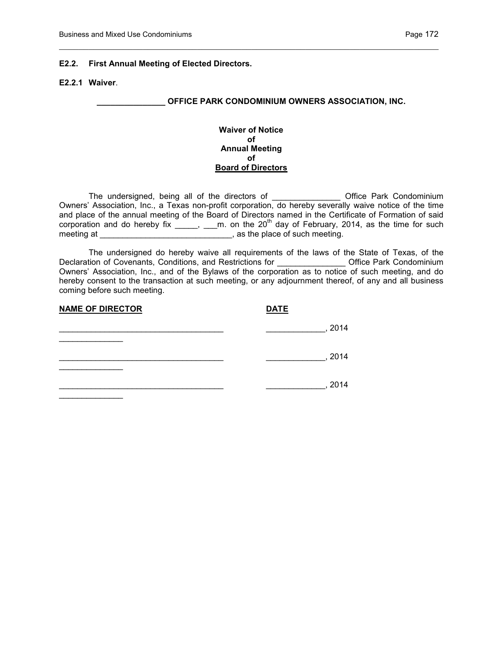### **E2.2. First Annual Meeting of Elected Directors.**

**E2.2.1 Waiver**.

#### **\_\_\_\_\_\_\_\_\_\_\_\_\_\_\_ OFFICE PARK CONDOMINIUM OWNERS ASSOCIATION, INC.**

#### **Waiver of Notice of Annual Meeting of Board of Directors**

 $\mathcal{L}_\mathcal{L} = \{ \mathcal{L}_\mathcal{L} = \{ \mathcal{L}_\mathcal{L} = \{ \mathcal{L}_\mathcal{L} = \{ \mathcal{L}_\mathcal{L} = \{ \mathcal{L}_\mathcal{L} = \{ \mathcal{L}_\mathcal{L} = \{ \mathcal{L}_\mathcal{L} = \{ \mathcal{L}_\mathcal{L} = \{ \mathcal{L}_\mathcal{L} = \{ \mathcal{L}_\mathcal{L} = \{ \mathcal{L}_\mathcal{L} = \{ \mathcal{L}_\mathcal{L} = \{ \mathcal{L}_\mathcal{L} = \{ \mathcal{L}_\mathcal{$ 

The undersigned, being all of the directors of \_\_\_\_\_\_\_\_\_\_\_\_\_\_\_\_\_\_ Office Park Condominium Owners' Association, Inc., a Texas non-profit corporation, do hereby severally waive notice of the time and place of the annual meeting of the Board of Directors named in the Certificate of Formation of said corporation and do hereby fix \_\_\_\_, \_\_\_m. on the  $20<sup>th</sup>$  day of February, 2014, as the time for such meeting at  $\overline{\phantom{a}}$  as the place of such meeting.

The undersigned do hereby waive all requirements of the laws of the State of Texas, of the Declaration of Covenants, Conditions, and Restrictions for \_\_\_\_\_\_\_\_\_\_\_\_\_\_\_\_\_Office Park Condominium Owners' Association, Inc., and of the Bylaws of the corporation as to notice of such meeting, and do hereby consent to the transaction at such meeting, or any adjournment thereof, of any and all business coming before such meeting.

| <b>NAME OF DIRECTOR</b> | <b>DATE</b> |
|-------------------------|-------------|
|                         | , 2014      |
|                         | , 2014      |
|                         | , 2014      |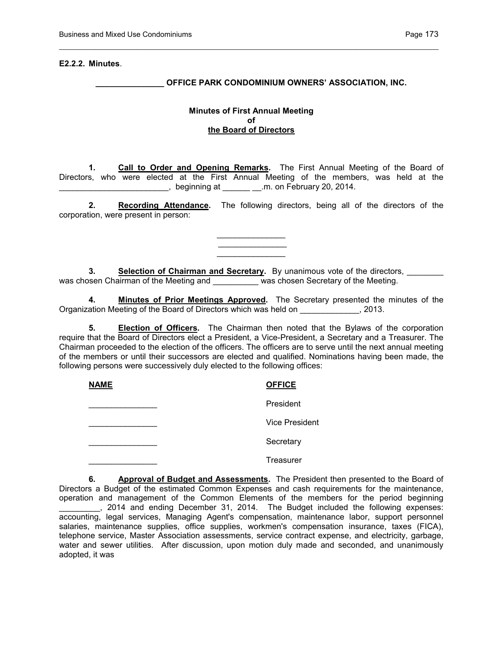#### **E2.2.2. Minutes**.

### **\_\_\_\_\_\_\_\_\_\_\_\_\_\_\_ OFFICE PARK CONDOMINIUM OWNERS' ASSOCIATION, INC.**

### **Minutes of First Annual Meeting of the Board of Directors**

 $\mathcal{L}_\mathcal{L} = \{ \mathcal{L}_\mathcal{L} = \{ \mathcal{L}_\mathcal{L} = \{ \mathcal{L}_\mathcal{L} = \{ \mathcal{L}_\mathcal{L} = \{ \mathcal{L}_\mathcal{L} = \{ \mathcal{L}_\mathcal{L} = \{ \mathcal{L}_\mathcal{L} = \{ \mathcal{L}_\mathcal{L} = \{ \mathcal{L}_\mathcal{L} = \{ \mathcal{L}_\mathcal{L} = \{ \mathcal{L}_\mathcal{L} = \{ \mathcal{L}_\mathcal{L} = \{ \mathcal{L}_\mathcal{L} = \{ \mathcal{L}_\mathcal{$ 

**1. Call to Order and Opening Remarks.** The First Annual Meeting of the Board of Directors, who were elected at the First Annual Meeting of the members, was held at the Lotter Leginning at Lotter Leginning at Lotter Leginning at Lotter Leginning at Lotter Leginning at Lotter Le

**2. Recording Attendance.** The following directors, being all of the directors of the corporation, were present in person:

> $\mathcal{L}$  , we have the set of  $\mathcal{L}$  $\mathcal{L}=\frac{1}{2}$  , where  $\mathcal{L}=\frac{1}{2}$  , where  $\mathcal{L}=\frac{1}{2}$  $\mathcal{L}$  , we have the set of  $\mathcal{L}$

**3. Selection of Chairman and Secretary.** By unanimous vote of the directors, \_\_\_\_\_\_\_ was chosen Chairman of the Meeting and was chosen Secretary of the Meeting.

**4. Minutes of Prior Meetings Approved.** The Secretary presented the minutes of the Organization Meeting of the Board of Directors which was held on \_\_\_\_\_\_\_\_\_\_\_\_\_, 2013.

5. **Election of Officers**. The Chairman then noted that the Bylaws of the corporation require that the Board of Directors elect a President, a Vice-President, a Secretary and a Treasurer. The Chairman proceeded to the election of the officers. The officers are to serve until the next annual meeting of the members or until their successors are elected and qualified. Nominations having been made, the following persons were successively duly elected to the following offices:

#### **NAME OFFICE**

President Vice President Secretary \_\_\_\_\_\_\_\_\_\_\_\_\_\_\_ Treasurer

**6. Approval of Budget and Assessments.** The President then presented to the Board of Directors a Budget of the estimated Common Expenses and cash requirements for the maintenance, operation and management of the Common Elements of the members for the period beginning \_\_\_\_\_\_\_\_\_, 2014 and ending December 31, 2014. The Budget included the following expenses: accounting, legal services, Managing Agent's compensation, maintenance labor, support personnel salaries, maintenance supplies, office supplies, workmen's compensation insurance, taxes (FICA), telephone service, Master Association assessments, service contract expense, and electricity, garbage, water and sewer utilities. After discussion, upon motion duly made and seconded, and unanimously adopted, it was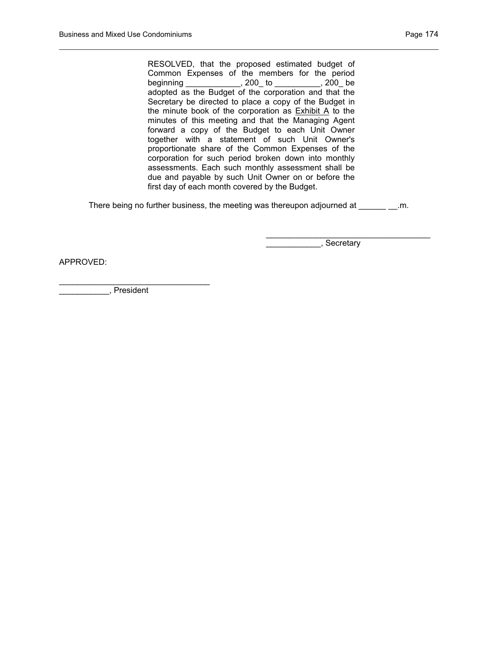RESOLVED, that the proposed estimated budget of Common Expenses of the members for the period beginning \_\_\_\_\_\_\_\_\_\_\_\_, 200\_ to \_\_\_\_\_\_\_\_\_\_, 200\_ be adopted as the Budget of the corporation and that the Secretary be directed to place a copy of the Budget in the minute book of the corporation as  $Exhibit A$  to the minutes of this meeting and that the Managing Agent forward a copy of the Budget to each Unit Owner together with a statement of such Unit Owner's proportionate share of the Common Expenses of the corporation for such period broken down into monthly assessments. Each such monthly assessment shall be due and payable by such Unit Owner on or before the first day of each month covered by the Budget.

 $\mathcal{L}_\mathcal{L} = \{ \mathcal{L}_\mathcal{L} = \{ \mathcal{L}_\mathcal{L} = \{ \mathcal{L}_\mathcal{L} = \{ \mathcal{L}_\mathcal{L} = \{ \mathcal{L}_\mathcal{L} = \{ \mathcal{L}_\mathcal{L} = \{ \mathcal{L}_\mathcal{L} = \{ \mathcal{L}_\mathcal{L} = \{ \mathcal{L}_\mathcal{L} = \{ \mathcal{L}_\mathcal{L} = \{ \mathcal{L}_\mathcal{L} = \{ \mathcal{L}_\mathcal{L} = \{ \mathcal{L}_\mathcal{L} = \{ \mathcal{L}_\mathcal{$ 

There being no further business, the meeting was thereupon adjourned at  $\ldots$ .m.

\_\_\_\_\_\_\_\_\_\_\_\_, Secretary

\_\_\_\_\_\_\_\_\_\_\_\_\_\_\_\_\_\_\_\_\_\_\_\_\_\_\_\_\_\_\_\_\_\_\_\_

APPROVED:

\_\_\_\_\_\_\_\_\_\_\_\_\_\_\_\_\_\_\_\_\_\_\_\_\_\_\_\_\_\_\_\_\_ President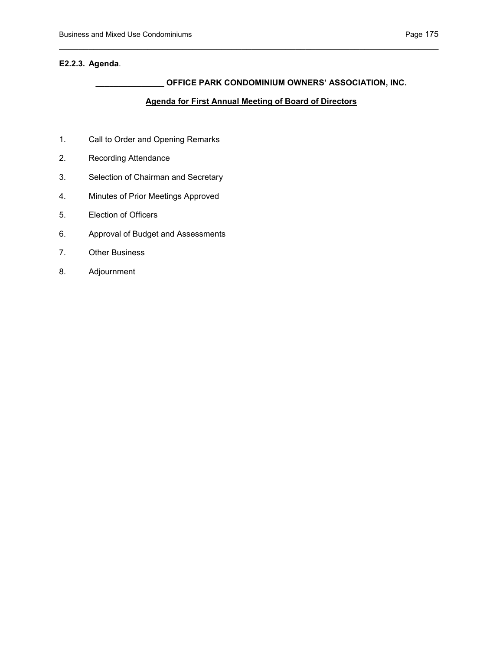### **E2.2.3. Agenda**.

# **OFFICE PARK CONDOMINIUM OWNERS' ASSOCIATION, INC.**

### **Agenda for First Annual Meeting of Board of Directors**

 $\mathcal{L}_\mathcal{L} = \{ \mathcal{L}_\mathcal{L} = \{ \mathcal{L}_\mathcal{L} = \{ \mathcal{L}_\mathcal{L} = \{ \mathcal{L}_\mathcal{L} = \{ \mathcal{L}_\mathcal{L} = \{ \mathcal{L}_\mathcal{L} = \{ \mathcal{L}_\mathcal{L} = \{ \mathcal{L}_\mathcal{L} = \{ \mathcal{L}_\mathcal{L} = \{ \mathcal{L}_\mathcal{L} = \{ \mathcal{L}_\mathcal{L} = \{ \mathcal{L}_\mathcal{L} = \{ \mathcal{L}_\mathcal{L} = \{ \mathcal{L}_\mathcal{$ 

- 1. Call to Order and Opening Remarks
- 2. Recording Attendance
- 3. Selection of Chairman and Secretary
- 4. Minutes of Prior Meetings Approved
- 5. Election of Officers
- 6. Approval of Budget and Assessments
- 7. Other Business
- 8. Adjournment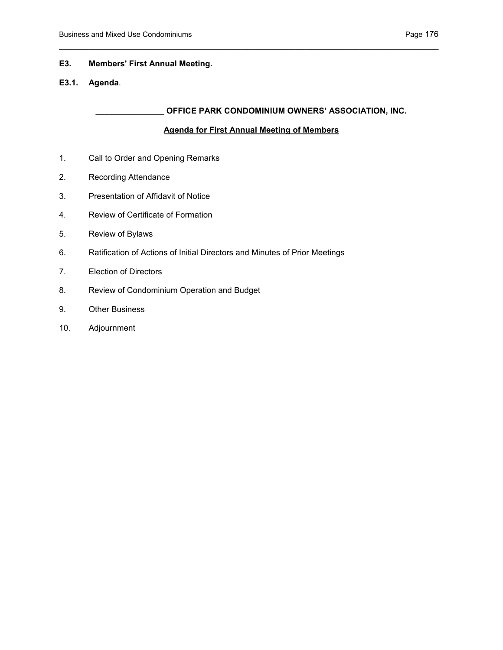#### **E3. Members' First Annual Meeting.**

#### **E3.1. Agenda**.

### **\_\_\_\_\_\_\_\_\_\_\_\_\_\_\_ OFFICE PARK CONDOMINIUM OWNERS' ASSOCIATION, INC.**

#### **Agenda for First Annual Meeting of Members**

 $\mathcal{L}_\mathcal{L} = \{ \mathcal{L}_\mathcal{L} = \{ \mathcal{L}_\mathcal{L} = \{ \mathcal{L}_\mathcal{L} = \{ \mathcal{L}_\mathcal{L} = \{ \mathcal{L}_\mathcal{L} = \{ \mathcal{L}_\mathcal{L} = \{ \mathcal{L}_\mathcal{L} = \{ \mathcal{L}_\mathcal{L} = \{ \mathcal{L}_\mathcal{L} = \{ \mathcal{L}_\mathcal{L} = \{ \mathcal{L}_\mathcal{L} = \{ \mathcal{L}_\mathcal{L} = \{ \mathcal{L}_\mathcal{L} = \{ \mathcal{L}_\mathcal{$ 

- 1. Call to Order and Opening Remarks
- 2. Recording Attendance
- 3. Presentation of Affidavit of Notice
- 4. Review of Certificate of Formation
- 5. Review of Bylaws
- 6. Ratification of Actions of Initial Directors and Minutes of Prior Meetings
- 7. Election of Directors
- 8. Review of Condominium Operation and Budget
- 9. Other Business
- 10. Adjournment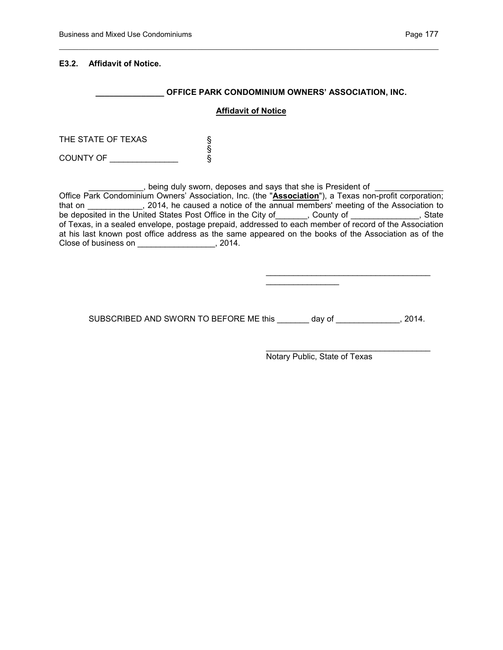#### **E3.2. Affidavit of Notice.**

#### **\_\_\_\_\_\_\_\_\_\_\_\_\_\_\_ OFFICE PARK CONDOMINIUM OWNERS' ASSOCIATION, INC.**

#### **Affidavit of Notice**

 $\mathcal{L}_\mathcal{L} = \{ \mathcal{L}_\mathcal{L} = \{ \mathcal{L}_\mathcal{L} = \{ \mathcal{L}_\mathcal{L} = \{ \mathcal{L}_\mathcal{L} = \{ \mathcal{L}_\mathcal{L} = \{ \mathcal{L}_\mathcal{L} = \{ \mathcal{L}_\mathcal{L} = \{ \mathcal{L}_\mathcal{L} = \{ \mathcal{L}_\mathcal{L} = \{ \mathcal{L}_\mathcal{L} = \{ \mathcal{L}_\mathcal{L} = \{ \mathcal{L}_\mathcal{L} = \{ \mathcal{L}_\mathcal{L} = \{ \mathcal{L}_\mathcal{$ 

THE STATE OF TEXAS

§ COUNTY OF \_\_\_\_\_\_\_\_\_\_\_\_\_\_\_

 $\frac{1}{2}$ , being duly sworn, deposes and says that she is President of  $\frac{1}{2}$ 

Office Park Condominium Owners' Association, Inc. (the "**Association**"), a Texas non-profit corporation; that on \_\_\_\_\_\_\_\_\_\_\_\_, 2014, he caused a notice of the annual members' meeting of the Association to be deposited in the United States Post Office in the City of \_\_\_\_\_\_, County of \_\_\_\_\_\_\_\_\_\_\_\_, State of Texas, in a sealed envelope, postage prepaid, addressed to each member of record of the Association at his last known post office address as the same appeared on the books of the Association as of the Close of business on \_\_\_\_\_\_\_\_\_\_\_\_\_\_\_\_\_, 2014.

SUBSCRIBED AND SWORN TO BEFORE ME this day of  $\qquad \qquad$  , 2014.

Notary Public, State of Texas

 $\mathcal{L}$  , we have the set of the set of the set of the set of the set of the set of the set of the set of the set of the set of the set of the set of the set of the set of the set of the set of the set of the set of the

 $\mathcal{L}_\text{max}$  , and the set of the set of the set of the set of the set of the set of the set of the set of the set of the set of the set of the set of the set of the set of the set of the set of the set of the set of the

\_\_\_\_\_\_\_\_\_\_\_\_\_\_\_\_\_\_\_\_\_\_\_\_\_\_\_\_\_\_\_\_\_\_\_\_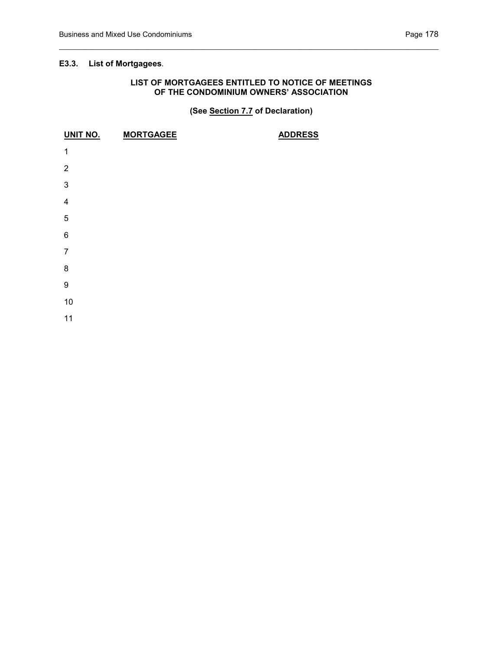#### **E3.3. List of Mortgagees**.

# **LIST OF MORTGAGEES ENTITLED TO NOTICE OF MEETINGS OF THE CONDOMINIUM OWNERS' ASSOCIATION**

 $\mathcal{L}_\mathcal{L} = \{ \mathcal{L}_\mathcal{L} = \{ \mathcal{L}_\mathcal{L} = \{ \mathcal{L}_\mathcal{L} = \{ \mathcal{L}_\mathcal{L} = \{ \mathcal{L}_\mathcal{L} = \{ \mathcal{L}_\mathcal{L} = \{ \mathcal{L}_\mathcal{L} = \{ \mathcal{L}_\mathcal{L} = \{ \mathcal{L}_\mathcal{L} = \{ \mathcal{L}_\mathcal{L} = \{ \mathcal{L}_\mathcal{L} = \{ \mathcal{L}_\mathcal{L} = \{ \mathcal{L}_\mathcal{L} = \{ \mathcal{L}_\mathcal{$ 

### **(See Section 7.7 of Declaration)**

| <u>UNIT NO.</u>           | <b>MORTGAGEE</b> | <b>ADDRESS</b> |
|---------------------------|------------------|----------------|
| 1                         |                  |                |
| $\boldsymbol{2}$          |                  |                |
| $\ensuremath{\mathsf{3}}$ |                  |                |
| $\overline{\mathbf{4}}$   |                  |                |
| $\sqrt{5}$                |                  |                |
| $\,6$                     |                  |                |
| $\overline{7}$            |                  |                |
| 8                         |                  |                |
| 9                         |                  |                |
| 10                        |                  |                |
| 11                        |                  |                |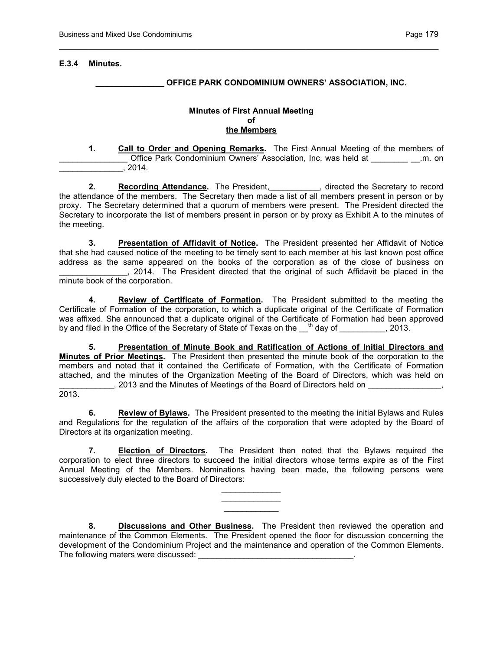#### **E.3.4 Minutes.**

#### **\_\_\_\_\_\_\_\_\_\_\_\_\_\_\_ OFFICE PARK CONDOMINIUM OWNERS' ASSOCIATION, INC.**

#### **Minutes of First Annual Meeting of the Members**

 $\mathcal{L}_\mathcal{L} = \{ \mathcal{L}_\mathcal{L} = \{ \mathcal{L}_\mathcal{L} = \{ \mathcal{L}_\mathcal{L} = \{ \mathcal{L}_\mathcal{L} = \{ \mathcal{L}_\mathcal{L} = \{ \mathcal{L}_\mathcal{L} = \{ \mathcal{L}_\mathcal{L} = \{ \mathcal{L}_\mathcal{L} = \{ \mathcal{L}_\mathcal{L} = \{ \mathcal{L}_\mathcal{L} = \{ \mathcal{L}_\mathcal{L} = \{ \mathcal{L}_\mathcal{L} = \{ \mathcal{L}_\mathcal{L} = \{ \mathcal{L}_\mathcal{$ 

**1. Call to Order and Opening Remarks.** The First Annual Meeting of the members of Office Park Condominium Owners' Association, Inc. was held at \_\_\_\_\_\_ \_\_\_.m. on  $\overline{a}$ , 2014.

**2. Recording Attendance.** The President,\_\_\_\_\_\_\_\_\_\_\_, directed the Secretary to record the attendance of the members. The Secretary then made a list of all members present in person or by proxy. The Secretary determined that a quorum of members were present. The President directed the Secretary to incorporate the list of members present in person or by proxy as Exhibit A to the minutes of the meeting.

**3. Presentation of Affidavit of Notice.** The President presented her Affidavit of Notice that she had caused notice of the meeting to be timely sent to each member at his last known post office address as the same appeared on the books of the corporation as of the close of business on \_\_\_\_\_\_\_\_\_\_\_\_\_\_\_, 2014. The President directed that the original of such Affidavit be placed in the minute book of the corporation.

**4. Review of Certificate of Formation.** The President submitted to the meeting the Certificate of Formation of the corporation, to which a duplicate original of the Certificate of Formation was affixed. She announced that a duplicate original of the Certificate of Formation had been approved by and filed in the Office of the Secretary of State of Texas on the  $\frac{th}{d}$  day of  $\frac{1}{2013}$ .

**5. Presentation of Minute Book and Ratification of Actions of Initial Directors and Minutes of Prior Meetings.** The President then presented the minute book of the corporation to the members and noted that it contained the Certificate of Formation, with the Certificate of Formation attached, and the minutes of the Organization Meeting of the Board of Directors, which was held on \_\_\_\_\_\_\_\_\_\_\_\_, 2013 and the Minutes of Meetings of the Board of Directors held on \_\_\_\_\_\_\_\_\_\_\_\_\_\_\_\_,

2013.

**6. Review of Bylaws.** The President presented to the meeting the initial Bylaws and Rules and Regulations for the regulation of the affairs of the corporation that were adopted by the Board of Directors at its organization meeting.

**7. Election of Directors.** The President then noted that the Bylaws required the corporation to elect three directors to succeed the initial directors whose terms expire as of the First Annual Meeting of the Members. Nominations having been made, the following persons were successively duly elected to the Board of Directors:

> $\frac{1}{2}$  $\frac{1}{2}$  $\mathcal{L}_\text{max}$

**8. Discussions and Other Business.** The President then reviewed the operation and maintenance of the Common Elements. The President opened the floor for discussion concerning the development of the Condominium Project and the maintenance and operation of the Common Elements. The following maters were discussed: \_\_\_\_\_\_\_\_\_\_\_\_\_\_\_\_\_\_\_\_\_\_\_\_\_\_\_\_\_\_\_\_\_\_.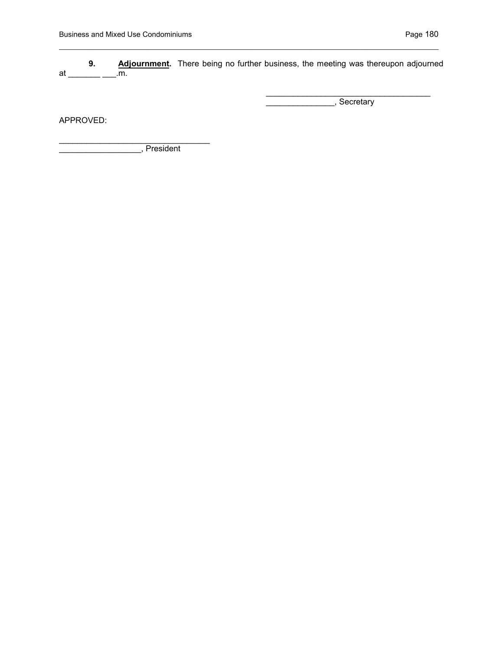**9. Adjournment.** There being no further business, the meeting was thereupon adjourned at \_\_\_\_\_\_\_ \_\_\_\_.m.

 $\mathcal{L}_\mathcal{L} = \{ \mathcal{L}_\mathcal{L} = \{ \mathcal{L}_\mathcal{L} = \{ \mathcal{L}_\mathcal{L} = \{ \mathcal{L}_\mathcal{L} = \{ \mathcal{L}_\mathcal{L} = \{ \mathcal{L}_\mathcal{L} = \{ \mathcal{L}_\mathcal{L} = \{ \mathcal{L}_\mathcal{L} = \{ \mathcal{L}_\mathcal{L} = \{ \mathcal{L}_\mathcal{L} = \{ \mathcal{L}_\mathcal{L} = \{ \mathcal{L}_\mathcal{L} = \{ \mathcal{L}_\mathcal{L} = \{ \mathcal{L}_\mathcal{$ 

 $\mathcal{L}_\text{max}$  , and the set of the set of the set of the set of the set of the set of the set of the set of the set of the set of the set of the set of the set of the set of the set of the set of the set of the set of the \_\_\_\_\_\_\_\_\_\_\_\_\_\_\_, Secretary

APPROVED:

\_\_\_\_\_\_\_\_\_\_\_\_\_\_\_\_\_\_\_\_\_\_\_\_\_\_\_\_\_\_\_\_\_ \_\_\_\_\_\_\_\_\_\_\_\_\_\_\_\_\_\_, President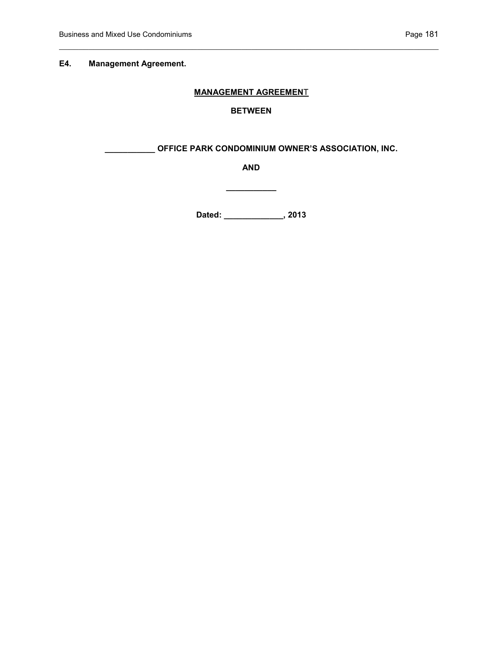# **E4. Management Agreement.**

#### **MANAGEMENT AGREEMEN**T

 $\mathcal{L}_\mathcal{L} = \{ \mathcal{L}_\mathcal{L} = \{ \mathcal{L}_\mathcal{L} = \{ \mathcal{L}_\mathcal{L} = \{ \mathcal{L}_\mathcal{L} = \{ \mathcal{L}_\mathcal{L} = \{ \mathcal{L}_\mathcal{L} = \{ \mathcal{L}_\mathcal{L} = \{ \mathcal{L}_\mathcal{L} = \{ \mathcal{L}_\mathcal{L} = \{ \mathcal{L}_\mathcal{L} = \{ \mathcal{L}_\mathcal{L} = \{ \mathcal{L}_\mathcal{L} = \{ \mathcal{L}_\mathcal{L} = \{ \mathcal{L}_\mathcal{$ 

# **BETWEEN**

# **\_\_\_\_\_\_\_\_\_\_\_ OFFICE PARK CONDOMINIUM OWNER'S ASSOCIATION, INC.**

**\_\_\_\_\_\_\_\_\_\_\_**

**AND**

**Dated: \_\_\_\_\_\_\_\_\_\_\_\_\_, 2013**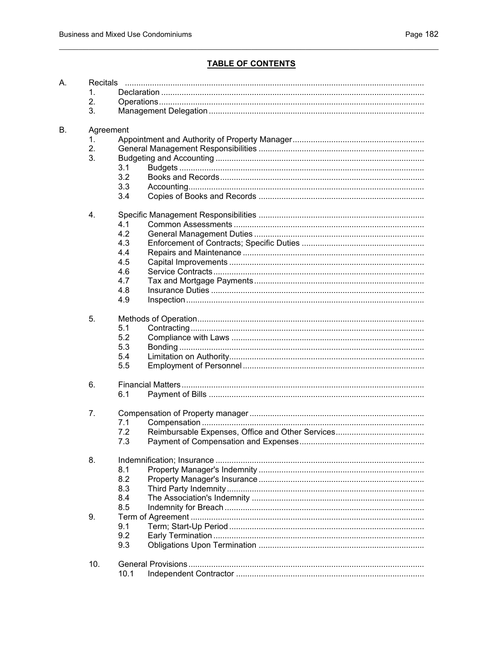# **TABLE OF CONTENTS**

| А. |                  |           |
|----|------------------|-----------|
|    | 1.               |           |
|    | 2.               |           |
|    | 3.               |           |
| В. |                  | Agreement |
|    | 1.               |           |
|    | 2.               |           |
|    | 3.               |           |
|    |                  | 3.1       |
|    |                  | 3.2       |
|    |                  | 3.3       |
|    |                  | 3.4       |
|    | $\overline{4}$ . |           |
|    |                  | 4.1       |
|    |                  | 4.2       |
|    |                  | 4.3       |
|    |                  | 4.4       |
|    |                  | 4.5       |
|    |                  | 4.6       |
|    |                  | 4.7       |
|    |                  | 4.8       |
|    |                  | 4.9       |
|    | 5.               |           |
|    |                  | 5.1       |
|    |                  | 5.2       |
|    |                  | 5.3       |
|    |                  | 5.4       |
|    |                  | 5.5       |
|    | 6.               |           |
|    |                  | 6.1       |
|    | 7.               |           |
|    |                  | 7.1       |
|    |                  | 7.2       |
|    |                  | 7.3       |
|    | 8.               |           |
|    |                  | 8.1       |
|    |                  | 8.2       |
|    |                  | 8.3       |
|    |                  | 8.4       |
|    |                  | 8.5       |
|    | 9.               |           |
|    |                  | 9.1       |
|    |                  | 9.2       |
|    |                  | 9.3       |
|    | 10.              |           |
|    |                  | 10.1      |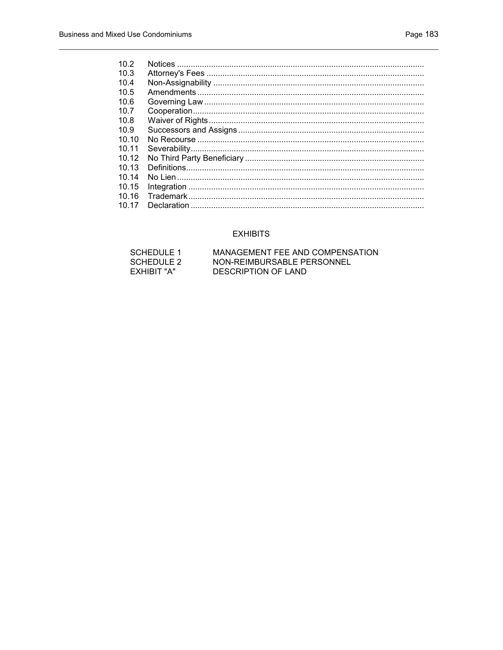| 10.2  |  |
|-------|--|
| 10.3  |  |
| 10.4  |  |
| 10.5  |  |
| 10.6  |  |
| 10.7  |  |
| 10.8  |  |
| 10.9  |  |
| 10.10 |  |
| 10.11 |  |
| 10.12 |  |
| 10.13 |  |
| 10.14 |  |
| 10.15 |  |
| 10.16 |  |
| 10.17 |  |
|       |  |

# **EXHIBITS**

| SCHEDULE 1  | MANAGEMENT FEE AND COMPENSATION |
|-------------|---------------------------------|
| SCHEDULE 2  | NON-REIMBURSABLE PERSONNEL      |
| EXHIBIT "A" | DESCRIPTION OF LAND             |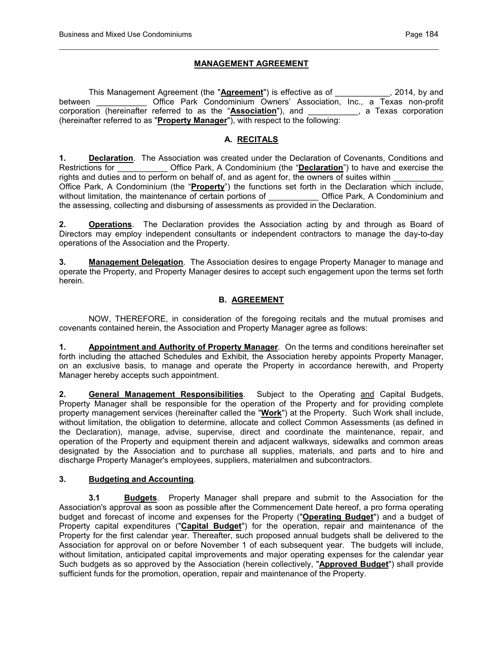# **MANAGEMENT AGREEMENT**

 $\mathcal{L}_\mathcal{L} = \{ \mathcal{L}_\mathcal{L} = \{ \mathcal{L}_\mathcal{L} = \{ \mathcal{L}_\mathcal{L} = \{ \mathcal{L}_\mathcal{L} = \{ \mathcal{L}_\mathcal{L} = \{ \mathcal{L}_\mathcal{L} = \{ \mathcal{L}_\mathcal{L} = \{ \mathcal{L}_\mathcal{L} = \{ \mathcal{L}_\mathcal{L} = \{ \mathcal{L}_\mathcal{L} = \{ \mathcal{L}_\mathcal{L} = \{ \mathcal{L}_\mathcal{L} = \{ \mathcal{L}_\mathcal{L} = \{ \mathcal{L}_\mathcal{$ 

This Management Agreement (the "**Agreement**") is effective as of \_\_\_\_\_\_\_\_\_\_\_\_, 2014, by and between **Exas Condominium Owners' Association, Inc., a Texas non-profit** corporation (hereinafter referred to as the "**Association**"), and \_\_\_\_\_\_\_\_\_\_\_, a Texas corporation (hereinafter referred to as "**Property Manager**"), with respect to the following:

# **A. RECITALS**

**1. Declaration**. The Association was created under the Declaration of Covenants, Conditions and Restrictions for **Exercise Conserverse Park, A Condominium (the "Declaration**") to have and exercise the rights and duties and to perform on behalf of, and as agent for, the owners of suites within Office Park, A Condominium (the "**Property**") the functions set forth in the Declaration which include, without limitation, the maintenance of certain portions of \_\_\_\_\_\_\_\_\_\_\_\_\_ Office Park, A Condominium and the assessing, collecting and disbursing of assessments as provided in the Declaration.

**2. Operations**. The Declaration provides the Association acting by and through as Board of Directors may employ independent consultants or independent contractors to manage the day-to-day operations of the Association and the Property.

**3. Management Delegation**. The Association desires to engage Property Manager to manage and operate the Property, and Property Manager desires to accept such engagement upon the terms set forth herein.

# **B. AGREEMENT**

NOW, THEREFORE, in consideration of the foregoing recitals and the mutual promises and covenants contained herein, the Association and Property Manager agree as follows:

**1. Appointment and Authority of Property Manager**.On the terms and conditions hereinafter set forth including the attached Schedules and Exhibit, the Association hereby appoints Property Manager, on an exclusive basis, to manage and operate the Property in accordance herewith, and Property Manager hereby accepts such appointment.

**2. General Management Responsibilities**. Subject to the Operating and Capital Budgets, Property Manager shall be responsible for the operation of the Property and for providing complete property management services (hereinafter called the "**Work**") at the Property. Such Work shall include, without limitation, the obligation to determine, allocate and collect Common Assessments (as defined in the Declaration), manage, advise, supervise, direct and coordinate the maintenance, repair, and operation of the Property and equipment therein and adjacent walkways, sidewalks and common areas designated by the Association and to purchase all supplies, materials, and parts and to hire and discharge Property Manager's employees, suppliers, materialmen and subcontractors.

### **3. Budgeting and Accounting**.

**3.1 Budgets**. Property Manager shall prepare and submit to the Association for the Association's approval as soon as possible after the Commencement Date hereof, a pro forma operating budget and forecast of income and expenses for the Property ("**Operating Budget**") and a budget of Property capital expenditures ("**Capital Budget**") for the operation, repair and maintenance of the Property for the first calendar year. Thereafter, such proposed annual budgets shall be delivered to the Association for approval on or before November 1 of each subsequent year. The budgets will include, without limitation, anticipated capital improvements and major operating expenses for the calendar year Such budgets as so approved by the Association (herein collectively, "**Approved Budget**") shall provide sufficient funds for the promotion, operation, repair and maintenance of the Property.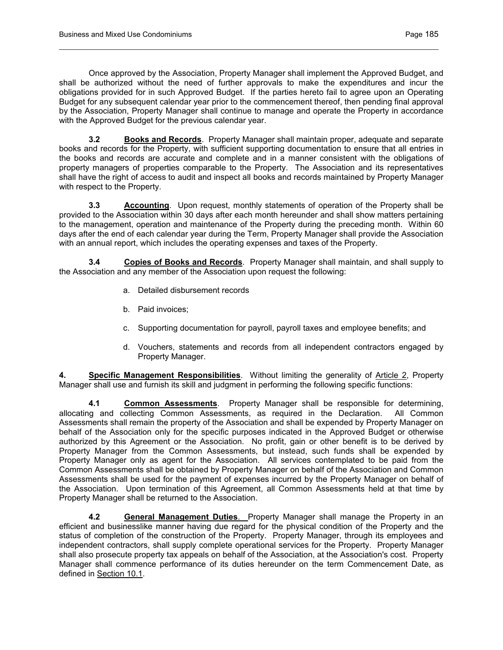Once approved by the Association, Property Manager shall implement the Approved Budget, and shall be authorized without the need of further approvals to make the expenditures and incur the obligations provided for in such Approved Budget. If the parties hereto fail to agree upon an Operating Budget for any subsequent calendar year prior to the commencement thereof, then pending final approval by the Association, Property Manager shall continue to manage and operate the Property in accordance with the Approved Budget for the previous calendar year.

 $\mathcal{L}_\mathcal{L} = \{ \mathcal{L}_\mathcal{L} = \{ \mathcal{L}_\mathcal{L} = \{ \mathcal{L}_\mathcal{L} = \{ \mathcal{L}_\mathcal{L} = \{ \mathcal{L}_\mathcal{L} = \{ \mathcal{L}_\mathcal{L} = \{ \mathcal{L}_\mathcal{L} = \{ \mathcal{L}_\mathcal{L} = \{ \mathcal{L}_\mathcal{L} = \{ \mathcal{L}_\mathcal{L} = \{ \mathcal{L}_\mathcal{L} = \{ \mathcal{L}_\mathcal{L} = \{ \mathcal{L}_\mathcal{L} = \{ \mathcal{L}_\mathcal{$ 

**3.2 Books and Records**. Property Manager shall maintain proper, adequate and separate books and records for the Property, with sufficient supporting documentation to ensure that all entries in the books and records are accurate and complete and in a manner consistent with the obligations of property managers of properties comparable to the Property. The Association and its representatives shall have the right of access to audit and inspect all books and records maintained by Property Manager with respect to the Property.

**3.3 Accounting**. Upon request, monthly statements of operation of the Property shall be provided to the Association within 30 days after each month hereunder and shall show matters pertaining to the management, operation and maintenance of the Property during the preceding month. Within 60 days after the end of each calendar year during the Term, Property Manager shall provide the Association with an annual report, which includes the operating expenses and taxes of the Property.

**3.4 Copies of Books and Records**. Property Manager shall maintain, and shall supply to the Association and any member of the Association upon request the following:

- a. Detailed disbursement records
- b. Paid invoices;
- c. Supporting documentation for payroll, payroll taxes and employee benefits; and
- d. Vouchers, statements and records from all independent contractors engaged by Property Manager.

**4. Specific Management Responsibilities**.Without limiting the generality of Article 2, Property Manager shall use and furnish its skill and judgment in performing the following specific functions:

**4.1 Common Assessments**. Property Manager shall be responsible for determining, allocating and collecting Common Assessments, as required in the Declaration. All Common Assessments shall remain the property of the Association and shall be expended by Property Manager on behalf of the Association only for the specific purposes indicated in the Approved Budget or otherwise authorized by this Agreement or the Association. No profit, gain or other benefit is to be derived by Property Manager from the Common Assessments, but instead, such funds shall be expended by Property Manager only as agent for the Association. All services contemplated to be paid from the Common Assessments shall be obtained by Property Manager on behalf of the Association and Common Assessments shall be used for the payment of expenses incurred by the Property Manager on behalf of the Association. Upon termination of this Agreement, all Common Assessments held at that time by Property Manager shall be returned to the Association.

**4.2 General Management Duties**. Property Manager shall manage the Property in an efficient and businesslike manner having due regard for the physical condition of the Property and the status of completion of the construction of the Property. Property Manager, through its employees and independent contractors, shall supply complete operational services for the Property. Property Manager shall also prosecute property tax appeals on behalf of the Association, at the Association's cost. Property Manager shall commence performance of its duties hereunder on the term Commencement Date, as defined in Section 10.1.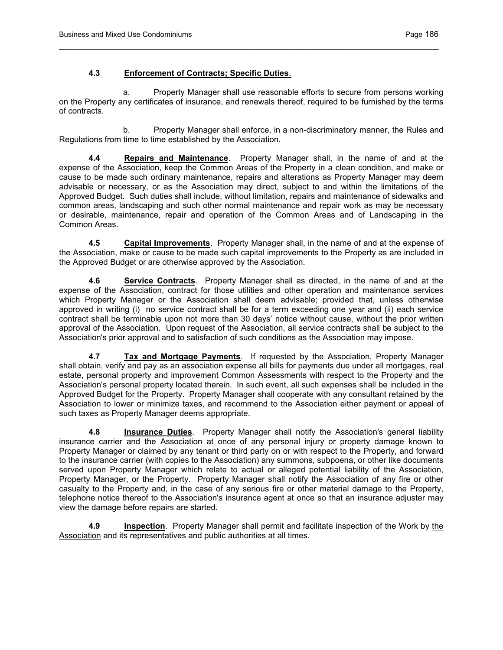### **4.3 Enforcement of Contracts; Specific Duties**.

a. Property Manager shall use reasonable efforts to secure from persons working on the Property any certificates of insurance, and renewals thereof, required to be furnished by the terms of contracts.

 $\mathcal{L}_\mathcal{L} = \{ \mathcal{L}_\mathcal{L} = \{ \mathcal{L}_\mathcal{L} = \{ \mathcal{L}_\mathcal{L} = \{ \mathcal{L}_\mathcal{L} = \{ \mathcal{L}_\mathcal{L} = \{ \mathcal{L}_\mathcal{L} = \{ \mathcal{L}_\mathcal{L} = \{ \mathcal{L}_\mathcal{L} = \{ \mathcal{L}_\mathcal{L} = \{ \mathcal{L}_\mathcal{L} = \{ \mathcal{L}_\mathcal{L} = \{ \mathcal{L}_\mathcal{L} = \{ \mathcal{L}_\mathcal{L} = \{ \mathcal{L}_\mathcal{$ 

b. Property Manager shall enforce, in a non-discriminatory manner, the Rules and Regulations from time to time established by the Association.

**4.4 Repairs and Maintenance**. Property Manager shall, in the name of and at the expense of the Association, keep the Common Areas of the Property in a clean condition, and make or cause to be made such ordinary maintenance, repairs and alterations as Property Manager may deem advisable or necessary, or as the Association may direct, subject to and within the limitations of the Approved Budget. Such duties shall include, without limitation, repairs and maintenance of sidewalks and common areas, landscaping and such other normal maintenance and repair work as may be necessary or desirable, maintenance, repair and operation of the Common Areas and of Landscaping in the Common Areas.

**4.5 Capital Improvements**. Property Manager shall, in the name of and at the expense of the Association, make or cause to be made such capital improvements to the Property as are included in the Approved Budget or are otherwise approved by the Association.

**4.6 Service Contracts**. Property Manager shall as directed, in the name of and at the expense of the Association, contract for those utilities and other operation and maintenance services which Property Manager or the Association shall deem advisable; provided that, unless otherwise approved in writing (i) no service contract shall be for a term exceeding one year and (ii) each service contract shall be terminable upon not more than 30 days' notice without cause, without the prior written approval of the Association. Upon request of the Association, all service contracts shall be subject to the Association's prior approval and to satisfaction of such conditions as the Association may impose.

**4.7 Tax and Mortgage Payments**. If requested by the Association, Property Manager shall obtain, verify and pay as an association expense all bills for payments due under all mortgages, real estate, personal property and improvement Common Assessments with respect to the Property and the Association's personal property located therein. In such event, all such expenses shall be included in the Approved Budget for the Property. Property Manager shall cooperate with any consultant retained by the Association to lower or minimize taxes, and recommend to the Association either payment or appeal of such taxes as Property Manager deems appropriate.

**4.8 Insurance Duties**. Property Manager shall notify the Association's general liability insurance carrier and the Association at once of any personal injury or property damage known to Property Manager or claimed by any tenant or third party on or with respect to the Property, and forward to the insurance carrier (with copies to the Association) any summons, subpoena, or other like documents served upon Property Manager which relate to actual or alleged potential liability of the Association, Property Manager, or the Property. Property Manager shall notify the Association of any fire or other casualty to the Property and, in the case of any serious fire or other material damage to the Property, telephone notice thereof to the Association's insurance agent at once so that an insurance adjuster may view the damage before repairs are started.

**4.9 Inspection**. Property Manager shall permit and facilitate inspection of the Work by the Association and its representatives and public authorities at all times.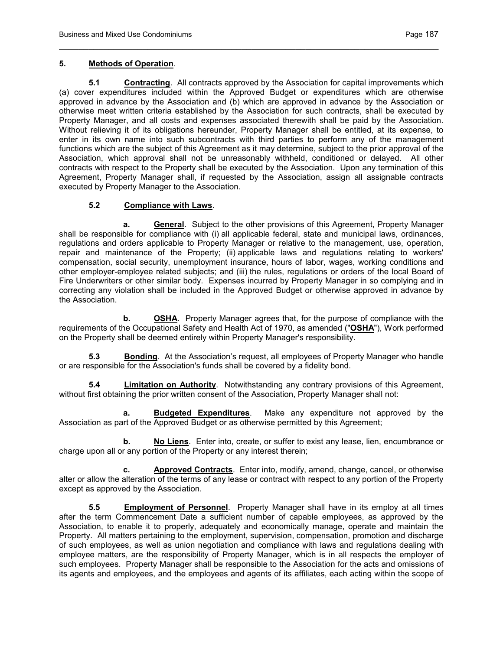### **5. Methods of Operation**.

**5.1 Contracting**. All contracts approved by the Association for capital improvements which (a) cover expenditures included within the Approved Budget or expenditures which are otherwise approved in advance by the Association and (b) which are approved in advance by the Association or otherwise meet written criteria established by the Association for such contracts, shall be executed by Property Manager, and all costs and expenses associated therewith shall be paid by the Association. Without relieving it of its obligations hereunder, Property Manager shall be entitled, at its expense, to enter in its own name into such subcontracts with third parties to perform any of the management functions which are the subject of this Agreement as it may determine, subject to the prior approval of the Association, which approval shall not be unreasonably withheld, conditioned or delayed. All other contracts with respect to the Property shall be executed by the Association. Upon any termination of this Agreement, Property Manager shall, if requested by the Association, assign all assignable contracts executed by Property Manager to the Association.

 $\mathcal{L}_\mathcal{L} = \{ \mathcal{L}_\mathcal{L} = \{ \mathcal{L}_\mathcal{L} = \{ \mathcal{L}_\mathcal{L} = \{ \mathcal{L}_\mathcal{L} = \{ \mathcal{L}_\mathcal{L} = \{ \mathcal{L}_\mathcal{L} = \{ \mathcal{L}_\mathcal{L} = \{ \mathcal{L}_\mathcal{L} = \{ \mathcal{L}_\mathcal{L} = \{ \mathcal{L}_\mathcal{L} = \{ \mathcal{L}_\mathcal{L} = \{ \mathcal{L}_\mathcal{L} = \{ \mathcal{L}_\mathcal{L} = \{ \mathcal{L}_\mathcal{$ 

### **5.2 Compliance with Laws**.

**a. General**. Subject to the other provisions of this Agreement, Property Manager shall be responsible for compliance with (i) all applicable federal, state and municipal laws, ordinances, regulations and orders applicable to Property Manager or relative to the management, use, operation, repair and maintenance of the Property; (ii) applicable laws and regulations relating to workers' compensation, social security, unemployment insurance, hours of labor, wages, working conditions and other employer-employee related subjects; and (iii) the rules, regulations or orders of the local Board of Fire Underwriters or other similar body. Expenses incurred by Property Manager in so complying and in correcting any violation shall be included in the Approved Budget or otherwise approved in advance by the Association.

**b. OSHA**. Property Manager agrees that, for the purpose of compliance with the requirements of the Occupational Safety and Health Act of 1970, as amended ("**OSHA**"), Work performed on the Property shall be deemed entirely within Property Manager's responsibility.

**5.3 Bonding**. At the Association's request, all employees of Property Manager who handle or are responsible for the Association's funds shall be covered by a fidelity bond.

**5.4 Limitation on Authority**. Notwithstanding any contrary provisions of this Agreement, without first obtaining the prior written consent of the Association, Property Manager shall not:

**a. Budgeted Expenditures**. Make any expenditure not approved by the Association as part of the Approved Budget or as otherwise permitted by this Agreement;

**b. No Liens**. Enter into, create, or suffer to exist any lease, lien, encumbrance or charge upon all or any portion of the Property or any interest therein;

**c. Approved Contracts**. Enter into, modify, amend, change, cancel, or otherwise alter or allow the alteration of the terms of any lease or contract with respect to any portion of the Property except as approved by the Association.

**5.5 Employment of Personnel**. Property Manager shall have in its employ at all times after the term Commencement Date a sufficient number of capable employees, as approved by the Association, to enable it to properly, adequately and economically manage, operate and maintain the Property. All matters pertaining to the employment, supervision, compensation, promotion and discharge of such employees, as well as union negotiation and compliance with laws and regulations dealing with employee matters, are the responsibility of Property Manager, which is in all respects the employer of such employees. Property Manager shall be responsible to the Association for the acts and omissions of its agents and employees, and the employees and agents of its affiliates, each acting within the scope of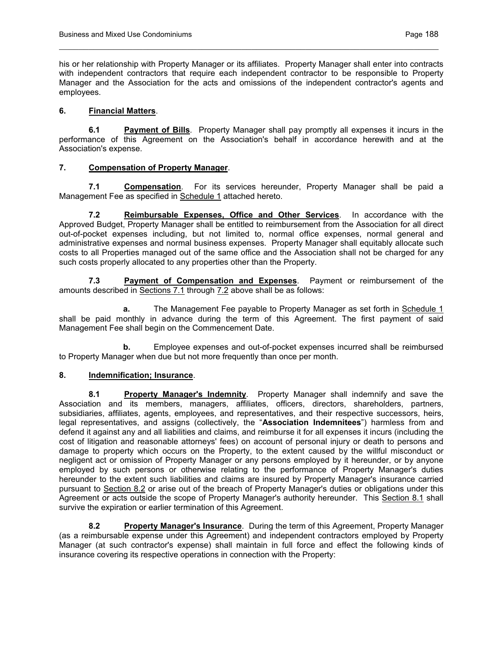his or her relationship with Property Manager or its affiliates. Property Manager shall enter into contracts with independent contractors that require each independent contractor to be responsible to Property Manager and the Association for the acts and omissions of the independent contractor's agents and employees.

 $\mathcal{L}_\mathcal{L} = \{ \mathcal{L}_\mathcal{L} = \{ \mathcal{L}_\mathcal{L} = \{ \mathcal{L}_\mathcal{L} = \{ \mathcal{L}_\mathcal{L} = \{ \mathcal{L}_\mathcal{L} = \{ \mathcal{L}_\mathcal{L} = \{ \mathcal{L}_\mathcal{L} = \{ \mathcal{L}_\mathcal{L} = \{ \mathcal{L}_\mathcal{L} = \{ \mathcal{L}_\mathcal{L} = \{ \mathcal{L}_\mathcal{L} = \{ \mathcal{L}_\mathcal{L} = \{ \mathcal{L}_\mathcal{L} = \{ \mathcal{L}_\mathcal{$ 

### **6. Financial Matters**.

**6.1 Payment of Bills**. Property Manager shall pay promptly all expenses it incurs in the performance of this Agreement on the Association's behalf in accordance herewith and at the Association's expense.

### **7. Compensation of Property Manager**.

**7.1 Compensation**. For its services hereunder, Property Manager shall be paid a Management Fee as specified in Schedule 1 attached hereto.

**7.2 Reimbursable Expenses, Office and Other Services**. In accordance with the Approved Budget, Property Manager shall be entitled to reimbursement from the Association for all direct out-of-pocket expenses including, but not limited to, normal office expenses, normal general and administrative expenses and normal business expenses. Property Manager shall equitably allocate such costs to all Properties managed out of the same office and the Association shall not be charged for any such costs properly allocated to any properties other than the Property.

**7.3 Payment of Compensation and Expenses**. Payment or reimbursement of the amounts described in Sections 7.1 through 7.2 above shall be as follows:

**a.** The Management Fee payable to Property Manager as set forth in Schedule 1 shall be paid monthly in advance during the term of this Agreement. The first payment of said Management Fee shall begin on the Commencement Date.

**b.** Employee expenses and out-of-pocket expenses incurred shall be reimbursed to Property Manager when due but not more frequently than once per month.

### **8. Indemnification; Insurance**.

**8.1 Property Manager's Indemnity**. Property Manager shall indemnify and save the Association and its members, managers, affiliates, officers, directors, shareholders, partners, subsidiaries, affiliates, agents, employees, and representatives, and their respective successors, heirs, legal representatives, and assigns (collectively, the "**Association Indemnitees**") harmless from and defend it against any and all liabilities and claims, and reimburse it for all expenses it incurs (including the cost of litigation and reasonable attorneys' fees) on account of personal injury or death to persons and damage to property which occurs on the Property, to the extent caused by the willful misconduct or negligent act or omission of Property Manager or any persons employed by it hereunder, or by anyone employed by such persons or otherwise relating to the performance of Property Manager's duties hereunder to the extent such liabilities and claims are insured by Property Manager's insurance carried pursuant to Section 8.2 or arise out of the breach of Property Manager's duties or obligations under this Agreement or acts outside the scope of Property Manager's authority hereunder. This Section 8.1 shall survive the expiration or earlier termination of this Agreement.

**8.2 Property Manager's Insurance**.During the term of this Agreement, Property Manager (as a reimbursable expense under this Agreement) and independent contractors employed by Property Manager (at such contractor's expense) shall maintain in full force and effect the following kinds of insurance covering its respective operations in connection with the Property: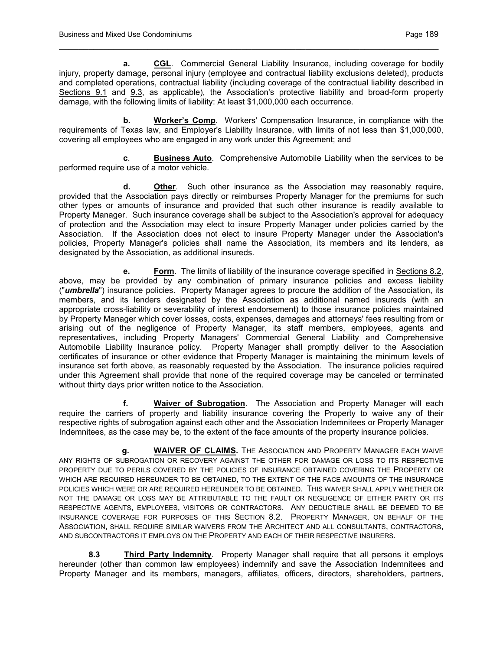**a. CGL.** Commercial General Liability Insurance, including coverage for bodily injury, property damage, personal injury (employee and contractual liability exclusions deleted), products and completed operations, contractual liability (including coverage of the contractual liability described in Sections 9.1 and 9.3, as applicable), the Association's protective liability and broad-form property damage, with the following limits of liability: At least \$1,000,000 each occurrence.

 $\mathcal{L}_\mathcal{L} = \{ \mathcal{L}_\mathcal{L} = \{ \mathcal{L}_\mathcal{L} = \{ \mathcal{L}_\mathcal{L} = \{ \mathcal{L}_\mathcal{L} = \{ \mathcal{L}_\mathcal{L} = \{ \mathcal{L}_\mathcal{L} = \{ \mathcal{L}_\mathcal{L} = \{ \mathcal{L}_\mathcal{L} = \{ \mathcal{L}_\mathcal{L} = \{ \mathcal{L}_\mathcal{L} = \{ \mathcal{L}_\mathcal{L} = \{ \mathcal{L}_\mathcal{L} = \{ \mathcal{L}_\mathcal{L} = \{ \mathcal{L}_\mathcal{$ 

**b. Worker's Comp**. Workers' Compensation Insurance, in compliance with the requirements of Texas law, and Employer's Liability Insurance, with limits of not less than \$1,000,000, covering all employees who are engaged in any work under this Agreement; and

**c**. **Business Auto**. Comprehensive Automobile Liability when the services to be performed require use of a motor vehicle.

**d. Other**. Such other insurance as the Association may reasonably require, provided that the Association pays directly or reimburses Property Manager for the premiums for such other types or amounts of insurance and provided that such other insurance is readily available to Property Manager. Such insurance coverage shall be subject to the Association's approval for adequacy of protection and the Association may elect to insure Property Manager under policies carried by the Association. If the Association does not elect to insure Property Manager under the Association's policies, Property Manager's policies shall name the Association, its members and its lenders, as designated by the Association, as additional insureds.

**e. Form**. The limits of liability of the insurance coverage specified in Sections 8.2, above, may be provided by any combination of primary insurance policies and excess liability ("*umbrella*") insurance policies. Property Manager agrees to procure the addition of the Association, its members, and its lenders designated by the Association as additional named insureds (with an appropriate cross-liability or severability of interest endorsement) to those insurance policies maintained by Property Manager which cover losses, costs, expenses, damages and attorneys' fees resulting from or arising out of the negligence of Property Manager, its staff members, employees, agents and representatives, including Property Managers' Commercial General Liability and Comprehensive Automobile Liability Insurance policy. Property Manager shall promptly deliver to the Association certificates of insurance or other evidence that Property Manager is maintaining the minimum levels of insurance set forth above, as reasonably requested by the Association. The insurance policies required under this Agreement shall provide that none of the required coverage may be canceled or terminated without thirty days prior written notice to the Association.

**f. Waiver of Subrogation**. The Association and Property Manager will each require the carriers of property and liability insurance covering the Property to waive any of their respective rights of subrogation against each other and the Association Indemnitees or Property Manager Indemnitees, as the case may be, to the extent of the face amounts of the property insurance policies.

**g. WAIVER OF CLAIMS.** THE ASSOCIATION AND PROPERTY MANAGER EACH WAIVE ANY RIGHTS OF SUBROGATION OR RECOVERY AGAINST THE OTHER FOR DAMAGE OR LOSS TO ITS RESPECTIVE PROPERTY DUE TO PERILS COVERED BY THE POLICIES OF INSURANCE OBTAINED COVERING THE PROPERTY OR WHICH ARE REQUIRED HEREUNDER TO BE OBTAINED, TO THE EXTENT OF THE FACE AMOUNTS OF THE INSURANCE POLICIES WHICH WERE OR ARE REQUIRED HEREUNDER TO BE OBTAINED. THIS WAIVER SHALL APPLY WHETHER OR NOT THE DAMAGE OR LOSS MAY BE ATTRIBUTABLE TO THE FAULT OR NEGLIGENCE OF EITHER PARTY OR ITS RESPECTIVE AGENTS, EMPLOYEES, VISITORS OR CONTRACTORS. ANY DEDUCTIBLE SHALL BE DEEMED TO BE INSURANCE COVERAGE FOR PURPOSES OF THIS SECTION 8.2. PROPERTY MANAGER, ON BEHALF OF THE ASSOCIATION, SHALL REQUIRE SIMILAR WAIVERS FROM THE ARCHITECT AND ALL CONSULTANTS, CONTRACTORS, AND SUBCONTRACTORS IT EMPLOYS ON THE PROPERTY AND EACH OF THEIR RESPECTIVE INSURERS.

**8.3 Third Party Indemnity**. Property Manager shall require that all persons it employs hereunder (other than common law employees) indemnify and save the Association Indemnitees and Property Manager and its members, managers, affiliates, officers, directors, shareholders, partners,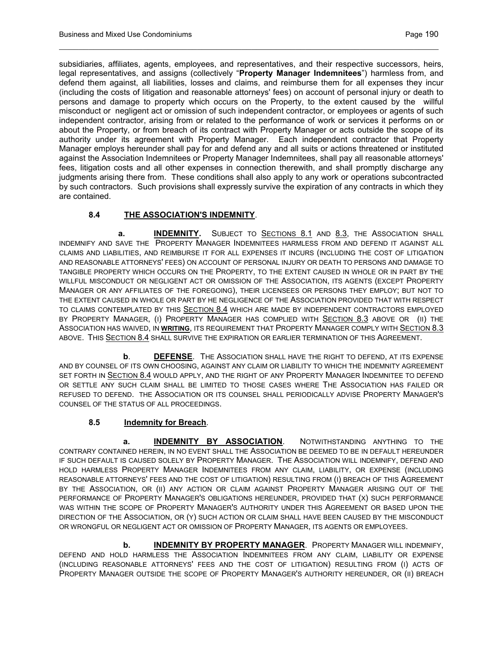subsidiaries, affiliates, agents, employees, and representatives, and their respective successors, heirs, legal representatives, and assigns (collectively "**Property Manager Indemnitees**") harmless from, and defend them against, all liabilities, losses and claims, and reimburse them for all expenses they incur (including the costs of litigation and reasonable attorneys' fees) on account of personal injury or death to persons and damage to property which occurs on the Property, to the extent caused by the willful misconduct or negligent act or omission of such independent contractor, or employees or agents of such independent contractor, arising from or related to the performance of work or services it performs on or about the Property, or from breach of its contract with Property Manager or acts outside the scope of its authority under its agreement with Property Manager. Each independent contractor that Property Manager employs hereunder shall pay for and defend any and all suits or actions threatened or instituted against the Association Indemnitees or Property Manager Indemnitees, shall pay all reasonable attorneys' fees, litigation costs and all other expenses in connection therewith, and shall promptly discharge any judgments arising there from. These conditions shall also apply to any work or operations subcontracted by such contractors. Such provisions shall expressly survive the expiration of any contracts in which they are contained.

 $\mathcal{L}_\mathcal{L} = \{ \mathcal{L}_\mathcal{L} = \{ \mathcal{L}_\mathcal{L} = \{ \mathcal{L}_\mathcal{L} = \{ \mathcal{L}_\mathcal{L} = \{ \mathcal{L}_\mathcal{L} = \{ \mathcal{L}_\mathcal{L} = \{ \mathcal{L}_\mathcal{L} = \{ \mathcal{L}_\mathcal{L} = \{ \mathcal{L}_\mathcal{L} = \{ \mathcal{L}_\mathcal{L} = \{ \mathcal{L}_\mathcal{L} = \{ \mathcal{L}_\mathcal{L} = \{ \mathcal{L}_\mathcal{L} = \{ \mathcal{L}_\mathcal{$ 

# **8.4 THE ASSOCIATION'S INDEMNITY**.

**a. INDEMNITY.** SUBJECT TO SECTIONS 8.1 AND 8.3, THE ASSOCIATION SHALL INDEMNIFY AND SAVE THE PROPERTY MANAGER INDEMNITEES HARMLESS FROM AND DEFEND IT AGAINST ALL CLAIMS AND LIABILITIES, AND REIMBURSE IT FOR ALL EXPENSES IT INCURS (INCLUDING THE COST OF LITIGATION AND REASONABLE ATTORNEYS' FEES) ON ACCOUNT OF PERSONAL INJURY OR DEATH TO PERSONS AND DAMAGE TO TANGIBLE PROPERTY WHICH OCCURS ON THE PROPERTY, TO THE EXTENT CAUSED IN WHOLE OR IN PART BY THE WILLFUL MISCONDUCT OR NEGLIGENT ACT OR OMISSION OF THE ASSOCIATION, ITS AGENTS (EXCEPT PROPERTY MANAGER OR ANY AFFILIATES OF THE FOREGOING), THEIR LICENSEES OR PERSONS THEY EMPLOY; BUT NOT TO THE EXTENT CAUSED IN WHOLE OR PART BY HE NEGLIGENCE OF THE ASSOCIATION PROVIDED THAT WITH RESPECT TO CLAIMS CONTEMPLATED BY THIS SECTION 8.4 WHICH ARE MADE BY INDEPENDENT CONTRACTORS EMPLOYED BY PROPERTY MANAGER, (I) PROPERTY MANAGER HAS COMPLIED WITH SECTION 8.3 ABOVE OR (II) THE ASSOCIATION HAS WAIVED, IN **WRITING**, ITS REQUIREMENT THAT PROPERTY MANAGER COMPLY WITH SECTION 8.3 ABOVE. THIS SECTION 8.4 SHALL SURVIVE THE EXPIRATION OR EARLIER TERMINATION OF THIS AGREEMENT.

**b**. **DEFENSE**. THE ASSOCIATION SHALL HAVE THE RIGHT TO DEFEND, AT ITS EXPENSE AND BY COUNSEL OF ITS OWN CHOOSING, AGAINST ANY CLAIM OR LIABILITY TO WHICH THE INDEMNITY AGREEMENT SET FORTH IN SECTION 8.4 WOULD APPLY, AND THE RIGHT OF ANY PROPERTY MANAGER INDEMNITEE TO DEFEND OR SETTLE ANY SUCH CLAIM SHALL BE LIMITED TO THOSE CASES WHERE THE ASSOCIATION HAS FAILED OR REFUSED TO DEFEND. THE ASSOCIATION OR ITS COUNSEL SHALL PERIODICALLY ADVISE PROPERTY MANAGER'S COUNSEL OF THE STATUS OF ALL PROCEEDINGS.

### **8.5 Indemnity for Breach**.

**a. INDEMNITY BY ASSOCIATION**. NOTWITHSTANDING ANYTHING TO THE CONTRARY CONTAINED HEREIN, IN NO EVENT SHALL THE ASSOCIATION BE DEEMED TO BE IN DEFAULT HEREUNDER IF SUCH DEFAULT IS CAUSED SOLELY BY PROPERTY MANAGER. THE ASSOCIATION WILL INDEMNIFY, DEFEND AND HOLD HARMLESS PROPERTY MANAGER INDEMNITEES FROM ANY CLAIM, LIABILITY, OR EXPENSE (INCLUDING REASONABLE ATTORNEYS' FEES AND THE COST OF LITIGATION) RESULTING FROM (I) BREACH OF THIS AGREEMENT BY THE ASSOCIATION, OR (II) ANY ACTION OR CLAIM AGAINST PROPERTY MANAGER ARISING OUT OF THE PERFORMANCE OF PROPERTY MANAGER'S OBLIGATIONS HEREUNDER, PROVIDED THAT (X) SUCH PERFORMANCE WAS WITHIN THE SCOPE OF PROPERTY MANAGER'S AUTHORITY UNDER THIS AGREEMENT OR BASED UPON THE DIRECTION OF THE ASSOCIATION, OR (Y) SUCH ACTION OR CLAIM SHALL HAVE BEEN CAUSED BY THE MISCONDUCT OR WRONGFUL OR NEGLIGENT ACT OR OMISSION OF PROPERTY MANAGER, ITS AGENTS OR EMPLOYEES.

**b. INDEMNITY BY PROPERTY MANAGER**. PROPERTY MANAGER WILL INDEMNIFY, DEFEND AND HOLD HARMLESS THE ASSOCIATION INDEMNITEES FROM ANY CLAIM, LIABILITY OR EXPENSE (INCLUDING REASONABLE ATTORNEYS' FEES AND THE COST OF LITIGATION) RESULTING FROM (I) ACTS OF PROPERTY MANAGER OUTSIDE THE SCOPE OF PROPERTY MANAGER'S AUTHORITY HEREUNDER, OR (II) BREACH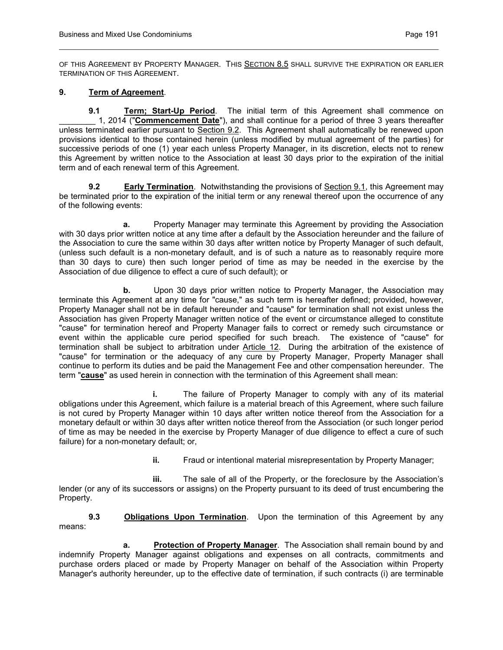OF THIS AGREEMENT BY PROPERTY MANAGER. THIS SECTION 8.5 SHALL SURVIVE THE EXPIRATION OR EARLIER TERMINATION OF THIS AGREEMENT.

 $\mathcal{L}_\mathcal{L} = \{ \mathcal{L}_\mathcal{L} = \{ \mathcal{L}_\mathcal{L} = \{ \mathcal{L}_\mathcal{L} = \{ \mathcal{L}_\mathcal{L} = \{ \mathcal{L}_\mathcal{L} = \{ \mathcal{L}_\mathcal{L} = \{ \mathcal{L}_\mathcal{L} = \{ \mathcal{L}_\mathcal{L} = \{ \mathcal{L}_\mathcal{L} = \{ \mathcal{L}_\mathcal{L} = \{ \mathcal{L}_\mathcal{L} = \{ \mathcal{L}_\mathcal{L} = \{ \mathcal{L}_\mathcal{L} = \{ \mathcal{L}_\mathcal{$ 

#### **9. Term of Agreement**.

**9.1 Term; Start-Up Period**. The initial term of this Agreement shall commence on \_\_\_\_\_\_\_\_ 1, 2014 ("**Commencement Date**"), and shall continue for a period of three 3 years thereafter unless terminated earlier pursuant to Section 9.2. This Agreement shall automatically be renewed upon provisions identical to those contained herein (unless modified by mutual agreement of the parties) for successive periods of one (1) year each unless Property Manager, in its discretion, elects not to renew this Agreement by written notice to the Association at least 30 days prior to the expiration of the initial term and of each renewal term of this Agreement.

**9.2 Early Termination**. Notwithstanding the provisions of Section 9.1, this Agreement may be terminated prior to the expiration of the initial term or any renewal thereof upon the occurrence of any of the following events:

**a.** Property Manager may terminate this Agreement by providing the Association with 30 days prior written notice at any time after a default by the Association hereunder and the failure of the Association to cure the same within 30 days after written notice by Property Manager of such default, (unless such default is a non-monetary default, and is of such a nature as to reasonably require more than 30 days to cure) then such longer period of time as may be needed in the exercise by the Association of due diligence to effect a cure of such default); or

**b.** Upon 30 days prior written notice to Property Manager, the Association may terminate this Agreement at any time for "cause," as such term is hereafter defined; provided, however, Property Manager shall not be in default hereunder and "cause" for termination shall not exist unless the Association has given Property Manager written notice of the event or circumstance alleged to constitute "cause" for termination hereof and Property Manager fails to correct or remedy such circumstance or event within the applicable cure period specified for such breach. The existence of "cause" for termination shall be subject to arbitration under Article 12. During the arbitration of the existence of "cause" for termination or the adequacy of any cure by Property Manager, Property Manager shall continue to perform its duties and be paid the Management Fee and other compensation hereunder. The term "**cause**" as used herein in connection with the termination of this Agreement shall mean:

**i.** The failure of Property Manager to comply with any of its material obligations under this Agreement, which failure is a material breach of this Agreement, where such failure is not cured by Property Manager within 10 days after written notice thereof from the Association for a monetary default or within 30 days after written notice thereof from the Association (or such longer period of time as may be needed in the exercise by Property Manager of due diligence to effect a cure of such failure) for a non-monetary default; or,

**ii.** Fraud or intentional material misrepresentation by Property Manager;

**iii.** The sale of all of the Property, or the foreclosure by the Association's lender (or any of its successors or assigns) on the Property pursuant to its deed of trust encumbering the Property.

**9.3 Obligations Upon Termination**. Upon the termination of this Agreement by any means:

**a. Protection of Property Manager**. The Association shall remain bound by and indemnify Property Manager against obligations and expenses on all contracts, commitments and purchase orders placed or made by Property Manager on behalf of the Association within Property Manager's authority hereunder, up to the effective date of termination, if such contracts (i) are terminable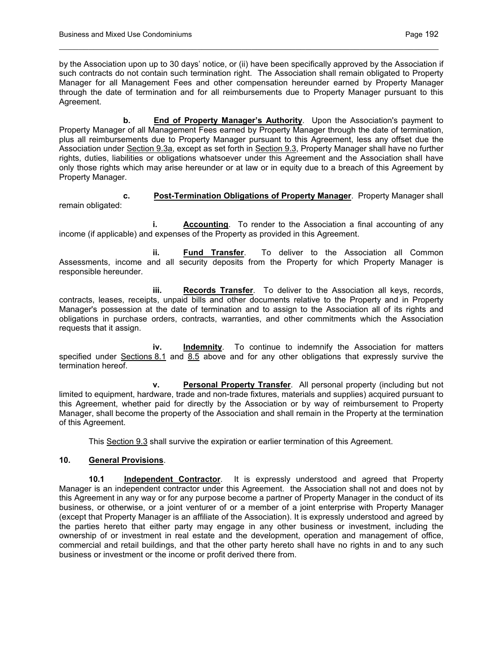by the Association upon up to 30 days' notice, or (ii) have been specifically approved by the Association if such contracts do not contain such termination right. The Association shall remain obligated to Property Manager for all Management Fees and other compensation hereunder earned by Property Manager through the date of termination and for all reimbursements due to Property Manager pursuant to this Agreement.

 $\mathcal{L}_\mathcal{L} = \{ \mathcal{L}_\mathcal{L} = \{ \mathcal{L}_\mathcal{L} = \{ \mathcal{L}_\mathcal{L} = \{ \mathcal{L}_\mathcal{L} = \{ \mathcal{L}_\mathcal{L} = \{ \mathcal{L}_\mathcal{L} = \{ \mathcal{L}_\mathcal{L} = \{ \mathcal{L}_\mathcal{L} = \{ \mathcal{L}_\mathcal{L} = \{ \mathcal{L}_\mathcal{L} = \{ \mathcal{L}_\mathcal{L} = \{ \mathcal{L}_\mathcal{L} = \{ \mathcal{L}_\mathcal{L} = \{ \mathcal{L}_\mathcal{$ 

**b. End of Property Manager's Authority**. Upon the Association's payment to Property Manager of all Management Fees earned by Property Manager through the date of termination, plus all reimbursements due to Property Manager pursuant to this Agreement, less any offset due the Association under Section 9.3a, except as set forth in Section 9.3, Property Manager shall have no further rights, duties, liabilities or obligations whatsoever under this Agreement and the Association shall have only those rights which may arise hereunder or at law or in equity due to a breach of this Agreement by Property Manager.

**c. Post-Termination Obligations of Property Manager**. Property Manager shall remain obligated:

**i. Accounting**. To render to the Association a final accounting of any income (if applicable) and expenses of the Property as provided in this Agreement.

**ii. Fund Transfer**. To deliver to the Association all Common Assessments, income and all security deposits from the Property for which Property Manager is responsible hereunder.

**iii. Records Transfer**. To deliver to the Association all keys, records, contracts, leases, receipts, unpaid bills and other documents relative to the Property and in Property Manager's possession at the date of termination and to assign to the Association all of its rights and obligations in purchase orders, contracts, warranties, and other commitments which the Association requests that it assign.

**iv. Indemnity**. To continue to indemnify the Association for matters specified under Sections 8.1 and 8.5 above and for any other obligations that expressly survive the termination hereof.

**v. Personal Property Transfer**. All personal property (including but not limited to equipment, hardware, trade and non-trade fixtures, materials and supplies) acquired pursuant to this Agreement, whether paid for directly by the Association or by way of reimbursement to Property Manager, shall become the property of the Association and shall remain in the Property at the termination of this Agreement.

This Section 9.3 shall survive the expiration or earlier termination of this Agreement.

### **10. General Provisions**.

**10.1 Independent Contractor**. It is expressly understood and agreed that Property Manager is an independent contractor under this Agreement. the Association shall not and does not by this Agreement in any way or for any purpose become a partner of Property Manager in the conduct of its business, or otherwise, or a joint venturer of or a member of a joint enterprise with Property Manager (except that Property Manager is an affiliate of the Association). It is expressly understood and agreed by the parties hereto that either party may engage in any other business or investment, including the ownership of or investment in real estate and the development, operation and management of office, commercial and retail buildings, and that the other party hereto shall have no rights in and to any such business or investment or the income or profit derived there from.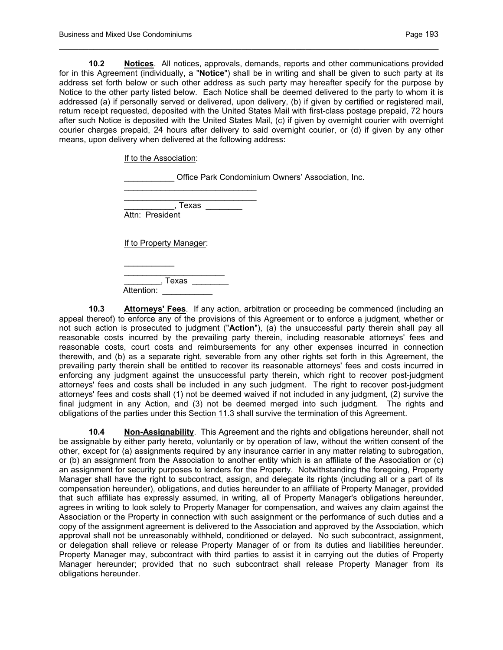**10.2 Notices**. All notices, approvals, demands, reports and other communications provided for in this Agreement (individually, a "**Notice**") shall be in writing and shall be given to such party at its address set forth below or such other address as such party may hereafter specify for the purpose by Notice to the other party listed below. Each Notice shall be deemed delivered to the party to whom it is addressed (a) if personally served or delivered, upon delivery, (b) if given by certified or registered mail, return receipt requested, deposited with the United States Mail with first-class postage prepaid, 72 hours after such Notice is deposited with the United States Mail, (c) if given by overnight courier with overnight courier charges prepaid, 24 hours after delivery to said overnight courier, or (d) if given by any other means, upon delivery when delivered at the following address:

 $\mathcal{L}_\mathcal{L} = \{ \mathcal{L}_\mathcal{L} = \{ \mathcal{L}_\mathcal{L} = \{ \mathcal{L}_\mathcal{L} = \{ \mathcal{L}_\mathcal{L} = \{ \mathcal{L}_\mathcal{L} = \{ \mathcal{L}_\mathcal{L} = \{ \mathcal{L}_\mathcal{L} = \{ \mathcal{L}_\mathcal{L} = \{ \mathcal{L}_\mathcal{L} = \{ \mathcal{L}_\mathcal{L} = \{ \mathcal{L}_\mathcal{L} = \{ \mathcal{L}_\mathcal{L} = \{ \mathcal{L}_\mathcal{L} = \{ \mathcal{L}_\mathcal{$ 

If to the Association:

\_\_\_\_\_\_\_\_\_\_\_ Office Park Condominium Owners' Association, Inc.

 $\overline{R}$ , Texas  $\overline{R}$ 

 $\mathcal{L}_\text{max}$  , where  $\mathcal{L}_\text{max}$  , we are the set of the set of the set of the set of the set of the set of the set of the set of the set of the set of the set of the set of the set of the set of the set of the set of \_\_\_\_\_\_\_\_\_\_\_\_\_\_\_\_\_\_\_\_\_\_\_\_\_\_\_\_\_

Attn: President

 $\frac{1}{2}$ 

If to Property Manager:

 $\mathcal{L}=\{1,2,3,4,5\}$ \_\_\_\_\_\_\_\_\_\_, Texas \_\_\_\_\_\_\_\_\_ Attention: \_\_\_\_\_\_\_\_\_\_\_\_

**10.3 Attorneys' Fees**. If any action, arbitration or proceeding be commenced (including an appeal thereof) to enforce any of the provisions of this Agreement or to enforce a judgment, whether or not such action is prosecuted to judgment ("**Action**"), (a) the unsuccessful party therein shall pay all reasonable costs incurred by the prevailing party therein, including reasonable attorneys' fees and reasonable costs, court costs and reimbursements for any other expenses incurred in connection therewith, and (b) as a separate right, severable from any other rights set forth in this Agreement, the prevailing party therein shall be entitled to recover its reasonable attorneys' fees and costs incurred in enforcing any judgment against the unsuccessful party therein, which right to recover post-judgment attorneys' fees and costs shall be included in any such judgment. The right to recover post-judgment attorneys' fees and costs shall (1) not be deemed waived if not included in any judgment, (2) survive the final judgment in any Action, and (3) not be deemed merged into such judgment. The rights and obligations of the parties under this Section 11.3 shall survive the termination of this Agreement.

**10.4 Non-Assignability**. This Agreement and the rights and obligations hereunder, shall not be assignable by either party hereto, voluntarily or by operation of law, without the written consent of the other, except for (a) assignments required by any insurance carrier in any matter relating to subrogation, or (b) an assignment from the Association to another entity which is an affiliate of the Association or (c) an assignment for security purposes to lenders for the Property. Notwithstanding the foregoing, Property Manager shall have the right to subcontract, assign, and delegate its rights (including all or a part of its compensation hereunder), obligations, and duties hereunder to an affiliate of Property Manager, provided that such affiliate has expressly assumed, in writing, all of Property Manager's obligations hereunder, agrees in writing to look solely to Property Manager for compensation, and waives any claim against the Association or the Property in connection with such assignment or the performance of such duties and a copy of the assignment agreement is delivered to the Association and approved by the Association, which approval shall not be unreasonably withheld, conditioned or delayed. No such subcontract, assignment, or delegation shall relieve or release Property Manager of or from its duties and liabilities hereunder. Property Manager may, subcontract with third parties to assist it in carrying out the duties of Property Manager hereunder; provided that no such subcontract shall release Property Manager from its obligations hereunder.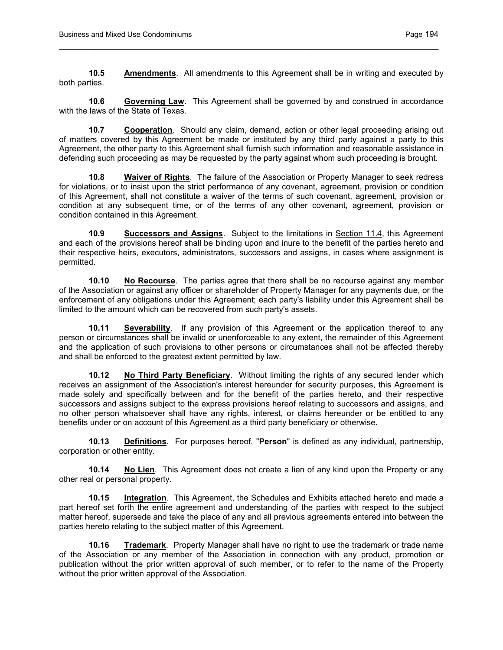**10.5 Amendments**. All amendments to this Agreement shall be in writing and executed by both parties.

 $\mathcal{L}_\mathcal{L} = \{ \mathcal{L}_\mathcal{L} = \{ \mathcal{L}_\mathcal{L} = \{ \mathcal{L}_\mathcal{L} = \{ \mathcal{L}_\mathcal{L} = \{ \mathcal{L}_\mathcal{L} = \{ \mathcal{L}_\mathcal{L} = \{ \mathcal{L}_\mathcal{L} = \{ \mathcal{L}_\mathcal{L} = \{ \mathcal{L}_\mathcal{L} = \{ \mathcal{L}_\mathcal{L} = \{ \mathcal{L}_\mathcal{L} = \{ \mathcal{L}_\mathcal{L} = \{ \mathcal{L}_\mathcal{L} = \{ \mathcal{L}_\mathcal{$ 

**10.6 Governing Law**. This Agreement shall be governed by and construed in accordance with the laws of the State of Texas.

**10.7 Cooperation**. Should any claim, demand, action or other legal proceeding arising out of matters covered by this Agreement be made or instituted by any third party against a party to this Agreement, the other party to this Agreement shall furnish such information and reasonable assistance in defending such proceeding as may be requested by the party against whom such proceeding is brought.

**10.8 Waiver of Rights**. The failure of the Association or Property Manager to seek redress for violations, or to insist upon the strict performance of any covenant, agreement, provision or condition of this Agreement, shall not constitute a waiver of the terms of such covenant, agreement, provision or condition at any subsequent time, or of the terms of any other covenant, agreement, provision or condition contained in this Agreement.

**10.9 Successors and Assigns**. Subject to the limitations in Section 11.4, this Agreement and each of the provisions hereof shall be binding upon and inure to the benefit of the parties hereto and their respective heirs, executors, administrators, successors and assigns, in cases where assignment is permitted.

**10.10 No Recourse**. The parties agree that there shall be no recourse against any member of the Association or against any officer or shareholder of Property Manager for any payments due, or the enforcement of any obligations under this Agreement; each party's liability under this Agreement shall be limited to the amount which can be recovered from such party's assets.

**10.11 Severability**. If any provision of this Agreement or the application thereof to any person or circumstances shall be invalid or unenforceable to any extent, the remainder of this Agreement and the application of such provisions to other persons or circumstances shall not be affected thereby and shall be enforced to the greatest extent permitted by law.

**10.12 No Third Party Beneficiary**. Without limiting the rights of any secured lender which receives an assignment of the Association's interest hereunder for security purposes, this Agreement is made solely and specifically between and for the benefit of the parties hereto, and their respective successors and assigns subject to the express provisions hereof relating to successors and assigns, and no other person whatsoever shall have any rights, interest, or claims hereunder or be entitled to any benefits under or on account of this Agreement as a third party beneficiary or otherwise.

**10.13 Definitions**. For purposes hereof, "**Person**" is defined as any individual, partnership, corporation or other entity.

**10.14 No Lien**. This Agreement does not create a lien of any kind upon the Property or any other real or personal property.

**10.15 Integration**. This Agreement, the Schedules and Exhibits attached hereto and made a part hereof set forth the entire agreement and understanding of the parties with respect to the subject matter hereof, supersede and take the place of any and all previous agreements entered into between the parties hereto relating to the subject matter of this Agreement.

**10.16 Trademark**. Property Manager shall have no right to use the trademark or trade name of the Association or any member of the Association in connection with any product, promotion or publication without the prior written approval of such member, or to refer to the name of the Property without the prior written approval of the Association.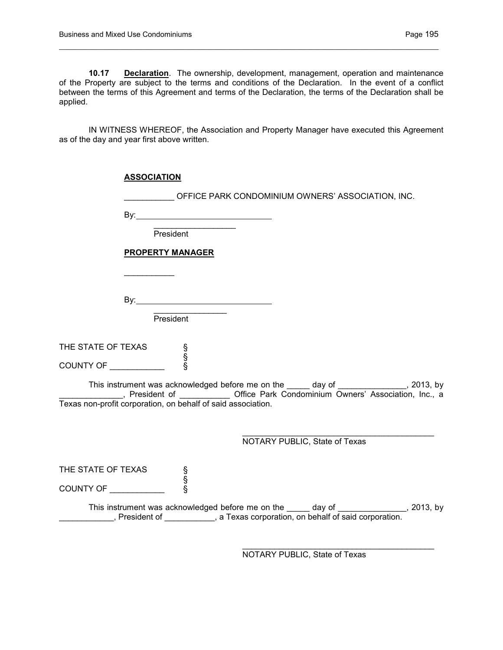**10.17 Declaration**. The ownership, development, management, operation and maintenance of the Property are subject to the terms and conditions of the Declaration. In the event of a conflict between the terms of this Agreement and terms of the Declaration, the terms of the Declaration shall be applied.

 $\mathcal{L}_\mathcal{L} = \{ \mathcal{L}_\mathcal{L} = \{ \mathcal{L}_\mathcal{L} = \{ \mathcal{L}_\mathcal{L} = \{ \mathcal{L}_\mathcal{L} = \{ \mathcal{L}_\mathcal{L} = \{ \mathcal{L}_\mathcal{L} = \{ \mathcal{L}_\mathcal{L} = \{ \mathcal{L}_\mathcal{L} = \{ \mathcal{L}_\mathcal{L} = \{ \mathcal{L}_\mathcal{L} = \{ \mathcal{L}_\mathcal{L} = \{ \mathcal{L}_\mathcal{L} = \{ \mathcal{L}_\mathcal{L} = \{ \mathcal{L}_\mathcal{$ 

IN WITNESS WHEREOF, the Association and Property Manager have executed this Agreement as of the day and year first above written.

#### **ASSOCIATION**

OFFICE PARK CONDOMINIUM OWNERS' ASSOCIATION, INC.

By:

 $\overline{\phantom{a}}$  . The set of the set of the set of the set of the set of the set of the set of the set of the set of the set of the set of the set of the set of the set of the set of the set of the set of the set of the set o **President** 

#### **PROPERTY MANAGER**

 $\frac{1}{2}$ 

By: **Example 20**  $\mathcal{L}$  . The set of the set of the set of the set of the set of the set of the set of the set of the set of the set of the set of the set of the set of the set of the set of the set of the set of the set of the set of t

**President** 

§

THE STATE OF TEXAS § COUNTY OF \_\_\_\_\_\_\_\_\_\_\_

This instrument was acknowledged before me on the \_\_\_\_\_\_ day of \_\_\_\_\_\_\_\_\_\_\_\_\_\_\_, 2013, by \_\_\_\_\_\_\_\_\_\_\_\_\_\_, President of \_\_\_\_\_\_\_\_\_\_\_ Office Park Condominium Owners' Association, Inc., a Texas non-profit corporation, on behalf of said association.

#### NOTARY PUBLIC, State of Texas

 $\mathcal{L}_\text{max}$  , and the contract of the contract of the contract of the contract of the contract of the contract of the contract of the contract of the contract of the contract of the contract of the contract of the contr

 $\mathcal{L}_\text{max}$  , and the contract of the contract of the contract of the contract of the contract of the contract of the contract of the contract of the contract of the contract of the contract of the contract of the contr

THE STATE OF TEXAS §<br>§ COUNTY OF \_\_\_\_\_\_\_\_\_\_\_\_ §

This instrument was acknowledged before me on the \_\_\_\_\_\_ day of \_\_\_\_\_\_\_\_\_\_\_\_\_\_, 2013, by \_\_\_\_\_\_\_\_\_\_\_\_, President of \_\_\_\_\_\_\_\_\_\_\_, a Texas corporation, on behalf of said corporation.

NOTARY PUBLIC, State of Texas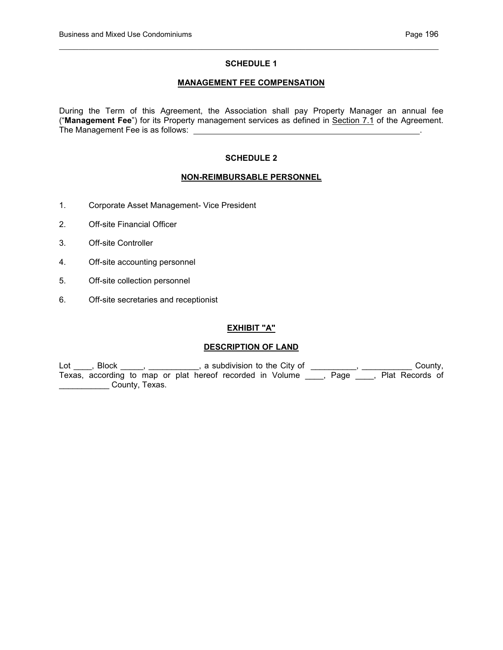### **SCHEDULE 1**

 $\mathcal{L}_\mathcal{L} = \{ \mathcal{L}_\mathcal{L} = \{ \mathcal{L}_\mathcal{L} = \{ \mathcal{L}_\mathcal{L} = \{ \mathcal{L}_\mathcal{L} = \{ \mathcal{L}_\mathcal{L} = \{ \mathcal{L}_\mathcal{L} = \{ \mathcal{L}_\mathcal{L} = \{ \mathcal{L}_\mathcal{L} = \{ \mathcal{L}_\mathcal{L} = \{ \mathcal{L}_\mathcal{L} = \{ \mathcal{L}_\mathcal{L} = \{ \mathcal{L}_\mathcal{L} = \{ \mathcal{L}_\mathcal{L} = \{ \mathcal{L}_\mathcal{$ 

#### **MANAGEMENT FEE COMPENSATION**

During the Term of this Agreement, the Association shall pay Property Manager an annual fee ("**Management Fee**") for its Property management services as defined in Section 7.1 of the Agreement. The Management Fee is as follows:

#### **SCHEDULE 2**

#### **NON-REIMBURSABLE PERSONNEL**

- 1. Corporate Asset Management- Vice President
- 2. Off-site Financial Officer
- 3. Off-site Controller
- 4. Off-site accounting personnel
- 5. Off-site collection personnel
- 6. Off-site secretaries and receptionist

### **EXHIBIT "A"**

### **DESCRIPTION OF LAND**

Lot \_\_\_\_, Block \_\_\_\_\_, \_\_\_\_\_\_\_\_\_\_, a subdivision to the City of  $\_\_\_\_\_\_\$  \_\_\_\_\_\_\_,  $\_\_\_\_\_\_\_\_$  County, Texas, according to map or plat hereof recorded in Volume \_\_\_\_, Page \_\_\_\_, Plat Records of \_\_\_\_\_\_\_\_\_\_\_ County, Texas.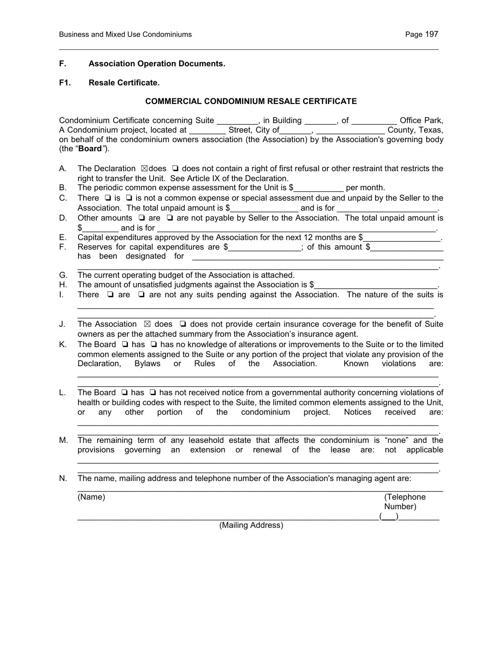#### **F. Association Operation Documents.**

#### **F1. Resale Certificate.**

#### **COMMERCIAL CONDOMINIUM RESALE CERTIFICATE**

 $\mathcal{L}_\mathcal{L} = \{ \mathcal{L}_\mathcal{L} = \{ \mathcal{L}_\mathcal{L} = \{ \mathcal{L}_\mathcal{L} = \{ \mathcal{L}_\mathcal{L} = \{ \mathcal{L}_\mathcal{L} = \{ \mathcal{L}_\mathcal{L} = \{ \mathcal{L}_\mathcal{L} = \{ \mathcal{L}_\mathcal{L} = \{ \mathcal{L}_\mathcal{L} = \{ \mathcal{L}_\mathcal{L} = \{ \mathcal{L}_\mathcal{L} = \{ \mathcal{L}_\mathcal{L} = \{ \mathcal{L}_\mathcal{L} = \{ \mathcal{L}_\mathcal{$ 

Condominium Certificate concerning Suite \_\_\_\_\_\_\_\_\_, in Building \_\_\_\_\_\_\_, of \_\_\_\_\_\_\_\_\_\_ Office Park, A Condominium project, located at \_\_\_\_\_\_\_\_\_\_ Street, City of \_\_\_\_\_\_, \_\_\_\_\_\_\_\_\_\_\_\_\_ County, Texas, on behalf of the condominium owners association (the Association) by the Association's governing body (the "**Board***"*).

- A. The Declaration  $\boxtimes$ does  $\Box$  does not contain a right of first refusal or other restraint that restricts the right to transfer the Unit. See Article IX of the Declaration.
- B. The periodic common expense assessment for the Unit is \$ \_\_\_\_\_\_\_\_\_\_\_ per month.
- C. There ❏ is ❏ is not a common expense or special assessment due and unpaid by the Seller to the Association. The total unpaid amount is \$\_\_\_\_\_\_\_\_\_\_\_\_\_\_\_ and is for \_\_\_\_\_\_\_\_\_\_\_\_\_\_\_\_\_\_\_\_\_\_.
- D. Other amounts ❏ are ❏ are not payable by Seller to the Association. The total unpaid amount is  $\text{\$} \qquad \qquad \text{and is for}$
- E. Capital expenditures approved by the Association for the next 12 months are \$
- F. Reserves for capital expenditures are \$\_\_\_\_\_\_\_\_\_\_\_\_\_; of this amount \$\_\_\_\_\_\_\_\_ has been designated for **with the set of the set of the set of the set of the set of the set of the set of the s**
- G. The current operating budget of the Association is attached.
- H. The amount of unsatisfied judgments against the Association is \$
- I. There  $\Box$  are  $\Box$  are not any suits pending against the Association. The nature of the suits is  $\mathcal{L}_\text{max}$  , and the set of the set of the set of the set of the set of the set of the set of the set of the set of the set of the set of the set of the set of the set of the set of the set of the set of the set of the

 $\mathcal{L}_\mathcal{L} = \mathcal{L}_\mathcal{L} = \mathcal{L}_\mathcal{L} = \mathcal{L}_\mathcal{L} = \mathcal{L}_\mathcal{L} = \mathcal{L}_\mathcal{L} = \mathcal{L}_\mathcal{L} = \mathcal{L}_\mathcal{L} = \mathcal{L}_\mathcal{L} = \mathcal{L}_\mathcal{L} = \mathcal{L}_\mathcal{L} = \mathcal{L}_\mathcal{L} = \mathcal{L}_\mathcal{L} = \mathcal{L}_\mathcal{L} = \mathcal{L}_\mathcal{L} = \mathcal{L}_\mathcal{L} = \mathcal{L}_\mathcal{L}$ 

J. The Association  $\boxtimes$  does  $\Box$  does not provide certain insurance coverage for the benefit of Suite owners as per the attached summary from the Association's insurance agent.

 $\mathcal{L}_\mathcal{L} = \{ \mathcal{L}_\mathcal{L} = \{ \mathcal{L}_\mathcal{L} = \{ \mathcal{L}_\mathcal{L} = \{ \mathcal{L}_\mathcal{L} = \{ \mathcal{L}_\mathcal{L} = \{ \mathcal{L}_\mathcal{L} = \{ \mathcal{L}_\mathcal{L} = \{ \mathcal{L}_\mathcal{L} = \{ \mathcal{L}_\mathcal{L} = \{ \mathcal{L}_\mathcal{L} = \{ \mathcal{L}_\mathcal{L} = \{ \mathcal{L}_\mathcal{L} = \{ \mathcal{L}_\mathcal{L} = \{ \mathcal{L}_\mathcal{$ 

- K. The Board ❏ has ❏ has no knowledge of alterations or improvements to the Suite or to the limited common elements assigned to the Suite or any portion of the project that violate any provision of the Declaration, Bylaws or Rules of the Association. Known violations are:  $\mathcal{L}_\text{max}$  , and the set of the set of the set of the set of the set of the set of the set of the set of the set of the set of the set of the set of the set of the set of the set of the set of the set of the set of the
- L. The Board ❏ has ❏ has not received notice from a governmental authority concerning violations of health or building codes with respect to the Suite, the limited common elements assigned to the Unit, or any other portion of the condominium project. Notices received are:

 $\mathcal{L}_\text{max} = \frac{1}{2} \sum_{i=1}^{n} \frac{1}{2} \sum_{i=1}^{n} \frac{1}{2} \sum_{i=1}^{n} \frac{1}{2} \sum_{i=1}^{n} \frac{1}{2} \sum_{i=1}^{n} \frac{1}{2} \sum_{i=1}^{n} \frac{1}{2} \sum_{i=1}^{n} \frac{1}{2} \sum_{i=1}^{n} \frac{1}{2} \sum_{i=1}^{n} \frac{1}{2} \sum_{i=1}^{n} \frac{1}{2} \sum_{i=1}^{n} \frac{1}{2} \sum_{i=1}^{n} \frac{1$ 

 $\mathcal{L}_\text{max}$  , and the set of the set of the set of the set of the set of the set of the set of the set of the set of the set of the set of the set of the set of the set of the set of the set of the set of the set of the  $\mathcal{L}_\text{max}$  , and the set of the set of the set of the set of the set of the set of the set of the set of the set of the set of the set of the set of the set of the set of the set of the set of the set of the set of the

 $\mathcal{L}_\text{max}$  , and the set of the set of the set of the set of the set of the set of the set of the set of the set of the set of the set of the set of the set of the set of the set of the set of the set of the set of the

- M. The remaining term of any leasehold estate that affects the condominium is "none" and the provisions governing an extension or renewal of the lease are: not applicable
- $\mathcal{L}_\text{max} = \frac{1}{2} \sum_{i=1}^{n} \frac{1}{2} \sum_{i=1}^{n} \frac{1}{2} \sum_{i=1}^{n} \frac{1}{2} \sum_{i=1}^{n} \frac{1}{2} \sum_{i=1}^{n} \frac{1}{2} \sum_{i=1}^{n} \frac{1}{2} \sum_{i=1}^{n} \frac{1}{2} \sum_{i=1}^{n} \frac{1}{2} \sum_{i=1}^{n} \frac{1}{2} \sum_{i=1}^{n} \frac{1}{2} \sum_{i=1}^{n} \frac{1}{2} \sum_{i=1}^{n} \frac{1$ N. The name, mailing address and telephone number of the Association's managing agent are:

| (Name) | (Telephone |
|--------|------------|
|        | Number)    |
|        |            |

(Mailing Address)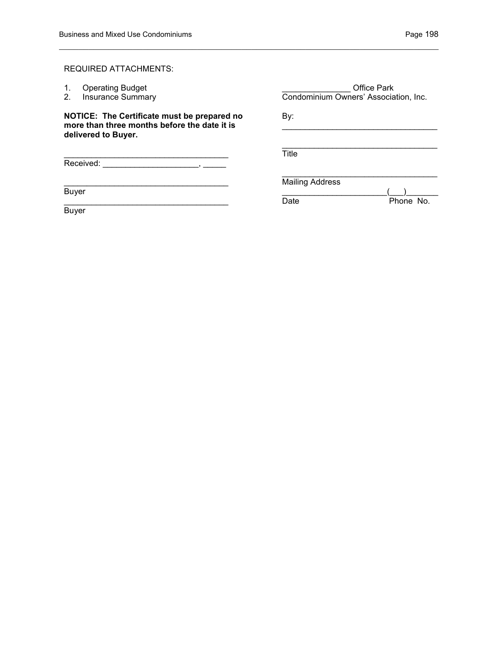#### REQUIRED ATTACHMENTS:

- 1. Operating Budget
- 2. Insurance Summary

**NOTICE: The Certificate must be prepared no more than three months before the date it is delivered to Buyer.**

 $\mathcal{L}_\text{max}$  , and the set of the set of the set of the set of the set of the set of the set of the set of the set of the set of the set of the set of the set of the set of the set of the set of the set of the set of the

\_\_\_\_\_\_\_\_\_\_\_\_\_\_\_\_\_\_\_\_\_\_\_\_\_\_\_\_\_\_\_\_\_\_\_\_

\_\_\_\_\_\_\_\_\_\_\_\_\_\_\_ Office Park Condominium Owners' Association, Inc.

\_\_\_\_\_\_\_\_\_\_\_\_\_\_\_\_\_\_\_\_\_\_\_\_\_\_\_\_\_\_\_\_\_\_

\_\_\_\_\_\_\_\_\_\_\_\_\_\_\_\_\_\_\_\_\_\_\_\_\_\_\_\_\_\_\_\_\_\_

By: \_\_\_\_\_\_\_\_\_\_\_\_\_\_\_\_\_\_\_\_\_\_\_\_\_\_\_\_\_\_\_\_\_\_

 $\mathcal{L}_\mathcal{L} = \{ \mathcal{L}_\mathcal{L} = \{ \mathcal{L}_\mathcal{L} = \{ \mathcal{L}_\mathcal{L} = \{ \mathcal{L}_\mathcal{L} = \{ \mathcal{L}_\mathcal{L} = \{ \mathcal{L}_\mathcal{L} = \{ \mathcal{L}_\mathcal{L} = \{ \mathcal{L}_\mathcal{L} = \{ \mathcal{L}_\mathcal{L} = \{ \mathcal{L}_\mathcal{L} = \{ \mathcal{L}_\mathcal{L} = \{ \mathcal{L}_\mathcal{L} = \{ \mathcal{L}_\mathcal{L} = \{ \mathcal{L}_\mathcal{$ 

**Title** 

Received: \_\_\_\_\_\_\_\_\_\_\_\_\_\_\_\_\_\_\_\_\_\_\_\_, \_\_\_\_\_\_

\_\_\_\_\_\_\_\_\_\_\_\_\_\_\_\_\_\_\_\_\_\_\_\_\_\_\_\_\_\_\_\_\_\_\_\_ Buyer

Buyer

Mailing Address

 $\qquad \qquad (\qquad )$ Date **Phone No.**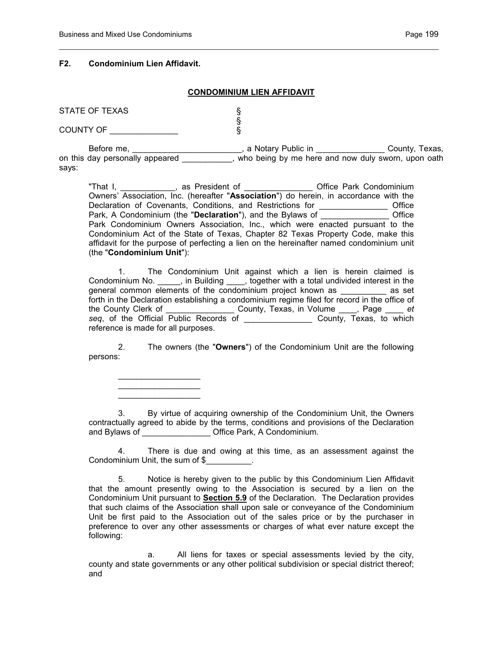#### **F2. Condominium Lien Affidavit.**

#### **CONDOMINIUM LIEN AFFIDAVIT**

§

 $\mathcal{L}_\mathcal{L} = \{ \mathcal{L}_\mathcal{L} = \{ \mathcal{L}_\mathcal{L} = \{ \mathcal{L}_\mathcal{L} = \{ \mathcal{L}_\mathcal{L} = \{ \mathcal{L}_\mathcal{L} = \{ \mathcal{L}_\mathcal{L} = \{ \mathcal{L}_\mathcal{L} = \{ \mathcal{L}_\mathcal{L} = \{ \mathcal{L}_\mathcal{L} = \{ \mathcal{L}_\mathcal{L} = \{ \mathcal{L}_\mathcal{L} = \{ \mathcal{L}_\mathcal{L} = \{ \mathcal{L}_\mathcal{L} = \{ \mathcal{L}_\mathcal{$ 

STATE OF TEXAS

COUNTY OF \_\_\_\_\_\_\_\_\_\_\_\_\_\_\_ §

 $\mathcal{L}_\text{max}$  , where  $\mathcal{L}_\text{max}$  , we have the set of the set of the set of the set of the set of the set of the set of the set of the set of the set of the set of the set of the set of the set of the set of the set of  $\mathcal{L}_\text{max}$  , where  $\mathcal{L}_\text{max}$  , we have the set of the set of the set of the set of the set of the set of the set of the set of the set of the set of the set of the set of the set of the set of the set of the set of  $\_$ 

Before me, \_\_\_\_\_\_\_\_\_\_\_\_\_\_\_\_\_\_\_\_\_\_\_\_\_, a Notary Public in \_\_\_\_\_\_\_\_\_\_\_\_\_\_\_\_County, Texas, on this day personally appeared \_\_\_\_\_\_\_\_\_\_\_, who being by me here and now duly sworn, upon oath says:

"That I, \_\_\_\_\_\_\_\_\_\_\_\_, as President of \_\_\_\_\_\_\_\_\_\_\_\_\_\_\_ Office Park Condominium Owners' Association, Inc. (hereafter "**Association**") do herein, in accordance with the Declaration of Covenants, Conditions, and Restrictions for \_\_\_\_\_\_\_\_\_\_\_\_\_\_\_\_ Office Park, A Condominium (the "**Declaration**"), and the Bylaws of \_\_\_\_\_\_\_\_\_\_\_\_\_\_\_ Office Park Condominium Owners Association, Inc., which were enacted pursuant to the Condominium Act of the State of Texas, Chapter 82 Texas Property Code, make this affidavit for the purpose of perfecting a lien on the hereinafter named condominium unit (the "**Condominium Unit**"):

1. The Condominium Unit against which a lien is herein claimed is Condominium No. \_\_\_\_\_, in Building \_\_\_\_, together with a total undivided interest in the general common elements of the condominium project known as \_\_\_\_\_\_\_\_\_\_ as set forth in the Declaration establishing a condominium regime filed for record in the office of the County Clerk of \_\_\_\_\_\_\_\_\_\_\_\_\_\_\_ County, Texas, in Volume \_\_\_\_, Page \_\_\_\_ *et seq*, of the Official Public Records of \_\_\_\_\_\_\_\_\_\_\_\_\_\_\_ County, Texas, to which reference is made for all purposes.

2. The owners (the "**Owners**") of the Condominium Unit are the following persons:

3. By virtue of acquiring ownership of the Condominium Unit, the Owners contractually agreed to abide by the terms, conditions and provisions of the Declaration and Bylaws of **Example 20** Office Park, A Condominium.

4. There is due and owing at this time, as an assessment against the Condominium Unit, the sum of \$

5. Notice is hereby given to the public by this Condominium Lien Affidavit that the amount presently owing to the Association is secured by a lien on the Condominium Unit pursuant to **Section 5.9** of the Declaration. The Declaration provides that such claims of the Association shall upon sale or conveyance of the Condominium Unit be first paid to the Association out of the sales price or by the purchaser in preference to over any other assessments or charges of what ever nature except the following:

a. All liens for taxes or special assessments levied by the city, county and state governments or any other political subdivision or special district thereof; and